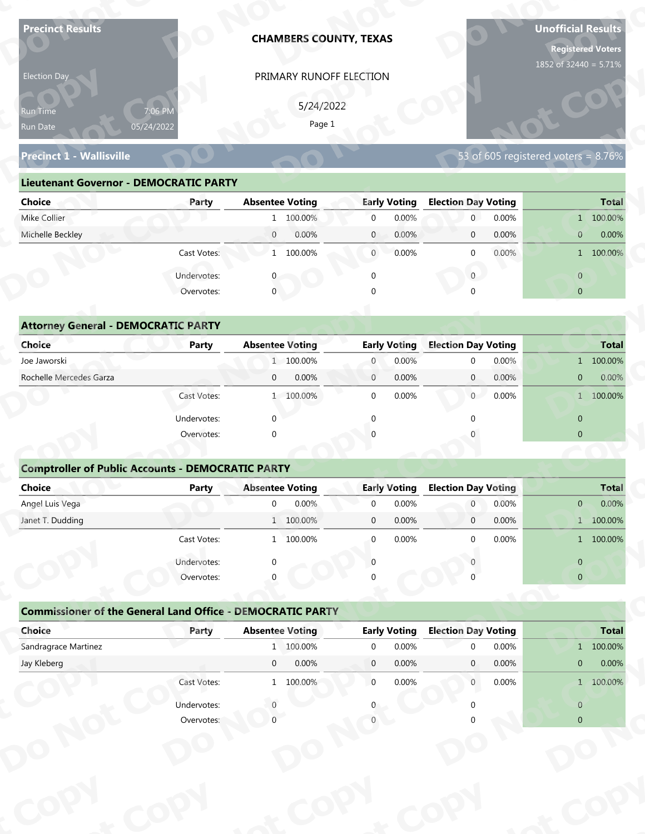| <b>Precinct Results</b>                                           |                       |                        | <b>CHAMBERS COUNTY, TEXAS</b> |                |                     |                            |       | <b>Unofficial Results</b>              | <b>Registered Voters</b> |
|-------------------------------------------------------------------|-----------------------|------------------------|-------------------------------|----------------|---------------------|----------------------------|-------|----------------------------------------|--------------------------|
| Election Day                                                      |                       |                        | PRIMARY RUNOFF ELECTION       |                |                     |                            |       | 1852 of 32440 = 5.71%                  |                          |
|                                                                   |                       |                        |                               |                |                     |                            |       |                                        |                          |
| Run Time<br>Run Date                                              | 7:06 PM<br>05/24/2022 |                        | 5/24/2022<br>Page 1           |                |                     |                            |       |                                        |                          |
|                                                                   |                       |                        |                               |                |                     |                            |       |                                        |                          |
| <b>Precinct 1 - Wallisville</b>                                   |                       |                        |                               |                |                     |                            |       | 53 of 605 registered voters = $8.76\%$ |                          |
| <b>Lieutenant Governor - DEMOCRATIC PARTY</b>                     |                       |                        |                               |                |                     |                            |       |                                        |                          |
| <b>Choice</b>                                                     | Party                 | <b>Absentee Voting</b> |                               |                | <b>Early Voting</b> | <b>Election Day Voting</b> |       |                                        | <b>Total</b>             |
| Mike Collier                                                      |                       |                        | 1 100.00%                     | $\overline{0}$ | 0.00%               | $\mathbf{0}$               | 0.00% |                                        | 1 100.00%                |
| Michelle Beckley                                                  |                       | $\overline{0}$         | 0.00%                         | $\mathbf{0}$   | 0.00%               | $\mathbf 0$                | 0.00% | $\mathbf{0}$                           | 0.00%                    |
|                                                                   | Cast Votes:           |                        | 1 100.00%                     | $\overline{0}$ | 0.00%               | $\mathbf 0$                | 0.00% |                                        | 1 100.00%                |
|                                                                   | Undervotes:           |                        |                               | $\mathbf 0$    |                     | $\overline{0}$             |       | $\overline{0}$                         |                          |
|                                                                   | Overvotes:            | $\overline{0}$         |                               |                |                     |                            |       | $\overline{0}$                         |                          |
|                                                                   |                       |                        |                               |                |                     |                            |       |                                        |                          |
| <b>Attorney General - DEMOCRATIC PARTY</b>                        |                       |                        |                               |                |                     |                            |       |                                        |                          |
| <b>Choice</b>                                                     | <b>Party</b>          | <b>Absentee Voting</b> |                               |                | <b>Early Voting</b> | <b>Election Day Voting</b> |       |                                        | <b>Total</b>             |
| Joe Jaworski                                                      |                       |                        | 1 100.00%                     | $\overline{0}$ | 0.00%               | $\mathbf 0$                | 0.00% |                                        | 1 100.00%                |
| Rochelle Mercedes Garza                                           |                       | $\mathbf{0}$           | 0.00%                         | $\overline{0}$ | 0.00%               | $\overline{0}$             | 0.00% | $\overline{0}$                         | 0.00%                    |
|                                                                   | Cast Votes:           |                        | 1 100.00%                     | $\mathbf 0$    | 0.00%               | 0                          | 0.00% |                                        | 1 100.00%                |
|                                                                   | Undervotes:           | $\Omega$               |                               | $\Omega$       |                     | $\Omega$                   |       | $\overline{0}$                         |                          |
|                                                                   | Overvotes:            | $\Omega$               |                               |                |                     |                            |       | $\overline{0}$                         |                          |
|                                                                   |                       |                        |                               |                |                     |                            |       |                                        |                          |
| <b>Comptroller of Public Accounts - DEMOCRATIC PARTY</b>          |                       |                        |                               |                |                     |                            |       |                                        |                          |
| Choice                                                            | <b>Party</b>          | <b>Absentee Voting</b> |                               |                | <b>Early Voting</b> | <b>Election Day Voting</b> |       |                                        | <b>Total</b>             |
| Angel Luis Vega                                                   |                       | $\overline{0}$         | 0.00%                         | $\mathbf 0$    | 0.00%               | $\overline{0}$             | 0.00% | $\mathbf{0}$                           | 0.00%                    |
| Janet T. Dudding                                                  |                       |                        | 1 100.00%                     | $\mathbf 0$    | 0.00%               | $\overline{0}$             | 0.00% |                                        | 1 100.00%                |
|                                                                   | Cast Votes:           |                        | 1 100.00%                     | $\mathbf 0$    | 0.00%               | $\Omega$                   | 0.00% |                                        | 1 100.00%                |
|                                                                   | Undervotes:           | $\Omega$               |                               | $\Omega$       |                     |                            |       | $\overline{0}$                         |                          |
|                                                                   | Overvotes:            |                        |                               |                |                     |                            |       | $\overline{0}$                         |                          |
|                                                                   |                       |                        |                               |                |                     |                            |       |                                        |                          |
| <b>Commissioner of the General Land Office - DEMOCRATIC PARTY</b> |                       |                        |                               |                |                     |                            |       |                                        |                          |
|                                                                   |                       | <b>Absentee Voting</b> |                               |                | <b>Early Voting</b> | <b>Election Day Voting</b> |       |                                        | <b>Total</b>             |
| Choice                                                            | Party                 |                        |                               |                |                     | $\Omega$                   | 0.00% |                                        | 1 100.00%                |
| Sandragrace Martinez                                              |                       |                        | 1 100.00%                     | $\overline{0}$ | 0.00%               |                            |       |                                        |                          |
| Jay Kleberg                                                       |                       | $\overline{0}$         | 0.00%                         | $\overline{0}$ | 0.00%               | $\mathbf{0}$               | 0.00% | $\mathbf{0}$                           | 0.00%                    |
|                                                                   | Cast Votes:           |                        | 1 100.00%                     | $\overline{0}$ | 0.00%               | $\overline{0}$             | 0.00% |                                        | 1 100.00%                |
|                                                                   | Undervotes:           |                        |                               |                |                     |                            |       | $\overline{0}$                         |                          |

| Election Day                                  |                       | PRIMARY RUNOFF ELECTION |                         |                            |                                     |
|-----------------------------------------------|-----------------------|-------------------------|-------------------------|----------------------------|-------------------------------------|
| <b>Run Time</b><br>Run Date                   | 7:06 PM<br>05/24/2022 | 5/24/2022<br>Page 1     |                         |                            |                                     |
| <b>Precinct 1 - Wallisville</b>               |                       |                         |                         |                            | 53 of 605 registered voters = 8.76% |
| <b>Lieutenant Governor - DEMOCRATIC PARTY</b> |                       |                         |                         |                            |                                     |
| <b>Choice</b>                                 | Party                 | <b>Absentee Voting</b>  | <b>Early Voting</b>     | <b>Election Day Voting</b> | <b>Total</b>                        |
| Mike Collier                                  |                       | 1 100.00%               | 0.00%<br>$\overline{0}$ | 0.00%<br>$\overline{0}$    | 1 100.00%                           |
| Michelle Beckley                              |                       | 0.00%<br>$\overline{0}$ | 0.00%<br>$\mathbf{0}$   | 0.00%<br>$\overline{0}$    | 0.00%<br>$\mathbf{0}$               |
|                                               | Cast Votes:           | 1 100.00%               | 0.00%<br>$\overline{0}$ | $0.00\%$<br>$\Omega$       | 1 100.00%                           |
|                                               | Undervotes:           |                         | $\Omega$                | $\overline{0}$             | $\overline{0}$                      |
|                                               | Overvotes:            | $\mathbf 0$             | $\Omega$                |                            | $\overline{0}$                      |
|                                               |                       |                         |                         |                            |                                     |
| <b>Attorney General - DEMOCRATIC PARTY</b>    |                       |                         |                         |                            |                                     |
| <b>Choice</b>                                 | <b>Party</b>          | <b>Absentee Voting</b>  | <b>Early Voting</b>     | <b>Election Day Voting</b> | <b>Total</b>                        |
| Joe Jaworski                                  |                       | 1 100.00%               | 0.00%<br>$\overline{0}$ | 0.00%<br>$\Omega$          | 1 100.00%                           |
| Rochelle Mercedes Garza                       |                       | 0.00%<br>$\overline{0}$ | 0.00%<br>$\mathbf{0}$   | $\overline{0}$<br>0.00%    | 0.00%<br>$\overline{0}$             |
|                                               | Cast Votes:           | 1 100.00%               | 0.00%<br>$\Omega$       | $\overline{0}$<br>0.00%    | 1 100.00%                           |
|                                               |                       |                         |                         |                            |                                     |

| 5/24/2022<br>7:06 PM<br>Run Time<br>Page 1<br>05/24/2022<br>Run Date<br>53 of 605 registered voters = 8.76%<br><b>Precinct 1 - Wallisville</b><br><b>Lieutenant Governor - DEMOCRATIC PARTY</b><br><b>Absentee Voting</b><br><b>Early Voting</b><br><b>Election Day Voting</b><br><b>Choice</b><br>Party<br>Mike Collier<br>1 100.00%<br>$\overline{0}$<br>0.00%<br>$\overline{0}$<br>0.00%<br>Michelle Beckley<br>$\overline{0}$<br>0.00%<br>$\mathbf{0}$<br>0.00%<br>0.00%<br>$\mathbf 0$<br>$\overline{0}$<br>Cast Votes:<br>1 100.00%<br>$\overline{0}$<br>0.00%<br>0.00%<br>$\mathbf{0}$<br>$\overline{0}$<br>Undervotes:<br>$\overline{0}$<br>$\mathbf 0$<br>$\mathbf{0}$<br>Overvotes:<br>$\mathbf{0}$<br>$\overline{0}$<br>$\Omega$<br><b>Attorney General - DEMOCRATIC PARTY</b><br><b>Early Voting</b><br><b>Election Day Voting</b><br>Choice<br><b>Absentee Voting</b><br><b>Party</b><br>Joe Jaworski<br>1 100.00%<br>0.00%<br>0.00%<br>$\overline{0}$<br>$\mathbf 0$<br>Rochelle Mercedes Garza<br>0.00%<br>0.00%<br>0.00%<br>$\mathbf{0}$<br>$\mathbf{0}$<br>$\mathbf{0}$<br>$\overline{0}$<br>Cast Votes:<br>1 100.00%<br>$\mathbf 0$<br>0.00%<br>$\overline{0}$<br>0.00%<br>Undervotes:<br>$\Omega$<br>$\mathbf{0}$<br>$\Omega$<br>$\overline{0}$<br>Overvotes:<br>$\Omega$<br><b>Comptroller of Public Accounts - DEMOCRATIC PARTY</b><br><b>Choice</b><br><b>Absentee Voting</b><br><b>Early Voting</b><br><b>Election Day Voting</b><br><b>Party</b><br>0.00%<br>Angel Luis Vega<br>0.00%<br>0.00%<br>$\overline{0}$<br>$\mathbf 0$<br>$\mathbf 0$<br>$\overline{0}$<br>0.00%<br>0.00%<br>Janet T. Dudding<br>1 100.00%<br>$\mathbf 0$<br>$\mathbf 0$<br>0.00%<br>Cast Votes:<br>1 100.00%<br>$\overline{0}$<br>$0.00\%$<br>$\Omega$<br>Undervotes:<br>$\overline{0}$<br>Overvotes:<br>$\overline{0}$<br><b>Commissioner of the General Land Office - DEMOCRATIC PARTY</b> | <b>Total</b><br>1 100.00%<br>0.00%<br>1 100.00% |
|------------------------------------------------------------------------------------------------------------------------------------------------------------------------------------------------------------------------------------------------------------------------------------------------------------------------------------------------------------------------------------------------------------------------------------------------------------------------------------------------------------------------------------------------------------------------------------------------------------------------------------------------------------------------------------------------------------------------------------------------------------------------------------------------------------------------------------------------------------------------------------------------------------------------------------------------------------------------------------------------------------------------------------------------------------------------------------------------------------------------------------------------------------------------------------------------------------------------------------------------------------------------------------------------------------------------------------------------------------------------------------------------------------------------------------------------------------------------------------------------------------------------------------------------------------------------------------------------------------------------------------------------------------------------------------------------------------------------------------------------------------------------------------------------------------------------------------------------------------------------------------------------|-------------------------------------------------|
|                                                                                                                                                                                                                                                                                                                                                                                                                                                                                                                                                                                                                                                                                                                                                                                                                                                                                                                                                                                                                                                                                                                                                                                                                                                                                                                                                                                                                                                                                                                                                                                                                                                                                                                                                                                                                                                                                                |                                                 |
|                                                                                                                                                                                                                                                                                                                                                                                                                                                                                                                                                                                                                                                                                                                                                                                                                                                                                                                                                                                                                                                                                                                                                                                                                                                                                                                                                                                                                                                                                                                                                                                                                                                                                                                                                                                                                                                                                                |                                                 |
|                                                                                                                                                                                                                                                                                                                                                                                                                                                                                                                                                                                                                                                                                                                                                                                                                                                                                                                                                                                                                                                                                                                                                                                                                                                                                                                                                                                                                                                                                                                                                                                                                                                                                                                                                                                                                                                                                                |                                                 |
|                                                                                                                                                                                                                                                                                                                                                                                                                                                                                                                                                                                                                                                                                                                                                                                                                                                                                                                                                                                                                                                                                                                                                                                                                                                                                                                                                                                                                                                                                                                                                                                                                                                                                                                                                                                                                                                                                                |                                                 |
|                                                                                                                                                                                                                                                                                                                                                                                                                                                                                                                                                                                                                                                                                                                                                                                                                                                                                                                                                                                                                                                                                                                                                                                                                                                                                                                                                                                                                                                                                                                                                                                                                                                                                                                                                                                                                                                                                                |                                                 |
|                                                                                                                                                                                                                                                                                                                                                                                                                                                                                                                                                                                                                                                                                                                                                                                                                                                                                                                                                                                                                                                                                                                                                                                                                                                                                                                                                                                                                                                                                                                                                                                                                                                                                                                                                                                                                                                                                                |                                                 |
|                                                                                                                                                                                                                                                                                                                                                                                                                                                                                                                                                                                                                                                                                                                                                                                                                                                                                                                                                                                                                                                                                                                                                                                                                                                                                                                                                                                                                                                                                                                                                                                                                                                                                                                                                                                                                                                                                                |                                                 |
|                                                                                                                                                                                                                                                                                                                                                                                                                                                                                                                                                                                                                                                                                                                                                                                                                                                                                                                                                                                                                                                                                                                                                                                                                                                                                                                                                                                                                                                                                                                                                                                                                                                                                                                                                                                                                                                                                                |                                                 |
|                                                                                                                                                                                                                                                                                                                                                                                                                                                                                                                                                                                                                                                                                                                                                                                                                                                                                                                                                                                                                                                                                                                                                                                                                                                                                                                                                                                                                                                                                                                                                                                                                                                                                                                                                                                                                                                                                                |                                                 |
|                                                                                                                                                                                                                                                                                                                                                                                                                                                                                                                                                                                                                                                                                                                                                                                                                                                                                                                                                                                                                                                                                                                                                                                                                                                                                                                                                                                                                                                                                                                                                                                                                                                                                                                                                                                                                                                                                                |                                                 |
|                                                                                                                                                                                                                                                                                                                                                                                                                                                                                                                                                                                                                                                                                                                                                                                                                                                                                                                                                                                                                                                                                                                                                                                                                                                                                                                                                                                                                                                                                                                                                                                                                                                                                                                                                                                                                                                                                                |                                                 |
|                                                                                                                                                                                                                                                                                                                                                                                                                                                                                                                                                                                                                                                                                                                                                                                                                                                                                                                                                                                                                                                                                                                                                                                                                                                                                                                                                                                                                                                                                                                                                                                                                                                                                                                                                                                                                                                                                                |                                                 |
|                                                                                                                                                                                                                                                                                                                                                                                                                                                                                                                                                                                                                                                                                                                                                                                                                                                                                                                                                                                                                                                                                                                                                                                                                                                                                                                                                                                                                                                                                                                                                                                                                                                                                                                                                                                                                                                                                                |                                                 |
|                                                                                                                                                                                                                                                                                                                                                                                                                                                                                                                                                                                                                                                                                                                                                                                                                                                                                                                                                                                                                                                                                                                                                                                                                                                                                                                                                                                                                                                                                                                                                                                                                                                                                                                                                                                                                                                                                                | <b>Total</b>                                    |
|                                                                                                                                                                                                                                                                                                                                                                                                                                                                                                                                                                                                                                                                                                                                                                                                                                                                                                                                                                                                                                                                                                                                                                                                                                                                                                                                                                                                                                                                                                                                                                                                                                                                                                                                                                                                                                                                                                | 1 100.00%                                       |
|                                                                                                                                                                                                                                                                                                                                                                                                                                                                                                                                                                                                                                                                                                                                                                                                                                                                                                                                                                                                                                                                                                                                                                                                                                                                                                                                                                                                                                                                                                                                                                                                                                                                                                                                                                                                                                                                                                | $0.00\%$                                        |
|                                                                                                                                                                                                                                                                                                                                                                                                                                                                                                                                                                                                                                                                                                                                                                                                                                                                                                                                                                                                                                                                                                                                                                                                                                                                                                                                                                                                                                                                                                                                                                                                                                                                                                                                                                                                                                                                                                | 1 100.00%                                       |
|                                                                                                                                                                                                                                                                                                                                                                                                                                                                                                                                                                                                                                                                                                                                                                                                                                                                                                                                                                                                                                                                                                                                                                                                                                                                                                                                                                                                                                                                                                                                                                                                                                                                                                                                                                                                                                                                                                |                                                 |
|                                                                                                                                                                                                                                                                                                                                                                                                                                                                                                                                                                                                                                                                                                                                                                                                                                                                                                                                                                                                                                                                                                                                                                                                                                                                                                                                                                                                                                                                                                                                                                                                                                                                                                                                                                                                                                                                                                |                                                 |
|                                                                                                                                                                                                                                                                                                                                                                                                                                                                                                                                                                                                                                                                                                                                                                                                                                                                                                                                                                                                                                                                                                                                                                                                                                                                                                                                                                                                                                                                                                                                                                                                                                                                                                                                                                                                                                                                                                |                                                 |
|                                                                                                                                                                                                                                                                                                                                                                                                                                                                                                                                                                                                                                                                                                                                                                                                                                                                                                                                                                                                                                                                                                                                                                                                                                                                                                                                                                                                                                                                                                                                                                                                                                                                                                                                                                                                                                                                                                |                                                 |
|                                                                                                                                                                                                                                                                                                                                                                                                                                                                                                                                                                                                                                                                                                                                                                                                                                                                                                                                                                                                                                                                                                                                                                                                                                                                                                                                                                                                                                                                                                                                                                                                                                                                                                                                                                                                                                                                                                | <b>Total</b>                                    |
|                                                                                                                                                                                                                                                                                                                                                                                                                                                                                                                                                                                                                                                                                                                                                                                                                                                                                                                                                                                                                                                                                                                                                                                                                                                                                                                                                                                                                                                                                                                                                                                                                                                                                                                                                                                                                                                                                                | 0.00%                                           |
|                                                                                                                                                                                                                                                                                                                                                                                                                                                                                                                                                                                                                                                                                                                                                                                                                                                                                                                                                                                                                                                                                                                                                                                                                                                                                                                                                                                                                                                                                                                                                                                                                                                                                                                                                                                                                                                                                                | 1 100.00%                                       |
|                                                                                                                                                                                                                                                                                                                                                                                                                                                                                                                                                                                                                                                                                                                                                                                                                                                                                                                                                                                                                                                                                                                                                                                                                                                                                                                                                                                                                                                                                                                                                                                                                                                                                                                                                                                                                                                                                                | 1 100.00%                                       |
|                                                                                                                                                                                                                                                                                                                                                                                                                                                                                                                                                                                                                                                                                                                                                                                                                                                                                                                                                                                                                                                                                                                                                                                                                                                                                                                                                                                                                                                                                                                                                                                                                                                                                                                                                                                                                                                                                                |                                                 |
|                                                                                                                                                                                                                                                                                                                                                                                                                                                                                                                                                                                                                                                                                                                                                                                                                                                                                                                                                                                                                                                                                                                                                                                                                                                                                                                                                                                                                                                                                                                                                                                                                                                                                                                                                                                                                                                                                                |                                                 |
|                                                                                                                                                                                                                                                                                                                                                                                                                                                                                                                                                                                                                                                                                                                                                                                                                                                                                                                                                                                                                                                                                                                                                                                                                                                                                                                                                                                                                                                                                                                                                                                                                                                                                                                                                                                                                                                                                                |                                                 |
|                                                                                                                                                                                                                                                                                                                                                                                                                                                                                                                                                                                                                                                                                                                                                                                                                                                                                                                                                                                                                                                                                                                                                                                                                                                                                                                                                                                                                                                                                                                                                                                                                                                                                                                                                                                                                                                                                                |                                                 |
| Choice<br><b>Absentee Voting</b><br><b>Early Voting</b><br><b>Election Day Voting</b><br>Party                                                                                                                                                                                                                                                                                                                                                                                                                                                                                                                                                                                                                                                                                                                                                                                                                                                                                                                                                                                                                                                                                                                                                                                                                                                                                                                                                                                                                                                                                                                                                                                                                                                                                                                                                                                                 | <b>Total</b>                                    |
| Sandragrace Martinez<br>1 100.00%<br>$\mathbf 0$<br>0.00%<br>0.00%<br>$\Omega$                                                                                                                                                                                                                                                                                                                                                                                                                                                                                                                                                                                                                                                                                                                                                                                                                                                                                                                                                                                                                                                                                                                                                                                                                                                                                                                                                                                                                                                                                                                                                                                                                                                                                                                                                                                                                 | $1 100.00\%$                                    |
| 0.00%<br>0.00%<br>Jay Kleberg<br>$\overline{0}$<br>$\overline{0}$<br>0.00%<br>$\mathbf{0}$<br>$\mathbf{0}$                                                                                                                                                                                                                                                                                                                                                                                                                                                                                                                                                                                                                                                                                                                                                                                                                                                                                                                                                                                                                                                                                                                                                                                                                                                                                                                                                                                                                                                                                                                                                                                                                                                                                                                                                                                     | 0.00%                                           |
| Cast Votes:<br>$\overline{0}$<br>0.00%<br>1 100.00%<br>0.00%<br>$\overline{0}$                                                                                                                                                                                                                                                                                                                                                                                                                                                                                                                                                                                                                                                                                                                                                                                                                                                                                                                                                                                                                                                                                                                                                                                                                                                                                                                                                                                                                                                                                                                                                                                                                                                                                                                                                                                                                 | 1 100.00%                                       |
| Undervotes:<br>$\overline{0}$                                                                                                                                                                                                                                                                                                                                                                                                                                                                                                                                                                                                                                                                                                                                                                                                                                                                                                                                                                                                                                                                                                                                                                                                                                                                                                                                                                                                                                                                                                                                                                                                                                                                                                                                                                                                                                                                  |                                                 |
| Overvotes:<br>$\overline{0}$                                                                                                                                                                                                                                                                                                                                                                                                                                                                                                                                                                                                                                                                                                                                                                                                                                                                                                                                                                                                                                                                                                                                                                                                                                                                                                                                                                                                                                                                                                                                                                                                                                                                                                                                                                                                                                                                   |                                                 |

### **Comptroller of Public Accounts - DEMOCRATIC PARTY**

| <b>Choice</b>                                                               | Party       |                        | <b>Absentee Voting</b> |                | <b>Early Voting</b>          | <b>Election Day Voting</b>                 |       |                | <b>Total</b> |
|-----------------------------------------------------------------------------|-------------|------------------------|------------------------|----------------|------------------------------|--------------------------------------------|-------|----------------|--------------|
| Joe Jaworski                                                                |             |                        | 1 100.00%              | $\overline{0}$ | 0.00%                        | $\mathbf{0}$                               | 0.00% |                | 1 100.00%    |
| Rochelle Mercedes Garza                                                     |             | $\boldsymbol{0}$       | 0.00%                  | $\overline{0}$ | 0.00%                        | $\mathbf{0}$                               | 0.00% | $\overline{0}$ | 0.00%        |
|                                                                             | Cast Votes: |                        | 1 100.00%              | $\overline{0}$ | 0.00%                        | $\overline{0}$                             | 0.00% |                | 1 100.00%    |
|                                                                             | Undervotes: | ∩                      |                        | $\Omega$       |                              | $\Omega$                                   |       | $\mathbf{0}$   |              |
|                                                                             | Overvotes:  | $\Omega$               |                        |                |                              |                                            |       | $\overline{0}$ |              |
|                                                                             |             |                        |                        |                |                              |                                            |       |                |              |
| <b>Comptroller of Public Accounts - DEMOCRATIC PARTY</b>                    |             |                        |                        |                |                              |                                            |       |                |              |
| <b>Choice</b>                                                               | Party       | <b>Absentee Voting</b> |                        |                | <b>Early Voting</b>          | <b>Election Day Voting</b>                 |       |                | <b>Total</b> |
| Angel Luis Vega                                                             |             | $\Omega$               | 0.00%                  | $\Omega$       | 0.00%                        | $\overline{0}$                             | 0.00% | $\mathbf{0}$   | 0.00%        |
| Janet T. Dudding                                                            |             |                        | 1 100.00%              | $\overline{0}$ | 0.00%                        | $\overline{0}$                             | 0.00% |                | 1 100.00%    |
|                                                                             | Cast Votes: |                        | 1 100.00%              | $\overline{0}$ | 0.00%                        | $\mathbf{0}$                               | 0.00% |                | 1 100.00%    |
|                                                                             |             |                        |                        |                |                              |                                            |       |                |              |
|                                                                             | Undervotes: | ∩                      |                        | U              |                              |                                            |       | $\overline{0}$ |              |
|                                                                             | Overvotes:  |                        |                        |                |                              |                                            |       | $\mathbf 0$    |              |
|                                                                             |             |                        |                        |                |                              |                                            |       |                |              |
| <b>Commissioner of the General Land Office - DEMOCRATIC PARTY</b><br>Choice |             |                        |                        |                |                              |                                            |       |                | <b>Total</b> |
| Sandragrace Martinez                                                        | Party       | <b>Absentee Voting</b> | 1 100.00%              | $\mathbf{0}$   | <b>Early Voting</b><br>0.00% | <b>Election Day Voting</b><br>$\mathbf{0}$ | 0.00% |                | 1 100.00%    |
| Jay Kleberg                                                                 |             | $\mathbf 0$            | 0.00%                  | $\overline{0}$ | 0.00%                        | $\mathbf{0}$                               | 0.00% | $\overline{0}$ | 0.00%        |
|                                                                             | Cast Votes: |                        | 1 100.00%              | $\overline{0}$ | 0.00%                        | $\overline{0}$                             | 0.00% |                | 1 100.00%    |
|                                                                             | Undervotes: |                        |                        |                |                              |                                            |       | $\overline{0}$ |              |

|                                                                   | Cast votes. | ÷.          | TOO'OO XQ              | U              | <b>U.UU70</b>       |                            | <b>U.UU70</b> |                | $1.100.00\%$ |
|-------------------------------------------------------------------|-------------|-------------|------------------------|----------------|---------------------|----------------------------|---------------|----------------|--------------|
|                                                                   | Undervotes: | $\Omega$    |                        | 0              |                     |                            |               | $\Omega$       |              |
|                                                                   | Overvotes:  | $\Omega$    |                        | 0              |                     |                            |               | $\overline{0}$ |              |
|                                                                   |             |             |                        |                |                     |                            |               |                |              |
| <b>Commissioner of the General Land Office - DEMOCRATIC PARTY</b> |             |             |                        |                |                     |                            |               |                |              |
| Choice                                                            | Party       |             | <b>Absentee Voting</b> |                | <b>Early Voting</b> | <b>Election Day Voting</b> |               |                | <b>Total</b> |
| Sandragrace Martinez                                              |             |             | 1 100.00%              | 0              | 0.00%               | $\Omega$                   | 0.00%         | 1              | 100.00%      |
| Jay Kleberg                                                       |             | $\mathbf 0$ | 0.00%                  | $\overline{0}$ | $0.00\%$            | $\mathbf{0}$               | $0.00\%$      | $\overline{0}$ | 0.00%        |
|                                                                   | Cast Votes: |             | 1 100.00%              | $\mathbf{0}$   | $0.00\%$            | $\mathbf{0}$               | $0.00\%$      | 1              | 100.00%      |
|                                                                   | Undervotes: |             |                        | 0              |                     |                            |               | $\overline{0}$ |              |
|                                                                   | Overvotes:  |             |                        |                |                     |                            |               | $\overline{0}$ |              |
|                                                                   |             |             |                        |                |                     |                            |               |                |              |
|                                                                   |             |             |                        |                |                     |                            |               |                |              |
|                                                                   |             |             |                        |                |                     |                            |               |                |              |
|                                                                   |             |             |                        |                |                     |                            |               |                |              |
|                                                                   |             |             |                        |                |                     |                            |               |                |              |
|                                                                   |             |             |                        |                |                     |                            |               |                |              |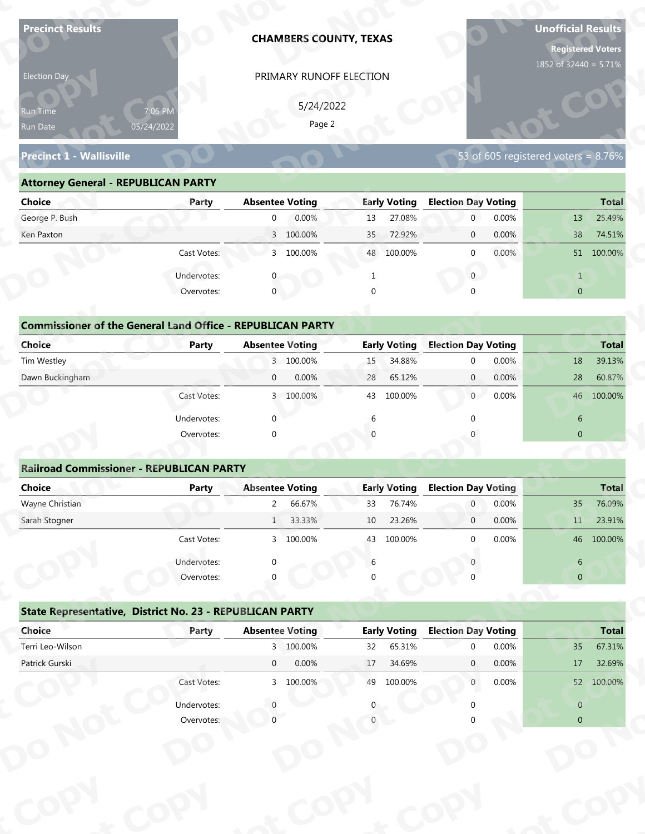| <b>Precinct Results</b>                                            |              | <b>CHAMBERS COUNTY, TEXAS</b> |                                     |                                                 | <b>Unofficial Results</b><br><b>Registered Voters</b><br>1852 of 32440 = 5.71% |
|--------------------------------------------------------------------|--------------|-------------------------------|-------------------------------------|-------------------------------------------------|--------------------------------------------------------------------------------|
| Election Day                                                       |              | PRIMARY RUNOFF ELECTION       |                                     |                                                 |                                                                                |
|                                                                    |              |                               |                                     |                                                 |                                                                                |
| Run Time                                                           | 7:06 PM      | 5/24/2022<br>Page 2           |                                     |                                                 |                                                                                |
| Run Date                                                           | 05/24/2022   |                               |                                     |                                                 |                                                                                |
| <b>Precinct 1 - Wallisville</b>                                    |              |                               |                                     |                                                 | 53 of 605 registered voters = $8.76\%$                                         |
| <b>Attorney General - REPUBLICAN PARTY</b>                         |              |                               |                                     |                                                 |                                                                                |
| <b>Choice</b>                                                      | Party        | <b>Absentee Voting</b>        | <b>Early Voting</b>                 | <b>Election Day Voting</b>                      | <b>Total</b>                                                                   |
| George P. Bush                                                     |              | 0.00%<br>$\overline{0}$       | 27.08%<br>13                        | 0.00%<br>$\mathbf 0$                            | 25.49%<br>13                                                                   |
| Ken Paxton                                                         |              | 3 100.00%                     | 72.92%<br>35                        | 0.00%<br>$\mathbf 0$                            | 38<br>74.51%                                                                   |
|                                                                    | Cast Votes:  | 3 100.00%                     | 48 100.00%                          | 0.00%<br>$\mathbf 0$                            | 51 100.00%                                                                     |
|                                                                    | Undervotes:  |                               |                                     | $\overline{0}$                                  | $\mathbf{1}$                                                                   |
|                                                                    | Overvotes:   | $\mathbf{0}$                  | $\Omega$                            |                                                 | $\overline{0}$                                                                 |
|                                                                    |              |                               |                                     |                                                 |                                                                                |
| <b>Commissioner of the General Land Office - REPUBLICAN PARTY</b>  |              |                               |                                     |                                                 |                                                                                |
| <b>Choice</b>                                                      | <b>Party</b> | <b>Absentee Voting</b>        | <b>Early Voting</b>                 | <b>Election Day Voting</b>                      | <b>Total</b>                                                                   |
| Tim Westley                                                        |              | 3 100.00%                     | 34.88%<br>15                        | 0.00%<br>$\mathbf 0$                            | 39.13%<br>18                                                                   |
| Dawn Buckingham                                                    |              | 0.00%<br>$\overline{0}$       | 65.12%<br>28                        | 0.00%<br>$\overline{0}$                         | 60.87%<br>28                                                                   |
|                                                                    | Cast Votes:  | 3 100.00%                     | 43 100.00%                          | 0.00%<br>0                                      | 46 100.00%                                                                     |
|                                                                    | Undervotes:  | $\Omega$                      | 6                                   | $\Omega$                                        | 6                                                                              |
|                                                                    | Overvotes:   | $\Omega$                      |                                     |                                                 | $\overline{0}$                                                                 |
|                                                                    |              |                               |                                     |                                                 |                                                                                |
| <b>Railroad Commissioner - REPUBLICAN PARTY</b>                    |              |                               |                                     |                                                 |                                                                                |
| <b>Choice</b>                                                      | <b>Party</b> | <b>Absentee Voting</b>        | <b>Early Voting</b>                 | <b>Election Day Voting</b>                      | <b>Total</b>                                                                   |
| Wayne Christian                                                    |              | $2^{\circ}$<br>66.67%         | 33<br>76.74%                        | 0.00%<br>$\overline{0}$                         | 76.09%<br>35                                                                   |
| Sarah Stogner                                                      |              | 1 33.33%                      | 23.26%<br>10                        | 0.00%<br>$\overline{0}$                         | 11<br>23.91%                                                                   |
|                                                                    | Cast Votes:  | 3 100.00%                     | 100.00%<br>43                       | 0.00%<br>$\Omega$                               | 46 100.00%                                                                     |
|                                                                    | Undervotes:  | ∩                             | 6                                   |                                                 | 6                                                                              |
|                                                                    | Overvotes:   |                               |                                     |                                                 | $\overline{0}$                                                                 |
|                                                                    |              |                               |                                     |                                                 |                                                                                |
|                                                                    |              |                               |                                     |                                                 |                                                                                |
| State Representative, District No. 23 - REPUBLICAN PARTY<br>Choice | Party        | <b>Absentee Voting</b>        |                                     |                                                 |                                                                                |
| Terri Leo-Wilson                                                   |              | 3 100.00%                     | <b>Early Voting</b><br>65.31%<br>32 | <b>Election Day Voting</b><br>0.00%<br>$\Omega$ | 35                                                                             |
| Patrick Gurski                                                     |              | $\overline{0}$<br>0.00%       | 34.69%<br>17                        | 0.00%<br>$\mathbf{0}$                           | 17                                                                             |
|                                                                    | Cast Votes:  | 3 100.00%                     | 49 100.00%                          | 0.00%<br>$\overline{0}$                         | <b>Total</b><br>67.31%<br>32.69%<br>52 100.00%                                 |
|                                                                    | Undervotes:  |                               |                                     |                                                 | $\overline{0}$                                                                 |

| Election Day                                                      |                       | PRIMARY RUNOFF ELECTION |                           |                            |                                     |
|-------------------------------------------------------------------|-----------------------|-------------------------|---------------------------|----------------------------|-------------------------------------|
| <b>Run Time</b><br>Run Date                                       | 7:06 PM<br>05/24/2022 | 5/24/2022<br>Page 2     |                           |                            |                                     |
| <b>Precinct 1 - Wallisville</b>                                   |                       |                         |                           |                            | 53 of 605 registered voters = 8.76% |
| <b>Attorney General - REPUBLICAN PARTY</b>                        |                       |                         |                           |                            |                                     |
| <b>Choice</b>                                                     | Party                 | <b>Absentee Voting</b>  | <b>Early Voting</b>       | <b>Election Day Voting</b> | <b>Total</b>                        |
| George P. Bush                                                    |                       | 0.00%<br>$\overline{0}$ | 27.08%<br>13              | 0.00%<br>$\overline{0}$    | 13<br>25.49%                        |
| Ken Paxton                                                        |                       | 3 100.00%               | 72.92%<br>35 <sup>2</sup> | 0.00%<br>$\overline{0}$    | 74.51%<br>38                        |
|                                                                   | Cast Votes:           | 3 100.00%               | 48 100.00%                | $0.00\%$<br>$\Omega$       | 51 100.00%                          |
|                                                                   | Undervotes:           |                         |                           | $\overline{0}$             |                                     |
|                                                                   | Overvotes:            | $\mathbf 0$             |                           |                            | $\overline{0}$                      |
|                                                                   |                       |                         |                           |                            |                                     |
| <b>Commissioner of the General Land Office - REPUBLICAN PARTY</b> |                       |                         |                           |                            |                                     |
| <b>Choice</b>                                                     | <b>Party</b>          | <b>Absentee Voting</b>  | <b>Early Voting</b>       | <b>Election Day Voting</b> | <b>Total</b>                        |
| Tim Westley                                                       |                       | 3 100.00%               | 34.88%<br>15              | 0.00%<br>$\Omega$          | 39.13%<br>18                        |
| Dawn Buckingham                                                   |                       | 0.00%<br>$\overline{0}$ | 65.12%<br>28              | 0.00%<br>$\overline{0}$    | 28<br>60.87%                        |
|                                                                   | Cast Votes:           | 3 100.00%               | 100.00%<br>43             | $\overline{0}$<br>0.00%    | 46 100.00%                          |
|                                                                   |                       |                         |                           |                            |                                     |

| <b>Choice</b>                                                               | Party       | <b>Absentee Voting</b>    | <b>Early Voting</b> | <b>Election Day Voting</b> | <b>Total</b>   |
|-----------------------------------------------------------------------------|-------------|---------------------------|---------------------|----------------------------|----------------|
| George P. Bush                                                              |             | 0.00%<br>$\mathbf{0}$     | 27.08%<br>13        | 0.00%<br>$\mathbf{0}$      | 25.49%<br>13   |
| Ken Paxton                                                                  |             | 3 100.00%                 | 72.92%<br>35        | 0.00%<br>$\mathbf 0$       | 38<br>74.51%   |
|                                                                             | Cast Votes: | 3 100.00%                 | 48 100.00%          | 0.00%<br>$\mathbf 0$       | 51 100.00%     |
|                                                                             | Undervotes: |                           |                     | $\mathbf{0}$               | $\mathbf{1}$   |
|                                                                             | Overvotes:  | $\mathbf{0}$              | $\Omega$            | $\Omega$                   | $\overline{0}$ |
| <b>Commissioner of the General Land Office - REPUBLICAN PARTY</b><br>Choice | Party       | <b>Absentee Voting</b>    | <b>Early Voting</b> | <b>Election Day Voting</b> | <b>Total</b>   |
| Tim Westley                                                                 |             | 3 100.00%                 | 34.88%<br>15        | 0.00%<br>$\mathbf{0}$      | 18<br>39.13%   |
| Dawn Buckingham                                                             |             | 0.00%<br>$\mathbf{0}$     | 65.12%<br>28        | 0.00%<br>$\overline{0}$    | 28<br>60.87%   |
|                                                                             | Cast Votes: | 100.00%<br>$\overline{3}$ | 100.00%<br>43       | 0.00%<br>$\overline{0}$    | 46 100.00%     |
|                                                                             | Undervotes: | $\mathbf 0$               | 6                   |                            | 6              |
|                                                                             | Overvotes:  | $\mathbf 0$               | $\Omega$            |                            | $\mathbf{0}$   |
|                                                                             |             |                           |                     |                            |                |
| <b>Railroad Commissioner - REPUBLICAN PARTY</b>                             |             |                           |                     |                            |                |
| Choice                                                                      | Party       | <b>Absentee Voting</b>    | <b>Early Voting</b> | <b>Election Day Voting</b> | <b>Total</b>   |
| Wayne Christian                                                             |             | 66.67%<br>2               | 76.74%<br>33        | 0.00%<br>$\overline{0}$    | 35<br>76.09%   |
| Carole Champan                                                              |             | CCCCC<br>$\mathbf{1}$     | 22.200<br>$10^{-7}$ | 0.0001<br>$\sim$           | 22010'<br>11   |

|                                                                   |                           | PRIMARY RUNOFF ELECTION  |                           |                                     |                                                                                                                    |
|-------------------------------------------------------------------|---------------------------|--------------------------|---------------------------|-------------------------------------|--------------------------------------------------------------------------------------------------------------------|
|                                                                   |                           | 5/24/2022                |                           |                                     |                                                                                                                    |
| Run Time                                                          | 7:06 PM<br>05/24/2022     | Page 2                   |                           |                                     |                                                                                                                    |
| Run Date                                                          |                           |                          |                           |                                     |                                                                                                                    |
| <b>Precinct 1 - Wallisville</b>                                   |                           |                          |                           | 53 of 605 registered voters = 8.76% |                                                                                                                    |
| <b>Attorney General - REPUBLICAN PARTY</b>                        |                           |                          |                           |                                     |                                                                                                                    |
| <b>Choice</b>                                                     | Party                     | <b>Absentee Voting</b>   | <b>Early Voting</b>       | <b>Election Day Voting</b>          | <b>Total</b>                                                                                                       |
| George P. Bush                                                    |                           | 0.00%<br>$\overline{0}$  | 27.08%<br>13              | $\overline{0}$<br>0.00%             | 25.49%<br>13                                                                                                       |
| Ken Paxton                                                        |                           | 3 100.00%                | 72.92%<br>35 <sup>°</sup> | 0.00%<br>$\mathbf{0}$               | 38<br>74.51%                                                                                                       |
|                                                                   | Cast Votes:               | 3 100.00%                | 48 100.00%                | 0.00%<br>$\mathbf{0}$               | 51 100.00%                                                                                                         |
|                                                                   | Undervotes:               | $\mathbf{0}$             | $\mathbf{1}$              | $\overline{0}$                      | $\mathbf{1}$                                                                                                       |
|                                                                   | Overvotes:                | $\mathbf{0}$             | $\Omega$                  |                                     | $\overline{0}$                                                                                                     |
|                                                                   |                           |                          |                           |                                     |                                                                                                                    |
| <b>Commissioner of the General Land Office - REPUBLICAN PARTY</b> |                           |                          |                           |                                     |                                                                                                                    |
| Choice                                                            | Party                     | <b>Absentee Voting</b>   | <b>Early Voting</b>       | <b>Election Day Voting</b>          | <b>Total</b>                                                                                                       |
| Tim Westley                                                       |                           | 3 100.00%                | 34.88%<br>15              | 0.00%<br>$\mathbf 0$                | 39.13%<br>18                                                                                                       |
| Dawn Buckingham                                                   |                           | 0.00%<br>$\overline{0}$  | 65.12%<br>28              | 0.00%<br>$\mathbf{0}$               | 60.87%<br>28                                                                                                       |
|                                                                   | Cast Votes:               | 3 100.00%                | 100.00%<br>43             | $\overline{0}$<br>0.00%             | 46 100.00%                                                                                                         |
|                                                                   | Undervotes:               | $\Omega$                 | 6                         |                                     | 6                                                                                                                  |
|                                                                   | Overvotes:                | $\Omega$                 |                           |                                     | $\overline{0}$                                                                                                     |
|                                                                   |                           |                          |                           |                                     |                                                                                                                    |
|                                                                   |                           |                          |                           |                                     |                                                                                                                    |
| <b>Railroad Commissioner - REPUBLICAN PARTY</b>                   |                           |                          |                           |                                     |                                                                                                                    |
| <b>Choice</b>                                                     | <b>Party</b>              | <b>Absentee Voting</b>   | <b>Early Voting</b>       | <b>Election Day Voting</b>          |                                                                                                                    |
| Wayne Christian                                                   |                           | 66.67%<br>$\overline{2}$ | 76.74%<br>33              | 0.00%<br>$\overline{0}$             | 35                                                                                                                 |
| Sarah Stogner                                                     |                           | 33.33%<br>1              | 23.26%<br>10              | 0.00%<br>$\mathbf 0$                | 11                                                                                                                 |
|                                                                   | Cast Votes:               | 3 100.00%                | 43 100.00%                | 0.00%<br>$\Omega$                   |                                                                                                                    |
|                                                                   |                           |                          | 6                         |                                     |                                                                                                                    |
|                                                                   | Undervotes:<br>Overvotes: |                          |                           |                                     | $6\phantom{.}6$<br>$\overline{0}$                                                                                  |
|                                                                   |                           |                          |                           |                                     |                                                                                                                    |
| State Representative, District No. 23 - REPUBLICAN PARTY          |                           |                          |                           |                                     |                                                                                                                    |
| Choice                                                            | Party                     | <b>Absentee Voting</b>   | <b>Early Voting</b>       | <b>Election Day Voting</b>          |                                                                                                                    |
| Terri Leo-Wilson                                                  |                           | 3 100.00%                | 65.31%<br>32              | 0.00%<br>$\Omega$                   | 35                                                                                                                 |
| Patrick Gurski                                                    |                           | 0.00%<br>$\overline{0}$  | 17<br>34.69%              | 0.00%<br>$\mathbf{0}$               | 17                                                                                                                 |
|                                                                   | Cast Votes:               | 3 100.00%                | 49 100.00%                | 0.00%<br>$\mathbf{0}$               |                                                                                                                    |
|                                                                   | Undervotes:               |                          |                           |                                     | <b>Total</b><br>76.09%<br>23.91%<br>46 100.00%<br><b>Total</b><br>67.31%<br>32.69%<br>52 100.00%<br>$\overline{0}$ |

|                                                          | Cast votes. | $\mathcal{P}$ | TOO'OO XQ              | 45 | TOO'OO XQ           |                            | <b>U.UU70</b> |                | 40 100.00%   |
|----------------------------------------------------------|-------------|---------------|------------------------|----|---------------------|----------------------------|---------------|----------------|--------------|
|                                                          | Undervotes: | $\Omega$      |                        | 6  |                     |                            |               | 6              |              |
|                                                          | Overvotes:  | $\Omega$      |                        | 0  |                     |                            |               | $\overline{0}$ |              |
| State Representative, District No. 23 - REPUBLICAN PARTY |             |               |                        |    |                     |                            |               |                |              |
| Choice                                                   | Party       |               | <b>Absentee Voting</b> |    | <b>Early Voting</b> | <b>Election Day Voting</b> |               |                | <b>Total</b> |
| Terri Leo-Wilson                                         |             |               | 3 100.00%              | 32 | 65.31%              | $\Omega$                   | 0.00%         | 35             | 67.31%       |
| Patrick Gurski                                           |             | $\mathbf 0$   | 0.00%                  | 17 | 34.69%              | $\mathbf{0}$               | $0.00\%$      | 17             | 32.69%       |
|                                                          | Cast Votes: |               | 3 100.00%              | 49 | 100.00%             | $\mathbf{0}$               | 0.00%         | 52             | 100.00%      |
|                                                          | Undervotes: |               |                        | 0  |                     |                            |               | $\overline{0}$ |              |
|                                                          | Overvotes:  |               |                        |    |                     |                            |               | $\overline{0}$ |              |
|                                                          |             |               |                        |    |                     |                            |               |                |              |
|                                                          |             |               |                        |    |                     |                            |               |                |              |
|                                                          |             |               |                        |    |                     |                            |               |                |              |
|                                                          |             |               |                        |    |                     |                            |               |                |              |
|                                                          |             |               |                        |    |                     |                            |               |                |              |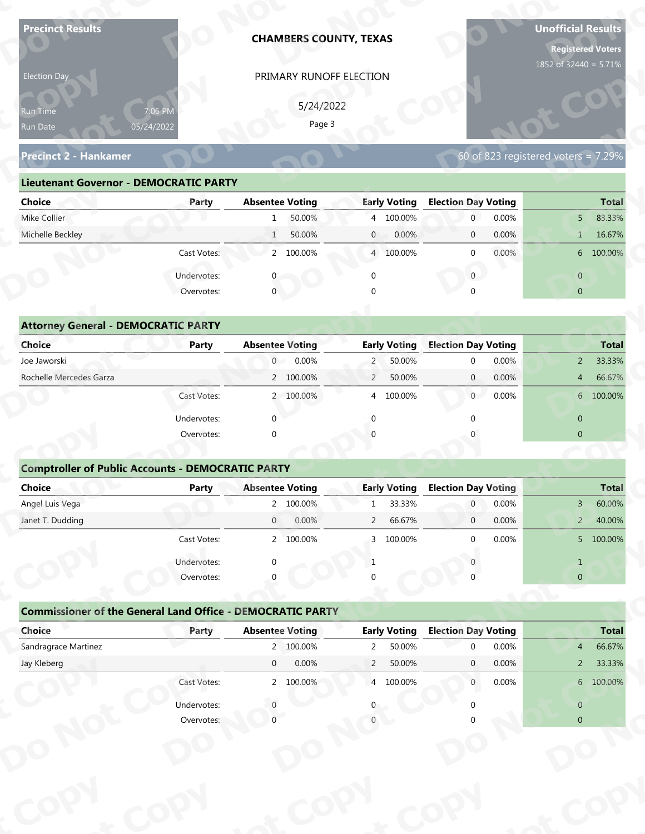| <b>Precinct Results</b>                                           |              | <b>CHAMBERS COUNTY, TEXAS</b> |                          |                                | <b>Unofficial Results</b><br><b>Registered Voters</b><br>1852 of 32440 = 5.71% |
|-------------------------------------------------------------------|--------------|-------------------------------|--------------------------|--------------------------------|--------------------------------------------------------------------------------|
| Election Day                                                      |              | PRIMARY RUNOFF ELECTION       |                          |                                |                                                                                |
|                                                                   |              |                               |                          |                                |                                                                                |
| Run Time                                                          | 7:06 PM      | 5/24/2022<br>Page 3           |                          |                                |                                                                                |
| Run Date                                                          | 05/24/2022   |                               |                          |                                |                                                                                |
| <b>Precinct 2 - Hankamer</b>                                      |              |                               |                          |                                | 60 of 823 registered voters = $7.29\%$                                         |
| <b>Lieutenant Governor - DEMOCRATIC PARTY</b>                     |              |                               |                          |                                |                                                                                |
| <b>Choice</b>                                                     | Party        | <b>Absentee Voting</b>        | <b>Early Voting</b>      | <b>Election Day Voting</b>     | <b>Total</b>                                                                   |
| Mike Collier                                                      |              | 50.00%<br>$\mathbf{1}$        | 4 100.00%                | 0.00%<br>$\mathbf{0}$          | 83.33%<br>5 <sup>1</sup>                                                       |
| Michelle Beckley                                                  |              | 50.00%<br>$\mathbf{1}$        | $\mathbf{0}$<br>0.00%    | 0.00%<br>$\mathbf 0$           | 16.67%<br>$\mathbf{1}$                                                         |
|                                                                   | Cast Votes:  | 2 100.00%                     | 4 100.00%                | 0.00%<br>$\mathbf 0$           | 6 100.00%                                                                      |
|                                                                   | Undervotes:  |                               | $\Omega$                 | $\overline{0}$                 | $\overline{0}$                                                                 |
|                                                                   | Overvotes:   | $\mathbf{0}$                  |                          |                                | $\overline{0}$                                                                 |
|                                                                   |              |                               |                          |                                |                                                                                |
| <b>Attorney General - DEMOCRATIC PARTY</b>                        |              |                               |                          |                                |                                                                                |
| <b>Choice</b>                                                     | <b>Party</b> | <b>Absentee Voting</b>        | <b>Early Voting</b>      | <b>Election Day Voting</b>     | <b>Total</b>                                                                   |
| Joe Jaworski                                                      |              | $\overline{0}$<br>0.00%       | 50.00%<br>$\overline{2}$ | 0.00%<br>$\mathbf 0$           | 33.33%<br>$2^{\circ}$                                                          |
| Rochelle Mercedes Garza                                           |              | 2 100.00%                     | $\overline{2}$<br>50.00% | 0.00%<br>$\overline{0}$        | 66.67%<br>4                                                                    |
|                                                                   | Cast Votes:  | 2 100.00%                     | 4 100.00%                | $\overline{0}$<br>0.00%        | 6 100.00%                                                                      |
|                                                                   | Undervotes:  | $\Omega$                      | $\Omega$                 | $\Omega$                       | $\overline{0}$                                                                 |
|                                                                   | Overvotes:   | $\Omega$                      |                          |                                | $\overline{0}$                                                                 |
|                                                                   |              |                               |                          |                                |                                                                                |
| <b>Comptroller of Public Accounts - DEMOCRATIC PARTY</b>          |              |                               |                          |                                |                                                                                |
| Choice                                                            | <b>Party</b> | <b>Absentee Voting</b>        | <b>Early Voting</b>      | <b>Election Day Voting</b>     | <b>Total</b>                                                                   |
| Angel Luis Vega                                                   |              | 2 100.00%                     | 33.33%<br>$\mathbf{1}$   | 0.00%<br>$\overline{0}$        | 60.00%<br>$3 -$                                                                |
| Janet T. Dudding                                                  |              | $\overline{0}$<br>0.00%       | 66.67%<br>$\overline{2}$ | 0.00%<br>$\overline{0}$        | 40.00%<br>$2 -$                                                                |
|                                                                   | Cast Votes:  | 2 100.00%                     | 3 100.00%                | 0.00%<br>$\Omega$              | 5 100.00%                                                                      |
|                                                                   | Undervotes:  | ∩                             | $\mathbf{1}$             |                                | $\mathbf{1}$                                                                   |
|                                                                   | Overvotes:   |                               |                          |                                | $\overline{0}$                                                                 |
|                                                                   |              |                               |                          |                                |                                                                                |
| <b>Commissioner of the General Land Office - DEMOCRATIC PARTY</b> |              |                               |                          |                                |                                                                                |
| Choice                                                            | Party        | <b>Absentee Voting</b>        | <b>Early Voting</b>      | <b>Election Day Voting</b>     | <b>Total</b>                                                                   |
| Sandragrace Martinez                                              |              | 2 100.00%                     | 50.00%<br>$\overline{2}$ | 0.00%<br>$\Omega$              | 66.67%<br>$\overline{4}$                                                       |
|                                                                   |              | $\overline{0}$<br>0.00%       | $\overline{2}$<br>50.00% | 0.00%<br>$\mathbf{0}$<br>0.00% | 33.33%<br>$2^{\circ}$<br>6 100.00%                                             |
| Jay Kleberg                                                       |              |                               |                          | $\overline{0}$                 |                                                                                |
|                                                                   | Cast Votes:  | 2 100.00%                     | 4 100.00%                |                                |                                                                                |
|                                                                   | Undervotes:  |                               |                          |                                | $\overline{0}$                                                                 |

| 5/24/2022<br>7:06 PM<br><b>Run Time</b><br>Page 3<br>05/24/2022<br>Run Date                                                  |
|------------------------------------------------------------------------------------------------------------------------------|
| 60 of 823 registered voters = $7.29\%$<br><b>Precinct 2 - Hankamer</b>                                                       |
| <b>Lieutenant Governor - DEMOCRATIC PARTY</b>                                                                                |
| <b>Absentee Voting</b><br><b>Early Voting</b><br><b>Election Day Voting</b><br><b>Choice</b><br><b>Total</b><br>Party        |
| Mike Collier<br>50.00%<br>4 100.00%<br>0.00%<br>83.33%<br>$\overline{0}$<br>5 <sup>1</sup><br>1                              |
| Michelle Beckley<br>50.00%<br>0.00%<br>0.00%<br>16.67%<br>1<br>$\overline{0}$<br>$\overline{0}$<br>1                         |
| 2 100.00%<br>$0.00\%$<br>6 100.00%<br>Cast Votes:<br>4 100.00%<br>$\Omega$                                                   |
| Undervotes:<br>$\overline{0}$<br>$\overline{0}$                                                                              |
| $\mathbf 0$<br>Overvotes:<br>$\Omega$<br>$\overline{0}$                                                                      |
|                                                                                                                              |
| <b>Attorney General - DEMOCRATIC PARTY</b>                                                                                   |
| <b>Early Voting</b><br><b>Election Day Voting</b><br><b>Choice</b><br><b>Absentee Voting</b><br><b>Party</b><br><b>Total</b> |
| Joe Jaworski<br>0.00%<br>50.00%<br>0.00%<br>33.33%<br>$\overline{0}$<br>$\overline{2}$<br>$\Omega$<br>$\overline{2}$         |
| Rochelle Mercedes Garza<br>2 100.00%<br>$\overline{2}$<br>50.00%<br>$\overline{0}$<br>0.00%<br>66.67%<br>$4\overline{ }$     |
| $\overline{0}$<br>0.00%<br>6 100.00%<br>2 100.00%<br>100.00%<br>Cast Votes:<br>$\overline{4}$                                |

| 7:06 PM<br>Run Time<br>05/24/2022<br>Run Date<br><b>Precinct 2 - Hankamer</b> |              |                        |           |                | PRIMARY RUNOFF ELECTION |                            |       |                                     |                                 |
|-------------------------------------------------------------------------------|--------------|------------------------|-----------|----------------|-------------------------|----------------------------|-------|-------------------------------------|---------------------------------|
|                                                                               |              |                        | 5/24/2022 |                |                         |                            |       |                                     |                                 |
|                                                                               |              |                        | Page 3    |                |                         |                            |       |                                     |                                 |
|                                                                               |              |                        |           |                |                         |                            |       |                                     |                                 |
|                                                                               |              |                        |           |                |                         |                            |       | 60 of 823 registered voters = 7.29% |                                 |
| <b>Lieutenant Governor - DEMOCRATIC PARTY</b>                                 |              |                        |           |                |                         |                            |       |                                     |                                 |
| <b>Choice</b>                                                                 | Party        | <b>Absentee Voting</b> |           |                | <b>Early Voting</b>     | <b>Election Day Voting</b> |       |                                     | <b>Total</b>                    |
| Mike Collier                                                                  |              | 1                      | 50.00%    |                | 4 100.00%               | $\overline{0}$             | 0.00% |                                     | 83.33%<br>5 <sup>1</sup>        |
| Michelle Beckley                                                              |              | 1                      | 50.00%    | $\mathbf{0}$   | 0.00%                   | $\mathbf{0}$               | 0.00% |                                     | 16.67%<br>1                     |
|                                                                               | Cast Votes:  |                        | 2 100.00% |                | 4 100.00%               | $\mathbf{0}$               | 0.00% |                                     | 6 100.00%                       |
|                                                                               | Undervotes:  | 0                      |           | $\mathbf 0$    |                         | $\overline{0}$             |       |                                     | $\overline{0}$                  |
|                                                                               | Overvotes:   | $\mathbf{0}$           |           |                |                         |                            |       |                                     | $\overline{0}$                  |
|                                                                               |              |                        |           |                |                         |                            |       |                                     |                                 |
| <b>Attorney General - DEMOCRATIC PARTY</b>                                    |              |                        |           |                |                         |                            |       |                                     |                                 |
| Choice                                                                        | <b>Party</b> | <b>Absentee Voting</b> |           |                | <b>Early Voting</b>     | <b>Election Day Voting</b> |       |                                     | <b>Total</b>                    |
| Joe Jaworski                                                                  |              | $\overline{0}$         | 0.00%     | $\overline{2}$ | 50.00%                  | $\mathbf 0$                | 0.00% |                                     | 33.33%<br>$\overline{2}$        |
| Rochelle Mercedes Garza                                                       |              |                        | 2 100.00% | $\overline{2}$ | 50.00%                  | $\mathbf{0}$               | 0.00% |                                     | 66.67%<br>$\overline{4}$        |
|                                                                               | Cast Votes:  |                        | 2 100.00% | 4              | 100.00%                 | $\overline{0}$             | 0.00% |                                     | 6 100.00%                       |
|                                                                               | Undervotes:  | $\Omega$               |           | ∩              |                         |                            |       | $\mathbf{0}$                        |                                 |
|                                                                               | Overvotes:   | $\Omega$               |           |                |                         |                            |       | $\overline{0}$                      |                                 |
|                                                                               |              |                        |           |                |                         |                            |       |                                     |                                 |
| <b>Comptroller of Public Accounts - DEMOCRATIC PARTY</b>                      |              |                        |           |                |                         |                            |       |                                     |                                 |
| <b>Choice</b>                                                                 | <b>Party</b> | <b>Absentee Voting</b> |           |                | <b>Early Voting</b>     | <b>Election Day Voting</b> |       |                                     | <b>Total</b>                    |
| Angel Luis Vega                                                               |              |                        | 2 100.00% | $\mathbf{1}$   | 33.33%                  | $\overline{0}$             | 0.00% |                                     | 60.00%<br>$\mathbf{3}$          |
| Janet T. Dudding                                                              |              | $\overline{0}$         | 0.00%     | $\overline{2}$ | 66.67%                  | $\mathbf 0$                | 0.00% |                                     | 40.00%<br>$\overline{2}$        |
|                                                                               | Cast Votes:  |                        | 2 100.00% |                | 3 100.00%               | $\Omega$                   | 0.00% |                                     | 5 100.00%                       |
|                                                                               | Undervotes:  |                        |           | -1             |                         |                            |       | $\mathbf{1}$                        |                                 |
|                                                                               | Overvotes:   |                        |           |                |                         |                            |       |                                     | $\overline{0}$                  |
|                                                                               |              |                        |           |                |                         |                            |       |                                     |                                 |
|                                                                               |              |                        |           |                |                         |                            |       |                                     |                                 |
| <b>Commissioner of the General Land Office - DEMOCRATIC PARTY</b>             |              |                        |           |                |                         |                            |       |                                     |                                 |
| Choice                                                                        | Party        | <b>Absentee Voting</b> |           |                | <b>Early Voting</b>     | <b>Election Day Voting</b> |       |                                     | <b>Total</b>                    |
| Sandragrace Martinez                                                          |              |                        | 2 100.00% | $2^{\circ}$    | 50.00%                  | $\Omega$                   | 0.00% |                                     | 4                               |
| Jay Kleberg                                                                   |              | $\overline{0}$         | 0.00%     | $\overline{2}$ | 50.00%                  | $\mathbf{0}$               | 0.00% |                                     | 66.67%<br>33.33%<br>$2^{\circ}$ |
|                                                                               | Cast Votes:  |                        | 2 100.00% |                | 4 100.00%               | $\overline{0}$             | 0.00% |                                     | 6 100.00%                       |
|                                                                               | Undervotes:  |                        |           |                |                         |                            |       |                                     | $\overline{0}$                  |

### **Comptroller of Public Accounts - DEMOCRATIC PARTY**

| <b>Choice</b>                                                     | Party       | <b>Absentee Voting</b> |           |                | <b>Early Voting</b> | <b>Election Day Voting</b> |       |                | <b>Total</b> |
|-------------------------------------------------------------------|-------------|------------------------|-----------|----------------|---------------------|----------------------------|-------|----------------|--------------|
| Joe Jaworski                                                      |             | 0                      | 0.00%     | $2^{\circ}$    | 50.00%              | $\mathbf{0}$               | 0.00% |                | 2 33.33%     |
| Rochelle Mercedes Garza                                           |             |                        | 2 100.00% | $\overline{2}$ | 50.00%              | $\mathbf{0}$               | 0.00% | $\overline{4}$ | 66.67%       |
|                                                                   | Cast Votes: |                        | 2 100.00% |                | 4 100.00%           | $\overline{0}$             | 0.00% |                | 6 100.00%    |
|                                                                   | Undervotes: | ∩                      |           | ∩              |                     | $\Omega$                   |       | $\mathbf{0}$   |              |
|                                                                   | Overvotes:  | $\Omega$               |           |                |                     |                            |       | $\mathbf{0}$   |              |
| <b>Comptroller of Public Accounts - DEMOCRATIC PARTY</b>          |             |                        |           |                |                     |                            |       |                |              |
| <b>Choice</b>                                                     | Party       | <b>Absentee Voting</b> |           |                | <b>Early Voting</b> | <b>Election Day Voting</b> |       |                | <b>Total</b> |
| Angel Luis Vega                                                   |             |                        | 2 100.00% | $\mathbf{1}$   | 33.33%              | $\overline{0}$             | 0.00% | $\overline{3}$ | 60.00%       |
| Janet T. Dudding                                                  |             | $\overline{0}$         | 0.00%     | $2^{\circ}$    | 66.67%              | $\overline{0}$             | 0.00% | 2 <sup>2</sup> | 40.00%       |
|                                                                   | Cast Votes: |                        | 2 100.00% |                | 3 100.00%           | $\mathbf{0}$               | 0.00% |                | 5 100.00%    |
|                                                                   |             |                        |           |                |                     |                            |       |                |              |
|                                                                   | Undervotes: | ∩                      |           |                |                     |                            |       | $\mathbf{1}$   |              |
|                                                                   | Overvotes:  |                        |           |                |                     |                            |       | $\mathbf 0$    |              |
| <b>Commissioner of the General Land Office - DEMOCRATIC PARTY</b> |             |                        |           |                |                     |                            |       |                |              |
| Choice                                                            | Party       | <b>Absentee Voting</b> |           |                | <b>Early Voting</b> | <b>Election Day Voting</b> |       |                | <b>Total</b> |
| Sandragrace Martinez                                              |             |                        | 2 100.00% | $\overline{2}$ | 50.00%              | $\mathbf{0}$               | 0.00% | $\overline{4}$ | 66.67%       |
| Jay Kleberg                                                       |             | $\mathbf 0$            | 0.00%     | $\overline{2}$ | 50.00%              | $\mathbf{0}$               | 0.00% | 2 <sup>2</sup> | 33.33%       |
|                                                                   | Cast Votes: |                        | 2 100.00% |                | 4 100.00%           | $\mathbf{0}$               | 0.00% |                | 6 100.00%    |
|                                                                   | Undervotes: |                        |           |                |                     |                            |       | $\overline{0}$ |              |

|                                                                   | Cast votes. | $\sim$                 | TOO'OO SO | $\mathcal{P}$  | TOO'OO SO           |                            | <b>U.UU70</b> | $\mathcal{P}$  | LUU.UU 70    |
|-------------------------------------------------------------------|-------------|------------------------|-----------|----------------|---------------------|----------------------------|---------------|----------------|--------------|
|                                                                   | Undervotes: | $\Omega$               |           |                |                     |                            |               |                |              |
|                                                                   | Overvotes:  | $\Omega$               |           | 0              |                     |                            |               | $\overline{0}$ |              |
|                                                                   |             |                        |           |                |                     |                            |               |                |              |
| <b>Commissioner of the General Land Office - DEMOCRATIC PARTY</b> |             |                        |           |                |                     |                            |               |                |              |
| Choice                                                            | Party       | <b>Absentee Voting</b> |           |                | <b>Early Voting</b> | <b>Election Day Voting</b> |               |                | <b>Total</b> |
| Sandragrace Martinez                                              |             |                        | 2 100.00% | $\overline{2}$ | 50.00%              | $\Omega$                   | 0.00%         | $\overline{4}$ | 66.67%       |
| Jay Kleberg                                                       |             | $\mathbf 0$            | 0.00%     | $\overline{2}$ | 50.00%              | $\mathbf{0}$               | $0.00\%$      | $\overline{2}$ | 33.33%       |
|                                                                   | Cast Votes: |                        | 2 100.00% | $\overline{4}$ | 100.00%             | $\mathbf{0}$               | 0.00%         | 6              | 100.00%      |
|                                                                   | Undervotes: |                        |           | 0              |                     |                            |               | $\overline{0}$ |              |
|                                                                   | Overvotes:  |                        |           |                |                     |                            |               | $\overline{0}$ |              |
|                                                                   |             |                        |           |                |                     |                            |               |                |              |
|                                                                   |             |                        |           |                |                     |                            |               |                |              |
|                                                                   |             |                        |           |                |                     |                            |               |                |              |
|                                                                   |             |                        |           |                |                     |                            |               |                |              |
|                                                                   |             |                        |           |                |                     |                            |               |                |              |
|                                                                   |             |                        |           |                |                     |                            |               |                |              |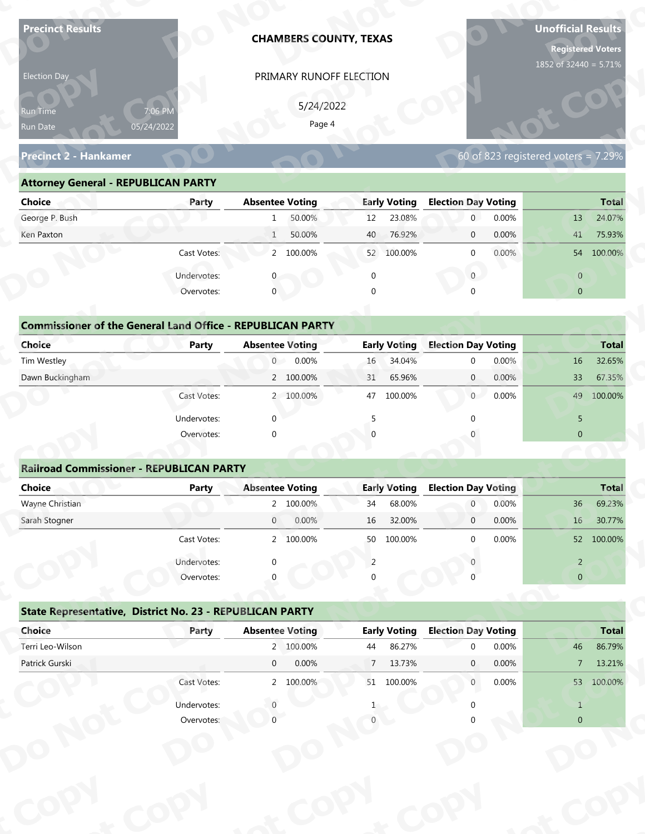| <b>Precinct Results</b>                                           |              |                        | <b>CHAMBERS COUNTY, TEXAS</b> |                 |                     |                            |       | <b>Unofficial Results</b><br><b>Registered Voters</b><br>1852 of 32440 = 5.71% |              |
|-------------------------------------------------------------------|--------------|------------------------|-------------------------------|-----------------|---------------------|----------------------------|-------|--------------------------------------------------------------------------------|--------------|
| Election Day                                                      |              |                        | PRIMARY RUNOFF ELECTION       |                 |                     |                            |       |                                                                                |              |
|                                                                   |              |                        |                               |                 |                     |                            |       |                                                                                |              |
| Run Time                                                          | 7:06 PM      |                        | 5/24/2022<br>Page 4           |                 |                     |                            |       |                                                                                |              |
| Run Date                                                          | 05/24/2022   |                        |                               |                 |                     |                            |       |                                                                                |              |
| <b>Precinct 2 - Hankamer</b>                                      |              |                        |                               |                 |                     |                            |       | 60 of 823 registered voters = $7.29\%$                                         |              |
| <b>Attorney General - REPUBLICAN PARTY</b>                        |              |                        |                               |                 |                     |                            |       |                                                                                |              |
| <b>Choice</b>                                                     | Party        | <b>Absentee Voting</b> |                               |                 | <b>Early Voting</b> | <b>Election Day Voting</b> |       |                                                                                | <b>Total</b> |
| George P. Bush                                                    |              | $\mathbf{1}$           | 50.00%                        | 12              | 23.08%              | $\mathbf 0$                | 0.00% | 13                                                                             | 24.07%       |
| Ken Paxton                                                        |              | $\mathbf{1}$           | 50.00%                        | 40              | 76.92%              | $\mathbf 0$                | 0.00% | 41                                                                             | 75.93%       |
|                                                                   | Cast Votes:  |                        | 2 100.00%                     |                 | 52 100.00%          | $\mathbf 0$                | 0.00% |                                                                                | 54 100.00%   |
|                                                                   | Undervotes:  |                        |                               | $\mathbf 0$     |                     | $\overline{0}$             |       | $\overline{0}$                                                                 |              |
|                                                                   | Overvotes:   | $\mathbf{0}$           |                               | $\Omega$        |                     |                            |       | $\overline{0}$                                                                 |              |
|                                                                   |              |                        |                               |                 |                     |                            |       |                                                                                |              |
| <b>Commissioner of the General Land Office - REPUBLICAN PARTY</b> |              |                        |                               |                 |                     |                            |       |                                                                                |              |
| <b>Choice</b>                                                     | <b>Party</b> | <b>Absentee Voting</b> |                               |                 | <b>Early Voting</b> | <b>Election Day Voting</b> |       |                                                                                | <b>Total</b> |
| Tim Westley                                                       |              | $\overline{0}$         | 0.00%                         | 16              | 34.04%              | $\mathbf 0$                | 0.00% | 16                                                                             | 32.65%       |
| Dawn Buckingham                                                   |              |                        | 2 100.00%                     | 31              | 65.96%              | $\overline{0}$             | 0.00% | 33                                                                             | 67.35%       |
|                                                                   | Cast Votes:  |                        | 2 100.00%                     |                 | 47 100.00%          | 0                          | 0.00% | 49                                                                             | 100.00%      |
|                                                                   | Undervotes:  | $\Omega$               |                               | 5               |                     | $\Omega$                   |       | 5                                                                              |              |
|                                                                   | Overvotes:   | $\Omega$               |                               |                 |                     |                            |       | $\overline{0}$                                                                 |              |
|                                                                   |              |                        |                               |                 |                     |                            |       |                                                                                |              |
| <b>Railroad Commissioner - REPUBLICAN PARTY</b>                   |              |                        |                               |                 |                     |                            |       |                                                                                |              |
| <b>Choice</b>                                                     | <b>Party</b> | <b>Absentee Voting</b> |                               |                 | <b>Early Voting</b> | <b>Election Day Voting</b> |       |                                                                                | <b>Total</b> |
| Wayne Christian                                                   |              |                        | 2 100.00%                     | 34              | 68.00%              | $\overline{0}$             | 0.00% | 36                                                                             | 69.23%       |
| Sarah Stogner                                                     |              | $\overline{0}$         | 0.00%                         | 16              | 32.00%              | $\overline{0}$             | 0.00% | 16                                                                             | 30.77%       |
|                                                                   | Cast Votes:  |                        | 2 100.00%                     |                 | 50 100.00%          | $\Omega$                   | 0.00% |                                                                                | 52 100.00%   |
|                                                                   | Undervotes:  | ∩                      |                               | 2               |                     |                            |       | $\overline{2}$                                                                 |              |
|                                                                   | Overvotes:   |                        |                               |                 |                     |                            |       | $\overline{0}$                                                                 |              |
| State Representative, District No. 23 - REPUBLICAN PARTY          |              |                        |                               |                 |                     |                            |       |                                                                                |              |
|                                                                   |              | <b>Absentee Voting</b> |                               |                 | <b>Early Voting</b> | <b>Election Day Voting</b> |       |                                                                                | <b>Total</b> |
| Choice                                                            | Party        |                        |                               |                 |                     |                            |       |                                                                                | 86.79%       |
| Terri Leo-Wilson                                                  |              |                        | 2 100.00%                     | 44              | 86.27%              | $\Omega$                   | 0.00% | 46                                                                             |              |
| Patrick Gurski                                                    |              | $\overline{0}$         | 0.00%                         | $7\overline{ }$ | 13.73%              | $\mathbf{0}$               | 0.00% | 7 <sup>7</sup>                                                                 | 13.21%       |
|                                                                   | Cast Votes:  |                        | 2 100.00%                     |                 | 51 100.00%          | $\overline{0}$             | 0.00% |                                                                                | 53 100.00%   |
|                                                                   | Undervotes:  |                        |                               |                 |                     |                            |       | $\mathbf{1}$                                                                   |              |

| 5/24/2022<br>7:06 PM<br>Page 4<br>05/24/2022<br>60 of 823 registered voters = $7.29\%$<br><b>Attorney General - REPUBLICAN PARTY</b><br><b>Early Voting</b><br><b>Election Day Voting</b><br><b>Absentee Voting</b><br>Party<br>50.00%<br>23.08%<br>0.00%<br>12<br>$\overline{0}$<br>13<br>$\mathbf{1}$<br>50.00%<br>76.92%<br>0.00%<br>40<br>41<br>$\overline{0}$<br>$\mathbf{1}$<br>2 100.00%<br>$0.00\%$<br>Cast Votes:<br>52 100.00%<br>$\Omega$<br>Undervotes:<br>$\overline{0}$<br>$\overline{0}$<br>$\mathbf 0$<br>Overvotes:<br>$\Omega$<br>$\overline{0}$<br><b>Commissioner of the General Land Office - REPUBLICAN PARTY</b><br><b>Early Voting</b><br><b>Election Day Voting</b><br><b>Absentee Voting</b><br><b>Party</b><br>0.00%<br>34.04%<br>0.00%<br>$\overline{0}$<br>16<br>$\Omega$<br>16<br>2 100.00%<br>65.96%<br>0.00%<br>33<br>31<br>$\overline{0}$<br>0<br>0.00%<br>2 100.00%<br>100.00%<br>49<br>Cast Votes:<br>47 | Election Day                 | PRIMARY RUNOFF ELECTION |  |              |
|---------------------------------------------------------------------------------------------------------------------------------------------------------------------------------------------------------------------------------------------------------------------------------------------------------------------------------------------------------------------------------------------------------------------------------------------------------------------------------------------------------------------------------------------------------------------------------------------------------------------------------------------------------------------------------------------------------------------------------------------------------------------------------------------------------------------------------------------------------------------------------------------------------------------------------------------|------------------------------|-------------------------|--|--------------|
|                                                                                                                                                                                                                                                                                                                                                                                                                                                                                                                                                                                                                                                                                                                                                                                                                                                                                                                                             | <b>Run Time</b><br>Run Date  |                         |  |              |
|                                                                                                                                                                                                                                                                                                                                                                                                                                                                                                                                                                                                                                                                                                                                                                                                                                                                                                                                             | <b>Precinct 2 - Hankamer</b> |                         |  |              |
|                                                                                                                                                                                                                                                                                                                                                                                                                                                                                                                                                                                                                                                                                                                                                                                                                                                                                                                                             |                              |                         |  |              |
|                                                                                                                                                                                                                                                                                                                                                                                                                                                                                                                                                                                                                                                                                                                                                                                                                                                                                                                                             | <b>Choice</b>                |                         |  | <b>Total</b> |
|                                                                                                                                                                                                                                                                                                                                                                                                                                                                                                                                                                                                                                                                                                                                                                                                                                                                                                                                             | George P. Bush               |                         |  | 24.07%       |
|                                                                                                                                                                                                                                                                                                                                                                                                                                                                                                                                                                                                                                                                                                                                                                                                                                                                                                                                             | Ken Paxton                   |                         |  | 75.93%       |
|                                                                                                                                                                                                                                                                                                                                                                                                                                                                                                                                                                                                                                                                                                                                                                                                                                                                                                                                             |                              |                         |  | 54 100.00%   |
|                                                                                                                                                                                                                                                                                                                                                                                                                                                                                                                                                                                                                                                                                                                                                                                                                                                                                                                                             |                              |                         |  |              |
|                                                                                                                                                                                                                                                                                                                                                                                                                                                                                                                                                                                                                                                                                                                                                                                                                                                                                                                                             |                              |                         |  |              |
|                                                                                                                                                                                                                                                                                                                                                                                                                                                                                                                                                                                                                                                                                                                                                                                                                                                                                                                                             |                              |                         |  |              |
|                                                                                                                                                                                                                                                                                                                                                                                                                                                                                                                                                                                                                                                                                                                                                                                                                                                                                                                                             |                              |                         |  |              |
|                                                                                                                                                                                                                                                                                                                                                                                                                                                                                                                                                                                                                                                                                                                                                                                                                                                                                                                                             | <b>Choice</b>                |                         |  | <b>Total</b> |
|                                                                                                                                                                                                                                                                                                                                                                                                                                                                                                                                                                                                                                                                                                                                                                                                                                                                                                                                             | Tim Westley                  |                         |  | 32.65%       |
|                                                                                                                                                                                                                                                                                                                                                                                                                                                                                                                                                                                                                                                                                                                                                                                                                                                                                                                                             | Dawn Buckingham              |                         |  | 67.35%       |
|                                                                                                                                                                                                                                                                                                                                                                                                                                                                                                                                                                                                                                                                                                                                                                                                                                                                                                                                             |                              |                         |  | 100.00%      |

| <b>Choice</b>                                                     | Party       | <b>Absentee Voting</b> | <b>Early Voting</b> | <b>Election Day Voting</b> | <b>Total</b>             |
|-------------------------------------------------------------------|-------------|------------------------|---------------------|----------------------------|--------------------------|
| George P. Bush                                                    |             | 50.00%<br>$\mathbf{1}$ | 23.08%<br>12        | 0.00%<br>$\mathbf{0}$      | 24.07%<br>13             |
| Ken Paxton                                                        |             | 50.00%<br>$\mathbf{1}$ | 76.92%<br>40        | 0.00%<br>$\mathbf 0$       | 41<br>75.93%             |
|                                                                   | Cast Votes: | 2 100.00%              | 52 100.00%          | 0.00%<br>$\mathbf 0$       | 54 100.00%               |
|                                                                   | Undervotes: | $\Omega$               | 0                   | $\mathbf{0}$               | $\overline{0}$           |
|                                                                   | Overvotes:  | $\mathbf{0}$           | 0                   | $\Omega$                   | $\overline{0}$           |
| <b>Commissioner of the General Land Office - REPUBLICAN PARTY</b> |             |                        |                     |                            |                          |
| Choice                                                            | Party       | <b>Absentee Voting</b> | <b>Early Voting</b> | <b>Election Day Voting</b> | <b>Total</b>             |
| Tim Westley                                                       |             | 0<br>0.00%             | 34.04%<br>16        | 0.00%<br>$\mathbf{0}$      | 32.65%<br>16             |
| Dawn Buckingham                                                   |             | 2 100.00%              | 65.96%<br>31        | 0.00%<br>$\overline{0}$    | 33<br>67.35%             |
|                                                                   | Cast Votes: | 2 100.00%              | 47<br>100.00%       | 0.00%<br>$\overline{0}$    | 49<br>100.00%            |
|                                                                   | Undervotes: | $\mathbf 0$            |                     |                            | 5                        |
|                                                                   | Overvotes:  | $\mathbf 0$            | $\Omega$            |                            | $\mathbf{0}$             |
|                                                                   |             |                        |                     |                            |                          |
| <b>Railroad Commissioner - REPUBLICAN PARTY</b>                   |             |                        |                     |                            |                          |
| Choice                                                            | Party       | <b>Absentee Voting</b> | <b>Early Voting</b> | <b>Election Day Voting</b> | <b>Total</b>             |
| Wayne Christian                                                   |             | 2 100.00%              | 68.00%<br>34        | 0.00%<br>$\overline{0}$    | 69.23%<br>36             |
| Carole Champan                                                    |             | 0.0001<br>$\cap$       | $16$ $22000$        | 0.0001<br>$\sim$           | 20770/<br>1 <sup>C</sup> |

|                                                                   |                           | PRIMARY RUNOFF ELECTION |                     |                                     |                                                                                                               |
|-------------------------------------------------------------------|---------------------------|-------------------------|---------------------|-------------------------------------|---------------------------------------------------------------------------------------------------------------|
|                                                                   |                           | 5/24/2022               |                     |                                     |                                                                                                               |
| Run Time<br>Run Date                                              | 7:06 PM<br>05/24/2022     | Page 4                  |                     |                                     |                                                                                                               |
|                                                                   |                           |                         |                     |                                     |                                                                                                               |
| <b>Precinct 2 - Hankamer</b>                                      |                           |                         |                     | 60 of 823 registered voters = 7.29% |                                                                                                               |
| <b>Attorney General - REPUBLICAN PARTY</b>                        |                           |                         |                     |                                     |                                                                                                               |
| <b>Choice</b>                                                     | Party                     | <b>Absentee Voting</b>  | <b>Early Voting</b> | <b>Election Day Voting</b>          | <b>Total</b>                                                                                                  |
| George P. Bush                                                    |                           | 50.00%<br>1             | 23.08%<br>12        | $\overline{0}$<br>0.00%             | 24.07%<br>13                                                                                                  |
| Ken Paxton                                                        |                           | 50.00%<br>1             | 76.92%<br>40        | 0.00%<br>$\mathbf{0}$               | 75.93%<br>41                                                                                                  |
|                                                                   | Cast Votes:               | 2 100.00%               | 52 100.00%          | 0.00%<br>$\mathbf{0}$               | 54 100.00%                                                                                                    |
|                                                                   | Undervotes:               | $\mathbf{0}$            | $\mathbf 0$         | $\overline{0}$                      | $\overline{0}$                                                                                                |
|                                                                   | Overvotes:                | $\mathbf{0}$            | $\Omega$            |                                     | $\overline{0}$                                                                                                |
|                                                                   |                           |                         |                     |                                     |                                                                                                               |
| <b>Commissioner of the General Land Office - REPUBLICAN PARTY</b> |                           |                         |                     |                                     |                                                                                                               |
| Choice                                                            | Party                     | <b>Absentee Voting</b>  | <b>Early Voting</b> | <b>Election Day Voting</b>          | <b>Total</b>                                                                                                  |
| Tim Westley                                                       |                           | 0.00%<br>$\overline{0}$ | 34.04%<br>16        | 0.00%<br>$\mathbf 0$                | 32.65%<br>16                                                                                                  |
| Dawn Buckingham                                                   |                           | 2 100.00%               | 65.96%<br>31        | 0.00%<br>$\mathbf{0}$               | 33<br>67.35%                                                                                                  |
|                                                                   | Cast Votes:               | 2 100.00%               | 100.00%<br>47       | $\overline{0}$<br>0.00%             | 100.00%<br>49                                                                                                 |
|                                                                   | Undervotes:               | $\Omega$                | 5                   |                                     | 5                                                                                                             |
|                                                                   | Overvotes:                | $\Omega$                |                     |                                     | $\overline{0}$                                                                                                |
|                                                                   |                           |                         |                     |                                     |                                                                                                               |
|                                                                   |                           |                         |                     |                                     |                                                                                                               |
| <b>Railroad Commissioner - REPUBLICAN PARTY</b>                   |                           |                         |                     |                                     |                                                                                                               |
| <b>Choice</b>                                                     | <b>Party</b>              | <b>Absentee Voting</b>  | <b>Early Voting</b> | <b>Election Day Voting</b>          |                                                                                                               |
| Wayne Christian                                                   |                           | 2 100.00%               | 68.00%<br>34        | 0.00%<br>$\overline{0}$             | 36                                                                                                            |
| Sarah Stogner                                                     |                           | 0.00%<br>$\overline{0}$ | 32.00%<br>16        | 0.00%<br>$\mathbf 0$                | 16                                                                                                            |
|                                                                   | Cast Votes:               | 2 100.00%               | 50 100.00%          | 0.00%<br>$\Omega$                   | 52 <sup>2</sup>                                                                                               |
|                                                                   |                           |                         | 2                   |                                     | $\overline{2}$                                                                                                |
|                                                                   | Undervotes:<br>Overvotes: |                         |                     |                                     | $\overline{0}$                                                                                                |
|                                                                   |                           |                         |                     |                                     |                                                                                                               |
| State Representative, District No. 23 - REPUBLICAN PARTY          |                           |                         |                     |                                     |                                                                                                               |
| Choice                                                            | Party                     | <b>Absentee Voting</b>  | <b>Early Voting</b> | <b>Election Day Voting</b>          |                                                                                                               |
| Terri Leo-Wilson                                                  |                           | 2 100.00%               | 86.27%<br>44        | 0.00%<br>$\Omega$                   | 46                                                                                                            |
| Patrick Gurski                                                    |                           | 0.00%<br>$\overline{0}$ | 13.73%<br>7         | 0.00%<br>$\mathbf{0}$               | 7 <sup>7</sup>                                                                                                |
|                                                                   | Cast Votes:               | 2 100.00%               | 51 100.00%          | 0.00%<br>$\overline{0}$             |                                                                                                               |
|                                                                   | Undervotes:               |                         |                     |                                     | <b>Total</b><br>69.23%<br>30.77%<br>100.00%<br><b>Total</b><br>86.79%<br>13.21%<br>53 100.00%<br>$\mathbf{1}$ |

|                                                          | Cast votes. |             | 2, 100.0076            | <b>JC</b>   | TOO'OO XQ           |                            | <b>U.UU70</b> |                | <b>DE DUO.UU ZC</b> |
|----------------------------------------------------------|-------------|-------------|------------------------|-------------|---------------------|----------------------------|---------------|----------------|---------------------|
|                                                          | Undervotes: | $\Omega$    |                        |             |                     |                            |               | $\overline{2}$ |                     |
|                                                          | Overvotes:  | $\Omega$    |                        | 0           |                     |                            |               | $\overline{0}$ |                     |
| State Representative, District No. 23 - REPUBLICAN PARTY |             |             |                        |             |                     |                            |               |                |                     |
| Choice                                                   | Party       |             | <b>Absentee Voting</b> |             | <b>Early Voting</b> | <b>Election Day Voting</b> |               |                | <b>Total</b>        |
| Terri Leo-Wilson                                         |             |             | 2 100.00%              | 44          | 86.27%              | $\Omega$                   | 0.00%         | 46             | 86.79%              |
| Patrick Gurski                                           |             | $\mathbf 0$ | 0.00%                  | $7^{\circ}$ | 13.73%              | $\mathbf{0}$               | $0.00\%$      | $\overline{7}$ | 13.21%              |
|                                                          | Cast Votes: |             | 2 100.00%              | 51          | 100.00%             | $\mathbf 0$                | $0.00\%$      | 53             | 100.00%             |
|                                                          | Undervotes: |             |                        |             |                     |                            |               |                |                     |
|                                                          | Overvotes:  |             |                        |             |                     |                            |               | $\overline{0}$ |                     |
|                                                          |             |             |                        |             |                     |                            |               |                |                     |
|                                                          |             |             |                        |             |                     |                            |               |                |                     |
|                                                          |             |             |                        |             |                     |                            |               |                |                     |
|                                                          |             |             |                        |             |                     |                            |               |                |                     |
|                                                          |             |             |                        |             |                     |                            |               |                |                     |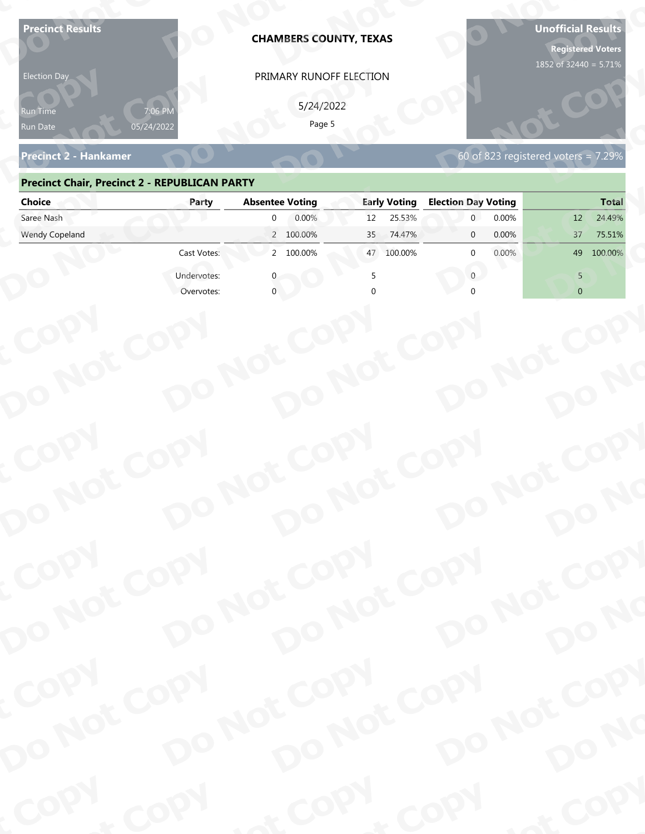| Page 5<br>05/24/2022<br>Run Date<br>60 of 823 registered voters = $7.29\%$<br><b>Precinct 2 - Hankamer</b><br><b>Precinct Chair, Precinct 2 - REPUBLICAN PARTY</b><br><b>Absentee Voting</b><br><b>Early Voting</b><br><b>Election Day Voting</b><br><b>Choice</b><br>Party<br>Saree Nash<br>0.00%<br>25.53%<br>0.00%<br>$\Omega$<br>12 <sup>2</sup><br>12<br>Wendy Copeland<br>2 100.00%<br>0.00%<br>74.47%<br>37<br>75.51%<br>35<br>$\mathbf{0}$<br>2 100.00%<br>Cast Votes:<br>100.00%<br>0.00%<br>49<br>100.00%<br>$\mathbf{0}$<br>47<br>Undervotes:<br>$\Omega$<br>5<br>$\overline{0}$<br>Overvotes:<br>COPY<br>DO NOT COPY<br>DO NOT COPY<br>DO NOT COPY<br>DO NOT COPY<br>DO NO<br>COPY<br>DO NOT COPY<br>DO NOT COPY<br>DO NOT COPY<br>DO NOT COPY<br>DO NO<br>COPY<br>DO NOT COPY<br>DO NOT COPY<br>DO NOT COPY<br>DO NOT COPY<br>DO NO<br>COPY<br>& COPY<br>of COPY | <b>Precinct Results</b><br><b>Election Day</b><br>የun Time | <b>CHAMBERS COUNTY, TEXAS</b><br>PRIMARY RUNOFF ELECTION<br>5/24/2022 |  | <b>Unofficial Results</b><br><b>Registered Voters</b><br>1852 of 32440 = 5.71% |
|-------------------------------------------------------------------------------------------------------------------------------------------------------------------------------------------------------------------------------------------------------------------------------------------------------------------------------------------------------------------------------------------------------------------------------------------------------------------------------------------------------------------------------------------------------------------------------------------------------------------------------------------------------------------------------------------------------------------------------------------------------------------------------------------------------------------------------------------------------------------------------|------------------------------------------------------------|-----------------------------------------------------------------------|--|--------------------------------------------------------------------------------|
|                                                                                                                                                                                                                                                                                                                                                                                                                                                                                                                                                                                                                                                                                                                                                                                                                                                                               |                                                            |                                                                       |  |                                                                                |
|                                                                                                                                                                                                                                                                                                                                                                                                                                                                                                                                                                                                                                                                                                                                                                                                                                                                               |                                                            |                                                                       |  |                                                                                |
|                                                                                                                                                                                                                                                                                                                                                                                                                                                                                                                                                                                                                                                                                                                                                                                                                                                                               |                                                            |                                                                       |  | <b>Total</b>                                                                   |
|                                                                                                                                                                                                                                                                                                                                                                                                                                                                                                                                                                                                                                                                                                                                                                                                                                                                               |                                                            |                                                                       |  | 24.49%                                                                         |
|                                                                                                                                                                                                                                                                                                                                                                                                                                                                                                                                                                                                                                                                                                                                                                                                                                                                               |                                                            |                                                                       |  |                                                                                |
|                                                                                                                                                                                                                                                                                                                                                                                                                                                                                                                                                                                                                                                                                                                                                                                                                                                                               |                                                            |                                                                       |  |                                                                                |
|                                                                                                                                                                                                                                                                                                                                                                                                                                                                                                                                                                                                                                                                                                                                                                                                                                                                               |                                                            |                                                                       |  |                                                                                |
|                                                                                                                                                                                                                                                                                                                                                                                                                                                                                                                                                                                                                                                                                                                                                                                                                                                                               |                                                            |                                                                       |  |                                                                                |
|                                                                                                                                                                                                                                                                                                                                                                                                                                                                                                                                                                                                                                                                                                                                                                                                                                                                               |                                                            |                                                                       |  |                                                                                |
|                                                                                                                                                                                                                                                                                                                                                                                                                                                                                                                                                                                                                                                                                                                                                                                                                                                                               |                                                            |                                                                       |  |                                                                                |
|                                                                                                                                                                                                                                                                                                                                                                                                                                                                                                                                                                                                                                                                                                                                                                                                                                                                               |                                                            |                                                                       |  |                                                                                |
|                                                                                                                                                                                                                                                                                                                                                                                                                                                                                                                                                                                                                                                                                                                                                                                                                                                                               |                                                            |                                                                       |  |                                                                                |

### **Precinct Chair, Precinct 2 - REPUBLICAN PARTY**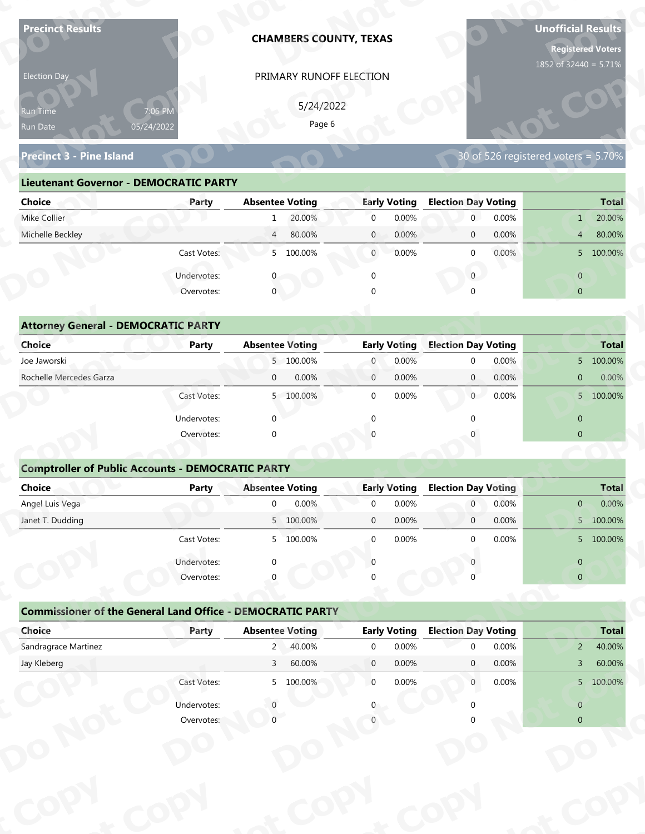| <b>Precinct Results</b>                                           |                       |                        |           | <b>CHAMBERS COUNTY, TEXAS</b> |                     |                            |       | <b>Unofficial Results</b>           | <b>Registered Voters</b> |
|-------------------------------------------------------------------|-----------------------|------------------------|-----------|-------------------------------|---------------------|----------------------------|-------|-------------------------------------|--------------------------|
| Election Day                                                      |                       |                        |           | PRIMARY RUNOFF ELECTION       |                     |                            |       | 1852 of 32440 = 5.71%               |                          |
|                                                                   |                       |                        | 5/24/2022 |                               |                     |                            |       |                                     |                          |
| Run Time<br>Run Date                                              | 7:06 PM<br>05/24/2022 |                        | Page 6    |                               |                     |                            |       |                                     |                          |
|                                                                   |                       |                        |           |                               |                     |                            |       |                                     |                          |
| <b>Precinct 3 - Pine Island</b>                                   |                       |                        |           |                               |                     |                            |       | 30 of 526 registered voters = 5.70% |                          |
| <b>Lieutenant Governor - DEMOCRATIC PARTY</b>                     |                       |                        |           |                               |                     |                            |       |                                     |                          |
| <b>Choice</b>                                                     | Party                 | <b>Absentee Voting</b> |           |                               | <b>Early Voting</b> | <b>Election Day Voting</b> |       |                                     | <b>Total</b>             |
| Mike Collier                                                      |                       | 1                      | 20.00%    | $\overline{0}$                | 0.00%               | $\mathbf{0}$               | 0.00% | 1                                   | 20.00%                   |
| Michelle Beckley                                                  |                       | $\overline{4}$         | 80.00%    | $\mathbf{0}$                  | 0.00%               | $\mathbf 0$                | 0.00% | $\overline{4}$                      | 80.00%                   |
|                                                                   | Cast Votes:           |                        | 5 100.00% | $\overline{0}$                | 0.00%               | $\mathbf 0$                | 0.00% |                                     | 5 100.00%                |
|                                                                   | Undervotes:           |                        |           | $\mathbf 0$                   |                     | $\overline{0}$             |       | $\overline{0}$                      |                          |
|                                                                   | Overvotes:            | $\overline{0}$         |           |                               |                     |                            |       | $\overline{0}$                      |                          |
|                                                                   |                       |                        |           |                               |                     |                            |       |                                     |                          |
| <b>Attorney General - DEMOCRATIC PARTY</b>                        |                       |                        |           |                               |                     |                            |       |                                     |                          |
| <b>Choice</b>                                                     | <b>Party</b>          | <b>Absentee Voting</b> |           |                               | <b>Early Voting</b> | <b>Election Day Voting</b> |       |                                     | <b>Total</b>             |
| Joe Jaworski                                                      |                       |                        | 5 100.00% | $\overline{0}$                | 0.00%               | $\mathbf 0$                | 0.00% |                                     | 5 100.00%                |
| Rochelle Mercedes Garza                                           |                       | $\overline{0}$         | 0.00%     | $\overline{0}$                | 0.00%               | $\overline{0}$             | 0.00% | $\overline{0}$                      | 0.00%                    |
|                                                                   | Cast Votes:           |                        | 5 100.00% | $\mathbf 0$                   | 0.00%               | $\overline{0}$             | 0.00% |                                     | 5 100.00%                |
|                                                                   | Undervotes:           | $\Omega$               |           | $\Omega$                      |                     | $\Omega$                   |       | $\overline{0}$                      |                          |
|                                                                   | Overvotes:            | $\Omega$               |           |                               |                     |                            |       | $\overline{0}$                      |                          |
|                                                                   |                       |                        |           |                               |                     |                            |       |                                     |                          |
| <b>Comptroller of Public Accounts - DEMOCRATIC PARTY</b>          |                       |                        |           |                               |                     |                            |       |                                     |                          |
| Choice                                                            | <b>Party</b>          | <b>Absentee Voting</b> |           |                               | <b>Early Voting</b> | <b>Election Day Voting</b> |       |                                     | <b>Total</b>             |
| Angel Luis Vega                                                   |                       | $\overline{0}$         | 0.00%     | $\mathbf 0$                   | 0.00%               | $\overline{0}$             | 0.00% | $\mathbf{0}$                        | 0.00%                    |
| Janet T. Dudding                                                  |                       |                        | 5 100.00% | $\mathbf 0$                   | 0.00%               | $\overline{0}$             | 0.00% |                                     | 5 100.00%                |
|                                                                   | Cast Votes:           |                        | 5 100.00% | $\overline{0}$                | 0.00%               | $\Omega$                   | 0.00% |                                     | 5 100.00%                |
|                                                                   | Undervotes:           | $\Omega$               |           | $\Omega$                      |                     |                            |       | $\overline{0}$                      |                          |
|                                                                   | Overvotes:            |                        |           |                               |                     |                            |       | $\overline{0}$                      |                          |
|                                                                   |                       |                        |           |                               |                     |                            |       |                                     |                          |
|                                                                   |                       |                        |           |                               |                     |                            |       |                                     |                          |
| <b>Commissioner of the General Land Office - DEMOCRATIC PARTY</b> |                       |                        |           |                               |                     |                            |       |                                     |                          |
| Choice                                                            | Party                 | <b>Absentee Voting</b> |           |                               | <b>Early Voting</b> | <b>Election Day Voting</b> |       |                                     | <b>Total</b>             |
| Sandragrace Martinez                                              |                       | $2^{\circ}$            | 40.00%    | $\overline{0}$                | 0.00%               | $\Omega$                   | 0.00% | $\overline{2}$                      | 40.00%                   |
| Jay Kleberg                                                       |                       | 3 <sup>7</sup>         | 60.00%    | $\overline{0}$                | 0.00%               | $\mathbf{0}$               | 0.00% | $\overline{3}$                      | 60.00%                   |
|                                                                   | Cast Votes:           |                        | 5 100.00% | $\overline{0}$                | 0.00%               | $\overline{0}$             | 0.00% |                                     | 5 100.00%                |
|                                                                   | Undervotes:           |                        |           |                               |                     |                            |       | $\overline{0}$                      |                          |

| Election Day                                  |                       | PRIMARY RUNOFF ELECTION  |                         |                            |                                     |
|-----------------------------------------------|-----------------------|--------------------------|-------------------------|----------------------------|-------------------------------------|
| <b>Run Time</b><br>Run Date                   | 7:06 PM<br>05/24/2022 | 5/24/2022<br>Page 6      |                         |                            |                                     |
| <b>Precinct 3 - Pine Island</b>               |                       |                          |                         |                            | 30 of 526 registered voters = 5.70% |
| <b>Lieutenant Governor - DEMOCRATIC PARTY</b> |                       |                          |                         |                            |                                     |
| <b>Choice</b>                                 | Party                 | <b>Absentee Voting</b>   | <b>Early Voting</b>     | <b>Election Day Voting</b> | <b>Total</b>                        |
| Mike Collier                                  |                       | 20.00%<br>$\mathbf{1}$   | 0.00%<br>$\overline{0}$ | 0.00%<br>$\overline{0}$    | 20.00%<br>$\mathbf{1}$              |
| Michelle Beckley                              |                       | 80.00%<br>$\overline{4}$ | 0.00%<br>$\mathbf{0}$   | 0.00%<br>$\overline{0}$    | 80.00%<br>4 <sup>1</sup>            |
|                                               | Cast Votes:           | 5 100.00%                | 0.00%<br>$\overline{0}$ | $0.00\%$<br>$\Omega$       | 5 100.00%                           |
|                                               | Undervotes:           |                          | $\Omega$                | $\overline{0}$             | $\overline{0}$                      |
|                                               | Overvotes:            | $\mathbf 0$              | $\Omega$                |                            | $\overline{0}$                      |
|                                               |                       |                          |                         |                            |                                     |
| <b>Attorney General - DEMOCRATIC PARTY</b>    |                       |                          |                         |                            |                                     |
| <b>Choice</b>                                 | <b>Party</b>          | <b>Absentee Voting</b>   | <b>Early Voting</b>     | <b>Election Day Voting</b> | <b>Total</b>                        |
| Joe Jaworski                                  |                       | 5 100.00%                | 0.00%<br>$\mathbf{0}$   | 0.00%<br>$\Omega$          | 5 100.00%                           |
| Rochelle Mercedes Garza                       |                       | 0.00%<br>$\overline{0}$  | 0.00%<br>$\mathbf{0}$   | $\overline{0}$<br>0.00%    | 0.00%<br>$\overline{0}$             |
|                                               | Cast Votes:           | 5 100.00%                | 0.00%<br>$\Omega$       | $\overline{0}$<br>0.00%    | 5 100.00%                           |
|                                               |                       |                          |                         |                            |                                     |

| 5/24/2022<br>7:06 PM<br>Run Time<br>Page 6<br>05/24/2022<br>Run Date<br>30 of 526 registered voters = 5.70%<br><b>Precinct 3 - Pine Island</b><br><b>Lieutenant Governor - DEMOCRATIC PARTY</b><br><b>Absentee Voting</b><br><b>Early Voting</b><br><b>Election Day Voting</b><br><b>Choice</b><br>Party<br>Mike Collier<br>20.00%<br>$\overline{0}$<br>0.00%<br>$\overline{0}$<br>0.00%<br>$\mathbf{1}$<br>Michelle Beckley<br>80.00%<br>$\mathbf{0}$<br>0.00%<br>0.00%<br>$\mathbf 0$<br>4<br>Cast Votes:<br>5 100.00%<br>$\overline{0}$<br>0.00%<br>0.00%<br>$\mathbf{0}$<br>$\overline{0}$<br>Undervotes:<br>$\mathbf 0$<br>0<br>Overvotes:<br>$\mathbf{0}$<br>$\Omega$<br><b>Attorney General - DEMOCRATIC PARTY</b><br><b>Early Voting</b><br><b>Election Day Voting</b><br>Choice<br><b>Absentee Voting</b><br><b>Party</b><br>Joe Jaworski<br>5 100.00%<br>0.00%<br>0.00%<br>$\overline{0}$<br>$\mathbf 0$<br>Rochelle Mercedes Garza<br>0.00%<br>0.00%<br>0.00%<br>$\mathbf{0}$<br>$\mathbf{0}$<br>$\mathbf{0}$<br>Cast Votes:<br>5 100.00%<br>$\mathbf 0$<br>0.00%<br>$\overline{0}$<br>0.00%<br>Undervotes:<br>$\Omega$<br>$\Omega$<br>Overvotes:<br>$\Omega$<br><b>Comptroller of Public Accounts - DEMOCRATIC PARTY</b><br><b>Choice</b><br><b>Absentee Voting</b><br><b>Early Voting</b><br><b>Election Day Voting</b><br><b>Party</b><br>0.00%<br>Angel Luis Vega<br>0.00%<br>0.00%<br>$\mathbf 0$<br>$\mathbf 0$<br>$\overline{0}$<br>0.00%<br>0.00%<br>Janet T. Dudding<br>5 100.00%<br>$\mathbf 0$<br>$\mathbf 0$<br>0.00%<br>Cast Votes:<br>5 100.00%<br>$\overline{0}$<br>$0.00\%$<br>$\Omega$ | <b>Total</b><br>20.00%<br>1<br>80.00%<br>$\overline{4}$<br>5 100.00%<br>$\overline{0}$<br>$\overline{0}$<br><b>Total</b><br>5 100.00%<br>$0.00\%$<br>$\overline{0}$<br>5 100.00%<br>$\mathbf{0}$<br>$\overline{0}$ |
|--------------------------------------------------------------------------------------------------------------------------------------------------------------------------------------------------------------------------------------------------------------------------------------------------------------------------------------------------------------------------------------------------------------------------------------------------------------------------------------------------------------------------------------------------------------------------------------------------------------------------------------------------------------------------------------------------------------------------------------------------------------------------------------------------------------------------------------------------------------------------------------------------------------------------------------------------------------------------------------------------------------------------------------------------------------------------------------------------------------------------------------------------------------------------------------------------------------------------------------------------------------------------------------------------------------------------------------------------------------------------------------------------------------------------------------------------------------------------------------------------------------------------------------------------------------------------------------------------------------------|--------------------------------------------------------------------------------------------------------------------------------------------------------------------------------------------------------------------|
|                                                                                                                                                                                                                                                                                                                                                                                                                                                                                                                                                                                                                                                                                                                                                                                                                                                                                                                                                                                                                                                                                                                                                                                                                                                                                                                                                                                                                                                                                                                                                                                                                    |                                                                                                                                                                                                                    |
|                                                                                                                                                                                                                                                                                                                                                                                                                                                                                                                                                                                                                                                                                                                                                                                                                                                                                                                                                                                                                                                                                                                                                                                                                                                                                                                                                                                                                                                                                                                                                                                                                    |                                                                                                                                                                                                                    |
|                                                                                                                                                                                                                                                                                                                                                                                                                                                                                                                                                                                                                                                                                                                                                                                                                                                                                                                                                                                                                                                                                                                                                                                                                                                                                                                                                                                                                                                                                                                                                                                                                    |                                                                                                                                                                                                                    |
|                                                                                                                                                                                                                                                                                                                                                                                                                                                                                                                                                                                                                                                                                                                                                                                                                                                                                                                                                                                                                                                                                                                                                                                                                                                                                                                                                                                                                                                                                                                                                                                                                    |                                                                                                                                                                                                                    |
|                                                                                                                                                                                                                                                                                                                                                                                                                                                                                                                                                                                                                                                                                                                                                                                                                                                                                                                                                                                                                                                                                                                                                                                                                                                                                                                                                                                                                                                                                                                                                                                                                    |                                                                                                                                                                                                                    |
|                                                                                                                                                                                                                                                                                                                                                                                                                                                                                                                                                                                                                                                                                                                                                                                                                                                                                                                                                                                                                                                                                                                                                                                                                                                                                                                                                                                                                                                                                                                                                                                                                    |                                                                                                                                                                                                                    |
|                                                                                                                                                                                                                                                                                                                                                                                                                                                                                                                                                                                                                                                                                                                                                                                                                                                                                                                                                                                                                                                                                                                                                                                                                                                                                                                                                                                                                                                                                                                                                                                                                    |                                                                                                                                                                                                                    |
|                                                                                                                                                                                                                                                                                                                                                                                                                                                                                                                                                                                                                                                                                                                                                                                                                                                                                                                                                                                                                                                                                                                                                                                                                                                                                                                                                                                                                                                                                                                                                                                                                    |                                                                                                                                                                                                                    |
|                                                                                                                                                                                                                                                                                                                                                                                                                                                                                                                                                                                                                                                                                                                                                                                                                                                                                                                                                                                                                                                                                                                                                                                                                                                                                                                                                                                                                                                                                                                                                                                                                    |                                                                                                                                                                                                                    |
|                                                                                                                                                                                                                                                                                                                                                                                                                                                                                                                                                                                                                                                                                                                                                                                                                                                                                                                                                                                                                                                                                                                                                                                                                                                                                                                                                                                                                                                                                                                                                                                                                    |                                                                                                                                                                                                                    |
|                                                                                                                                                                                                                                                                                                                                                                                                                                                                                                                                                                                                                                                                                                                                                                                                                                                                                                                                                                                                                                                                                                                                                                                                                                                                                                                                                                                                                                                                                                                                                                                                                    |                                                                                                                                                                                                                    |
|                                                                                                                                                                                                                                                                                                                                                                                                                                                                                                                                                                                                                                                                                                                                                                                                                                                                                                                                                                                                                                                                                                                                                                                                                                                                                                                                                                                                                                                                                                                                                                                                                    |                                                                                                                                                                                                                    |
|                                                                                                                                                                                                                                                                                                                                                                                                                                                                                                                                                                                                                                                                                                                                                                                                                                                                                                                                                                                                                                                                                                                                                                                                                                                                                                                                                                                                                                                                                                                                                                                                                    |                                                                                                                                                                                                                    |
|                                                                                                                                                                                                                                                                                                                                                                                                                                                                                                                                                                                                                                                                                                                                                                                                                                                                                                                                                                                                                                                                                                                                                                                                                                                                                                                                                                                                                                                                                                                                                                                                                    |                                                                                                                                                                                                                    |
|                                                                                                                                                                                                                                                                                                                                                                                                                                                                                                                                                                                                                                                                                                                                                                                                                                                                                                                                                                                                                                                                                                                                                                                                                                                                                                                                                                                                                                                                                                                                                                                                                    |                                                                                                                                                                                                                    |
|                                                                                                                                                                                                                                                                                                                                                                                                                                                                                                                                                                                                                                                                                                                                                                                                                                                                                                                                                                                                                                                                                                                                                                                                                                                                                                                                                                                                                                                                                                                                                                                                                    |                                                                                                                                                                                                                    |
|                                                                                                                                                                                                                                                                                                                                                                                                                                                                                                                                                                                                                                                                                                                                                                                                                                                                                                                                                                                                                                                                                                                                                                                                                                                                                                                                                                                                                                                                                                                                                                                                                    |                                                                                                                                                                                                                    |
|                                                                                                                                                                                                                                                                                                                                                                                                                                                                                                                                                                                                                                                                                                                                                                                                                                                                                                                                                                                                                                                                                                                                                                                                                                                                                                                                                                                                                                                                                                                                                                                                                    |                                                                                                                                                                                                                    |
|                                                                                                                                                                                                                                                                                                                                                                                                                                                                                                                                                                                                                                                                                                                                                                                                                                                                                                                                                                                                                                                                                                                                                                                                                                                                                                                                                                                                                                                                                                                                                                                                                    |                                                                                                                                                                                                                    |
|                                                                                                                                                                                                                                                                                                                                                                                                                                                                                                                                                                                                                                                                                                                                                                                                                                                                                                                                                                                                                                                                                                                                                                                                                                                                                                                                                                                                                                                                                                                                                                                                                    |                                                                                                                                                                                                                    |
|                                                                                                                                                                                                                                                                                                                                                                                                                                                                                                                                                                                                                                                                                                                                                                                                                                                                                                                                                                                                                                                                                                                                                                                                                                                                                                                                                                                                                                                                                                                                                                                                                    |                                                                                                                                                                                                                    |
|                                                                                                                                                                                                                                                                                                                                                                                                                                                                                                                                                                                                                                                                                                                                                                                                                                                                                                                                                                                                                                                                                                                                                                                                                                                                                                                                                                                                                                                                                                                                                                                                                    | <b>Total</b>                                                                                                                                                                                                       |
|                                                                                                                                                                                                                                                                                                                                                                                                                                                                                                                                                                                                                                                                                                                                                                                                                                                                                                                                                                                                                                                                                                                                                                                                                                                                                                                                                                                                                                                                                                                                                                                                                    | $\overline{0}$<br>0.00%                                                                                                                                                                                            |
|                                                                                                                                                                                                                                                                                                                                                                                                                                                                                                                                                                                                                                                                                                                                                                                                                                                                                                                                                                                                                                                                                                                                                                                                                                                                                                                                                                                                                                                                                                                                                                                                                    | 5 100.00%                                                                                                                                                                                                          |
|                                                                                                                                                                                                                                                                                                                                                                                                                                                                                                                                                                                                                                                                                                                                                                                                                                                                                                                                                                                                                                                                                                                                                                                                                                                                                                                                                                                                                                                                                                                                                                                                                    | 5 100.00%                                                                                                                                                                                                          |
| Undervotes:                                                                                                                                                                                                                                                                                                                                                                                                                                                                                                                                                                                                                                                                                                                                                                                                                                                                                                                                                                                                                                                                                                                                                                                                                                                                                                                                                                                                                                                                                                                                                                                                        | $\overline{0}$                                                                                                                                                                                                     |
| Overvotes:                                                                                                                                                                                                                                                                                                                                                                                                                                                                                                                                                                                                                                                                                                                                                                                                                                                                                                                                                                                                                                                                                                                                                                                                                                                                                                                                                                                                                                                                                                                                                                                                         | $\overline{0}$                                                                                                                                                                                                     |
|                                                                                                                                                                                                                                                                                                                                                                                                                                                                                                                                                                                                                                                                                                                                                                                                                                                                                                                                                                                                                                                                                                                                                                                                                                                                                                                                                                                                                                                                                                                                                                                                                    |                                                                                                                                                                                                                    |
| <b>Commissioner of the General Land Office - DEMOCRATIC PARTY</b>                                                                                                                                                                                                                                                                                                                                                                                                                                                                                                                                                                                                                                                                                                                                                                                                                                                                                                                                                                                                                                                                                                                                                                                                                                                                                                                                                                                                                                                                                                                                                  |                                                                                                                                                                                                                    |
| Choice<br><b>Absentee Voting</b><br><b>Early Voting</b><br><b>Election Day Voting</b><br>Party                                                                                                                                                                                                                                                                                                                                                                                                                                                                                                                                                                                                                                                                                                                                                                                                                                                                                                                                                                                                                                                                                                                                                                                                                                                                                                                                                                                                                                                                                                                     | <b>Total</b>                                                                                                                                                                                                       |
| Sandragrace Martinez<br>2 40.00%<br>$\mathbf 0$<br>0.00%<br>0.00%<br>$\Omega$                                                                                                                                                                                                                                                                                                                                                                                                                                                                                                                                                                                                                                                                                                                                                                                                                                                                                                                                                                                                                                                                                                                                                                                                                                                                                                                                                                                                                                                                                                                                      | 40.00%<br>2 <sup>7</sup>                                                                                                                                                                                           |
| 60.00%<br>0.00%<br>Jay Kleberg<br>$\overline{0}$<br>0.00%<br>3 <sup>7</sup><br>$\mathbf{0}$                                                                                                                                                                                                                                                                                                                                                                                                                                                                                                                                                                                                                                                                                                                                                                                                                                                                                                                                                                                                                                                                                                                                                                                                                                                                                                                                                                                                                                                                                                                        | 60.00%<br>3 <sup>7</sup>                                                                                                                                                                                           |
| Cast Votes:<br>$\overline{0}$<br>0.00%<br>5 100.00%<br>0.00%<br>$\overline{0}$                                                                                                                                                                                                                                                                                                                                                                                                                                                                                                                                                                                                                                                                                                                                                                                                                                                                                                                                                                                                                                                                                                                                                                                                                                                                                                                                                                                                                                                                                                                                     | 5 100.00%                                                                                                                                                                                                          |
| Undervotes:                                                                                                                                                                                                                                                                                                                                                                                                                                                                                                                                                                                                                                                                                                                                                                                                                                                                                                                                                                                                                                                                                                                                                                                                                                                                                                                                                                                                                                                                                                                                                                                                        | $\overline{0}$                                                                                                                                                                                                     |
| Overvotes:                                                                                                                                                                                                                                                                                                                                                                                                                                                                                                                                                                                                                                                                                                                                                                                                                                                                                                                                                                                                                                                                                                                                                                                                                                                                                                                                                                                                                                                                                                                                                                                                         | $\overline{0}$                                                                                                                                                                                                     |

### **Comptroller of Public Accounts - DEMOCRATIC PARTY**

| <b>Choice</b>                                                     | Party       | <b>Absentee Voting</b> |           |                | <b>Early Voting</b> | <b>Election Day Voting</b> |       |                | <b>Total</b> |
|-------------------------------------------------------------------|-------------|------------------------|-----------|----------------|---------------------|----------------------------|-------|----------------|--------------|
| Joe Jaworski                                                      |             |                        | 5 100.00% | $\overline{0}$ | 0.00%               | $\mathbf{0}$               | 0.00% |                | 5 100.00%    |
| Rochelle Mercedes Garza                                           |             | $\boldsymbol{0}$       | 0.00%     | $\overline{0}$ | 0.00%               | $\mathbf{0}$               | 0.00% | $\overline{0}$ | 0.00%        |
|                                                                   | Cast Votes: |                        | 5 100.00% | $\overline{0}$ | 0.00%               | $\overline{0}$             | 0.00% |                | 5 100.00%    |
|                                                                   | Undervotes: |                        |           | $\Omega$       |                     | $\Omega$                   |       | $\mathbf{0}$   |              |
|                                                                   | Overvotes:  | $\Omega$               |           |                |                     |                            |       | $\mathbf{0}$   |              |
|                                                                   |             |                        |           |                |                     |                            |       |                |              |
| <b>Comptroller of Public Accounts - DEMOCRATIC PARTY</b>          |             |                        |           |                |                     |                            |       |                |              |
| <b>Choice</b>                                                     | Party       | <b>Absentee Voting</b> |           |                | <b>Early Voting</b> | <b>Election Day Voting</b> |       |                | <b>Total</b> |
| Angel Luis Vega                                                   |             | $\Omega$               | 0.00%     | $\Omega$       | 0.00%               | $\overline{0}$             | 0.00% | $\overline{0}$ | 0.00%        |
| Janet T. Dudding                                                  |             |                        | 5 100.00% | $\mathbf{0}$   | 0.00%               | $\overline{0}$             | 0.00% |                | 5 100.00%    |
|                                                                   | Cast Votes: |                        | 5 100.00% | $\overline{0}$ | 0.00%               | $\mathbf{0}$               | 0.00% |                | 5 100.00%    |
|                                                                   |             |                        |           |                |                     |                            |       |                |              |
|                                                                   | Undervotes: | ∩                      |           | U              |                     |                            |       | $\overline{0}$ |              |
|                                                                   | Overvotes:  |                        |           |                |                     |                            |       | $\mathbf 0$    |              |
|                                                                   |             |                        |           |                |                     |                            |       |                |              |
| <b>Commissioner of the General Land Office - DEMOCRATIC PARTY</b> |             |                        |           |                |                     |                            |       |                |              |
| Choice                                                            | Party       | <b>Absentee Voting</b> |           |                | <b>Early Voting</b> | <b>Election Day Voting</b> |       |                | <b>Total</b> |
| Sandragrace Martinez                                              |             | $2^{\circ}$            | 40.00%    | $\mathbf{0}$   | 0.00%               | $\mathbf{0}$               | 0.00% | 2 <sup>7</sup> | 40.00%       |
| Jay Kleberg                                                       |             | $\mathbf{3}$           | 60.00%    | $\overline{0}$ | 0.00%               | $\mathbf{0}$               | 0.00% | $\overline{3}$ | 60.00%       |
|                                                                   | Cast Votes: |                        | 5 100.00% | $\overline{0}$ | 0.00%               | $\overline{0}$             | 0.00% |                | 5 100.00%    |
|                                                                   | Undervotes: |                        |           |                |                     |                            |       | $\overline{0}$ |              |

|                                                                   | Cast votes. | $\mathcal{P}$          | TOO'OO XQ | v              | <b>U.UU70</b>       |                            | <b>U.UU70</b> | $\mathcal{P}$  | LUU.UU 70    |
|-------------------------------------------------------------------|-------------|------------------------|-----------|----------------|---------------------|----------------------------|---------------|----------------|--------------|
|                                                                   | Undervotes: | $\Omega$               |           | 0              |                     |                            |               | $\Omega$       |              |
|                                                                   | Overvotes:  | $\Omega$               |           | 0              |                     |                            |               | $\overline{0}$ |              |
|                                                                   |             |                        |           |                |                     |                            |               |                |              |
| <b>Commissioner of the General Land Office - DEMOCRATIC PARTY</b> |             |                        |           |                |                     |                            |               |                |              |
| Choice                                                            | Party       | <b>Absentee Voting</b> |           |                | <b>Early Voting</b> | <b>Election Day Voting</b> |               |                | <b>Total</b> |
| Sandragrace Martinez                                              |             | 2                      | 40.00%    | $\overline{0}$ | 0.00%               | $\Omega$                   | 0.00%         | $\overline{2}$ | 40.00%       |
| Jay Kleberg                                                       |             | 3                      | 60.00%    | $\overline{0}$ | $0.00\%$            | $\mathbf{0}$               | $0.00\%$      | 3              | 60.00%       |
|                                                                   | Cast Votes: |                        | 5 100.00% | $\mathbf{0}$   | $0.00\%$            | $\mathbf{0}$               | $0.00\%$      | 5 <sup>1</sup> | 100.00%      |
|                                                                   | Undervotes: |                        |           | 0              |                     |                            |               | $\overline{0}$ |              |
|                                                                   | Overvotes:  |                        |           |                |                     |                            |               | $\overline{0}$ |              |
|                                                                   |             |                        |           |                |                     |                            |               |                |              |
|                                                                   |             |                        |           |                |                     |                            |               |                |              |
|                                                                   |             |                        |           |                |                     |                            |               |                |              |
|                                                                   |             |                        |           |                |                     |                            |               |                |              |
|                                                                   |             |                        |           |                |                     |                            |               |                |              |
|                                                                   |             |                        |           |                |                     |                            |               |                |              |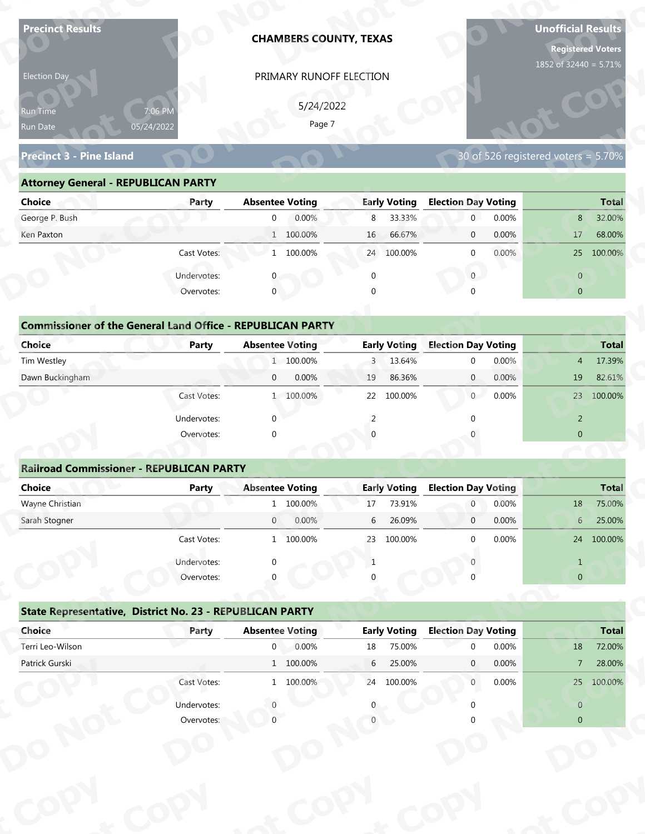| <b>Precinct Results</b>                                           |              |                        | <b>CHAMBERS COUNTY, TEXAS</b> |             |                     |                            |       | <b>Unofficial Results</b><br><b>Registered Voters</b><br>1852 of 32440 = 5.71% |              |
|-------------------------------------------------------------------|--------------|------------------------|-------------------------------|-------------|---------------------|----------------------------|-------|--------------------------------------------------------------------------------|--------------|
| Election Day                                                      |              |                        | PRIMARY RUNOFF ELECTION       |             |                     |                            |       |                                                                                |              |
|                                                                   |              |                        |                               |             |                     |                            |       |                                                                                |              |
| Run Time                                                          | 7:06 PM      |                        | 5/24/2022<br>Page 7           |             |                     |                            |       |                                                                                |              |
| Run Date                                                          | 05/24/2022   |                        |                               |             |                     |                            |       |                                                                                |              |
| <b>Precinct 3 - Pine Island</b>                                   |              |                        |                               |             |                     |                            |       | 30 of 526 registered voters = 5.70%                                            |              |
| <b>Attorney General - REPUBLICAN PARTY</b>                        |              |                        |                               |             |                     |                            |       |                                                                                |              |
| <b>Choice</b>                                                     | Party        | <b>Absentee Voting</b> |                               |             | <b>Early Voting</b> | <b>Election Day Voting</b> |       |                                                                                | <b>Total</b> |
| George P. Bush                                                    |              | $\overline{0}$         | 0.00%                         | 8           | 33.33%              | $\mathbf 0$                | 0.00% | 8                                                                              | 32.00%       |
| Ken Paxton                                                        |              |                        | 1 100.00%                     | 16          | 66.67%              | $\mathbf 0$                | 0.00% | 17                                                                             | 68.00%       |
|                                                                   | Cast Votes:  |                        | 1 100.00%                     |             | 24 100.00%          | $\mathbf 0$                | 0.00% |                                                                                | 25 100.00%   |
|                                                                   | Undervotes:  |                        |                               | $\mathbf 0$ |                     | $\overline{0}$             |       | $\overline{0}$                                                                 |              |
|                                                                   | Overvotes:   | $\mathbf{0}$           |                               | $\Omega$    |                     |                            |       | $\overline{0}$                                                                 |              |
|                                                                   |              |                        |                               |             |                     |                            |       |                                                                                |              |
| <b>Commissioner of the General Land Office - REPUBLICAN PARTY</b> |              |                        |                               |             |                     |                            |       |                                                                                |              |
| <b>Choice</b>                                                     | <b>Party</b> | <b>Absentee Voting</b> |                               |             | <b>Early Voting</b> | <b>Election Day Voting</b> |       |                                                                                | <b>Total</b> |
| Tim Westley                                                       |              |                        | 1 100.00%                     | 3           | 13.64%              | $\mathbf 0$                | 0.00% | $\overline{4}$                                                                 | 17.39%       |
| Dawn Buckingham                                                   |              | $\mathbf{0}$           | 0.00%                         | 19          | 86.36%              | $\overline{0}$             | 0.00% | 19                                                                             | 82.61%       |
|                                                                   | Cast Votes:  |                        | 1 100.00%                     |             | 22 100.00%          | 0                          | 0.00% |                                                                                | 23 100.00%   |
|                                                                   | Undervotes:  | $\Omega$               |                               | 2           |                     | $\Omega$                   |       | $\overline{2}$                                                                 |              |
|                                                                   | Overvotes:   | $\Omega$               |                               |             |                     |                            |       | $\overline{0}$                                                                 |              |
|                                                                   |              |                        |                               |             |                     |                            |       |                                                                                |              |
| <b>Railroad Commissioner - REPUBLICAN PARTY</b>                   |              |                        |                               |             |                     |                            |       |                                                                                |              |
| <b>Choice</b>                                                     | <b>Party</b> | <b>Absentee Voting</b> |                               |             | <b>Early Voting</b> | <b>Election Day Voting</b> |       |                                                                                | <b>Total</b> |
| Wayne Christian                                                   |              |                        | 1 100.00%                     | 17          | 73.91%              | $\overline{0}$             | 0.00% | 18                                                                             | 75.00%       |
| Sarah Stogner                                                     |              | $\overline{0}$         | 0.00%                         | 6           | 26.09%              | $\overline{0}$             | 0.00% | 6 <sup>1</sup>                                                                 | 25.00%       |
|                                                                   | Cast Votes:  |                        | 1 100.00%                     | 23          | 100.00%             | $\Omega$                   | 0.00% |                                                                                | 24 100.00%   |
|                                                                   | Undervotes:  |                        |                               | 1           |                     |                            |       | $\mathbf{1}$                                                                   |              |
|                                                                   | Overvotes:   |                        |                               |             |                     |                            |       | $\overline{0}$                                                                 |              |
| State Representative, District No. 23 - REPUBLICAN PARTY          |              |                        |                               |             |                     |                            |       |                                                                                |              |
| Choice                                                            | Party        | <b>Absentee Voting</b> |                               |             | <b>Early Voting</b> | <b>Election Day Voting</b> |       |                                                                                | <b>Total</b> |
| Terri Leo-Wilson                                                  |              | 0 <sub>1</sub>         | 0.00%                         | 18          | 75.00%              | $\Omega$                   | 0.00% | 18                                                                             | 72.00%       |
| Patrick Gurski                                                    |              |                        | 1 100.00%                     | 6           | 25.00%              | $\mathbf{0}$               | 0.00% | $\overline{7}$                                                                 | 28.00%       |
|                                                                   | Cast Votes:  |                        | 1 100.00%                     |             | 24 100.00%          | $\mathbf{0}$               | 0.00% |                                                                                | 25 100.00%   |
|                                                                   | Undervotes:  |                        |                               |             |                     |                            |       | $\overline{0}$                                                                 |              |
|                                                                   | Overvotes:   |                        |                               |             |                     |                            |       | $\overline{0}$                                                                 |              |
|                                                                   |              |                        |                               |             |                     |                            |       |                                                                                |              |
|                                                                   |              |                        |                               |             |                     |                            |       |                                                                                |              |
|                                                                   |              |                        |                               |             |                     |                            |       |                                                                                |              |

| 5/24/2022<br>7:06 PM<br><b>Run Time</b><br>Page 7<br>05/24/2022<br>Run Date<br>30 of 526 registered voters = 5.70%<br><b>Precinct 3 - Pine Island</b><br><b>Attorney General - REPUBLICAN PARTY</b><br><b>Early Voting</b><br><b>Election Day Voting</b><br><b>Choice</b><br><b>Absentee Voting</b><br><b>Total</b><br>Party<br>0.00%<br>33.33%<br>0.00%<br>32.00%<br>8<br>$\overline{0}$<br>8<br>$\overline{0}$ |
|------------------------------------------------------------------------------------------------------------------------------------------------------------------------------------------------------------------------------------------------------------------------------------------------------------------------------------------------------------------------------------------------------------------|
|                                                                                                                                                                                                                                                                                                                                                                                                                  |
|                                                                                                                                                                                                                                                                                                                                                                                                                  |
|                                                                                                                                                                                                                                                                                                                                                                                                                  |
|                                                                                                                                                                                                                                                                                                                                                                                                                  |
| George P. Bush                                                                                                                                                                                                                                                                                                                                                                                                   |
| 1 100.00%<br>66.67%<br>0.00%<br>68.00%<br>Ken Paxton<br>16<br>17<br>$\overline{0}$                                                                                                                                                                                                                                                                                                                               |
| 1 100.00%<br>$0.00\%$<br>Cast Votes:<br>24 100.00%<br>25 100.00%<br>$\Omega$                                                                                                                                                                                                                                                                                                                                     |
| Undervotes:<br>$\overline{0}$<br>$\overline{0}$                                                                                                                                                                                                                                                                                                                                                                  |
| $\mathbf 0$<br>Overvotes:<br>$\Omega$<br>$\overline{0}$                                                                                                                                                                                                                                                                                                                                                          |
|                                                                                                                                                                                                                                                                                                                                                                                                                  |
| <b>Commissioner of the General Land Office - REPUBLICAN PARTY</b>                                                                                                                                                                                                                                                                                                                                                |
| <b>Choice</b><br><b>Early Voting</b><br><b>Election Day Voting</b><br><b>Absentee Voting</b><br><b>Party</b><br><b>Total</b>                                                                                                                                                                                                                                                                                     |
| Tim Westley<br>1 100.00%<br>13.64%<br>0.00%<br>17.39%<br>3<br>$\Omega$<br>4                                                                                                                                                                                                                                                                                                                                      |
| Dawn Buckingham<br>0.00%<br>86.36%<br>0.00%<br>19<br>82.61%<br>$\overline{0}$<br>19<br>$\overline{0}$                                                                                                                                                                                                                                                                                                            |
| $\overline{0}$<br>0.00%<br>100.00%<br>1 100.00%<br>22<br>100.00%<br>23<br>Cast Votes:                                                                                                                                                                                                                                                                                                                            |

| <b>Choice</b>                                                               | Party       | <b>Absentee Voting</b> | <b>Early Voting</b>       | <b>Election Day Voting</b> | <b>Total</b>             |
|-----------------------------------------------------------------------------|-------------|------------------------|---------------------------|----------------------------|--------------------------|
| George P. Bush                                                              |             | 0.00%<br>$\mathbf{0}$  | 8 33.33%                  | 0.00%<br>$\overline{0}$    | 32.00%<br>8              |
| Ken Paxton                                                                  |             | 1 100.00%              | 66.67%<br>16 <sup>°</sup> | 0.00%<br>$\mathbf 0$       | 68.00%<br>17             |
|                                                                             | Cast Votes: | 1 100.00%              | 24 100.00%                | 0.00%<br>$\mathbf 0$       | 100.00%<br>25            |
|                                                                             | Undervotes: |                        | 0                         | $\mathbf{0}$               | $\overline{0}$           |
|                                                                             | Overvotes:  | $\mathbf{0}$           | 0                         | $\Omega$                   | $\overline{0}$           |
| <b>Commissioner of the General Land Office - REPUBLICAN PARTY</b><br>Choice | Party       | <b>Absentee Voting</b> | <b>Early Voting</b>       | <b>Election Day Voting</b> | <b>Total</b>             |
| Tim Westley                                                                 |             | 1 100.00%              | 3 13.64%                  | 0.00%<br>$\mathbf{0}$      | 17.39%<br>4              |
| Dawn Buckingham                                                             |             | 0.00%<br>$\mathbf{0}$  | 86.36%<br>19              | 0.00%<br>$\overline{0}$    | 19<br>82.61%             |
|                                                                             | Cast Votes: | 1 100.00%              | 22 100.00%                | 0.00%<br>$\overline{0}$    | 23<br>100.00%            |
|                                                                             | Undervotes: | $\mathbf{0}$           |                           |                            | 2                        |
|                                                                             | Overvotes:  | $\mathbf{0}$           | $\Omega$                  |                            | $\mathbf{0}$             |
|                                                                             |             |                        |                           |                            |                          |
| <b>Railroad Commissioner - REPUBLICAN PARTY</b>                             |             |                        |                           |                            |                          |
| Choice                                                                      | Party       | <b>Absentee Voting</b> | <b>Early Voting</b>       | <b>Election Day Voting</b> | <b>Total</b>             |
| Wayne Christian                                                             |             | 1 100.00%              | 73.91%<br>17              | 0.00%<br>$\overline{0}$    | 75.00%<br>18             |
| Carole Champan                                                              |             | 0.0001<br>$\cap$       | $C = 2C \Omega Q$         | 0.0001<br>$\sim$           | $2F$ $00V$<br>$\epsilon$ |

| 5/24/2022<br>7:06 PM<br>Run Time<br>Page 7<br>05/24/2022<br>Run Date<br>30 of 526 registered voters = 5.70%<br><b>Precinct 3 - Pine Island</b><br><b>Attorney General - REPUBLICAN PARTY</b><br><b>Absentee Voting</b><br><b>Early Voting</b><br><b>Election Day Voting</b><br><b>Choice</b><br>Party<br>George P. Bush<br>0.00%<br>8<br>33.33%<br>$\overline{0}$<br>0.00%<br>$\overline{0}$<br>8<br>1 100.00%<br>66.67%<br>0.00%<br>Ken Paxton<br>16 <sup>1</sup><br>$\mathbf{0}$<br>17<br>Cast Votes:<br>1 100.00%<br>24 100.00%<br>0.00%<br>$\mathbf{0}$<br>$\overline{0}$<br>Undervotes:<br>$\overline{0}$<br>$\mathbf 0$<br>$\mathbf{0}$<br>Overvotes:<br>$\mathbf{0}$<br>$\overline{0}$<br>$\Omega$<br><b>Commissioner of the General Land Office - REPUBLICAN PARTY</b><br><b>Election Day Voting</b><br>Choice<br><b>Early Voting</b><br>Party<br><b>Absentee Voting</b><br>1 100.00%<br>13.64%<br>0.00%<br>Tim Westley<br>3<br>$\mathbf 0$<br>$\overline{4}$<br>Dawn Buckingham<br>0.00%<br>0.00%<br>86.36%<br>$\mathbf{0}$<br>19<br>$\overline{0}$<br>19<br>Cast Votes:<br>1 100.00%<br>100.00%<br>$\overline{0}$<br>0.00%<br>22<br>Undervotes:<br>$\Omega$<br>$\overline{2}$<br>2<br>$\overline{0}$<br>Overvotes:<br>$\Omega$<br><b>Railroad Commissioner - REPUBLICAN PARTY</b><br><b>Absentee Voting</b><br><b>Election Day Voting</b><br><b>Choice</b><br><b>Early Voting</b><br><b>Party</b><br>Wayne Christian<br>1 100.00%<br>73.91%<br>0.00%<br>$\overline{0}$<br>18<br>17<br>26.09%<br>0.00%<br>Sarah Stogner<br>0.00%<br>6<br>$\overline{0}$<br>$\mathbf 0$<br>6<br>0.00%<br>Cast Votes:<br>1 100.00%<br>23 100 00%<br>$\Omega$<br>Undervotes:<br>$\mathbf{1}$<br>-1<br>Overvotes:<br>$\mathbf{0}$<br>State Representative, District No. 23 - REPUBLICAN PARTY<br><b>Early Voting</b><br><b>Election Day Voting</b><br>Choice<br><b>Absentee Voting</b><br>Party<br>Terri Leo-Wilson<br>0.00%<br>$\overline{0}$<br>75.00%<br>0.00%<br>18<br>18<br>$\Omega$<br>Patrick Gurski<br>$1\quad 100.00\%$<br>6<br>25.00%<br>0.00%<br>$\mathbf{0}$<br>7 <sup>7</sup><br>Cast Votes:<br>24 100.00%<br>1 100.00%<br>0.00%<br>$\overline{0}$<br>Undervotes:<br>$\overline{0}$<br>Overvotes:<br>$\overline{0}$ | <b>Election Day</b> | PRIMARY RUNOFF ELECTION |  |              |
|-----------------------------------------------------------------------------------------------------------------------------------------------------------------------------------------------------------------------------------------------------------------------------------------------------------------------------------------------------------------------------------------------------------------------------------------------------------------------------------------------------------------------------------------------------------------------------------------------------------------------------------------------------------------------------------------------------------------------------------------------------------------------------------------------------------------------------------------------------------------------------------------------------------------------------------------------------------------------------------------------------------------------------------------------------------------------------------------------------------------------------------------------------------------------------------------------------------------------------------------------------------------------------------------------------------------------------------------------------------------------------------------------------------------------------------------------------------------------------------------------------------------------------------------------------------------------------------------------------------------------------------------------------------------------------------------------------------------------------------------------------------------------------------------------------------------------------------------------------------------------------------------------------------------------------------------------------------------------------------------------------------------------------------------------------------------------------------------------------------------------------------------------------------------------------------------------------------------------|---------------------|-------------------------|--|--------------|
|                                                                                                                                                                                                                                                                                                                                                                                                                                                                                                                                                                                                                                                                                                                                                                                                                                                                                                                                                                                                                                                                                                                                                                                                                                                                                                                                                                                                                                                                                                                                                                                                                                                                                                                                                                                                                                                                                                                                                                                                                                                                                                                                                                                                                       |                     |                         |  |              |
|                                                                                                                                                                                                                                                                                                                                                                                                                                                                                                                                                                                                                                                                                                                                                                                                                                                                                                                                                                                                                                                                                                                                                                                                                                                                                                                                                                                                                                                                                                                                                                                                                                                                                                                                                                                                                                                                                                                                                                                                                                                                                                                                                                                                                       |                     |                         |  |              |
|                                                                                                                                                                                                                                                                                                                                                                                                                                                                                                                                                                                                                                                                                                                                                                                                                                                                                                                                                                                                                                                                                                                                                                                                                                                                                                                                                                                                                                                                                                                                                                                                                                                                                                                                                                                                                                                                                                                                                                                                                                                                                                                                                                                                                       |                     |                         |  |              |
|                                                                                                                                                                                                                                                                                                                                                                                                                                                                                                                                                                                                                                                                                                                                                                                                                                                                                                                                                                                                                                                                                                                                                                                                                                                                                                                                                                                                                                                                                                                                                                                                                                                                                                                                                                                                                                                                                                                                                                                                                                                                                                                                                                                                                       |                     |                         |  |              |
|                                                                                                                                                                                                                                                                                                                                                                                                                                                                                                                                                                                                                                                                                                                                                                                                                                                                                                                                                                                                                                                                                                                                                                                                                                                                                                                                                                                                                                                                                                                                                                                                                                                                                                                                                                                                                                                                                                                                                                                                                                                                                                                                                                                                                       |                     |                         |  |              |
|                                                                                                                                                                                                                                                                                                                                                                                                                                                                                                                                                                                                                                                                                                                                                                                                                                                                                                                                                                                                                                                                                                                                                                                                                                                                                                                                                                                                                                                                                                                                                                                                                                                                                                                                                                                                                                                                                                                                                                                                                                                                                                                                                                                                                       |                     |                         |  | <b>Total</b> |
|                                                                                                                                                                                                                                                                                                                                                                                                                                                                                                                                                                                                                                                                                                                                                                                                                                                                                                                                                                                                                                                                                                                                                                                                                                                                                                                                                                                                                                                                                                                                                                                                                                                                                                                                                                                                                                                                                                                                                                                                                                                                                                                                                                                                                       |                     |                         |  | 32.00%       |
|                                                                                                                                                                                                                                                                                                                                                                                                                                                                                                                                                                                                                                                                                                                                                                                                                                                                                                                                                                                                                                                                                                                                                                                                                                                                                                                                                                                                                                                                                                                                                                                                                                                                                                                                                                                                                                                                                                                                                                                                                                                                                                                                                                                                                       |                     |                         |  | 68.00%       |
|                                                                                                                                                                                                                                                                                                                                                                                                                                                                                                                                                                                                                                                                                                                                                                                                                                                                                                                                                                                                                                                                                                                                                                                                                                                                                                                                                                                                                                                                                                                                                                                                                                                                                                                                                                                                                                                                                                                                                                                                                                                                                                                                                                                                                       |                     |                         |  | 25 100.00%   |
|                                                                                                                                                                                                                                                                                                                                                                                                                                                                                                                                                                                                                                                                                                                                                                                                                                                                                                                                                                                                                                                                                                                                                                                                                                                                                                                                                                                                                                                                                                                                                                                                                                                                                                                                                                                                                                                                                                                                                                                                                                                                                                                                                                                                                       |                     |                         |  |              |
|                                                                                                                                                                                                                                                                                                                                                                                                                                                                                                                                                                                                                                                                                                                                                                                                                                                                                                                                                                                                                                                                                                                                                                                                                                                                                                                                                                                                                                                                                                                                                                                                                                                                                                                                                                                                                                                                                                                                                                                                                                                                                                                                                                                                                       |                     |                         |  |              |
|                                                                                                                                                                                                                                                                                                                                                                                                                                                                                                                                                                                                                                                                                                                                                                                                                                                                                                                                                                                                                                                                                                                                                                                                                                                                                                                                                                                                                                                                                                                                                                                                                                                                                                                                                                                                                                                                                                                                                                                                                                                                                                                                                                                                                       |                     |                         |  |              |
|                                                                                                                                                                                                                                                                                                                                                                                                                                                                                                                                                                                                                                                                                                                                                                                                                                                                                                                                                                                                                                                                                                                                                                                                                                                                                                                                                                                                                                                                                                                                                                                                                                                                                                                                                                                                                                                                                                                                                                                                                                                                                                                                                                                                                       |                     |                         |  |              |
|                                                                                                                                                                                                                                                                                                                                                                                                                                                                                                                                                                                                                                                                                                                                                                                                                                                                                                                                                                                                                                                                                                                                                                                                                                                                                                                                                                                                                                                                                                                                                                                                                                                                                                                                                                                                                                                                                                                                                                                                                                                                                                                                                                                                                       |                     |                         |  | <b>Total</b> |
|                                                                                                                                                                                                                                                                                                                                                                                                                                                                                                                                                                                                                                                                                                                                                                                                                                                                                                                                                                                                                                                                                                                                                                                                                                                                                                                                                                                                                                                                                                                                                                                                                                                                                                                                                                                                                                                                                                                                                                                                                                                                                                                                                                                                                       |                     |                         |  | 17.39%       |
|                                                                                                                                                                                                                                                                                                                                                                                                                                                                                                                                                                                                                                                                                                                                                                                                                                                                                                                                                                                                                                                                                                                                                                                                                                                                                                                                                                                                                                                                                                                                                                                                                                                                                                                                                                                                                                                                                                                                                                                                                                                                                                                                                                                                                       |                     |                         |  | 82.61%       |
|                                                                                                                                                                                                                                                                                                                                                                                                                                                                                                                                                                                                                                                                                                                                                                                                                                                                                                                                                                                                                                                                                                                                                                                                                                                                                                                                                                                                                                                                                                                                                                                                                                                                                                                                                                                                                                                                                                                                                                                                                                                                                                                                                                                                                       |                     |                         |  | 23 100.00%   |
|                                                                                                                                                                                                                                                                                                                                                                                                                                                                                                                                                                                                                                                                                                                                                                                                                                                                                                                                                                                                                                                                                                                                                                                                                                                                                                                                                                                                                                                                                                                                                                                                                                                                                                                                                                                                                                                                                                                                                                                                                                                                                                                                                                                                                       |                     |                         |  |              |
|                                                                                                                                                                                                                                                                                                                                                                                                                                                                                                                                                                                                                                                                                                                                                                                                                                                                                                                                                                                                                                                                                                                                                                                                                                                                                                                                                                                                                                                                                                                                                                                                                                                                                                                                                                                                                                                                                                                                                                                                                                                                                                                                                                                                                       |                     |                         |  |              |
|                                                                                                                                                                                                                                                                                                                                                                                                                                                                                                                                                                                                                                                                                                                                                                                                                                                                                                                                                                                                                                                                                                                                                                                                                                                                                                                                                                                                                                                                                                                                                                                                                                                                                                                                                                                                                                                                                                                                                                                                                                                                                                                                                                                                                       |                     |                         |  |              |
|                                                                                                                                                                                                                                                                                                                                                                                                                                                                                                                                                                                                                                                                                                                                                                                                                                                                                                                                                                                                                                                                                                                                                                                                                                                                                                                                                                                                                                                                                                                                                                                                                                                                                                                                                                                                                                                                                                                                                                                                                                                                                                                                                                                                                       |                     |                         |  |              |
|                                                                                                                                                                                                                                                                                                                                                                                                                                                                                                                                                                                                                                                                                                                                                                                                                                                                                                                                                                                                                                                                                                                                                                                                                                                                                                                                                                                                                                                                                                                                                                                                                                                                                                                                                                                                                                                                                                                                                                                                                                                                                                                                                                                                                       |                     |                         |  | <b>Total</b> |
|                                                                                                                                                                                                                                                                                                                                                                                                                                                                                                                                                                                                                                                                                                                                                                                                                                                                                                                                                                                                                                                                                                                                                                                                                                                                                                                                                                                                                                                                                                                                                                                                                                                                                                                                                                                                                                                                                                                                                                                                                                                                                                                                                                                                                       |                     |                         |  | 75.00%       |
|                                                                                                                                                                                                                                                                                                                                                                                                                                                                                                                                                                                                                                                                                                                                                                                                                                                                                                                                                                                                                                                                                                                                                                                                                                                                                                                                                                                                                                                                                                                                                                                                                                                                                                                                                                                                                                                                                                                                                                                                                                                                                                                                                                                                                       |                     |                         |  | 25.00%       |
|                                                                                                                                                                                                                                                                                                                                                                                                                                                                                                                                                                                                                                                                                                                                                                                                                                                                                                                                                                                                                                                                                                                                                                                                                                                                                                                                                                                                                                                                                                                                                                                                                                                                                                                                                                                                                                                                                                                                                                                                                                                                                                                                                                                                                       |                     |                         |  | 24 100.00%   |
|                                                                                                                                                                                                                                                                                                                                                                                                                                                                                                                                                                                                                                                                                                                                                                                                                                                                                                                                                                                                                                                                                                                                                                                                                                                                                                                                                                                                                                                                                                                                                                                                                                                                                                                                                                                                                                                                                                                                                                                                                                                                                                                                                                                                                       |                     |                         |  |              |
|                                                                                                                                                                                                                                                                                                                                                                                                                                                                                                                                                                                                                                                                                                                                                                                                                                                                                                                                                                                                                                                                                                                                                                                                                                                                                                                                                                                                                                                                                                                                                                                                                                                                                                                                                                                                                                                                                                                                                                                                                                                                                                                                                                                                                       |                     |                         |  |              |
|                                                                                                                                                                                                                                                                                                                                                                                                                                                                                                                                                                                                                                                                                                                                                                                                                                                                                                                                                                                                                                                                                                                                                                                                                                                                                                                                                                                                                                                                                                                                                                                                                                                                                                                                                                                                                                                                                                                                                                                                                                                                                                                                                                                                                       |                     |                         |  |              |
|                                                                                                                                                                                                                                                                                                                                                                                                                                                                                                                                                                                                                                                                                                                                                                                                                                                                                                                                                                                                                                                                                                                                                                                                                                                                                                                                                                                                                                                                                                                                                                                                                                                                                                                                                                                                                                                                                                                                                                                                                                                                                                                                                                                                                       |                     |                         |  |              |
|                                                                                                                                                                                                                                                                                                                                                                                                                                                                                                                                                                                                                                                                                                                                                                                                                                                                                                                                                                                                                                                                                                                                                                                                                                                                                                                                                                                                                                                                                                                                                                                                                                                                                                                                                                                                                                                                                                                                                                                                                                                                                                                                                                                                                       |                     |                         |  | <b>Total</b> |
|                                                                                                                                                                                                                                                                                                                                                                                                                                                                                                                                                                                                                                                                                                                                                                                                                                                                                                                                                                                                                                                                                                                                                                                                                                                                                                                                                                                                                                                                                                                                                                                                                                                                                                                                                                                                                                                                                                                                                                                                                                                                                                                                                                                                                       |                     |                         |  | 72.00%       |
|                                                                                                                                                                                                                                                                                                                                                                                                                                                                                                                                                                                                                                                                                                                                                                                                                                                                                                                                                                                                                                                                                                                                                                                                                                                                                                                                                                                                                                                                                                                                                                                                                                                                                                                                                                                                                                                                                                                                                                                                                                                                                                                                                                                                                       |                     |                         |  | 28.00%       |
|                                                                                                                                                                                                                                                                                                                                                                                                                                                                                                                                                                                                                                                                                                                                                                                                                                                                                                                                                                                                                                                                                                                                                                                                                                                                                                                                                                                                                                                                                                                                                                                                                                                                                                                                                                                                                                                                                                                                                                                                                                                                                                                                                                                                                       |                     |                         |  | 25 100.00%   |
|                                                                                                                                                                                                                                                                                                                                                                                                                                                                                                                                                                                                                                                                                                                                                                                                                                                                                                                                                                                                                                                                                                                                                                                                                                                                                                                                                                                                                                                                                                                                                                                                                                                                                                                                                                                                                                                                                                                                                                                                                                                                                                                                                                                                                       |                     |                         |  |              |
|                                                                                                                                                                                                                                                                                                                                                                                                                                                                                                                                                                                                                                                                                                                                                                                                                                                                                                                                                                                                                                                                                                                                                                                                                                                                                                                                                                                                                                                                                                                                                                                                                                                                                                                                                                                                                                                                                                                                                                                                                                                                                                                                                                                                                       |                     |                         |  |              |
|                                                                                                                                                                                                                                                                                                                                                                                                                                                                                                                                                                                                                                                                                                                                                                                                                                                                                                                                                                                                                                                                                                                                                                                                                                                                                                                                                                                                                                                                                                                                                                                                                                                                                                                                                                                                                                                                                                                                                                                                                                                                                                                                                                                                                       |                     |                         |  |              |
|                                                                                                                                                                                                                                                                                                                                                                                                                                                                                                                                                                                                                                                                                                                                                                                                                                                                                                                                                                                                                                                                                                                                                                                                                                                                                                                                                                                                                                                                                                                                                                                                                                                                                                                                                                                                                                                                                                                                                                                                                                                                                                                                                                                                                       |                     |                         |  |              |
|                                                                                                                                                                                                                                                                                                                                                                                                                                                                                                                                                                                                                                                                                                                                                                                                                                                                                                                                                                                                                                                                                                                                                                                                                                                                                                                                                                                                                                                                                                                                                                                                                                                                                                                                                                                                                                                                                                                                                                                                                                                                                                                                                                                                                       |                     |                         |  |              |
|                                                                                                                                                                                                                                                                                                                                                                                                                                                                                                                                                                                                                                                                                                                                                                                                                                                                                                                                                                                                                                                                                                                                                                                                                                                                                                                                                                                                                                                                                                                                                                                                                                                                                                                                                                                                                                                                                                                                                                                                                                                                                                                                                                                                                       |                     |                         |  |              |

|                                                          | Cast votes. | $\mathbf{r}$           | TOO'OO SO | 25 | TOO'OO XQ           |                            | <b>U.UU70</b> |                | Z4 100.00%   |
|----------------------------------------------------------|-------------|------------------------|-----------|----|---------------------|----------------------------|---------------|----------------|--------------|
|                                                          | Undervotes: | $\Omega$               |           |    |                     |                            |               |                |              |
|                                                          | Overvotes:  | $\Omega$               |           | 0  |                     |                            |               | $\overline{0}$ |              |
| State Representative, District No. 23 - REPUBLICAN PARTY |             |                        |           |    |                     |                            |               |                |              |
| Choice                                                   | Party       | <b>Absentee Voting</b> |           |    | <b>Early Voting</b> | <b>Election Day Voting</b> |               |                | <b>Total</b> |
| Terri Leo-Wilson                                         |             | $\mathbf 0$            | 0.00%     | 18 | 75.00%              | $\Omega$                   | 0.00%         | 18             | 72.00%       |
| Patrick Gurski                                           |             |                        | 1 100.00% | 6  | 25.00%              | $\mathbf{0}$               | $0.00\%$      | $7^{\circ}$    | 28.00%       |
|                                                          | Cast Votes: |                        | 1 100.00% | 24 | 100.00%             | $\mathbf{0}$               | $0.00\%$      | 25             | 100.00%      |
|                                                          | Undervotes: |                        |           | 0  |                     |                            |               | $\overline{0}$ |              |
|                                                          | Overvotes:  |                        |           |    |                     |                            |               | $\overline{0}$ |              |
|                                                          |             |                        |           |    |                     |                            |               |                |              |
|                                                          |             |                        |           |    |                     |                            |               |                |              |
|                                                          |             |                        |           |    |                     |                            |               |                |              |
|                                                          |             |                        |           |    |                     |                            |               |                |              |
|                                                          |             |                        |           |    |                     |                            |               |                |              |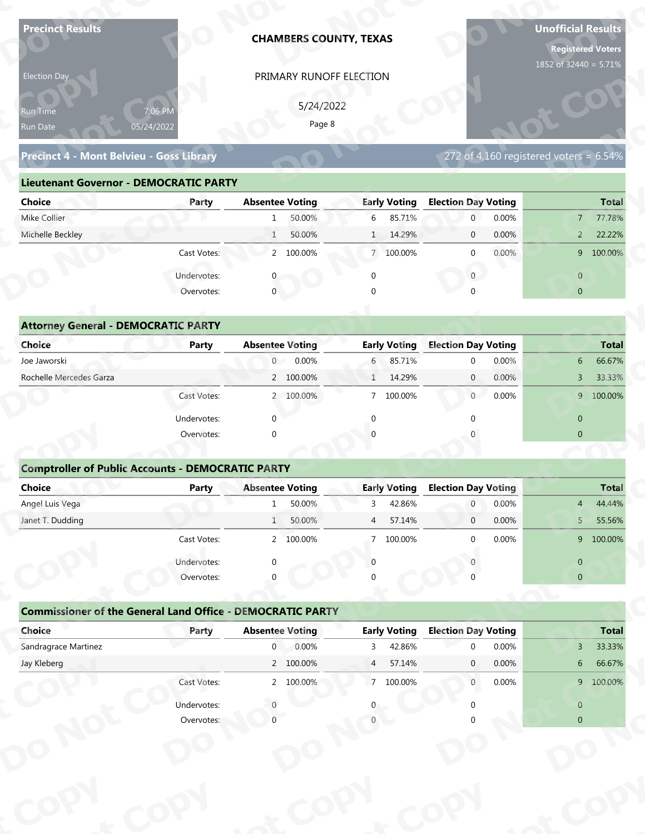| <b>Precinct Results</b>                                           |                           |                        | <b>CHAMBERS COUNTY, TEXAS</b> |                |                     |                            |       | <b>Unofficial Results</b><br><b>Registered Voters</b><br>1852 of 32440 = 5.71% |              |
|-------------------------------------------------------------------|---------------------------|------------------------|-------------------------------|----------------|---------------------|----------------------------|-------|--------------------------------------------------------------------------------|--------------|
| Election Day                                                      |                           |                        | PRIMARY RUNOFF ELECTION       |                |                     |                            |       |                                                                                |              |
|                                                                   |                           |                        | 5/24/2022                     |                |                     |                            |       |                                                                                |              |
| Run Time                                                          | 7:06 PM<br>05/24/2022     |                        | Page 8                        |                |                     |                            |       |                                                                                |              |
| Run Date                                                          |                           |                        |                               |                |                     |                            |       |                                                                                |              |
| Precinct 4 - Mont Belvieu - Goss Library                          |                           |                        |                               |                |                     |                            |       | $272$ of 4,160 registered voters = 6.54%                                       |              |
| <b>Lieutenant Governor - DEMOCRATIC PARTY</b>                     |                           |                        |                               |                |                     |                            |       |                                                                                |              |
| <b>Choice</b>                                                     | Party                     | <b>Absentee Voting</b> |                               |                | <b>Early Voting</b> | <b>Election Day Voting</b> |       |                                                                                | <b>Total</b> |
| Mike Collier                                                      |                           | $\mathbf{1}$           | 50.00%                        | 6              | 85.71%              | $\mathbf 0$                | 0.00% | $7^{\circ}$                                                                    | 77.78%       |
| Michelle Beckley                                                  |                           | $\mathbf{1}$           | 50.00%                        |                | 1 14.29%            | $\mathbf 0$                | 0.00% | $\overline{2}$                                                                 | 22.22%       |
|                                                                   | Cast Votes:               |                        | 2 100.00%                     |                | 7 100.00%           | $\mathbf 0$                | 0.00% |                                                                                | 9 100.00%    |
|                                                                   | Undervotes:               |                        |                               | $\Omega$       |                     | $\overline{0}$             |       | $\overline{0}$                                                                 |              |
|                                                                   | Overvotes:                | $\mathbf{0}$           |                               |                |                     |                            |       | $\overline{0}$                                                                 |              |
|                                                                   |                           |                        |                               |                |                     |                            |       |                                                                                |              |
| <b>Attorney General - DEMOCRATIC PARTY</b>                        |                           |                        |                               |                |                     |                            |       |                                                                                |              |
| <b>Choice</b>                                                     | <b>Party</b>              | <b>Absentee Voting</b> |                               |                | <b>Early Voting</b> | <b>Election Day Voting</b> |       |                                                                                | <b>Total</b> |
| Joe Jaworski                                                      |                           | $\overline{0}$         | 0.00%                         | 6              | 85.71%              | $\mathbf 0$                | 0.00% | 6                                                                              | 66.67%       |
| Rochelle Mercedes Garza                                           |                           |                        | 2 100.00%                     | $\mathbf{1}$   | 14.29%              | $\overline{0}$             | 0.00% | 3                                                                              | 33.33%       |
|                                                                   | Cast Votes:               |                        | 2 100.00%                     |                | 7 100.00%           | $\overline{0}$             | 0.00% |                                                                                | 9 100.00%    |
|                                                                   | Undervotes:               | $\Omega$               |                               | $\mathbf{0}$   |                     | $\Omega$                   |       | $\overline{0}$                                                                 |              |
|                                                                   | Overvotes:                | $\Omega$               |                               |                |                     |                            |       | $\overline{0}$                                                                 |              |
|                                                                   |                           |                        |                               |                |                     |                            |       |                                                                                |              |
| <b>Comptroller of Public Accounts - DEMOCRATIC PARTY</b>          |                           |                        |                               |                |                     |                            |       |                                                                                |              |
| Choice                                                            | Party                     | <b>Absentee Voting</b> |                               |                | <b>Early Voting</b> | <b>Election Day Voting</b> |       |                                                                                | <b>Total</b> |
| Angel Luis Vega                                                   |                           | 1                      | 50.00%                        | 3              | 42.86%              | $\overline{0}$             | 0.00% | $\overline{4}$                                                                 | 44.44%       |
| Janet T. Dudding                                                  |                           | 1                      | 50.00%                        | $\overline{4}$ | 57.14%              | $\overline{0}$             | 0.00% | $5-$                                                                           | 55.56%       |
|                                                                   | Cast Votes:               |                        | 2 100.00%                     | $7^{\circ}$    | 100.00%             | $\Omega$                   | 0.00% |                                                                                | 9 100.00%    |
|                                                                   | Undervotes:               | ∩                      |                               | $\Omega$       |                     |                            |       | $\overline{0}$                                                                 |              |
|                                                                   | Overvotes:                |                        |                               |                |                     |                            |       | $\overline{0}$                                                                 |              |
|                                                                   |                           |                        |                               |                |                     |                            |       |                                                                                |              |
|                                                                   |                           |                        |                               |                |                     |                            |       |                                                                                |              |
| <b>Commissioner of the General Land Office - DEMOCRATIC PARTY</b> |                           |                        |                               |                |                     |                            |       |                                                                                | <b>Total</b> |
| Choice                                                            | Party                     | <b>Absentee Voting</b> |                               |                | <b>Early Voting</b> | <b>Election Day Voting</b> |       |                                                                                |              |
| Sandragrace Martinez                                              |                           | $\overline{0}$         | 0.00%                         | 3              | 42.86%              | $\Omega$                   | 0.00% | $\mathbf{3}$                                                                   | 33.33%       |
| Jay Kleberg                                                       |                           |                        | 2 100.00%                     | $\overline{4}$ | 57.14%              | $\mathbf{0}$               | 0.00% | 6 <sup>1</sup>                                                                 | 66.67%       |
|                                                                   | Cast Votes:               |                        | 2 100.00%                     |                | 7 100.00%           | $\overline{0}$             | 0.00% |                                                                                | 9 100.00%    |
|                                                                   | Undervotes:<br>Overvotes: |                        |                               |                |                     |                            |       | $\overline{0}$<br>$\overline{0}$                                               |              |

| 5/24/2022<br>7:06 PM<br><b>Run Time</b><br>Page 8<br>05/24/2022<br>Run Date                                  |              |  |  |  |  |
|--------------------------------------------------------------------------------------------------------------|--------------|--|--|--|--|
| 272 of 4,160 registered voters = $6.54\%$<br><b>Precinct 4 - Mont Belvieu - Goss Library</b>                 |              |  |  |  |  |
| <b>Lieutenant Governor - DEMOCRATIC PARTY</b>                                                                |              |  |  |  |  |
| <b>Absentee Voting</b><br><b>Early Voting</b><br><b>Election Day Voting</b><br>Choice<br>Party               | <b>Total</b> |  |  |  |  |
| Mike Collier<br>50.00%<br>85.71%<br>0.00%<br>6<br>$\overline{0}$<br>$\overline{7}$<br>$\mathbf{1}$           | 77.78%       |  |  |  |  |
| Michelle Beckley<br>50.00%<br>1 14.29%<br>0.00%<br>$\overline{0}$<br>$2^{\circ}$<br>$\mathbf{1}$             | 22.22%       |  |  |  |  |
| 2 100.00%<br>$0.00\%$<br>9 100.00%<br>Cast Votes:<br>7 100.00%<br>$\Omega$                                   |              |  |  |  |  |
| Undervotes:<br>$\overline{0}$<br>$\overline{0}$                                                              |              |  |  |  |  |
| $\mathbf 0$<br>Overvotes:<br>$\Omega$<br>$\overline{0}$                                                      |              |  |  |  |  |
|                                                                                                              |              |  |  |  |  |
| <b>Attorney General - DEMOCRATIC PARTY</b>                                                                   |              |  |  |  |  |
| <b>Early Voting</b><br><b>Election Day Voting</b><br><b>Choice</b><br><b>Absentee Voting</b><br><b>Party</b> | <b>Total</b> |  |  |  |  |
| Joe Jaworski<br>0.00%<br>85.71%<br>0.00%<br>$\overline{0}$<br>6<br>6<br>$\Omega$                             | 66.67%       |  |  |  |  |
| Rochelle Mercedes Garza<br>2 100.00%<br>14.29%<br>$\overline{0}$<br>0.00%<br>$\mathbf{3}$                    | 33.33%       |  |  |  |  |
| $\overline{0}$<br>0.00%<br>9 100.00%<br>2 100.00%<br>100.00%<br>Cast Votes:<br>$\overline{7}$                |              |  |  |  |  |

| 5/24/2022<br>7:06 PM<br>Run Time<br>Page 8<br>05/24/2022<br>Run Date<br>272 of 4,160 registered voters = $6.54\%$<br>Precinct 4 - Mont Belvieu - Goss Library<br><b>Lieutenant Governor - DEMOCRATIC PARTY</b><br><b>Absentee Voting</b><br><b>Early Voting</b><br><b>Election Day Voting</b><br><b>Choice</b><br>Party<br>Mike Collier<br>0.00%<br>50.00%<br>6<br>85.71%<br>$\overline{0}$<br>1<br>Michelle Beckley<br>50.00%<br>0.00%<br>1 14.29%<br>$\mathbf{0}$<br>1<br>Cast Votes:<br>2 100.00%<br>7 100.00%<br>0.00%<br>$\mathbf{0}$<br>$\mathbf{0}$<br>Undervotes:<br>$\mathbf 0$<br>Overvotes:<br>$\mathbf{0}$<br><b>Attorney General - DEMOCRATIC PARTY</b><br><b>Early Voting</b><br><b>Election Day Voting</b><br>Choice<br><b>Absentee Voting</b><br><b>Party</b><br>Joe Jaworski<br>0.00%<br>85.71%<br>0.00%<br>$\overline{0}$<br>6<br>$\mathbf{0}$<br>Rochelle Mercedes Garza<br>2 100.00%<br>0.00%<br>14.29%<br>$\mathbf{0}$<br>$\mathbf{1}$<br>Cast Votes:<br>2 100.00%<br>100.00%<br>$\overline{0}$<br>0.00%<br>$7^{\circ}$<br>Undervotes:<br>$\Omega$<br>∩<br>Overvotes:<br>$\Omega$<br><b>Comptroller of Public Accounts - DEMOCRATIC PARTY</b><br><b>Choice</b><br><b>Absentee Voting</b><br><b>Early Voting</b><br><b>Election Day Voting</b><br><b>Party</b><br>42.86%<br>Angel Luis Vega<br>50.00%<br>0.00%<br>$\overline{0}$<br>3<br>$\mathbf{1}$<br>57.14%<br>0.00%<br>Janet T. Dudding<br>50.00%<br>$\overline{4}$<br>$\mathbf 0$<br>1<br>0.00%<br>Cast Votes:<br>2 100.00%<br>7 100.00%<br>$\Omega$ | <b>Total</b><br>77.78%<br>$7^{\circ}$<br>22.22%<br>$\overline{2}$<br>9 100.00%<br>$\overline{0}$<br>$\overline{0}$<br><b>Total</b><br>66.67%<br>6<br>33.33%<br>3<br>9 100.00%<br>$\overline{0}$<br>$\overline{0}$ |
|--------------------------------------------------------------------------------------------------------------------------------------------------------------------------------------------------------------------------------------------------------------------------------------------------------------------------------------------------------------------------------------------------------------------------------------------------------------------------------------------------------------------------------------------------------------------------------------------------------------------------------------------------------------------------------------------------------------------------------------------------------------------------------------------------------------------------------------------------------------------------------------------------------------------------------------------------------------------------------------------------------------------------------------------------------------------------------------------------------------------------------------------------------------------------------------------------------------------------------------------------------------------------------------------------------------------------------------------------------------------------------------------------------------------------------------------------------------------------------------------------------------------------------|-------------------------------------------------------------------------------------------------------------------------------------------------------------------------------------------------------------------|
|                                                                                                                                                                                                                                                                                                                                                                                                                                                                                                                                                                                                                                                                                                                                                                                                                                                                                                                                                                                                                                                                                                                                                                                                                                                                                                                                                                                                                                                                                                                                |                                                                                                                                                                                                                   |
|                                                                                                                                                                                                                                                                                                                                                                                                                                                                                                                                                                                                                                                                                                                                                                                                                                                                                                                                                                                                                                                                                                                                                                                                                                                                                                                                                                                                                                                                                                                                |                                                                                                                                                                                                                   |
|                                                                                                                                                                                                                                                                                                                                                                                                                                                                                                                                                                                                                                                                                                                                                                                                                                                                                                                                                                                                                                                                                                                                                                                                                                                                                                                                                                                                                                                                                                                                |                                                                                                                                                                                                                   |
|                                                                                                                                                                                                                                                                                                                                                                                                                                                                                                                                                                                                                                                                                                                                                                                                                                                                                                                                                                                                                                                                                                                                                                                                                                                                                                                                                                                                                                                                                                                                |                                                                                                                                                                                                                   |
|                                                                                                                                                                                                                                                                                                                                                                                                                                                                                                                                                                                                                                                                                                                                                                                                                                                                                                                                                                                                                                                                                                                                                                                                                                                                                                                                                                                                                                                                                                                                |                                                                                                                                                                                                                   |
|                                                                                                                                                                                                                                                                                                                                                                                                                                                                                                                                                                                                                                                                                                                                                                                                                                                                                                                                                                                                                                                                                                                                                                                                                                                                                                                                                                                                                                                                                                                                |                                                                                                                                                                                                                   |
|                                                                                                                                                                                                                                                                                                                                                                                                                                                                                                                                                                                                                                                                                                                                                                                                                                                                                                                                                                                                                                                                                                                                                                                                                                                                                                                                                                                                                                                                                                                                |                                                                                                                                                                                                                   |
|                                                                                                                                                                                                                                                                                                                                                                                                                                                                                                                                                                                                                                                                                                                                                                                                                                                                                                                                                                                                                                                                                                                                                                                                                                                                                                                                                                                                                                                                                                                                |                                                                                                                                                                                                                   |
|                                                                                                                                                                                                                                                                                                                                                                                                                                                                                                                                                                                                                                                                                                                                                                                                                                                                                                                                                                                                                                                                                                                                                                                                                                                                                                                                                                                                                                                                                                                                |                                                                                                                                                                                                                   |
|                                                                                                                                                                                                                                                                                                                                                                                                                                                                                                                                                                                                                                                                                                                                                                                                                                                                                                                                                                                                                                                                                                                                                                                                                                                                                                                                                                                                                                                                                                                                |                                                                                                                                                                                                                   |
|                                                                                                                                                                                                                                                                                                                                                                                                                                                                                                                                                                                                                                                                                                                                                                                                                                                                                                                                                                                                                                                                                                                                                                                                                                                                                                                                                                                                                                                                                                                                |                                                                                                                                                                                                                   |
|                                                                                                                                                                                                                                                                                                                                                                                                                                                                                                                                                                                                                                                                                                                                                                                                                                                                                                                                                                                                                                                                                                                                                                                                                                                                                                                                                                                                                                                                                                                                |                                                                                                                                                                                                                   |
|                                                                                                                                                                                                                                                                                                                                                                                                                                                                                                                                                                                                                                                                                                                                                                                                                                                                                                                                                                                                                                                                                                                                                                                                                                                                                                                                                                                                                                                                                                                                |                                                                                                                                                                                                                   |
|                                                                                                                                                                                                                                                                                                                                                                                                                                                                                                                                                                                                                                                                                                                                                                                                                                                                                                                                                                                                                                                                                                                                                                                                                                                                                                                                                                                                                                                                                                                                |                                                                                                                                                                                                                   |
|                                                                                                                                                                                                                                                                                                                                                                                                                                                                                                                                                                                                                                                                                                                                                                                                                                                                                                                                                                                                                                                                                                                                                                                                                                                                                                                                                                                                                                                                                                                                |                                                                                                                                                                                                                   |
|                                                                                                                                                                                                                                                                                                                                                                                                                                                                                                                                                                                                                                                                                                                                                                                                                                                                                                                                                                                                                                                                                                                                                                                                                                                                                                                                                                                                                                                                                                                                |                                                                                                                                                                                                                   |
|                                                                                                                                                                                                                                                                                                                                                                                                                                                                                                                                                                                                                                                                                                                                                                                                                                                                                                                                                                                                                                                                                                                                                                                                                                                                                                                                                                                                                                                                                                                                |                                                                                                                                                                                                                   |
|                                                                                                                                                                                                                                                                                                                                                                                                                                                                                                                                                                                                                                                                                                                                                                                                                                                                                                                                                                                                                                                                                                                                                                                                                                                                                                                                                                                                                                                                                                                                |                                                                                                                                                                                                                   |
|                                                                                                                                                                                                                                                                                                                                                                                                                                                                                                                                                                                                                                                                                                                                                                                                                                                                                                                                                                                                                                                                                                                                                                                                                                                                                                                                                                                                                                                                                                                                |                                                                                                                                                                                                                   |
|                                                                                                                                                                                                                                                                                                                                                                                                                                                                                                                                                                                                                                                                                                                                                                                                                                                                                                                                                                                                                                                                                                                                                                                                                                                                                                                                                                                                                                                                                                                                |                                                                                                                                                                                                                   |
|                                                                                                                                                                                                                                                                                                                                                                                                                                                                                                                                                                                                                                                                                                                                                                                                                                                                                                                                                                                                                                                                                                                                                                                                                                                                                                                                                                                                                                                                                                                                |                                                                                                                                                                                                                   |
|                                                                                                                                                                                                                                                                                                                                                                                                                                                                                                                                                                                                                                                                                                                                                                                                                                                                                                                                                                                                                                                                                                                                                                                                                                                                                                                                                                                                                                                                                                                                | <b>Total</b>                                                                                                                                                                                                      |
|                                                                                                                                                                                                                                                                                                                                                                                                                                                                                                                                                                                                                                                                                                                                                                                                                                                                                                                                                                                                                                                                                                                                                                                                                                                                                                                                                                                                                                                                                                                                | 44.44%<br>$\overline{4}$                                                                                                                                                                                          |
|                                                                                                                                                                                                                                                                                                                                                                                                                                                                                                                                                                                                                                                                                                                                                                                                                                                                                                                                                                                                                                                                                                                                                                                                                                                                                                                                                                                                                                                                                                                                | 55.56%<br>5                                                                                                                                                                                                       |
|                                                                                                                                                                                                                                                                                                                                                                                                                                                                                                                                                                                                                                                                                                                                                                                                                                                                                                                                                                                                                                                                                                                                                                                                                                                                                                                                                                                                                                                                                                                                | 9 100.00%                                                                                                                                                                                                         |
| Undervotes:                                                                                                                                                                                                                                                                                                                                                                                                                                                                                                                                                                                                                                                                                                                                                                                                                                                                                                                                                                                                                                                                                                                                                                                                                                                                                                                                                                                                                                                                                                                    | $\overline{0}$                                                                                                                                                                                                    |
| Overvotes:                                                                                                                                                                                                                                                                                                                                                                                                                                                                                                                                                                                                                                                                                                                                                                                                                                                                                                                                                                                                                                                                                                                                                                                                                                                                                                                                                                                                                                                                                                                     | $\overline{0}$                                                                                                                                                                                                    |
|                                                                                                                                                                                                                                                                                                                                                                                                                                                                                                                                                                                                                                                                                                                                                                                                                                                                                                                                                                                                                                                                                                                                                                                                                                                                                                                                                                                                                                                                                                                                |                                                                                                                                                                                                                   |
| <b>Commissioner of the General Land Office - DEMOCRATIC PARTY</b>                                                                                                                                                                                                                                                                                                                                                                                                                                                                                                                                                                                                                                                                                                                                                                                                                                                                                                                                                                                                                                                                                                                                                                                                                                                                                                                                                                                                                                                              |                                                                                                                                                                                                                   |
| Choice<br><b>Absentee Voting</b><br><b>Early Voting</b><br><b>Election Day Voting</b><br>Party                                                                                                                                                                                                                                                                                                                                                                                                                                                                                                                                                                                                                                                                                                                                                                                                                                                                                                                                                                                                                                                                                                                                                                                                                                                                                                                                                                                                                                 | <b>Total</b>                                                                                                                                                                                                      |
| Sandragrace Martinez<br>0.00%<br>42.86%<br>$\overline{0}$<br>$\mathbf{3}$<br>0.00%<br>$\Omega$                                                                                                                                                                                                                                                                                                                                                                                                                                                                                                                                                                                                                                                                                                                                                                                                                                                                                                                                                                                                                                                                                                                                                                                                                                                                                                                                                                                                                                 | 33.33%<br>3 <sup>7</sup>                                                                                                                                                                                          |
| 2 100.00%<br>Jay Kleberg<br>$\overline{4}$<br>57.14%<br>0.00%<br>$\mathbf{0}$                                                                                                                                                                                                                                                                                                                                                                                                                                                                                                                                                                                                                                                                                                                                                                                                                                                                                                                                                                                                                                                                                                                                                                                                                                                                                                                                                                                                                                                  | 66.67%<br>6 <sup>1</sup>                                                                                                                                                                                          |
| Cast Votes:<br>7 100.00%<br>2 100.00%<br>0.00%<br>$\overline{0}$                                                                                                                                                                                                                                                                                                                                                                                                                                                                                                                                                                                                                                                                                                                                                                                                                                                                                                                                                                                                                                                                                                                                                                                                                                                                                                                                                                                                                                                               | 9 100.00%                                                                                                                                                                                                         |
| Undervotes:                                                                                                                                                                                                                                                                                                                                                                                                                                                                                                                                                                                                                                                                                                                                                                                                                                                                                                                                                                                                                                                                                                                                                                                                                                                                                                                                                                                                                                                                                                                    | $\overline{0}$                                                                                                                                                                                                    |
| Overvotes:                                                                                                                                                                                                                                                                                                                                                                                                                                                                                                                                                                                                                                                                                                                                                                                                                                                                                                                                                                                                                                                                                                                                                                                                                                                                                                                                                                                                                                                                                                                     | $\overline{0}$                                                                                                                                                                                                    |

### **Comptroller of Public Accounts - DEMOCRATIC PARTY**

| <b>Choice</b>                                                     | Party       | <b>Absentee Voting</b> |           |                | <b>Early Voting</b> | <b>Election Day Voting</b> |       |                | <b>Total</b> |
|-------------------------------------------------------------------|-------------|------------------------|-----------|----------------|---------------------|----------------------------|-------|----------------|--------------|
| Joe Jaworski                                                      |             | 0                      | 0.00%     | 6 <sup>1</sup> | 85.71%              | $\mathbf{0}$               | 0.00% | 6              | 66.67%       |
| Rochelle Mercedes Garza                                           |             |                        | 2 100.00% | 1              | 14.29%              | $\mathbf{0}$               | 0.00% | $\overline{3}$ | 33.33%       |
|                                                                   | Cast Votes: |                        | 2 100.00% |                | 7 100.00%           | $\overline{0}$             | 0.00% |                | 9 100.00%    |
|                                                                   | Undervotes: | ∩                      |           | $\Omega$       |                     | $\Omega$                   |       | $\mathbf{0}$   |              |
|                                                                   | Overvotes:  | $\Omega$               |           |                |                     |                            |       | $\mathbf{0}$   |              |
| <b>Comptroller of Public Accounts - DEMOCRATIC PARTY</b>          |             |                        |           |                |                     |                            |       |                |              |
| <b>Choice</b>                                                     | Party       | <b>Absentee Voting</b> |           |                | <b>Early Voting</b> | <b>Election Day Voting</b> |       |                | <b>Total</b> |
| Angel Luis Vega                                                   |             | $\mathbf{1}$           | 50.00%    | 3              | 42.86%              | $\overline{0}$             | 0.00% | $\overline{4}$ | 44.44%       |
| Janet T. Dudding                                                  |             | 1                      | 50.00%    | $\overline{4}$ | 57.14%              | $\overline{0}$             | 0.00% | 5              | 55.56%       |
|                                                                   | Cast Votes: |                        | 2 100.00% |                | 7 100.00%           | $\mathbf{0}$               | 0.00% |                | 9 100.00%    |
|                                                                   |             |                        |           |                |                     |                            |       |                |              |
|                                                                   | Undervotes: |                        |           | <sup>0</sup>   |                     |                            |       | $\overline{0}$ |              |
|                                                                   | Overvotes:  |                        |           |                |                     |                            |       | $\mathbf 0$    |              |
| <b>Commissioner of the General Land Office - DEMOCRATIC PARTY</b> |             |                        |           |                |                     |                            |       |                |              |
| Choice                                                            | Party       | <b>Absentee Voting</b> |           |                | <b>Early Voting</b> | <b>Election Day Voting</b> |       |                | <b>Total</b> |
| Sandragrace Martinez                                              |             | $\overline{0}$         | 0.00%     | 3              | 42.86%              | $\mathbf{0}$               | 0.00% | $\mathsf{3}$   | 33.33%       |
| Jay Kleberg                                                       |             |                        | 2 100.00% | 4              | 57.14%              | $\mathbf{0}$               | 0.00% | 6 <sup>1</sup> | 66.67%       |
|                                                                   | Cast Votes: |                        | 2 100.00% |                | 7 100.00%           | $\mathbf{0}$               | 0.00% |                | 9 100.00%    |
|                                                                   | Undervotes: |                        |           |                |                     |                            |       | $\overline{0}$ |              |

|                                                                   | Cast votes. | $\sim$                 | TOO'OO SO |                | 100.0076            |                            | <b>U.UU70</b> | ັ              | LUU.UU70     |
|-------------------------------------------------------------------|-------------|------------------------|-----------|----------------|---------------------|----------------------------|---------------|----------------|--------------|
|                                                                   | Undervotes: | $\Omega$               |           | 0              |                     |                            |               | $\Omega$       |              |
|                                                                   | Overvotes:  | $\Omega$               |           | 0              |                     |                            |               | $\overline{0}$ |              |
|                                                                   |             |                        |           |                |                     |                            |               |                |              |
| <b>Commissioner of the General Land Office - DEMOCRATIC PARTY</b> |             |                        |           |                |                     |                            |               |                |              |
| Choice                                                            | Party       | <b>Absentee Voting</b> |           |                | <b>Early Voting</b> | <b>Election Day Voting</b> |               |                | <b>Total</b> |
| Sandragrace Martinez                                              |             | $\mathbf 0$            | 0.00%     | 3              | 42.86%              | $\Omega$                   | 0.00%         | $\overline{3}$ | 33.33%       |
| Jay Kleberg                                                       |             |                        | 2 100.00% | $\overline{4}$ | 57.14%              | $\mathbf{0}$               | $0.00\%$      | 6              | 66.67%       |
|                                                                   | Cast Votes: |                        | 2 100.00% | $7^{\circ}$    | 100.00%             | $\mathbf{0}$               | $0.00\%$      | 9 <sup>1</sup> | 100.00%      |
|                                                                   | Undervotes: |                        |           | 0              |                     |                            |               | $\overline{0}$ |              |
|                                                                   | Overvotes:  |                        |           |                |                     |                            |               | $\overline{0}$ |              |
|                                                                   |             |                        |           |                |                     |                            |               |                |              |
|                                                                   |             |                        |           |                |                     |                            |               |                |              |
|                                                                   |             |                        |           |                |                     |                            |               |                |              |
|                                                                   |             |                        |           |                |                     |                            |               |                |              |
|                                                                   |             |                        |           |                |                     |                            |               |                |              |
|                                                                   |             |                        |           |                |                     |                            |               |                |              |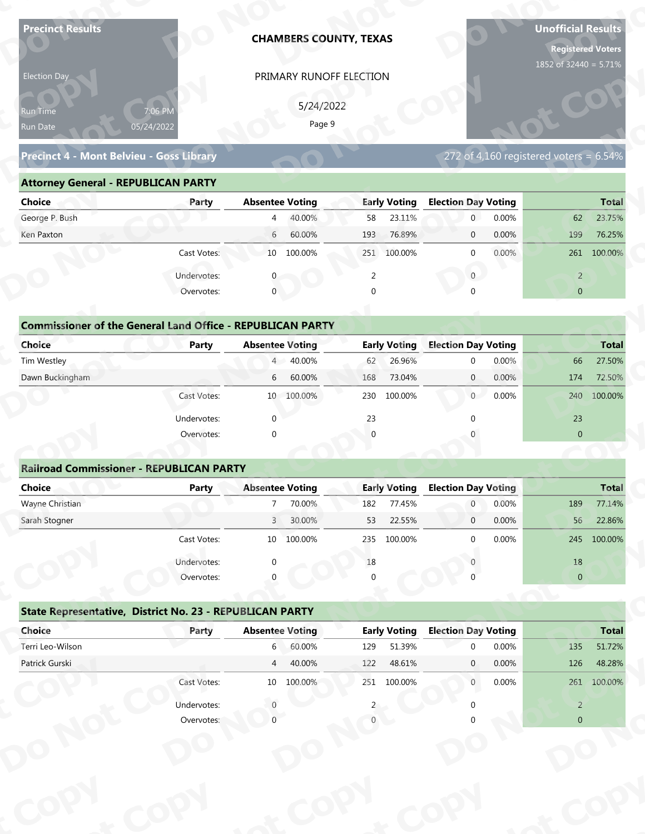| <b>Precinct Results</b>                                           |              |                        |                     | <b>CHAMBERS COUNTY, TEXAS</b> |                     |                            |       | <b>Unofficial Results</b><br><b>Registered Voters</b><br>1852 of 32440 = 5.71% |              |
|-------------------------------------------------------------------|--------------|------------------------|---------------------|-------------------------------|---------------------|----------------------------|-------|--------------------------------------------------------------------------------|--------------|
| Election Day                                                      |              |                        |                     | PRIMARY RUNOFF ELECTION       |                     |                            |       |                                                                                |              |
|                                                                   |              |                        |                     |                               |                     |                            |       |                                                                                |              |
| Run Time                                                          | 7:06 PM      |                        | 5/24/2022<br>Page 9 |                               |                     |                            |       |                                                                                |              |
| Run Date                                                          | 05/24/2022   |                        |                     |                               |                     |                            |       |                                                                                |              |
| Precinct 4 - Mont Belvieu - Goss Library                          |              |                        |                     |                               |                     |                            |       | 272 of 4,160 registered voters = $6.54\%$                                      |              |
| <b>Attorney General - REPUBLICAN PARTY</b>                        |              |                        |                     |                               |                     |                            |       |                                                                                |              |
| <b>Choice</b>                                                     | Party        | <b>Absentee Voting</b> |                     |                               | <b>Early Voting</b> | <b>Election Day Voting</b> |       |                                                                                | <b>Total</b> |
| George P. Bush                                                    |              | $\overline{4}$         | 40.00%              | 58                            | 23.11%              | $\mathbf 0$                | 0.00% | 62                                                                             | 23.75%       |
| Ken Paxton                                                        |              | 6                      | 60.00%              | 193                           | 76.89%              | $\mathbf 0$                | 0.00% | 199                                                                            | 76.25%       |
|                                                                   | Cast Votes:  |                        | 10 100.00%          |                               | 251 100.00%         | $\mathbf 0$                | 0.00% |                                                                                | 261 100.00%  |
|                                                                   | Undervotes:  |                        |                     | 2                             |                     | $\overline{0}$             |       | $\overline{2}$                                                                 |              |
|                                                                   | Overvotes:   | $\mathbf{0}$           |                     | $\Omega$                      |                     |                            |       | $\overline{0}$                                                                 |              |
|                                                                   |              |                        |                     |                               |                     |                            |       |                                                                                |              |
| <b>Commissioner of the General Land Office - REPUBLICAN PARTY</b> |              |                        |                     |                               |                     |                            |       |                                                                                |              |
| <b>Choice</b>                                                     | <b>Party</b> | <b>Absentee Voting</b> |                     |                               | <b>Early Voting</b> | <b>Election Day Voting</b> |       |                                                                                | <b>Total</b> |
| Tim Westley                                                       |              | $4 -$                  | 40.00%              | 62                            | 26.96%              | $\mathbf 0$                | 0.00% | 66                                                                             | 27.50%       |
| Dawn Buckingham                                                   |              | 6                      | 60.00%              | 168                           | 73.04%              | $\overline{0}$             | 0.00% | 174                                                                            | 72.50%       |
|                                                                   | Cast Votes:  |                        | 10 100.00%          |                               | 230 100.00%         | 0                          | 0.00% | 240                                                                            | 100.00%      |
|                                                                   | Undervotes:  | $\Omega$               |                     | 23                            |                     | $\Omega$                   |       | 23                                                                             |              |
|                                                                   | Overvotes:   | $\Omega$               |                     |                               |                     |                            |       | $\overline{0}$                                                                 |              |
|                                                                   |              |                        |                     |                               |                     |                            |       |                                                                                |              |
| <b>Railroad Commissioner - REPUBLICAN PARTY</b>                   |              |                        |                     |                               |                     |                            |       |                                                                                |              |
| <b>Choice</b>                                                     | <b>Party</b> | <b>Absentee Voting</b> |                     |                               | <b>Early Voting</b> | <b>Election Day Voting</b> |       |                                                                                | <b>Total</b> |
| Wayne Christian                                                   |              | $7^{\circ}$            | 70.00%              | 182                           | 77.45%              | $\overline{0}$             | 0.00% | 189                                                                            | 77.14%       |
| Sarah Stogner                                                     |              | 3 <sup>1</sup>         | 30.00%              | 53                            | 22.55%              | $\overline{0}$             | 0.00% | 56                                                                             | 22.86%       |
|                                                                   | Cast Votes:  |                        | 10 100.00%          | 235                           | 100.00%             | $\Omega$                   | 0.00% |                                                                                | 245 100.00%  |
|                                                                   | Undervotes:  |                        |                     | 18                            |                     |                            |       | 18                                                                             |              |
|                                                                   | Overvotes:   |                        |                     |                               |                     |                            |       | $\overline{0}$                                                                 |              |
|                                                                   |              |                        |                     |                               |                     |                            |       |                                                                                |              |
| State Representative, District No. 23 - REPUBLICAN PARTY          |              |                        |                     |                               |                     |                            |       |                                                                                |              |
| Choice                                                            | Party        | <b>Absentee Voting</b> |                     |                               | <b>Early Voting</b> | <b>Election Day Voting</b> |       |                                                                                | <b>Total</b> |
| Terri Leo-Wilson                                                  |              | $6\degree$             | 60.00%              | 129                           | 51.39%              | <sup>0</sup>               | 0.00% | 135                                                                            | 51.72%       |
| Patrick Gurski                                                    |              | $\overline{4}$         | 40.00%              | 122                           | 48.61%              | $\mathbf{0}$               | 0.00% | 126                                                                            | 48.28%       |
|                                                                   | Cast Votes:  |                        | 10 100.00%          |                               | 251 100.00%         | $\overline{0}$             | 0.00% |                                                                                | 261 100.00%  |
|                                                                   | Undervotes:  |                        |                     |                               |                     |                            |       | $\overline{2}$                                                                 |              |
|                                                                   | Overvotes:   |                        |                     |                               |                     |                            |       | $\Omega$                                                                       |              |
|                                                                   |              |                        |                     |                               |                     |                            |       |                                                                                |              |
|                                                                   |              |                        |                     |                               |                     |                            |       |                                                                                |              |

| 5/24/2022<br>7:06 PM<br>Run Time<br>Page 9<br>05/24/2022<br>Run Date<br>272 of 4,160 registered voters = $6.54\%$<br>Precinct 4 - Mont Belvieu - Goss Library |
|---------------------------------------------------------------------------------------------------------------------------------------------------------------|
|                                                                                                                                                               |
|                                                                                                                                                               |
| <b>Attorney General - REPUBLICAN PARTY</b>                                                                                                                    |
| <b>Early Voting</b><br><b>Election Day Voting</b><br>Choice<br><b>Absentee Voting</b><br><b>Total</b><br>Party                                                |
| George P. Bush<br>40.00%<br>23.11%<br>0.00%<br>23.75%<br>58<br>$\overline{0}$<br>62<br>$\overline{4}$                                                         |
| 60.00%<br>76.89%<br>0.00%<br>76.25%<br>Ken Paxton<br>$6\overline{6}$<br>193<br>199<br>$\overline{0}$                                                          |
| 0.00%<br>Cast Votes:<br>10 100.00%<br>251 100.00%<br>261 100.00%<br>$\Omega$                                                                                  |
| Undervotes:<br>$\overline{0}$<br>2<br>$\overline{2}$                                                                                                          |
| $\mathbf{0}$<br>Overvotes:<br>$\Omega$<br>$\overline{0}$                                                                                                      |
|                                                                                                                                                               |
| <b>Commissioner of the General Land Office - REPUBLICAN PARTY</b>                                                                                             |
| Choice<br><b>Early Voting</b><br><b>Election Day Voting</b><br><b>Absentee Voting</b><br><b>Total</b><br>Party                                                |
| 4 40.00%<br>0.00%<br>Tim Westley<br>26.96%<br>66<br>27.50%<br>62<br>$\Omega$                                                                                  |
| Dawn Buckingham<br>60.00%<br>73.04%<br>0.00%<br>174<br>72.50%<br>6<br>168<br>$\overline{0}$                                                                   |
| 0<br>0.00%<br>100.00%<br>10 100.00%<br>230<br>100.00%<br>Cast Votes:<br>240                                                                                   |

| <b>Choice</b>                                                     | Party       | <b>Absentee Voting</b>     | <b>Early Voting</b> | <b>Election Day Voting</b> | <b>Total</b>        |
|-------------------------------------------------------------------|-------------|----------------------------|---------------------|----------------------------|---------------------|
| George P. Bush                                                    |             | 40.00%<br>4                | 23.11%<br>58        | 0.00%<br>$\mathbf{0}$      | 23.75%<br>62        |
| Ken Paxton                                                        |             | 60.00%<br>6                | 76.89%<br>193       | 0.00%<br>$\mathbf 0$       | 76.25%<br>199       |
|                                                                   | Cast Votes: | 100.00%<br>10              | 251 100.00%         | 0.00%<br>$\mathbf 0$       | 100.00%<br>261      |
|                                                                   | Undervotes: |                            | $\overline{2}$      | $\mathbf{0}$               | $\overline{2}$      |
|                                                                   | Overvotes:  | $\mathbf{0}$               | 0                   | $\Omega$                   | $\overline{0}$      |
| <b>Commissioner of the General Land Office - REPUBLICAN PARTY</b> |             |                            |                     |                            |                     |
| Choice                                                            | Party       | <b>Absentee Voting</b>     | <b>Early Voting</b> | <b>Election Day Voting</b> | <b>Total</b>        |
| Tim Westley                                                       |             | 4 40.00%                   | 26.96%<br>62        | 0.00%<br>$\mathbf{0}$      | 27.50%<br>66        |
| Dawn Buckingham                                                   |             | 60.00%<br>6                | 73.04%<br>168       | $\overline{0}$<br>0.00%    | 72.50%<br>174       |
|                                                                   | Cast Votes: | 100.00%<br>10 <sup>°</sup> | 230<br>100.00%      | 0.00%<br>$\overline{0}$    | 240 100.00%         |
|                                                                   | Undervotes: | $\mathbf{0}$               | 23                  |                            | 23                  |
|                                                                   | Overvotes:  | $\mathbf{0}$               | $\overline{0}$      |                            | $\mathbf{0}$        |
|                                                                   |             |                            |                     |                            |                     |
| <b>Railroad Commissioner - REPUBLICAN PARTY</b>                   |             |                            |                     |                            |                     |
| Choice                                                            | Party       | <b>Absentee Voting</b>     | <b>Early Voting</b> | <b>Election Day Voting</b> | <b>Total</b>        |
| Wayne Christian                                                   |             | 70.00%                     | 77.45%<br>182       | 0.00%<br>$\overline{0}$    | 77.14%<br>189       |
| Carole Champan                                                    |             | 20.000<br>$\sqrt{ }$       | 22 FFA<br>гэ.       | 0.0001<br>$\sim$           | 22000<br>$\Gamma C$ |

| Precinct Results                                                  |                       | <b>CHAMBERS COUNTY, TEXAS</b>                  |                                     |                                                    | Unofficial Results<br><b>Registered Voters</b><br>1852 of 32440 = 5.71% |
|-------------------------------------------------------------------|-----------------------|------------------------------------------------|-------------------------------------|----------------------------------------------------|-------------------------------------------------------------------------|
| Election Day<br>kun Tim <u>e </u><br>Run Date                     | 7:06 PM<br>05/24/2022 | PRIMARY RUNOFF ELECTION<br>5/24/2022<br>Page 9 |                                     |                                                    |                                                                         |
| <b>Precinct 4 - Mont Belvieu - Goss Library</b>                   |                       |                                                |                                     |                                                    | 272 of 4,160 registered voters = $6.54\%$                               |
| <b>Attorney General - REPUBLICAN PARTY</b>                        |                       |                                                |                                     |                                                    |                                                                         |
| <b>Choice</b>                                                     | Party                 | <b>Absentee Voting</b>                         | <b>Early Voting</b>                 | <b>Election Day Voting</b>                         | <b>Total</b>                                                            |
| George P. Bush                                                    |                       | 40.00%<br>$\overline{4}$                       | 23.11%<br>58                        | 0.00%<br>$\overline{0}$                            | 23.75%<br>62                                                            |
| Ken Paxton                                                        |                       | 6<br>60.00%                                    | 76.89%<br>193                       | 0.00%<br>$\mathbf 0$                               | 199<br>76.25%                                                           |
|                                                                   | Cast Votes:           | 10 100.00%                                     | 251 100.00%                         | 0.00%<br>$\mathbf{0}$                              | 261 100.00%                                                             |
|                                                                   | Undervotes:           |                                                | 2                                   | $\mathbf{0}$                                       | $\overline{2}$                                                          |
|                                                                   | Overvotes:            | $\mathbf 0$                                    | $\Omega$                            |                                                    | $\overline{0}$                                                          |
|                                                                   |                       |                                                |                                     |                                                    |                                                                         |
| <b>Commissioner of the General Land Office - REPUBLICAN PARTY</b> |                       |                                                |                                     |                                                    |                                                                         |
| <b>Choice</b><br>Tim Westley                                      | <b>Party</b>          | <b>Absentee Voting</b><br>40.00%<br>$4 -$      | <b>Early Voting</b><br>26.96%<br>62 | <b>Election Day Voting</b><br>0.00%<br>$\mathbf 0$ | <b>Total</b><br>27.50%<br>66                                            |
| Dawn Buckingham                                                   |                       | 60.00%<br>6                                    | 73.04%<br>168                       | 0.00%<br>$\mathbf{0}$                              | 72.50%<br>174                                                           |
|                                                                   | Cast Votes:           |                                                | 100.00%                             | 0.00%                                              |                                                                         |
|                                                                   |                       | 10 100.00%                                     | 230                                 | $\overline{0}$                                     | 240 100.00%                                                             |
|                                                                   | Undervotes:           | $\Omega$                                       | 23                                  |                                                    | 23                                                                      |
|                                                                   | Overvotes:            | $\Omega$                                       | $\Omega$                            |                                                    | $\overline{0}$                                                          |
| <b>Railroad Commissioner - REPUBLICAN PARTY</b>                   |                       |                                                |                                     |                                                    |                                                                         |
| <b>Choice</b>                                                     | <b>Party</b>          | <b>Absentee Voting</b>                         | <b>Early Voting</b>                 | <b>Election Day Voting</b>                         | <b>Total</b>                                                            |
| Wayne Christian                                                   |                       | 70.00%                                         | 182<br>77.45%                       | $\boldsymbol{0}$<br>0.00%                          | 189<br>77.14%                                                           |
| Sarah Stogner                                                     |                       | $\overline{3}$<br>30.00%                       | 22.55%<br>53                        | 0.00%<br>$\mathbf 0$                               | 56<br>22.86%                                                            |
|                                                                   | Cast Votes:           | 10 100.00%                                     | 235 100.00%                         | 0.00%<br>$\mathbf 0$                               | 245 100.00%                                                             |
|                                                                   | Undervotes:           | $\Omega$                                       | 18                                  |                                                    | 18                                                                      |
|                                                                   | Overvotes:            |                                                |                                     |                                                    | $\pmb{0}$                                                               |
|                                                                   |                       |                                                |                                     |                                                    |                                                                         |
| State Representative, District No. 23 - REPUBLICAN PARTY          |                       |                                                |                                     |                                                    |                                                                         |
| Choice                                                            | Party                 | <b>Absentee Voting</b>                         | <b>Early Voting</b>                 | <b>Election Day Voting</b>                         | <b>Total</b>                                                            |
| Terri Leo-Wilson                                                  |                       | $6\overline{6}$<br>60.00%                      | 51.39%<br>129                       | 0.00%<br>$\mathbf{0}$                              | 135<br>51.72%                                                           |
| Patrick Gurski                                                    |                       | 40.00%<br>$\overline{4}$                       | 48.61%<br>122                       | 0.00%<br>$\mathbf{0}$                              | 126<br>48.28%                                                           |
|                                                                   | Cast Votes:           | 10 100.00%                                     | 251 100.00%                         | 0.00%<br>$\mathbf{0}$                              | 261 100.00%                                                             |
|                                                                   | Undervotes:           | $\Omega$                                       |                                     |                                                    | $\overline{2}$                                                          |
|                                                                   | Overvotes:            | $\Omega$                                       |                                     |                                                    | $\overline{0}$                                                          |
|                                                                   |                       |                                                |                                     |                                                    |                                                                         |
|                                                                   |                       |                                                |                                     |                                                    |                                                                         |

|                                                          | Cast votes. | TΩ                     | TOO'OO XQ | 253      | TOO'OO NO           |                            | <b>U.UU70</b> |                | Z45 100.00%  |
|----------------------------------------------------------|-------------|------------------------|-----------|----------|---------------------|----------------------------|---------------|----------------|--------------|
|                                                          | Undervotes: | $\Omega$               |           | $18\,$   |                     |                            |               | 18             |              |
|                                                          | Overvotes:  | $\Omega$               |           | $\Omega$ |                     |                            |               | $\overline{0}$ |              |
| State Representative, District No. 23 - REPUBLICAN PARTY |             |                        |           |          |                     |                            |               |                |              |
| Choice                                                   | Party       | <b>Absentee Voting</b> |           |          | <b>Early Voting</b> | <b>Election Day Voting</b> |               |                | <b>Total</b> |
| Terri Leo-Wilson                                         |             | 6                      | 60.00%    | 129      | 51.39%              | $\Omega$                   | 0.00%         | 135            | 51.72%       |
| Patrick Gurski                                           |             | $\overline{4}$         | 40.00%    | 122      | 48.61%              | $\mathbf{0}$               | 0.00%         | 126            | 48.28%       |
|                                                          | Cast Votes: | 10 <sup>°</sup>        | 100.00%   | 251      | 100.00%             | $\mathbf{0}$               | $0.00\%$      | 261            | 100.00%      |
|                                                          | Undervotes: |                        |           |          |                     |                            |               | 2              |              |
|                                                          | Overvotes:  |                        |           |          |                     |                            |               | $\overline{0}$ |              |
|                                                          |             |                        |           |          |                     |                            |               |                |              |
|                                                          |             |                        |           |          |                     |                            |               |                |              |
|                                                          |             |                        |           |          |                     |                            |               |                |              |
|                                                          |             |                        |           |          |                     |                            |               |                |              |
|                                                          |             |                        |           |          |                     |                            |               |                |              |
|                                                          |             |                        |           |          |                     |                            |               |                |              |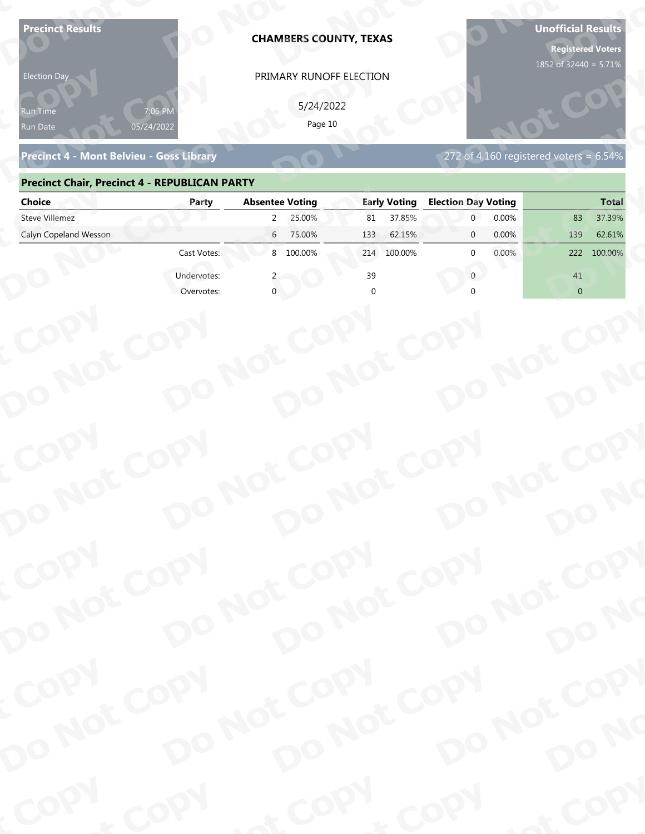| 05/24/2022<br>Run Date<br>272 of 4,160 registered voters = $6.54\%$<br>Precinct 4 - Mont Belvieu - Goss Library<br><b>Precinct Chair, Precinct 4 - REPUBLICAN PARTY</b><br><b>Absentee Voting</b><br><b>Early Voting</b><br><b>Election Day Voting</b><br><b>Choice</b><br>Party<br><b>Steve Villemez</b><br>25.00%<br>37.85%<br>0.00%<br>37.39%<br>$\mathbf{2}$<br>81<br>83<br>Calyn Copeland Wesson<br>0.00%<br>6<br>75.00%<br>133<br>62.15%<br>139<br>62.61%<br>$\mathbf{0}$<br>8 100.00%<br>Cast Votes:<br>100.00%<br>0.00%<br>100.00%<br>214<br>$\mathbf{0}$<br>222<br>Undervotes:<br>39<br>41<br>$\Omega$<br>$\overline{0}$<br>Overvotes:<br>COPY<br>DO NOT COPY<br>DO NOT COPY<br>DO NOT COPY<br>DO NOT COPY<br>DO NO<br>COPY<br>DO NOT COPY<br>DO NOT COPY<br>DO NOT COPY<br>DO NOT COPY<br>DO NO<br>COPY<br>DO NOT COPY<br>DO NOT COPY<br>DO NOT COPY<br>DO NOT COPY<br>DO NO<br>COPY<br>& COPY<br>of COPY | <b>Precinct Results</b><br><b>Election Day</b><br>የun Time | <b>CHAMBERS COUNTY, TEXAS</b><br>PRIMARY RUNOFF ELECTION<br>5/24/2022<br>Page 10 |  | <b>Unofficial Results</b><br><b>Registered Voters</b><br>1852 of 32440 = 5.71% |
|---------------------------------------------------------------------------------------------------------------------------------------------------------------------------------------------------------------------------------------------------------------------------------------------------------------------------------------------------------------------------------------------------------------------------------------------------------------------------------------------------------------------------------------------------------------------------------------------------------------------------------------------------------------------------------------------------------------------------------------------------------------------------------------------------------------------------------------------------------------------------------------------------------------------|------------------------------------------------------------|----------------------------------------------------------------------------------|--|--------------------------------------------------------------------------------|
|                                                                                                                                                                                                                                                                                                                                                                                                                                                                                                                                                                                                                                                                                                                                                                                                                                                                                                                     |                                                            |                                                                                  |  |                                                                                |
|                                                                                                                                                                                                                                                                                                                                                                                                                                                                                                                                                                                                                                                                                                                                                                                                                                                                                                                     |                                                            |                                                                                  |  |                                                                                |
|                                                                                                                                                                                                                                                                                                                                                                                                                                                                                                                                                                                                                                                                                                                                                                                                                                                                                                                     |                                                            |                                                                                  |  | <b>Total</b>                                                                   |
|                                                                                                                                                                                                                                                                                                                                                                                                                                                                                                                                                                                                                                                                                                                                                                                                                                                                                                                     |                                                            |                                                                                  |  |                                                                                |
|                                                                                                                                                                                                                                                                                                                                                                                                                                                                                                                                                                                                                                                                                                                                                                                                                                                                                                                     |                                                            |                                                                                  |  |                                                                                |
|                                                                                                                                                                                                                                                                                                                                                                                                                                                                                                                                                                                                                                                                                                                                                                                                                                                                                                                     |                                                            |                                                                                  |  |                                                                                |
|                                                                                                                                                                                                                                                                                                                                                                                                                                                                                                                                                                                                                                                                                                                                                                                                                                                                                                                     |                                                            |                                                                                  |  |                                                                                |
|                                                                                                                                                                                                                                                                                                                                                                                                                                                                                                                                                                                                                                                                                                                                                                                                                                                                                                                     |                                                            |                                                                                  |  |                                                                                |
|                                                                                                                                                                                                                                                                                                                                                                                                                                                                                                                                                                                                                                                                                                                                                                                                                                                                                                                     |                                                            |                                                                                  |  |                                                                                |
|                                                                                                                                                                                                                                                                                                                                                                                                                                                                                                                                                                                                                                                                                                                                                                                                                                                                                                                     |                                                            |                                                                                  |  |                                                                                |
|                                                                                                                                                                                                                                                                                                                                                                                                                                                                                                                                                                                                                                                                                                                                                                                                                                                                                                                     |                                                            |                                                                                  |  |                                                                                |
|                                                                                                                                                                                                                                                                                                                                                                                                                                                                                                                                                                                                                                                                                                                                                                                                                                                                                                                     |                                                            |                                                                                  |  |                                                                                |

### **Precinct Chair, Precinct 4 - REPUBLICAN PARTY**

| <b>Election Day</b>                                  |             | PRIMARY RUNOFF ELECTION    |                     |                                           |                |
|------------------------------------------------------|-------------|----------------------------|---------------------|-------------------------------------------|----------------|
| Run Time<br>Run Date                                 | 05/24/2022  | 5/24/2022<br>Page 10       |                     |                                           |                |
| <b>Precinct 4 - Mont Belvieu - Goss Library</b>      |             |                            |                     | 272 of 4,160 registered voters = $6.54\%$ |                |
| <b>Precinct Chair, Precinct 4 - REPUBLICAN PARTY</b> |             |                            |                     |                                           |                |
| <b>Choice</b>                                        | Party       | <b>Absentee Voting</b>     | <b>Early Voting</b> | <b>Election Day Voting</b>                | <b>Total</b>   |
| <b>Steve Villemez</b>                                |             | 25.00%<br>$\overline{2}$   | 37.85%<br>81        | 0.00%<br>$\overline{0}$                   | 37.39%<br>83   |
| Calyn Copeland Wesson                                |             | 6 75.00%                   | 62.15%<br>133       | 0.00%<br>$\mathbf{0}$                     | 62.61%<br>139  |
|                                                      | Cast Votes: | 8 100.00%                  | 214 100.00%         | 0.00%<br><sup>0</sup>                     | 222 100.00%    |
|                                                      | Undervotes: |                            | 39                  | $\overline{0}$                            | 41             |
|                                                      | Overvotes:  |                            |                     |                                           | $\overline{0}$ |
|                                                      |             |                            |                     |                                           |                |
|                                                      |             |                            |                     |                                           |                |
|                                                      |             |                            |                     |                                           |                |
|                                                      |             |                            |                     |                                           |                |
|                                                      |             |                            |                     |                                           |                |
|                                                      |             |                            |                     |                                           |                |
|                                                      |             |                            |                     |                                           |                |
|                                                      |             |                            |                     |                                           |                |
|                                                      |             |                            |                     |                                           |                |
|                                                      |             |                            |                     |                                           |                |
|                                                      |             |                            |                     |                                           |                |
|                                                      |             |                            |                     |                                           |                |
| COPY<br>DO NOT COPY                                  |             | DO NOT COPY<br>DO NOT COPY |                     | DO NOT COPY                               |                |
|                                                      |             |                            |                     |                                           |                |
|                                                      |             |                            |                     |                                           | DO NO          |
|                                                      |             |                            |                     |                                           |                |
|                                                      |             |                            |                     |                                           |                |
|                                                      |             |                            |                     |                                           |                |
|                                                      |             |                            |                     |                                           |                |
| COPY                                                 |             |                            |                     |                                           |                |
|                                                      |             |                            |                     |                                           |                |
| DO NOT COPY                                          |             | DO NOT COPY<br>DO NOT COPY |                     | DO NOT COPY                               |                |
|                                                      |             |                            |                     |                                           | DO NO          |
|                                                      |             |                            |                     |                                           |                |
| <b>POO.</b>                                          | <b>LON</b>  |                            | $P_{Q_0}$ .         | <b>Any</b>                                | ·ODW           |
|                                                      |             |                            |                     |                                           |                |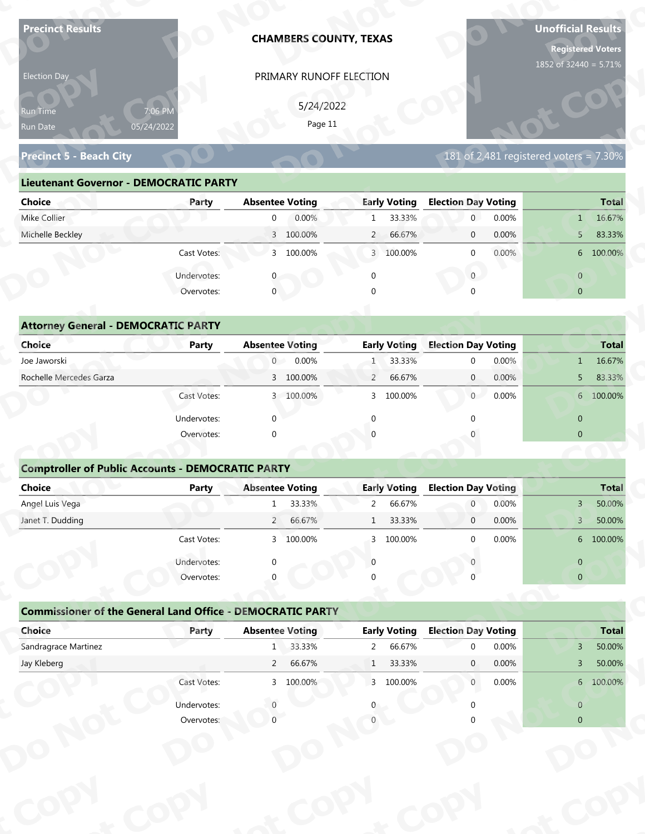| 1852 of 32440 = 5.71%<br>PRIMARY RUNOFF ELECTION<br>Election Day<br>5/24/2022<br>7:06 PM<br>Run Time<br>Page 11<br>05/24/2022<br>Run Date<br>181 of 2,481 registered voters = $7.30\%$<br><b>Precinct 5 - Beach City</b><br><b>Lieutenant Governor - DEMOCRATIC PARTY</b><br><b>Election Day Voting</b><br><b>Absentee Voting</b><br><b>Early Voting</b><br><b>Total</b><br><b>Choice</b><br>Party<br>Mike Collier<br>0.00%<br>33.33%<br>0.00%<br>16.67%<br>$\overline{0}$<br>$\mathbf{1}$<br>$\mathbf{0}$<br>1<br>Michelle Beckley<br>0.00%<br>3 100.00%<br>$\overline{2}$<br>66.67%<br>$\mathbf 0$<br>83.33%<br>5<br>3 100.00%<br>0.00%<br>Cast Votes:<br>3 100.00%<br>$\mathbf 0$<br>6 100.00%<br>Undervotes:<br>$\overline{0}$<br>$\mathbf 0$<br>$\overline{0}$<br>$\overline{0}$<br>$\overline{0}$<br>Overvotes:<br><b>Attorney General - DEMOCRATIC PARTY</b><br><b>Election Day Voting</b><br><b>Choice</b><br><b>Absentee Voting</b><br><b>Early Voting</b><br><b>Total</b><br><b>Party</b><br>$\overline{0}$<br>0.00%<br>33.33%<br>0.00%<br>Joe Jaworski<br>$\mathbf 0$<br>16.67%<br>1<br>$\mathbf{1}$<br>Rochelle Mercedes Garza<br>3 100.00%<br>66.67%<br>0.00%<br>83.33%<br>$\overline{2}$<br>$\overline{0}$<br>5<br>0.00%<br>Cast Votes:<br>3 100.00%<br>3 100.00%<br>$\overline{0}$<br>6 100.00%<br>$\Omega$<br>$\Omega$<br>$\overline{0}$<br>Undervotes:<br>$\Omega$<br>Overvotes:<br>$\Omega$<br>$\overline{0}$<br><b>Comptroller of Public Accounts - DEMOCRATIC PARTY</b><br>Choice<br><b>Absentee Voting</b><br><b>Early Voting</b><br><b>Election Day Voting</b><br><b>Total</b><br>Party |
|---------------------------------------------------------------------------------------------------------------------------------------------------------------------------------------------------------------------------------------------------------------------------------------------------------------------------------------------------------------------------------------------------------------------------------------------------------------------------------------------------------------------------------------------------------------------------------------------------------------------------------------------------------------------------------------------------------------------------------------------------------------------------------------------------------------------------------------------------------------------------------------------------------------------------------------------------------------------------------------------------------------------------------------------------------------------------------------------------------------------------------------------------------------------------------------------------------------------------------------------------------------------------------------------------------------------------------------------------------------------------------------------------------------------------------------------------------------------------------------------------------------------------------------------------------------------------------------------------------------|
|                                                                                                                                                                                                                                                                                                                                                                                                                                                                                                                                                                                                                                                                                                                                                                                                                                                                                                                                                                                                                                                                                                                                                                                                                                                                                                                                                                                                                                                                                                                                                                                                               |
|                                                                                                                                                                                                                                                                                                                                                                                                                                                                                                                                                                                                                                                                                                                                                                                                                                                                                                                                                                                                                                                                                                                                                                                                                                                                                                                                                                                                                                                                                                                                                                                                               |
|                                                                                                                                                                                                                                                                                                                                                                                                                                                                                                                                                                                                                                                                                                                                                                                                                                                                                                                                                                                                                                                                                                                                                                                                                                                                                                                                                                                                                                                                                                                                                                                                               |
|                                                                                                                                                                                                                                                                                                                                                                                                                                                                                                                                                                                                                                                                                                                                                                                                                                                                                                                                                                                                                                                                                                                                                                                                                                                                                                                                                                                                                                                                                                                                                                                                               |
|                                                                                                                                                                                                                                                                                                                                                                                                                                                                                                                                                                                                                                                                                                                                                                                                                                                                                                                                                                                                                                                                                                                                                                                                                                                                                                                                                                                                                                                                                                                                                                                                               |
|                                                                                                                                                                                                                                                                                                                                                                                                                                                                                                                                                                                                                                                                                                                                                                                                                                                                                                                                                                                                                                                                                                                                                                                                                                                                                                                                                                                                                                                                                                                                                                                                               |
|                                                                                                                                                                                                                                                                                                                                                                                                                                                                                                                                                                                                                                                                                                                                                                                                                                                                                                                                                                                                                                                                                                                                                                                                                                                                                                                                                                                                                                                                                                                                                                                                               |
|                                                                                                                                                                                                                                                                                                                                                                                                                                                                                                                                                                                                                                                                                                                                                                                                                                                                                                                                                                                                                                                                                                                                                                                                                                                                                                                                                                                                                                                                                                                                                                                                               |
|                                                                                                                                                                                                                                                                                                                                                                                                                                                                                                                                                                                                                                                                                                                                                                                                                                                                                                                                                                                                                                                                                                                                                                                                                                                                                                                                                                                                                                                                                                                                                                                                               |
|                                                                                                                                                                                                                                                                                                                                                                                                                                                                                                                                                                                                                                                                                                                                                                                                                                                                                                                                                                                                                                                                                                                                                                                                                                                                                                                                                                                                                                                                                                                                                                                                               |
|                                                                                                                                                                                                                                                                                                                                                                                                                                                                                                                                                                                                                                                                                                                                                                                                                                                                                                                                                                                                                                                                                                                                                                                                                                                                                                                                                                                                                                                                                                                                                                                                               |
|                                                                                                                                                                                                                                                                                                                                                                                                                                                                                                                                                                                                                                                                                                                                                                                                                                                                                                                                                                                                                                                                                                                                                                                                                                                                                                                                                                                                                                                                                                                                                                                                               |
|                                                                                                                                                                                                                                                                                                                                                                                                                                                                                                                                                                                                                                                                                                                                                                                                                                                                                                                                                                                                                                                                                                                                                                                                                                                                                                                                                                                                                                                                                                                                                                                                               |
|                                                                                                                                                                                                                                                                                                                                                                                                                                                                                                                                                                                                                                                                                                                                                                                                                                                                                                                                                                                                                                                                                                                                                                                                                                                                                                                                                                                                                                                                                                                                                                                                               |
|                                                                                                                                                                                                                                                                                                                                                                                                                                                                                                                                                                                                                                                                                                                                                                                                                                                                                                                                                                                                                                                                                                                                                                                                                                                                                                                                                                                                                                                                                                                                                                                                               |
|                                                                                                                                                                                                                                                                                                                                                                                                                                                                                                                                                                                                                                                                                                                                                                                                                                                                                                                                                                                                                                                                                                                                                                                                                                                                                                                                                                                                                                                                                                                                                                                                               |
|                                                                                                                                                                                                                                                                                                                                                                                                                                                                                                                                                                                                                                                                                                                                                                                                                                                                                                                                                                                                                                                                                                                                                                                                                                                                                                                                                                                                                                                                                                                                                                                                               |
|                                                                                                                                                                                                                                                                                                                                                                                                                                                                                                                                                                                                                                                                                                                                                                                                                                                                                                                                                                                                                                                                                                                                                                                                                                                                                                                                                                                                                                                                                                                                                                                                               |
|                                                                                                                                                                                                                                                                                                                                                                                                                                                                                                                                                                                                                                                                                                                                                                                                                                                                                                                                                                                                                                                                                                                                                                                                                                                                                                                                                                                                                                                                                                                                                                                                               |
|                                                                                                                                                                                                                                                                                                                                                                                                                                                                                                                                                                                                                                                                                                                                                                                                                                                                                                                                                                                                                                                                                                                                                                                                                                                                                                                                                                                                                                                                                                                                                                                                               |
|                                                                                                                                                                                                                                                                                                                                                                                                                                                                                                                                                                                                                                                                                                                                                                                                                                                                                                                                                                                                                                                                                                                                                                                                                                                                                                                                                                                                                                                                                                                                                                                                               |
|                                                                                                                                                                                                                                                                                                                                                                                                                                                                                                                                                                                                                                                                                                                                                                                                                                                                                                                                                                                                                                                                                                                                                                                                                                                                                                                                                                                                                                                                                                                                                                                                               |
|                                                                                                                                                                                                                                                                                                                                                                                                                                                                                                                                                                                                                                                                                                                                                                                                                                                                                                                                                                                                                                                                                                                                                                                                                                                                                                                                                                                                                                                                                                                                                                                                               |
| Angel Luis Vega<br>50.00%<br>33.33%<br>$\overline{2}$<br>66.67%<br>0.00%<br>$3 -$<br>1<br>$\overline{0}$                                                                                                                                                                                                                                                                                                                                                                                                                                                                                                                                                                                                                                                                                                                                                                                                                                                                                                                                                                                                                                                                                                                                                                                                                                                                                                                                                                                                                                                                                                      |
| Janet T. Dudding<br>$2^{\prime}$<br>66.67%<br>33.33%<br>0.00%<br>$\overline{0}$<br>50.00%<br>1<br>3 <sup>7</sup>                                                                                                                                                                                                                                                                                                                                                                                                                                                                                                                                                                                                                                                                                                                                                                                                                                                                                                                                                                                                                                                                                                                                                                                                                                                                                                                                                                                                                                                                                              |
| Cast Votes:<br>3 100.00%<br>100.00%<br>0.00%<br>6 100.00%<br>$\mathbf{3}$<br>$\Omega$                                                                                                                                                                                                                                                                                                                                                                                                                                                                                                                                                                                                                                                                                                                                                                                                                                                                                                                                                                                                                                                                                                                                                                                                                                                                                                                                                                                                                                                                                                                         |
| Undervotes:<br>$\overline{0}$<br>$\Omega$<br>$\Omega$                                                                                                                                                                                                                                                                                                                                                                                                                                                                                                                                                                                                                                                                                                                                                                                                                                                                                                                                                                                                                                                                                                                                                                                                                                                                                                                                                                                                                                                                                                                                                         |
| Overvotes:<br>$\overline{0}$                                                                                                                                                                                                                                                                                                                                                                                                                                                                                                                                                                                                                                                                                                                                                                                                                                                                                                                                                                                                                                                                                                                                                                                                                                                                                                                                                                                                                                                                                                                                                                                  |
| <b>Commissioner of the General Land Office - DEMOCRATIC PARTY</b>                                                                                                                                                                                                                                                                                                                                                                                                                                                                                                                                                                                                                                                                                                                                                                                                                                                                                                                                                                                                                                                                                                                                                                                                                                                                                                                                                                                                                                                                                                                                             |
| Choice<br><b>Early Voting</b><br><b>Election Day Voting</b><br>Party<br><b>Absentee Voting</b><br><b>Total</b>                                                                                                                                                                                                                                                                                                                                                                                                                                                                                                                                                                                                                                                                                                                                                                                                                                                                                                                                                                                                                                                                                                                                                                                                                                                                                                                                                                                                                                                                                                |
| Sandragrace Martinez<br>1 33.33%<br>66.67%<br>0.00%<br>50.00%<br>$\mathbf{3}$<br>$\overline{2}$<br>$\Omega$                                                                                                                                                                                                                                                                                                                                                                                                                                                                                                                                                                                                                                                                                                                                                                                                                                                                                                                                                                                                                                                                                                                                                                                                                                                                                                                                                                                                                                                                                                   |
| Jay Kleberg<br>$2^{\circ}$<br>66.67%<br>33.33%<br>0.00%<br>50.00%<br>$\mathbf{1}$<br>$\mathbf{0}$<br>$\overline{3}$                                                                                                                                                                                                                                                                                                                                                                                                                                                                                                                                                                                                                                                                                                                                                                                                                                                                                                                                                                                                                                                                                                                                                                                                                                                                                                                                                                                                                                                                                           |
| 3 100.00%<br>0.00%<br>Cast Votes:<br>3 100.00%<br>$\overline{0}$<br>6 100.00%                                                                                                                                                                                                                                                                                                                                                                                                                                                                                                                                                                                                                                                                                                                                                                                                                                                                                                                                                                                                                                                                                                                                                                                                                                                                                                                                                                                                                                                                                                                                 |
| Undervotes:<br>$\overline{0}$                                                                                                                                                                                                                                                                                                                                                                                                                                                                                                                                                                                                                                                                                                                                                                                                                                                                                                                                                                                                                                                                                                                                                                                                                                                                                                                                                                                                                                                                                                                                                                                 |
| Overvotes:<br>$\overline{0}$                                                                                                                                                                                                                                                                                                                                                                                                                                                                                                                                                                                                                                                                                                                                                                                                                                                                                                                                                                                                                                                                                                                                                                                                                                                                                                                                                                                                                                                                                                                                                                                  |

| Election Day                                  |                       | PRIMARY RUNOFF ELECTION |                          |                                        |                          |
|-----------------------------------------------|-----------------------|-------------------------|--------------------------|----------------------------------------|--------------------------|
| <b>Run Time</b><br>Run Date                   | 7:06 PM<br>05/24/2022 | 5/24/2022<br>Page 11    |                          |                                        |                          |
| <b>Precinct 5 - Beach City</b>                |                       |                         |                          | 181 of 2,481 registered voters = 7.30% |                          |
| <b>Lieutenant Governor - DEMOCRATIC PARTY</b> |                       |                         |                          |                                        |                          |
| <b>Choice</b>                                 | Party                 | <b>Absentee Voting</b>  | <b>Early Voting</b>      | <b>Election Day Voting</b>             | <b>Total</b>             |
| Mike Collier                                  |                       | 0.00%<br>$\overline{0}$ | 33.33%<br>$\mathbf{1}$   | 0.00%<br>$\overline{0}$                | 16.67%<br>$\mathbf{1}$   |
| Michelle Beckley                              |                       | 3 100.00%               | 2 66.67%                 | 0.00%<br>$\overline{0}$                | 83.33%<br>5 <sup>7</sup> |
|                                               | Cast Votes:           | 3 100.00%               | 3 100.00%                | $0.00\%$<br>$\Omega$                   | 6 100.00%                |
|                                               | Undervotes:           |                         |                          | $\overline{0}$                         | $\overline{0}$           |
|                                               | Overvotes:            | $\mathbf 0$             | $\Omega$                 |                                        | $\overline{0}$           |
|                                               |                       |                         |                          |                                        |                          |
| <b>Attorney General - DEMOCRATIC PARTY</b>    |                       |                         |                          |                                        |                          |
| <b>Choice</b>                                 | <b>Party</b>          | <b>Absentee Voting</b>  | <b>Early Voting</b>      | <b>Election Day Voting</b>             | <b>Total</b>             |
| Joe Jaworski                                  |                       | 0.00%<br>$\overline{0}$ | 33.33%                   | 0.00%<br>$\Omega$                      | 16.67%<br>$\mathbf{1}$   |
| Rochelle Mercedes Garza                       |                       | 3 100.00%               | 66.67%<br>$\overline{2}$ | $\overline{0}$<br>0.00%                | 83.33%<br>5 <sup>1</sup> |
|                                               | Cast Votes:           | 3 100.00%               | 100.00%<br>3             | $\overline{0}$<br>0.00%                | 6 100.00%                |
|                                               |                       |                         |                          |                                        |                          |

| 5/24/2022<br>7:06 PM<br>Run Time<br>Page 11<br>05/24/2022<br>Run Date<br>181 of 2,481 registered voters = $7.30\%$<br><b>Precinct 5 - Beach City</b><br><b>Lieutenant Governor - DEMOCRATIC PARTY</b><br><b>Absentee Voting</b><br><b>Early Voting</b><br><b>Election Day Voting</b><br><b>Choice</b><br>Party<br>Mike Collier<br>$\mathbf 0$<br>0.00%<br>33.33%<br>$\overline{0}$<br>0.00%<br>$\mathbf{1}$<br>1<br>Michelle Beckley<br>3 100.00%<br>66.67%<br>0.00%<br>$\overline{2}$<br>$\mathbf 0$<br>5 <sup>7</sup><br>Cast Votes:<br>3 100.00%<br>3 100.00%<br>0.00%<br>$\mathbf{0}$<br>$\overline{0}$<br>Undervotes:<br>$\overline{0}$<br>$\mathbf 0$<br>0<br>Overvotes:<br>$\mathbf{0}$<br>$\overline{0}$<br><b>Attorney General - DEMOCRATIC PARTY</b><br><b>Early Voting</b><br><b>Election Day Voting</b><br>Choice<br><b>Absentee Voting</b><br>Party<br>Joe Jaworski<br>0.00%<br>33.33%<br>0.00%<br>$\overline{0}$<br>1<br>$\mathbf 0$<br>$\mathbf{1}$<br>Rochelle Mercedes Garza<br>3 100.00%<br>66.67%<br>0.00%<br>$\overline{2}$<br>$\mathbf{0}$<br>5<br>Cast Votes:<br>3 100.00%<br>100.00%<br>$\overline{0}$<br>0.00%<br>3<br>Undervotes:<br>$\Omega$<br>$\overline{0}$<br>∩<br>$\overline{0}$<br>Overvotes:<br>$\Omega$<br><b>Comptroller of Public Accounts - DEMOCRATIC PARTY</b><br><b>Choice</b><br><b>Absentee Voting</b><br><b>Early Voting</b><br><b>Election Day Voting</b><br><b>Total</b><br><b>Party</b><br>66.67%<br>Angel Luis Vega<br>33.33%<br>0.00%<br>50.00%<br>$\overline{0}$<br>$\mathbf{3}$<br>2<br>$\mathbf{1}$<br>66.67%<br>33.33%<br>0.00%<br>Janet T. Dudding<br>$2^{\circ}$<br>$\mathbf{1}$<br>$\mathbf 0$<br>$\mathsf{3}$<br>0.00%<br>Cast Votes:<br>3 100.00%<br>3 100.00%<br>$\Omega$<br>Undervotes:<br>$\overline{0}$<br>Overvotes:<br>$\overline{0}$<br><b>Commissioner of the General Land Office - DEMOCRATIC PARTY</b><br>Choice<br><b>Absentee Voting</b><br><b>Early Voting</b><br><b>Election Day Voting</b><br>Party<br>Sandragrace Martinez<br>2 66.67%<br>1 33.33%<br>0.00%<br>3 <sup>7</sup><br>$\Omega$<br>66.67%<br>33.33%<br>Jay Kleberg<br>$2^{\circ}$<br>1<br>0.00%<br>$\mathbf{0}$<br>3 <sup>7</sup><br>Cast Votes:<br>3 100.00%<br>3 100.00%<br>0.00%<br>$\overline{0}$<br>Undervotes:<br>$\overline{0}$<br>$\overline{0}$ | Election Day |            | PRIMARY RUNOFF ELECTION |  |              |
|---------------------------------------------------------------------------------------------------------------------------------------------------------------------------------------------------------------------------------------------------------------------------------------------------------------------------------------------------------------------------------------------------------------------------------------------------------------------------------------------------------------------------------------------------------------------------------------------------------------------------------------------------------------------------------------------------------------------------------------------------------------------------------------------------------------------------------------------------------------------------------------------------------------------------------------------------------------------------------------------------------------------------------------------------------------------------------------------------------------------------------------------------------------------------------------------------------------------------------------------------------------------------------------------------------------------------------------------------------------------------------------------------------------------------------------------------------------------------------------------------------------------------------------------------------------------------------------------------------------------------------------------------------------------------------------------------------------------------------------------------------------------------------------------------------------------------------------------------------------------------------------------------------------------------------------------------------------------------------------------------------------------------------------------------------------------------------------------------------------------------------------------------------------------------------------------------------------------------------------------------------------------------------------------|--------------|------------|-------------------------|--|--------------|
|                                                                                                                                                                                                                                                                                                                                                                                                                                                                                                                                                                                                                                                                                                                                                                                                                                                                                                                                                                                                                                                                                                                                                                                                                                                                                                                                                                                                                                                                                                                                                                                                                                                                                                                                                                                                                                                                                                                                                                                                                                                                                                                                                                                                                                                                                             |              |            |                         |  |              |
|                                                                                                                                                                                                                                                                                                                                                                                                                                                                                                                                                                                                                                                                                                                                                                                                                                                                                                                                                                                                                                                                                                                                                                                                                                                                                                                                                                                                                                                                                                                                                                                                                                                                                                                                                                                                                                                                                                                                                                                                                                                                                                                                                                                                                                                                                             |              |            |                         |  |              |
|                                                                                                                                                                                                                                                                                                                                                                                                                                                                                                                                                                                                                                                                                                                                                                                                                                                                                                                                                                                                                                                                                                                                                                                                                                                                                                                                                                                                                                                                                                                                                                                                                                                                                                                                                                                                                                                                                                                                                                                                                                                                                                                                                                                                                                                                                             |              |            |                         |  |              |
|                                                                                                                                                                                                                                                                                                                                                                                                                                                                                                                                                                                                                                                                                                                                                                                                                                                                                                                                                                                                                                                                                                                                                                                                                                                                                                                                                                                                                                                                                                                                                                                                                                                                                                                                                                                                                                                                                                                                                                                                                                                                                                                                                                                                                                                                                             |              |            |                         |  |              |
|                                                                                                                                                                                                                                                                                                                                                                                                                                                                                                                                                                                                                                                                                                                                                                                                                                                                                                                                                                                                                                                                                                                                                                                                                                                                                                                                                                                                                                                                                                                                                                                                                                                                                                                                                                                                                                                                                                                                                                                                                                                                                                                                                                                                                                                                                             |              |            |                         |  |              |
|                                                                                                                                                                                                                                                                                                                                                                                                                                                                                                                                                                                                                                                                                                                                                                                                                                                                                                                                                                                                                                                                                                                                                                                                                                                                                                                                                                                                                                                                                                                                                                                                                                                                                                                                                                                                                                                                                                                                                                                                                                                                                                                                                                                                                                                                                             |              |            |                         |  | <b>Total</b> |
|                                                                                                                                                                                                                                                                                                                                                                                                                                                                                                                                                                                                                                                                                                                                                                                                                                                                                                                                                                                                                                                                                                                                                                                                                                                                                                                                                                                                                                                                                                                                                                                                                                                                                                                                                                                                                                                                                                                                                                                                                                                                                                                                                                                                                                                                                             |              |            |                         |  | 16.67%       |
|                                                                                                                                                                                                                                                                                                                                                                                                                                                                                                                                                                                                                                                                                                                                                                                                                                                                                                                                                                                                                                                                                                                                                                                                                                                                                                                                                                                                                                                                                                                                                                                                                                                                                                                                                                                                                                                                                                                                                                                                                                                                                                                                                                                                                                                                                             |              |            |                         |  | 83.33%       |
|                                                                                                                                                                                                                                                                                                                                                                                                                                                                                                                                                                                                                                                                                                                                                                                                                                                                                                                                                                                                                                                                                                                                                                                                                                                                                                                                                                                                                                                                                                                                                                                                                                                                                                                                                                                                                                                                                                                                                                                                                                                                                                                                                                                                                                                                                             |              |            |                         |  | 6 100.00%    |
|                                                                                                                                                                                                                                                                                                                                                                                                                                                                                                                                                                                                                                                                                                                                                                                                                                                                                                                                                                                                                                                                                                                                                                                                                                                                                                                                                                                                                                                                                                                                                                                                                                                                                                                                                                                                                                                                                                                                                                                                                                                                                                                                                                                                                                                                                             |              |            |                         |  |              |
|                                                                                                                                                                                                                                                                                                                                                                                                                                                                                                                                                                                                                                                                                                                                                                                                                                                                                                                                                                                                                                                                                                                                                                                                                                                                                                                                                                                                                                                                                                                                                                                                                                                                                                                                                                                                                                                                                                                                                                                                                                                                                                                                                                                                                                                                                             |              |            |                         |  |              |
|                                                                                                                                                                                                                                                                                                                                                                                                                                                                                                                                                                                                                                                                                                                                                                                                                                                                                                                                                                                                                                                                                                                                                                                                                                                                                                                                                                                                                                                                                                                                                                                                                                                                                                                                                                                                                                                                                                                                                                                                                                                                                                                                                                                                                                                                                             |              |            |                         |  |              |
|                                                                                                                                                                                                                                                                                                                                                                                                                                                                                                                                                                                                                                                                                                                                                                                                                                                                                                                                                                                                                                                                                                                                                                                                                                                                                                                                                                                                                                                                                                                                                                                                                                                                                                                                                                                                                                                                                                                                                                                                                                                                                                                                                                                                                                                                                             |              |            |                         |  |              |
|                                                                                                                                                                                                                                                                                                                                                                                                                                                                                                                                                                                                                                                                                                                                                                                                                                                                                                                                                                                                                                                                                                                                                                                                                                                                                                                                                                                                                                                                                                                                                                                                                                                                                                                                                                                                                                                                                                                                                                                                                                                                                                                                                                                                                                                                                             |              |            |                         |  | <b>Total</b> |
|                                                                                                                                                                                                                                                                                                                                                                                                                                                                                                                                                                                                                                                                                                                                                                                                                                                                                                                                                                                                                                                                                                                                                                                                                                                                                                                                                                                                                                                                                                                                                                                                                                                                                                                                                                                                                                                                                                                                                                                                                                                                                                                                                                                                                                                                                             |              |            |                         |  | 16.67%       |
|                                                                                                                                                                                                                                                                                                                                                                                                                                                                                                                                                                                                                                                                                                                                                                                                                                                                                                                                                                                                                                                                                                                                                                                                                                                                                                                                                                                                                                                                                                                                                                                                                                                                                                                                                                                                                                                                                                                                                                                                                                                                                                                                                                                                                                                                                             |              |            |                         |  | 83.33%       |
|                                                                                                                                                                                                                                                                                                                                                                                                                                                                                                                                                                                                                                                                                                                                                                                                                                                                                                                                                                                                                                                                                                                                                                                                                                                                                                                                                                                                                                                                                                                                                                                                                                                                                                                                                                                                                                                                                                                                                                                                                                                                                                                                                                                                                                                                                             |              |            |                         |  | 6 100.00%    |
|                                                                                                                                                                                                                                                                                                                                                                                                                                                                                                                                                                                                                                                                                                                                                                                                                                                                                                                                                                                                                                                                                                                                                                                                                                                                                                                                                                                                                                                                                                                                                                                                                                                                                                                                                                                                                                                                                                                                                                                                                                                                                                                                                                                                                                                                                             |              |            |                         |  |              |
|                                                                                                                                                                                                                                                                                                                                                                                                                                                                                                                                                                                                                                                                                                                                                                                                                                                                                                                                                                                                                                                                                                                                                                                                                                                                                                                                                                                                                                                                                                                                                                                                                                                                                                                                                                                                                                                                                                                                                                                                                                                                                                                                                                                                                                                                                             |              |            |                         |  |              |
|                                                                                                                                                                                                                                                                                                                                                                                                                                                                                                                                                                                                                                                                                                                                                                                                                                                                                                                                                                                                                                                                                                                                                                                                                                                                                                                                                                                                                                                                                                                                                                                                                                                                                                                                                                                                                                                                                                                                                                                                                                                                                                                                                                                                                                                                                             |              |            |                         |  |              |
|                                                                                                                                                                                                                                                                                                                                                                                                                                                                                                                                                                                                                                                                                                                                                                                                                                                                                                                                                                                                                                                                                                                                                                                                                                                                                                                                                                                                                                                                                                                                                                                                                                                                                                                                                                                                                                                                                                                                                                                                                                                                                                                                                                                                                                                                                             |              |            |                         |  |              |
|                                                                                                                                                                                                                                                                                                                                                                                                                                                                                                                                                                                                                                                                                                                                                                                                                                                                                                                                                                                                                                                                                                                                                                                                                                                                                                                                                                                                                                                                                                                                                                                                                                                                                                                                                                                                                                                                                                                                                                                                                                                                                                                                                                                                                                                                                             |              |            |                         |  |              |
|                                                                                                                                                                                                                                                                                                                                                                                                                                                                                                                                                                                                                                                                                                                                                                                                                                                                                                                                                                                                                                                                                                                                                                                                                                                                                                                                                                                                                                                                                                                                                                                                                                                                                                                                                                                                                                                                                                                                                                                                                                                                                                                                                                                                                                                                                             |              |            |                         |  |              |
|                                                                                                                                                                                                                                                                                                                                                                                                                                                                                                                                                                                                                                                                                                                                                                                                                                                                                                                                                                                                                                                                                                                                                                                                                                                                                                                                                                                                                                                                                                                                                                                                                                                                                                                                                                                                                                                                                                                                                                                                                                                                                                                                                                                                                                                                                             |              |            |                         |  | 50.00%       |
|                                                                                                                                                                                                                                                                                                                                                                                                                                                                                                                                                                                                                                                                                                                                                                                                                                                                                                                                                                                                                                                                                                                                                                                                                                                                                                                                                                                                                                                                                                                                                                                                                                                                                                                                                                                                                                                                                                                                                                                                                                                                                                                                                                                                                                                                                             |              |            |                         |  | 6 100.00%    |
|                                                                                                                                                                                                                                                                                                                                                                                                                                                                                                                                                                                                                                                                                                                                                                                                                                                                                                                                                                                                                                                                                                                                                                                                                                                                                                                                                                                                                                                                                                                                                                                                                                                                                                                                                                                                                                                                                                                                                                                                                                                                                                                                                                                                                                                                                             |              |            |                         |  |              |
|                                                                                                                                                                                                                                                                                                                                                                                                                                                                                                                                                                                                                                                                                                                                                                                                                                                                                                                                                                                                                                                                                                                                                                                                                                                                                                                                                                                                                                                                                                                                                                                                                                                                                                                                                                                                                                                                                                                                                                                                                                                                                                                                                                                                                                                                                             |              |            |                         |  |              |
|                                                                                                                                                                                                                                                                                                                                                                                                                                                                                                                                                                                                                                                                                                                                                                                                                                                                                                                                                                                                                                                                                                                                                                                                                                                                                                                                                                                                                                                                                                                                                                                                                                                                                                                                                                                                                                                                                                                                                                                                                                                                                                                                                                                                                                                                                             |              |            |                         |  |              |
|                                                                                                                                                                                                                                                                                                                                                                                                                                                                                                                                                                                                                                                                                                                                                                                                                                                                                                                                                                                                                                                                                                                                                                                                                                                                                                                                                                                                                                                                                                                                                                                                                                                                                                                                                                                                                                                                                                                                                                                                                                                                                                                                                                                                                                                                                             |              |            |                         |  |              |
|                                                                                                                                                                                                                                                                                                                                                                                                                                                                                                                                                                                                                                                                                                                                                                                                                                                                                                                                                                                                                                                                                                                                                                                                                                                                                                                                                                                                                                                                                                                                                                                                                                                                                                                                                                                                                                                                                                                                                                                                                                                                                                                                                                                                                                                                                             |              |            |                         |  | <b>Total</b> |
|                                                                                                                                                                                                                                                                                                                                                                                                                                                                                                                                                                                                                                                                                                                                                                                                                                                                                                                                                                                                                                                                                                                                                                                                                                                                                                                                                                                                                                                                                                                                                                                                                                                                                                                                                                                                                                                                                                                                                                                                                                                                                                                                                                                                                                                                                             |              |            |                         |  | 50.00%       |
|                                                                                                                                                                                                                                                                                                                                                                                                                                                                                                                                                                                                                                                                                                                                                                                                                                                                                                                                                                                                                                                                                                                                                                                                                                                                                                                                                                                                                                                                                                                                                                                                                                                                                                                                                                                                                                                                                                                                                                                                                                                                                                                                                                                                                                                                                             |              |            |                         |  | 50.00%       |
|                                                                                                                                                                                                                                                                                                                                                                                                                                                                                                                                                                                                                                                                                                                                                                                                                                                                                                                                                                                                                                                                                                                                                                                                                                                                                                                                                                                                                                                                                                                                                                                                                                                                                                                                                                                                                                                                                                                                                                                                                                                                                                                                                                                                                                                                                             |              |            |                         |  | 6 100.00%    |
|                                                                                                                                                                                                                                                                                                                                                                                                                                                                                                                                                                                                                                                                                                                                                                                                                                                                                                                                                                                                                                                                                                                                                                                                                                                                                                                                                                                                                                                                                                                                                                                                                                                                                                                                                                                                                                                                                                                                                                                                                                                                                                                                                                                                                                                                                             |              |            |                         |  |              |
|                                                                                                                                                                                                                                                                                                                                                                                                                                                                                                                                                                                                                                                                                                                                                                                                                                                                                                                                                                                                                                                                                                                                                                                                                                                                                                                                                                                                                                                                                                                                                                                                                                                                                                                                                                                                                                                                                                                                                                                                                                                                                                                                                                                                                                                                                             |              | Overvotes: |                         |  |              |
|                                                                                                                                                                                                                                                                                                                                                                                                                                                                                                                                                                                                                                                                                                                                                                                                                                                                                                                                                                                                                                                                                                                                                                                                                                                                                                                                                                                                                                                                                                                                                                                                                                                                                                                                                                                                                                                                                                                                                                                                                                                                                                                                                                                                                                                                                             |              |            |                         |  |              |
|                                                                                                                                                                                                                                                                                                                                                                                                                                                                                                                                                                                                                                                                                                                                                                                                                                                                                                                                                                                                                                                                                                                                                                                                                                                                                                                                                                                                                                                                                                                                                                                                                                                                                                                                                                                                                                                                                                                                                                                                                                                                                                                                                                                                                                                                                             |              |            |                         |  |              |
|                                                                                                                                                                                                                                                                                                                                                                                                                                                                                                                                                                                                                                                                                                                                                                                                                                                                                                                                                                                                                                                                                                                                                                                                                                                                                                                                                                                                                                                                                                                                                                                                                                                                                                                                                                                                                                                                                                                                                                                                                                                                                                                                                                                                                                                                                             |              |            |                         |  |              |
|                                                                                                                                                                                                                                                                                                                                                                                                                                                                                                                                                                                                                                                                                                                                                                                                                                                                                                                                                                                                                                                                                                                                                                                                                                                                                                                                                                                                                                                                                                                                                                                                                                                                                                                                                                                                                                                                                                                                                                                                                                                                                                                                                                                                                                                                                             |              |            |                         |  |              |
|                                                                                                                                                                                                                                                                                                                                                                                                                                                                                                                                                                                                                                                                                                                                                                                                                                                                                                                                                                                                                                                                                                                                                                                                                                                                                                                                                                                                                                                                                                                                                                                                                                                                                                                                                                                                                                                                                                                                                                                                                                                                                                                                                                                                                                                                                             |              |            |                         |  |              |

### **Comptroller of Public Accounts - DEMOCRATIC PARTY**

| <b>Choice</b>                                                     | Party       | <b>Absentee Voting</b> |           |                | <b>Early Voting</b> | <b>Election Day Voting</b> |       |                | <b>Total</b> |
|-------------------------------------------------------------------|-------------|------------------------|-----------|----------------|---------------------|----------------------------|-------|----------------|--------------|
| Joe Jaworski                                                      |             | 0                      | 0.00%     | 1              | 33.33%              | $\mathbf{0}$               | 0.00% | $\mathbf{1}$   | 16.67%       |
| Rochelle Mercedes Garza                                           |             |                        | 3 100.00% | $\overline{2}$ | 66.67%              | $\mathbf{0}$               | 0.00% | $5 -$          | 83.33%       |
|                                                                   | Cast Votes: |                        | 3 100.00% |                | 3 100.00%           | $\overline{0}$             | 0.00% |                | 6 100.00%    |
|                                                                   | Undervotes: | ∩                      |           | ∩              |                     | $\Omega$                   |       | $\mathbf{0}$   |              |
|                                                                   | Overvotes:  | $\Omega$               |           |                |                     |                            |       | $\mathbf{0}$   |              |
| <b>Comptroller of Public Accounts - DEMOCRATIC PARTY</b>          |             |                        |           |                |                     |                            |       |                |              |
| <b>Choice</b>                                                     | Party       | <b>Absentee Voting</b> |           |                | <b>Early Voting</b> | <b>Election Day Voting</b> |       |                | <b>Total</b> |
| Angel Luis Vega                                                   |             | $\mathbf{1}$           | 33.33%    | $\overline{2}$ | 66.67%              | $\overline{0}$             | 0.00% | $\overline{3}$ | 50.00%       |
| Janet T. Dudding                                                  |             | $2^{\circ}$            | 66.67%    | 1              | 33.33%              | $\overline{0}$             | 0.00% | $\overline{3}$ | 50.00%       |
|                                                                   | Cast Votes: |                        | 3 100.00% |                | 3 100.00%           | $\mathbf{0}$               | 0.00% |                | 6 100.00%    |
|                                                                   |             |                        |           |                |                     |                            |       |                |              |
|                                                                   | Undervotes: | ∩                      |           | U              |                     |                            |       | $\mathbf{0}$   |              |
|                                                                   | Overvotes:  |                        |           |                |                     |                            |       | $\mathbf 0$    |              |
| <b>Commissioner of the General Land Office - DEMOCRATIC PARTY</b> |             |                        |           |                |                     |                            |       |                |              |
| Choice                                                            | Party       | <b>Absentee Voting</b> |           |                | <b>Early Voting</b> | <b>Election Day Voting</b> |       |                | <b>Total</b> |
| Sandragrace Martinez                                              |             | 1                      | 33.33%    | $\overline{2}$ | 66.67%              | $\mathbf{0}$               | 0.00% | $\overline{3}$ | 50.00%       |
| Jay Kleberg                                                       |             | $2^{\circ}$            | 66.67%    | 1              | 33.33%              | $\mathbf{0}$               | 0.00% | $\overline{3}$ | 50.00%       |
|                                                                   | Cast Votes: |                        | 3 100.00% |                | 3 100.00%           | $\mathbf{0}$               | 0.00% |                | 6 100.00%    |
|                                                                   | Undervotes: |                        |           |                |                     | <sup>n</sup>               |       | $\mathbf{0}$   |              |

|                                                                   | Cast votes. | $\mathcal{D}$          | TOO'OO XQ | $\mathcal{P}$  | TOO'OO SO           |                            | <b>U.UU70</b> | $\mathbf{O}$   | LUU.UU70     |
|-------------------------------------------------------------------|-------------|------------------------|-----------|----------------|---------------------|----------------------------|---------------|----------------|--------------|
|                                                                   | Undervotes: | $\Omega$               |           | 0              |                     |                            |               | $\Omega$       |              |
|                                                                   | Overvotes:  | $\Omega$               |           | 0              |                     |                            |               | $\overline{0}$ |              |
|                                                                   |             |                        |           |                |                     |                            |               |                |              |
| <b>Commissioner of the General Land Office - DEMOCRATIC PARTY</b> |             |                        |           |                |                     |                            |               |                |              |
| Choice                                                            | Party       | <b>Absentee Voting</b> |           |                | <b>Early Voting</b> | <b>Election Day Voting</b> |               |                | <b>Total</b> |
| Sandragrace Martinez                                              |             | $\mathbf{1}$           | 33.33%    | $\overline{2}$ | 66.67%              | $\Omega$                   | 0.00%         | $\overline{3}$ | 50.00%       |
| Jay Kleberg                                                       |             | $\overline{2}$         | 66.67%    | $\mathbf{1}$   | 33.33%              | $\mathbf{0}$               | $0.00\%$      | 3              | 50.00%       |
|                                                                   | Cast Votes: |                        | 3 100.00% | $\overline{3}$ | 100.00%             | $\mathbf{0}$               | $0.00\%$      | 6              | 100.00%      |
|                                                                   | Undervotes: |                        |           | 0              |                     |                            |               | $\overline{0}$ |              |
|                                                                   | Overvotes:  |                        |           |                |                     |                            |               | $\overline{0}$ |              |
|                                                                   |             |                        |           |                |                     |                            |               |                |              |
|                                                                   |             |                        |           |                |                     |                            |               |                |              |
|                                                                   |             |                        |           |                |                     |                            |               |                |              |
|                                                                   |             |                        |           |                |                     |                            |               |                |              |
|                                                                   |             |                        |           |                |                     |                            |               |                |              |
|                                                                   |             |                        |           |                |                     |                            |               |                |              |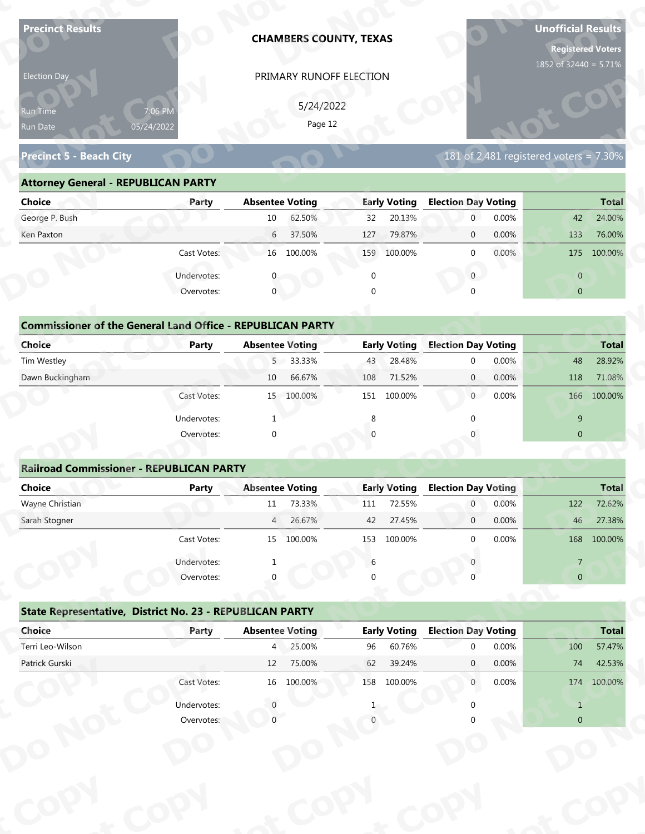| <b>Precinct Results</b>                                           |                                                          |                        | <b>CHAMBERS COUNTY, TEXAS</b> |          |                               |                            |       | <b>Unofficial Results</b><br><b>Registered Voters</b><br>1852 of 32440 = 5.71% |              |
|-------------------------------------------------------------------|----------------------------------------------------------|------------------------|-------------------------------|----------|-------------------------------|----------------------------|-------|--------------------------------------------------------------------------------|--------------|
| Election Day                                                      |                                                          |                        | PRIMARY RUNOFF ELECTION       |          |                               |                            |       |                                                                                |              |
|                                                                   |                                                          |                        |                               |          |                               |                            |       |                                                                                |              |
| Run Time                                                          | 7:06 PM                                                  |                        | 5/24/2022<br>Page 12          |          |                               |                            |       |                                                                                |              |
| Run Date                                                          | 05/24/2022                                               |                        |                               |          |                               |                            |       |                                                                                |              |
| <b>Precinct 5 - Beach City</b>                                    |                                                          |                        |                               |          |                               |                            |       | 181 of 2,481 registered voters = $7.30\%$                                      |              |
| <b>Attorney General - REPUBLICAN PARTY</b>                        |                                                          |                        |                               |          |                               |                            |       |                                                                                |              |
| <b>Choice</b>                                                     | Party                                                    | <b>Absentee Voting</b> |                               |          | <b>Early Voting</b>           | <b>Election Day Voting</b> |       |                                                                                | <b>Total</b> |
| George P. Bush                                                    |                                                          | 10                     | 62.50%                        | 32       | 20.13%                        | $\mathbf 0$                | 0.00% | 42                                                                             | 24.00%       |
| Ken Paxton                                                        |                                                          | 6                      | 37.50%                        | 127      | 79.87%                        | $\mathbf 0$                | 0.00% | 133                                                                            | 76.00%       |
|                                                                   | Cast Votes:                                              |                        | 16 100.00%                    |          | 159 100.00%                   | $\mathbf 0$                | 0.00% | 175                                                                            | 100.00%      |
|                                                                   | Undervotes:                                              |                        |                               | $\Omega$ |                               | $\overline{0}$             |       | $\overline{0}$                                                                 |              |
|                                                                   | Overvotes:                                               | $\mathbf{0}$           |                               | $\Omega$ |                               |                            |       | $\overline{0}$                                                                 |              |
|                                                                   |                                                          |                        |                               |          |                               |                            |       |                                                                                |              |
| <b>Commissioner of the General Land Office - REPUBLICAN PARTY</b> |                                                          |                        |                               |          |                               |                            |       |                                                                                |              |
| <b>Choice</b>                                                     | <b>Party</b>                                             | <b>Absentee Voting</b> |                               |          | <b>Early Voting</b>           | <b>Election Day Voting</b> |       |                                                                                | <b>Total</b> |
| Tim Westley                                                       |                                                          | 5 <sup>7</sup>         | 33.33%                        | 43       | 28.48%                        | $\mathbf 0$                | 0.00% | 48                                                                             | 28.92%       |
| Dawn Buckingham                                                   |                                                          | 10                     | 66.67%                        | 108      | 71.52%                        | $\overline{0}$             | 0.00% | 118                                                                            | 71.08%       |
|                                                                   | Cast Votes:                                              |                        | 15 100.00%                    |          | 151 100.00%                   | 0                          | 0.00% | 166                                                                            | 100.00%      |
|                                                                   | Undervotes:                                              | -1                     |                               | 8        |                               | $\Omega$                   |       | 9                                                                              |              |
|                                                                   | Overvotes:                                               | $\Omega$               |                               |          |                               |                            |       | $\overline{0}$                                                                 |              |
|                                                                   |                                                          |                        |                               |          |                               |                            |       |                                                                                |              |
| <b>Railroad Commissioner - REPUBLICAN PARTY</b>                   |                                                          |                        |                               |          |                               |                            |       |                                                                                |              |
| <b>Choice</b>                                                     | <b>Party</b>                                             | <b>Absentee Voting</b> |                               |          | <b>Early Voting</b>           | <b>Election Day Voting</b> |       |                                                                                | <b>Total</b> |
| Wayne Christian                                                   |                                                          | 11                     | 73.33%                        | 111      | 72.55%                        | $\overline{0}$             | 0.00% | 122                                                                            | 72.62%       |
| Sarah Stogner                                                     |                                                          | 4                      | 26.67%                        | 42       | 27.45%                        | $\overline{0}$             | 0.00% | 46                                                                             | 27.38%       |
|                                                                   | Cast Votes:                                              |                        | 15 100.00%                    | 153      | 100.00%                       | $\Omega$                   | 0.00% |                                                                                | 168 100.00%  |
|                                                                   | Undervotes:                                              |                        |                               | 6        |                               |                            |       | $\overline{7}$                                                                 |              |
|                                                                   | Overvotes:                                               |                        |                               |          |                               |                            |       | $\overline{0}$                                                                 |              |
|                                                                   |                                                          |                        |                               |          |                               |                            |       |                                                                                |              |
|                                                                   | State Representative, District No. 23 - REPUBLICAN PARTY |                        |                               |          |                               |                            |       |                                                                                |              |
|                                                                   |                                                          | <b>Absentee Voting</b> |                               |          | <b>Early Voting</b><br>60.76% | <b>Election Day Voting</b> |       |                                                                                | <b>Total</b> |
| Choice                                                            | Party                                                    |                        |                               |          |                               | $\Omega$                   | 0.00% | 100                                                                            | 57.47%       |
| Terri Leo-Wilson                                                  |                                                          | $4^{\circ}$            | 25.00%                        | 96       |                               |                            |       |                                                                                |              |
| Patrick Gurski                                                    |                                                          | 12                     | 75.00%                        | 62       | 39.24%                        | $\mathbf{0}$               | 0.00% | 74                                                                             | 42.53%       |
|                                                                   | Cast Votes:                                              |                        | 16 100.00%                    |          | 158 100.00%                   | $\overline{0}$             | 0.00% |                                                                                | 174 100.00%  |
|                                                                   | Undervotes:<br>Overvotes:                                |                        |                               |          |                               |                            |       | $\mathbf{1}$                                                                   |              |

| 5/24/2022<br>7:06 PM<br><b>Run Time</b>                                                                               |
|-----------------------------------------------------------------------------------------------------------------------|
| Page 12<br>05/24/2022<br>Run Date                                                                                     |
| 181 of 2,481 registered voters = 7.30%<br><b>Precinct 5 - Beach City</b>                                              |
| <b>Attorney General - REPUBLICAN PARTY</b>                                                                            |
| <b>Early Voting</b><br><b>Election Day Voting</b><br>Choice<br><b>Absentee Voting</b><br><b>Total</b><br>Party        |
| George P. Bush<br>62.50%<br>20.13%<br>0.00%<br>24.00%<br>$10\,$<br>$\overline{0}$<br>42<br>32                         |
| 37.50%<br>79.87%<br>0.00%<br>76.00%<br>Ken Paxton<br>$6\overline{6}$<br>127<br>133<br>$\overline{0}$                  |
| 0.00%<br>Cast Votes:<br>16 100.00%<br>159 100.00%<br>175<br>100.00%<br>$\Omega$                                       |
| Undervotes:<br>$\overline{0}$<br>$\overline{0}$                                                                       |
| $\mathbf{0}$<br>Overvotes:<br>$\Omega$<br>$\overline{0}$                                                              |
|                                                                                                                       |
| <b>Commissioner of the General Land Office - REPUBLICAN PARTY</b>                                                     |
| <b>Choice</b><br><b>Early Voting</b><br><b>Election Day Voting</b><br><b>Absentee Voting</b><br><b>Total</b><br>Party |
| Tim Westley<br>5 33.33%<br>28.48%<br>0.00%<br>48<br>28.92%<br>43<br>$\Omega$                                          |
| Dawn Buckingham<br>66.67%<br>71.52%<br>10<br>0.00%<br>118<br>71.08%<br>108<br>$\overline{0}$                          |
| 0<br>0.00%<br>100.00%<br>15 100.00%<br>151 100.00%<br>166<br>Cast Votes:                                              |

| <b>Choice</b>                                                     | Party       | <b>Absentee Voting</b>             | <b>Early Voting</b>                 | <b>Election Day Voting</b>                          | <b>Total</b>                 |
|-------------------------------------------------------------------|-------------|------------------------------------|-------------------------------------|-----------------------------------------------------|------------------------------|
| George P. Bush                                                    |             | 62.50%<br>10                       | 20.13%<br>32                        | 0.00%<br>$\mathbf{0}$                               | 24.00%<br>42                 |
| Ken Paxton                                                        |             | 37.50%<br>6                        | 79.87%<br>127                       | 0.00%<br>$\mathbf 0$                                | 76.00%<br>133                |
|                                                                   | Cast Votes: | 16 100.00%                         | 100.00%<br>159                      | 0.00%<br>$\mathbf{0}$                               | 175 100.00%                  |
|                                                                   | Undervotes: | $\Omega$                           | 0                                   | $\mathbf{0}$                                        | $\overline{0}$               |
|                                                                   | Overvotes:  | $\mathbf{0}$                       | 0                                   | $\Omega$                                            | $\overline{0}$               |
|                                                                   |             |                                    |                                     |                                                     |                              |
| <b>Commissioner of the General Land Office - REPUBLICAN PARTY</b> |             |                                    |                                     |                                                     |                              |
| Choice<br>Tim Westley                                             | Party       | <b>Absentee Voting</b><br>5 33.33% | <b>Early Voting</b><br>28.48%<br>43 | <b>Election Day Voting</b><br>0.00%<br>$\mathbf{0}$ | <b>Total</b><br>48<br>28.92% |
| Dawn Buckingham                                                   |             | 66.67%<br>10                       | 71.52%<br>108                       | $\overline{0}$<br>0.00%                             | 118<br>71.08%                |
|                                                                   | Cast Votes: | 15 100.00%                         | 151 100.00%                         | 0.00%<br>$\overline{0}$                             | 166 100.00%                  |
|                                                                   | Undervotes: |                                    | 8                                   |                                                     | 9                            |
|                                                                   | Overvotes:  | $\mathbf{0}$                       | $\Omega$                            |                                                     | $\mathbf{0}$                 |
|                                                                   |             |                                    |                                     |                                                     |                              |
| <b>Railroad Commissioner - REPUBLICAN PARTY</b>                   |             |                                    |                                     |                                                     |                              |
| Choice                                                            | Party       | <b>Absentee Voting</b>             | <b>Early Voting</b>                 | <b>Election Day Voting</b>                          | <b>Total</b>                 |
| Wayne Christian                                                   |             | 73.33%<br>11                       | 72.55%<br>111                       | 0.00%<br>$\overline{0}$                             | 72.62%<br>122                |
| Carole Champan                                                    |             | 2C C701<br>$\Lambda$               | 27.450/<br>$\sqrt{2}$               | 0.0001<br>$\sim$                                    | 27.200/<br>AC                |

|                                                                   |                       |                        | PRIMARY RUNOFF ELECTION |             |                     |                            |       |                                          |              |
|-------------------------------------------------------------------|-----------------------|------------------------|-------------------------|-------------|---------------------|----------------------------|-------|------------------------------------------|--------------|
|                                                                   |                       |                        | 5/24/2022               |             |                     |                            |       |                                          |              |
| Run Time<br>Run Date                                              | 7:06 PM<br>05/24/2022 |                        | Page 12                 |             |                     |                            |       |                                          |              |
|                                                                   |                       |                        |                         |             |                     |                            |       |                                          |              |
| <b>Precinct 5 - Beach City</b>                                    |                       |                        |                         |             |                     |                            |       | $181$ of 2,481 registered voters = 7.30% |              |
| <b>Attorney General - REPUBLICAN PARTY</b>                        |                       |                        |                         |             |                     |                            |       |                                          |              |
| <b>Choice</b>                                                     | Party                 | <b>Absentee Voting</b> |                         |             | <b>Early Voting</b> | <b>Election Day Voting</b> |       |                                          | <b>Total</b> |
| George P. Bush                                                    |                       | 10                     | 62.50%                  | 32          | 20.13%              | $\overline{0}$             | 0.00% | 42                                       | 24.00%       |
| Ken Paxton                                                        |                       | 6                      | 37.50%                  | 127         | 79.87%              | $\mathbf{0}$               | 0.00% | 133                                      | 76.00%       |
|                                                                   | Cast Votes:           |                        | 16 100.00%              |             | 159 100.00%         | $\mathbf{0}$               | 0.00% |                                          | 175 100.00%  |
|                                                                   | Undervotes:           | $\mathbf{0}$           |                         | $\mathbf 0$ |                     | $\mathbf{0}$               |       | $\overline{0}$                           |              |
|                                                                   | Overvotes:            | $\mathbf{0}$           |                         |             |                     |                            |       | $\overline{0}$                           |              |
|                                                                   |                       |                        |                         |             |                     |                            |       |                                          |              |
| <b>Commissioner of the General Land Office - REPUBLICAN PARTY</b> |                       |                        |                         |             |                     |                            |       |                                          |              |
| <b>Choice</b>                                                     | Party                 | <b>Absentee Voting</b> |                         |             | <b>Early Voting</b> | <b>Election Day Voting</b> |       |                                          | <b>Total</b> |
| Tim Westley                                                       |                       |                        | 5 33.33%                | 43          | 28.48%              | $\mathbf 0$                | 0.00% | 48                                       | 28.92%       |
| Dawn Buckingham                                                   |                       | 10                     | 66.67%                  | 108         | 71.52%              | $\mathbf{0}$               | 0.00% | 118                                      | 71.08%       |
|                                                                   | Cast Votes:           |                        | 15 100.00%              |             | 151 100.00%         | $\overline{0}$             | 0.00% |                                          | 166 100.00%  |
|                                                                   | Undervotes:           |                        |                         | 8           |                     |                            |       | 9                                        |              |
|                                                                   | Overvotes:            | $\Omega$               |                         |             |                     |                            |       | $\overline{0}$                           |              |
|                                                                   |                       |                        |                         |             |                     |                            |       |                                          |              |
| <b>Railroad Commissioner - REPUBLICAN PARTY</b>                   |                       |                        |                         |             |                     |                            |       |                                          |              |
| <b>Choice</b>                                                     | <b>Party</b>          | <b>Absentee Voting</b> |                         |             | <b>Early Voting</b> | <b>Election Day Voting</b> |       |                                          | <b>Total</b> |
|                                                                   |                       |                        | 73.33%                  |             | 72.55%              | $\overline{0}$             | 0.00% | 122                                      | 72.62%       |
| Wayne Christian                                                   |                       | 11                     |                         | 111         |                     |                            |       |                                          |              |
| Sarah Stogner                                                     |                       | 4                      | 26.67%                  | 42          | 27.45%              | $\mathbf 0$                | 0.00% | 46                                       | 27.38%       |
|                                                                   | Cast Votes:           |                        | 15 100.00%              |             | 153 100.00%         | $\Omega$                   | 0.00% |                                          | 168 100.00%  |
|                                                                   | Undervotes:           |                        |                         | 6           |                     |                            |       | $\overline{7}$                           |              |
|                                                                   | Overvotes:            |                        |                         |             |                     |                            |       | $\overline{0}$                           |              |
|                                                                   |                       |                        |                         |             |                     |                            |       |                                          |              |
| State Representative, District No. 23 - REPUBLICAN PARTY          |                       |                        |                         |             |                     |                            |       |                                          |              |
| Choice                                                            | Party                 | <b>Absentee Voting</b> |                         |             | <b>Early Voting</b> | <b>Election Day Voting</b> |       |                                          | <b>Total</b> |
| Terri Leo-Wilson                                                  |                       |                        | 4 25.00%                | 96          | 60.76%              | $\Omega$                   | 0.00% | 100                                      | 57.47%       |
| Patrick Gurski                                                    |                       | 12                     | 75.00%                  | 62          | 39.24%              | $\mathbf{0}$               | 0.00% | 74                                       | 42.53%       |
|                                                                   | Cast Votes:           |                        | 16 100.00%              |             | 158 100.00%         | $\mathbf{0}$               | 0.00% |                                          | 174 100.00%  |
|                                                                   | Undervotes:           |                        |                         |             |                     |                            |       | $\mathbf{1}$                             |              |

|                                                          | Cast votes. | ᆦ              | TOO'OO XQ              | ככד | TOO'OO XQ           |                            | <b>U.UU70</b> |                | TOO TOO'OO'S |
|----------------------------------------------------------|-------------|----------------|------------------------|-----|---------------------|----------------------------|---------------|----------------|--------------|
|                                                          | Undervotes: |                |                        | 6   |                     |                            |               |                |              |
|                                                          | Overvotes:  | $\Omega$       |                        | 0   |                     |                            |               | $\overline{0}$ |              |
| State Representative, District No. 23 - REPUBLICAN PARTY |             |                |                        |     |                     |                            |               |                |              |
| Choice                                                   | Party       |                | <b>Absentee Voting</b> |     | <b>Early Voting</b> | <b>Election Day Voting</b> |               |                | <b>Total</b> |
| Terri Leo-Wilson                                         |             | $\overline{4}$ | 25.00%                 | 96  | 60.76%              | $\Omega$                   | 0.00%         | 100            | 57.47%       |
| Patrick Gurski                                           |             | 12             | 75.00%                 | 62  | 39.24%              | $\mathbf{0}$               | 0.00%         | 74             | 42.53%       |
|                                                          | Cast Votes: | 16             | 100.00%                | 158 | 100.00%             | $\mathbf 0$                | $0.00\%$      | 174            | 100.00%      |
|                                                          | Undervotes: |                |                        |     |                     |                            |               |                |              |
|                                                          | Overvotes:  |                |                        |     |                     |                            |               | $\overline{0}$ |              |
|                                                          |             |                |                        |     |                     |                            |               |                |              |
|                                                          |             |                |                        |     |                     |                            |               |                |              |
|                                                          |             |                |                        |     |                     |                            |               |                |              |
|                                                          |             |                |                        |     |                     |                            |               |                |              |
|                                                          |             |                |                        |     |                     |                            |               |                |              |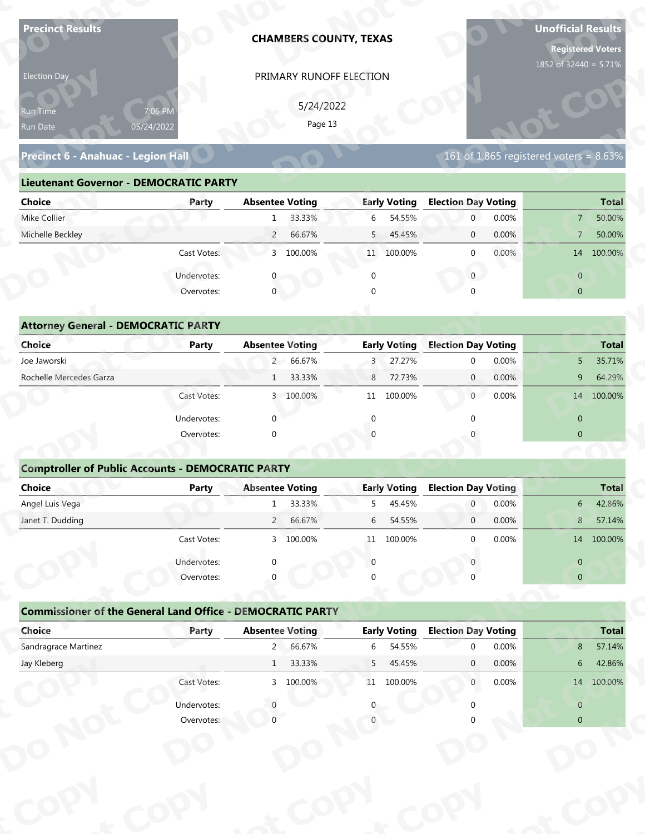| <b>Precinct Results</b>                                           |                           | <b>CHAMBERS COUNTY, TEXAS</b> |                         |                                        | <b>Unofficial Results</b><br><b>Registered Voters</b><br>1852 of 32440 = 5.71% |
|-------------------------------------------------------------------|---------------------------|-------------------------------|-------------------------|----------------------------------------|--------------------------------------------------------------------------------|
| Election Day                                                      |                           |                               | PRIMARY RUNOFF ELECTION |                                        |                                                                                |
|                                                                   |                           |                               |                         |                                        |                                                                                |
| Run Time                                                          | 7:06 PM                   |                               | 5/24/2022<br>Page 13    |                                        |                                                                                |
| Run Date                                                          | 05/24/2022                |                               |                         |                                        |                                                                                |
| Precinct 6 - Anahuac - Legion Hall                                |                           |                               |                         |                                        | 161 of 1,865 registered voters = $8.63\%$                                      |
| <b>Lieutenant Governor - DEMOCRATIC PARTY</b>                     |                           |                               |                         |                                        |                                                                                |
| <b>Choice</b>                                                     | Party                     | <b>Absentee Voting</b>        | <b>Early Voting</b>     | <b>Election Day Voting</b>             | <b>Total</b>                                                                   |
| Mike Collier                                                      |                           | 33.33%<br>1                   | 54.55%<br>6             | 0.00%<br>$\mathbf{0}$                  | 50.00%<br>7 <sup>1</sup>                                                       |
| Michelle Beckley                                                  |                           | 66.67%<br>$\overline{2}$      | 5<br>45.45%             | 0.00%<br>$\mathbf 0$                   | 50.00%<br>$\overline{7}$                                                       |
|                                                                   | Cast Votes:               | 3 100.00%                     | 11 100.00%              | $\mathbf 0$<br>0.00%                   | 14 100.00%                                                                     |
|                                                                   | Undervotes:               |                               | $\mathbf 0$             | $\overline{0}$                         | $\overline{0}$                                                                 |
|                                                                   | Overvotes:                | $\overline{0}$                |                         |                                        | $\overline{0}$                                                                 |
|                                                                   |                           |                               |                         |                                        |                                                                                |
| <b>Attorney General - DEMOCRATIC PARTY</b>                        |                           |                               |                         |                                        |                                                                                |
| <b>Choice</b>                                                     | <b>Party</b>              | <b>Absentee Voting</b>        | <b>Early Voting</b>     | <b>Election Day Voting</b>             | <b>Total</b>                                                                   |
| Joe Jaworski                                                      |                           | 2 66.67%                      | 27.27%<br>3             | 0.00%<br>$\mathbf 0$                   | 35.71%<br>5 <sup>5</sup>                                                       |
| Rochelle Mercedes Garza                                           |                           | 33.33%<br>$\mathbf{1}$        | 72.73%<br>8             | 0.00%<br>$\overline{0}$                | 64.29%<br>9                                                                    |
|                                                                   | Cast Votes:               | 3 100.00%                     | 11 100.00%              | $\overline{0}$<br>0.00%                | 14 100.00%                                                                     |
|                                                                   | Undervotes:               | $\Omega$                      | $\mathbf{0}$            | $\Omega$                               | $\overline{0}$                                                                 |
|                                                                   | Overvotes:                | $\Omega$                      |                         |                                        | $\overline{0}$                                                                 |
|                                                                   |                           |                               |                         |                                        |                                                                                |
| <b>Comptroller of Public Accounts - DEMOCRATIC PARTY</b>          |                           |                               |                         |                                        |                                                                                |
| Choice                                                            | Party                     | <b>Absentee Voting</b>        | <b>Early Voting</b>     | <b>Election Day Voting</b>             | <b>Total</b>                                                                   |
| Angel Luis Vega                                                   |                           | 33.33%<br>1                   | 45.45%<br>5             | 0.00%<br>$\overline{0}$                | $6-$<br>42.86%                                                                 |
| Janet T. Dudding                                                  |                           | $2^{\prime}$<br>66.67%        | 6<br>54.55%             | 0.00%<br>$\overline{0}$                | 8<br>57.14%                                                                    |
|                                                                   | Cast Votes:               | 3 100.00%                     | 11 100.00%              | 0.00%<br>$\Omega$                      | 14 100.00%                                                                     |
|                                                                   | Undervotes:               | ∩                             | $\Omega$                |                                        | $\overline{0}$                                                                 |
|                                                                   | Overvotes:                |                               |                         |                                        | $\overline{0}$                                                                 |
|                                                                   |                           |                               |                         |                                        |                                                                                |
|                                                                   |                           |                               |                         |                                        |                                                                                |
| <b>Commissioner of the General Land Office - DEMOCRATIC PARTY</b> |                           |                               |                         |                                        |                                                                                |
| Choice                                                            | Party                     | <b>Absentee Voting</b>        | <b>Early Voting</b>     | <b>Election Day Voting</b><br>$\Omega$ |                                                                                |
| Sandragrace Martinez                                              |                           | 2 66.67%                      | 54.55%<br>6             | 0.00%                                  | 8                                                                              |
| Jay Kleberg                                                       |                           | 33.33%<br>1                   | 45.45%<br>5             | 0.00%<br>$\mathbf{0}$                  | <b>Total</b><br>57.14%<br>42.86%<br>$6\phantom{.}6$                            |
|                                                                   | Cast Votes:               | 3 100.00%                     | 11 100.00%              | 0.00%<br>$\overline{0}$                | 14 100.00%                                                                     |
|                                                                   | Undervotes:<br>Overvotes: |                               |                         |                                        | $\overline{0}$<br>$\overline{0}$                                               |

| 5/24/2022<br>7:06 PM<br><b>Run Time</b><br>Page 13<br>05/24/2022<br>Run Date<br>161 of 1,865 registered voters = $8.63\%$<br>Precinct 6 - Anahuac - Legion Hall<br><b>Lieutenant Governor - DEMOCRATIC PARTY</b><br><b>Absentee Voting</b><br><b>Early Voting</b><br><b>Election Day Voting</b><br>Choice<br>Party<br>Mike Collier<br>33.33%<br>54.55%<br>0.00%<br>6<br>$\overline{0}$<br>$\overline{7}$<br>$\mathbf{1}$<br>Michelle Beckley<br>66.67%<br>5 45.45%<br>0.00%<br>$\overline{2}$<br>$\overline{0}$<br>7 <sup>7</sup><br>3 100.00%<br>$0.00\%$<br>Cast Votes:<br>11 100.00%<br>14 100.00%<br>$\Omega$<br>Undervotes:<br>$\overline{0}$<br>$\overline{0}$<br>$\mathbf 0$<br>Overvotes:<br>$\Omega$<br>$\overline{0}$<br><b>Attorney General - DEMOCRATIC PARTY</b><br><b>Early Voting</b><br><b>Election Day Voting</b><br><b>Choice</b><br><b>Absentee Voting</b><br><b>Party</b><br>Joe Jaworski<br>2 66.67%<br>27.27%<br>0.00%<br>3<br>5 <sup>1</sup><br>$\Omega$<br>Rochelle Mercedes Garza<br>1 33.33%<br>72.73%<br>8<br>$\overline{0}$<br>0.00%<br>9<br>$\overline{0}$<br>0.00%<br>14 100.00%<br>3 100.00%<br>100.00%<br>Cast Votes:<br>11 | Election Day |  | PRIMARY RUNOFF ELECTION |  |  |              |
|-------------------------------------------------------------------------------------------------------------------------------------------------------------------------------------------------------------------------------------------------------------------------------------------------------------------------------------------------------------------------------------------------------------------------------------------------------------------------------------------------------------------------------------------------------------------------------------------------------------------------------------------------------------------------------------------------------------------------------------------------------------------------------------------------------------------------------------------------------------------------------------------------------------------------------------------------------------------------------------------------------------------------------------------------------------------------------------------------------------------------------------------------------------|--------------|--|-------------------------|--|--|--------------|
|                                                                                                                                                                                                                                                                                                                                                                                                                                                                                                                                                                                                                                                                                                                                                                                                                                                                                                                                                                                                                                                                                                                                                             |              |  |                         |  |  |              |
|                                                                                                                                                                                                                                                                                                                                                                                                                                                                                                                                                                                                                                                                                                                                                                                                                                                                                                                                                                                                                                                                                                                                                             |              |  |                         |  |  |              |
|                                                                                                                                                                                                                                                                                                                                                                                                                                                                                                                                                                                                                                                                                                                                                                                                                                                                                                                                                                                                                                                                                                                                                             |              |  |                         |  |  |              |
|                                                                                                                                                                                                                                                                                                                                                                                                                                                                                                                                                                                                                                                                                                                                                                                                                                                                                                                                                                                                                                                                                                                                                             |              |  |                         |  |  | <b>Total</b> |
|                                                                                                                                                                                                                                                                                                                                                                                                                                                                                                                                                                                                                                                                                                                                                                                                                                                                                                                                                                                                                                                                                                                                                             |              |  |                         |  |  | 50.00%       |
|                                                                                                                                                                                                                                                                                                                                                                                                                                                                                                                                                                                                                                                                                                                                                                                                                                                                                                                                                                                                                                                                                                                                                             |              |  |                         |  |  | 50.00%       |
|                                                                                                                                                                                                                                                                                                                                                                                                                                                                                                                                                                                                                                                                                                                                                                                                                                                                                                                                                                                                                                                                                                                                                             |              |  |                         |  |  |              |
|                                                                                                                                                                                                                                                                                                                                                                                                                                                                                                                                                                                                                                                                                                                                                                                                                                                                                                                                                                                                                                                                                                                                                             |              |  |                         |  |  |              |
|                                                                                                                                                                                                                                                                                                                                                                                                                                                                                                                                                                                                                                                                                                                                                                                                                                                                                                                                                                                                                                                                                                                                                             |              |  |                         |  |  |              |
|                                                                                                                                                                                                                                                                                                                                                                                                                                                                                                                                                                                                                                                                                                                                                                                                                                                                                                                                                                                                                                                                                                                                                             |              |  |                         |  |  |              |
|                                                                                                                                                                                                                                                                                                                                                                                                                                                                                                                                                                                                                                                                                                                                                                                                                                                                                                                                                                                                                                                                                                                                                             |              |  |                         |  |  |              |
|                                                                                                                                                                                                                                                                                                                                                                                                                                                                                                                                                                                                                                                                                                                                                                                                                                                                                                                                                                                                                                                                                                                                                             |              |  |                         |  |  | <b>Total</b> |
|                                                                                                                                                                                                                                                                                                                                                                                                                                                                                                                                                                                                                                                                                                                                                                                                                                                                                                                                                                                                                                                                                                                                                             |              |  |                         |  |  | 35.71%       |
|                                                                                                                                                                                                                                                                                                                                                                                                                                                                                                                                                                                                                                                                                                                                                                                                                                                                                                                                                                                                                                                                                                                                                             |              |  |                         |  |  | 64.29%       |
|                                                                                                                                                                                                                                                                                                                                                                                                                                                                                                                                                                                                                                                                                                                                                                                                                                                                                                                                                                                                                                                                                                                                                             |              |  |                         |  |  |              |

|                                                          |              | PRIMARY RUNOFF ELECTION                                           |                          |                                          |                                                                  |
|----------------------------------------------------------|--------------|-------------------------------------------------------------------|--------------------------|------------------------------------------|------------------------------------------------------------------|
|                                                          |              | 5/24/2022                                                         |                          |                                          |                                                                  |
| Run Time                                                 | 7:06 PM      | Page 13                                                           |                          |                                          |                                                                  |
| Run Date                                                 | 05/24/2022   |                                                                   |                          |                                          |                                                                  |
| Precinct 6 - Anahuac - Legion Hall                       |              |                                                                   |                          | $161$ of 1,865 registered voters = 8.63% |                                                                  |
| <b>Lieutenant Governor - DEMOCRATIC PARTY</b>            |              |                                                                   |                          |                                          |                                                                  |
| <b>Choice</b>                                            | Party        | <b>Absentee Voting</b>                                            | <b>Early Voting</b>      | <b>Election Day Voting</b>               | <b>Total</b>                                                     |
| Mike Collier                                             |              | 33.33%<br>1                                                       | 6<br>54.55%              | $\overline{0}$<br>0.00%                  | 50.00%<br>$7^{\circ}$                                            |
| Michelle Beckley                                         |              | 66.67%<br>$\overline{2}$                                          | 5<br>45.45%              | 0.00%<br>$\mathbf{0}$                    | 50.00%<br>$\overline{7}$                                         |
|                                                          | Cast Votes:  | 3 100.00%                                                         | 11 100.00%               | 0.00%<br>$\mathbf{0}$                    | 14 100.00%                                                       |
|                                                          | Undervotes:  |                                                                   | $\mathbf 0$              | $\overline{0}$                           | $\overline{0}$                                                   |
|                                                          | Overvotes:   | $\mathbf{0}$                                                      |                          |                                          | $\overline{0}$                                                   |
|                                                          |              |                                                                   |                          |                                          |                                                                  |
| <b>Attorney General - DEMOCRATIC PARTY</b>               |              |                                                                   |                          |                                          |                                                                  |
| Choice                                                   | <b>Party</b> | <b>Absentee Voting</b>                                            | <b>Early Voting</b>      | <b>Election Day Voting</b>               | <b>Total</b>                                                     |
| Joe Jaworski                                             |              | 2 66.67%                                                          | 27.27%<br>3              | 0.00%<br>$\mathbf 0$                     | 35.71%<br>5                                                      |
| Rochelle Mercedes Garza                                  |              | 33.33%<br>1                                                       | 8<br>72.73%              | 0.00%<br>$\mathbf{0}$                    | 64.29%<br>9                                                      |
|                                                          | Cast Votes:  | 3 100.00%                                                         | 11 100.00%               | 0.00%<br>$\overline{0}$                  | 14 100.00%                                                       |
|                                                          | Undervotes:  | $\Omega$                                                          | $\Omega$                 |                                          | $\overline{0}$                                                   |
|                                                          | Overvotes:   | $\Omega$                                                          |                          |                                          | $\overline{0}$                                                   |
|                                                          |              |                                                                   |                          |                                          |                                                                  |
| <b>Comptroller of Public Accounts - DEMOCRATIC PARTY</b> |              |                                                                   |                          |                                          |                                                                  |
| <b>Choice</b>                                            | <b>Party</b> | <b>Absentee Voting</b>                                            | <b>Early Voting</b>      | <b>Election Day Voting</b>               | <b>Total</b>                                                     |
| Angel Luis Vega                                          |              | 33.33%<br>$\mathbf{1}$                                            | 45.45%<br>5              | 0.00%<br>$\overline{0}$                  | 42.86%<br>6                                                      |
| Janet T. Dudding                                         |              | 66.67%<br>$2^{\circ}$                                             | 54.55%<br>6              | 0.00%<br>$\mathbf 0$                     | 57.14%<br>8                                                      |
|                                                          | Cast Votes:  | 3 100.00%                                                         | 11 100.00%               | 0.00%<br>$\Omega$                        | 14 100,00%                                                       |
|                                                          |              |                                                                   |                          |                                          |                                                                  |
|                                                          |              |                                                                   | $\Omega$                 |                                          |                                                                  |
|                                                          | Undervotes:  |                                                                   |                          |                                          | $\overline{0}$<br>$\overline{0}$                                 |
|                                                          | Overvotes:   |                                                                   |                          |                                          |                                                                  |
|                                                          |              | <b>Commissioner of the General Land Office - DEMOCRATIC PARTY</b> |                          |                                          |                                                                  |
| Choice                                                   | Party        | <b>Absentee Voting</b>                                            | <b>Early Voting</b>      | <b>Election Day Voting</b>               |                                                                  |
| Sandragrace Martinez                                     |              | 2 66.67%                                                          | 6<br>54.55%              | 0.00%<br>$\Omega$                        | 8 <sup>7</sup>                                                   |
| Jay Kleberg                                              |              | 1 33.33%                                                          | 5 <sub>5</sub><br>45.45% | 0.00%<br>$\mathbf{0}$                    | 6 <sup>1</sup>                                                   |
|                                                          | Cast Votes:  | 3 100.00%                                                         | 11 100.00%               | 0.00%<br>$\overline{0}$                  |                                                                  |
|                                                          | Undervotes:  |                                                                   |                          |                                          | <b>Total</b><br>57.14%<br>42.86%<br>14 100.00%<br>$\overline{0}$ |

### **Comptroller of Public Accounts - DEMOCRATIC PARTY**

| Choice                                                            | Party       | <b>Absentee Voting</b> |           |                | <b>Early Voting</b> | <b>Election Day Voting</b> |       |                | <b>Total</b> |
|-------------------------------------------------------------------|-------------|------------------------|-----------|----------------|---------------------|----------------------------|-------|----------------|--------------|
| Joe Jaworski                                                      |             |                        | 2 66.67%  | 3 <sup>7</sup> | 27.27%              | $\mathbf{0}$               | 0.00% | 5 <sup>1</sup> | 35.71%       |
| Rochelle Mercedes Garza                                           |             | 1                      | 33.33%    | 8              | 72.73%              | $\mathbf{0}$               | 0.00% | 9              | 64.29%       |
|                                                                   | Cast Votes: |                        | 3 100.00% |                | 11 100.00%          | $\overline{0}$             | 0.00% |                | 14 100.00%   |
|                                                                   | Undervotes: | ∩                      |           | $\Omega$       |                     | $\Omega$                   |       | $\mathbf{0}$   |              |
|                                                                   | Overvotes:  | $\Omega$               |           |                |                     |                            |       | $\overline{0}$ |              |
| <b>Comptroller of Public Accounts - DEMOCRATIC PARTY</b>          |             |                        |           |                |                     |                            |       |                |              |
| <b>Choice</b>                                                     | Party       | <b>Absentee Voting</b> |           |                | <b>Early Voting</b> | <b>Election Day Voting</b> |       |                | <b>Total</b> |
| Angel Luis Vega                                                   |             | $\mathbf{1}$           | 33.33%    | 5              | 45.45%              | $\overline{0}$             | 0.00% | 6 <sup>1</sup> | 42.86%       |
| Janet T. Dudding                                                  |             | $2^{\circ}$            | 66.67%    |                | 6 54.55%            | $\overline{0}$             | 0.00% | 8              | 57.14%       |
|                                                                   | Cast Votes: |                        | 3 100.00% |                | 11 100.00%          | $\mathbf{0}$               | 0.00% |                | 14 100.00%   |
|                                                                   |             |                        |           |                |                     |                            |       |                |              |
|                                                                   | Undervotes: | ∩                      |           | <sup>0</sup>   |                     |                            |       | $\overline{0}$ |              |
|                                                                   | Overvotes:  |                        |           |                |                     |                            |       | $\mathbf 0$    |              |
| <b>Commissioner of the General Land Office - DEMOCRATIC PARTY</b> |             |                        |           |                |                     |                            |       |                |              |
| Choice                                                            | Party       | <b>Absentee Voting</b> |           |                | <b>Early Voting</b> | <b>Election Day Voting</b> |       |                | <b>Total</b> |
| Sandragrace Martinez                                              |             | $2^{\sim}$             | 66.67%    | 6              | 54.55%              | $\mathbf{0}$               | 0.00% | 8              | 57.14%       |
| Jay Kleberg                                                       |             | 1                      | 33.33%    | 5              | 45.45%              | $\mathbf{0}$               | 0.00% | 6 <sup>1</sup> | 42.86%       |
|                                                                   | Cast Votes: |                        | 3 100.00% |                | 11 100.00%          | $\mathbf{0}$               | 0.00% |                | 14 100.00%   |
|                                                                   | Undervotes: |                        |           |                |                     |                            |       | $\mathbf{0}$   |              |

|                                                                   | Cast votes. | $\mathcal{D}$          | TOO'OO XQ | ᆠᆂ       | LUU.UU70            |                            | <b>U.UU70</b> |                | 14 100.00%   |
|-------------------------------------------------------------------|-------------|------------------------|-----------|----------|---------------------|----------------------------|---------------|----------------|--------------|
|                                                                   | Undervotes: | $\Omega$               |           | 0        |                     |                            |               | $\Omega$       |              |
|                                                                   | Overvotes:  | $\Omega$               |           | $\Omega$ |                     |                            |               | $\overline{0}$ |              |
|                                                                   |             |                        |           |          |                     |                            |               |                |              |
| <b>Commissioner of the General Land Office - DEMOCRATIC PARTY</b> |             |                        |           |          |                     |                            |               |                |              |
| Choice                                                            | Party       | <b>Absentee Voting</b> |           |          | <b>Early Voting</b> | <b>Election Day Voting</b> |               |                | <b>Total</b> |
| Sandragrace Martinez                                              |             | $2^{\circ}$            | 66.67%    | 6        | 54.55%              | $\Omega$                   | 0.00%         | 8              | 57.14%       |
| Jay Kleberg                                                       |             | $\mathbf{1}$           | 33.33%    | 5        | 45.45%              | $\mathbf{0}$               | $0.00\%$      | 6              | 42.86%       |
|                                                                   | Cast Votes: |                        | 3 100.00% | 11       | 100.00%             | $\mathbf 0$                | $0.00\%$      | 14             | 100.00%      |
|                                                                   | Undervotes: |                        |           | 0        |                     |                            |               | $\overline{0}$ |              |
|                                                                   | Overvotes:  |                        |           |          |                     |                            |               | $\overline{0}$ |              |
|                                                                   |             |                        |           |          |                     |                            |               |                |              |
|                                                                   |             |                        |           |          |                     |                            |               |                |              |
|                                                                   |             |                        |           |          |                     |                            |               |                |              |
|                                                                   |             |                        |           |          |                     |                            |               |                |              |
|                                                                   |             |                        |           |          |                     |                            |               |                |              |
|                                                                   |             |                        |           |          |                     |                            |               |                |              |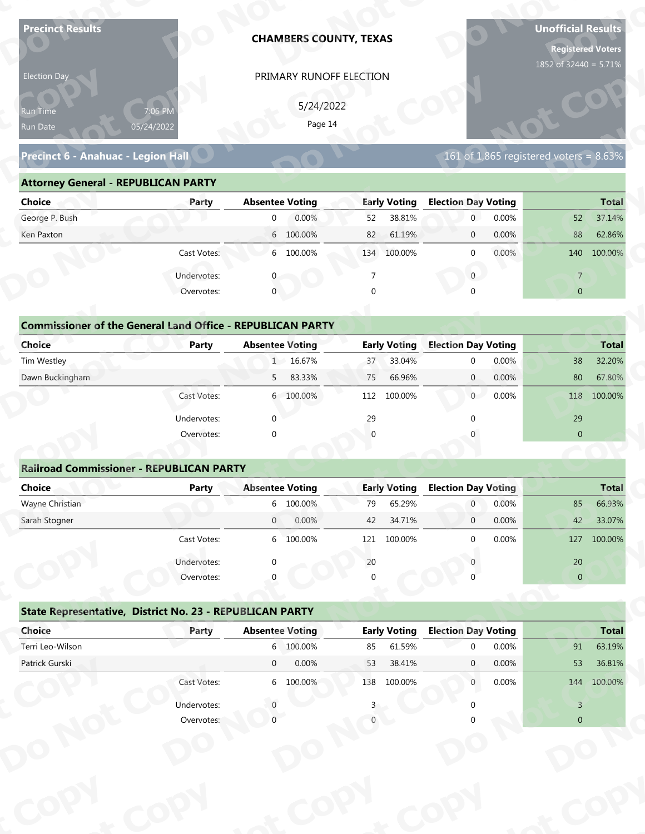| <b>Precinct Results</b>                                           |              |                        | <b>CHAMBERS COUNTY, TEXAS</b> |                |                               |                            |       | <b>Unofficial Results</b><br><b>Registered Voters</b><br>1852 of 32440 = 5.71% |                        |
|-------------------------------------------------------------------|--------------|------------------------|-------------------------------|----------------|-------------------------------|----------------------------|-------|--------------------------------------------------------------------------------|------------------------|
| Election Day                                                      |              |                        | PRIMARY RUNOFF ELECTION       |                |                               |                            |       |                                                                                |                        |
|                                                                   |              |                        |                               |                |                               |                            |       |                                                                                |                        |
| Run Time                                                          | 7:06 PM      |                        | 5/24/2022                     |                |                               |                            |       |                                                                                |                        |
| Run Date                                                          | 05/24/2022   |                        | Page 14                       |                |                               |                            |       |                                                                                |                        |
| Precinct 6 - Anahuac - Legion Hall                                |              |                        |                               |                |                               |                            |       | $161$ of 1,865 registered voters = 8.63%                                       |                        |
| <b>Attorney General - REPUBLICAN PARTY</b>                        |              |                        |                               |                |                               |                            |       |                                                                                |                        |
| <b>Choice</b>                                                     | Party        | <b>Absentee Voting</b> |                               |                | <b>Early Voting</b>           | <b>Election Day Voting</b> |       |                                                                                | <b>Total</b>           |
| George P. Bush                                                    |              | $\overline{0}$         | 0.00%                         | 52             | 38.81%                        | $\mathbf 0$                | 0.00% | 52                                                                             | 37.14%                 |
| Ken Paxton                                                        |              |                        | 6 100.00%                     | 82             | 61.19%                        | $\mathbf 0$                | 0.00% | 88                                                                             | 62.86%                 |
|                                                                   | Cast Votes:  |                        | 6 100.00%                     |                | 134 100.00%                   | $\mathbf 0$                | 0.00% | 140                                                                            | 100.00%                |
|                                                                   | Undervotes:  |                        |                               | $\overline{7}$ |                               | $\overline{0}$             |       | $\overline{7}$                                                                 |                        |
|                                                                   | Overvotes:   | $\mathbf{0}$           |                               | $\Omega$       |                               |                            |       | $\overline{0}$                                                                 |                        |
|                                                                   |              |                        |                               |                |                               |                            |       |                                                                                |                        |
| <b>Commissioner of the General Land Office - REPUBLICAN PARTY</b> |              |                        |                               |                |                               |                            |       |                                                                                |                        |
| <b>Choice</b>                                                     | <b>Party</b> | <b>Absentee Voting</b> |                               |                | <b>Early Voting</b>           | <b>Election Day Voting</b> |       |                                                                                | <b>Total</b>           |
| Tim Westley                                                       |              |                        | 1 16.67%                      | 37             | 33.04%                        | $\mathbf 0$                | 0.00% | 38                                                                             | 32.20%                 |
| Dawn Buckingham                                                   |              | 5                      | 83.33%                        | 75             | 66.96%                        | $\overline{0}$             | 0.00% | 80                                                                             | 67.80%                 |
|                                                                   | Cast Votes:  |                        | 6 100.00%                     |                | 112 100.00%                   | 0                          | 0.00% | 118                                                                            | 100.00%                |
|                                                                   | Undervotes:  | $\Omega$               |                               | 29             |                               | $\Omega$                   |       | 29                                                                             |                        |
|                                                                   | Overvotes:   | $\Omega$               |                               |                |                               |                            |       | $\overline{0}$                                                                 |                        |
|                                                                   |              |                        |                               |                |                               |                            |       |                                                                                |                        |
| <b>Railroad Commissioner - REPUBLICAN PARTY</b>                   |              |                        |                               |                |                               | <b>Election Day Voting</b> |       |                                                                                |                        |
| <b>Choice</b><br>Wayne Christian                                  | <b>Party</b> | <b>Absentee Voting</b> | 6 100.00%                     | 79             | <b>Early Voting</b><br>65.29% | $\overline{0}$             | 0.00% | 85                                                                             | <b>Total</b><br>66.93% |
| Sarah Stogner                                                     |              | $\overline{0}$         | 0.00%                         | 42             | 34.71%                        | $\overline{0}$             | 0.00% | 42                                                                             | 33.07%                 |
|                                                                   | Cast Votes:  |                        | 6 100.00%                     | 121            | 100.00%                       | $\Omega$                   | 0.00% | 127                                                                            | 100.00%                |
|                                                                   | Undervotes:  |                        |                               | 20             |                               |                            |       | 20                                                                             |                        |
|                                                                   | Overvotes:   |                        |                               |                |                               |                            |       | $\overline{0}$                                                                 |                        |
|                                                                   |              |                        |                               |                |                               |                            |       |                                                                                |                        |
|                                                                   |              |                        |                               |                |                               |                            |       |                                                                                |                        |
| State Representative, District No. 23 - REPUBLICAN PARTY          |              |                        |                               |                |                               |                            |       |                                                                                |                        |
| Choice                                                            | Party        | <b>Absentee Voting</b> |                               |                | <b>Early Voting</b>           | <b>Election Day Voting</b> |       |                                                                                | <b>Total</b>           |
| Terri Leo-Wilson                                                  |              |                        | 6 100.00%                     | 85             | 61.59%                        | $\Omega$                   | 0.00% | 91                                                                             | 63.19%                 |
| Patrick Gurski                                                    |              | $\overline{0}$         | 0.00%                         | 53             | 38.41%                        | $\mathbf{0}$               | 0.00% | 53                                                                             | 36.81%                 |
|                                                                   | Cast Votes:  |                        | 6 100.00%                     |                | 138 100.00%                   | $\overline{0}$             | 0.00% |                                                                                | 144 100.00%            |
|                                                                   | Undervotes:  |                        |                               |                |                               |                            |       | $\overline{3}$                                                                 |                        |

### **Precinct 6 - Anahuac - Legion Hall**

### **Attorney General - REPUBLICAN PARTY**

| 5/24/2022<br>7:06 PM<br><b>Run Time</b><br>Page 14<br>05/24/2022<br>Run Date<br>161 of 1,865 registered voters = $8.63\%$<br>Precinct 6 - Anahuac - Legion Hall<br><b>Attorney General - REPUBLICAN PARTY</b><br><b>Early Voting</b><br><b>Election Day Voting</b><br><b>Choice</b><br><b>Absentee Voting</b><br><b>Total</b><br>Party<br>George P. Bush<br>0.00%<br>38.81%<br>0.00%<br>37.14%<br>52<br>$\overline{0}$<br>52<br>$\overline{0}$<br>6 100.00%<br>61.19%<br>0.00%<br>62.86%<br>Ken Paxton<br>82<br>88<br>$\overline{0}$ |
|--------------------------------------------------------------------------------------------------------------------------------------------------------------------------------------------------------------------------------------------------------------------------------------------------------------------------------------------------------------------------------------------------------------------------------------------------------------------------------------------------------------------------------------|
|                                                                                                                                                                                                                                                                                                                                                                                                                                                                                                                                      |
|                                                                                                                                                                                                                                                                                                                                                                                                                                                                                                                                      |
|                                                                                                                                                                                                                                                                                                                                                                                                                                                                                                                                      |
|                                                                                                                                                                                                                                                                                                                                                                                                                                                                                                                                      |
|                                                                                                                                                                                                                                                                                                                                                                                                                                                                                                                                      |
|                                                                                                                                                                                                                                                                                                                                                                                                                                                                                                                                      |
| 6 100.00%<br>0.00%<br>Cast Votes:<br>134 100.00%<br>140 100.00%<br>$\Omega$                                                                                                                                                                                                                                                                                                                                                                                                                                                          |
| Undervotes:<br>$\overline{0}$<br>$\overline{7}$                                                                                                                                                                                                                                                                                                                                                                                                                                                                                      |
| $\mathbf 0$<br>Overvotes:<br>$\Omega$<br>$\overline{0}$                                                                                                                                                                                                                                                                                                                                                                                                                                                                              |
|                                                                                                                                                                                                                                                                                                                                                                                                                                                                                                                                      |
| <b>Commissioner of the General Land Office - REPUBLICAN PARTY</b>                                                                                                                                                                                                                                                                                                                                                                                                                                                                    |
| Choice<br><b>Early Voting</b><br><b>Election Day Voting</b><br><b>Absentee Voting</b><br><b>Total</b><br>Party                                                                                                                                                                                                                                                                                                                                                                                                                       |
| Tim Westley<br>1 16.67%<br>33.04%<br>0.00%<br>38<br>32.20%<br>37<br>$\Omega$                                                                                                                                                                                                                                                                                                                                                                                                                                                         |
| Dawn Buckingham<br>83.33%<br>66.96%<br>0.00%<br>80<br>67.80%<br>75<br>$\overline{0}$<br>$5 -$                                                                                                                                                                                                                                                                                                                                                                                                                                        |
| 0<br>0.00%<br>100.00%<br>6 100.00%<br>100.00%<br>118<br>Cast Votes:<br>112                                                                                                                                                                                                                                                                                                                                                                                                                                                           |

| <b>Choice</b>                                                     | Party       | <b>Absentee Voting</b> | <b>Early Voting</b> | <b>Election Day Voting</b> | <b>Total</b>      |
|-------------------------------------------------------------------|-------------|------------------------|---------------------|----------------------------|-------------------|
| George P. Bush                                                    |             | 0.00%<br>$\mathbf{0}$  | 38.81%<br>52        | 0.00%<br>$\mathbf{0}$      | 37.14%<br>52      |
| Ken Paxton                                                        |             | 6 100.00%              | 82<br>61.19%        | 0.00%<br>$\mathbf 0$       | 88<br>62.86%      |
|                                                                   | Cast Votes: | 6 100.00%              | 100.00%<br>134      | 0.00%<br>$\mathbf{0}$      | 140 100.00%       |
|                                                                   | Undervotes: | $\Omega$               |                     | $\mathbf{0}$               | $\overline{7}$    |
|                                                                   | Overvotes:  | $\mathbf{0}$           | 0                   | $\Omega$                   | $\overline{0}$    |
| <b>Commissioner of the General Land Office - REPUBLICAN PARTY</b> |             |                        |                     |                            |                   |
| Choice                                                            | Party       | <b>Absentee Voting</b> | <b>Early Voting</b> | <b>Election Day Voting</b> | <b>Total</b>      |
| Tim Westley                                                       |             | 1 16.67%               | 33.04%<br>37        | 0.00%<br>$\mathbf{0}$      | 38<br>32.20%      |
| Dawn Buckingham                                                   |             | 5<br>83.33%            | 75<br>66.96%        | 0.00%<br>$\overline{0}$    | 80<br>67.80%      |
|                                                                   | Cast Votes: | 6 100.00%              | 112<br>100.00%      | 0.00%<br>$\overline{0}$    | 100.00%<br>118    |
|                                                                   | Undervotes: | $\Omega$               | 29                  |                            | 29                |
|                                                                   | Overvotes:  | $\mathbf{0}$           | $\overline{0}$      |                            | $\mathbf{0}$      |
|                                                                   |             |                        |                     |                            |                   |
| <b>Railroad Commissioner - REPUBLICAN PARTY</b>                   |             |                        |                     |                            |                   |
| Choice                                                            | Party       | <b>Absentee Voting</b> | <b>Early Voting</b> | <b>Election Day Voting</b> | <b>Total</b>      |
| Wayne Christian                                                   |             | 6 100.00%              | 65.29%<br>79        | 0.00%<br>$\overline{0}$    | 66.93%<br>85      |
| Carole Champan                                                    |             | 0.0001<br>$\cap$       | 12.7101             | 0.0001<br>$\sim$           | 2207<br>$\Lambda$ |

|                                                                   |                           |                        | PRIMARY RUNOFF ELECTION |          |                     |                            |       |                                        |              |
|-------------------------------------------------------------------|---------------------------|------------------------|-------------------------|----------|---------------------|----------------------------|-------|----------------------------------------|--------------|
|                                                                   |                           |                        | 5/24/2022               |          |                     |                            |       |                                        |              |
| Run Time<br>Run Date                                              | 7:06 PM<br>05/24/2022     |                        | Page 14                 |          |                     |                            |       |                                        |              |
|                                                                   |                           |                        |                         |          |                     |                            |       |                                        |              |
| Precinct 6 - Anahuac - Legion Hall                                |                           |                        |                         |          |                     |                            |       | 161 of 1,865 registered voters = 8.63% |              |
| <b>Attorney General - REPUBLICAN PARTY</b>                        |                           |                        |                         |          |                     |                            |       |                                        |              |
| <b>Choice</b>                                                     | Party                     | <b>Absentee Voting</b> |                         |          | <b>Early Voting</b> | <b>Election Day Voting</b> |       |                                        | <b>Total</b> |
| George P. Bush                                                    |                           | $\overline{0}$         | 0.00%                   | 52       | 38.81%              | $\overline{0}$             | 0.00% | 52                                     | 37.14%       |
| Ken Paxton                                                        |                           |                        | 6 100.00%               | 82       | 61.19%              | $\mathbf{0}$               | 0.00% | 88                                     | 62.86%       |
|                                                                   | Cast Votes:               |                        | 6 100.00%               |          | 134 100.00%         | $\mathbf{0}$               | 0.00% |                                        | 140 100.00%  |
|                                                                   | Undervotes:               |                        |                         | 7        |                     | $\mathbf{0}$               |       | $\overline{7}$                         |              |
|                                                                   | Overvotes:                | $\mathbf{0}$           |                         | $\Omega$ |                     |                            |       | $\overline{0}$                         |              |
|                                                                   |                           |                        |                         |          |                     |                            |       |                                        |              |
| <b>Commissioner of the General Land Office - REPUBLICAN PARTY</b> |                           |                        |                         |          |                     |                            |       |                                        |              |
| <b>Choice</b>                                                     | Party                     | <b>Absentee Voting</b> |                         |          | <b>Early Voting</b> | <b>Election Day Voting</b> |       |                                        | <b>Total</b> |
| Tim Westley                                                       |                           |                        | 1 16.67%                | 37       | 33.04%              | $\mathbf 0$                | 0.00% | 38                                     | 32.20%       |
| Dawn Buckingham                                                   |                           | 5                      | 83.33%                  | 75       | 66.96%              | $\mathbf{0}$               | 0.00% | 80                                     | 67.80%       |
|                                                                   | Cast Votes:               |                        | 6 100.00%               | 112      | 100.00%             | $\overline{0}$             | 0.00% |                                        | 118 100.00%  |
|                                                                   | Undervotes:               | $\Omega$               |                         | 29       |                     |                            |       | 29                                     |              |
|                                                                   | Overvotes:                | $\Omega$               |                         | $\Omega$ |                     |                            |       | $\overline{0}$                         |              |
|                                                                   |                           |                        |                         |          |                     |                            |       |                                        |              |
| <b>Railroad Commissioner - REPUBLICAN PARTY</b>                   |                           |                        |                         |          |                     |                            |       |                                        |              |
|                                                                   |                           |                        |                         |          | <b>Early Voting</b> | <b>Election Day Voting</b> |       |                                        | <b>Total</b> |
| <b>Choice</b>                                                     | <b>Party</b>              | <b>Absentee Voting</b> |                         |          |                     |                            |       |                                        |              |
| Wayne Christian                                                   |                           |                        | 6 100.00%               | 79       | 65.29%              | $\overline{0}$             | 0.00% | 85                                     | 66.93%       |
| Sarah Stogner                                                     |                           | $\overline{0}$         | 0.00%                   | 42       | 34.71%              | $\mathbf 0$                | 0.00% | 42                                     | 33.07%       |
|                                                                   | Cast Votes:               |                        | 6 100.00%               |          | 121 100.00%         | $\Omega$                   | 0.00% |                                        | 127 100.00%  |
|                                                                   |                           |                        |                         |          |                     |                            |       |                                        |              |
|                                                                   | Undervotes:<br>Overvotes: |                        |                         | $20\,$   |                     |                            |       | $20\,$<br>$\mathbf{0}$                 |              |
|                                                                   |                           |                        |                         |          |                     |                            |       |                                        |              |
| State Representative, District No. 23 - REPUBLICAN PARTY          |                           |                        |                         |          |                     |                            |       |                                        |              |
| Choice                                                            | Party                     | <b>Absentee Voting</b> |                         |          | <b>Early Voting</b> | <b>Election Day Voting</b> |       |                                        | <b>Total</b> |
| Terri Leo-Wilson                                                  |                           |                        | 6 100.00%               | 85       | 61.59%              | $\Omega$                   | 0.00% | 91                                     | 63.19%       |
| Patrick Gurski                                                    |                           | $\overline{0}$         | 0.00%                   | 53       | 38.41%              | $\mathbf{0}$               | 0.00% | 53                                     | 36.81%       |
|                                                                   | Cast Votes:               |                        | 6 100.00%               |          | 138 100.00%         | $\mathbf{0}$               | 0.00% |                                        | 144 100.00%  |
|                                                                   | Undervotes:               |                        |                         |          |                     |                            |       | $\overline{3}$                         |              |

|                                                          | Cast votes. | $\circ$     | TOO'OO SO              | ⊥∠⊥      | LUU.UU 70           |                            | <b>U.UU70</b> | T S            | <b>LUU.UU 70</b> |
|----------------------------------------------------------|-------------|-------------|------------------------|----------|---------------------|----------------------------|---------------|----------------|------------------|
|                                                          | Undervotes: | $\Omega$    |                        | $20\,$   |                     |                            |               | 20             |                  |
|                                                          | Overvotes:  | $\Omega$    |                        | $\Omega$ |                     |                            |               | $\overline{0}$ |                  |
| State Representative, District No. 23 - REPUBLICAN PARTY |             |             |                        |          |                     |                            |               |                |                  |
| Choice                                                   | Party       |             | <b>Absentee Voting</b> |          | <b>Early Voting</b> | <b>Election Day Voting</b> |               |                | <b>Total</b>     |
| Terri Leo-Wilson                                         |             |             | 6 100.00%              | 85       | 61.59%              | $\Omega$                   | 0.00%         | 91             | 63.19%           |
| Patrick Gurski                                           |             | $\mathbf 0$ | 0.00%                  | 53       | 38.41%              | $\mathbf{0}$               | $0.00\%$      | 53             | 36.81%           |
|                                                          | Cast Votes: |             | 6 100.00%              | 138      | 100.00%             | $\mathbf{0}$               | $0.00\%$      | 144            | 100.00%          |
|                                                          | Undervotes: |             |                        |          |                     |                            |               |                |                  |
|                                                          | Overvotes:  |             |                        |          |                     |                            |               | $\overline{0}$ |                  |
|                                                          |             |             |                        |          |                     |                            |               |                |                  |
|                                                          |             |             |                        |          |                     |                            |               |                |                  |
|                                                          |             |             |                        |          |                     |                            |               |                |                  |
|                                                          |             |             |                        |          |                     |                            |               |                |                  |
|                                                          |             |             |                        |          |                     |                            |               |                |                  |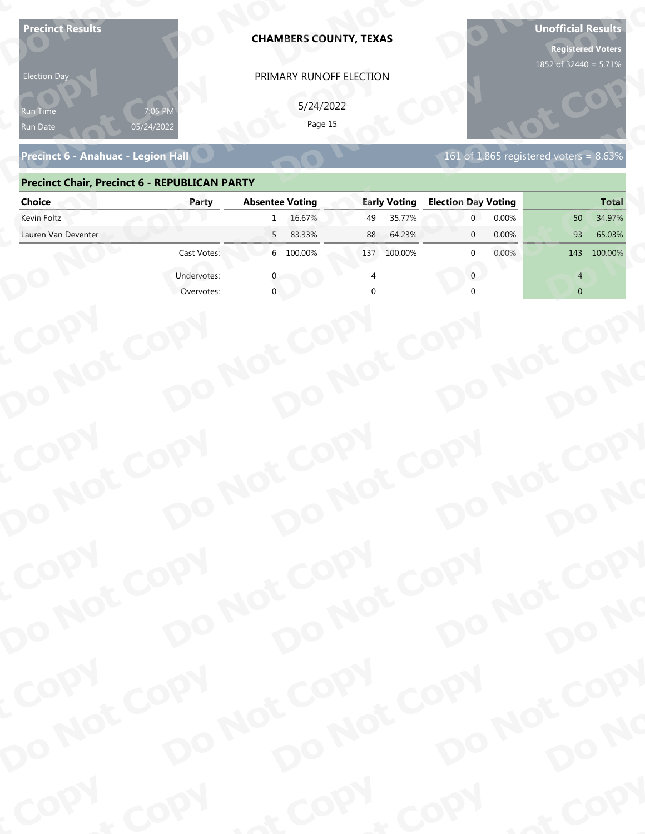| <b>Precinct Results</b><br><b>Election Day</b><br>የun Time |             | <b>CHAMBERS COUNTY, TEXAS</b><br>PRIMARY RUNOFF ELECTION<br>5/24/2022<br>Page 15 |                              |                                | <b>Unofficial Results</b><br><b>Registered Voters</b><br>1852 of 32440 = 5.71% |
|------------------------------------------------------------|-------------|----------------------------------------------------------------------------------|------------------------------|--------------------------------|--------------------------------------------------------------------------------|
| Run Date<br>Precinct 6 - Anahuac - Legion Hall             | 05/24/2022  |                                                                                  |                              |                                | 161 of 1,865 registered voters = $8.63\%$                                      |
| <b>Precinct Chair, Precinct 6 - REPUBLICAN PARTY</b>       |             |                                                                                  |                              |                                |                                                                                |
| <b>Choice</b>                                              | Party       | <b>Absentee Voting</b>                                                           | <b>Early Voting</b>          | <b>Election Day Voting</b>     | <b>Total</b>                                                                   |
| Kevin Foltz<br>Lauren Van Deventer                         |             | 16.67%<br>$\mathbf{1}$<br>5<br>83.33%                                            | 35.77%<br>49<br>88<br>64.23% | 0.00%<br>0.00%<br>$\mathbf{0}$ | 34.97%<br>50<br>93<br>65.03%                                                   |
|                                                            | Cast Votes: | 6 100.00%                                                                        | 100.00%<br>137               | 0.00%<br>$\Omega$              | 100.00%<br>143                                                                 |
|                                                            | Undervotes: |                                                                                  |                              | $\Omega$                       | Δ                                                                              |
|                                                            | Overvotes:  |                                                                                  |                              |                                | $\overline{0}$                                                                 |
| COPY<br>DO NOT COPY                                        |             | DO NOT COPY<br>DO NOT COPY                                                       |                              | DO NOT COPY                    | DO NO                                                                          |
| COPY<br>DO NOT COPY                                        |             | DO NOT COPY<br>DO NOT COPY                                                       |                              | DO NOT COPY                    |                                                                                |
|                                                            |             |                                                                                  |                              |                                | DO NO                                                                          |
| COPY<br>DO NOT COPY                                        |             | DO NOT COPY<br>DO NOT COPY                                                       |                              | DO NOT COPY                    |                                                                                |
|                                                            |             |                                                                                  |                              |                                | DO NO                                                                          |
| COPY                                                       | COPY        | & COPY                                                                           |                              | COPY                           | of COPY                                                                        |

### **Precinct 6 - Anahuac - Legion Hall**

### **Precinct Chair, Precinct 6 - REPUBLICAN PARTY D**

| <b>Election Day</b>                                  |             | PRIMARY RUNOFF ELECTION    |                     |                                           |                |
|------------------------------------------------------|-------------|----------------------------|---------------------|-------------------------------------------|----------------|
| Run Time<br>Run Date                                 | 05/24/2022  | 5/24/2022<br>Page 15       |                     |                                           |                |
| Precinct 6 - Anahuac - Legion Hall                   |             |                            |                     | 161 of 1,865 registered voters = $8.63\%$ |                |
| <b>Precinct Chair, Precinct 6 - REPUBLICAN PARTY</b> |             |                            |                     |                                           |                |
| <b>Choice</b>                                        | Party       | <b>Absentee Voting</b>     | <b>Early Voting</b> | <b>Election Day Voting</b>                | <b>Total</b>   |
| Kevin Foltz                                          |             | 16.67%<br>$\mathbf{1}$     | 35.77%<br>49        | 0.00%<br>$\overline{0}$                   | 34.97%<br>50   |
| Lauren Van Deventer                                  |             | 83.33%<br>5 <sup>7</sup>   | 88<br>64.23%        | 0.00%<br>$\mathbf{0}$                     | 93<br>65.03%   |
|                                                      | Cast Votes: | 6 100.00%                  | 137 100.00%         | 0.00%<br><sup>0</sup>                     | 143 100.00%    |
|                                                      | Undervotes: |                            |                     | $\mathbf{0}$                              | $\Delta$       |
|                                                      | Overvotes:  |                            |                     |                                           | $\overline{0}$ |
|                                                      |             |                            |                     |                                           |                |
|                                                      |             |                            |                     |                                           |                |
|                                                      |             |                            |                     |                                           |                |
|                                                      |             |                            |                     |                                           |                |
|                                                      |             |                            |                     |                                           |                |
|                                                      |             |                            |                     |                                           |                |
|                                                      |             |                            |                     |                                           |                |
|                                                      |             |                            |                     |                                           |                |
|                                                      |             |                            |                     |                                           |                |
|                                                      |             |                            |                     |                                           |                |
|                                                      |             |                            |                     |                                           |                |
|                                                      |             |                            |                     |                                           |                |
| COPY                                                 |             |                            |                     |                                           |                |
|                                                      |             |                            |                     |                                           |                |
|                                                      |             |                            |                     |                                           | DO NO          |
|                                                      |             |                            |                     |                                           |                |
| DO NOT COPY                                          |             | DO NOT COPY<br>DO NOT COPY |                     | DO NOT COPY                               |                |
| COPY                                                 |             |                            |                     |                                           |                |
|                                                      |             |                            |                     |                                           |                |
|                                                      |             |                            |                     |                                           |                |
|                                                      |             |                            |                     |                                           |                |
|                                                      |             |                            |                     |                                           |                |
| DO NOT COPY                                          |             | DO NOT COPY<br>DO NOT COPY |                     | DO NOT COPY                               | DO NO          |
| <b>Poo</b>                                           |             |                            | $P_{\rm O_2}$       |                                           |                |
|                                                      | <b>And</b>  |                            |                     | <b>LON</b>                                | ·ODW           |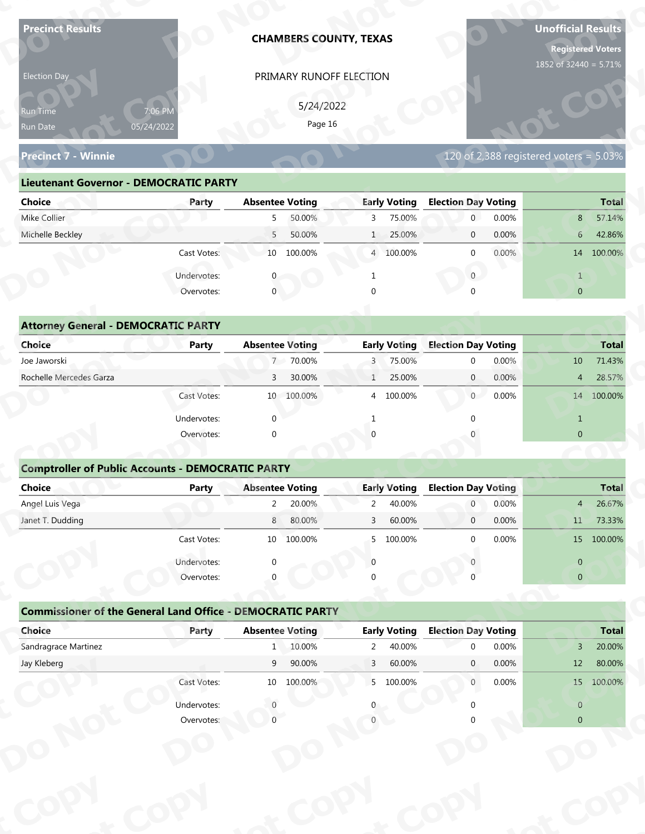| <b>Precinct Results</b>                                           |                           |                        | <b>CHAMBERS COUNTY, TEXAS</b> |                |                               |                                        |       | <b>Unofficial Results</b>                 | <b>Registered Voters</b> |
|-------------------------------------------------------------------|---------------------------|------------------------|-------------------------------|----------------|-------------------------------|----------------------------------------|-------|-------------------------------------------|--------------------------|
| Election Day                                                      |                           |                        | PRIMARY RUNOFF ELECTION       |                |                               |                                        |       | 1852 of 32440 = 5.71%                     |                          |
|                                                                   |                           |                        |                               |                |                               |                                        |       |                                           |                          |
| Run Time                                                          | 7:06 PM                   |                        | 5/24/2022<br>Page 16          |                |                               |                                        |       |                                           |                          |
| Run Date                                                          | 05/24/2022                |                        |                               |                |                               |                                        |       |                                           |                          |
| <b>Precinct 7 - Winnie</b>                                        |                           |                        |                               |                |                               |                                        |       | 120 of 2,388 registered voters = $5.03\%$ |                          |
| <b>Lieutenant Governor - DEMOCRATIC PARTY</b>                     |                           |                        |                               |                |                               |                                        |       |                                           |                          |
| <b>Choice</b>                                                     | Party                     | <b>Absentee Voting</b> |                               |                | <b>Early Voting</b>           | <b>Election Day Voting</b>             |       |                                           | <b>Total</b>             |
| Mike Collier                                                      |                           | 5                      | 50.00%                        | 3              | 75.00%                        | $\mathbf 0$                            | 0.00% | 8                                         | 57.14%                   |
| Michelle Beckley                                                  |                           | 5                      | 50.00%                        | $\mathbf{1}$   | 25.00%                        | $\mathbf 0$                            | 0.00% | $6\phantom{.}6$                           | 42.86%                   |
|                                                                   | Cast Votes:               |                        | 10 100.00%                    |                | 4 100.00%                     | $\mathbf 0$                            | 0.00% |                                           | 14 100.00%               |
|                                                                   | Undervotes:               |                        |                               |                |                               | $\overline{0}$                         |       | $\mathbf{1}$                              |                          |
|                                                                   | Overvotes:                | $\mathbf{0}$           |                               |                |                               |                                        |       | $\overline{0}$                            |                          |
|                                                                   |                           |                        |                               |                |                               |                                        |       |                                           |                          |
| <b>Attorney General - DEMOCRATIC PARTY</b>                        |                           |                        |                               |                |                               |                                        |       |                                           |                          |
| <b>Choice</b>                                                     | <b>Party</b>              | <b>Absentee Voting</b> |                               |                | <b>Early Voting</b>           | <b>Election Day Voting</b>             |       |                                           | <b>Total</b>             |
| Joe Jaworski                                                      |                           |                        | 7 70.00%                      | 3              | 75.00%                        | $\mathbf 0$                            | 0.00% | 10                                        | 71.43%                   |
| Rochelle Mercedes Garza                                           |                           | 3                      | 30.00%                        | $\mathbf{1}$   | 25.00%                        | $\overline{0}$                         | 0.00% | 4                                         | 28.57%                   |
|                                                                   | Cast Votes:               |                        | 10 100.00%                    |                | 4 100.00%                     | 0                                      | 0.00% |                                           | 14 100.00%               |
|                                                                   | Undervotes:               | $\Omega$               |                               | $\mathbf{1}$   |                               | $\Omega$                               |       | $\mathbf{1}$                              |                          |
|                                                                   | Overvotes:                | $\Omega$               |                               |                |                               |                                        |       | $\overline{0}$                            |                          |
|                                                                   |                           |                        |                               |                |                               |                                        |       |                                           |                          |
| <b>Comptroller of Public Accounts - DEMOCRATIC PARTY</b>          |                           |                        |                               |                |                               |                                        |       |                                           |                          |
| <b>Choice</b>                                                     | <b>Party</b>              | <b>Absentee Voting</b> |                               |                | <b>Early Voting</b>           | <b>Election Day Voting</b>             |       |                                           | <b>Total</b>             |
| Angel Luis Vega                                                   |                           | $2^{\circ}$            | 20.00%                        | $\overline{2}$ | 40.00%                        | $\overline{0}$                         | 0.00% | 4                                         | 26.67%                   |
| Janet T. Dudding                                                  |                           | 8                      | 80.00%                        | 3              | 60.00%                        | $\overline{0}$                         | 0.00% | 11                                        | 73.33%                   |
|                                                                   | Cast Votes:               |                        | 10 100.00%                    | 5              | 100.00%                       | $\Omega$                               | 0.00% |                                           | 15 100.00%               |
|                                                                   | Undervotes:               | $\Omega$               |                               | $\Omega$       |                               |                                        |       | $\overline{0}$                            |                          |
|                                                                   | Overvotes:                |                        |                               |                |                               |                                        |       | $\overline{0}$                            |                          |
|                                                                   |                           |                        |                               |                |                               |                                        |       |                                           |                          |
| <b>Commissioner of the General Land Office - DEMOCRATIC PARTY</b> |                           |                        |                               |                |                               |                                        |       |                                           |                          |
|                                                                   | Party                     | <b>Absentee Voting</b> | 1 10.00%                      | $\overline{2}$ | <b>Early Voting</b><br>40.00% | <b>Election Day Voting</b><br>$\Omega$ | 0.00% | $\mathbf{3}$                              | <b>Total</b><br>20.00%   |
| Choice                                                            |                           |                        |                               |                |                               |                                        | 0.00% | 12                                        | 80.00%                   |
| Sandragrace Martinez                                              |                           |                        |                               |                |                               |                                        |       |                                           |                          |
| Jay Kleberg                                                       |                           | 9                      | 90.00%                        | 3              | 60.00%                        | $\mathbf{0}$                           |       |                                           |                          |
|                                                                   | Cast Votes:               |                        | 10 100.00%                    |                | 5 100.00%                     | $\overline{0}$                         | 0.00% |                                           | 15 100.00%               |
|                                                                   | Undervotes:<br>Overvotes: |                        |                               |                |                               |                                        |       | $\overline{0}$<br>$\overline{0}$          |                          |

|  | 120 of 2,388 registered voters = $5.03\%$ |  |  |  |
|--|-------------------------------------------|--|--|--|
|  |                                           |  |  |  |
|  |                                           |  |  |  |
|  |                                           |  |  |  |

| Election Day<br>PRIMARY RUNOFF ELECTION                                                                              |              |
|----------------------------------------------------------------------------------------------------------------------|--------------|
| 5/24/2022<br>7:06 PM<br><b>Run Time</b><br>Page 16<br>05/24/2022<br>Run Date                                         |              |
| 120 of 2,388 registered voters = 5.03%<br><b>Precinct 7 - Winnie</b>                                                 |              |
| <b>Lieutenant Governor - DEMOCRATIC PARTY</b>                                                                        |              |
| <b>Absentee Voting</b><br><b>Early Voting</b><br><b>Election Day Voting</b><br><b>Choice</b><br>Party                | <b>Total</b> |
| Mike Collier<br>50.00%<br>75.00%<br>0.00%<br>3<br>$\overline{0}$<br>8<br>5                                           | 57.14%       |
| Michelle Beckley<br>50.00%<br>25.00%<br>0.00%<br>5 <sup>7</sup><br>$6\overline{6}$<br>$\overline{0}$<br>$\mathbf{1}$ | 42.86%       |
| 10 100.00%<br>$0.00\%$<br>Cast Votes:<br>4 100.00%<br>14 100.00%<br>$\Omega$                                         |              |
| Undervotes:<br>$\overline{0}$                                                                                        |              |
| $\mathbf 0$<br>Overvotes:<br>$\Omega$<br>$\overline{0}$                                                              |              |
|                                                                                                                      |              |
| <b>Attorney General - DEMOCRATIC PARTY</b>                                                                           |              |
| <b>Early Voting</b><br><b>Election Day Voting</b><br><b>Choice</b><br><b>Absentee Voting</b><br><b>Party</b>         | <b>Total</b> |
| Joe Jaworski<br>7 70.00%<br>75.00%<br>0.00%<br>10<br>3<br>$\Omega$                                                   | 71.43%       |
| Rochelle Mercedes Garza<br>30.00%<br>25.00%<br>$\overline{0}$<br>0.00%<br>$\mathbf{3}$<br>$\overline{4}$             | 28.57%       |
| 0<br>0.00%<br>14 100.00%<br>10 100.00%<br>100.00%<br>Cast Votes:<br>$\overline{4}$                                   |              |

| 5/24/2022<br>7:06 PM<br>Run Time<br>Page 16<br>05/24/2022<br>Run Date<br>120 of 2,388 registered voters = 5.03%<br><b>Precinct 7 - Winnie</b><br><b>Lieutenant Governor - DEMOCRATIC PARTY</b><br><b>Absentee Voting</b><br><b>Early Voting</b><br><b>Election Day Voting</b><br><b>Choice</b><br>Party<br>Mike Collier<br>50.00%<br>$\overline{3}$<br>75.00%<br>$\overline{0}$<br>0.00%<br>5<br>8<br>Michelle Beckley<br>50.00%<br>25.00%<br>0.00%<br>5<br>$\mathbf 0$<br>1<br>6<br>Cast Votes:<br>10 100.00%<br>4 100.00%<br>0.00%<br>$\mathbf{0}$<br>$\overline{0}$<br>Undervotes:<br>$\mathbf{1}$<br>$\mathbf{1}$<br>$\mathbf{0}$<br>Overvotes:<br>$\mathbf{0}$<br>$\overline{0}$<br>$\Omega$<br><b>Attorney General - DEMOCRATIC PARTY</b><br><b>Early Voting</b><br><b>Election Day Voting</b><br>Choice<br><b>Absentee Voting</b><br><b>Party</b><br>Joe Jaworski<br>7 70.00%<br>75.00%<br>0.00%<br>10<br>3<br>$\mathbf 0$<br>Rochelle Mercedes Garza<br>30.00%<br>0.00%<br>25.00%<br>$\mathbf{0}$<br>3<br>$\mathbf{1}$<br>4<br>Cast Votes:<br>10 100.00%<br>100.00%<br>0.00%<br>$\overline{0}$<br>4<br>Undervotes:<br>$\Omega$<br>$\mathbf{1}$<br>$\overline{0}$<br>Overvotes:<br>$\Omega$<br><b>Comptroller of Public Accounts - DEMOCRATIC PARTY</b><br><b>Choice</b><br><b>Absentee Voting</b><br><b>Election Day Voting</b><br><b>Party</b><br><b>Early Voting</b><br>Angel Luis Vega<br>20.00%<br>40.00%<br>0.00%<br>$\overline{0}$<br>$\overline{2}$<br>2<br>$\overline{4}$<br>60.00%<br>0.00%<br>Janet T. Dudding<br>80.00%<br>3<br>8<br>$\mathbf 0$<br>11<br>0.00%<br>Cast Votes:<br>10 100.00%<br>5 100.00%<br>$\Omega$<br>Undervotes:<br>$\overline{0}$<br>$\Omega$<br>Overvotes:<br>$\overline{0}$<br><b>Commissioner of the General Land Office - DEMOCRATIC PARTY</b><br>Choice<br><b>Absentee Voting</b><br><b>Early Voting</b><br><b>Election Day Voting</b><br>Party<br>Sandragrace Martinez<br>1 10.00%<br>$\overline{2}$<br>40.00%<br>0.00%<br>3 <sup>7</sup><br>$\Omega$<br>90.00%<br>60.00%<br>Jay Kleberg<br>9<br>$\overline{3}$<br>0.00%<br>12<br>$\mathbf{0}$<br>10 100.00% |             |  | PRIMARY RUNOFF ELECTION |           |                |       |              |
|------------------------------------------------------------------------------------------------------------------------------------------------------------------------------------------------------------------------------------------------------------------------------------------------------------------------------------------------------------------------------------------------------------------------------------------------------------------------------------------------------------------------------------------------------------------------------------------------------------------------------------------------------------------------------------------------------------------------------------------------------------------------------------------------------------------------------------------------------------------------------------------------------------------------------------------------------------------------------------------------------------------------------------------------------------------------------------------------------------------------------------------------------------------------------------------------------------------------------------------------------------------------------------------------------------------------------------------------------------------------------------------------------------------------------------------------------------------------------------------------------------------------------------------------------------------------------------------------------------------------------------------------------------------------------------------------------------------------------------------------------------------------------------------------------------------------------------------------------------------------------------------------------------------------------------------------------------------------------------------------------------------------------------------------------------------------------------------------------------|-------------|--|-------------------------|-----------|----------------|-------|--------------|
|                                                                                                                                                                                                                                                                                                                                                                                                                                                                                                                                                                                                                                                                                                                                                                                                                                                                                                                                                                                                                                                                                                                                                                                                                                                                                                                                                                                                                                                                                                                                                                                                                                                                                                                                                                                                                                                                                                                                                                                                                                                                                                            |             |  |                         |           |                |       |              |
|                                                                                                                                                                                                                                                                                                                                                                                                                                                                                                                                                                                                                                                                                                                                                                                                                                                                                                                                                                                                                                                                                                                                                                                                                                                                                                                                                                                                                                                                                                                                                                                                                                                                                                                                                                                                                                                                                                                                                                                                                                                                                                            |             |  |                         |           |                |       |              |
|                                                                                                                                                                                                                                                                                                                                                                                                                                                                                                                                                                                                                                                                                                                                                                                                                                                                                                                                                                                                                                                                                                                                                                                                                                                                                                                                                                                                                                                                                                                                                                                                                                                                                                                                                                                                                                                                                                                                                                                                                                                                                                            |             |  |                         |           |                |       |              |
|                                                                                                                                                                                                                                                                                                                                                                                                                                                                                                                                                                                                                                                                                                                                                                                                                                                                                                                                                                                                                                                                                                                                                                                                                                                                                                                                                                                                                                                                                                                                                                                                                                                                                                                                                                                                                                                                                                                                                                                                                                                                                                            |             |  |                         |           |                |       |              |
|                                                                                                                                                                                                                                                                                                                                                                                                                                                                                                                                                                                                                                                                                                                                                                                                                                                                                                                                                                                                                                                                                                                                                                                                                                                                                                                                                                                                                                                                                                                                                                                                                                                                                                                                                                                                                                                                                                                                                                                                                                                                                                            |             |  |                         |           |                |       |              |
|                                                                                                                                                                                                                                                                                                                                                                                                                                                                                                                                                                                                                                                                                                                                                                                                                                                                                                                                                                                                                                                                                                                                                                                                                                                                                                                                                                                                                                                                                                                                                                                                                                                                                                                                                                                                                                                                                                                                                                                                                                                                                                            |             |  |                         |           |                |       | <b>Total</b> |
|                                                                                                                                                                                                                                                                                                                                                                                                                                                                                                                                                                                                                                                                                                                                                                                                                                                                                                                                                                                                                                                                                                                                                                                                                                                                                                                                                                                                                                                                                                                                                                                                                                                                                                                                                                                                                                                                                                                                                                                                                                                                                                            |             |  |                         |           |                |       | 57.14%       |
|                                                                                                                                                                                                                                                                                                                                                                                                                                                                                                                                                                                                                                                                                                                                                                                                                                                                                                                                                                                                                                                                                                                                                                                                                                                                                                                                                                                                                                                                                                                                                                                                                                                                                                                                                                                                                                                                                                                                                                                                                                                                                                            |             |  |                         |           |                |       | 42.86%       |
|                                                                                                                                                                                                                                                                                                                                                                                                                                                                                                                                                                                                                                                                                                                                                                                                                                                                                                                                                                                                                                                                                                                                                                                                                                                                                                                                                                                                                                                                                                                                                                                                                                                                                                                                                                                                                                                                                                                                                                                                                                                                                                            |             |  |                         |           |                |       | 14 100.00%   |
|                                                                                                                                                                                                                                                                                                                                                                                                                                                                                                                                                                                                                                                                                                                                                                                                                                                                                                                                                                                                                                                                                                                                                                                                                                                                                                                                                                                                                                                                                                                                                                                                                                                                                                                                                                                                                                                                                                                                                                                                                                                                                                            |             |  |                         |           |                |       |              |
|                                                                                                                                                                                                                                                                                                                                                                                                                                                                                                                                                                                                                                                                                                                                                                                                                                                                                                                                                                                                                                                                                                                                                                                                                                                                                                                                                                                                                                                                                                                                                                                                                                                                                                                                                                                                                                                                                                                                                                                                                                                                                                            |             |  |                         |           |                |       |              |
|                                                                                                                                                                                                                                                                                                                                                                                                                                                                                                                                                                                                                                                                                                                                                                                                                                                                                                                                                                                                                                                                                                                                                                                                                                                                                                                                                                                                                                                                                                                                                                                                                                                                                                                                                                                                                                                                                                                                                                                                                                                                                                            |             |  |                         |           |                |       |              |
|                                                                                                                                                                                                                                                                                                                                                                                                                                                                                                                                                                                                                                                                                                                                                                                                                                                                                                                                                                                                                                                                                                                                                                                                                                                                                                                                                                                                                                                                                                                                                                                                                                                                                                                                                                                                                                                                                                                                                                                                                                                                                                            |             |  |                         |           |                |       |              |
|                                                                                                                                                                                                                                                                                                                                                                                                                                                                                                                                                                                                                                                                                                                                                                                                                                                                                                                                                                                                                                                                                                                                                                                                                                                                                                                                                                                                                                                                                                                                                                                                                                                                                                                                                                                                                                                                                                                                                                                                                                                                                                            |             |  |                         |           |                |       | <b>Total</b> |
|                                                                                                                                                                                                                                                                                                                                                                                                                                                                                                                                                                                                                                                                                                                                                                                                                                                                                                                                                                                                                                                                                                                                                                                                                                                                                                                                                                                                                                                                                                                                                                                                                                                                                                                                                                                                                                                                                                                                                                                                                                                                                                            |             |  |                         |           |                |       | 71.43%       |
|                                                                                                                                                                                                                                                                                                                                                                                                                                                                                                                                                                                                                                                                                                                                                                                                                                                                                                                                                                                                                                                                                                                                                                                                                                                                                                                                                                                                                                                                                                                                                                                                                                                                                                                                                                                                                                                                                                                                                                                                                                                                                                            |             |  |                         |           |                |       | 28.57%       |
|                                                                                                                                                                                                                                                                                                                                                                                                                                                                                                                                                                                                                                                                                                                                                                                                                                                                                                                                                                                                                                                                                                                                                                                                                                                                                                                                                                                                                                                                                                                                                                                                                                                                                                                                                                                                                                                                                                                                                                                                                                                                                                            |             |  |                         |           |                |       | 14 100.00%   |
|                                                                                                                                                                                                                                                                                                                                                                                                                                                                                                                                                                                                                                                                                                                                                                                                                                                                                                                                                                                                                                                                                                                                                                                                                                                                                                                                                                                                                                                                                                                                                                                                                                                                                                                                                                                                                                                                                                                                                                                                                                                                                                            |             |  |                         |           |                |       |              |
|                                                                                                                                                                                                                                                                                                                                                                                                                                                                                                                                                                                                                                                                                                                                                                                                                                                                                                                                                                                                                                                                                                                                                                                                                                                                                                                                                                                                                                                                                                                                                                                                                                                                                                                                                                                                                                                                                                                                                                                                                                                                                                            |             |  |                         |           |                |       |              |
|                                                                                                                                                                                                                                                                                                                                                                                                                                                                                                                                                                                                                                                                                                                                                                                                                                                                                                                                                                                                                                                                                                                                                                                                                                                                                                                                                                                                                                                                                                                                                                                                                                                                                                                                                                                                                                                                                                                                                                                                                                                                                                            |             |  |                         |           |                |       |              |
|                                                                                                                                                                                                                                                                                                                                                                                                                                                                                                                                                                                                                                                                                                                                                                                                                                                                                                                                                                                                                                                                                                                                                                                                                                                                                                                                                                                                                                                                                                                                                                                                                                                                                                                                                                                                                                                                                                                                                                                                                                                                                                            |             |  |                         |           |                |       |              |
|                                                                                                                                                                                                                                                                                                                                                                                                                                                                                                                                                                                                                                                                                                                                                                                                                                                                                                                                                                                                                                                                                                                                                                                                                                                                                                                                                                                                                                                                                                                                                                                                                                                                                                                                                                                                                                                                                                                                                                                                                                                                                                            |             |  |                         |           |                |       | <b>Total</b> |
|                                                                                                                                                                                                                                                                                                                                                                                                                                                                                                                                                                                                                                                                                                                                                                                                                                                                                                                                                                                                                                                                                                                                                                                                                                                                                                                                                                                                                                                                                                                                                                                                                                                                                                                                                                                                                                                                                                                                                                                                                                                                                                            |             |  |                         |           |                |       | 26.67%       |
|                                                                                                                                                                                                                                                                                                                                                                                                                                                                                                                                                                                                                                                                                                                                                                                                                                                                                                                                                                                                                                                                                                                                                                                                                                                                                                                                                                                                                                                                                                                                                                                                                                                                                                                                                                                                                                                                                                                                                                                                                                                                                                            |             |  |                         |           |                |       | 73.33%       |
|                                                                                                                                                                                                                                                                                                                                                                                                                                                                                                                                                                                                                                                                                                                                                                                                                                                                                                                                                                                                                                                                                                                                                                                                                                                                                                                                                                                                                                                                                                                                                                                                                                                                                                                                                                                                                                                                                                                                                                                                                                                                                                            |             |  |                         |           |                |       | 15 100.00%   |
|                                                                                                                                                                                                                                                                                                                                                                                                                                                                                                                                                                                                                                                                                                                                                                                                                                                                                                                                                                                                                                                                                                                                                                                                                                                                                                                                                                                                                                                                                                                                                                                                                                                                                                                                                                                                                                                                                                                                                                                                                                                                                                            |             |  |                         |           |                |       |              |
|                                                                                                                                                                                                                                                                                                                                                                                                                                                                                                                                                                                                                                                                                                                                                                                                                                                                                                                                                                                                                                                                                                                                                                                                                                                                                                                                                                                                                                                                                                                                                                                                                                                                                                                                                                                                                                                                                                                                                                                                                                                                                                            |             |  |                         |           |                |       |              |
|                                                                                                                                                                                                                                                                                                                                                                                                                                                                                                                                                                                                                                                                                                                                                                                                                                                                                                                                                                                                                                                                                                                                                                                                                                                                                                                                                                                                                                                                                                                                                                                                                                                                                                                                                                                                                                                                                                                                                                                                                                                                                                            |             |  |                         |           |                |       |              |
|                                                                                                                                                                                                                                                                                                                                                                                                                                                                                                                                                                                                                                                                                                                                                                                                                                                                                                                                                                                                                                                                                                                                                                                                                                                                                                                                                                                                                                                                                                                                                                                                                                                                                                                                                                                                                                                                                                                                                                                                                                                                                                            |             |  |                         |           |                |       |              |
|                                                                                                                                                                                                                                                                                                                                                                                                                                                                                                                                                                                                                                                                                                                                                                                                                                                                                                                                                                                                                                                                                                                                                                                                                                                                                                                                                                                                                                                                                                                                                                                                                                                                                                                                                                                                                                                                                                                                                                                                                                                                                                            |             |  |                         |           |                |       | <b>Total</b> |
|                                                                                                                                                                                                                                                                                                                                                                                                                                                                                                                                                                                                                                                                                                                                                                                                                                                                                                                                                                                                                                                                                                                                                                                                                                                                                                                                                                                                                                                                                                                                                                                                                                                                                                                                                                                                                                                                                                                                                                                                                                                                                                            |             |  |                         |           |                |       | 20.00%       |
|                                                                                                                                                                                                                                                                                                                                                                                                                                                                                                                                                                                                                                                                                                                                                                                                                                                                                                                                                                                                                                                                                                                                                                                                                                                                                                                                                                                                                                                                                                                                                                                                                                                                                                                                                                                                                                                                                                                                                                                                                                                                                                            |             |  |                         |           |                |       | 80.00%       |
|                                                                                                                                                                                                                                                                                                                                                                                                                                                                                                                                                                                                                                                                                                                                                                                                                                                                                                                                                                                                                                                                                                                                                                                                                                                                                                                                                                                                                                                                                                                                                                                                                                                                                                                                                                                                                                                                                                                                                                                                                                                                                                            | Cast Votes: |  |                         | 5 100.00% | $\overline{0}$ | 0.00% | 15 100.00%   |
| Undervotes:<br>$\overline{0}$                                                                                                                                                                                                                                                                                                                                                                                                                                                                                                                                                                                                                                                                                                                                                                                                                                                                                                                                                                                                                                                                                                                                                                                                                                                                                                                                                                                                                                                                                                                                                                                                                                                                                                                                                                                                                                                                                                                                                                                                                                                                              |             |  |                         |           |                |       |              |
| Overvotes:<br>$\overline{0}$                                                                                                                                                                                                                                                                                                                                                                                                                                                                                                                                                                                                                                                                                                                                                                                                                                                                                                                                                                                                                                                                                                                                                                                                                                                                                                                                                                                                                                                                                                                                                                                                                                                                                                                                                                                                                                                                                                                                                                                                                                                                               |             |  |                         |           |                |       |              |

### **Comptroller of Public Accounts - DEMOCRATIC PARTY**

| Choice                                                            | Party       | <b>Absentee Voting</b> |            |                | <b>Early Voting</b> | <b>Election Day Voting</b> |       |                 | <b>Total</b> |
|-------------------------------------------------------------------|-------------|------------------------|------------|----------------|---------------------|----------------------------|-------|-----------------|--------------|
| Joe Jaworski                                                      |             |                        | 7 70.00%   | $3^{\circ}$    | 75.00%              | $\mathbf{0}$               | 0.00% | 10 <sup>1</sup> | 71.43%       |
| Rochelle Mercedes Garza                                           |             | 3                      | 30.00%     | $\mathbf{1}$   | 25.00%              | $\mathbf{0}$               | 0.00% | $\overline{4}$  | 28.57%       |
|                                                                   | Cast Votes: |                        | 10 100.00% |                | 4 100.00%           | $\overline{0}$             | 0.00% |                 | 14 100.00%   |
|                                                                   | Undervotes: | ∩                      |            |                |                     | $\Omega$                   |       | $\mathbf{1}$    |              |
|                                                                   | Overvotes:  | $\Omega$               |            |                |                     |                            |       | $\overline{0}$  |              |
| <b>Comptroller of Public Accounts - DEMOCRATIC PARTY</b>          |             |                        |            |                |                     |                            |       |                 |              |
| <b>Choice</b>                                                     | Party       | <b>Absentee Voting</b> |            |                | <b>Early Voting</b> | <b>Election Day Voting</b> |       |                 | <b>Total</b> |
| Angel Luis Vega                                                   |             | $\overline{2}$         | 20.00%     | $\overline{2}$ | 40.00%              | $\overline{0}$             | 0.00% | $\overline{4}$  | 26.67%       |
| Janet T. Dudding                                                  |             | 8                      | 80.00%     | 3              | 60.00%              | $\overline{0}$             | 0.00% | 11              | 73.33%       |
|                                                                   | Cast Votes: |                        | 10 100.00% |                | 5 100.00%           | $\mathbf{0}$               | 0.00% |                 | 15 100.00%   |
|                                                                   | Undervotes: | ∩                      |            | <sup>0</sup>   |                     |                            |       | $\overline{0}$  |              |
|                                                                   | Overvotes:  |                        |            |                |                     |                            |       | $\mathbf 0$     |              |
| <b>Commissioner of the General Land Office - DEMOCRATIC PARTY</b> |             |                        |            |                |                     |                            |       |                 |              |
| Choice                                                            | Party       | <b>Absentee Voting</b> |            |                | <b>Early Voting</b> | <b>Election Day Voting</b> |       |                 | <b>Total</b> |
| Sandragrace Martinez                                              |             | 1                      | 10.00%     | $\overline{a}$ | 40.00%              | $\mathbf{0}$               | 0.00% | $\mathsf{3}$    | 20.00%       |
| Jay Kleberg                                                       |             | 9                      | 90.00%     | $\mathbf{3}$   | 60.00%              | $\mathbf{0}$               | 0.00% | 12              | 80.00%       |
|                                                                   | Cast Votes: |                        | 10 100.00% |                | 5 100.00%           | $\mathbf{0}$               | 0.00% |                 | 15 100.00%   |
|                                                                   | Undervotes: |                        |            |                |                     | <sup>n</sup>               |       | $\overline{0}$  |              |
|                                                                   | Overvotes:  |                        |            |                |                     |                            |       | $\overline{0}$  |              |
|                                                                   |             |                        |            |                |                     |                            |       |                 |              |

|                                                                   | Cast votes. | TΩ                     | TOO'OO XQ | ⊃ | TOO'OO SO           |                            | <b>U.UU70</b> |                | 12 100.00%   |
|-------------------------------------------------------------------|-------------|------------------------|-----------|---|---------------------|----------------------------|---------------|----------------|--------------|
|                                                                   | Undervotes: | $\Omega$               |           | 0 |                     |                            |               | $\Omega$       |              |
|                                                                   | Overvotes:  | $\Omega$               |           | 0 |                     |                            |               | $\overline{0}$ |              |
|                                                                   |             |                        |           |   |                     |                            |               |                |              |
| <b>Commissioner of the General Land Office - DEMOCRATIC PARTY</b> |             |                        |           |   |                     |                            |               |                |              |
| Choice                                                            | Party       | <b>Absentee Voting</b> |           |   | <b>Early Voting</b> | <b>Election Day Voting</b> |               |                | <b>Total</b> |
| Sandragrace Martinez                                              |             | 1                      | 10.00%    | 2 | 40.00%              | $\Omega$                   | 0.00%         | $\overline{3}$ | 20.00%       |
| Jay Kleberg                                                       |             | 9                      | 90.00%    | 3 | 60.00%              | $\mathbf{0}$               | $0.00\%$      | 12             | 80.00%       |
|                                                                   | Cast Votes: | 10 <sup>°</sup>        | 100.00%   |   | 5 100.00%           | $\mathbf{0}$               | $0.00\%$      | 15             | 100.00%      |
|                                                                   | Undervotes: |                        |           | 0 |                     |                            |               | $\overline{0}$ |              |
|                                                                   | Overvotes:  |                        |           |   |                     |                            |               | $\overline{0}$ |              |
|                                                                   |             |                        |           |   |                     |                            |               |                |              |
|                                                                   |             |                        |           |   |                     |                            |               |                |              |
|                                                                   |             |                        |           |   |                     |                            |               |                |              |
|                                                                   |             |                        |           |   |                     |                            |               |                |              |
|                                                                   |             |                        |           |   |                     |                            |               |                |              |
|                                                                   |             |                        |           |   |                     |                            |               |                |              |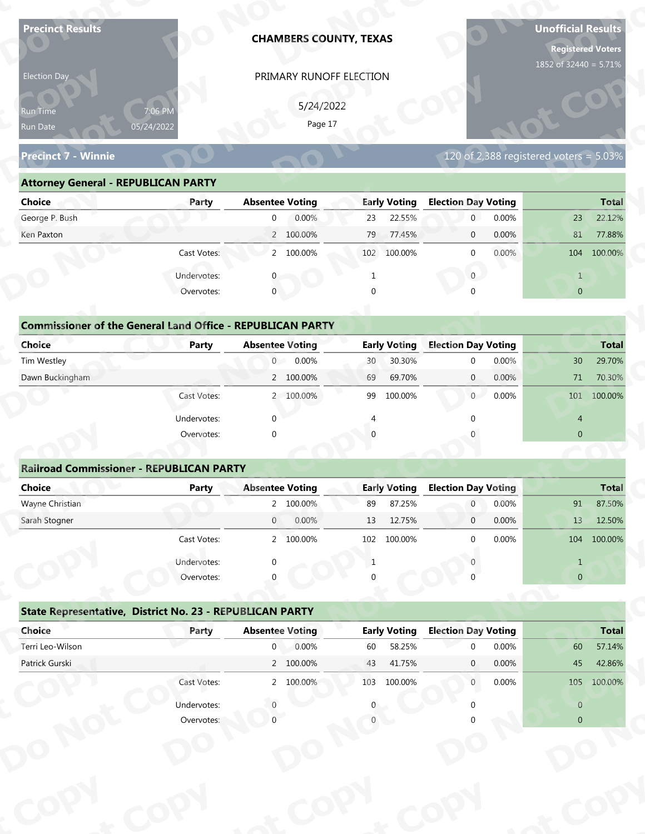| <b>Precinct Results</b>                                           |              |                        | <b>CHAMBERS COUNTY, TEXAS</b> |                |                     |                            |                            | <b>Unofficial Results</b><br><b>Registered Voters</b><br>1852 of 32440 = 5.71% |              |
|-------------------------------------------------------------------|--------------|------------------------|-------------------------------|----------------|---------------------|----------------------------|----------------------------|--------------------------------------------------------------------------------|--------------|
| Election Day                                                      |              |                        | PRIMARY RUNOFF ELECTION       |                |                     |                            |                            |                                                                                |              |
|                                                                   |              |                        |                               |                |                     |                            |                            |                                                                                |              |
| Run Time                                                          | 7:06 PM      |                        | 5/24/2022<br>Page 17          |                |                     |                            |                            |                                                                                |              |
| Run Date                                                          | 05/24/2022   |                        |                               |                |                     |                            |                            |                                                                                |              |
| <b>Precinct 7 - Winnie</b>                                        |              |                        |                               |                |                     |                            |                            | 120 of 2,388 registered voters = $5.03\%$                                      |              |
| <b>Attorney General - REPUBLICAN PARTY</b>                        |              |                        |                               |                |                     |                            |                            |                                                                                |              |
| <b>Choice</b>                                                     | Party        | <b>Absentee Voting</b> |                               |                | <b>Early Voting</b> | <b>Election Day Voting</b> |                            |                                                                                | <b>Total</b> |
| George P. Bush                                                    |              | $\overline{0}$         | 0.00%                         | 23             | 22.55%              | $\mathbf 0$                | 0.00%                      | 23                                                                             | 22.12%       |
| Ken Paxton                                                        |              |                        | 2 100.00%                     | 79             | 77.45%              | $\mathbf 0$                | 0.00%                      | 81                                                                             | 77.88%       |
|                                                                   | Cast Votes:  |                        | 2 100.00%                     |                | 102 100.00%         | $\mathbf 0$                | 0.00%                      | 104                                                                            | 100.00%      |
|                                                                   | Undervotes:  |                        |                               |                |                     | $\overline{0}$             |                            | $\mathbf{1}$                                                                   |              |
|                                                                   | Overvotes:   | $\mathbf{0}$           |                               | $\Omega$       |                     |                            |                            | $\overline{0}$                                                                 |              |
|                                                                   |              |                        |                               |                |                     |                            |                            |                                                                                |              |
| <b>Commissioner of the General Land Office - REPUBLICAN PARTY</b> |              |                        |                               |                |                     |                            |                            |                                                                                |              |
| <b>Choice</b>                                                     | <b>Party</b> | <b>Absentee Voting</b> |                               |                | <b>Early Voting</b> | <b>Election Day Voting</b> |                            |                                                                                | <b>Total</b> |
| Tim Westley                                                       |              | $\overline{0}$         | 0.00%                         | 30             | 30.30%              | $\mathbf 0$                | 0.00%                      | 30 <sup>°</sup>                                                                | 29.70%       |
| Dawn Buckingham                                                   |              |                        | 2 100.00%                     | 69             | 69.70%              | $\overline{0}$             | 0.00%                      | 71                                                                             | 70.30%       |
|                                                                   | Cast Votes:  |                        | 2 100.00%                     |                | 99 100.00%          | 0                          | 0.00%                      |                                                                                | 101 100.00%  |
|                                                                   | Undervotes:  | $\Omega$               |                               | $\overline{4}$ |                     | $\Omega$                   |                            | $\overline{4}$                                                                 |              |
|                                                                   | Overvotes:   | $\Omega$               |                               |                |                     |                            |                            | $\overline{0}$                                                                 |              |
|                                                                   |              |                        |                               |                |                     |                            |                            |                                                                                |              |
| <b>Railroad Commissioner - REPUBLICAN PARTY</b>                   |              |                        |                               |                |                     |                            |                            |                                                                                |              |
| <b>Choice</b>                                                     | <b>Party</b> | <b>Absentee Voting</b> |                               |                | <b>Early Voting</b> | <b>Election Day Voting</b> |                            |                                                                                | <b>Total</b> |
| Wayne Christian                                                   |              |                        | 2 100.00%                     | 89             | 87.25%              | $\overline{0}$             | 0.00%                      | 91                                                                             | 87.50%       |
| Sarah Stogner                                                     |              | $\overline{0}$         | 0.00%                         | 13             | 12.75%              | $\overline{0}$             | 0.00%                      | 13                                                                             | 12.50%       |
|                                                                   | Cast Votes:  |                        | 2 100.00%                     | 102            | 100.00%             | $\Omega$                   | 0.00%                      | 104                                                                            | 100.00%      |
|                                                                   | Undervotes:  |                        |                               | 1              |                     |                            |                            | $\mathbf{1}$                                                                   |              |
|                                                                   | Overvotes:   |                        |                               |                |                     |                            |                            | $\overline{0}$                                                                 |              |
|                                                                   |              |                        |                               |                |                     |                            |                            |                                                                                |              |
|                                                                   |              |                        |                               |                |                     |                            |                            |                                                                                |              |
| State Representative, District No. 23 - REPUBLICAN PARTY          |              |                        |                               |                |                     |                            | <b>Election Day Voting</b> |                                                                                | <b>Total</b> |
| Choice                                                            | Party        | <b>Absentee Voting</b> |                               |                | <b>Early Voting</b> |                            |                            |                                                                                |              |
| Terri Leo-Wilson                                                  |              | $\overline{0}$         | 0.00%                         | 60             | 58.25%              | $\Omega$                   | 0.00%                      | 60                                                                             | 57.14%       |
| Patrick Gurski                                                    |              |                        | 2 100.00%                     | 43             | 41.75%              | $\mathbf{0}$               | 0.00%                      | 45                                                                             | 42.86%       |
|                                                                   | Cast Votes:  |                        | 2 100.00%                     |                | 103 100.00%         | $\mathbf{0}$               | 0.00%                      |                                                                                | 105 100.00%  |
|                                                                   | Undervotes:  |                        |                               |                |                     |                            |                            | $\overline{0}$                                                                 |              |

| 5/24/2022<br>7:06 PM<br><b>Run Time</b><br>Page 17<br>05/24/2022<br>Run Date                                 |              |
|--------------------------------------------------------------------------------------------------------------|--------------|
| 120 of 2,388 registered voters = $5.03\%$<br><b>Precinct 7 - Winnie</b>                                      |              |
| <b>Attorney General - REPUBLICAN PARTY</b>                                                                   |              |
| <b>Early Voting</b><br><b>Election Day Voting</b><br><b>Choice</b><br><b>Absentee Voting</b><br>Party        | <b>Total</b> |
| George P. Bush<br>0.00%<br>22.55%<br>0.00%<br>23<br>$\overline{0}$<br>23<br>$\overline{0}$                   | 22.12%       |
| 2 100.00%<br>77.45%<br>0.00%<br>Ken Paxton<br>79<br>81<br>$\overline{0}$                                     | 77.88%       |
| 2 100.00%<br>$0.00\%$<br>Cast Votes:<br>102 100.00%<br>104 100.00%<br>$\Omega$                               |              |
| Undervotes:<br>$\overline{0}$                                                                                |              |
| $\mathbf 0$<br>$\overline{0}$<br>Overvotes:                                                                  |              |
|                                                                                                              |              |
| <b>Commissioner of the General Land Office - REPUBLICAN PARTY</b>                                            |              |
| <b>Choice</b><br><b>Early Voting</b><br><b>Election Day Voting</b><br><b>Absentee Voting</b><br><b>Party</b> | <b>Total</b> |
| Tim Westley<br>0.00%<br>30.30%<br>0.00%<br>$\overline{0}$<br>30 <sup>°</sup><br>30<br>$\Omega$               | 29.70%       |
| Dawn Buckingham<br>2 100.00%<br>69.70%<br>0.00%<br>69<br>$\overline{0}$<br>71                                | 70.30%       |
| 0<br>0.00%<br>2 100.00%<br>99<br>100.00%<br>101<br>Cast Votes:                                               | 100.00%      |

| <b>Choice</b>                                                     | Party       | <b>Absentee Voting</b> | <b>Early Voting</b> | <b>Election Day Voting</b> | <b>Total</b>              |
|-------------------------------------------------------------------|-------------|------------------------|---------------------|----------------------------|---------------------------|
| George P. Bush                                                    |             | 0.00%<br>$\mathbf{0}$  | 22.55%<br>23        | 0.00%<br>$\mathbf{0}$      | 22.12%<br>23              |
| Ken Paxton                                                        |             | 2 100.00%              | 79<br>77.45%        | 0.00%<br>$\mathbf 0$       | 81<br>77.88%              |
|                                                                   | Cast Votes: | 2 100.00%              | 102 100.00%         | 0.00%<br>$\mathbf{0}$      | 100.00%<br>104            |
|                                                                   | Undervotes: |                        |                     | $\mathbf{0}$               | $\mathbf{1}$              |
|                                                                   | Overvotes:  | $\mathbf{0}$           | $\Omega$            | $\Omega$                   | $\overline{0}$            |
| <b>Commissioner of the General Land Office - REPUBLICAN PARTY</b> |             |                        |                     |                            |                           |
| Choice                                                            | Party       | <b>Absentee Voting</b> | <b>Early Voting</b> | <b>Election Day Voting</b> | <b>Total</b>              |
| Tim Westley                                                       |             | 0<br>0.00%             | 30.30%<br>30        | 0.00%<br>$\mathbf{0}$      | 30 <sup>°</sup><br>29.70% |
| Dawn Buckingham                                                   |             | 2 100.00%              | 69<br>69.70%        | $\overline{0}$<br>0.00%    | 71<br>70.30%              |
|                                                                   | Cast Votes: | 2 100.00%              | 99<br>100.00%       | 0.00%<br>$\overline{0}$    | 100.00%<br>101            |
|                                                                   | Undervotes: | $\mathbf{0}$           |                     |                            | $\overline{4}$            |
|                                                                   | Overvotes:  | $\mathbf{0}$           | $\Omega$            |                            | $\mathbf{0}$              |
|                                                                   |             |                        |                     |                            |                           |
| <b>Railroad Commissioner - REPUBLICAN PARTY</b>                   |             |                        |                     |                            |                           |
| Choice                                                            | Party       | <b>Absentee Voting</b> | <b>Early Voting</b> | <b>Election Day Voting</b> | <b>Total</b>              |
| Wayne Christian                                                   |             | 2 100.00%              | 87.25%<br>89        | 0.00%<br>$\overline{0}$    | 87.50%<br>91              |
| Carole Champan                                                    |             | 0.0001<br>$\cap$       | 12.7770/            | 0.0001<br>$\sim$           | 12 F00<br>12              |

|                                                                   |              | PRIMARY RUNOFF ELECTION |                     |                                        |                                                                                                      |
|-------------------------------------------------------------------|--------------|-------------------------|---------------------|----------------------------------------|------------------------------------------------------------------------------------------------------|
|                                                                   |              | 5/24/2022               |                     |                                        |                                                                                                      |
| Run Time                                                          | 7:06 PM      | Page 17                 |                     |                                        |                                                                                                      |
| Run Date                                                          | 05/24/2022   |                         |                     |                                        |                                                                                                      |
| <b>Precinct 7 - Winnie</b>                                        |              |                         |                     | 120 of 2,388 registered voters = 5.03% |                                                                                                      |
| <b>Attorney General - REPUBLICAN PARTY</b>                        |              |                         |                     |                                        |                                                                                                      |
| <b>Choice</b>                                                     | Party        | <b>Absentee Voting</b>  | <b>Early Voting</b> | <b>Election Day Voting</b>             | <b>Total</b>                                                                                         |
| George P. Bush                                                    |              | 0.00%<br>$\overline{0}$ | 22.55%<br>23        | $\overline{0}$<br>0.00%                | 22.12%<br>23                                                                                         |
| Ken Paxton                                                        |              | 2 100.00%               | 79<br>77.45%        | 0.00%<br>$\mathbf{0}$                  | 81<br>77.88%                                                                                         |
|                                                                   | Cast Votes:  | 2 100.00%               | 102 100.00%         | 0.00%<br>$\mathbf{0}$                  | 104 100.00%                                                                                          |
|                                                                   | Undervotes:  | 0                       | 1                   | $\overline{0}$                         | $\mathbf{1}$                                                                                         |
|                                                                   | Overvotes:   | $\mathbf{0}$            | $\Omega$            |                                        | $\overline{0}$                                                                                       |
|                                                                   |              |                         |                     |                                        |                                                                                                      |
| <b>Commissioner of the General Land Office - REPUBLICAN PARTY</b> |              |                         |                     |                                        |                                                                                                      |
| Choice                                                            | Party        | <b>Absentee Voting</b>  | <b>Early Voting</b> | <b>Election Day Voting</b>             | <b>Total</b>                                                                                         |
| Tim Westley                                                       |              | 0.00%<br>$\overline{0}$ | 30<br>30.30%        | 0.00%<br>$\mathbf 0$                   | 29.70%<br>30                                                                                         |
| Dawn Buckingham                                                   |              | 2 100.00%               | 69.70%<br>69        | 0.00%<br>$\mathbf{0}$                  | 71<br>70.30%                                                                                         |
|                                                                   | Cast Votes:  | 2 100.00%               | 100.00%<br>99       | 0.00%<br>$\overline{0}$                | 101 100.00%                                                                                          |
|                                                                   | Undervotes:  | $\Omega$                |                     |                                        | $\overline{4}$                                                                                       |
|                                                                   | Overvotes:   | $\Omega$                |                     |                                        | $\overline{0}$                                                                                       |
|                                                                   |              |                         |                     |                                        |                                                                                                      |
| <b>Railroad Commissioner - REPUBLICAN PARTY</b>                   |              |                         |                     |                                        |                                                                                                      |
| <b>Choice</b>                                                     | <b>Party</b> | <b>Absentee Voting</b>  | <b>Early Voting</b> | <b>Election Day Voting</b>             | <b>Total</b>                                                                                         |
|                                                                   |              |                         |                     |                                        |                                                                                                      |
| Wayne Christian                                                   |              | 2 100.00%               | 87.25%<br>89        | 0.00%<br>$\overline{0}$                | 91                                                                                                   |
| Sarah Stogner                                                     |              | 0.00%<br>$\overline{0}$ | 12.75%<br>13        | 0.00%<br>$\mathbf 0$                   | 13                                                                                                   |
|                                                                   | Cast Votes:  | 2 100.00%               | 102 100.00%         | 0.00%<br>$\Omega$                      |                                                                                                      |
|                                                                   |              |                         |                     |                                        |                                                                                                      |
|                                                                   | Undervotes:  |                         | -1                  |                                        | $\mathbf{1}$<br>$\mathbf{0}$                                                                         |
|                                                                   | Overvotes:   |                         |                     |                                        |                                                                                                      |
| State Representative, District No. 23 - REPUBLICAN PARTY          |              |                         |                     |                                        |                                                                                                      |
| Choice                                                            | Party        | <b>Absentee Voting</b>  | <b>Early Voting</b> | <b>Election Day Voting</b>             |                                                                                                      |
| Terri Leo-Wilson                                                  |              | 0.00%<br>$\overline{0}$ | 58.25%<br>60        | 0.00%<br>$\Omega$                      | 60                                                                                                   |
| Patrick Gurski                                                    |              | 2 100.00%               | 43<br>41.75%        | 0.00%<br>$\mathbf{0}$                  | 45                                                                                                   |
|                                                                   | Cast Votes:  | 2 100.00%               | 103 100.00%         | 0.00%<br>$\mathbf{0}$                  |                                                                                                      |
|                                                                   | Undervotes:  |                         |                     |                                        | 87.50%<br>12.50%<br>104 100.00%<br><b>Total</b><br>57.14%<br>42.86%<br>105 100.00%<br>$\overline{0}$ |

|                                                          | Cast votes. |                        | 2, 100.0076 | TON | LUU.UU 70           |                            | <b>U.UU70</b> |                | T04 T00.00%  |
|----------------------------------------------------------|-------------|------------------------|-------------|-----|---------------------|----------------------------|---------------|----------------|--------------|
|                                                          | Undervotes: | $\Omega$               |             |     |                     |                            |               |                |              |
|                                                          | Overvotes:  | $\Omega$               |             | 0   |                     |                            |               | $\overline{0}$ |              |
| State Representative, District No. 23 - REPUBLICAN PARTY |             |                        |             |     |                     |                            |               |                |              |
| Choice                                                   | Party       | <b>Absentee Voting</b> |             |     | <b>Early Voting</b> | <b>Election Day Voting</b> |               |                | <b>Total</b> |
| Terri Leo-Wilson                                         |             | $\mathbf 0$            | 0.00%       | 60  | 58.25%              | $\Omega$                   | 0.00%         | 60             | 57.14%       |
| Patrick Gurski                                           |             |                        | 2 100.00%   | 43  | 41.75%              | $\mathbf{0}$               | $0.00\%$      | 45             | 42.86%       |
|                                                          | Cast Votes: |                        | 2 100.00%   | 103 | 100.00%             | $\mathbf{0}$               | 0.00%         | 105            | 100.00%      |
|                                                          | Undervotes: |                        |             | 0   |                     |                            |               | $\overline{0}$ |              |
|                                                          | Overvotes:  |                        |             |     |                     |                            |               | $\overline{0}$ |              |
|                                                          |             |                        |             |     |                     |                            |               |                |              |
|                                                          |             |                        |             |     |                     |                            |               |                |              |
|                                                          |             |                        |             |     |                     |                            |               |                |              |
|                                                          |             |                        |             |     |                     |                            |               |                |              |
|                                                          |             |                        |             |     |                     |                            |               |                |              |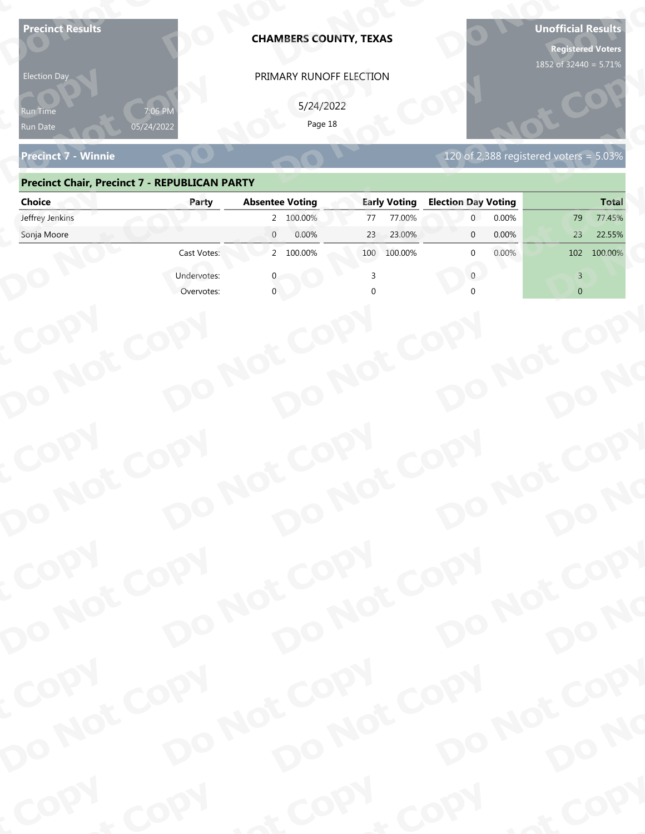| <b>Precinct 7 - Winnie</b><br>120 of 2,388 registered voters = $5.03\%$<br><b>Precinct Chair, Precinct 7 - REPUBLICAN PARTY</b><br><b>Absentee Voting</b><br><b>Early Voting</b><br><b>Election Day Voting</b><br><b>Choice</b><br>Party<br>Jeffrey Jenkins<br>2 100.00%<br>77.00%<br>0.00%<br>77<br>79<br>$\overline{0}$<br>0.00%<br>0.00%<br>Sonja Moore<br>23<br>23.00%<br>23<br>22.55%<br>$\mathbf{0}$<br>2 100.00%<br>Cast Votes:<br>100.00%<br>0.00%<br>102<br>100.00%<br>100<br>$\Omega$<br>Undervotes:<br>$\Omega$<br>3<br>$\overline{0}$<br>Overvotes:<br>COPY<br>DO NOT COPY<br>DO NOT COPY<br>DO NOT COPY<br>DO NOT COPY<br>DO NO<br>COPY | <b>Election Day</b><br>የun Time<br>Run Date | 05/24/2022 | <b>CHAMBERS COUNTY, TEXAS</b><br>PRIMARY RUNOFF ELECTION<br>5/24/2022<br>Page 18 |      | <b>Registered Voters</b><br>1852 of 32440 = 5.71% |
|------------------------------------------------------------------------------------------------------------------------------------------------------------------------------------------------------------------------------------------------------------------------------------------------------------------------------------------------------------------------------------------------------------------------------------------------------------------------------------------------------------------------------------------------------------------------------------------------------------------------------------------------------|---------------------------------------------|------------|----------------------------------------------------------------------------------|------|---------------------------------------------------|
|                                                                                                                                                                                                                                                                                                                                                                                                                                                                                                                                                                                                                                                      |                                             |            |                                                                                  |      |                                                   |
|                                                                                                                                                                                                                                                                                                                                                                                                                                                                                                                                                                                                                                                      |                                             |            |                                                                                  |      |                                                   |
|                                                                                                                                                                                                                                                                                                                                                                                                                                                                                                                                                                                                                                                      |                                             |            |                                                                                  |      | <b>Total</b>                                      |
|                                                                                                                                                                                                                                                                                                                                                                                                                                                                                                                                                                                                                                                      |                                             |            |                                                                                  |      | 77.45%                                            |
|                                                                                                                                                                                                                                                                                                                                                                                                                                                                                                                                                                                                                                                      |                                             |            |                                                                                  |      |                                                   |
|                                                                                                                                                                                                                                                                                                                                                                                                                                                                                                                                                                                                                                                      |                                             |            |                                                                                  |      |                                                   |
|                                                                                                                                                                                                                                                                                                                                                                                                                                                                                                                                                                                                                                                      |                                             |            |                                                                                  |      |                                                   |
|                                                                                                                                                                                                                                                                                                                                                                                                                                                                                                                                                                                                                                                      |                                             |            |                                                                                  |      |                                                   |
|                                                                                                                                                                                                                                                                                                                                                                                                                                                                                                                                                                                                                                                      |                                             |            |                                                                                  |      |                                                   |
| DO NOT COPY<br>DO NOT COPY                                                                                                                                                                                                                                                                                                                                                                                                                                                                                                                                                                                                                           |                                             |            |                                                                                  |      |                                                   |
| DO NOT COPY<br>DO NOT COPY<br>DO NO                                                                                                                                                                                                                                                                                                                                                                                                                                                                                                                                                                                                                  |                                             |            |                                                                                  |      |                                                   |
| COPY<br>DO NOT COPY<br>DO NOT COPY<br>DO NOT COPY<br>DO NOT COPY<br>DO NO                                                                                                                                                                                                                                                                                                                                                                                                                                                                                                                                                                            | COPY                                        | COPY       | & COPY                                                                           | COPY | of COPY                                           |

### **Precinct Chair, Precinct 7 - REPUBLICAN PARTY**

| <b>Election Day</b>                                  |             | PRIMARY RUNOFF ELECTION    |                     |                                        |                |
|------------------------------------------------------|-------------|----------------------------|---------------------|----------------------------------------|----------------|
| Run Time<br>Run Date                                 | 05/24/2022  | 5/24/2022<br>Page 18       |                     |                                        |                |
| <b>Precinct 7 - Winnie</b>                           |             |                            |                     | 120 of 2,388 registered voters = 5.03% |                |
| <b>Precinct Chair, Precinct 7 - REPUBLICAN PARTY</b> |             |                            |                     |                                        |                |
| <b>Choice</b>                                        | Party       | <b>Absentee Voting</b>     | <b>Early Voting</b> | <b>Election Day Voting</b>             | <b>Total</b>   |
| Jeffrey Jenkins                                      |             | 2 100.00%                  | 77.00%<br>77        | 0.00%<br>$\overline{0}$                | 77.45%<br>79   |
| Sonja Moore                                          |             | $\overline{0}$<br>0.00%    | 23.00%<br>23        | 0.00%<br>$\mathbf{0}$                  | 22.55%<br>23   |
|                                                      | Cast Votes: | 2 100.00%                  | 100 100.00%         | 0.00%<br><sup>0</sup>                  | 102 100.00%    |
|                                                      | Undervotes: |                            |                     | $\mathbf{0}$                           | $\overline{3}$ |
|                                                      | Overvotes:  |                            |                     |                                        | $\overline{0}$ |
|                                                      |             |                            |                     |                                        |                |
|                                                      |             |                            |                     |                                        |                |
|                                                      |             |                            |                     |                                        |                |
|                                                      |             |                            |                     |                                        |                |
|                                                      |             |                            |                     |                                        |                |
|                                                      |             |                            |                     |                                        |                |
|                                                      |             |                            |                     |                                        |                |
|                                                      |             |                            |                     |                                        |                |
|                                                      |             |                            |                     |                                        |                |
|                                                      |             |                            |                     |                                        |                |
|                                                      |             |                            |                     |                                        |                |
|                                                      |             |                            |                     |                                        |                |
| COPY<br>DO NOT COPY                                  |             | DO NOT COPY                |                     | DO NOT COPY                            |                |
|                                                      |             |                            |                     |                                        |                |
|                                                      |             |                            |                     |                                        |                |
|                                                      |             |                            |                     |                                        | DO NO          |
|                                                      |             |                            |                     |                                        |                |
|                                                      |             | DO NOT COPY                |                     |                                        |                |
|                                                      |             |                            |                     |                                        |                |
|                                                      |             |                            |                     |                                        |                |
| COPY                                                 |             | DO NOT COPY<br>DO NOT COPY |                     | DO NOT COPY                            |                |
|                                                      |             |                            |                     |                                        |                |
|                                                      |             |                            |                     |                                        | DO NO          |
| DO NOT COPY                                          |             |                            |                     |                                        |                |
| <b>Poo</b>                                           | <b>And</b>  |                            | $P_{\rm O_2}$       | <b>LON</b>                             | ·ODW           |
|                                                      |             |                            |                     |                                        |                |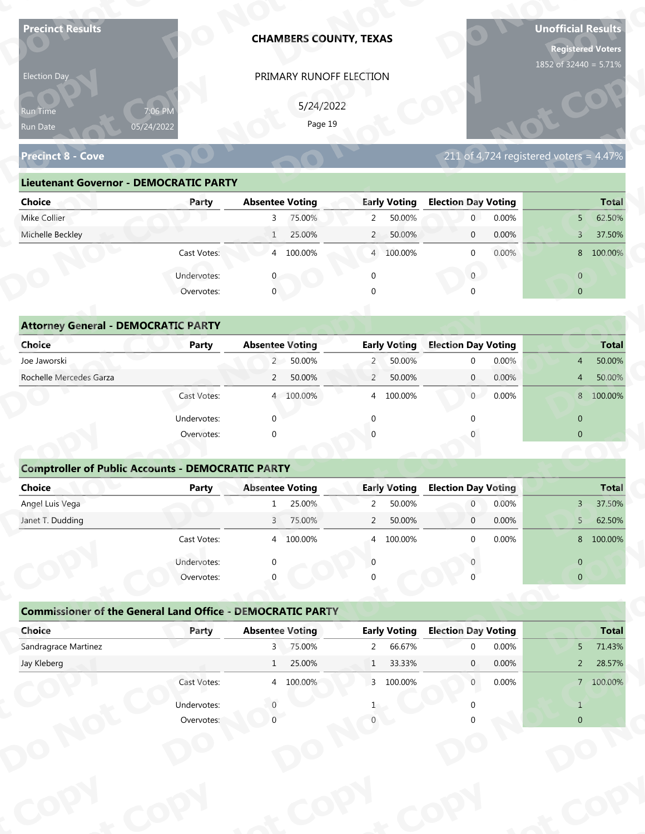| <b>Precinct Results</b>                                           |              | <b>CHAMBERS COUNTY, TEXAS</b> |                                  |                     |                                              |                | <b>Unofficial Results</b><br><b>Registered Voters</b><br>1852 of 32440 = 5.71% |                        |
|-------------------------------------------------------------------|--------------|-------------------------------|----------------------------------|---------------------|----------------------------------------------|----------------|--------------------------------------------------------------------------------|------------------------|
| Election Day                                                      |              | PRIMARY RUNOFF ELECTION       |                                  |                     |                                              |                |                                                                                |                        |
|                                                                   |              |                               |                                  |                     |                                              |                |                                                                                |                        |
| Run Time                                                          | 7:06 PM      |                               | 5/24/2022<br>Page 19             |                     |                                              |                |                                                                                |                        |
| Run Date                                                          | 05/24/2022   |                               |                                  |                     |                                              |                |                                                                                |                        |
| <b>Precinct 8 - Cove</b>                                          |              |                               |                                  |                     |                                              |                | 211 of 4,724 registered voters = $4.47\%$                                      |                        |
| <b>Lieutenant Governor - DEMOCRATIC PARTY</b>                     |              |                               |                                  |                     |                                              |                |                                                                                |                        |
| <b>Choice</b>                                                     | Party        | <b>Absentee Voting</b>        |                                  | <b>Early Voting</b> | <b>Election Day Voting</b>                   |                |                                                                                | <b>Total</b>           |
| Mike Collier                                                      |              | 75.00%<br>$\mathbf{3}$        | $\overline{2}$                   | 50.00%              | $\mathbf{0}$                                 | 0.00%          | 5 <sup>1</sup>                                                                 | 62.50%                 |
| Michelle Beckley                                                  |              | 25.00%<br>$\mathbf{1}$        | $\overline{2}$                   | 50.00%              | $\mathbf 0$                                  | 0.00%          | $\overline{3}$                                                                 | 37.50%                 |
|                                                                   | Cast Votes:  | 4 100.00%                     |                                  | 4 100.00%           | $\mathbf 0$                                  | 0.00%          |                                                                                | 8 100.00%              |
|                                                                   | Undervotes:  |                               | $\Omega$                         |                     | $\overline{0}$                               |                | $\overline{0}$                                                                 |                        |
|                                                                   | Overvotes:   | $\mathbf{0}$                  |                                  |                     |                                              |                | $\overline{0}$                                                                 |                        |
|                                                                   |              |                               |                                  |                     |                                              |                |                                                                                |                        |
| <b>Attorney General - DEMOCRATIC PARTY</b>                        |              |                               |                                  |                     |                                              |                |                                                                                |                        |
| <b>Choice</b>                                                     | <b>Party</b> | <b>Absentee Voting</b>        |                                  | <b>Early Voting</b> | <b>Election Day Voting</b>                   |                |                                                                                | <b>Total</b>           |
| Joe Jaworski                                                      |              | 2 50.00%                      | $\overline{2}$                   | 50.00%              | $\mathbf 0$                                  | 0.00%          | $\overline{4}$                                                                 | 50.00%                 |
| Rochelle Mercedes Garza                                           |              | 50.00%<br>$\overline{2}$      | $\overline{2}$                   | 50.00%              | $\overline{0}$                               | 0.00%          | 4                                                                              | 50.00%                 |
|                                                                   | Cast Votes:  | 4 100.00%                     |                                  | 4 100.00%           | $\overline{0}$                               | 0.00%          |                                                                                | 8 100.00%              |
|                                                                   | Undervotes:  | $\Omega$                      | $\Omega$                         |                     | $\Omega$                                     |                | $\overline{0}$                                                                 |                        |
|                                                                   | Overvotes:   | $\Omega$                      |                                  |                     |                                              |                | $\overline{0}$                                                                 |                        |
|                                                                   |              |                               |                                  |                     |                                              |                |                                                                                |                        |
| <b>Comptroller of Public Accounts - DEMOCRATIC PARTY</b>          |              |                               |                                  |                     |                                              |                |                                                                                |                        |
| Choice<br>Angel Luis Vega                                         | <b>Party</b> | <b>Absentee Voting</b><br>1   |                                  | <b>Early Voting</b> | <b>Election Day Voting</b><br>$\overline{0}$ |                |                                                                                | <b>Total</b><br>37.50% |
| Janet T. Dudding                                                  |              | 25.00%<br>3 75.00%            | $\overline{2}$<br>$\overline{2}$ | 50.00%<br>50.00%    | $\overline{0}$                               | 0.00%<br>0.00% | $3 -$<br>5 <sup>7</sup>                                                        | 62.50%                 |
|                                                                   | Cast Votes:  | 4 100.00%                     | $\overline{4}$                   | 100.00%             | $\Omega$                                     | 0.00%          |                                                                                | 8 100.00%              |
|                                                                   |              |                               |                                  |                     |                                              |                |                                                                                |                        |
|                                                                   | Undervotes:  | ∩                             | $\Omega$                         |                     |                                              |                | $\overline{0}$                                                                 |                        |
|                                                                   | Overvotes:   |                               |                                  |                     |                                              |                | $\overline{0}$                                                                 |                        |
| <b>Commissioner of the General Land Office - DEMOCRATIC PARTY</b> |              |                               |                                  |                     |                                              |                |                                                                                |                        |
| Choice                                                            | Party        | <b>Absentee Voting</b>        |                                  | <b>Early Voting</b> | <b>Election Day Voting</b>                   |                |                                                                                | <b>Total</b>           |
|                                                                   |              | 3 75.00%                      | $\overline{2}$                   | 66.67%              | $\Omega$                                     | 0.00%          | 5 <sup>1</sup>                                                                 | 71.43%                 |
| Sandragrace Martinez                                              |              |                               | $\mathbf{1}$                     | 33.33%              | $\mathbf{0}$                                 | 0.00%          | 2 <sup>7</sup>                                                                 | 28.57%                 |
| Jay Kleberg                                                       |              | 25.00%<br>1                   |                                  |                     |                                              |                |                                                                                |                        |
|                                                                   | Cast Votes:  | 4 100.00%                     |                                  | 3 100.00%           | $\overline{0}$                               | 0.00%          |                                                                                | 7 100.00%              |
|                                                                   | Undervotes:  |                               |                                  |                     |                                              |                | $\mathbf{1}$                                                                   |                        |

|  | 211 of 4,724 registered voters = 4.47% |  |  |
|--|----------------------------------------|--|--|
|  |                                        |  |  |
|  |                                        |  |  |

| Election Day                                  |                       |                        | PRIMARY RUNOFF ELECTION   |                                          |                          |
|-----------------------------------------------|-----------------------|------------------------|---------------------------|------------------------------------------|--------------------------|
| <b>Run Time</b><br>Run Date                   | 7:06 PM<br>05/24/2022 |                        | 5/24/2022<br>Page 19      |                                          |                          |
| <b>Precinct 8 - Cove</b>                      |                       |                        |                           | $211$ of 4,724 registered voters = 4.47% |                          |
| <b>Lieutenant Governor - DEMOCRATIC PARTY</b> |                       |                        |                           |                                          |                          |
| <b>Choice</b>                                 | Party                 | <b>Absentee Voting</b> | <b>Early Voting</b>       | <b>Election Day Voting</b>               | <b>Total</b>             |
| Mike Collier                                  |                       | 75.00%<br>3            | 50.00%<br>$\overline{2}$  | 0.00%<br>$\overline{0}$                  | 62.50%<br>5 <sup>1</sup> |
| Michelle Beckley                              |                       | 25.00%<br>$\mathbf{1}$ | 50.00%<br>$2^{\circ}$     | 0.00%<br>$\overline{0}$                  | 37.50%<br>$\overline{3}$ |
|                                               | Cast Votes:           | 4 100.00%              | 4 100.00%                 | $0.00\%$<br>$\Omega$                     | 8 100.00%                |
|                                               | Undervotes:           |                        |                           | $\overline{0}$                           | $\overline{0}$           |
|                                               | Overvotes:            | $\mathbf 0$            | $\Omega$                  |                                          | $\overline{0}$           |
|                                               |                       |                        |                           |                                          |                          |
| <b>Attorney General - DEMOCRATIC PARTY</b>    |                       |                        |                           |                                          |                          |
| <b>Choice</b>                                 | <b>Party</b>          | <b>Absentee Voting</b> | <b>Early Voting</b>       | <b>Election Day Voting</b>               | <b>Total</b>             |
| Joe Jaworski                                  |                       | 2 50.00%               | 50.00%<br>$\overline{2}$  | 0.00%<br>$\Omega$                        | 50.00%<br>$\overline{4}$ |
| Rochelle Mercedes Garza                       |                       | 50.00%<br>$2^{\circ}$  | $\overline{2}$<br>50.00%  | $\overline{0}$<br>0.00%                  | 50.00%<br>4              |
|                                               | Cast Votes:           | 4 100.00%              | 100.00%<br>$\overline{4}$ | $\overline{0}$<br>0.00%                  | 8 100.00%                |
|                                               |                       |                        |                           |                                          |                          |

| 5/24/2022<br>7:06 PM<br>Run Time<br>Page 19<br>05/24/2022<br>Run Date<br>$211$ of 4,724 registered voters = 4.47%<br><b>Precinct 8 - Cove</b><br><b>Lieutenant Governor - DEMOCRATIC PARTY</b><br><b>Absentee Voting</b><br><b>Early Voting</b><br><b>Election Day Voting</b><br><b>Choice</b><br>Party<br>Mike Collier<br>3 <sup>7</sup><br>75.00%<br>$\overline{2}$<br>50.00%<br>$\overline{0}$<br>0.00%<br>5 <sup>1</sup><br>Michelle Beckley<br>25.00%<br>50.00%<br>0.00%<br>$\overline{2}$<br>$\mathbf 0$<br>1<br>$\overline{3}$<br>Cast Votes:<br>4 100.00%<br>4 100.00%<br>0.00%<br>$\mathbf{0}$<br>$\overline{0}$<br>Undervotes:<br>$\overline{0}$<br>$\mathbf 0$<br>Overvotes:<br>$\mathbf{0}$<br>$\overline{0}$<br><b>Attorney General - DEMOCRATIC PARTY</b><br><b>Early Voting</b><br><b>Election Day Voting</b><br>Choice<br><b>Absentee Voting</b><br><b>Party</b><br>Joe Jaworski<br>2 50.00%<br>50.00%<br>0.00%<br>$\overline{2}$<br>$\mathbf 0$<br>$\overline{4}$<br>Rochelle Mercedes Garza<br>50.00%<br>0.00%<br>$\overline{2}$<br>50.00%<br>$\mathbf{0}$<br>$\overline{2}$<br>$\overline{4}$<br>Cast Votes:<br>4 100.00%<br>100.00%<br>$\overline{0}$<br>0.00%<br>4<br>Undervotes:<br>$\Omega$<br>$\overline{0}$<br>∩<br>$\overline{0}$<br>Overvotes:<br>$\Omega$<br><b>Comptroller of Public Accounts - DEMOCRATIC PARTY</b><br><b>Choice</b><br><b>Absentee Voting</b><br><b>Early Voting</b><br><b>Election Day Voting</b><br><b>Total</b><br><b>Party</b><br>Angel Luis Vega<br>25.00%<br>50.00%<br>0.00%<br>37.50%<br>$\overline{0}$<br>$\mathbf{3}$<br>$\overline{2}$<br>$\mathbf{1}$<br>75.00%<br>50.00%<br>0.00%<br>Janet T. Dudding<br>$\overline{2}$<br>3 <sup>1</sup><br>$\mathbf 0$<br>5<br>0.00%<br>Cast Votes:<br>4 100.00%<br>4 100.00%<br>$\Omega$<br>Undervotes:<br>$\overline{0}$<br>Overvotes:<br>$\overline{0}$<br><b>Commissioner of the General Land Office - DEMOCRATIC PARTY</b><br><b>Early Voting</b><br>Choice<br><b>Absentee Voting</b><br><b>Election Day Voting</b><br>Party<br>Sandragrace Martinez<br>3 75.00%<br>2 66.67%<br>0.00%<br>5 <sub>1</sub><br>$\Omega$<br>1 25.00%<br>33.33%<br>Jay Kleberg<br>1<br>0.00%<br>$\mathbf{0}$<br>$2^{\circ}$<br>Cast Votes:<br>3 100.00%<br>4 100.00%<br>0.00%<br>$\overline{0}$<br>Undervotes:<br>$\mathbf{1}$<br>$\overline{0}$ | Election Day |            | PRIMARY RUNOFF ELECTION |  |              |
|------------------------------------------------------------------------------------------------------------------------------------------------------------------------------------------------------------------------------------------------------------------------------------------------------------------------------------------------------------------------------------------------------------------------------------------------------------------------------------------------------------------------------------------------------------------------------------------------------------------------------------------------------------------------------------------------------------------------------------------------------------------------------------------------------------------------------------------------------------------------------------------------------------------------------------------------------------------------------------------------------------------------------------------------------------------------------------------------------------------------------------------------------------------------------------------------------------------------------------------------------------------------------------------------------------------------------------------------------------------------------------------------------------------------------------------------------------------------------------------------------------------------------------------------------------------------------------------------------------------------------------------------------------------------------------------------------------------------------------------------------------------------------------------------------------------------------------------------------------------------------------------------------------------------------------------------------------------------------------------------------------------------------------------------------------------------------------------------------------------------------------------------------------------------------------------------------------------------------------------------------------------------------------------------------------------------------|--------------|------------|-------------------------|--|--------------|
|                                                                                                                                                                                                                                                                                                                                                                                                                                                                                                                                                                                                                                                                                                                                                                                                                                                                                                                                                                                                                                                                                                                                                                                                                                                                                                                                                                                                                                                                                                                                                                                                                                                                                                                                                                                                                                                                                                                                                                                                                                                                                                                                                                                                                                                                                                                              |              |            |                         |  |              |
|                                                                                                                                                                                                                                                                                                                                                                                                                                                                                                                                                                                                                                                                                                                                                                                                                                                                                                                                                                                                                                                                                                                                                                                                                                                                                                                                                                                                                                                                                                                                                                                                                                                                                                                                                                                                                                                                                                                                                                                                                                                                                                                                                                                                                                                                                                                              |              |            |                         |  |              |
|                                                                                                                                                                                                                                                                                                                                                                                                                                                                                                                                                                                                                                                                                                                                                                                                                                                                                                                                                                                                                                                                                                                                                                                                                                                                                                                                                                                                                                                                                                                                                                                                                                                                                                                                                                                                                                                                                                                                                                                                                                                                                                                                                                                                                                                                                                                              |              |            |                         |  |              |
|                                                                                                                                                                                                                                                                                                                                                                                                                                                                                                                                                                                                                                                                                                                                                                                                                                                                                                                                                                                                                                                                                                                                                                                                                                                                                                                                                                                                                                                                                                                                                                                                                                                                                                                                                                                                                                                                                                                                                                                                                                                                                                                                                                                                                                                                                                                              |              |            |                         |  |              |
|                                                                                                                                                                                                                                                                                                                                                                                                                                                                                                                                                                                                                                                                                                                                                                                                                                                                                                                                                                                                                                                                                                                                                                                                                                                                                                                                                                                                                                                                                                                                                                                                                                                                                                                                                                                                                                                                                                                                                                                                                                                                                                                                                                                                                                                                                                                              |              |            |                         |  |              |
|                                                                                                                                                                                                                                                                                                                                                                                                                                                                                                                                                                                                                                                                                                                                                                                                                                                                                                                                                                                                                                                                                                                                                                                                                                                                                                                                                                                                                                                                                                                                                                                                                                                                                                                                                                                                                                                                                                                                                                                                                                                                                                                                                                                                                                                                                                                              |              |            |                         |  | <b>Total</b> |
|                                                                                                                                                                                                                                                                                                                                                                                                                                                                                                                                                                                                                                                                                                                                                                                                                                                                                                                                                                                                                                                                                                                                                                                                                                                                                                                                                                                                                                                                                                                                                                                                                                                                                                                                                                                                                                                                                                                                                                                                                                                                                                                                                                                                                                                                                                                              |              |            |                         |  | 62.50%       |
|                                                                                                                                                                                                                                                                                                                                                                                                                                                                                                                                                                                                                                                                                                                                                                                                                                                                                                                                                                                                                                                                                                                                                                                                                                                                                                                                                                                                                                                                                                                                                                                                                                                                                                                                                                                                                                                                                                                                                                                                                                                                                                                                                                                                                                                                                                                              |              |            |                         |  | 37.50%       |
|                                                                                                                                                                                                                                                                                                                                                                                                                                                                                                                                                                                                                                                                                                                                                                                                                                                                                                                                                                                                                                                                                                                                                                                                                                                                                                                                                                                                                                                                                                                                                                                                                                                                                                                                                                                                                                                                                                                                                                                                                                                                                                                                                                                                                                                                                                                              |              |            |                         |  | 8 100.00%    |
|                                                                                                                                                                                                                                                                                                                                                                                                                                                                                                                                                                                                                                                                                                                                                                                                                                                                                                                                                                                                                                                                                                                                                                                                                                                                                                                                                                                                                                                                                                                                                                                                                                                                                                                                                                                                                                                                                                                                                                                                                                                                                                                                                                                                                                                                                                                              |              |            |                         |  |              |
|                                                                                                                                                                                                                                                                                                                                                                                                                                                                                                                                                                                                                                                                                                                                                                                                                                                                                                                                                                                                                                                                                                                                                                                                                                                                                                                                                                                                                                                                                                                                                                                                                                                                                                                                                                                                                                                                                                                                                                                                                                                                                                                                                                                                                                                                                                                              |              |            |                         |  |              |
|                                                                                                                                                                                                                                                                                                                                                                                                                                                                                                                                                                                                                                                                                                                                                                                                                                                                                                                                                                                                                                                                                                                                                                                                                                                                                                                                                                                                                                                                                                                                                                                                                                                                                                                                                                                                                                                                                                                                                                                                                                                                                                                                                                                                                                                                                                                              |              |            |                         |  |              |
|                                                                                                                                                                                                                                                                                                                                                                                                                                                                                                                                                                                                                                                                                                                                                                                                                                                                                                                                                                                                                                                                                                                                                                                                                                                                                                                                                                                                                                                                                                                                                                                                                                                                                                                                                                                                                                                                                                                                                                                                                                                                                                                                                                                                                                                                                                                              |              |            |                         |  |              |
|                                                                                                                                                                                                                                                                                                                                                                                                                                                                                                                                                                                                                                                                                                                                                                                                                                                                                                                                                                                                                                                                                                                                                                                                                                                                                                                                                                                                                                                                                                                                                                                                                                                                                                                                                                                                                                                                                                                                                                                                                                                                                                                                                                                                                                                                                                                              |              |            |                         |  | <b>Total</b> |
|                                                                                                                                                                                                                                                                                                                                                                                                                                                                                                                                                                                                                                                                                                                                                                                                                                                                                                                                                                                                                                                                                                                                                                                                                                                                                                                                                                                                                                                                                                                                                                                                                                                                                                                                                                                                                                                                                                                                                                                                                                                                                                                                                                                                                                                                                                                              |              |            |                         |  | 50.00%       |
|                                                                                                                                                                                                                                                                                                                                                                                                                                                                                                                                                                                                                                                                                                                                                                                                                                                                                                                                                                                                                                                                                                                                                                                                                                                                                                                                                                                                                                                                                                                                                                                                                                                                                                                                                                                                                                                                                                                                                                                                                                                                                                                                                                                                                                                                                                                              |              |            |                         |  | 50.00%       |
|                                                                                                                                                                                                                                                                                                                                                                                                                                                                                                                                                                                                                                                                                                                                                                                                                                                                                                                                                                                                                                                                                                                                                                                                                                                                                                                                                                                                                                                                                                                                                                                                                                                                                                                                                                                                                                                                                                                                                                                                                                                                                                                                                                                                                                                                                                                              |              |            |                         |  | 8 100.00%    |
|                                                                                                                                                                                                                                                                                                                                                                                                                                                                                                                                                                                                                                                                                                                                                                                                                                                                                                                                                                                                                                                                                                                                                                                                                                                                                                                                                                                                                                                                                                                                                                                                                                                                                                                                                                                                                                                                                                                                                                                                                                                                                                                                                                                                                                                                                                                              |              |            |                         |  |              |
|                                                                                                                                                                                                                                                                                                                                                                                                                                                                                                                                                                                                                                                                                                                                                                                                                                                                                                                                                                                                                                                                                                                                                                                                                                                                                                                                                                                                                                                                                                                                                                                                                                                                                                                                                                                                                                                                                                                                                                                                                                                                                                                                                                                                                                                                                                                              |              |            |                         |  |              |
|                                                                                                                                                                                                                                                                                                                                                                                                                                                                                                                                                                                                                                                                                                                                                                                                                                                                                                                                                                                                                                                                                                                                                                                                                                                                                                                                                                                                                                                                                                                                                                                                                                                                                                                                                                                                                                                                                                                                                                                                                                                                                                                                                                                                                                                                                                                              |              |            |                         |  |              |
|                                                                                                                                                                                                                                                                                                                                                                                                                                                                                                                                                                                                                                                                                                                                                                                                                                                                                                                                                                                                                                                                                                                                                                                                                                                                                                                                                                                                                                                                                                                                                                                                                                                                                                                                                                                                                                                                                                                                                                                                                                                                                                                                                                                                                                                                                                                              |              |            |                         |  |              |
|                                                                                                                                                                                                                                                                                                                                                                                                                                                                                                                                                                                                                                                                                                                                                                                                                                                                                                                                                                                                                                                                                                                                                                                                                                                                                                                                                                                                                                                                                                                                                                                                                                                                                                                                                                                                                                                                                                                                                                                                                                                                                                                                                                                                                                                                                                                              |              |            |                         |  |              |
|                                                                                                                                                                                                                                                                                                                                                                                                                                                                                                                                                                                                                                                                                                                                                                                                                                                                                                                                                                                                                                                                                                                                                                                                                                                                                                                                                                                                                                                                                                                                                                                                                                                                                                                                                                                                                                                                                                                                                                                                                                                                                                                                                                                                                                                                                                                              |              |            |                         |  |              |
|                                                                                                                                                                                                                                                                                                                                                                                                                                                                                                                                                                                                                                                                                                                                                                                                                                                                                                                                                                                                                                                                                                                                                                                                                                                                                                                                                                                                                                                                                                                                                                                                                                                                                                                                                                                                                                                                                                                                                                                                                                                                                                                                                                                                                                                                                                                              |              |            |                         |  | 62.50%       |
|                                                                                                                                                                                                                                                                                                                                                                                                                                                                                                                                                                                                                                                                                                                                                                                                                                                                                                                                                                                                                                                                                                                                                                                                                                                                                                                                                                                                                                                                                                                                                                                                                                                                                                                                                                                                                                                                                                                                                                                                                                                                                                                                                                                                                                                                                                                              |              |            |                         |  | 8 100.00%    |
|                                                                                                                                                                                                                                                                                                                                                                                                                                                                                                                                                                                                                                                                                                                                                                                                                                                                                                                                                                                                                                                                                                                                                                                                                                                                                                                                                                                                                                                                                                                                                                                                                                                                                                                                                                                                                                                                                                                                                                                                                                                                                                                                                                                                                                                                                                                              |              |            |                         |  |              |
|                                                                                                                                                                                                                                                                                                                                                                                                                                                                                                                                                                                                                                                                                                                                                                                                                                                                                                                                                                                                                                                                                                                                                                                                                                                                                                                                                                                                                                                                                                                                                                                                                                                                                                                                                                                                                                                                                                                                                                                                                                                                                                                                                                                                                                                                                                                              |              |            |                         |  |              |
|                                                                                                                                                                                                                                                                                                                                                                                                                                                                                                                                                                                                                                                                                                                                                                                                                                                                                                                                                                                                                                                                                                                                                                                                                                                                                                                                                                                                                                                                                                                                                                                                                                                                                                                                                                                                                                                                                                                                                                                                                                                                                                                                                                                                                                                                                                                              |              |            |                         |  |              |
|                                                                                                                                                                                                                                                                                                                                                                                                                                                                                                                                                                                                                                                                                                                                                                                                                                                                                                                                                                                                                                                                                                                                                                                                                                                                                                                                                                                                                                                                                                                                                                                                                                                                                                                                                                                                                                                                                                                                                                                                                                                                                                                                                                                                                                                                                                                              |              |            |                         |  |              |
|                                                                                                                                                                                                                                                                                                                                                                                                                                                                                                                                                                                                                                                                                                                                                                                                                                                                                                                                                                                                                                                                                                                                                                                                                                                                                                                                                                                                                                                                                                                                                                                                                                                                                                                                                                                                                                                                                                                                                                                                                                                                                                                                                                                                                                                                                                                              |              |            |                         |  | <b>Total</b> |
|                                                                                                                                                                                                                                                                                                                                                                                                                                                                                                                                                                                                                                                                                                                                                                                                                                                                                                                                                                                                                                                                                                                                                                                                                                                                                                                                                                                                                                                                                                                                                                                                                                                                                                                                                                                                                                                                                                                                                                                                                                                                                                                                                                                                                                                                                                                              |              |            |                         |  | 71.43%       |
|                                                                                                                                                                                                                                                                                                                                                                                                                                                                                                                                                                                                                                                                                                                                                                                                                                                                                                                                                                                                                                                                                                                                                                                                                                                                                                                                                                                                                                                                                                                                                                                                                                                                                                                                                                                                                                                                                                                                                                                                                                                                                                                                                                                                                                                                                                                              |              |            |                         |  | 28.57%       |
|                                                                                                                                                                                                                                                                                                                                                                                                                                                                                                                                                                                                                                                                                                                                                                                                                                                                                                                                                                                                                                                                                                                                                                                                                                                                                                                                                                                                                                                                                                                                                                                                                                                                                                                                                                                                                                                                                                                                                                                                                                                                                                                                                                                                                                                                                                                              |              |            |                         |  | 7 100.00%    |
|                                                                                                                                                                                                                                                                                                                                                                                                                                                                                                                                                                                                                                                                                                                                                                                                                                                                                                                                                                                                                                                                                                                                                                                                                                                                                                                                                                                                                                                                                                                                                                                                                                                                                                                                                                                                                                                                                                                                                                                                                                                                                                                                                                                                                                                                                                                              |              |            |                         |  |              |
|                                                                                                                                                                                                                                                                                                                                                                                                                                                                                                                                                                                                                                                                                                                                                                                                                                                                                                                                                                                                                                                                                                                                                                                                                                                                                                                                                                                                                                                                                                                                                                                                                                                                                                                                                                                                                                                                                                                                                                                                                                                                                                                                                                                                                                                                                                                              |              | Overvotes: |                         |  |              |
|                                                                                                                                                                                                                                                                                                                                                                                                                                                                                                                                                                                                                                                                                                                                                                                                                                                                                                                                                                                                                                                                                                                                                                                                                                                                                                                                                                                                                                                                                                                                                                                                                                                                                                                                                                                                                                                                                                                                                                                                                                                                                                                                                                                                                                                                                                                              |              |            |                         |  |              |
|                                                                                                                                                                                                                                                                                                                                                                                                                                                                                                                                                                                                                                                                                                                                                                                                                                                                                                                                                                                                                                                                                                                                                                                                                                                                                                                                                                                                                                                                                                                                                                                                                                                                                                                                                                                                                                                                                                                                                                                                                                                                                                                                                                                                                                                                                                                              |              |            |                         |  |              |
|                                                                                                                                                                                                                                                                                                                                                                                                                                                                                                                                                                                                                                                                                                                                                                                                                                                                                                                                                                                                                                                                                                                                                                                                                                                                                                                                                                                                                                                                                                                                                                                                                                                                                                                                                                                                                                                                                                                                                                                                                                                                                                                                                                                                                                                                                                                              |              |            |                         |  |              |
|                                                                                                                                                                                                                                                                                                                                                                                                                                                                                                                                                                                                                                                                                                                                                                                                                                                                                                                                                                                                                                                                                                                                                                                                                                                                                                                                                                                                                                                                                                                                                                                                                                                                                                                                                                                                                                                                                                                                                                                                                                                                                                                                                                                                                                                                                                                              |              |            |                         |  |              |
|                                                                                                                                                                                                                                                                                                                                                                                                                                                                                                                                                                                                                                                                                                                                                                                                                                                                                                                                                                                                                                                                                                                                                                                                                                                                                                                                                                                                                                                                                                                                                                                                                                                                                                                                                                                                                                                                                                                                                                                                                                                                                                                                                                                                                                                                                                                              |              |            |                         |  |              |

### **Comptroller of Public Accounts - DEMOCRATIC PARTY**

|                                                                   | Party        | <b>Absentee Voting</b> |           |                | <b>Early Voting</b> | <b>Election Day Voting</b> |       |                | <b>Total</b> |
|-------------------------------------------------------------------|--------------|------------------------|-----------|----------------|---------------------|----------------------------|-------|----------------|--------------|
| Joe Jaworski                                                      |              |                        | 2 50.00%  | $2^{\circ}$    | 50.00%              | $\mathbf{0}$               | 0.00% | $\overline{4}$ | 50.00%       |
| Rochelle Mercedes Garza                                           |              | $\overline{2}$         | 50.00%    | $\overline{2}$ | 50.00%              | $\mathbf{0}$               | 0.00% | $\overline{4}$ | 50.00%       |
|                                                                   | Cast Votes:  |                        | 4 100.00% |                | 4 100.00%           | $\overline{0}$             | 0.00% |                | 8 100.00%    |
|                                                                   | Undervotes:  | ∩                      |           | ∩              |                     | $\Omega$                   |       | $\mathbf{0}$   |              |
|                                                                   | Overvotes:   | $\Omega$               |           |                |                     |                            |       | $\mathbf{0}$   |              |
| <b>Comptroller of Public Accounts - DEMOCRATIC PARTY</b>          |              |                        |           |                |                     |                            |       |                |              |
| <b>Choice</b>                                                     | <b>Party</b> | <b>Absentee Voting</b> |           |                | <b>Early Voting</b> | <b>Election Day Voting</b> |       |                | <b>Total</b> |
| Angel Luis Vega                                                   |              | $\mathbf{1}$           | 25.00%    | $\overline{2}$ | 50.00%              | $\overline{0}$             | 0.00% | $\mathbf{3}$   | 37.50%       |
| Janet T. Dudding                                                  |              | 3 <sup>1</sup>         | 75.00%    | $2^{\circ}$    | 50.00%              | $\overline{0}$             | 0.00% | 5              | 62.50%       |
|                                                                   | Cast Votes:  |                        | 4 100.00% |                | 4 100.00%           | $\mathbf{0}$               | 0.00% |                | 8 100.00%    |
|                                                                   |              |                        |           |                |                     |                            |       | $\mathbf{0}$   |              |
|                                                                   | Undervotes:  | ∩                      |           | <sup>0</sup>   |                     |                            |       |                |              |
|                                                                   | Overvotes:   |                        |           |                |                     |                            |       | $\mathbf 0$    |              |
| <b>Commissioner of the General Land Office - DEMOCRATIC PARTY</b> |              |                        |           |                |                     |                            |       |                |              |
| Choice                                                            | Party        | <b>Absentee Voting</b> |           |                | <b>Early Voting</b> | <b>Election Day Voting</b> |       |                | <b>Total</b> |
| Sandragrace Martinez                                              |              | 3 <sup>7</sup>         | 75.00%    | $\overline{2}$ | 66.67%              | $\mathbf{0}$               | 0.00% | 5 <sub>1</sub> | 71.43%       |
| Jay Kleberg                                                       |              | 1                      | 25.00%    | 1              | 33.33%              | $\mathbf{0}$               | 0.00% | 2 <sup>2</sup> | 28.57%       |
|                                                                   | Cast Votes:  |                        | 4 100.00% |                | 3 100.00%           | $\mathbf{0}$               | 0.00% |                | 7 100.00%    |
|                                                                   | Undervotes:  |                        |           |                |                     | $\Omega$                   |       | $\mathbf{1}$   |              |

|                                                                   | Cast votes. | $^{+}$                 | TOO'OO SO | 4              | TOO'OO XQ           |                            | <b>U.UU70</b> | $\circ$        | LUU.UU 70    |
|-------------------------------------------------------------------|-------------|------------------------|-----------|----------------|---------------------|----------------------------|---------------|----------------|--------------|
|                                                                   | Undervotes: | $\Omega$               |           | 0              |                     |                            |               | $\Omega$       |              |
|                                                                   | Overvotes:  | $\Omega$               |           | 0              |                     |                            |               | $\overline{0}$ |              |
|                                                                   |             |                        |           |                |                     |                            |               |                |              |
| <b>Commissioner of the General Land Office - DEMOCRATIC PARTY</b> |             |                        |           |                |                     |                            |               |                |              |
| Choice                                                            | Party       | <b>Absentee Voting</b> |           |                | <b>Early Voting</b> | <b>Election Day Voting</b> |               |                | <b>Total</b> |
| Sandragrace Martinez                                              |             | 3                      | 75.00%    | $\overline{2}$ | 66.67%              | $\Omega$                   | 0.00%         | 5 <sup>1</sup> | 71.43%       |
| Jay Kleberg                                                       |             | $\mathbf{1}$           | 25.00%    | $\mathbf{1}$   | 33.33%              | $\mathbf{0}$               | $0.00\%$      | $\overline{2}$ | 28.57%       |
|                                                                   | Cast Votes: |                        | 4 100.00% | $\overline{3}$ | 100.00%             | $\mathbf{0}$               | 0.00%         | 7 <sup>7</sup> | 100.00%      |
|                                                                   | Undervotes: |                        |           |                |                     |                            |               |                |              |
|                                                                   | Overvotes:  |                        |           |                |                     |                            |               | $\overline{0}$ |              |
|                                                                   |             |                        |           |                |                     |                            |               |                |              |
|                                                                   |             |                        |           |                |                     |                            |               |                |              |
|                                                                   |             |                        |           |                |                     |                            |               |                |              |
|                                                                   |             |                        |           |                |                     |                            |               |                |              |
|                                                                   |             |                        |           |                |                     |                            |               |                |              |
|                                                                   |             |                        |           |                |                     |                            |               |                |              |
|                                                                   |             |                        |           |                |                     |                            |               |                |              |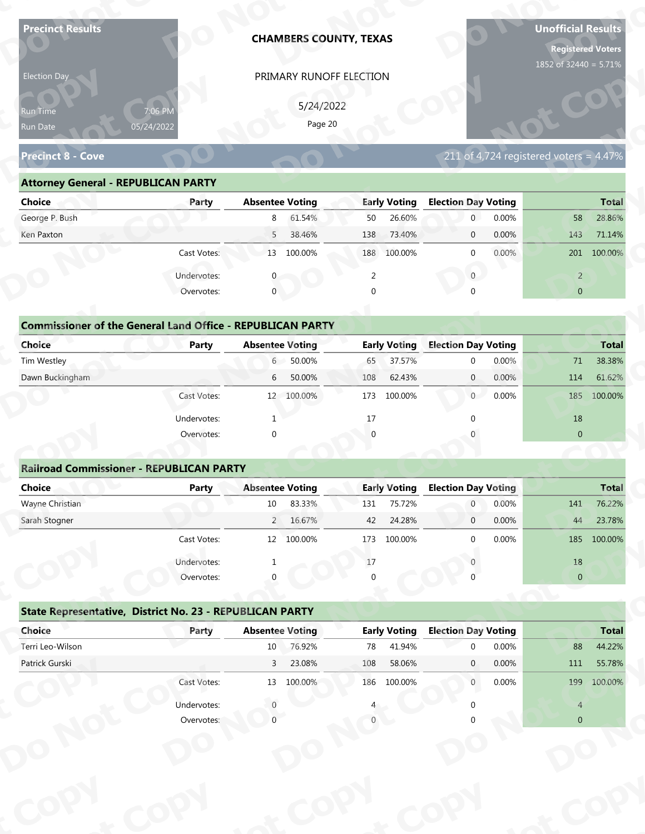| <b>Precinct Results</b>                                           |                           |                        | <b>CHAMBERS COUNTY, TEXAS</b> |          |                     |                            |       | <b>Unofficial Results</b><br><b>Registered Voters</b><br>1852 of 32440 = 5.71% |              |
|-------------------------------------------------------------------|---------------------------|------------------------|-------------------------------|----------|---------------------|----------------------------|-------|--------------------------------------------------------------------------------|--------------|
| Election Day                                                      |                           |                        | PRIMARY RUNOFF ELECTION       |          |                     |                            |       |                                                                                |              |
|                                                                   |                           |                        |                               |          |                     |                            |       |                                                                                |              |
| Run Time                                                          | 7:06 PM                   |                        | 5/24/2022<br>Page 20          |          |                     |                            |       |                                                                                |              |
| Run Date                                                          | 05/24/2022                |                        |                               |          |                     |                            |       |                                                                                |              |
| <b>Precinct 8 - Cove</b>                                          |                           |                        |                               |          |                     |                            |       | 211 of 4,724 registered voters = $4.47\%$                                      |              |
| <b>Attorney General - REPUBLICAN PARTY</b>                        |                           |                        |                               |          |                     |                            |       |                                                                                |              |
| <b>Choice</b>                                                     | Party                     | <b>Absentee Voting</b> |                               |          | <b>Early Voting</b> | <b>Election Day Voting</b> |       |                                                                                | <b>Total</b> |
| George P. Bush                                                    |                           | 8                      | 61.54%                        | 50       | 26.60%              | $\mathbf 0$                | 0.00% | 58                                                                             | 28.86%       |
| Ken Paxton                                                        |                           | 5                      | 38.46%                        | 138      | 73.40%              | $\mathbf 0$                | 0.00% | 143                                                                            | 71.14%       |
|                                                                   | Cast Votes:               |                        | 13 100.00%                    |          | 188 100.00%         | $\mathbf 0$                | 0.00% |                                                                                | 201 100.00%  |
|                                                                   | Undervotes:               |                        |                               | 2        |                     | $\overline{0}$             |       | $\overline{2}$                                                                 |              |
|                                                                   | Overvotes:                | $\mathbf{0}$           |                               | $\Omega$ |                     |                            |       | $\overline{0}$                                                                 |              |
|                                                                   |                           |                        |                               |          |                     |                            |       |                                                                                |              |
| <b>Commissioner of the General Land Office - REPUBLICAN PARTY</b> |                           |                        |                               |          |                     |                            |       |                                                                                |              |
| <b>Choice</b>                                                     | <b>Party</b>              | <b>Absentee Voting</b> |                               |          | <b>Early Voting</b> | <b>Election Day Voting</b> |       |                                                                                | <b>Total</b> |
| Tim Westley                                                       |                           | $6 -$                  | 50.00%                        | 65       | 37.57%              | $\mathbf 0$                | 0.00% | 71                                                                             | 38.38%       |
| Dawn Buckingham                                                   |                           | 6                      | 50.00%                        | 108      | 62.43%              | $\overline{0}$             | 0.00% | 114                                                                            | 61.62%       |
|                                                                   | Cast Votes:               |                        | 12 100.00%                    |          | 173 100.00%         | 0                          | 0.00% | 185                                                                            | 100.00%      |
|                                                                   | Undervotes:               | -1                     |                               | 17       |                     | $\Omega$                   |       | 18                                                                             |              |
|                                                                   | Overvotes:                | $\Omega$               |                               |          |                     |                            |       | $\overline{0}$                                                                 |              |
|                                                                   |                           |                        |                               |          |                     |                            |       |                                                                                |              |
| <b>Railroad Commissioner - REPUBLICAN PARTY</b>                   |                           |                        |                               |          |                     |                            |       |                                                                                |              |
| <b>Choice</b>                                                     | <b>Party</b>              | <b>Absentee Voting</b> |                               |          | <b>Early Voting</b> | <b>Election Day Voting</b> |       |                                                                                | <b>Total</b> |
| Wayne Christian                                                   |                           | $10\,$                 | 83.33%                        | 131      | 75.72%              | $\overline{0}$             | 0.00% | 141                                                                            | 76.22%       |
| Sarah Stogner                                                     |                           |                        | 2 16.67%                      | 42       | 24.28%              | $\overline{0}$             | 0.00% | 44                                                                             | 23.78%       |
|                                                                   | Cast Votes:               |                        | 12 100.00%                    | 173      | 100.00%             | $\Omega$                   | 0.00% | 185                                                                            | 100.00%      |
|                                                                   | Undervotes:               |                        |                               | 17       |                     |                            |       | 18                                                                             |              |
|                                                                   | Overvotes:                |                        |                               |          |                     |                            |       | $\overline{0}$                                                                 |              |
|                                                                   |                           |                        |                               |          |                     |                            |       |                                                                                |              |
| State Representative, District No. 23 - REPUBLICAN PARTY          |                           |                        |                               |          |                     |                            |       |                                                                                |              |
|                                                                   | Party                     | <b>Absentee Voting</b> |                               |          | <b>Early Voting</b> | <b>Election Day Voting</b> |       |                                                                                | <b>Total</b> |
| Choice                                                            |                           |                        |                               | 78       | 41.94%              | $\Omega$                   | 0.00% | 88                                                                             | 44.22%       |
| Terri Leo-Wilson                                                  |                           | 10 <sup>°</sup>        | 76.92%                        |          |                     |                            |       |                                                                                |              |
| Patrick Gurski                                                    |                           | $\mathbf{3}$           | 23.08%                        | 108      | 58.06%              | $\mathbf{0}$               | 0.00% | 111                                                                            | 55.78%       |
|                                                                   | Cast Votes:               |                        | 13 100.00%                    |          | 186 100.00%         | $\overline{0}$             | 0.00% | 199                                                                            | 100.00%      |
|                                                                   | Undervotes:<br>Overvotes: |                        |                               |          |                     |                            |       | $\overline{4}$<br>$\overline{0}$                                               |              |

| Election Day                                                      |                       | PRIMARY RUNOFF ELECTION  |                     |                                           |                |
|-------------------------------------------------------------------|-----------------------|--------------------------|---------------------|-------------------------------------------|----------------|
| <b>Run Time</b><br>Run Date                                       | 7:06 PM<br>05/24/2022 | 5/24/2022<br>Page 20     |                     |                                           |                |
| <b>Precinct 8 - Cove</b>                                          |                       |                          |                     | 211 of 4,724 registered voters = $4.47\%$ |                |
| <b>Attorney General - REPUBLICAN PARTY</b>                        |                       |                          |                     |                                           |                |
| <b>Choice</b>                                                     | Party                 | <b>Absentee Voting</b>   | <b>Early Voting</b> | <b>Election Day Voting</b>                | <b>Total</b>   |
| George P. Bush                                                    |                       | 61.54%<br>8              | 26.60%<br>50        | 0.00%<br>$\overline{0}$                   | 28.86%<br>58   |
| Ken Paxton                                                        |                       | 38.46%<br>5 <sup>7</sup> | 73.40%<br>138       | 0.00%<br>$\overline{0}$                   | 71.14%<br>143  |
|                                                                   | Cast Votes:           | 13 100.00%               | 188 100.00%         | $0.00\%$<br>$\Omega$                      | 201 100.00%    |
|                                                                   | Undervotes:           |                          | 2                   | $\overline{0}$                            | $\overline{2}$ |
|                                                                   | Overvotes:            | $\mathbf 0$              | $\Omega$            |                                           | $\overline{0}$ |
|                                                                   |                       |                          |                     |                                           |                |
| <b>Commissioner of the General Land Office - REPUBLICAN PARTY</b> |                       |                          |                     |                                           |                |
| <b>Choice</b>                                                     | <b>Party</b>          | <b>Absentee Voting</b>   | <b>Early Voting</b> | <b>Election Day Voting</b>                | <b>Total</b>   |
| Tim Westley                                                       |                       | 50.00%<br>$6 -$          | 37.57%<br>65        | 0.00%<br>$\Omega$                         | 38.38%<br>71   |
| Dawn Buckingham                                                   |                       | 50.00%<br>6              | 62.43%<br>108       | 0.00%<br>$\overline{0}$                   | 114<br>61.62%  |
|                                                                   | Cast Votes:           | 12 100.00%               | 173<br>100.00%      | 0<br>0.00%                                | 100.00%<br>185 |

| <b>Choice</b>                                                     | Party       | <b>Absentee Voting</b> | <b>Early Voting</b>   | <b>Election Day Voting</b> | <b>Total</b>         |
|-------------------------------------------------------------------|-------------|------------------------|-----------------------|----------------------------|----------------------|
| George P. Bush                                                    |             | 61.54%<br>8            | 26.60%<br>50          | 0.00%<br>$\mathbf{0}$      | 28.86%<br>58         |
| Ken Paxton                                                        |             | 5<br>38.46%            | 73.40%<br>138         | 0.00%<br>$\mathbf 0$       | 143<br>71.14%        |
|                                                                   | Cast Votes: | 100.00%<br>13          | 100.00%<br>188        | 0.00%<br>$\mathbf 0$       | 100.00%<br>201       |
|                                                                   | Undervotes: |                        | $\overline{2}$        | $\mathbf{0}$               | $\overline{2}$       |
|                                                                   | Overvotes:  | $\mathbf{0}$           | 0                     | $\Omega$                   | $\overline{0}$       |
| <b>Commissioner of the General Land Office - REPUBLICAN PARTY</b> |             |                        |                       |                            |                      |
| Choice                                                            | Party       | <b>Absentee Voting</b> | <b>Early Voting</b>   | <b>Election Day Voting</b> | <b>Total</b>         |
| Tim Westley                                                       |             | $50.00\%$<br>6         | 37.57%<br>65          | 0.00%<br>$\mathbf{0}$      | 38.38%<br>71         |
| Dawn Buckingham                                                   |             | 50.00%<br>6            | 62.43%<br>108         | $\overline{0}$<br>0.00%    | 61.62%<br>114        |
|                                                                   | Cast Votes: | 12 100.00%             | 173<br>100.00%        | 0.00%<br>$\overline{0}$    | 100.00%<br>185       |
|                                                                   | Undervotes: |                        | 17                    |                            | 18                   |
|                                                                   | Overvotes:  | $\mathbf{0}$           | $\overline{0}$        |                            | $\mathbf{0}$         |
|                                                                   |             |                        |                       |                            |                      |
| <b>Railroad Commissioner - REPUBLICAN PARTY</b>                   |             |                        |                       |                            |                      |
| Choice                                                            | Party       | <b>Absentee Voting</b> | <b>Early Voting</b>   | <b>Election Day Voting</b> | <b>Total</b>         |
| Wayne Christian                                                   |             | 83.33%<br>10           | 75.72%<br>131         | 0.00%<br>$\overline{0}$    | 76.22%<br>141        |
| Carole Champan                                                    |             | 2.16670/               | 24.200/<br>$\sqrt{2}$ | 0.0001<br>$\sim$           | 22.700/<br>$\Lambda$ |

| 5/24/2022<br>7:06 PM<br>Run Time<br>Page 20<br>05/24/2022<br>Run Date<br>$211$ of 4,724 registered voters = 4.47%<br><b>Precinct 8 - Cove</b><br><b>Attorney General - REPUBLICAN PARTY</b><br><b>Absentee Voting</b><br><b>Early Voting</b><br><b>Election Day Voting</b><br><b>Choice</b><br>Party<br>George P. Bush<br>61.54%<br>50<br>26.60%<br>$\overline{0}$<br>0.00%<br>8<br>58<br>38.46%<br>73.40%<br>0.00%<br>Ken Paxton<br>5 <sup>7</sup><br>138<br>$\mathbf{0}$<br>143<br>Cast Votes:<br>13 100.00%<br>188 100.00%<br>0.00%<br>$\mathbf{0}$<br>201 100.00%<br>$\overline{0}$<br>Undervotes:<br>2<br>$\overline{2}$<br>$\mathbf{0}$<br>Overvotes:<br>$\mathbf{0}$<br>$\overline{0}$<br>$\Omega$<br><b>Commissioner of the General Land Office - REPUBLICAN PARTY</b><br><b>Early Voting</b><br><b>Election Day Voting</b><br><b>Choice</b><br>Party<br><b>Absentee Voting</b><br>50.00%<br>37.57%<br>0.00%<br>Tim Westley<br>$6\degree$<br>71<br>65<br>$\mathbf 0$<br>Dawn Buckingham<br>50.00%<br>0.00%<br>62.43%<br>114<br>6<br>108<br>$\mathbf{0}$<br>Cast Votes:<br>12 100.00%<br>100.00%<br>0.00%<br>173<br>$\overline{0}$<br>185<br>18<br>Undervotes:<br>17<br>$\overline{0}$<br>Overvotes:<br>$\Omega$<br><b>Railroad Commissioner - REPUBLICAN PARTY</b><br><b>Absentee Voting</b><br><b>Early Voting</b><br><b>Election Day Voting</b><br><b>Choice</b><br><b>Party</b><br>Wayne Christian<br>83.33%<br>75.72%<br>0.00%<br>$\overline{0}$<br>10<br>131<br>141<br>16.67%<br>24.28%<br>Sarah Stogner<br>42<br>0.00%<br>$2^{\circ}$<br>$\mathbf 0$<br>44<br>0.00%<br>Cast Votes:<br>12 100.00%<br>173 100.00%<br>185 100.00%<br>$\Omega$<br>$18\,$<br>Undervotes:<br>17<br>Overvotes:<br>$\overline{0}$<br>State Representative, District No. 23 - REPUBLICAN PARTY<br><b>Early Voting</b><br>Choice<br><b>Election Day Voting</b><br><b>Absentee Voting</b><br>Party<br>Terri Leo-Wilson<br>76.92%<br>41.94%<br>88<br>10<br>78<br>0.00%<br>$\Omega$<br>Patrick Gurski<br>23.08%<br>108<br>58.06%<br>0.00%<br>111<br>$\overline{3}$<br>$\mathbf{0}$<br>Cast Votes:<br>186 100.00%<br>13 100.00%<br>0.00%<br>199<br>$\mathbf{0}$ |             | <b>Total</b><br>28.86%<br>71.14%<br><b>Total</b><br>38.38%<br>61.62% |
|-------------------------------------------------------------------------------------------------------------------------------------------------------------------------------------------------------------------------------------------------------------------------------------------------------------------------------------------------------------------------------------------------------------------------------------------------------------------------------------------------------------------------------------------------------------------------------------------------------------------------------------------------------------------------------------------------------------------------------------------------------------------------------------------------------------------------------------------------------------------------------------------------------------------------------------------------------------------------------------------------------------------------------------------------------------------------------------------------------------------------------------------------------------------------------------------------------------------------------------------------------------------------------------------------------------------------------------------------------------------------------------------------------------------------------------------------------------------------------------------------------------------------------------------------------------------------------------------------------------------------------------------------------------------------------------------------------------------------------------------------------------------------------------------------------------------------------------------------------------------------------------------------------------------------------------------------------------------------------------------------------------------------------------------------------------------------------------------------------------------------------------------------|-------------|----------------------------------------------------------------------|
|                                                                                                                                                                                                                                                                                                                                                                                                                                                                                                                                                                                                                                                                                                                                                                                                                                                                                                                                                                                                                                                                                                                                                                                                                                                                                                                                                                                                                                                                                                                                                                                                                                                                                                                                                                                                                                                                                                                                                                                                                                                                                                                                                 |             |                                                                      |
|                                                                                                                                                                                                                                                                                                                                                                                                                                                                                                                                                                                                                                                                                                                                                                                                                                                                                                                                                                                                                                                                                                                                                                                                                                                                                                                                                                                                                                                                                                                                                                                                                                                                                                                                                                                                                                                                                                                                                                                                                                                                                                                                                 |             |                                                                      |
|                                                                                                                                                                                                                                                                                                                                                                                                                                                                                                                                                                                                                                                                                                                                                                                                                                                                                                                                                                                                                                                                                                                                                                                                                                                                                                                                                                                                                                                                                                                                                                                                                                                                                                                                                                                                                                                                                                                                                                                                                                                                                                                                                 |             |                                                                      |
|                                                                                                                                                                                                                                                                                                                                                                                                                                                                                                                                                                                                                                                                                                                                                                                                                                                                                                                                                                                                                                                                                                                                                                                                                                                                                                                                                                                                                                                                                                                                                                                                                                                                                                                                                                                                                                                                                                                                                                                                                                                                                                                                                 |             |                                                                      |
|                                                                                                                                                                                                                                                                                                                                                                                                                                                                                                                                                                                                                                                                                                                                                                                                                                                                                                                                                                                                                                                                                                                                                                                                                                                                                                                                                                                                                                                                                                                                                                                                                                                                                                                                                                                                                                                                                                                                                                                                                                                                                                                                                 |             |                                                                      |
|                                                                                                                                                                                                                                                                                                                                                                                                                                                                                                                                                                                                                                                                                                                                                                                                                                                                                                                                                                                                                                                                                                                                                                                                                                                                                                                                                                                                                                                                                                                                                                                                                                                                                                                                                                                                                                                                                                                                                                                                                                                                                                                                                 |             |                                                                      |
|                                                                                                                                                                                                                                                                                                                                                                                                                                                                                                                                                                                                                                                                                                                                                                                                                                                                                                                                                                                                                                                                                                                                                                                                                                                                                                                                                                                                                                                                                                                                                                                                                                                                                                                                                                                                                                                                                                                                                                                                                                                                                                                                                 |             |                                                                      |
|                                                                                                                                                                                                                                                                                                                                                                                                                                                                                                                                                                                                                                                                                                                                                                                                                                                                                                                                                                                                                                                                                                                                                                                                                                                                                                                                                                                                                                                                                                                                                                                                                                                                                                                                                                                                                                                                                                                                                                                                                                                                                                                                                 |             |                                                                      |
|                                                                                                                                                                                                                                                                                                                                                                                                                                                                                                                                                                                                                                                                                                                                                                                                                                                                                                                                                                                                                                                                                                                                                                                                                                                                                                                                                                                                                                                                                                                                                                                                                                                                                                                                                                                                                                                                                                                                                                                                                                                                                                                                                 |             |                                                                      |
|                                                                                                                                                                                                                                                                                                                                                                                                                                                                                                                                                                                                                                                                                                                                                                                                                                                                                                                                                                                                                                                                                                                                                                                                                                                                                                                                                                                                                                                                                                                                                                                                                                                                                                                                                                                                                                                                                                                                                                                                                                                                                                                                                 |             |                                                                      |
|                                                                                                                                                                                                                                                                                                                                                                                                                                                                                                                                                                                                                                                                                                                                                                                                                                                                                                                                                                                                                                                                                                                                                                                                                                                                                                                                                                                                                                                                                                                                                                                                                                                                                                                                                                                                                                                                                                                                                                                                                                                                                                                                                 |             |                                                                      |
|                                                                                                                                                                                                                                                                                                                                                                                                                                                                                                                                                                                                                                                                                                                                                                                                                                                                                                                                                                                                                                                                                                                                                                                                                                                                                                                                                                                                                                                                                                                                                                                                                                                                                                                                                                                                                                                                                                                                                                                                                                                                                                                                                 |             |                                                                      |
|                                                                                                                                                                                                                                                                                                                                                                                                                                                                                                                                                                                                                                                                                                                                                                                                                                                                                                                                                                                                                                                                                                                                                                                                                                                                                                                                                                                                                                                                                                                                                                                                                                                                                                                                                                                                                                                                                                                                                                                                                                                                                                                                                 |             |                                                                      |
|                                                                                                                                                                                                                                                                                                                                                                                                                                                                                                                                                                                                                                                                                                                                                                                                                                                                                                                                                                                                                                                                                                                                                                                                                                                                                                                                                                                                                                                                                                                                                                                                                                                                                                                                                                                                                                                                                                                                                                                                                                                                                                                                                 |             |                                                                      |
|                                                                                                                                                                                                                                                                                                                                                                                                                                                                                                                                                                                                                                                                                                                                                                                                                                                                                                                                                                                                                                                                                                                                                                                                                                                                                                                                                                                                                                                                                                                                                                                                                                                                                                                                                                                                                                                                                                                                                                                                                                                                                                                                                 |             |                                                                      |
|                                                                                                                                                                                                                                                                                                                                                                                                                                                                                                                                                                                                                                                                                                                                                                                                                                                                                                                                                                                                                                                                                                                                                                                                                                                                                                                                                                                                                                                                                                                                                                                                                                                                                                                                                                                                                                                                                                                                                                                                                                                                                                                                                 |             |                                                                      |
|                                                                                                                                                                                                                                                                                                                                                                                                                                                                                                                                                                                                                                                                                                                                                                                                                                                                                                                                                                                                                                                                                                                                                                                                                                                                                                                                                                                                                                                                                                                                                                                                                                                                                                                                                                                                                                                                                                                                                                                                                                                                                                                                                 |             | 100.00%                                                              |
|                                                                                                                                                                                                                                                                                                                                                                                                                                                                                                                                                                                                                                                                                                                                                                                                                                                                                                                                                                                                                                                                                                                                                                                                                                                                                                                                                                                                                                                                                                                                                                                                                                                                                                                                                                                                                                                                                                                                                                                                                                                                                                                                                 |             |                                                                      |
|                                                                                                                                                                                                                                                                                                                                                                                                                                                                                                                                                                                                                                                                                                                                                                                                                                                                                                                                                                                                                                                                                                                                                                                                                                                                                                                                                                                                                                                                                                                                                                                                                                                                                                                                                                                                                                                                                                                                                                                                                                                                                                                                                 |             |                                                                      |
|                                                                                                                                                                                                                                                                                                                                                                                                                                                                                                                                                                                                                                                                                                                                                                                                                                                                                                                                                                                                                                                                                                                                                                                                                                                                                                                                                                                                                                                                                                                                                                                                                                                                                                                                                                                                                                                                                                                                                                                                                                                                                                                                                 |             |                                                                      |
|                                                                                                                                                                                                                                                                                                                                                                                                                                                                                                                                                                                                                                                                                                                                                                                                                                                                                                                                                                                                                                                                                                                                                                                                                                                                                                                                                                                                                                                                                                                                                                                                                                                                                                                                                                                                                                                                                                                                                                                                                                                                                                                                                 |             |                                                                      |
|                                                                                                                                                                                                                                                                                                                                                                                                                                                                                                                                                                                                                                                                                                                                                                                                                                                                                                                                                                                                                                                                                                                                                                                                                                                                                                                                                                                                                                                                                                                                                                                                                                                                                                                                                                                                                                                                                                                                                                                                                                                                                                                                                 |             | <b>Total</b>                                                         |
|                                                                                                                                                                                                                                                                                                                                                                                                                                                                                                                                                                                                                                                                                                                                                                                                                                                                                                                                                                                                                                                                                                                                                                                                                                                                                                                                                                                                                                                                                                                                                                                                                                                                                                                                                                                                                                                                                                                                                                                                                                                                                                                                                 |             | 76.22%                                                               |
|                                                                                                                                                                                                                                                                                                                                                                                                                                                                                                                                                                                                                                                                                                                                                                                                                                                                                                                                                                                                                                                                                                                                                                                                                                                                                                                                                                                                                                                                                                                                                                                                                                                                                                                                                                                                                                                                                                                                                                                                                                                                                                                                                 |             | 23.78%                                                               |
|                                                                                                                                                                                                                                                                                                                                                                                                                                                                                                                                                                                                                                                                                                                                                                                                                                                                                                                                                                                                                                                                                                                                                                                                                                                                                                                                                                                                                                                                                                                                                                                                                                                                                                                                                                                                                                                                                                                                                                                                                                                                                                                                                 |             |                                                                      |
|                                                                                                                                                                                                                                                                                                                                                                                                                                                                                                                                                                                                                                                                                                                                                                                                                                                                                                                                                                                                                                                                                                                                                                                                                                                                                                                                                                                                                                                                                                                                                                                                                                                                                                                                                                                                                                                                                                                                                                                                                                                                                                                                                 |             |                                                                      |
|                                                                                                                                                                                                                                                                                                                                                                                                                                                                                                                                                                                                                                                                                                                                                                                                                                                                                                                                                                                                                                                                                                                                                                                                                                                                                                                                                                                                                                                                                                                                                                                                                                                                                                                                                                                                                                                                                                                                                                                                                                                                                                                                                 |             |                                                                      |
|                                                                                                                                                                                                                                                                                                                                                                                                                                                                                                                                                                                                                                                                                                                                                                                                                                                                                                                                                                                                                                                                                                                                                                                                                                                                                                                                                                                                                                                                                                                                                                                                                                                                                                                                                                                                                                                                                                                                                                                                                                                                                                                                                 |             |                                                                      |
|                                                                                                                                                                                                                                                                                                                                                                                                                                                                                                                                                                                                                                                                                                                                                                                                                                                                                                                                                                                                                                                                                                                                                                                                                                                                                                                                                                                                                                                                                                                                                                                                                                                                                                                                                                                                                                                                                                                                                                                                                                                                                                                                                 |             |                                                                      |
|                                                                                                                                                                                                                                                                                                                                                                                                                                                                                                                                                                                                                                                                                                                                                                                                                                                                                                                                                                                                                                                                                                                                                                                                                                                                                                                                                                                                                                                                                                                                                                                                                                                                                                                                                                                                                                                                                                                                                                                                                                                                                                                                                 |             | <b>Total</b>                                                         |
|                                                                                                                                                                                                                                                                                                                                                                                                                                                                                                                                                                                                                                                                                                                                                                                                                                                                                                                                                                                                                                                                                                                                                                                                                                                                                                                                                                                                                                                                                                                                                                                                                                                                                                                                                                                                                                                                                                                                                                                                                                                                                                                                                 |             | 44.22%                                                               |
|                                                                                                                                                                                                                                                                                                                                                                                                                                                                                                                                                                                                                                                                                                                                                                                                                                                                                                                                                                                                                                                                                                                                                                                                                                                                                                                                                                                                                                                                                                                                                                                                                                                                                                                                                                                                                                                                                                                                                                                                                                                                                                                                                 |             | 55.78%                                                               |
|                                                                                                                                                                                                                                                                                                                                                                                                                                                                                                                                                                                                                                                                                                                                                                                                                                                                                                                                                                                                                                                                                                                                                                                                                                                                                                                                                                                                                                                                                                                                                                                                                                                                                                                                                                                                                                                                                                                                                                                                                                                                                                                                                 |             | 100.00%                                                              |
| $\overline{4}$                                                                                                                                                                                                                                                                                                                                                                                                                                                                                                                                                                                                                                                                                                                                                                                                                                                                                                                                                                                                                                                                                                                                                                                                                                                                                                                                                                                                                                                                                                                                                                                                                                                                                                                                                                                                                                                                                                                                                                                                                                                                                                                                  | Undervotes: |                                                                      |
| Overvotes:<br>$\overline{0}$                                                                                                                                                                                                                                                                                                                                                                                                                                                                                                                                                                                                                                                                                                                                                                                                                                                                                                                                                                                                                                                                                                                                                                                                                                                                                                                                                                                                                                                                                                                                                                                                                                                                                                                                                                                                                                                                                                                                                                                                                                                                                                                    |             |                                                                      |

|                                                          | Cast votes. | Ŧ₹                     | <b>TOO:OO XQ</b> | T \ 2    | TOO'OO NO           |                            | <b>U.UU70</b> |                | TOD TOO'OO'S |
|----------------------------------------------------------|-------------|------------------------|------------------|----------|---------------------|----------------------------|---------------|----------------|--------------|
|                                                          | Undervotes: |                        |                  | $17\,$   |                     |                            |               | 18             |              |
|                                                          | Overvotes:  | $\Omega$               |                  | $\Omega$ |                     |                            |               | $\overline{0}$ |              |
| State Representative, District No. 23 - REPUBLICAN PARTY |             |                        |                  |          |                     |                            |               |                |              |
| Choice                                                   | Party       | <b>Absentee Voting</b> |                  |          | <b>Early Voting</b> | <b>Election Day Voting</b> |               |                | <b>Total</b> |
| Terri Leo-Wilson                                         |             | 10                     | 76.92%           | 78       | 41.94%              | $\Omega$                   | 0.00%         | 88             | 44.22%       |
| Patrick Gurski                                           |             | 3                      | 23.08%           | 108      | 58.06%              | $\mathbf{0}$               | 0.00%         | 111            | 55.78%       |
|                                                          | Cast Votes: | 13                     | 100.00%          | 186      | 100.00%             | $\mathbf 0$                | 0.00%         | 199            | 100.00%      |
|                                                          | Undervotes: |                        |                  |          |                     |                            |               | $\overline{4}$ |              |
|                                                          | Overvotes:  |                        |                  |          |                     |                            |               | $\overline{0}$ |              |
|                                                          |             |                        |                  |          |                     |                            |               |                |              |
|                                                          |             |                        |                  |          |                     |                            |               |                |              |
|                                                          |             |                        |                  |          |                     |                            |               |                |              |
|                                                          |             |                        |                  |          |                     |                            |               |                |              |
|                                                          |             |                        |                  |          |                     |                            |               |                |              |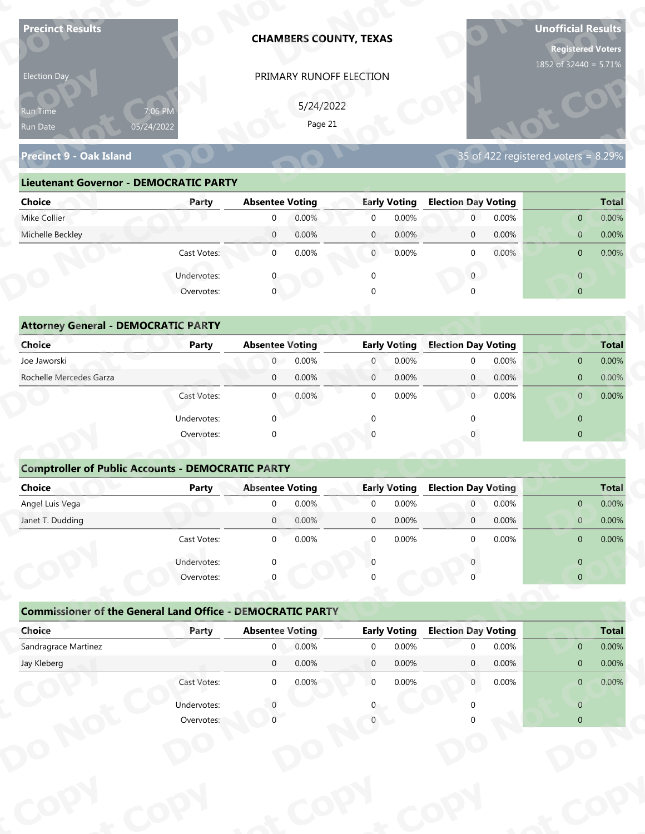| <b>Precinct Results</b>                                           |                           |                        |           | <b>CHAMBERS COUNTY, TEXAS</b> |                     |                            |       | <b>Unofficial Results</b><br><b>Registered Voters</b> |              |
|-------------------------------------------------------------------|---------------------------|------------------------|-----------|-------------------------------|---------------------|----------------------------|-------|-------------------------------------------------------|--------------|
| Election Day                                                      |                           |                        |           | PRIMARY RUNOFF ELECTION       |                     |                            |       | 1852 of 32440 = 5.71%                                 |              |
|                                                                   |                           |                        | 5/24/2022 |                               |                     |                            |       |                                                       |              |
| Run Time<br>Run Date                                              | 7:06 PM<br>05/24/2022     |                        | Page 21   |                               |                     |                            |       |                                                       |              |
|                                                                   |                           |                        |           |                               |                     |                            |       |                                                       |              |
| <b>Precinct 9 - Oak Island</b>                                    |                           |                        |           |                               |                     |                            |       | 35 of 422 registered voters = $8.29\%$                |              |
| <b>Lieutenant Governor - DEMOCRATIC PARTY</b>                     |                           |                        |           |                               |                     |                            |       |                                                       |              |
| <b>Choice</b>                                                     | Party                     | <b>Absentee Voting</b> |           |                               | <b>Early Voting</b> | <b>Election Day Voting</b> |       |                                                       | <b>Total</b> |
| Mike Collier                                                      |                           | $\mathbf 0$            | 0.00%     | $\overline{0}$                | 0.00%               | $\mathbf{0}$               | 0.00% | $\overline{0}$                                        | $0.00\%$     |
| Michelle Beckley                                                  |                           | $\overline{0}$         | 0.00%     | $\mathbf{0}$                  | 0.00%               | $\mathbf 0$                | 0.00% | $\mathbf{0}$                                          | 0.00%        |
|                                                                   | Cast Votes:               | $\mathbf{0}$           | 0.00%     | $\overline{0}$                | 0.00%               | $\mathbf 0$                | 0.00% | $\mathbf 0$                                           | 0.00%        |
|                                                                   | Undervotes:               |                        |           | $\mathbf 0$                   |                     | $\overline{0}$             |       | $\overline{0}$                                        |              |
|                                                                   | Overvotes:                | $\overline{0}$         |           |                               |                     |                            |       | $\overline{0}$                                        |              |
|                                                                   |                           |                        |           |                               |                     |                            |       |                                                       |              |
| <b>Attorney General - DEMOCRATIC PARTY</b>                        |                           |                        |           |                               |                     |                            |       |                                                       |              |
| <b>Choice</b>                                                     | <b>Party</b>              | <b>Absentee Voting</b> |           |                               | <b>Early Voting</b> | <b>Election Day Voting</b> |       |                                                       | <b>Total</b> |
| Joe Jaworski                                                      |                           | $\overline{0}$         | 0.00%     | $\overline{0}$                | 0.00%               | $\mathbf 0$                | 0.00% | $\overline{0}$                                        | 0.00%        |
| Rochelle Mercedes Garza                                           |                           | $\mathbf 0$            | 0.00%     | $\overline{0}$                | 0.00%               | $\overline{0}$             | 0.00% | $\overline{0}$                                        | 0.00%        |
|                                                                   | Cast Votes:               | $\overline{0}$         | 0.00%     | $\mathbf 0$                   | 0.00%               | $\overline{0}$             | 0.00% | $\overline{0}$                                        | 0.00%        |
|                                                                   | Undervotes:               | $\Omega$               |           | $\Omega$                      |                     | $\Omega$                   |       | $\overline{0}$                                        |              |
|                                                                   | Overvotes:                | $\Omega$               |           |                               |                     |                            |       | $\overline{0}$                                        |              |
|                                                                   |                           |                        |           |                               |                     |                            |       |                                                       |              |
| <b>Comptroller of Public Accounts - DEMOCRATIC PARTY</b>          |                           |                        |           |                               |                     |                            |       |                                                       |              |
| <b>Choice</b>                                                     | <b>Party</b>              | <b>Absentee Voting</b> |           |                               | <b>Early Voting</b> | <b>Election Day Voting</b> |       |                                                       | <b>Total</b> |
| Angel Luis Vega                                                   |                           | $\overline{0}$         | 0.00%     | $\mathbf 0$                   | 0.00%               | $\overline{0}$             | 0.00% | $\mathbf{0}$                                          | 0.00%        |
| Janet T. Dudding                                                  |                           | $\overline{0}$         | 0.00%     | $\overline{0}$                | 0.00%               | $\overline{0}$             | 0.00% | $\mathbf{0}$                                          | 0.00%        |
|                                                                   | Cast Votes:               | $\overline{0}$         | 0.00%     | $\overline{0}$                | 0.00%               | $\mathbf{0}$               | 0.00% | $\mathbf{0}$                                          | 0.00%        |
|                                                                   | Undervotes:               | $\Omega$               |           | $\Omega$                      |                     |                            |       | $\overline{0}$                                        |              |
|                                                                   | Overvotes:                |                        |           |                               |                     |                            |       | $\overline{0}$                                        |              |
| <b>Commissioner of the General Land Office - DEMOCRATIC PARTY</b> |                           |                        |           |                               |                     |                            |       |                                                       |              |
|                                                                   |                           | <b>Absentee Voting</b> |           |                               | <b>Early Voting</b> | <b>Election Day Voting</b> |       |                                                       | <b>Total</b> |
|                                                                   | Party                     | $\mathbf{0}$           | 0.00%     | $\overline{0}$                | 0.00%               | $\Omega$                   | 0.00% | $\overline{0}$                                        | 0.00%        |
| Choice                                                            |                           |                        |           | $\overline{0}$                | 0.00%               | $\mathbf{0}$               | 0.00% | $\mathbf{0}$                                          | 0.00%        |
| Sandragrace Martinez                                              |                           | $\overline{0}$         | 0.00%     |                               |                     |                            |       |                                                       |              |
| Jay Kleberg                                                       |                           | $\overline{0}$         |           | $\overline{0}$                |                     | $\overline{0}$             | 0.00% | $\overline{0}$                                        |              |
|                                                                   | Cast Votes:               |                        | 0.00%     |                               | 0.00%               |                            |       |                                                       | 0.00%        |
|                                                                   | Undervotes:<br>Overvotes: |                        |           |                               |                     |                            |       | $\overline{0}$<br>$\overline{0}$                      |              |

| 35 of 422 registered voters = 8.29% |  |  |
|-------------------------------------|--|--|
|                                     |  |  |
|                                     |  |  |

| 5/24/2022<br>7:06 PM<br><b>Run Time</b>                                                                                           |
|-----------------------------------------------------------------------------------------------------------------------------------|
| Page 21<br>05/24/2022<br>Run Date                                                                                                 |
| 35 of 422 registered voters = 8.29%<br><b>Precinct 9 - Oak Island</b>                                                             |
| <b>Lieutenant Governor - DEMOCRATIC PARTY</b>                                                                                     |
| <b>Absentee Voting</b><br><b>Early Voting</b><br><b>Election Day Voting</b><br><b>Choice</b><br><b>Total</b><br>Party             |
| Mike Collier<br>0.00%<br>0.00%<br>0.00%<br>0.00%<br>$\overline{0}$<br>$\overline{0}$<br>$\overline{0}$<br>$\overline{0}$          |
| Michelle Beckley<br>0.00%<br>0.00%<br>0.00%<br>0.00%<br>$\overline{0}$<br>$\mathbf{0}$<br>$\overline{0}$<br>$\overline{0}$        |
| $\overline{0}$<br>0.00%<br>0.00%<br>$0.00\%$<br>0.00%<br>Cast Votes:<br>$\overline{0}$<br>$\overline{0}$<br>$\mathbf{0}$          |
| Undervotes:<br>$\overline{0}$<br>$\overline{0}$<br>$\mathbf 0$                                                                    |
| $\mathbf 0$<br>$\overline{0}$<br>Overvotes:<br>$\Omega$                                                                           |
|                                                                                                                                   |
| <b>Attorney General - DEMOCRATIC PARTY</b>                                                                                        |
| <b>Early Voting</b><br><b>Election Day Voting</b><br><b>Choice</b><br><b>Absentee Voting</b><br><b>Total</b><br><b>Party</b>      |
| Joe Jaworski<br>0.00%<br>0.00%<br>0.00%<br>0.00%<br>$\overline{0}$<br>$\overline{0}$<br>$\Omega$<br>$\overline{0}$                |
| Rochelle Mercedes Garza<br>0.00%<br>0.00%<br>0.00%<br>$\mathbf{0}$<br>$\overline{0}$<br>0.00%<br>$\overline{0}$<br>$\overline{0}$ |
| 0.00%<br>0.00%<br>0.00%<br>$\overline{0}$<br>0.00%<br>$\Omega$<br>$\overline{0}$<br>Cast Votes:<br>$\overline{0}$                 |

| 7:06 PM<br>Run Time<br>05/24/2022<br>Run Date<br><b>Precinct 9 - Oak Island</b><br><b>Lieutenant Governor - DEMOCRATIC PARTY</b> |              |                        | 5/24/2022<br>Page 21 |                |                     |                            |       |                                        |                            |
|----------------------------------------------------------------------------------------------------------------------------------|--------------|------------------------|----------------------|----------------|---------------------|----------------------------|-------|----------------------------------------|----------------------------|
|                                                                                                                                  |              |                        |                      |                |                     |                            |       |                                        |                            |
|                                                                                                                                  |              |                        |                      |                |                     |                            |       |                                        |                            |
|                                                                                                                                  |              |                        |                      |                |                     |                            |       |                                        |                            |
|                                                                                                                                  |              |                        |                      |                |                     |                            |       | $-35$ of 422 registered voters = 8.29% |                            |
|                                                                                                                                  |              |                        |                      |                |                     |                            |       |                                        |                            |
| <b>Choice</b>                                                                                                                    | Party        | <b>Absentee Voting</b> |                      |                | <b>Early Voting</b> | <b>Election Day Voting</b> |       |                                        | <b>Total</b>               |
| Mike Collier                                                                                                                     |              | $\mathbf 0$            | 0.00%                | $\overline{0}$ | 0.00%               | $\overline{0}$             | 0.00% |                                        | 0.00%<br>$\overline{0}$    |
| Michelle Beckley                                                                                                                 |              | $\overline{0}$         | 0.00%                | $\mathbf{0}$   | 0.00%               | $\mathbf 0$                | 0.00% |                                        | $0.00\%$<br>$\overline{0}$ |
|                                                                                                                                  | Cast Votes:  | $\mathbf 0$            | 0.00%                | $\overline{0}$ | 0.00%               | $\mathbf{0}$               | 0.00% |                                        | 0.00%<br>$\overline{0}$    |
|                                                                                                                                  | Undervotes:  | $\mathbf 0$            |                      | $\mathbf 0$    |                     | $\overline{0}$             |       |                                        | $\overline{0}$             |
|                                                                                                                                  | Overvotes:   | $\mathbf{0}$           |                      | $\Omega$       |                     |                            |       |                                        | $\overline{0}$             |
|                                                                                                                                  |              |                        |                      |                |                     |                            |       |                                        |                            |
| <b>Attorney General - DEMOCRATIC PARTY</b>                                                                                       |              |                        |                      |                |                     |                            |       |                                        |                            |
| Choice                                                                                                                           | <b>Party</b> | <b>Absentee Voting</b> |                      |                | <b>Early Voting</b> | <b>Election Day Voting</b> |       |                                        | <b>Total</b>               |
| Joe Jaworski                                                                                                                     |              | $\overline{0}$         | 0.00%                | $\overline{0}$ | 0.00%               | $\mathbf 0$                | 0.00% |                                        | 0.00%<br>$\overline{0}$    |
| Rochelle Mercedes Garza                                                                                                          |              | $\mathbf 0$            | 0.00%                | $\mathbf{0}$   | 0.00%               | $\mathbf{0}$               | 0.00% |                                        | 0.00%<br>$\overline{0}$    |
|                                                                                                                                  | Cast Votes:  | $\mathbf{0}$           | 0.00%                | $\mathbf 0$    | 0.00%               | $\overline{0}$             | 0.00% |                                        | $\overline{0}$<br>0.00%    |
|                                                                                                                                  | Undervotes:  | $\Omega$               |                      | $\Omega$       |                     |                            |       |                                        | $\overline{0}$             |
|                                                                                                                                  | Overvotes:   | $\Omega$               |                      |                |                     |                            |       |                                        | $\mathbf{0}$               |
|                                                                                                                                  |              |                        |                      |                |                     |                            |       |                                        |                            |
| <b>Comptroller of Public Accounts - DEMOCRATIC PARTY</b>                                                                         |              |                        |                      |                |                     |                            |       |                                        |                            |
| <b>Choice</b>                                                                                                                    | Party        | <b>Absentee Voting</b> |                      |                | <b>Early Voting</b> | <b>Election Day Voting</b> |       |                                        | Total                      |
| Angel Luis Vega                                                                                                                  |              | $\mathbf 0$            | 0.00%                | $\mathbf 0$    | 0.00%               | $\overline{0}$             | 0.00% |                                        | $\overline{0}$<br>0.00%    |
| Janet T. Dudding                                                                                                                 |              | $\overline{0}$         | 0.00%                | $\mathbf 0$    | 0.00%               | $\mathbf 0$                | 0.00% |                                        | 0.00%<br>$\mathbf{0}$      |
|                                                                                                                                  | Cast Votes:  | $\Omega$               | 0.00%                | $\overline{0}$ | $0.00\%$            | $\Omega$                   | 0.00% |                                        | 0.00%<br>$\Omega$          |
|                                                                                                                                  | Undervotes:  |                        |                      |                |                     |                            |       |                                        | $\overline{0}$             |
|                                                                                                                                  | Overvotes:   |                        |                      |                |                     |                            |       |                                        | $\overline{0}$             |
|                                                                                                                                  |              |                        |                      |                |                     |                            |       |                                        |                            |
| <b>Commissioner of the General Land Office - DEMOCRATIC PARTY</b>                                                                |              |                        |                      |                |                     |                            |       |                                        |                            |
| Choice                                                                                                                           | Party        | <b>Absentee Voting</b> |                      |                | <b>Early Voting</b> | <b>Election Day Voting</b> |       |                                        | <b>Total</b>               |
|                                                                                                                                  |              | $\overline{0}$         | 0.00%                | $\overline{0}$ | 0.00%               | $\mathbf{0}$               | 0.00% |                                        | $\overline{0}$<br>0.00%    |
| Sandragrace Martinez                                                                                                             |              |                        |                      | $\overline{0}$ | 0.00%               | $\mathbf{0}$               | 0.00% |                                        | $\mathbf{0}$<br>0.00%      |
| Jay Kleberg                                                                                                                      |              | $\overline{0}$         | 0.00%                |                |                     |                            |       |                                        |                            |
|                                                                                                                                  | Cast Votes:  | $\overline{0}$         | 0.00%                | $\overline{0}$ | 0.00%               | $\overline{0}$             | 0.00% |                                        | 0.00%<br>$\overline{0}$    |
|                                                                                                                                  | Undervotes:  | $\Omega$               |                      |                |                     |                            |       |                                        | $\overline{0}$             |

### **Comptroller of Public Accounts - DEMOCRATIC PARTY**

| <b>Choice</b>                                                               | Party       | <b>Absentee Voting</b> |       |                | <b>Early Voting</b> | <b>Election Day Voting</b> |       |                | <b>Total</b> |
|-----------------------------------------------------------------------------|-------------|------------------------|-------|----------------|---------------------|----------------------------|-------|----------------|--------------|
| Joe Jaworski                                                                |             | $\overline{0}$         | 0.00% | $\overline{0}$ | 0.00%               | $\mathbf{0}$               | 0.00% | $\bf 0$        | 0.00%        |
| Rochelle Mercedes Garza                                                     |             | $\mathbf 0$            | 0.00% | $\overline{0}$ | 0.00%               | $\mathbf{0}$               | 0.00% | $\overline{0}$ | $0.00\%$     |
|                                                                             | Cast Votes: | $\overline{0}$         | 0.00% | $\overline{0}$ | 0.00%               | $\overline{0}$             | 0.00% | $\overline{0}$ | 0.00%        |
|                                                                             | Undervotes: | $\Omega$               |       | $\Omega$       |                     | $\Omega$                   |       | $\mathbf{0}$   |              |
|                                                                             | Overvotes:  | $\Omega$               |       |                |                     |                            |       | $\mathbf{0}$   |              |
|                                                                             |             |                        |       |                |                     |                            |       |                |              |
| <b>Comptroller of Public Accounts - DEMOCRATIC PARTY</b>                    |             |                        |       |                |                     |                            |       |                |              |
| <b>Choice</b>                                                               | Party       | <b>Absentee Voting</b> |       |                | <b>Early Voting</b> | <b>Election Day Voting</b> |       |                | <b>Total</b> |
| Angel Luis Vega                                                             |             | $\Omega$               | 0.00% | 0              | 0.00%               | $\overline{0}$             | 0.00% | $\mathbf{0}$   | 0.00%        |
| Janet T. Dudding                                                            |             | $\overline{0}$         | 0.00% | $\mathbf{0}$   | 0.00%               | $\overline{0}$             | 0.00% | $\theta$       | 0.00%        |
|                                                                             | Cast Votes: | $\overline{0}$         | 0.00% | $\overline{0}$ | 0.00%               | $\mathbf{0}$               | 0.00% | $\overline{0}$ | 0.00%        |
|                                                                             |             |                        |       |                |                     |                            |       |                |              |
|                                                                             | Undervotes: | $\Omega$               |       | U              |                     |                            |       | $\overline{0}$ |              |
|                                                                             | Overvotes:  |                        |       |                |                     |                            |       | $\bf 0$        |              |
|                                                                             |             |                        |       |                |                     |                            |       |                |              |
| <b>Commissioner of the General Land Office - DEMOCRATIC PARTY</b><br>Choice | Party       | <b>Absentee Voting</b> |       |                | <b>Early Voting</b> | <b>Election Day Voting</b> |       |                | <b>Total</b> |
| Sandragrace Martinez                                                        |             | $\mathbf{0}$           | 0.00% | $\mathbf 0$    | 0.00%               | $\mathbf{0}$               | 0.00% | $\overline{0}$ | 0.00%        |
| Jay Kleberg                                                                 |             | $\mathbf 0$            | 0.00% | $\overline{0}$ | 0.00%               | $\mathbf{0}$               | 0.00% | $\mathbf 0$    | 0.00%        |
|                                                                             | Cast Votes: | $\mathbf{0}$           | 0.00% | $\overline{0}$ | 0.00%               | $\overline{0}$             | 0.00% | $\overline{0}$ | 0.00%        |
|                                                                             | Undervotes: |                        |       |                |                     | $\Omega$                   |       | $\overline{0}$ |              |

|                                                                   | Cast votes. | U                      | <b>U.UU70</b> | U              | <b>U.UU70</b>       |                            | <b>U.UU70</b> | U.             | <b>U.UU70</b> |
|-------------------------------------------------------------------|-------------|------------------------|---------------|----------------|---------------------|----------------------------|---------------|----------------|---------------|
|                                                                   | Undervotes: | $\Omega$               |               | 0              |                     |                            |               | $\Omega$       |               |
|                                                                   | Overvotes:  | $\Omega$               |               | 0              |                     |                            |               | $\overline{0}$ |               |
|                                                                   |             |                        |               |                |                     |                            |               |                |               |
| <b>Commissioner of the General Land Office - DEMOCRATIC PARTY</b> |             |                        |               |                |                     |                            |               |                |               |
| Choice                                                            | Party       | <b>Absentee Voting</b> |               |                | <b>Early Voting</b> | <b>Election Day Voting</b> |               |                | <b>Total</b>  |
| Sandragrace Martinez                                              |             | $\mathbf{0}$           | 0.00%         | $\overline{0}$ | 0.00%               | $\Omega$                   | 0.00%         | $\overline{0}$ | 0.00%         |
| Jay Kleberg                                                       |             | $\mathbf 0$            | 0.00%         | $\overline{0}$ | 0.00%               | $\mathbf{0}$               | $0.00\%$      | $\overline{0}$ | 0.00%         |
|                                                                   | Cast Votes: | $\mathbf 0$            | 0.00%         | $\overline{0}$ | $0.00\%$            | $\mathbf{0}$               | $0.00\%$      | $\overline{0}$ | 0.00%         |
|                                                                   | Undervotes: |                        |               | 0              |                     |                            |               | $\overline{0}$ |               |
|                                                                   | Overvotes:  |                        |               |                |                     |                            |               | $\overline{0}$ |               |
|                                                                   |             |                        |               |                |                     |                            |               |                |               |
|                                                                   |             |                        |               |                |                     |                            |               |                |               |
|                                                                   |             |                        |               |                |                     |                            |               |                |               |
|                                                                   |             |                        |               |                |                     |                            |               |                |               |
|                                                                   |             |                        |               |                |                     |                            |               |                |               |
|                                                                   |             |                        |               |                |                     |                            |               |                |               |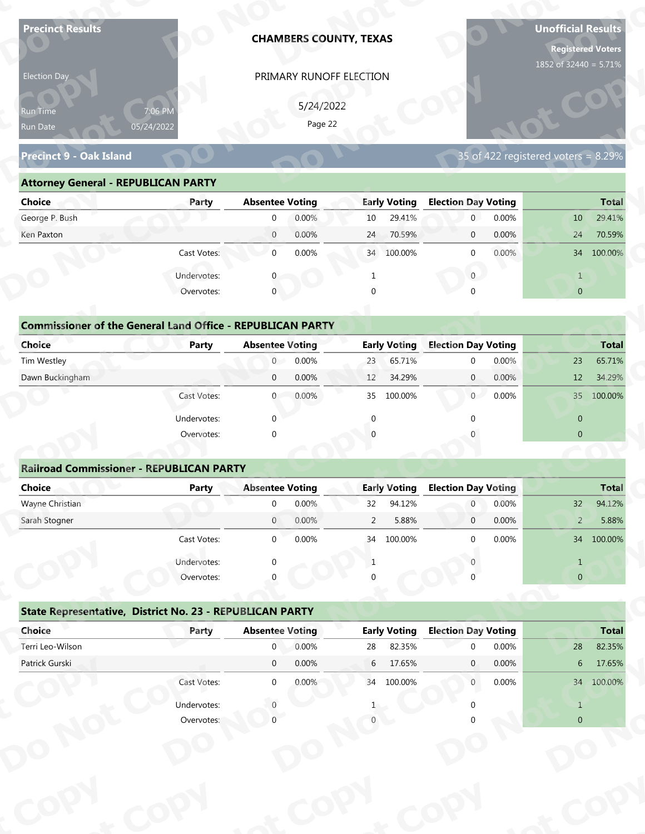| <b>Precinct Results</b>                                           |                       |                        | <b>CHAMBERS COUNTY, TEXAS</b> |                |                     |                            |       | <b>Unofficial Results</b><br><b>Registered Voters</b> |              |
|-------------------------------------------------------------------|-----------------------|------------------------|-------------------------------|----------------|---------------------|----------------------------|-------|-------------------------------------------------------|--------------|
| Election Day                                                      |                       |                        | PRIMARY RUNOFF ELECTION       |                |                     |                            |       | 1852 of 32440 = 5.71%                                 |              |
|                                                                   |                       |                        | 5/24/2022                     |                |                     |                            |       |                                                       |              |
| Run Time                                                          | 7:06 PM<br>05/24/2022 |                        | Page 22                       |                |                     |                            |       |                                                       |              |
| Run Date                                                          |                       |                        |                               |                |                     |                            |       |                                                       |              |
| <b>Precinct 9 - Oak Island</b>                                    |                       |                        |                               |                |                     |                            |       | 35 of 422 registered voters = $8.29\%$                |              |
| <b>Attorney General - REPUBLICAN PARTY</b>                        |                       |                        |                               |                |                     |                            |       |                                                       |              |
| <b>Choice</b>                                                     | Party                 | <b>Absentee Voting</b> |                               |                | <b>Early Voting</b> | <b>Election Day Voting</b> |       |                                                       | <b>Total</b> |
| George P. Bush                                                    |                       | $\mathbf 0$            | 0.00%                         | 10             | 29.41%              | $\mathbf{0}$               | 0.00% | 10                                                    | 29.41%       |
| Ken Paxton                                                        |                       | $\overline{0}$         | 0.00%                         | 24             | 70.59%              | $\mathbf 0$                | 0.00% | 24                                                    | 70.59%       |
|                                                                   | Cast Votes:           | $\mathbf 0$            | 0.00%                         |                | 34 100.00%          | $\mathbf 0$                | 0.00% |                                                       | 34 100.00%   |
|                                                                   | Undervotes:           |                        |                               |                |                     | $\overline{0}$             |       | $\mathbf{1}$                                          |              |
|                                                                   | Overvotes:            | $\mathbf{0}$           |                               | $\Omega$       |                     |                            |       | $\overline{0}$                                        |              |
|                                                                   |                       |                        |                               |                |                     |                            |       |                                                       |              |
| <b>Commissioner of the General Land Office - REPUBLICAN PARTY</b> |                       |                        |                               |                |                     |                            |       |                                                       |              |
| <b>Choice</b>                                                     | <b>Party</b>          | <b>Absentee Voting</b> |                               |                | <b>Early Voting</b> | <b>Election Day Voting</b> |       |                                                       | <b>Total</b> |
| Tim Westley                                                       |                       | $\overline{0}$         | 0.00%                         | 23             | 65.71%              | $\mathbf 0$                | 0.00% | 23                                                    | 65.71%       |
| Dawn Buckingham                                                   |                       | $\mathbf 0$            | 0.00%                         | 12             | 34.29%              | $\overline{0}$             | 0.00% | 12                                                    | 34.29%       |
|                                                                   | Cast Votes:           | $\overline{0}$         | 0.00%                         |                | 35 100.00%          | 0                          | 0.00% |                                                       | 35 100.00%   |
|                                                                   | Undervotes:           | $\Omega$               |                               | $\mathbf{0}$   |                     | $\Omega$                   |       | $\overline{0}$                                        |              |
|                                                                   | Overvotes:            | $\Omega$               |                               |                |                     |                            |       | $\overline{0}$                                        |              |
| <b>Railroad Commissioner - REPUBLICAN PARTY</b>                   |                       |                        |                               |                |                     |                            |       |                                                       |              |
| <b>Choice</b>                                                     | <b>Party</b>          | <b>Absentee Voting</b> |                               |                | <b>Early Voting</b> | <b>Election Day Voting</b> |       |                                                       | <b>Total</b> |
| Wayne Christian                                                   |                       | $\Omega$               | 0.00%                         | 32             | 94.12%              | $\overline{0}$             | 0.00% | 32                                                    | 94.12%       |
| Sarah Stogner                                                     |                       | $\overline{0}$         | 0.00%                         | $\overline{2}$ | 5.88%               | $\overline{0}$             | 0.00% | $\overline{2}$                                        | 5.88%        |
|                                                                   | Cast Votes:           | $\overline{0}$         | 0.00%                         |                | 34 100.00%          | $\Omega$                   | 0.00% |                                                       | 34 100.00%   |
|                                                                   | Undervotes:           | $\Omega$               |                               | 1              |                     |                            |       | $\mathbf{1}$                                          |              |
|                                                                   | Overvotes:            |                        |                               |                |                     |                            |       | $\overline{0}$                                        |              |
|                                                                   |                       |                        |                               |                |                     |                            |       |                                                       |              |
| State Representative, District No. 23 - REPUBLICAN PARTY          |                       |                        |                               |                |                     |                            |       |                                                       |              |
|                                                                   | Party                 | <b>Absentee Voting</b> |                               |                | <b>Early Voting</b> | <b>Election Day Voting</b> |       |                                                       | <b>Total</b> |
| Choice                                                            |                       | $\mathbf{0}$           | 0.00%                         | 28             | 82.35%              | $\Omega$                   | 0.00% | 28                                                    | 82.35%       |
| Terri Leo-Wilson                                                  |                       |                        |                               |                | 17.65%              | $\mathbf{0}$               | 0.00% | 6 <sup>1</sup>                                        | 17.65%       |
| Patrick Gurski                                                    |                       | $\overline{0}$         | 0.00%                         | 6              |                     |                            |       |                                                       |              |
|                                                                   | Cast Votes:           | $\overline{0}$         | 0.00%                         |                | 34 100.00%          | $\overline{0}$             | 0.00% |                                                       | 34 100.00%   |
|                                                                   | Undervotes:           |                        |                               |                |                     |                            |       | $\mathbf{1}$                                          |              |

| 5/24/2022<br>7:06 PM<br><b>Run Time</b><br>Page 22<br>05/24/2022<br>35 of 422 registered voters = 8.29%<br><b>Attorney General - REPUBLICAN PARTY</b><br><b>Early Voting</b><br><b>Election Day Voting</b><br><b>Absentee Voting</b><br>Party<br>0.00%<br>29.41%<br>0.00%<br>10<br>$\overline{0}$<br>10<br>$\overline{0}$<br>0.00%<br>70.59%<br>0.00%<br>$\overline{0}$<br>24<br>24<br>$\overline{0}$<br>0.00%<br>$0.00\%$<br>Cast Votes:<br>$\overline{0}$<br>34 100.00%<br>34 100.00%<br>$\Omega$<br>Undervotes:<br>$\overline{0}$<br>$\mathbf 0$<br>$\overline{0}$<br>Overvotes:<br><b>Commissioner of the General Land Office - REPUBLICAN PARTY</b><br><b>Early Voting</b><br><b>Election Day Voting</b><br><b>Absentee Voting</b><br><b>Party</b><br>0.00%<br>65.71%<br>0.00%<br>$\overline{0}$<br>23<br>23<br>$\Omega$<br>0.00%<br>34.29%<br>$\overline{0}$<br>0.00%<br>$\overline{0}$<br>12<br>12<br>0.00%<br>100.00%<br>$\overline{0}$<br>0.00%<br>35<br>Cast Votes:<br>35<br>$\overline{0}$ | Election Day                   |  | PRIMARY RUNOFF ELECTION |  |  |              |
|-------------------------------------------------------------------------------------------------------------------------------------------------------------------------------------------------------------------------------------------------------------------------------------------------------------------------------------------------------------------------------------------------------------------------------------------------------------------------------------------------------------------------------------------------------------------------------------------------------------------------------------------------------------------------------------------------------------------------------------------------------------------------------------------------------------------------------------------------------------------------------------------------------------------------------------------------------------------------------------------------------|--------------------------------|--|-------------------------|--|--|--------------|
|                                                                                                                                                                                                                                                                                                                                                                                                                                                                                                                                                                                                                                                                                                                                                                                                                                                                                                                                                                                                       |                                |  |                         |  |  |              |
|                                                                                                                                                                                                                                                                                                                                                                                                                                                                                                                                                                                                                                                                                                                                                                                                                                                                                                                                                                                                       | Run Date                       |  |                         |  |  |              |
|                                                                                                                                                                                                                                                                                                                                                                                                                                                                                                                                                                                                                                                                                                                                                                                                                                                                                                                                                                                                       | <b>Precinct 9 - Oak Island</b> |  |                         |  |  |              |
|                                                                                                                                                                                                                                                                                                                                                                                                                                                                                                                                                                                                                                                                                                                                                                                                                                                                                                                                                                                                       |                                |  |                         |  |  |              |
|                                                                                                                                                                                                                                                                                                                                                                                                                                                                                                                                                                                                                                                                                                                                                                                                                                                                                                                                                                                                       | <b>Choice</b>                  |  |                         |  |  | <b>Total</b> |
|                                                                                                                                                                                                                                                                                                                                                                                                                                                                                                                                                                                                                                                                                                                                                                                                                                                                                                                                                                                                       | George P. Bush                 |  |                         |  |  | 29.41%       |
|                                                                                                                                                                                                                                                                                                                                                                                                                                                                                                                                                                                                                                                                                                                                                                                                                                                                                                                                                                                                       | Ken Paxton                     |  |                         |  |  | 70.59%       |
|                                                                                                                                                                                                                                                                                                                                                                                                                                                                                                                                                                                                                                                                                                                                                                                                                                                                                                                                                                                                       |                                |  |                         |  |  |              |
|                                                                                                                                                                                                                                                                                                                                                                                                                                                                                                                                                                                                                                                                                                                                                                                                                                                                                                                                                                                                       |                                |  |                         |  |  |              |
|                                                                                                                                                                                                                                                                                                                                                                                                                                                                                                                                                                                                                                                                                                                                                                                                                                                                                                                                                                                                       |                                |  |                         |  |  |              |
|                                                                                                                                                                                                                                                                                                                                                                                                                                                                                                                                                                                                                                                                                                                                                                                                                                                                                                                                                                                                       |                                |  |                         |  |  |              |
|                                                                                                                                                                                                                                                                                                                                                                                                                                                                                                                                                                                                                                                                                                                                                                                                                                                                                                                                                                                                       |                                |  |                         |  |  |              |
|                                                                                                                                                                                                                                                                                                                                                                                                                                                                                                                                                                                                                                                                                                                                                                                                                                                                                                                                                                                                       | <b>Choice</b>                  |  |                         |  |  | <b>Total</b> |
|                                                                                                                                                                                                                                                                                                                                                                                                                                                                                                                                                                                                                                                                                                                                                                                                                                                                                                                                                                                                       | Tim Westley                    |  |                         |  |  | 65.71%       |
|                                                                                                                                                                                                                                                                                                                                                                                                                                                                                                                                                                                                                                                                                                                                                                                                                                                                                                                                                                                                       | Dawn Buckingham                |  |                         |  |  | 34.29%       |
|                                                                                                                                                                                                                                                                                                                                                                                                                                                                                                                                                                                                                                                                                                                                                                                                                                                                                                                                                                                                       |                                |  |                         |  |  | 100.00%      |

| <b>Choice</b>                                                               | Party       | <b>Absentee Voting</b> |        |              | <b>Early Voting</b> | <b>Election Day Voting</b> |        |                | <b>Total</b> |
|-----------------------------------------------------------------------------|-------------|------------------------|--------|--------------|---------------------|----------------------------|--------|----------------|--------------|
| George P. Bush                                                              |             | $\mathbf{0}$           | 0.00%  | 10           | 29.41%              | $\overline{0}$             | 0.00%  | 10             | 29.41%       |
| Ken Paxton                                                                  |             | $\overline{0}$         | 0.00%  | 24           | 70.59%              | $\mathbf 0$                | 0.00%  | 24             | 70.59%       |
|                                                                             | Cast Votes: | $\mathbf 0$            | 0.00%  |              | 34 100.00%          | $\mathbf 0$                | 0.00%  |                | 34 100.00%   |
|                                                                             | Undervotes: | $\Omega$               |        |              |                     | $\mathbf{0}$               |        | $\mathbf{1}$   |              |
|                                                                             | Overvotes:  | $\mathbf{0}$           |        | $\Omega$     |                     | $\Omega$                   |        | $\overline{0}$ |              |
| <b>Commissioner of the General Land Office - REPUBLICAN PARTY</b><br>Choice | Party       | <b>Absentee Voting</b> |        |              | <b>Early Voting</b> | <b>Election Day Voting</b> |        |                | <b>Total</b> |
| Tim Westley                                                                 |             | $\overline{0}$         | 0.00%  | 23           | 65.71%              | $\mathbf{0}$               | 0.00%  | 23             | 65.71%       |
| Dawn Buckingham                                                             |             | $\mathbf{0}$           | 0.00%  | 12           | 34.29%              | $\overline{0}$             | 0.00%  | 12             | 34.29%       |
|                                                                             | Cast Votes: | $\overline{0}$         | 0.00%  | 35           | 100.00%             | $\overline{0}$             | 0.00%  | 35             | 100.00%      |
|                                                                             | Undervotes: | $\mathbf{0}$           |        | $\mathbf{0}$ |                     |                            |        | $\overline{0}$ |              |
|                                                                             | Overvotes:  | $\mathbf{0}$           |        | $\Omega$     |                     |                            |        | $\mathbf{0}$   |              |
|                                                                             |             |                        |        |              |                     |                            |        |                |              |
| <b>Railroad Commissioner - REPUBLICAN PARTY</b>                             |             |                        |        |              |                     |                            |        |                |              |
| Choice                                                                      | Party       | <b>Absentee Voting</b> |        |              | <b>Early Voting</b> | <b>Election Day Voting</b> |        |                | <b>Total</b> |
| Wayne Christian                                                             |             | $\Omega$               | 0.00%  | 32           | 94.12%              | $\overline{0}$             | 0.00%  | 32             | 94.12%       |
| Carole Champan                                                              |             | $\cap$                 | 0.0001 | $\sim$       | F.000/              | $\sim$                     | 0.0001 | $\bigcap$      | F.000/       |

|                                                                   |                           | PRIMARY RUNOFF ELECTION |           |                 |                     |                            |       |                                        |                                  |
|-------------------------------------------------------------------|---------------------------|-------------------------|-----------|-----------------|---------------------|----------------------------|-------|----------------------------------------|----------------------------------|
|                                                                   |                           |                         | 5/24/2022 |                 |                     |                            |       |                                        |                                  |
| Run Time<br>Run Date                                              | 7:06 PM<br>05/24/2022     |                         | Page 22   |                 |                     |                            |       |                                        |                                  |
|                                                                   |                           |                         |           |                 |                     |                            |       |                                        |                                  |
| <b>Precinct 9 - Oak Island</b>                                    |                           |                         |           |                 |                     |                            |       | 35 of 422 registered voters = $8.29\%$ |                                  |
| <b>Attorney General - REPUBLICAN PARTY</b>                        |                           |                         |           |                 |                     |                            |       |                                        |                                  |
| <b>Choice</b>                                                     | Party                     | <b>Absentee Voting</b>  |           |                 | <b>Early Voting</b> | <b>Election Day Voting</b> |       |                                        | <b>Total</b>                     |
| George P. Bush                                                    |                           | $\mathbf 0$             | 0.00%     | 10              | 29.41%              | $\overline{0}$             | 0.00% | 10                                     | 29.41%                           |
| Ken Paxton                                                        |                           | $\overline{0}$          | 0.00%     | 24              | 70.59%              | $\mathbf{0}$               | 0.00% | 24                                     | 70.59%                           |
|                                                                   | Cast Votes:               | $\mathbf 0$             | 0.00%     |                 | 34 100.00%          | $\mathbf{0}$               | 0.00% |                                        | 34 100.00%                       |
|                                                                   | Undervotes:               | $\mathbf{0}$            |           | $\mathbf{1}$    |                     | $\overline{0}$             |       | $\mathbf{1}$                           |                                  |
|                                                                   | Overvotes:                | $\mathbf{0}$            |           | $\Omega$        |                     |                            |       | $\overline{0}$                         |                                  |
|                                                                   |                           |                         |           |                 |                     |                            |       |                                        |                                  |
| <b>Commissioner of the General Land Office - REPUBLICAN PARTY</b> |                           |                         |           |                 |                     |                            |       |                                        |                                  |
| Choice                                                            | Party                     | <b>Absentee Voting</b>  |           |                 | <b>Early Voting</b> | <b>Election Day Voting</b> |       |                                        | <b>Total</b>                     |
| Tim Westley                                                       |                           | $\overline{0}$          | 0.00%     | 23              | 65.71%              | $\mathbf 0$                | 0.00% | 23                                     | 65.71%                           |
| Dawn Buckingham                                                   |                           | $\mathbf 0$             | 0.00%     | 12              | 34.29%              | $\mathbf{0}$               | 0.00% | 12                                     | 34.29%                           |
|                                                                   | Cast Votes:               | $\mathbf{0}$            | 0.00%     | 35              | 100.00%             | $\overline{0}$             | 0.00% |                                        | 35 100.00%                       |
|                                                                   | Undervotes:               | $\Omega$                |           | $\Omega$        |                     |                            |       | $\overline{0}$                         |                                  |
|                                                                   | Overvotes:                | $\Omega$                |           |                 |                     |                            |       | $\overline{0}$                         |                                  |
|                                                                   |                           |                         |           |                 |                     |                            |       |                                        |                                  |
| <b>Railroad Commissioner - REPUBLICAN PARTY</b>                   |                           |                         |           |                 |                     |                            |       |                                        |                                  |
| <b>Choice</b>                                                     | <b>Party</b>              | <b>Absentee Voting</b>  |           |                 | <b>Early Voting</b> | <b>Election Day Voting</b> |       |                                        | Total                            |
| Wayne Christian                                                   |                           | $\mathbf 0$             | 0.00%     | 32              | 94.12%              | $\overline{0}$             | 0.00% | 32                                     | 94.12%                           |
|                                                                   |                           |                         | 0.00%     | $\overline{2}$  | 5.88%               | $\mathbf 0$                | 0.00% | $\overline{2}$                         | 5.88%                            |
| Sarah Stogner                                                     |                           | $\mathbf{0}$            |           |                 |                     |                            |       |                                        |                                  |
|                                                                   | Cast Votes:               | $\Omega$                | 0.00%     |                 | 34 100.00%          | $\Omega$                   | 0.00% |                                        |                                  |
|                                                                   |                           |                         |           | -1              |                     |                            |       | $\mathbf{1}$                           | 34 100,00%                       |
|                                                                   | Undervotes:<br>Overvotes: |                         |           |                 |                     |                            |       | $\overline{0}$                         |                                  |
|                                                                   |                           |                         |           |                 |                     |                            |       |                                        |                                  |
| State Representative, District No. 23 - REPUBLICAN PARTY          |                           |                         |           |                 |                     |                            |       |                                        |                                  |
| Choice                                                            | Party                     | <b>Absentee Voting</b>  |           |                 | <b>Early Voting</b> | <b>Election Day Voting</b> |       |                                        |                                  |
| Terri Leo-Wilson                                                  |                           | $\overline{0}$          | 0.00%     | 28              | 82.35%              | $\Omega$                   | 0.00% | 28                                     |                                  |
| Patrick Gurski                                                    |                           | $\overline{0}$          | 0.00%     | $6\overline{6}$ | 17.65%              | $\mathbf{0}$               | 0.00% | 6 <sup>1</sup>                         | <b>Total</b><br>82.35%<br>17.65% |
|                                                                   | Cast Votes:               | $\overline{0}$          | 0.00%     |                 | 34 100.00%          | $\overline{0}$             | 0.00% |                                        | 34 100.00%                       |
|                                                                   | Undervotes:               |                         |           |                 |                     |                            |       | $\mathbf{1}$                           |                                  |

|                                                          | Cast votes. | U                      | <b>U.UU70</b> | 54 | LUU.UU70            |                            | <b>U.UU70</b> |                | 54 100.00%   |
|----------------------------------------------------------|-------------|------------------------|---------------|----|---------------------|----------------------------|---------------|----------------|--------------|
|                                                          | Undervotes: | $\Omega$               |               |    |                     |                            |               |                |              |
|                                                          | Overvotes:  | $\Omega$               |               | 0  |                     |                            |               | $\overline{0}$ |              |
| State Representative, District No. 23 - REPUBLICAN PARTY |             |                        |               |    |                     |                            |               |                |              |
| Choice                                                   | Party       | <b>Absentee Voting</b> |               |    | <b>Early Voting</b> | <b>Election Day Voting</b> |               |                | <b>Total</b> |
| Terri Leo-Wilson                                         |             | $\mathbf 0$            | 0.00%         | 28 | 82.35%              | $\Omega$                   | 0.00%         | 28             | 82.35%       |
| Patrick Gurski                                           |             | $\mathbf 0$            | 0.00%         | 6  | 17.65%              | $\mathbf{0}$               | $0.00\%$      | 6              | 17.65%       |
|                                                          | Cast Votes: | $\mathbf 0$            | 0.00%         | 34 | 100.00%             | $\mathbf{0}$               | $0.00\%$      | 34             | 100.00%      |
|                                                          | Undervotes: |                        |               |    |                     |                            |               |                |              |
|                                                          | Overvotes:  |                        |               |    |                     |                            |               | $\overline{0}$ |              |
|                                                          |             |                        |               |    |                     |                            |               |                |              |
|                                                          |             |                        |               |    |                     |                            |               |                |              |
|                                                          |             |                        |               |    |                     |                            |               |                |              |
|                                                          |             |                        |               |    |                     |                            |               |                |              |
|                                                          |             |                        |               |    |                     |                            |               |                |              |
|                                                          |             |                        |               |    |                     |                            |               |                |              |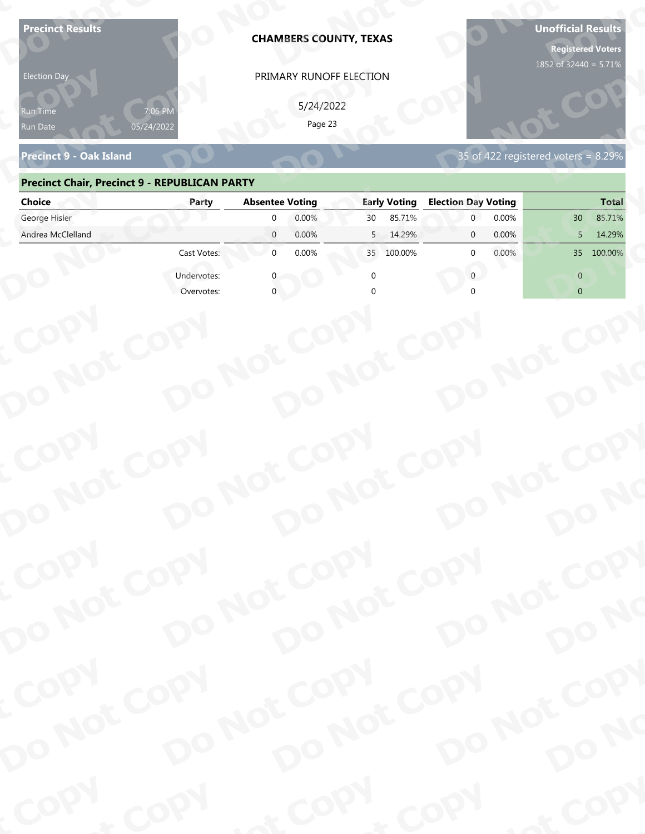| <b>Precinct Results</b><br><b>Election Day</b>       |             |                                              | <b>CHAMBERS COUNTY, TEXAS</b><br>PRIMARY RUNOFF ELECTION |                                | <b>Unofficial Results</b><br><b>Registered Voters</b><br>1852 of 32440 = 5.71% |
|------------------------------------------------------|-------------|----------------------------------------------|----------------------------------------------------------|--------------------------------|--------------------------------------------------------------------------------|
| የun Time<br>Run Date                                 | 05/24/2022  |                                              | 5/24/2022<br>Page 23                                     |                                |                                                                                |
| <b>Precinct 9 - Oak Island</b>                       |             |                                              |                                                          |                                | 35 of 422 registered voters = 8.29%                                            |
| <b>Precinct Chair, Precinct 9 - REPUBLICAN PARTY</b> |             |                                              |                                                          |                                |                                                                                |
| <b>Choice</b>                                        | Party       | <b>Absentee Voting</b>                       | <b>Early Voting</b>                                      | <b>Election Day Voting</b>     | <b>Total</b>                                                                   |
| George Hisler<br>Andrea McClelland                   |             | 0.00%<br>$\Omega$<br>$\overline{0}$<br>0.00% | 85.71%<br>30<br>5<br>14.29%                              | 0.00%<br>0.00%<br>$\mathbf{0}$ | 85.71%<br>30<br>14.29%<br>5                                                    |
|                                                      | Cast Votes: | $\mathbf{0}$<br>0.00%                        | 100.00%<br>35                                            | 0.00%<br>$\Omega$              | 100.00%<br>35 <sup>2</sup>                                                     |
|                                                      | Undervotes: |                                              |                                                          | $\Omega$                       | $\Omega$                                                                       |
|                                                      | Overvotes:  |                                              |                                                          |                                | $\overline{0}$                                                                 |
| COPY<br>DO NOT COPY                                  |             | DO NOT COPY                                  | DO NOT COPY                                              | DO NOT COPY                    | DO NO                                                                          |
| COPY                                                 |             | DO NOT COPY                                  |                                                          | DO NOT COPY                    |                                                                                |
| DO NOT COPY                                          |             |                                              | DO NOT COPY                                              |                                | DO NO                                                                          |
| COPY<br>DO NOT COPY                                  |             | DO NOT COPY                                  | DO NOT COPY                                              | DO NOT COPY                    |                                                                                |
|                                                      |             |                                              |                                                          |                                | DO NO                                                                          |
| COPY                                                 | COPY        | & COPY                                       |                                                          | COPY                           | of COPY                                                                        |

### **Precinct Chair, Precinct 9 - REPUBLICAN PARTY**

| <b>Election Day</b>                                  |             | PRIMARY RUNOFF ELECTION    |                     |                                     |                           |
|------------------------------------------------------|-------------|----------------------------|---------------------|-------------------------------------|---------------------------|
| Run Time<br>Run Date                                 | 05/24/2022  | 5/24/2022<br>Page 23       |                     |                                     |                           |
| <b>Precinct 9 - Oak Island</b>                       |             |                            |                     | 35 of 422 registered voters = 8.29% |                           |
| <b>Precinct Chair, Precinct 9 - REPUBLICAN PARTY</b> |             |                            |                     |                                     |                           |
| <b>Choice</b>                                        | Party       | <b>Absentee Voting</b>     | <b>Early Voting</b> | <b>Election Day Voting</b>          | <b>Total</b>              |
| George Hisler                                        |             | 0.00%<br>$\mathbf{0}$      | 85.71%<br>30        | $\overline{0}$<br>0.00%             | 85.71%<br>30 <sup>°</sup> |
| Andrea McClelland                                    |             | $\overline{0}$<br>0.00%    | 14.29%<br>5         | 0.00%<br>$\mathbf{0}$               | 14.29%<br>5               |
|                                                      | Cast Votes: | $\overline{0}$<br>0.00%    | 35 100.00%          | 0.00%<br><sup>0</sup>               | 35 100.00%                |
|                                                      | Undervotes: |                            | $\Omega$            | $\mathbf{0}$                        | $\overline{0}$            |
|                                                      | Overvotes:  |                            |                     |                                     | $\overline{0}$            |
|                                                      |             |                            |                     |                                     |                           |
|                                                      |             |                            |                     |                                     |                           |
|                                                      |             |                            |                     |                                     |                           |
|                                                      |             |                            |                     |                                     |                           |
|                                                      |             |                            |                     |                                     |                           |
|                                                      |             |                            |                     |                                     |                           |
|                                                      |             |                            |                     |                                     |                           |
|                                                      |             |                            |                     |                                     |                           |
|                                                      |             |                            |                     |                                     |                           |
|                                                      |             |                            |                     |                                     |                           |
|                                                      |             |                            |                     |                                     |                           |
|                                                      |             | DO NOT COPY                |                     |                                     |                           |
| COPY                                                 |             |                            |                     |                                     |                           |
|                                                      |             |                            |                     |                                     |                           |
|                                                      |             |                            |                     |                                     | DO NO                     |
|                                                      |             |                            |                     |                                     |                           |
| DO NOT COPY                                          |             | DO NOT COPY                |                     | DO NOT COPY                         |                           |
|                                                      |             |                            |                     |                                     |                           |
| COPY                                                 |             |                            |                     |                                     |                           |
|                                                      |             |                            |                     |                                     |                           |
|                                                      |             |                            |                     |                                     |                           |
|                                                      |             |                            |                     |                                     |                           |
| DO NOT COPY                                          |             | DO NOT COPY<br>DO NOT COPY |                     | DO NOT COPY                         | DO NO                     |
|                                                      |             |                            |                     |                                     |                           |
| <b>Poo</b>                                           | <b>LON</b>  |                            | $P_{\rm O_2}$       | <b>LON</b>                          | ·ODW                      |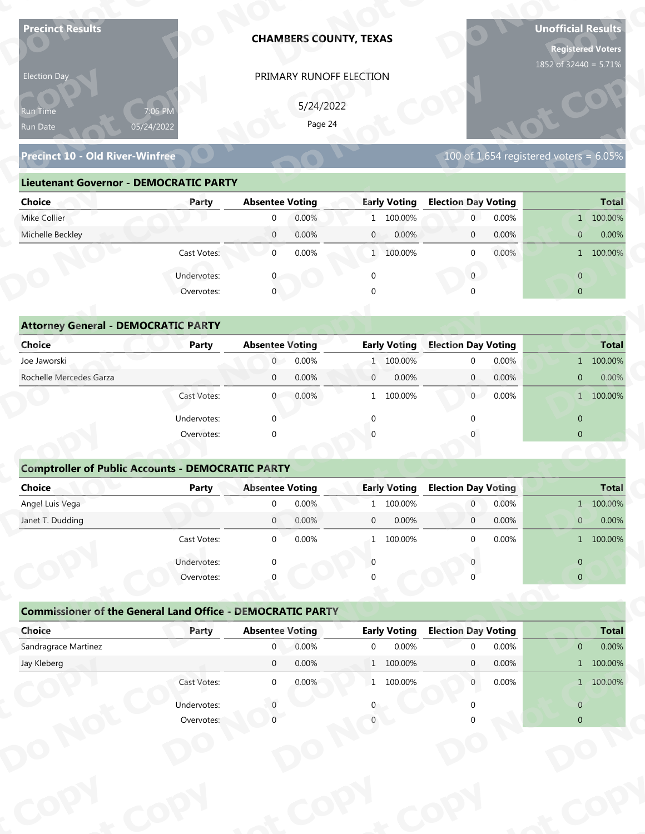| <b>Precinct Results</b>                                           |                           |                        | <b>CHAMBERS COUNTY, TEXAS</b> |                |                     |                            |       | <b>Unofficial Results</b><br><b>Registered Voters</b><br>1852 of 32440 = 5.71% |              |
|-------------------------------------------------------------------|---------------------------|------------------------|-------------------------------|----------------|---------------------|----------------------------|-------|--------------------------------------------------------------------------------|--------------|
| Election Day                                                      |                           |                        | PRIMARY RUNOFF ELECTION       |                |                     |                            |       |                                                                                |              |
|                                                                   |                           |                        | 5/24/2022                     |                |                     |                            |       |                                                                                |              |
| Run Time<br>Run Date                                              | 7:06 PM<br>05/24/2022     |                        | Page 24                       |                |                     |                            |       |                                                                                |              |
|                                                                   |                           |                        |                               |                |                     |                            |       |                                                                                |              |
| <b>Precinct 10 - Old River-Winfree</b>                            |                           |                        |                               |                |                     |                            |       | 100 of 1,654 registered voters = $6.05\%$                                      |              |
| <b>Lieutenant Governor - DEMOCRATIC PARTY</b>                     |                           |                        |                               |                |                     |                            |       |                                                                                |              |
| <b>Choice</b>                                                     | Party                     | <b>Absentee Voting</b> |                               |                | <b>Early Voting</b> | <b>Election Day Voting</b> |       |                                                                                | <b>Total</b> |
| Mike Collier                                                      |                           | $\mathbf 0$            | 0.00%                         |                | 1 100.00%           | $\mathbf{0}$               | 0.00% |                                                                                | 1 100.00%    |
| Michelle Beckley                                                  |                           | $\overline{0}$         | 0.00%                         | $\mathbf{0}$   | 0.00%               | $\mathbf 0$                | 0.00% | $\mathbf{0}$                                                                   | 0.00%        |
|                                                                   | Cast Votes:               | $\mathbf 0$            | 0.00%                         |                | 1 100.00%           | $\mathbf 0$                | 0.00% |                                                                                | 1 100.00%    |
|                                                                   | Undervotes:               |                        |                               | $\mathbf 0$    |                     | $\overline{0}$             |       | $\overline{0}$                                                                 |              |
|                                                                   | Overvotes:                | $\overline{0}$         |                               |                |                     |                            |       | $\overline{0}$                                                                 |              |
|                                                                   |                           |                        |                               |                |                     |                            |       |                                                                                |              |
| <b>Attorney General - DEMOCRATIC PARTY</b>                        |                           |                        |                               |                |                     |                            |       |                                                                                |              |
| <b>Choice</b>                                                     | <b>Party</b>              | <b>Absentee Voting</b> |                               |                | <b>Early Voting</b> | <b>Election Day Voting</b> |       |                                                                                | <b>Total</b> |
| Joe Jaworski                                                      |                           | $\overline{0}$         | 0.00%                         |                | 1 100.00%           | $\mathbf 0$                | 0.00% |                                                                                | 1 100.00%    |
| Rochelle Mercedes Garza                                           |                           | $\mathbf 0$            | 0.00%                         | $\mathbf{0}$   | 0.00%               | $\overline{0}$             | 0.00% | $\overline{0}$                                                                 | 0.00%        |
|                                                                   | Cast Votes:               | $\overline{0}$         | 0.00%                         |                | 1 100.00%           | $\overline{0}$             | 0.00% |                                                                                | 1 100.00%    |
|                                                                   | Undervotes:               | $\Omega$               |                               | $\mathbf{0}$   |                     | $\Omega$                   |       | $\overline{0}$                                                                 |              |
|                                                                   | Overvotes:                | $\Omega$               |                               |                |                     |                            |       | $\overline{0}$                                                                 |              |
|                                                                   |                           |                        |                               |                |                     |                            |       |                                                                                |              |
| <b>Comptroller of Public Accounts - DEMOCRATIC PARTY</b>          |                           |                        |                               |                |                     |                            |       |                                                                                |              |
| Choice                                                            | <b>Party</b>              | <b>Absentee Voting</b> |                               |                | <b>Early Voting</b> | <b>Election Day Voting</b> |       |                                                                                | <b>Total</b> |
| Angel Luis Vega                                                   |                           | $\overline{0}$         | 0.00%                         | $\mathbf{1}$   | 100.00%             | $\overline{0}$             | 0.00% |                                                                                | 1 100.00%    |
| Janet T. Dudding                                                  |                           | $\overline{0}$         | 0.00%                         | $\mathbf 0$    | 0.00%               | $\overline{0}$             | 0.00% | $\mathbf{0}$                                                                   | 0.00%        |
|                                                                   | Cast Votes:               | $\overline{0}$         | 0.00%                         |                | 1 100.00%           | $\mathbf{0}$               | 0.00% |                                                                                | 1 100.00%    |
|                                                                   | Undervotes:               | $\Omega$               |                               | $\Omega$       |                     |                            |       | $\overline{0}$                                                                 |              |
|                                                                   |                           |                        |                               |                |                     |                            |       | $\overline{0}$                                                                 |              |
|                                                                   | Overvotes:                |                        |                               |                |                     |                            |       |                                                                                |              |
|                                                                   |                           |                        |                               |                |                     |                            |       |                                                                                |              |
| <b>Commissioner of the General Land Office - DEMOCRATIC PARTY</b> |                           |                        |                               |                |                     |                            |       |                                                                                |              |
| Choice                                                            | Party                     | <b>Absentee Voting</b> |                               |                | <b>Early Voting</b> | <b>Election Day Voting</b> |       |                                                                                | <b>Total</b> |
| Sandragrace Martinez                                              |                           | $\overline{0}$         | 0.00%                         | $\overline{0}$ | 0.00%               | $\Omega$                   | 0.00% | $\overline{0}$                                                                 | 0.00%        |
| Jay Kleberg                                                       |                           | $\overline{0}$         | 0.00%                         |                | 1 100.00%           | $\mathbf{0}$               | 0.00% |                                                                                | 1 100.00%    |
|                                                                   | Cast Votes:               | $\overline{0}$         | 0.00%                         |                | 1 100.00%           | $\overline{0}$             | 0.00% |                                                                                | 1 100.00%    |
|                                                                   | Undervotes:<br>Overvotes: |                        |                               |                |                     |                            |       | $\overline{0}$<br>$\overline{0}$                                               |              |

### **Precinct 10 - Old River-Winfree**

### **Lieutenant Governor - DEMOCRATIC PARTY**

| 5/24/2022<br>7:06 PM<br><b>Run Time</b><br>Page 24<br>05/24/2022<br>Run Date                                                      |
|-----------------------------------------------------------------------------------------------------------------------------------|
| $100$ of 1,654 registered voters = $6.05\%$<br><b>Precinct 10 - Old River-Winfree</b>                                             |
| <b>Lieutenant Governor - DEMOCRATIC PARTY</b>                                                                                     |
| <b>Absentee Voting</b><br><b>Early Voting</b><br><b>Election Day Voting</b><br><b>Choice</b><br><b>Total</b><br>Party             |
| Mike Collier<br>0.00%<br>1 100.00%<br>0.00%<br>1 100.00%<br>$\overline{0}$<br>$\overline{0}$                                      |
| Michelle Beckley<br>0.00%<br>0.00%<br>0.00%<br>0.00%<br>$\overline{0}$<br>$\mathbf{0}$<br>$\overline{0}$<br>$\mathbf{0}$          |
| 0.00%<br>$0.00\%$<br>Cast Votes:<br>$\overline{0}$<br>1 100.00%<br>1 100.00%<br>$\mathbf{0}$                                      |
| Undervotes:<br>$\overline{0}$<br>$\overline{0}$<br>$\Omega$                                                                       |
| $\mathbf 0$<br>Overvotes:<br>$\Omega$<br>$\overline{0}$                                                                           |
|                                                                                                                                   |
| <b>Attorney General - DEMOCRATIC PARTY</b>                                                                                        |
| <b>Early Voting</b><br><b>Election Day Voting</b><br><b>Choice</b><br><b>Absentee Voting</b><br><b>Total</b><br><b>Party</b>      |
| Joe Jaworski<br>0.00%<br>100.00%<br>0.00%<br>1 100.00%<br>$\overline{0}$<br>$\Omega$                                              |
| Rochelle Mercedes Garza<br>0.00%<br>0.00%<br>$\mathbf{0}$<br>$\overline{0}$<br>0.00%<br>0.00%<br>$\overline{0}$<br>$\overline{0}$ |
| 0.00%<br>$\overline{0}$<br>0.00%<br>1 100.00%<br>100.00%<br>Cast Votes:<br>$\overline{0}$<br>$\mathbf{1}$                         |

| Election Day                                                      |                           |                        | PRIMARY RUNOFF ELECTION |              |                     |                            |       |                                           |              |
|-------------------------------------------------------------------|---------------------------|------------------------|-------------------------|--------------|---------------------|----------------------------|-------|-------------------------------------------|--------------|
|                                                                   |                           |                        | 5/24/2022               |              |                     |                            |       |                                           |              |
| Run Time                                                          | 7:06 PM                   |                        | Page 24                 |              |                     |                            |       |                                           |              |
| Run Date                                                          | 05/24/2022                |                        |                         |              |                     |                            |       |                                           |              |
| <b>Precinct 10 - Old River-Winfree</b>                            |                           |                        |                         |              |                     |                            |       | 100 of 1,654 registered voters = $6.05\%$ |              |
| <b>Lieutenant Governor - DEMOCRATIC PARTY</b>                     |                           |                        |                         |              |                     |                            |       |                                           |              |
| <b>Choice</b>                                                     | Party                     | <b>Absentee Voting</b> |                         |              | <b>Early Voting</b> | <b>Election Day Voting</b> |       |                                           | <b>Total</b> |
| Mike Collier                                                      |                           | $\mathbf 0$            | 0.00%                   |              | 1 100.00%           | $\overline{0}$             | 0.00% |                                           | 1 100.00%    |
| Michelle Beckley                                                  |                           | $\overline{0}$         | 0.00%                   | $\mathbf{0}$ | 0.00%               | $\mathbf 0$                | 0.00% | $\overline{0}$                            | 0.00%        |
|                                                                   | Cast Votes:               | $\overline{0}$         | 0.00%                   |              | 1 100.00%           | $\mathbf{0}$               | 0.00% |                                           | 1 100.00%    |
|                                                                   | Undervotes:               |                        |                         | $\mathbf 0$  |                     | $\overline{0}$             |       | $\overline{0}$                            |              |
|                                                                   | Overvotes:                | $\mathbf{0}$           |                         | $\Omega$     |                     |                            |       | $\overline{0}$                            |              |
|                                                                   |                           |                        |                         |              |                     |                            |       |                                           |              |
| <b>Attorney General - DEMOCRATIC PARTY</b>                        |                           |                        |                         |              |                     |                            |       |                                           |              |
| Choice                                                            | <b>Party</b>              | <b>Absentee Voting</b> |                         |              | <b>Early Voting</b> | <b>Election Day Voting</b> |       |                                           | <b>Total</b> |
| Joe Jaworski                                                      |                           | $\overline{0}$         | 0.00%                   |              | 1 100.00%           | $\mathbf 0$                | 0.00% |                                           | 1 100.00%    |
| Rochelle Mercedes Garza                                           |                           | $\mathbf 0$            | 0.00%                   | $\mathbf{0}$ | 0.00%               | $\mathbf{0}$               | 0.00% | $\overline{0}$                            | $0.00\%$     |
|                                                                   | Cast Votes:               | $\mathbf{0}$           | 0.00%                   | $\mathbf{1}$ | 100.00%             | $\overline{0}$             | 0.00% |                                           | 1 100.00%    |
|                                                                   | Undervotes:               | $\Omega$               |                         | $\Omega$     |                     |                            |       | $\overline{0}$                            |              |
|                                                                   | Overvotes:                | $\Omega$               |                         |              |                     |                            |       | $\overline{0}$                            |              |
|                                                                   |                           |                        |                         |              |                     |                            |       |                                           |              |
| <b>Comptroller of Public Accounts - DEMOCRATIC PARTY</b>          |                           |                        |                         |              |                     |                            |       |                                           |              |
| <b>Choice</b>                                                     | <b>Party</b>              | <b>Absentee Voting</b> |                         |              | <b>Early Voting</b> | <b>Election Day Voting</b> |       |                                           | Total        |
| Angel Luis Vega                                                   |                           | $\mathbf 0$            | 0.00%                   |              | 1 100.00%           | $\overline{0}$             | 0.00% |                                           | 1 100.00%    |
| Janet T. Dudding                                                  |                           | $\mathbf{0}$           | 0.00%                   | $\mathbf 0$  | 0.00%               | $\mathbf 0$                | 0.00% | $\mathbf{0}$                              | 0.00%        |
|                                                                   | Cast Votes:               | $\Omega$               | $0.00\%$                | $\mathbf{1}$ | 100 00%             | $\Omega$                   | 0.00% |                                           | 1 100.00%    |
|                                                                   |                           |                        |                         | $\Omega$     |                     |                            |       |                                           |              |
|                                                                   | Undervotes:<br>Overvotes: |                        |                         |              |                     |                            |       | $\overline{0}$<br>$\overline{0}$          |              |
|                                                                   |                           |                        |                         |              |                     |                            |       |                                           |              |
| <b>Commissioner of the General Land Office - DEMOCRATIC PARTY</b> |                           |                        |                         |              |                     |                            |       |                                           |              |
| Choice                                                            | Party                     | <b>Absentee Voting</b> |                         |              | <b>Early Voting</b> | <b>Election Day Voting</b> |       |                                           | <b>Total</b> |
| Sandragrace Martinez                                              |                           | $\overline{0}$         | 0.00%                   | $\mathbf 0$  | 0.00%               | $\Omega$                   | 0.00% | $\overline{0}$                            | 0.00%        |
| Jay Kleberg                                                       |                           | $\overline{0}$         | 0.00%                   |              | 1 100.00%           | $\mathbf{0}$               | 0.00% |                                           | 1 100.00%    |
|                                                                   | Cast Votes:               | $\overline{0}$         | 0.00%                   |              | 1 100.00%           | $\overline{0}$             | 0.00% |                                           | 1 100.00%    |
|                                                                   | Undervotes:               |                        |                         |              |                     |                            |       | $\overline{0}$                            |              |
|                                                                   | Overvotes:                |                        |                         |              |                     |                            |       | $\overline{0}$                            |              |
|                                                                   |                           |                        |                         |              |                     |                            |       |                                           |              |
|                                                                   |                           |                        |                         |              |                     |                            |       |                                           |              |
|                                                                   |                           |                        |                         |              |                     |                            |       |                                           |              |
|                                                                   |                           |                        |                         |              |                     |                            |       |                                           |              |
|                                                                   |                           |                        |                         |              |                     |                            |       |                                           |              |
|                                                                   |                           |                        |                         |              |                     |                            |       |                                           |              |

### **Comptroller of Public Accounts - DEMOCRATIC PARTY**

| <b>Choice</b>                                                     | Party       | <b>Absentee Voting</b> |          | <b>Early Voting</b> |           | <b>Election Day Voting</b> |       |                | <b>Total</b> |
|-------------------------------------------------------------------|-------------|------------------------|----------|---------------------|-----------|----------------------------|-------|----------------|--------------|
| Joe Jaworski                                                      |             | $\overline{0}$         | 0.00%    |                     | 1 100.00% | $\mathbf{0}$               | 0.00% |                | 1 100.00%    |
| Rochelle Mercedes Garza                                           |             | $\mathbf 0$            | 0.00%    | $\overline{0}$      | 0.00%     | $\mathbf{0}$               | 0.00% | $\overline{0}$ | 0.00%        |
|                                                                   | Cast Votes: | $\overline{0}$         | 0.00%    |                     | 1 100.00% | $\overline{0}$             | 0.00% |                | 1 100.00%    |
|                                                                   | Undervotes: | $\Omega$               |          | $\Omega$            |           | $\Omega$                   |       | $\mathbf{0}$   |              |
|                                                                   | Overvotes:  | $\Omega$               |          |                     |           |                            |       | $\mathbf{0}$   |              |
| <b>Comptroller of Public Accounts - DEMOCRATIC PARTY</b>          |             |                        |          |                     |           |                            |       |                |              |
| <b>Choice</b>                                                     | Party       | <b>Absentee Voting</b> |          | <b>Early Voting</b> |           | <b>Election Day Voting</b> |       |                | <b>Total</b> |
| Angel Luis Vega                                                   |             | $\Omega$               | 0.00%    |                     | 1 100.00% | $\overline{0}$             | 0.00% |                | 1 100.00%    |
| Janet T. Dudding                                                  |             | $\overline{0}$         | $0.00\%$ | $\mathbf{0}$        | 0.00%     | $\overline{0}$             | 0.00% | $\mathbf{0}$   | 0.00%        |
|                                                                   | Cast Votes: | $\overline{0}$         | 0.00%    |                     | 1 100.00% | $\mathbf{0}$               | 0.00% |                | 1 100.00%    |
|                                                                   |             |                        |          |                     |           |                            |       |                |              |
|                                                                   | Undervotes: | ∩                      |          | 0                   |           |                            |       | $\overline{0}$ |              |
|                                                                   | Overvotes:  |                        |          |                     |           |                            |       | $\mathbf 0$    |              |
| <b>Commissioner of the General Land Office - DEMOCRATIC PARTY</b> |             |                        |          |                     |           |                            |       |                |              |
| Choice                                                            | Party       | <b>Absentee Voting</b> |          | <b>Early Voting</b> |           | <b>Election Day Voting</b> |       |                | <b>Total</b> |
| Sandragrace Martinez                                              |             | $\mathbf{0}$           | 0.00%    | $\mathbf 0$         | 0.00%     | $\mathbf{0}$               | 0.00% | $\overline{0}$ | 0.00%        |
| Jay Kleberg                                                       |             | $\mathbf 0$            | 0.00%    |                     | 1 100.00% | $\mathbf{0}$               | 0.00% |                | 1 100.00%    |
|                                                                   | Cast Votes: | $\mathbf{0}$           | 0.00%    |                     | 1 100.00% | $\mathbf{0}$               | 0.00% |                | 1 100.00%    |
|                                                                   | Undervotes: |                        |          |                     |           | $\Omega$                   |       | $\overline{0}$ |              |

|                                                                   | Cast votes. | U                      | <b>U.UU70</b> |   | T TOO'OO NO         |                            | <b>U.UU70</b> |                | $1.100.00\%$ |
|-------------------------------------------------------------------|-------------|------------------------|---------------|---|---------------------|----------------------------|---------------|----------------|--------------|
|                                                                   | Undervotes: | $\Omega$               |               | 0 |                     |                            |               | $\Omega$       |              |
|                                                                   | Overvotes:  | $\Omega$               |               | 0 |                     |                            |               | $\overline{0}$ |              |
|                                                                   |             |                        |               |   |                     |                            |               |                |              |
| <b>Commissioner of the General Land Office - DEMOCRATIC PARTY</b> |             |                        |               |   |                     |                            |               |                |              |
| Choice                                                            | Party       | <b>Absentee Voting</b> |               |   | <b>Early Voting</b> | <b>Election Day Voting</b> |               |                | <b>Total</b> |
| Sandragrace Martinez                                              |             | $\mathbf 0$            | 0.00%         | 0 | 0.00%               | $\Omega$                   | 0.00%         | $\overline{0}$ | 0.00%        |
| Jay Kleberg                                                       |             | $\mathbf 0$            | 0.00%         |   | 1 100.00%           | $\mathbf{0}$               | $0.00\%$      | 1              | 100.00%      |
|                                                                   | Cast Votes: | $\mathbf 0$            | 0.00%         |   | 1 100.00%           | $\mathbf{0}$               | $0.00\%$      | 1              | 100.00%      |
|                                                                   | Undervotes: |                        |               | 0 |                     |                            |               | $\overline{0}$ |              |
|                                                                   | Overvotes:  |                        |               |   |                     |                            |               | $\overline{0}$ |              |
|                                                                   |             |                        |               |   |                     |                            |               |                |              |
|                                                                   |             |                        |               |   |                     |                            |               |                |              |
|                                                                   |             |                        |               |   |                     |                            |               |                |              |
|                                                                   |             |                        |               |   |                     |                            |               |                |              |
|                                                                   |             |                        |               |   |                     |                            |               |                |              |
|                                                                   |             |                        |               |   |                     |                            |               |                |              |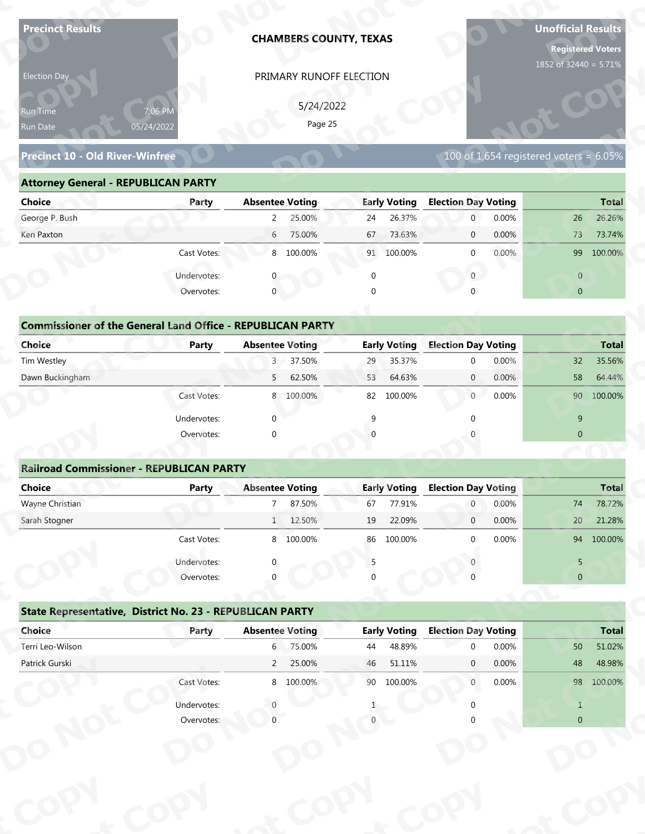| <b>Precinct Results</b>                                           |              |                        | <b>CHAMBERS COUNTY, TEXAS</b> |              |                     |                                  |                | <b>Unofficial Results</b><br><b>Registered Voters</b><br>1852 of 32440 = 5.71% |                  |
|-------------------------------------------------------------------|--------------|------------------------|-------------------------------|--------------|---------------------|----------------------------------|----------------|--------------------------------------------------------------------------------|------------------|
| Election Day                                                      |              |                        | PRIMARY RUNOFF ELECTION       |              |                     |                                  |                |                                                                                |                  |
|                                                                   |              |                        |                               |              |                     |                                  |                |                                                                                |                  |
| Run Time                                                          | 7:06 PM      |                        | 5/24/2022<br>Page 25          |              |                     |                                  |                |                                                                                |                  |
| Run Date                                                          | 05/24/2022   |                        |                               |              |                     |                                  |                |                                                                                |                  |
| <b>Precinct 10 - Old River-Winfree</b>                            |              |                        |                               |              |                     |                                  |                | 100 of 1,654 registered voters = $6.05\%$                                      |                  |
| <b>Attorney General - REPUBLICAN PARTY</b>                        |              |                        |                               |              |                     |                                  |                |                                                                                |                  |
| <b>Choice</b>                                                     | Party        | <b>Absentee Voting</b> |                               |              | <b>Early Voting</b> | <b>Election Day Voting</b>       |                |                                                                                | <b>Total</b>     |
| George P. Bush                                                    |              | $\overline{2}$         | 25.00%                        | 24           | 26.37%              | $\mathbf{0}$                     | 0.00%          | 26                                                                             | 26.26%           |
| Ken Paxton                                                        |              | $6\overline{6}$        | 75.00%                        | 67           | 73.63%              | $\mathbf 0$                      | 0.00%          | 73                                                                             | 73.74%           |
|                                                                   | Cast Votes:  |                        | 8 100.00%                     |              | 91 100.00%          | $\mathbf 0$                      | 0.00%          | 99                                                                             | 100.00%          |
|                                                                   | Undervotes:  |                        |                               | $\mathbf 0$  |                     | $\overline{0}$                   |                | $\overline{0}$                                                                 |                  |
|                                                                   | Overvotes:   | $\mathbf{0}$           |                               | $\Omega$     |                     |                                  |                | $\overline{0}$                                                                 |                  |
|                                                                   |              |                        |                               |              |                     |                                  |                |                                                                                |                  |
| <b>Commissioner of the General Land Office - REPUBLICAN PARTY</b> |              |                        |                               |              |                     |                                  |                |                                                                                |                  |
| <b>Choice</b>                                                     | <b>Party</b> | <b>Absentee Voting</b> |                               |              | <b>Early Voting</b> | <b>Election Day Voting</b>       |                |                                                                                | <b>Total</b>     |
| Tim Westley                                                       |              | 3 <sup>7</sup>         | 37.50%                        | 29           | 35.37%              | $\mathbf 0$                      | 0.00%          | 32                                                                             | 35.56%           |
| Dawn Buckingham                                                   |              | 5                      | 62.50%                        | 53           | 64.63%              | $\overline{0}$                   | 0.00%          | 58                                                                             | 64.44%           |
|                                                                   | Cast Votes:  |                        | 8 100.00%                     |              | 82 100.00%          | 0                                | 0.00%          |                                                                                | 90 100.00%       |
|                                                                   | Undervotes:  | $\Omega$               |                               | $\mathsf{q}$ |                     | $\Omega$                         |                | 9                                                                              |                  |
|                                                                   | Overvotes:   | $\Omega$               |                               |              |                     |                                  |                | $\overline{0}$                                                                 |                  |
|                                                                   |              |                        |                               |              |                     |                                  |                |                                                                                |                  |
| <b>Railroad Commissioner - REPUBLICAN PARTY</b>                   |              |                        |                               |              |                     |                                  |                |                                                                                |                  |
| <b>Choice</b>                                                     | <b>Party</b> | <b>Absentee Voting</b> |                               |              | <b>Early Voting</b> | <b>Election Day Voting</b>       |                |                                                                                | <b>Total</b>     |
| Wayne Christian<br>Sarah Stogner                                  |              | 7 <sup>7</sup>         | 87.50%<br>1 12.50%            | 67<br>19     | 77.91%<br>22.09%    | $\overline{0}$<br>$\overline{0}$ | 0.00%<br>0.00% | 74<br>20 <sup>°</sup>                                                          | 78.72%<br>21.28% |
|                                                                   |              |                        |                               |              |                     |                                  |                |                                                                                |                  |
|                                                                   | Cast Votes:  |                        | 8 100.00%                     |              | 86 100.00%          | $\Omega$                         | 0.00%          |                                                                                | 94 100.00%       |
|                                                                   | Undervotes:  | ∩                      |                               | 5            |                     |                                  |                | 5                                                                              |                  |
|                                                                   | Overvotes:   |                        |                               |              |                     |                                  |                | $\overline{0}$                                                                 |                  |
| State Representative, District No. 23 - REPUBLICAN PARTY          |              |                        |                               |              |                     |                                  |                |                                                                                |                  |
|                                                                   | Party        | <b>Absentee Voting</b> |                               |              | <b>Early Voting</b> | <b>Election Day Voting</b>       |                |                                                                                | <b>Total</b>     |
| Choice                                                            |              |                        | 6 75.00%                      | 44           | 48.89%              | $\Omega$                         | 0.00%          | 50                                                                             | 51.02%           |
| Terri Leo-Wilson                                                  |              |                        |                               |              | 51.11%              | $\mathbf{0}$                     | 0.00%          | 48                                                                             | 48.98%           |
| Patrick Gurski                                                    |              | $2^{\circ}$            | 25.00%                        | 46           |                     |                                  |                |                                                                                |                  |
|                                                                   | Cast Votes:  |                        | 8 100.00%                     |              | 90 100.00%          | $\overline{0}$                   | 0.00%          |                                                                                | 98 100.00%       |
|                                                                   | Undervotes:  |                        |                               |              |                     |                                  |                | $\mathbf{1}$                                                                   |                  |

### **Precinct 10 - Old River-Winfree**

### **Attorney General - REPUBLICAN PARTY**

| Election Day                                                      |                       |                        | PRIMARY RUNOFF ELECTION |             |                     |                            |       |                                             |              |
|-------------------------------------------------------------------|-----------------------|------------------------|-------------------------|-------------|---------------------|----------------------------|-------|---------------------------------------------|--------------|
| Run Time<br>Run Date                                              | 7:06 PM<br>05/24/2022 |                        | 5/24/2022<br>Page 25    |             |                     |                            |       |                                             |              |
| <b>Precinct 10 - Old River-Winfree</b>                            |                       |                        |                         |             |                     |                            |       | $100$ of 1,654 registered voters = $6.05\%$ |              |
| <b>Attorney General - REPUBLICAN PARTY</b>                        |                       |                        |                         |             |                     |                            |       |                                             |              |
| <b>Choice</b>                                                     | Party                 | <b>Absentee Voting</b> |                         |             | <b>Early Voting</b> | <b>Election Day Voting</b> |       |                                             | <b>Total</b> |
| George P. Bush                                                    |                       | $2^{\circ}$            | 25.00%                  | 24          | 26.37%              | $\overline{0}$             | 0.00% | 26                                          | 26.26%       |
| Ken Paxton                                                        |                       | $6\overline{6}$        | 75.00%                  | 67          | 73.63%              | $\mathbf 0$                | 0.00% | 73                                          | 73.74%       |
|                                                                   | Cast Votes:           |                        | 8 100.00%               |             | 91 100.00%          | $\mathbf{0}$               | 0.00% |                                             | 99 100.00%   |
|                                                                   | Undervotes:           |                        |                         | $\mathbf 0$ |                     | $\mathbf{0}$               |       | $\overline{0}$                              |              |
|                                                                   | Overvotes:            | $\mathbf{0}$           |                         | $\Omega$    |                     |                            |       | $\overline{0}$                              |              |
| <b>Commissioner of the General Land Office - REPUBLICAN PARTY</b> |                       |                        |                         |             |                     |                            |       |                                             |              |
| <b>Choice</b>                                                     | Party                 | <b>Absentee Voting</b> |                         |             | <b>Early Voting</b> | <b>Election Day Voting</b> |       |                                             | <b>Total</b> |
| Tim Westley                                                       |                       |                        | 3 37.50%                | 29          | 35.37%              | 0                          | 0.00% | 32                                          | 35.56%       |
| Dawn Buckingham                                                   |                       | 5                      | 62.50%                  | 53          | 64.63%              | $\mathbf{0}$               | 0.00% | 58                                          | 64.44%       |
|                                                                   | Cast Votes:           |                        | 8 100.00%               | 82          | 100.00%             | $\overline{0}$             | 0.00% |                                             | 90 100.00%   |
|                                                                   | Undervotes:           | $\Omega$               |                         | 9           |                     |                            |       | 9                                           |              |
|                                                                   | Overvotes:            | $\Omega$               |                         |             |                     |                            |       | $\mathbf{0}$                                |              |
|                                                                   |                       |                        |                         |             |                     |                            |       |                                             |              |
| <b>Railroad Commissioner - REPUBLICAN PARTY</b>                   |                       |                        |                         |             |                     |                            |       |                                             |              |
| <b>Choice</b>                                                     | Party                 | <b>Absentee Voting</b> |                         |             | <b>Early Voting</b> | <b>Election Day Voting</b> |       |                                             | Total        |
| Wayne Christian                                                   |                       | $7^{\circ}$            | 87.50%                  | 67          | 77.91%              | $\overline{0}$             | 0.00% | 74                                          | 78.72%       |
| Sarah Stogner                                                     |                       |                        | 1 12.50%                | 19          | 22.09%              | $\mathbf 0$                | 0.00% | 20                                          | 21.28%       |
|                                                                   | Cast Votes:           |                        | 8 100.00%               |             | 86 100.00%          | $\Omega$                   | 0.00% |                                             | 94 100.00%   |
|                                                                   | Undervotes:           |                        |                         | 5           |                     |                            |       | 5                                           |              |
|                                                                   | Overvotes:            |                        |                         |             |                     |                            |       | $\overline{0}$                              |              |
|                                                                   |                       |                        |                         |             |                     |                            |       |                                             |              |
| State Representative, District No. 23 - REPUBLICAN PARTY          |                       |                        |                         |             |                     |                            |       |                                             |              |
| Choice                                                            | Party                 | <b>Absentee Voting</b> |                         |             | <b>Early Voting</b> | <b>Election Day Voting</b> |       |                                             | <b>Total</b> |
| Terri Leo-Wilson                                                  |                       |                        | 6 75.00%                | 44          | 48.89%              | $\Omega$                   | 0.00% | 50                                          | 51.02%       |
| Patrick Gurski                                                    |                       |                        | 2 25.00%                | 46          | 51.11%              | $\mathbf{0}$               | 0.00% | 48                                          | 48.98%       |
|                                                                   | Cast Votes:           |                        | 8 100.00%               |             | 90 100.00%          | $\mathbf{0}$               | 0.00% |                                             | 98 100.00%   |
|                                                                   | Undervotes:           |                        |                         |             |                     |                            |       | $\mathbf{1}$                                |              |
|                                                                   | Overvotes:            |                        |                         |             |                     |                            |       | $\overline{0}$                              |              |
|                                                                   |                       |                        |                         |             |                     |                            |       |                                             |              |
|                                                                   |                       |                        |                         |             |                     |                            |       |                                             |              |

## **Commissioner of the General Land Office - REPUBLICAN PARTY**<br> **Party Absentee Voting y**

| Choice                                                            | Party       | <b>Absentee Voting</b>   | <b>Early Voting</b> | <b>Election Day Voting</b> | <b>Total</b>   |
|-------------------------------------------------------------------|-------------|--------------------------|---------------------|----------------------------|----------------|
| George P. Bush                                                    |             | 25.00%<br>$\mathbf{2}$   | 26.37%<br>24        | $0.00\%$<br>$\overline{0}$ | 26<br>26.26%   |
| Ken Paxton                                                        |             | 75.00%<br>6              | 73.63%<br>67        | 0.00%<br>$\overline{0}$    | 73<br>73.74%   |
|                                                                   | Cast Votes: | 8 100.00%                | 100.00%<br>91       | 0.00%<br>$\mathbf 0$       | 99<br>100.00%  |
|                                                                   | Undervotes: |                          | 0                   | $\mathbf{0}$               | $\overline{0}$ |
|                                                                   | Overvotes:  | $\mathbf{0}$             | $\Omega$            | $\mathbf 0$                | $\overline{0}$ |
|                                                                   |             |                          |                     |                            |                |
| <b>Commissioner of the General Land Office - REPUBLICAN PARTY</b> |             |                          |                     |                            |                |
| Choice                                                            | Party       | <b>Absentee Voting</b>   | <b>Early Voting</b> | <b>Election Day Voting</b> | <b>Total</b>   |
| Tim Westley                                                       |             | 37.50%<br>3 <sup>7</sup> | 35.37%<br>29        | 0.00%<br>$\mathbf 0$       | 32<br>35.56%   |
| Dawn Buckingham                                                   |             | 62.50%<br>5              | 64.63%<br>53        | 0.00%<br>$\overline{0}$    | 58<br>64.44%   |
|                                                                   | Cast Votes: | 8 100.00%                | 100.00%<br>82       | $\overline{0}$<br>0.00%    | 90<br>100.00%  |
|                                                                   | Undervotes: | $\Omega$                 |                     |                            | 9              |
|                                                                   | Overvotes:  | $\Omega$                 |                     | $\mathbf 0$                | $\overline{0}$ |
|                                                                   |             |                          |                     |                            |                |
| <b>Railroad Commissioner - REPUBLICAN PARTY</b>                   |             |                          |                     |                            |                |
| Choice                                                            | Party       | <b>Absentee Voting</b>   | <b>Early Voting</b> | <b>Election Day Voting</b> | <b>Total</b>   |

### **Railroad Commissioner - REPUBLICAN PARTY**

| Ken Paxton                                                        |             | 6                      | 75.00%    | 67       | 73.63%              | $\mathbf 0$                | 0.00% |              | 73              | 73.74%       |
|-------------------------------------------------------------------|-------------|------------------------|-----------|----------|---------------------|----------------------------|-------|--------------|-----------------|--------------|
|                                                                   | Cast Votes: |                        | 8 100.00% |          | 91 100.00%          | 0                          | 0.00% |              | 99              | 100.00%      |
|                                                                   | Undervotes: |                        |           | $\Omega$ |                     | 0                          |       |              | $\overline{0}$  |              |
|                                                                   | Overvotes:  | $\Omega$               |           |          |                     | $\Omega$                   |       |              | $\overline{0}$  |              |
|                                                                   |             |                        |           |          |                     |                            |       |              |                 |              |
| <b>Commissioner of the General Land Office - REPUBLICAN PARTY</b> |             |                        |           |          |                     |                            |       |              |                 |              |
| <b>Choice</b>                                                     | Party       | <b>Absentee Voting</b> |           |          | <b>Early Voting</b> | <b>Election Day Voting</b> |       |              |                 | <b>Total</b> |
| Tim Westley                                                       |             |                        | 3 37.50%  | 29       | 35.37%              | $\mathbf{0}$               | 0.00% |              | 32              | 35.56%       |
| Dawn Buckingham                                                   |             | 5                      | 62.50%    | 53       | 64.63%              | $\mathbf{0}$               | 0.00% |              | 58              | 64.44%       |
|                                                                   | Cast Votes: |                        | 8 100.00% |          | 82 100.00%          | $\overline{0}$             | 0.00% |              | 90 100.00%      |              |
|                                                                   | Undervotes: | $\Omega$               |           | 9        |                     | $\Omega$                   |       |              | $9$             |              |
|                                                                   | Overvotes:  | $\Omega$               |           |          |                     |                            |       |              | $\mathbf{0}$    |              |
|                                                                   |             |                        |           |          |                     |                            |       |              |                 |              |
| <b>Railroad Commissioner - REPUBLICAN PARTY</b>                   |             |                        |           |          |                     |                            |       |              |                 |              |
| <b>Choice</b>                                                     | Party       | <b>Absentee Voting</b> |           |          | <b>Early Voting</b> | <b>Election Day Voting</b> |       | <b>Total</b> |                 |              |
| Wayne Christian                                                   |             | $\overline{7}$         | 87.50%    | 67       | 77.91%              | $\boldsymbol{0}$           | 0.00% |              | 74              | 78.72%       |
| Sarah Stogner                                                     |             | 1                      | 12.50%    | 19       | 22.09%              | $\overline{0}$             | 0.00% |              | 20 <sup>°</sup> | 21.28%       |
|                                                                   | Cast Votes: |                        | 8 100.00% | 86       | 100.00%             | $\mathbf 0$                | 0.00% |              | 94              | 100.00%      |
|                                                                   | Undervotes: | $\Omega$               |           | 5        |                     |                            |       |              | 5               |              |
|                                                                   | Overvotes:  |                        |           |          |                     |                            |       |              | $\mathbf 0$     |              |
|                                                                   |             |                        |           |          |                     |                            |       |              |                 |              |
| State Representative, District No. 23 - REPUBLICAN PARTY          |             |                        |           |          |                     |                            |       |              |                 |              |
| Choice                                                            | Party       | <b>Absentee Voting</b> |           |          | <b>Early Voting</b> | <b>Election Day Voting</b> |       |              |                 | <b>Total</b> |
| Terri Leo-Wilson                                                  |             | $6 \sqrt{25}$          | 75.00%    | 44       | 48.89%              | $\mathbf 0$                | 0.00% |              | 50              | 51.02%       |
|                                                                   |             | $\overline{2}$         | 25.00%    | 46       | 51.11%              | $\mathbf{0}$               | 0.00% |              | 48              | 48.98%       |
|                                                                   |             |                        | 8 100.00% | 90       | 100.00%             | $\mathbf{0}$               | 0.00% |              | 98              | 100.00%      |
| Patrick Gurski                                                    | Cast Votes: |                        |           |          |                     |                            |       |              |                 |              |
|                                                                   | Undervotes: | $\Omega$               |           |          |                     | $\mathbf{0}$               |       |              | $\mathbf{1}$    |              |

|                                                          | Cast votes. | $\circ$                | TOO'OO SO | oo | TOO'OO XQ           |                            | <b>U.UU70</b> |                | 94 100.007 <sub>0</sub> |
|----------------------------------------------------------|-------------|------------------------|-----------|----|---------------------|----------------------------|---------------|----------------|-------------------------|
|                                                          | Undervotes: | $\Omega$               |           |    |                     |                            |               | 5              |                         |
|                                                          | Overvotes:  | $\Omega$               |           | 0  |                     |                            |               | $\overline{0}$ |                         |
| State Representative, District No. 23 - REPUBLICAN PARTY |             |                        |           |    |                     |                            |               |                |                         |
| Choice                                                   | Party       | <b>Absentee Voting</b> |           |    | <b>Early Voting</b> | <b>Election Day Voting</b> |               |                | <b>Total</b>            |
| Terri Leo-Wilson                                         |             | 6                      | 75.00%    | 44 | 48.89%              | $\Omega$                   | 0.00%         | 50             | 51.02%                  |
| Patrick Gurski                                           |             | $\overline{2}$         | 25.00%    | 46 | 51.11%              | $\mathbf{0}$               | $0.00\%$      | 48             | 48.98%                  |
|                                                          | Cast Votes: | 8                      | 100.00%   | 90 | 100.00%             | $\mathbf 0$                | $0.00\%$      | 98             | 100.00%                 |
|                                                          | Undervotes: |                        |           |    |                     |                            |               |                |                         |
|                                                          | Overvotes:  |                        |           |    |                     |                            |               | $\overline{0}$ |                         |
|                                                          |             |                        |           |    |                     |                            |               |                |                         |
|                                                          |             |                        |           |    |                     |                            |               |                |                         |
|                                                          |             |                        |           |    |                     |                            |               |                |                         |
|                                                          |             |                        |           |    |                     |                            |               |                |                         |
|                                                          |             |                        |           |    |                     |                            |               |                |                         |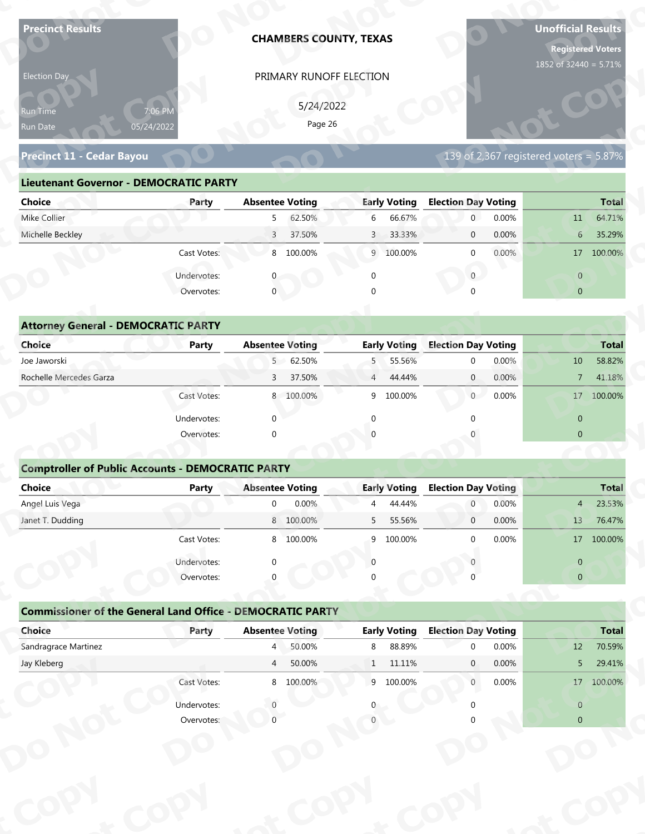| <b>Precinct Results</b>                                           |                       |                        | <b>CHAMBERS COUNTY, TEXAS</b> |                |                     |                            |       | <b>Unofficial Results</b><br><b>Registered Voters</b><br>1852 of 32440 = 5.71% |              |
|-------------------------------------------------------------------|-----------------------|------------------------|-------------------------------|----------------|---------------------|----------------------------|-------|--------------------------------------------------------------------------------|--------------|
| Election Day                                                      |                       |                        | PRIMARY RUNOFF ELECTION       |                |                     |                            |       |                                                                                |              |
|                                                                   |                       |                        | 5/24/2022                     |                |                     |                            |       |                                                                                |              |
| Run Time<br>Run Date                                              | 7:06 PM<br>05/24/2022 |                        | Page 26                       |                |                     |                            |       |                                                                                |              |
|                                                                   |                       |                        |                               |                |                     |                            |       |                                                                                |              |
| Precinct 11 - Cedar Bayou                                         |                       |                        |                               |                |                     |                            |       | 139 of 2,367 registered voters = $5.87\%$                                      |              |
| <b>Lieutenant Governor - DEMOCRATIC PARTY</b>                     |                       |                        |                               |                |                     |                            |       |                                                                                |              |
| <b>Choice</b>                                                     | Party                 | <b>Absentee Voting</b> |                               |                | <b>Early Voting</b> | <b>Election Day Voting</b> |       |                                                                                | <b>Total</b> |
| Mike Collier                                                      |                       | 5                      | 62.50%                        | 6              | 66.67%              | $\mathbf 0$                | 0.00% | 11                                                                             | 64.71%       |
| Michelle Beckley                                                  |                       | $\overline{3}$         | 37.50%                        | $\mathbf{3}$   | 33.33%              | $\mathbf 0$                | 0.00% | $6\phantom{.}6$                                                                | 35.29%       |
|                                                                   | Cast Votes:           |                        | 8 100.00%                     |                | 9 100.00%           | $\mathbf 0$                | 0.00% |                                                                                | 17 100.00%   |
|                                                                   | Undervotes:           |                        |                               | $\mathbf 0$    |                     | $\overline{0}$             |       | $\overline{0}$                                                                 |              |
|                                                                   | Overvotes:            | $\overline{0}$         |                               |                |                     |                            |       | $\overline{0}$                                                                 |              |
|                                                                   |                       |                        |                               |                |                     |                            |       |                                                                                |              |
| <b>Attorney General - DEMOCRATIC PARTY</b>                        |                       |                        |                               |                |                     |                            |       |                                                                                |              |
| <b>Choice</b>                                                     | Party                 | <b>Absentee Voting</b> |                               |                | <b>Early Voting</b> | <b>Election Day Voting</b> |       |                                                                                | <b>Total</b> |
| Joe Jaworski                                                      |                       | 5 <sup>7</sup>         | 62.50%                        | 5              | 55.56%              | $\mathbf 0$                | 0.00% | 10                                                                             | 58.82%       |
| Rochelle Mercedes Garza                                           |                       | 3                      | 37.50%                        | $\overline{4}$ | 44.44%              | $\overline{0}$             | 0.00% | $\overline{7}$                                                                 | 41.18%       |
|                                                                   | Cast Votes:           |                        | 8 100.00%                     |                | 9 100.00%           | $\overline{0}$             | 0.00% |                                                                                | 17 100.00%   |
|                                                                   | Undervotes:           | $\Omega$               |                               | $\Omega$       |                     | $\Omega$                   |       | $\overline{0}$                                                                 |              |
|                                                                   | Overvotes:            | $\Omega$               |                               |                |                     |                            |       | $\overline{0}$                                                                 |              |
|                                                                   |                       |                        |                               |                |                     |                            |       |                                                                                |              |
| <b>Comptroller of Public Accounts - DEMOCRATIC PARTY</b>          |                       |                        |                               |                |                     |                            |       |                                                                                |              |
| Choice                                                            | <b>Party</b>          | <b>Absentee Voting</b> |                               |                | <b>Early Voting</b> | <b>Election Day Voting</b> |       |                                                                                | <b>Total</b> |
| Angel Luis Vega                                                   |                       | $\overline{0}$         | 0.00%                         | 4              | 44.44%              | $\overline{0}$             | 0.00% | 4                                                                              | 23.53%       |
| Janet T. Dudding                                                  |                       |                        | 8 100.00%                     | 5              | 55.56%              | $\overline{0}$             | 0.00% | 13                                                                             | 76.47%       |
|                                                                   | Cast Votes:           |                        | 8 100.00%                     | 9              | 100.00%             | $\Omega$                   | 0.00% |                                                                                | 17 100.00%   |
|                                                                   | Undervotes:           | $\Omega$               |                               | $\Omega$       |                     |                            |       | $\overline{0}$                                                                 |              |
|                                                                   | Overvotes:            |                        |                               |                |                     |                            |       | $\overline{0}$                                                                 |              |
|                                                                   |                       |                        |                               |                |                     |                            |       |                                                                                |              |
|                                                                   |                       |                        |                               |                |                     |                            |       |                                                                                |              |
| <b>Commissioner of the General Land Office - DEMOCRATIC PARTY</b> |                       |                        |                               |                |                     |                            |       |                                                                                |              |
| Choice                                                            | Party                 | <b>Absentee Voting</b> |                               |                | <b>Early Voting</b> | <b>Election Day Voting</b> |       |                                                                                | <b>Total</b> |
| Sandragrace Martinez                                              |                       | $4 \Box$               | 50.00%                        | 8              | 88.89%              | $\Omega$                   | 0.00% | 12                                                                             | 70.59%       |
| Jay Kleberg                                                       |                       | $\overline{4}$         | 50.00%                        | 1              | 11.11%              | $\mathbf{0}$               | 0.00% | 5                                                                              | 29.41%       |
|                                                                   | Cast Votes:           |                        | 8 100.00%                     |                | 9 100.00%           | $\overline{0}$             | 0.00% |                                                                                | 17 100.00%   |
|                                                                   | Undervotes:           |                        |                               |                |                     |                            |       | $\overline{0}$                                                                 |              |

| Election Day                                         |              |                        | PRIMARY RUNOFF ELECTION |                |                     |                            |          |                                        |              |
|------------------------------------------------------|--------------|------------------------|-------------------------|----------------|---------------------|----------------------------|----------|----------------------------------------|--------------|
| 7:06 PM<br><b>Run Time</b><br>05/24/2022<br>Run Date |              |                        | 5/24/2022<br>Page 26    |                |                     |                            |          |                                        |              |
| Precinct 11 - Cedar Bayou                            |              |                        |                         |                |                     |                            |          | 139 of 2,367 registered voters = 5.87% |              |
| <b>Lieutenant Governor - DEMOCRATIC PARTY</b>        |              |                        |                         |                |                     |                            |          |                                        |              |
| Choice                                               | Party        | <b>Absentee Voting</b> |                         |                | <b>Early Voting</b> | <b>Election Day Voting</b> |          |                                        | <b>Total</b> |
| Mike Collier                                         |              | 5 <sub>1</sub>         | 62.50%                  | 6              | 66.67%              | $\overline{0}$             | 0.00%    | 11                                     | 64.71%       |
| Michelle Beckley                                     |              | 3 <sup>7</sup>         | 37.50%                  | $\overline{3}$ | 33.33%              | $\overline{0}$             | 0.00%    | 6 <sup>1</sup>                         | 35.29%       |
|                                                      | Cast Votes:  |                        | 8 100.00%               |                | 9 100.00%           | $\Omega$                   | $0.00\%$ |                                        | 17 100.00%   |
|                                                      | Undervotes:  |                        |                         |                |                     | $\overline{0}$             |          | $\overline{0}$                         |              |
|                                                      | Overvotes:   | $\mathbf 0$            |                         | $\Omega$       |                     |                            |          | $\overline{0}$                         |              |
|                                                      |              |                        |                         |                |                     |                            |          |                                        |              |
| <b>Attorney General - DEMOCRATIC PARTY</b>           |              |                        |                         |                |                     |                            |          |                                        |              |
| <b>Choice</b>                                        | <b>Party</b> | <b>Absentee Voting</b> |                         |                | <b>Early Voting</b> | <b>Election Day Voting</b> |          |                                        | <b>Total</b> |
| Joe Jaworski                                         |              |                        | 5 62.50%                |                | 5 55.56%            | $\Omega$                   | 0.00%    | 10                                     | 58.82%       |
| Rochelle Mercedes Garza                              |              | $\overline{3}$         | 37.50%                  | $\overline{4}$ | 44.44%              | $\overline{0}$             | 0.00%    | 7 <sup>1</sup>                         | 41.18%       |
|                                                      | Cast Votes:  |                        | 8 100.00%               | 9              | 100.00%             | $\overline{0}$             | 0.00%    | 17                                     | 100.00%      |
|                                                      |              |                        |                         |                |                     |                            |          |                                        |              |

| 5/24/2022<br>7:06 PM<br>Run Time<br>Page 26<br>05/24/2022<br>Run Date<br><b>Precinct 11 - Cedar Bayou</b><br><b>Lieutenant Governor - DEMOCRATIC PARTY</b><br><b>Absentee Voting</b><br><b>Early Voting</b><br><b>Election Day Voting</b><br><b>Choice</b><br>Party<br>Mike Collier<br>62.50%<br>6<br>66.67%<br>$\overline{0}$<br>5 <sub>1</sub><br>Michelle Beckley<br>37.50%<br>33.33%<br>3 <sup>7</sup><br>$\mathbf{3}$<br>$\mathbf 0$<br>Cast Votes:<br>8 100.00%<br>9 100.00%<br>$\mathbf{0}$<br>$\overline{0}$<br>Undervotes:<br>$\mathbf 0$<br>0 | 139 of 2,367 registered voters = $5.87\%$<br><b>Total</b><br>0.00%<br>64.71%<br>11<br>0.00%<br>35.29%<br>6 |
|---------------------------------------------------------------------------------------------------------------------------------------------------------------------------------------------------------------------------------------------------------------------------------------------------------------------------------------------------------------------------------------------------------------------------------------------------------------------------------------------------------------------------------------------------------|------------------------------------------------------------------------------------------------------------|
|                                                                                                                                                                                                                                                                                                                                                                                                                                                                                                                                                         |                                                                                                            |
|                                                                                                                                                                                                                                                                                                                                                                                                                                                                                                                                                         |                                                                                                            |
|                                                                                                                                                                                                                                                                                                                                                                                                                                                                                                                                                         |                                                                                                            |
|                                                                                                                                                                                                                                                                                                                                                                                                                                                                                                                                                         |                                                                                                            |
|                                                                                                                                                                                                                                                                                                                                                                                                                                                                                                                                                         |                                                                                                            |
|                                                                                                                                                                                                                                                                                                                                                                                                                                                                                                                                                         |                                                                                                            |
|                                                                                                                                                                                                                                                                                                                                                                                                                                                                                                                                                         |                                                                                                            |
|                                                                                                                                                                                                                                                                                                                                                                                                                                                                                                                                                         |                                                                                                            |
|                                                                                                                                                                                                                                                                                                                                                                                                                                                                                                                                                         | 0.00%<br>17 100.00%                                                                                        |
|                                                                                                                                                                                                                                                                                                                                                                                                                                                                                                                                                         | $\overline{0}$                                                                                             |
| Overvotes:<br>$\mathbf{0}$<br>$\Omega$                                                                                                                                                                                                                                                                                                                                                                                                                                                                                                                  | $\overline{0}$                                                                                             |
|                                                                                                                                                                                                                                                                                                                                                                                                                                                                                                                                                         |                                                                                                            |
| <b>Attorney General - DEMOCRATIC PARTY</b>                                                                                                                                                                                                                                                                                                                                                                                                                                                                                                              |                                                                                                            |
| <b>Early Voting</b><br><b>Election Day Voting</b><br>Choice<br><b>Absentee Voting</b><br><b>Party</b>                                                                                                                                                                                                                                                                                                                                                                                                                                                   | <b>Total</b>                                                                                               |
| Joe Jaworski<br>5 62.50%<br>55.56%<br>5<br>$\mathbf 0$                                                                                                                                                                                                                                                                                                                                                                                                                                                                                                  | 0.00%<br>58.82%<br>10                                                                                      |
| Rochelle Mercedes Garza<br>37.50%<br>44.44%<br>$\mathbf{0}$<br>3<br>$\overline{4}$                                                                                                                                                                                                                                                                                                                                                                                                                                                                      | 0.00%<br>41.18%<br>$\overline{7}$                                                                          |
| Cast Votes:<br>8 100.00%<br>100.00%<br>$\overline{0}$<br>9                                                                                                                                                                                                                                                                                                                                                                                                                                                                                              | 0.00%<br>17 100.00%                                                                                        |
| Undervotes:<br>$\Omega$<br>∩                                                                                                                                                                                                                                                                                                                                                                                                                                                                                                                            | $\overline{0}$                                                                                             |
| Overvotes:<br>$\Omega$                                                                                                                                                                                                                                                                                                                                                                                                                                                                                                                                  | $\overline{0}$                                                                                             |
|                                                                                                                                                                                                                                                                                                                                                                                                                                                                                                                                                         |                                                                                                            |
| <b>Comptroller of Public Accounts - DEMOCRATIC PARTY</b>                                                                                                                                                                                                                                                                                                                                                                                                                                                                                                |                                                                                                            |
| <b>Choice</b><br><b>Absentee Voting</b><br><b>Early Voting</b><br><b>Election Day Voting</b><br><b>Party</b>                                                                                                                                                                                                                                                                                                                                                                                                                                            | Total                                                                                                      |
| Angel Luis Vega<br>0.00%<br>44.44%<br>$\mathbf 0$<br>$\overline{0}$<br>4                                                                                                                                                                                                                                                                                                                                                                                                                                                                                | 0.00%<br>23.53%<br>$\overline{4}$                                                                          |
| 55.56%<br>Janet T. Dudding<br>8 100.00%<br>5<br>$\mathbf 0$                                                                                                                                                                                                                                                                                                                                                                                                                                                                                             | 0.00%<br>76.47%<br>13                                                                                      |
| Cast Votes:<br>8 100.00%<br>9 100.00%<br>$\Omega$                                                                                                                                                                                                                                                                                                                                                                                                                                                                                                       | 0.00%<br>17 100.00%                                                                                        |
| Undervotes:                                                                                                                                                                                                                                                                                                                                                                                                                                                                                                                                             | $\overline{0}$                                                                                             |
| Overvotes:                                                                                                                                                                                                                                                                                                                                                                                                                                                                                                                                              | $\overline{0}$                                                                                             |
|                                                                                                                                                                                                                                                                                                                                                                                                                                                                                                                                                         |                                                                                                            |
| <b>Commissioner of the General Land Office - DEMOCRATIC PARTY</b>                                                                                                                                                                                                                                                                                                                                                                                                                                                                                       |                                                                                                            |
| Choice<br><b>Absentee Voting</b><br><b>Early Voting</b><br><b>Election Day Voting</b><br>Party                                                                                                                                                                                                                                                                                                                                                                                                                                                          | <b>Total</b>                                                                                               |
| Sandragrace Martinez<br>88.89%<br>$4^{\circ}$<br>50.00%<br>8<br>$\Omega$                                                                                                                                                                                                                                                                                                                                                                                                                                                                                | 70.59%<br>0.00%<br>12                                                                                      |
| 50.00%<br>Jay Kleberg<br>$1\quad 11.11\%$<br>4<br>$\mathbf{0}$                                                                                                                                                                                                                                                                                                                                                                                                                                                                                          | 0.00%<br>29.41%<br>5 <sub>1</sub>                                                                          |
| Cast Votes:<br>9 100.00%<br>8 100.00%<br>$\overline{0}$                                                                                                                                                                                                                                                                                                                                                                                                                                                                                                 | 0.00%<br>17 100.00%                                                                                        |
|                                                                                                                                                                                                                                                                                                                                                                                                                                                                                                                                                         |                                                                                                            |
| Undervotes:                                                                                                                                                                                                                                                                                                                                                                                                                                                                                                                                             | $\overline{0}$                                                                                             |

### **Comptroller of Public Accounts - DEMOCRATIC PARTY**

| Choice                                                            | Party       | <b>Absentee Voting</b> |           |                | <b>Early Voting</b> | <b>Election Day Voting</b> |       |                 | <b>Total</b> |
|-------------------------------------------------------------------|-------------|------------------------|-----------|----------------|---------------------|----------------------------|-------|-----------------|--------------|
| Joe Jaworski                                                      |             |                        | 5 62.50%  |                | 5 55.56%            | $\mathbf{0}$               | 0.00% | 10 <sup>1</sup> | 58.82%       |
| Rochelle Mercedes Garza                                           |             | $\mathsf{3}$           | 37.50%    | $\overline{4}$ | 44.44%              | $\mathbf{0}$               | 0.00% | $7^{\circ}$     | 41.18%       |
|                                                                   | Cast Votes: |                        | 8 100.00% |                | 9 100.00%           | $\overline{0}$             | 0.00% |                 | 17 100.00%   |
|                                                                   | Undervotes: | ∩                      |           | $\Omega$       |                     | $\Omega$                   |       | $\mathbf{0}$    |              |
|                                                                   | Overvotes:  | $\Omega$               |           |                |                     |                            |       | $\overline{0}$  |              |
| <b>Comptroller of Public Accounts - DEMOCRATIC PARTY</b>          |             |                        |           |                |                     |                            |       |                 |              |
| <b>Choice</b>                                                     | Party       | <b>Absentee Voting</b> |           |                | <b>Early Voting</b> | <b>Election Day Voting</b> |       |                 | <b>Total</b> |
| Angel Luis Vega                                                   |             | $\Omega$               | 0.00%     | Δ              | 44.44%              | $\overline{0}$             | 0.00% | $\overline{4}$  | 23.53%       |
| Janet T. Dudding                                                  |             |                        | 8 100.00% | 5 <sub>5</sub> | 55.56%              | $\overline{0}$             | 0.00% | 13              | 76.47%       |
|                                                                   | Cast Votes: |                        | 8 100.00% |                | 9 100.00%           | $\mathbf{0}$               | 0.00% |                 | 17 100.00%   |
|                                                                   | Undervotes: | ∩                      |           | U              |                     |                            |       | $\overline{0}$  |              |
|                                                                   |             |                        |           |                |                     |                            |       |                 |              |
|                                                                   | Overvotes:  |                        |           |                |                     |                            |       | $\mathbf{0}$    |              |
| <b>Commissioner of the General Land Office - DEMOCRATIC PARTY</b> |             |                        |           |                |                     |                            |       |                 |              |
| Choice                                                            | Party       | <b>Absentee Voting</b> |           |                | <b>Early Voting</b> | <b>Election Day Voting</b> |       |                 | <b>Total</b> |
| Sandragrace Martinez                                              |             | $4^{\circ}$            | 50.00%    | 8              | 88.89%              | $\mathbf{0}$               | 0.00% | 12              | 70.59%       |
| Jay Kleberg                                                       |             | $\overline{4}$         | 50.00%    |                | 1 11.11%            | $\mathbf{0}$               | 0.00% | 5 <sub>1</sub>  | 29.41%       |
|                                                                   | Cast Votes: |                        | 8 100.00% |                | 9 100.00%           | $\mathbf{0}$               | 0.00% |                 | 17 100.00%   |
|                                                                   | Undervotes: |                        |           |                |                     | <sup>n</sup>               |       | $\overline{0}$  |              |

## **Commissioner of the General Land Office - DEMOCRATIC PARTY o**

|                                                                   | Cast votes. | $\circ$                | TOO'OO SO | ັ            | TOO'OO SO           |                            | <b>U.UU70</b> | $\mathbf{L}$   | 100.00%      |
|-------------------------------------------------------------------|-------------|------------------------|-----------|--------------|---------------------|----------------------------|---------------|----------------|--------------|
|                                                                   | Undervotes: | $\Omega$               |           | 0            |                     |                            |               | $\Omega$       |              |
|                                                                   | Overvotes:  | $\Omega$               |           | 0            |                     |                            |               | $\overline{0}$ |              |
|                                                                   |             |                        |           |              |                     |                            |               |                |              |
| <b>Commissioner of the General Land Office - DEMOCRATIC PARTY</b> |             |                        |           |              |                     |                            |               |                |              |
| Choice                                                            | Party       | <b>Absentee Voting</b> |           |              | <b>Early Voting</b> | <b>Election Day Voting</b> |               |                | <b>Total</b> |
| Sandragrace Martinez                                              |             | $\overline{4}$         | 50.00%    | 8            | 88.89%              | $\Omega$                   | 0.00%         | 12             | 70.59%       |
| Jay Kleberg                                                       |             | $\overline{4}$         | 50.00%    | $\mathbf{1}$ | 11.11%              | $\mathbf{0}$               | $0.00\%$      | 5              | 29.41%       |
|                                                                   | Cast Votes: | 8                      | 100.00%   | 9            | 100.00%             | $\mathbf 0$                | $0.00\%$      | 17             | 100.00%      |
|                                                                   | Undervotes: |                        |           | 0            |                     |                            |               | $\overline{0}$ |              |
|                                                                   | Overvotes:  |                        |           |              |                     |                            |               | $\overline{0}$ |              |
|                                                                   |             |                        |           |              |                     |                            |               |                |              |
|                                                                   |             |                        |           |              |                     |                            |               |                |              |
|                                                                   |             |                        |           |              |                     |                            |               |                |              |
|                                                                   |             |                        |           |              |                     |                            |               |                |              |
|                                                                   |             |                        |           |              |                     |                            |               |                |              |
|                                                                   |             |                        |           |              |                     |                            |               |                |              |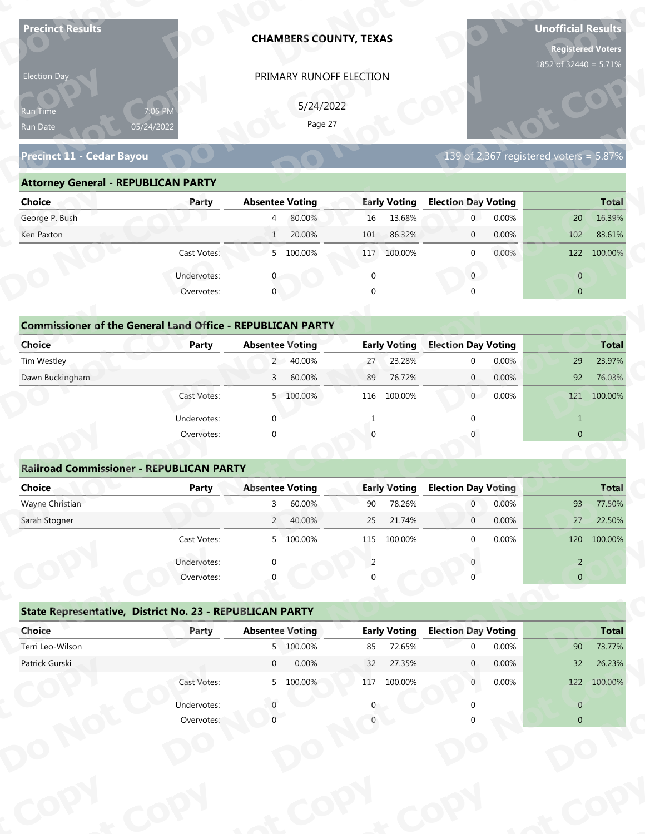| PRIMARY RUNOFF ELECTION<br>Election Day<br>5/24/2022<br>7:06 PM<br>Run Time<br>Page 27<br>05/24/2022<br>Run Date<br>Precinct 11 - Cedar Bayou<br>139 of 2,367 registered voters = $5.87\%$<br><b>Attorney General - REPUBLICAN PARTY</b><br><b>Election Day Voting</b><br><b>Absentee Voting</b><br><b>Early Voting</b><br><b>Choice</b><br>Party | 1852 of 32440 = 5.71% |
|---------------------------------------------------------------------------------------------------------------------------------------------------------------------------------------------------------------------------------------------------------------------------------------------------------------------------------------------------|-----------------------|
|                                                                                                                                                                                                                                                                                                                                                   |                       |
|                                                                                                                                                                                                                                                                                                                                                   |                       |
|                                                                                                                                                                                                                                                                                                                                                   |                       |
|                                                                                                                                                                                                                                                                                                                                                   |                       |
|                                                                                                                                                                                                                                                                                                                                                   |                       |
|                                                                                                                                                                                                                                                                                                                                                   |                       |
|                                                                                                                                                                                                                                                                                                                                                   | <b>Total</b>          |
| George P. Bush<br>80.00%<br>16<br>13.68%<br>0.00%<br>$\mathbf 0$<br>$\overline{4}$                                                                                                                                                                                                                                                                | 16.39%<br>20          |
| 20.00%<br>0.00%<br>Ken Paxton<br>86.32%<br>$\mathbf{1}$<br>101<br>$\mathbf 0$                                                                                                                                                                                                                                                                     | 102<br>83.61%         |
| 5 100.00%<br>Cast Votes:<br>117 100.00%<br>$\mathbf 0$<br>0.00%                                                                                                                                                                                                                                                                                   | 122<br>100.00%        |
| Undervotes:<br>$\overline{0}$<br>$\Omega$                                                                                                                                                                                                                                                                                                         | $\overline{0}$        |
| Overvotes:<br>$\mathbf{0}$<br>$\Omega$                                                                                                                                                                                                                                                                                                            | $\overline{0}$        |
|                                                                                                                                                                                                                                                                                                                                                   |                       |
| <b>Commissioner of the General Land Office - REPUBLICAN PARTY</b>                                                                                                                                                                                                                                                                                 |                       |
| <b>Election Day Voting</b><br><b>Choice</b><br><b>Absentee Voting</b><br><b>Early Voting</b><br>Party                                                                                                                                                                                                                                             | <b>Total</b>          |
| $2^{\circ}$<br>40.00%<br>23.28%<br>0.00%<br>Tim Westley<br>27<br>$\mathbf 0$                                                                                                                                                                                                                                                                      | 23.97%<br>29          |
| Dawn Buckingham<br>60.00%<br>76.72%<br>0.00%<br>89<br>$\overline{0}$<br>3                                                                                                                                                                                                                                                                         | 76.03%<br>92          |
| 116 100.00%<br>0.00%<br>Cast Votes:<br>5 100.00%<br>0                                                                                                                                                                                                                                                                                             | 121 100.00%           |
| $\Omega$<br>Undervotes:<br>$\Omega$<br>1                                                                                                                                                                                                                                                                                                          | $\mathbf{1}$          |
| Overvotes:<br>$\Omega$                                                                                                                                                                                                                                                                                                                            | $\overline{0}$        |
|                                                                                                                                                                                                                                                                                                                                                   |                       |
| <b>Railroad Commissioner - REPUBLICAN PARTY</b>                                                                                                                                                                                                                                                                                                   |                       |
| <b>Absentee Voting</b><br><b>Early Voting</b><br><b>Election Day Voting</b><br><b>Choice</b><br><b>Party</b>                                                                                                                                                                                                                                      | <b>Total</b>          |
| Wayne Christian<br>60.00%<br>90<br>78.26%<br>0.00%<br>3<br>$\overline{0}$                                                                                                                                                                                                                                                                         | 93<br>77.50%          |
| Sarah Stogner<br>2 40.00%<br>21.74%<br>0.00%<br>25<br>$\overline{0}$                                                                                                                                                                                                                                                                              | 27<br>22.50%          |
| Cast Votes:<br>5 100.00%<br>100.00%<br>0.00%<br>115<br>$\Omega$                                                                                                                                                                                                                                                                                   | 120<br>100.00%        |
| Undervotes:<br>2                                                                                                                                                                                                                                                                                                                                  | $\overline{2}$        |
| Overvotes:                                                                                                                                                                                                                                                                                                                                        | $\overline{0}$        |
|                                                                                                                                                                                                                                                                                                                                                   |                       |
| State Representative, District No. 23 - REPUBLICAN PARTY                                                                                                                                                                                                                                                                                          |                       |
| Choice<br><b>Early Voting</b><br><b>Election Day Voting</b><br><b>Absentee Voting</b><br>Party                                                                                                                                                                                                                                                    | <b>Total</b>          |
| Terri Leo-Wilson<br>5 100.00%<br>72.65%<br>0.00%<br>85<br>$\Omega$                                                                                                                                                                                                                                                                                | 90<br>73.77%          |
| Patrick Gurski<br>$\overline{0}$<br>0.00%<br>27.35%<br>0.00%<br>32<br>$\mathbf{0}$                                                                                                                                                                                                                                                                | 26.23%<br>32          |
| Cast Votes:<br>5 100.00%<br>117 100.00%<br>0.00%<br>$\overline{0}$                                                                                                                                                                                                                                                                                | 122 100.00%           |
| Undervotes:                                                                                                                                                                                                                                                                                                                                       | $\overline{0}$        |
| Overvotes:                                                                                                                                                                                                                                                                                                                                        | $\overline{0}$        |

| 5/24/2022<br>7:06 PM<br><b>Run Time</b>                                                                               |
|-----------------------------------------------------------------------------------------------------------------------|
| Page 27<br>05/24/2022<br>Run Date                                                                                     |
| 139 of 2,367 registered voters = $5.87\%$<br><b>Precinct 11 - Cedar Bayou</b>                                         |
| <b>Attorney General - REPUBLICAN PARTY</b>                                                                            |
| <b>Early Voting</b><br><b>Election Day Voting</b><br><b>Choice</b><br><b>Absentee Voting</b><br><b>Total</b><br>Party |
| George P. Bush<br>80.00%<br>13.68%<br>0.00%<br>16.39%<br>16<br>$\overline{0}$<br>20<br>$\overline{4}$                 |
| 20.00%<br>86.32%<br>0.00%<br>83.61%<br>Ken Paxton<br>101<br>102<br>$\overline{0}$<br>1                                |
| 5 100.00%<br>0.00%<br>Cast Votes:<br>117 100.00%<br>122<br>100.00%<br>$\Omega$                                        |
| Undervotes:<br>$\overline{0}$<br>$\overline{0}$                                                                       |
| $\mathbf 0$<br>Overvotes:<br>$\Omega$<br>$\overline{0}$                                                               |
|                                                                                                                       |
| <b>Commissioner of the General Land Office - REPUBLICAN PARTY</b>                                                     |
| Choice<br><b>Early Voting</b><br><b>Election Day Voting</b><br><b>Absentee Voting</b><br><b>Total</b><br>Party        |
| Tim Westley<br>2 40.00%<br>23.28%<br>0.00%<br>29<br>23.97%<br>27<br>$\Omega$                                          |
| Dawn Buckingham<br>60.00%<br>92<br>76.03%<br>76.72%<br>0.00%<br>89<br>$\overline{0}$<br>$\mathbf{3}$                  |
| 0<br>0.00%<br>100.00%<br>5 100.00%<br>100.00%<br>121<br>Cast Votes:<br>116                                            |

| <b>Choice</b>                                                               | Party       | <b>Absentee Voting</b> | <b>Early Voting</b> | <b>Election Day Voting</b> | <b>Total</b>   |
|-----------------------------------------------------------------------------|-------------|------------------------|---------------------|----------------------------|----------------|
| George P. Bush                                                              |             | 80.00%<br>4            | 13.68%<br>16        | 0.00%<br>$\mathbf{0}$      | 16.39%<br>20   |
| Ken Paxton                                                                  |             | 20.00%<br>$\mathbf{1}$ | 86.32%<br>101       | 0.00%<br>$\mathbf 0$       | 83.61%<br>102  |
|                                                                             | Cast Votes: | 100.00%<br>5           | 100.00%<br>117      | 0.00%<br>$\mathbf 0$       | 100.00%<br>122 |
|                                                                             | Undervotes: | $\Omega$               | 0                   | $\mathbf{0}$               | $\overline{0}$ |
|                                                                             | Overvotes:  | $\mathbf{0}$           | 0                   | $\Omega$                   | $\overline{0}$ |
| <b>Commissioner of the General Land Office - REPUBLICAN PARTY</b><br>Choice | Party       | <b>Absentee Voting</b> | <b>Early Voting</b> | <b>Election Day Voting</b> | <b>Total</b>   |
| Tim Westley                                                                 |             | 2 40.00%               | 23.28%<br>27        | 0.00%<br>$\mathbf{0}$      | 29<br>23.97%   |
| Dawn Buckingham                                                             |             | 60.00%<br>3            | 76.72%<br>89        | 0.00%<br>$\overline{0}$    | 92<br>76.03%   |
|                                                                             | Cast Votes: | 100.00%<br>5           | 116<br>100.00%      | 0.00%<br>$\overline{0}$    | 121<br>100.00% |
|                                                                             | Undervotes: | $\mathbf 0$            |                     |                            | $\mathbf{1}$   |
|                                                                             | Overvotes:  | $\mathbf 0$            | $\Omega$            |                            | $\mathbf{0}$   |
|                                                                             |             |                        |                     |                            |                |
| <b>Railroad Commissioner - REPUBLICAN PARTY</b>                             |             |                        |                     |                            |                |
| Choice                                                                      | Party       | <b>Absentee Voting</b> | <b>Early Voting</b> | <b>Election Day Voting</b> | <b>Total</b>   |
| Wayne Christian                                                             |             | 60.00%                 | 78.26%<br>90        | 0.00%<br>$\overline{0}$    | 77.50%<br>93   |
| Carole Champan                                                              |             | $AO$ $00'$<br>$\Omega$ | 21.740/<br>$\Omega$ | 0.0001<br>$\sim$           | 22 F00<br>77   |

| 5/24/2022<br>7:06 PM<br>Run Time<br>Page 27<br>05/24/2022<br>Run Date<br>139 of 2,367 registered voters = $5.\overline{87\%}$<br><b>Precinct 11 - Cedar Bayou</b><br><b>Attorney General - REPUBLICAN PARTY</b><br><b>Absentee Voting</b><br><b>Early Voting</b><br><b>Election Day Voting</b><br><b>Choice</b><br>Party<br>George P. Bush<br>80.00%<br>16<br>13.68%<br>$\overline{0}$<br>0.00%<br>$\overline{4}$<br>20<br>20.00%<br>86.32%<br>0.00%<br>Ken Paxton<br>101<br>$\mathbf{0}$<br>102<br>$\mathbf{1}$<br>Cast Votes:<br>5 100.00%<br>117 100.00%<br>0.00%<br>122 100.00%<br>$\mathbf{0}$<br>$\overline{0}$<br>Undervotes:<br>$\overline{0}$<br>$\mathbf 0$<br>$\mathbf{0}$<br>Overvotes:<br>$\mathbf{0}$<br>$\overline{0}$<br><b>Commissioner of the General Land Office - REPUBLICAN PARTY</b><br><b>Election Day Voting</b><br><b>Choice</b><br><b>Early Voting</b><br>Party<br><b>Absentee Voting</b><br>2 40.00%<br>23.28%<br>0.00%<br>Tim Westley<br>29<br>27<br>$\mathbf 0$<br>Dawn Buckingham<br>60.00%<br>0.00%<br>76.72%<br>$\mathbf{0}$<br>92<br>3<br>89<br>Cast Votes:<br>5 100.00%<br>100.00%<br>0.00%<br>121 100.00%<br>116<br>$\overline{0}$<br>Undervotes:<br>$\Omega$<br>$\mathbf{1}$<br>$\overline{0}$<br>Overvotes:<br>$\Omega$<br><b>Railroad Commissioner - REPUBLICAN PARTY</b><br><b>Absentee Voting</b><br><b>Election Day Voting</b><br>Total<br><b>Choice</b><br><b>Early Voting</b><br><b>Party</b><br>Wayne Christian<br>60.00%<br>90<br>78.26%<br>0.00%<br>77.50%<br>$\overline{0}$<br>93<br>3<br>21.74%<br>0.00%<br>Sarah Stogner<br>40.00%<br>25<br>$2^{\circ}$<br>$\mathbf 0$<br>27<br>0.00%<br>Cast Votes:<br>5 100.00%<br>115 100.00%<br>120 100.00%<br>$\Omega$<br>Undervotes:<br>$\overline{2}$<br>2<br>Overvotes:<br>$\overline{0}$<br>State Representative, District No. 23 - REPUBLICAN PARTY<br><b>Early Voting</b><br>Choice<br><b>Election Day Voting</b><br><b>Absentee Voting</b><br>Party<br>Terri Leo-Wilson<br>5 100.00%<br>72.65%<br>90<br>85<br>0.00%<br>$\Omega$<br>Patrick Gurski<br>0.00%<br>27.35%<br>$\overline{0}$<br>32<br>0.00%<br>32<br>$\mathbf{0}$<br>Cast Votes:<br>117 100.00%<br>5 100.00%<br>0.00%<br>122 100.00%<br>$\mathbf{0}$<br>Undervotes:<br>$\overline{0}$<br>Overvotes:<br>$\overline{0}$ | Election Day |  | PRIMARY RUNOFF ELECTION |  |  |              |
|------------------------------------------------------------------------------------------------------------------------------------------------------------------------------------------------------------------------------------------------------------------------------------------------------------------------------------------------------------------------------------------------------------------------------------------------------------------------------------------------------------------------------------------------------------------------------------------------------------------------------------------------------------------------------------------------------------------------------------------------------------------------------------------------------------------------------------------------------------------------------------------------------------------------------------------------------------------------------------------------------------------------------------------------------------------------------------------------------------------------------------------------------------------------------------------------------------------------------------------------------------------------------------------------------------------------------------------------------------------------------------------------------------------------------------------------------------------------------------------------------------------------------------------------------------------------------------------------------------------------------------------------------------------------------------------------------------------------------------------------------------------------------------------------------------------------------------------------------------------------------------------------------------------------------------------------------------------------------------------------------------------------------------------------------------------------------------------------------------------------------------------------------------------------------------------------------------------------------------------------------------------------------|--------------|--|-------------------------|--|--|--------------|
|                                                                                                                                                                                                                                                                                                                                                                                                                                                                                                                                                                                                                                                                                                                                                                                                                                                                                                                                                                                                                                                                                                                                                                                                                                                                                                                                                                                                                                                                                                                                                                                                                                                                                                                                                                                                                                                                                                                                                                                                                                                                                                                                                                                                                                                                              |              |  |                         |  |  |              |
|                                                                                                                                                                                                                                                                                                                                                                                                                                                                                                                                                                                                                                                                                                                                                                                                                                                                                                                                                                                                                                                                                                                                                                                                                                                                                                                                                                                                                                                                                                                                                                                                                                                                                                                                                                                                                                                                                                                                                                                                                                                                                                                                                                                                                                                                              |              |  |                         |  |  |              |
|                                                                                                                                                                                                                                                                                                                                                                                                                                                                                                                                                                                                                                                                                                                                                                                                                                                                                                                                                                                                                                                                                                                                                                                                                                                                                                                                                                                                                                                                                                                                                                                                                                                                                                                                                                                                                                                                                                                                                                                                                                                                                                                                                                                                                                                                              |              |  |                         |  |  |              |
|                                                                                                                                                                                                                                                                                                                                                                                                                                                                                                                                                                                                                                                                                                                                                                                                                                                                                                                                                                                                                                                                                                                                                                                                                                                                                                                                                                                                                                                                                                                                                                                                                                                                                                                                                                                                                                                                                                                                                                                                                                                                                                                                                                                                                                                                              |              |  |                         |  |  |              |
|                                                                                                                                                                                                                                                                                                                                                                                                                                                                                                                                                                                                                                                                                                                                                                                                                                                                                                                                                                                                                                                                                                                                                                                                                                                                                                                                                                                                                                                                                                                                                                                                                                                                                                                                                                                                                                                                                                                                                                                                                                                                                                                                                                                                                                                                              |              |  |                         |  |  |              |
|                                                                                                                                                                                                                                                                                                                                                                                                                                                                                                                                                                                                                                                                                                                                                                                                                                                                                                                                                                                                                                                                                                                                                                                                                                                                                                                                                                                                                                                                                                                                                                                                                                                                                                                                                                                                                                                                                                                                                                                                                                                                                                                                                                                                                                                                              |              |  |                         |  |  | <b>Total</b> |
|                                                                                                                                                                                                                                                                                                                                                                                                                                                                                                                                                                                                                                                                                                                                                                                                                                                                                                                                                                                                                                                                                                                                                                                                                                                                                                                                                                                                                                                                                                                                                                                                                                                                                                                                                                                                                                                                                                                                                                                                                                                                                                                                                                                                                                                                              |              |  |                         |  |  | 16.39%       |
|                                                                                                                                                                                                                                                                                                                                                                                                                                                                                                                                                                                                                                                                                                                                                                                                                                                                                                                                                                                                                                                                                                                                                                                                                                                                                                                                                                                                                                                                                                                                                                                                                                                                                                                                                                                                                                                                                                                                                                                                                                                                                                                                                                                                                                                                              |              |  |                         |  |  | 83.61%       |
|                                                                                                                                                                                                                                                                                                                                                                                                                                                                                                                                                                                                                                                                                                                                                                                                                                                                                                                                                                                                                                                                                                                                                                                                                                                                                                                                                                                                                                                                                                                                                                                                                                                                                                                                                                                                                                                                                                                                                                                                                                                                                                                                                                                                                                                                              |              |  |                         |  |  |              |
|                                                                                                                                                                                                                                                                                                                                                                                                                                                                                                                                                                                                                                                                                                                                                                                                                                                                                                                                                                                                                                                                                                                                                                                                                                                                                                                                                                                                                                                                                                                                                                                                                                                                                                                                                                                                                                                                                                                                                                                                                                                                                                                                                                                                                                                                              |              |  |                         |  |  |              |
|                                                                                                                                                                                                                                                                                                                                                                                                                                                                                                                                                                                                                                                                                                                                                                                                                                                                                                                                                                                                                                                                                                                                                                                                                                                                                                                                                                                                                                                                                                                                                                                                                                                                                                                                                                                                                                                                                                                                                                                                                                                                                                                                                                                                                                                                              |              |  |                         |  |  |              |
|                                                                                                                                                                                                                                                                                                                                                                                                                                                                                                                                                                                                                                                                                                                                                                                                                                                                                                                                                                                                                                                                                                                                                                                                                                                                                                                                                                                                                                                                                                                                                                                                                                                                                                                                                                                                                                                                                                                                                                                                                                                                                                                                                                                                                                                                              |              |  |                         |  |  |              |
|                                                                                                                                                                                                                                                                                                                                                                                                                                                                                                                                                                                                                                                                                                                                                                                                                                                                                                                                                                                                                                                                                                                                                                                                                                                                                                                                                                                                                                                                                                                                                                                                                                                                                                                                                                                                                                                                                                                                                                                                                                                                                                                                                                                                                                                                              |              |  |                         |  |  |              |
|                                                                                                                                                                                                                                                                                                                                                                                                                                                                                                                                                                                                                                                                                                                                                                                                                                                                                                                                                                                                                                                                                                                                                                                                                                                                                                                                                                                                                                                                                                                                                                                                                                                                                                                                                                                                                                                                                                                                                                                                                                                                                                                                                                                                                                                                              |              |  |                         |  |  | <b>Total</b> |
|                                                                                                                                                                                                                                                                                                                                                                                                                                                                                                                                                                                                                                                                                                                                                                                                                                                                                                                                                                                                                                                                                                                                                                                                                                                                                                                                                                                                                                                                                                                                                                                                                                                                                                                                                                                                                                                                                                                                                                                                                                                                                                                                                                                                                                                                              |              |  |                         |  |  | 23.97%       |
|                                                                                                                                                                                                                                                                                                                                                                                                                                                                                                                                                                                                                                                                                                                                                                                                                                                                                                                                                                                                                                                                                                                                                                                                                                                                                                                                                                                                                                                                                                                                                                                                                                                                                                                                                                                                                                                                                                                                                                                                                                                                                                                                                                                                                                                                              |              |  |                         |  |  | 76.03%       |
|                                                                                                                                                                                                                                                                                                                                                                                                                                                                                                                                                                                                                                                                                                                                                                                                                                                                                                                                                                                                                                                                                                                                                                                                                                                                                                                                                                                                                                                                                                                                                                                                                                                                                                                                                                                                                                                                                                                                                                                                                                                                                                                                                                                                                                                                              |              |  |                         |  |  |              |
|                                                                                                                                                                                                                                                                                                                                                                                                                                                                                                                                                                                                                                                                                                                                                                                                                                                                                                                                                                                                                                                                                                                                                                                                                                                                                                                                                                                                                                                                                                                                                                                                                                                                                                                                                                                                                                                                                                                                                                                                                                                                                                                                                                                                                                                                              |              |  |                         |  |  |              |
|                                                                                                                                                                                                                                                                                                                                                                                                                                                                                                                                                                                                                                                                                                                                                                                                                                                                                                                                                                                                                                                                                                                                                                                                                                                                                                                                                                                                                                                                                                                                                                                                                                                                                                                                                                                                                                                                                                                                                                                                                                                                                                                                                                                                                                                                              |              |  |                         |  |  |              |
|                                                                                                                                                                                                                                                                                                                                                                                                                                                                                                                                                                                                                                                                                                                                                                                                                                                                                                                                                                                                                                                                                                                                                                                                                                                                                                                                                                                                                                                                                                                                                                                                                                                                                                                                                                                                                                                                                                                                                                                                                                                                                                                                                                                                                                                                              |              |  |                         |  |  |              |
|                                                                                                                                                                                                                                                                                                                                                                                                                                                                                                                                                                                                                                                                                                                                                                                                                                                                                                                                                                                                                                                                                                                                                                                                                                                                                                                                                                                                                                                                                                                                                                                                                                                                                                                                                                                                                                                                                                                                                                                                                                                                                                                                                                                                                                                                              |              |  |                         |  |  |              |
|                                                                                                                                                                                                                                                                                                                                                                                                                                                                                                                                                                                                                                                                                                                                                                                                                                                                                                                                                                                                                                                                                                                                                                                                                                                                                                                                                                                                                                                                                                                                                                                                                                                                                                                                                                                                                                                                                                                                                                                                                                                                                                                                                                                                                                                                              |              |  |                         |  |  |              |
|                                                                                                                                                                                                                                                                                                                                                                                                                                                                                                                                                                                                                                                                                                                                                                                                                                                                                                                                                                                                                                                                                                                                                                                                                                                                                                                                                                                                                                                                                                                                                                                                                                                                                                                                                                                                                                                                                                                                                                                                                                                                                                                                                                                                                                                                              |              |  |                         |  |  |              |
|                                                                                                                                                                                                                                                                                                                                                                                                                                                                                                                                                                                                                                                                                                                                                                                                                                                                                                                                                                                                                                                                                                                                                                                                                                                                                                                                                                                                                                                                                                                                                                                                                                                                                                                                                                                                                                                                                                                                                                                                                                                                                                                                                                                                                                                                              |              |  |                         |  |  | 22.50%       |
|                                                                                                                                                                                                                                                                                                                                                                                                                                                                                                                                                                                                                                                                                                                                                                                                                                                                                                                                                                                                                                                                                                                                                                                                                                                                                                                                                                                                                                                                                                                                                                                                                                                                                                                                                                                                                                                                                                                                                                                                                                                                                                                                                                                                                                                                              |              |  |                         |  |  |              |
|                                                                                                                                                                                                                                                                                                                                                                                                                                                                                                                                                                                                                                                                                                                                                                                                                                                                                                                                                                                                                                                                                                                                                                                                                                                                                                                                                                                                                                                                                                                                                                                                                                                                                                                                                                                                                                                                                                                                                                                                                                                                                                                                                                                                                                                                              |              |  |                         |  |  |              |
|                                                                                                                                                                                                                                                                                                                                                                                                                                                                                                                                                                                                                                                                                                                                                                                                                                                                                                                                                                                                                                                                                                                                                                                                                                                                                                                                                                                                                                                                                                                                                                                                                                                                                                                                                                                                                                                                                                                                                                                                                                                                                                                                                                                                                                                                              |              |  |                         |  |  |              |
|                                                                                                                                                                                                                                                                                                                                                                                                                                                                                                                                                                                                                                                                                                                                                                                                                                                                                                                                                                                                                                                                                                                                                                                                                                                                                                                                                                                                                                                                                                                                                                                                                                                                                                                                                                                                                                                                                                                                                                                                                                                                                                                                                                                                                                                                              |              |  |                         |  |  |              |
|                                                                                                                                                                                                                                                                                                                                                                                                                                                                                                                                                                                                                                                                                                                                                                                                                                                                                                                                                                                                                                                                                                                                                                                                                                                                                                                                                                                                                                                                                                                                                                                                                                                                                                                                                                                                                                                                                                                                                                                                                                                                                                                                                                                                                                                                              |              |  |                         |  |  |              |
|                                                                                                                                                                                                                                                                                                                                                                                                                                                                                                                                                                                                                                                                                                                                                                                                                                                                                                                                                                                                                                                                                                                                                                                                                                                                                                                                                                                                                                                                                                                                                                                                                                                                                                                                                                                                                                                                                                                                                                                                                                                                                                                                                                                                                                                                              |              |  |                         |  |  | <b>Total</b> |
|                                                                                                                                                                                                                                                                                                                                                                                                                                                                                                                                                                                                                                                                                                                                                                                                                                                                                                                                                                                                                                                                                                                                                                                                                                                                                                                                                                                                                                                                                                                                                                                                                                                                                                                                                                                                                                                                                                                                                                                                                                                                                                                                                                                                                                                                              |              |  |                         |  |  | 73.77%       |
|                                                                                                                                                                                                                                                                                                                                                                                                                                                                                                                                                                                                                                                                                                                                                                                                                                                                                                                                                                                                                                                                                                                                                                                                                                                                                                                                                                                                                                                                                                                                                                                                                                                                                                                                                                                                                                                                                                                                                                                                                                                                                                                                                                                                                                                                              |              |  |                         |  |  | 26.23%       |
|                                                                                                                                                                                                                                                                                                                                                                                                                                                                                                                                                                                                                                                                                                                                                                                                                                                                                                                                                                                                                                                                                                                                                                                                                                                                                                                                                                                                                                                                                                                                                                                                                                                                                                                                                                                                                                                                                                                                                                                                                                                                                                                                                                                                                                                                              |              |  |                         |  |  |              |
|                                                                                                                                                                                                                                                                                                                                                                                                                                                                                                                                                                                                                                                                                                                                                                                                                                                                                                                                                                                                                                                                                                                                                                                                                                                                                                                                                                                                                                                                                                                                                                                                                                                                                                                                                                                                                                                                                                                                                                                                                                                                                                                                                                                                                                                                              |              |  |                         |  |  |              |
|                                                                                                                                                                                                                                                                                                                                                                                                                                                                                                                                                                                                                                                                                                                                                                                                                                                                                                                                                                                                                                                                                                                                                                                                                                                                                                                                                                                                                                                                                                                                                                                                                                                                                                                                                                                                                                                                                                                                                                                                                                                                                                                                                                                                                                                                              |              |  |                         |  |  |              |
|                                                                                                                                                                                                                                                                                                                                                                                                                                                                                                                                                                                                                                                                                                                                                                                                                                                                                                                                                                                                                                                                                                                                                                                                                                                                                                                                                                                                                                                                                                                                                                                                                                                                                                                                                                                                                                                                                                                                                                                                                                                                                                                                                                                                                                                                              |              |  |                         |  |  |              |
|                                                                                                                                                                                                                                                                                                                                                                                                                                                                                                                                                                                                                                                                                                                                                                                                                                                                                                                                                                                                                                                                                                                                                                                                                                                                                                                                                                                                                                                                                                                                                                                                                                                                                                                                                                                                                                                                                                                                                                                                                                                                                                                                                                                                                                                                              |              |  |                         |  |  |              |
|                                                                                                                                                                                                                                                                                                                                                                                                                                                                                                                                                                                                                                                                                                                                                                                                                                                                                                                                                                                                                                                                                                                                                                                                                                                                                                                                                                                                                                                                                                                                                                                                                                                                                                                                                                                                                                                                                                                                                                                                                                                                                                                                                                                                                                                                              |              |  |                         |  |  |              |
|                                                                                                                                                                                                                                                                                                                                                                                                                                                                                                                                                                                                                                                                                                                                                                                                                                                                                                                                                                                                                                                                                                                                                                                                                                                                                                                                                                                                                                                                                                                                                                                                                                                                                                                                                                                                                                                                                                                                                                                                                                                                                                                                                                                                                                                                              |              |  |                         |  |  |              |

|                                                          | Cast votes. | $\mathcal{P}$ | TOO'OO XQ              | TTD | TOO'OO XQ           |                            | <b>U.UU70</b> |                | <b>IVO.00.01</b> |
|----------------------------------------------------------|-------------|---------------|------------------------|-----|---------------------|----------------------------|---------------|----------------|------------------|
|                                                          | Undervotes: | $\Omega$      |                        |     |                     |                            |               | $\overline{2}$ |                  |
|                                                          | Overvotes:  | $\Omega$      |                        | 0   |                     |                            |               | $\overline{0}$ |                  |
| State Representative, District No. 23 - REPUBLICAN PARTY |             |               |                        |     |                     |                            |               |                |                  |
| Choice                                                   | Party       |               | <b>Absentee Voting</b> |     | <b>Early Voting</b> | <b>Election Day Voting</b> |               |                | <b>Total</b>     |
| Terri Leo-Wilson                                         |             |               | 5 100.00%              | 85  | 72.65%              | $\Omega$                   | 0.00%         | 90             | 73.77%           |
| Patrick Gurski                                           |             | $\mathbf 0$   | 0.00%                  | 32  | 27.35%              | $\mathbf{0}$               | 0.00%         | 32             | 26.23%           |
|                                                          | Cast Votes: |               | 5 100.00%              | 117 | 100.00%             | $\mathbf{0}$               | $0.00\%$      | 122            | 100.00%          |
|                                                          | Undervotes: |               |                        | 0   |                     |                            |               | $\overline{0}$ |                  |
|                                                          | Overvotes:  |               |                        |     |                     |                            |               | $\overline{0}$ |                  |
|                                                          |             |               |                        |     |                     |                            |               |                |                  |
|                                                          |             |               |                        |     |                     |                            |               |                |                  |
|                                                          |             |               |                        |     |                     |                            |               |                |                  |
|                                                          |             |               |                        |     |                     |                            |               |                |                  |
|                                                          |             |               |                        |     |                     |                            |               |                |                  |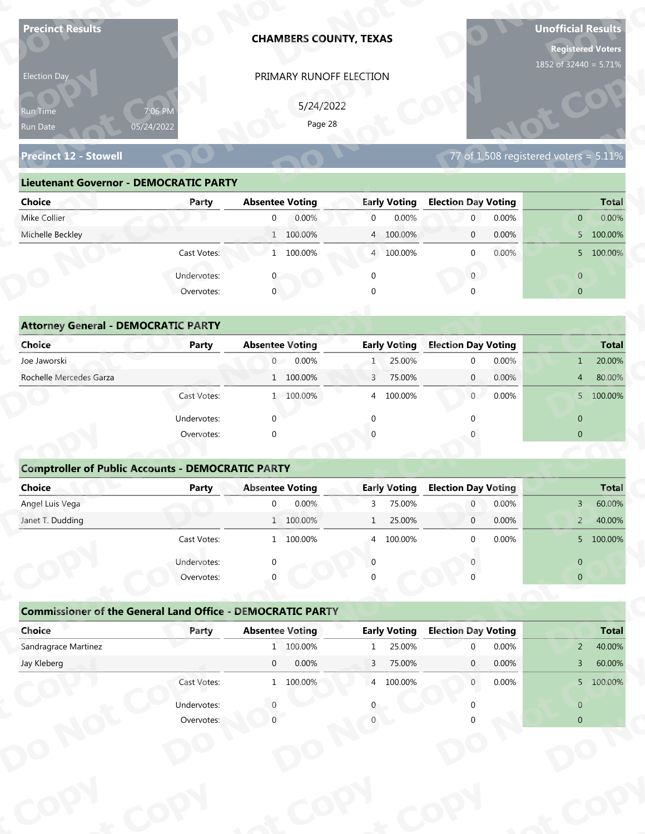| <b>Precinct Results</b>                                           |              | <b>CHAMBERS COUNTY, TEXAS</b> |                           |                            | <b>Unofficial Results</b><br><b>Registered Voters</b><br>1852 of 32440 = 5.71% |
|-------------------------------------------------------------------|--------------|-------------------------------|---------------------------|----------------------------|--------------------------------------------------------------------------------|
| Election Day                                                      |              | PRIMARY RUNOFF ELECTION       |                           |                            |                                                                                |
|                                                                   |              |                               |                           |                            |                                                                                |
| Run Time                                                          | 7:06 PM      | 5/24/2022<br>Page 28          |                           |                            |                                                                                |
| Run Date                                                          | 05/24/2022   |                               |                           |                            |                                                                                |
| <b>Precinct 12 - Stowell</b>                                      |              |                               |                           |                            | 77 of $1,508$ registered voters = $5.11\%$                                     |
| <b>Lieutenant Governor - DEMOCRATIC PARTY</b>                     |              |                               |                           |                            |                                                                                |
| <b>Choice</b>                                                     | Party        | <b>Absentee Voting</b>        | <b>Early Voting</b>       | <b>Election Day Voting</b> | <b>Total</b>                                                                   |
| Mike Collier                                                      |              | 0.00%<br>$\overline{0}$       | 0.00%<br>$\overline{0}$   | 0.00%<br>$\mathbf 0$       | $0.00\%$<br>$\overline{0}$                                                     |
| Michelle Beckley                                                  |              | 1 100.00%                     | 4 100.00%                 | 0.00%<br>$\mathbf 0$       | 5 100.00%                                                                      |
|                                                                   | Cast Votes:  | 1 100.00%                     | 4 100.00%                 | 0.00%<br>$\mathbf 0$       | 5 100.00%                                                                      |
|                                                                   | Undervotes:  |                               | $\Omega$                  | $\overline{0}$             | $\overline{0}$                                                                 |
|                                                                   | Overvotes:   | $\overline{0}$                |                           |                            | $\overline{0}$                                                                 |
|                                                                   |              |                               |                           |                            |                                                                                |
| <b>Attorney General - DEMOCRATIC PARTY</b>                        |              |                               |                           |                            |                                                                                |
| <b>Choice</b>                                                     | Party        | <b>Absentee Voting</b>        | <b>Early Voting</b>       | <b>Election Day Voting</b> | <b>Total</b>                                                                   |
| Joe Jaworski                                                      |              | $\overline{0}$<br>0.00%       | 25.00%<br>$\mathbf{1}$    | 0.00%<br>$\mathbf 0$       | 20.00%<br>$\mathbf{1}$                                                         |
| Rochelle Mercedes Garza                                           |              | 1 100.00%                     | 75.00%<br>3               | 0.00%<br>$\overline{0}$    | 80.00%<br>$\overline{4}$                                                       |
|                                                                   | Cast Votes:  | 1 100.00%                     | 4 100.00%                 | 0.00%<br>$\overline{0}$    | 5 100.00%                                                                      |
|                                                                   | Undervotes:  | $\Omega$                      | $\Omega$                  | $\Omega$                   | $\overline{0}$                                                                 |
|                                                                   | Overvotes:   | $\Omega$                      |                           |                            | $\overline{0}$                                                                 |
|                                                                   |              |                               |                           |                            |                                                                                |
| <b>Comptroller of Public Accounts - DEMOCRATIC PARTY</b>          |              |                               |                           |                            |                                                                                |
| Choice                                                            | <b>Party</b> | <b>Absentee Voting</b>        | <b>Early Voting</b>       | <b>Election Day Voting</b> | <b>Total</b>                                                                   |
| Angel Luis Vega                                                   |              | 0.00%<br>$\overline{0}$       | 75.00%<br>3               | 0.00%<br>$\overline{0}$    | 60.00%<br>$3 -$                                                                |
| Janet T. Dudding                                                  |              | 1 100.00%                     | 25.00%<br>$\mathbf{1}$    | 0.00%<br>$\overline{0}$    | 40.00%<br>$2 -$                                                                |
|                                                                   | Cast Votes:  | 1 100.00%                     | 100.00%<br>$\overline{4}$ | 0.00%<br>$\Omega$          | 5 100.00%                                                                      |
|                                                                   | Undervotes:  | $\Omega$                      | $\Omega$                  |                            | $\overline{0}$                                                                 |
|                                                                   | Overvotes:   |                               |                           |                            | $\overline{0}$                                                                 |
|                                                                   |              |                               |                           |                            |                                                                                |
| <b>Commissioner of the General Land Office - DEMOCRATIC PARTY</b> |              |                               |                           |                            |                                                                                |
| Choice                                                            | Party        | <b>Absentee Voting</b>        | <b>Early Voting</b>       | <b>Election Day Voting</b> | <b>Total</b>                                                                   |
|                                                                   |              | 1 100.00%                     | 25.00%<br>$\mathbf{1}$    | 0.00%<br>$\Omega$          | 40.00%<br>$\overline{2}$                                                       |
| Sandragrace Martinez                                              |              | $\overline{0}$<br>0.00%       | 75.00%<br>$\overline{3}$  | 0.00%<br>$\mathbf{0}$      | 60.00%<br>$\overline{3}$                                                       |
| Jay Kleberg                                                       |              |                               |                           |                            |                                                                                |
|                                                                   | Cast Votes:  | 1 100.00%                     | 4 100.00%                 | 0.00%<br>$\overline{0}$    | 5 100.00%                                                                      |
|                                                                   | Undervotes:  |                               |                           |                            | $\overline{0}$                                                                 |

| 5/24/2022<br>7:06 PM<br><b>Run Time</b><br>Page 28<br>05/24/2022<br>Run Date                                                 |
|------------------------------------------------------------------------------------------------------------------------------|
|                                                                                                                              |
| 77 of 1,508 registered voters = $5.\overline{11\%}$<br><b>Precinct 12 - Stowell</b>                                          |
| <b>Lieutenant Governor - DEMOCRATIC PARTY</b>                                                                                |
| <b>Absentee Voting</b><br><b>Early Voting</b><br><b>Election Day Voting</b><br><b>Choice</b><br><b>Total</b><br>Party        |
| Mike Collier<br>0.00%<br>0.00%<br>0.00%<br>0.00%<br>$\overline{0}$<br>$\overline{0}$<br>$\overline{0}$<br>$\overline{0}$     |
| Michelle Beckley<br>1 100.00%<br>4 100.00%<br>0.00%<br>5 100.00%<br>$\overline{0}$                                           |
| 1 100.00%<br>$0.00\%$<br>5 100.00%<br>Cast Votes:<br>4 100.00%<br>$\Omega$                                                   |
| Undervotes:<br>$\overline{0}$<br>$\overline{0}$                                                                              |
| $\mathbf 0$<br>Overvotes:<br>$\Omega$<br>$\overline{0}$                                                                      |
|                                                                                                                              |
| <b>Attorney General - DEMOCRATIC PARTY</b>                                                                                   |
| <b>Early Voting</b><br><b>Election Day Voting</b><br><b>Choice</b><br><b>Absentee Voting</b><br><b>Total</b><br><b>Party</b> |
| Joe Jaworski<br>0.00%<br>25.00%<br>0.00%<br>20.00%<br>$\overline{0}$<br>$\Omega$<br>$\mathbf{1}$                             |
| Rochelle Mercedes Garza<br>1 100.00%<br>3<br>75.00%<br>$\overline{0}$<br>0.00%<br>80.00%<br>$4\overline{ }$                  |
| $\overline{0}$<br>0.00%<br>5 100.00%<br>1 100.00%<br>100.00%<br>Cast Votes:<br>$\overline{4}$                                |

| 5/24/2022<br>7:06 PM<br>Run Time<br>Page 28<br>05/24/2022<br>Run Date<br>$77$ of 1,508 registered voters = $5.1\overline{1}\%$<br><b>Precinct 12 - Stowell</b><br><b>Lieutenant Governor - DEMOCRATIC PARTY</b><br><b>Absentee Voting</b><br><b>Early Voting</b><br><b>Election Day Voting</b><br><b>Choice</b><br>Party<br>Mike Collier<br>$\mathbf 0$<br>0.00%<br>0.00%<br>$\overline{0}$<br>0.00%<br>$\overline{0}$<br>Michelle Beckley<br>1 100.00%<br>0.00%<br>4 100.00%<br>$\mathbf 0$<br>Cast Votes:<br>1 100.00%<br>4 100.00%<br>0.00%<br>$\mathbf{0}$<br>$\mathbf{0}$<br>Undervotes:<br>$\mathbf 0$<br>0<br>Overvotes:<br>$\mathbf{0}$<br><b>Attorney General - DEMOCRATIC PARTY</b><br><b>Early Voting</b><br><b>Election Day Voting</b><br>Choice<br><b>Absentee Voting</b><br><b>Party</b><br>Joe Jaworski<br>0.00%<br>25.00%<br>0.00%<br>0<br>1<br>$\mathbf 0$<br>Rochelle Mercedes Garza<br>1 100.00%<br>0.00%<br>75.00%<br>$\mathbf{0}$<br>3<br>Cast Votes:<br>1 100.00%<br>100.00%<br>$\overline{0}$<br>0.00%<br>4<br>Undervotes:<br>$\Omega$<br>Overvotes:<br>$\Omega$<br><b>Comptroller of Public Accounts - DEMOCRATIC PARTY</b><br><b>Choice</b><br><b>Absentee Voting</b><br><b>Early Voting</b><br><b>Election Day Voting</b><br><b>Party</b><br>Angel Luis Vega<br>0.00%<br>75.00%<br>0.00%<br>$\mathbf 0$<br>$\overline{0}$<br>3 | <b>Total</b><br>0.00%<br>$\overline{0}$<br>5 100.00%<br>5 100.00%<br>$\overline{0}$<br>$\overline{0}$<br><b>Total</b><br>20.00%<br>$\mathbf{1}$<br>80.00%<br>$\overline{4}$<br>5 100.00%<br>$\mathbf{0}$<br>$\overline{0}$ |
|----------------------------------------------------------------------------------------------------------------------------------------------------------------------------------------------------------------------------------------------------------------------------------------------------------------------------------------------------------------------------------------------------------------------------------------------------------------------------------------------------------------------------------------------------------------------------------------------------------------------------------------------------------------------------------------------------------------------------------------------------------------------------------------------------------------------------------------------------------------------------------------------------------------------------------------------------------------------------------------------------------------------------------------------------------------------------------------------------------------------------------------------------------------------------------------------------------------------------------------------------------------------------------------------------------------------------------------------------------|----------------------------------------------------------------------------------------------------------------------------------------------------------------------------------------------------------------------------|
|                                                                                                                                                                                                                                                                                                                                                                                                                                                                                                                                                                                                                                                                                                                                                                                                                                                                                                                                                                                                                                                                                                                                                                                                                                                                                                                                                          |                                                                                                                                                                                                                            |
|                                                                                                                                                                                                                                                                                                                                                                                                                                                                                                                                                                                                                                                                                                                                                                                                                                                                                                                                                                                                                                                                                                                                                                                                                                                                                                                                                          |                                                                                                                                                                                                                            |
|                                                                                                                                                                                                                                                                                                                                                                                                                                                                                                                                                                                                                                                                                                                                                                                                                                                                                                                                                                                                                                                                                                                                                                                                                                                                                                                                                          |                                                                                                                                                                                                                            |
|                                                                                                                                                                                                                                                                                                                                                                                                                                                                                                                                                                                                                                                                                                                                                                                                                                                                                                                                                                                                                                                                                                                                                                                                                                                                                                                                                          |                                                                                                                                                                                                                            |
|                                                                                                                                                                                                                                                                                                                                                                                                                                                                                                                                                                                                                                                                                                                                                                                                                                                                                                                                                                                                                                                                                                                                                                                                                                                                                                                                                          |                                                                                                                                                                                                                            |
|                                                                                                                                                                                                                                                                                                                                                                                                                                                                                                                                                                                                                                                                                                                                                                                                                                                                                                                                                                                                                                                                                                                                                                                                                                                                                                                                                          |                                                                                                                                                                                                                            |
|                                                                                                                                                                                                                                                                                                                                                                                                                                                                                                                                                                                                                                                                                                                                                                                                                                                                                                                                                                                                                                                                                                                                                                                                                                                                                                                                                          |                                                                                                                                                                                                                            |
|                                                                                                                                                                                                                                                                                                                                                                                                                                                                                                                                                                                                                                                                                                                                                                                                                                                                                                                                                                                                                                                                                                                                                                                                                                                                                                                                                          |                                                                                                                                                                                                                            |
|                                                                                                                                                                                                                                                                                                                                                                                                                                                                                                                                                                                                                                                                                                                                                                                                                                                                                                                                                                                                                                                                                                                                                                                                                                                                                                                                                          |                                                                                                                                                                                                                            |
|                                                                                                                                                                                                                                                                                                                                                                                                                                                                                                                                                                                                                                                                                                                                                                                                                                                                                                                                                                                                                                                                                                                                                                                                                                                                                                                                                          |                                                                                                                                                                                                                            |
|                                                                                                                                                                                                                                                                                                                                                                                                                                                                                                                                                                                                                                                                                                                                                                                                                                                                                                                                                                                                                                                                                                                                                                                                                                                                                                                                                          |                                                                                                                                                                                                                            |
|                                                                                                                                                                                                                                                                                                                                                                                                                                                                                                                                                                                                                                                                                                                                                                                                                                                                                                                                                                                                                                                                                                                                                                                                                                                                                                                                                          |                                                                                                                                                                                                                            |
|                                                                                                                                                                                                                                                                                                                                                                                                                                                                                                                                                                                                                                                                                                                                                                                                                                                                                                                                                                                                                                                                                                                                                                                                                                                                                                                                                          |                                                                                                                                                                                                                            |
|                                                                                                                                                                                                                                                                                                                                                                                                                                                                                                                                                                                                                                                                                                                                                                                                                                                                                                                                                                                                                                                                                                                                                                                                                                                                                                                                                          |                                                                                                                                                                                                                            |
|                                                                                                                                                                                                                                                                                                                                                                                                                                                                                                                                                                                                                                                                                                                                                                                                                                                                                                                                                                                                                                                                                                                                                                                                                                                                                                                                                          |                                                                                                                                                                                                                            |
|                                                                                                                                                                                                                                                                                                                                                                                                                                                                                                                                                                                                                                                                                                                                                                                                                                                                                                                                                                                                                                                                                                                                                                                                                                                                                                                                                          |                                                                                                                                                                                                                            |
|                                                                                                                                                                                                                                                                                                                                                                                                                                                                                                                                                                                                                                                                                                                                                                                                                                                                                                                                                                                                                                                                                                                                                                                                                                                                                                                                                          |                                                                                                                                                                                                                            |
|                                                                                                                                                                                                                                                                                                                                                                                                                                                                                                                                                                                                                                                                                                                                                                                                                                                                                                                                                                                                                                                                                                                                                                                                                                                                                                                                                          |                                                                                                                                                                                                                            |
|                                                                                                                                                                                                                                                                                                                                                                                                                                                                                                                                                                                                                                                                                                                                                                                                                                                                                                                                                                                                                                                                                                                                                                                                                                                                                                                                                          |                                                                                                                                                                                                                            |
|                                                                                                                                                                                                                                                                                                                                                                                                                                                                                                                                                                                                                                                                                                                                                                                                                                                                                                                                                                                                                                                                                                                                                                                                                                                                                                                                                          |                                                                                                                                                                                                                            |
|                                                                                                                                                                                                                                                                                                                                                                                                                                                                                                                                                                                                                                                                                                                                                                                                                                                                                                                                                                                                                                                                                                                                                                                                                                                                                                                                                          |                                                                                                                                                                                                                            |
|                                                                                                                                                                                                                                                                                                                                                                                                                                                                                                                                                                                                                                                                                                                                                                                                                                                                                                                                                                                                                                                                                                                                                                                                                                                                                                                                                          | Total                                                                                                                                                                                                                      |
|                                                                                                                                                                                                                                                                                                                                                                                                                                                                                                                                                                                                                                                                                                                                                                                                                                                                                                                                                                                                                                                                                                                                                                                                                                                                                                                                                          | 60.00%<br>$\mathbf{3}$                                                                                                                                                                                                     |
| 25.00%<br>0.00%<br>Janet T. Dudding<br>1 100.00%<br>$\mathbf{1}$<br>$\mathbf 0$                                                                                                                                                                                                                                                                                                                                                                                                                                                                                                                                                                                                                                                                                                                                                                                                                                                                                                                                                                                                                                                                                                                                                                                                                                                                          | 40.00%<br>$\overline{2}$                                                                                                                                                                                                   |
| 0.00%<br>Cast Votes:<br>1 100.00%<br>4 100.00%<br>$\Omega$                                                                                                                                                                                                                                                                                                                                                                                                                                                                                                                                                                                                                                                                                                                                                                                                                                                                                                                                                                                                                                                                                                                                                                                                                                                                                               | 5 100.00%                                                                                                                                                                                                                  |
| Undervotes:                                                                                                                                                                                                                                                                                                                                                                                                                                                                                                                                                                                                                                                                                                                                                                                                                                                                                                                                                                                                                                                                                                                                                                                                                                                                                                                                              | $\overline{0}$                                                                                                                                                                                                             |
| Overvotes:                                                                                                                                                                                                                                                                                                                                                                                                                                                                                                                                                                                                                                                                                                                                                                                                                                                                                                                                                                                                                                                                                                                                                                                                                                                                                                                                               | $\overline{0}$                                                                                                                                                                                                             |
|                                                                                                                                                                                                                                                                                                                                                                                                                                                                                                                                                                                                                                                                                                                                                                                                                                                                                                                                                                                                                                                                                                                                                                                                                                                                                                                                                          |                                                                                                                                                                                                                            |
| <b>Commissioner of the General Land Office - DEMOCRATIC PARTY</b>                                                                                                                                                                                                                                                                                                                                                                                                                                                                                                                                                                                                                                                                                                                                                                                                                                                                                                                                                                                                                                                                                                                                                                                                                                                                                        |                                                                                                                                                                                                                            |
| <b>Early Voting</b><br>Choice<br><b>Absentee Voting</b><br><b>Election Day Voting</b><br>Party                                                                                                                                                                                                                                                                                                                                                                                                                                                                                                                                                                                                                                                                                                                                                                                                                                                                                                                                                                                                                                                                                                                                                                                                                                                           | <b>Total</b>                                                                                                                                                                                                               |
| Sandragrace Martinez<br>1 100.00%<br>25.00%<br>0.00%<br>1<br>$\Omega$                                                                                                                                                                                                                                                                                                                                                                                                                                                                                                                                                                                                                                                                                                                                                                                                                                                                                                                                                                                                                                                                                                                                                                                                                                                                                    | 40.00%<br>$2^{\circ}$                                                                                                                                                                                                      |
| 0.00%<br>75.00%<br>Jay Kleberg<br>$\overline{0}$<br>$\overline{3}$<br>0.00%<br>$\mathbf{0}$                                                                                                                                                                                                                                                                                                                                                                                                                                                                                                                                                                                                                                                                                                                                                                                                                                                                                                                                                                                                                                                                                                                                                                                                                                                              | 60.00%<br>3 <sup>7</sup>                                                                                                                                                                                                   |
| Cast Votes:<br>4 100.00%<br>1 100.00%<br>0.00%<br>$\overline{0}$                                                                                                                                                                                                                                                                                                                                                                                                                                                                                                                                                                                                                                                                                                                                                                                                                                                                                                                                                                                                                                                                                                                                                                                                                                                                                         | 5 100.00%                                                                                                                                                                                                                  |
| Undervotes:                                                                                                                                                                                                                                                                                                                                                                                                                                                                                                                                                                                                                                                                                                                                                                                                                                                                                                                                                                                                                                                                                                                                                                                                                                                                                                                                              | $\mathbf{0}$                                                                                                                                                                                                               |
| Overvotes:                                                                                                                                                                                                                                                                                                                                                                                                                                                                                                                                                                                                                                                                                                                                                                                                                                                                                                                                                                                                                                                                                                                                                                                                                                                                                                                                               | $\overline{0}$                                                                                                                                                                                                             |

### **Comptroller of Public Accounts - DEMOCRATIC PARTY**

| Choice                                                                      | Party        | <b>Absentee Voting</b> |           |                | <b>Early Voting</b> | <b>Election Day Voting</b> |       |                | <b>Total</b> |
|-----------------------------------------------------------------------------|--------------|------------------------|-----------|----------------|---------------------|----------------------------|-------|----------------|--------------|
| Joe Jaworski                                                                |              |                        | $0$ 0.00% | 1              | 25.00%              | $\mathbf{0}$               | 0.00% | $\mathbf{1}$   | 20.00%       |
| Rochelle Mercedes Garza                                                     |              |                        | 1 100.00% | $\overline{3}$ | 75.00%              | $\mathbf{0}$               | 0.00% | $\overline{4}$ | 80.00%       |
|                                                                             | Cast Votes:  |                        | 1 100.00% |                | 4 100.00%           | $\overline{0}$             | 0.00% |                | 5 100.00%    |
|                                                                             | Undervotes:  | ∩                      |           | ∩              |                     | $\Omega$                   |       | $\mathbf{0}$   |              |
|                                                                             | Overvotes:   | $\Omega$               |           |                |                     |                            |       | $\mathbf{0}$   |              |
|                                                                             |              |                        |           |                |                     |                            |       |                |              |
| <b>Comptroller of Public Accounts - DEMOCRATIC PARTY</b>                    |              |                        |           |                |                     |                            |       |                |              |
| <b>Choice</b>                                                               | <b>Party</b> | <b>Absentee Voting</b> |           |                | <b>Early Voting</b> | <b>Election Day Voting</b> |       |                | <b>Total</b> |
| Angel Luis Vega                                                             |              | $\Omega$               | 0.00%     | 3              | 75.00%              | $\overline{0}$             | 0.00% | $\overline{3}$ | 60.00%       |
| Janet T. Dudding                                                            |              |                        | 1 100.00% | 1              | 25.00%              | $\overline{0}$             | 0.00% | 2 <sup>2</sup> | 40.00%       |
|                                                                             | Cast Votes:  |                        | 1 100.00% |                | 4 100.00%           | $\mathbf{0}$               | 0.00% |                | 5 100.00%    |
|                                                                             |              |                        |           |                |                     |                            |       |                |              |
|                                                                             | Undervotes:  | ∩                      |           | U              |                     |                            |       | $\mathbf{0}$   |              |
|                                                                             | Overvotes:   |                        |           |                |                     |                            |       | $\mathbf 0$    |              |
|                                                                             |              |                        |           |                |                     |                            |       |                |              |
| <b>Commissioner of the General Land Office - DEMOCRATIC PARTY</b><br>Choice | Party        | <b>Absentee Voting</b> |           |                | <b>Early Voting</b> | <b>Election Day Voting</b> |       |                | <b>Total</b> |
| Sandragrace Martinez                                                        |              |                        | 1 100.00% | $\mathbf{1}$   | 25.00%              | $\mathbf{0}$               | 0.00% | 2 <sup>7</sup> | 40.00%       |
| Jay Kleberg                                                                 |              | $\mathbf 0$            | 0.00%     | $\overline{3}$ | 75.00%              | $\mathbf{0}$               | 0.00% | $\overline{3}$ | 60.00%       |
|                                                                             | Cast Votes:  |                        | 1 100.00% |                | 4 100.00%           | $\mathbf{0}$               | 0.00% |                | 5 100.00%    |
|                                                                             | Undervotes:  |                        |           |                |                     | <sup>n</sup>               |       | $\overline{0}$ |              |

|                                                                   | Cast votes. | ÷.                     | TOO'OO XQ | 4              | TOO'OO XQ           |                            | <b>U.UU70</b> | $\mathcal{P}$  | LUU.UU 70    |
|-------------------------------------------------------------------|-------------|------------------------|-----------|----------------|---------------------|----------------------------|---------------|----------------|--------------|
|                                                                   | Undervotes: | $\Omega$               |           | 0              |                     |                            |               | $\Omega$       |              |
|                                                                   | Overvotes:  | $\Omega$               |           | 0              |                     |                            |               | $\overline{0}$ |              |
|                                                                   |             |                        |           |                |                     |                            |               |                |              |
| <b>Commissioner of the General Land Office - DEMOCRATIC PARTY</b> |             |                        |           |                |                     |                            |               |                |              |
| Choice                                                            | Party       | <b>Absentee Voting</b> |           |                | <b>Early Voting</b> | <b>Election Day Voting</b> |               |                | <b>Total</b> |
| Sandragrace Martinez                                              |             |                        | 1 100.00% | $\mathbf{1}$   | 25.00%              | $\Omega$                   | 0.00%         | $\overline{2}$ | 40.00%       |
| Jay Kleberg                                                       |             | $\mathbf 0$            | 0.00%     | 3              | 75.00%              | $\mathbf{0}$               | $0.00\%$      | 3              | 60.00%       |
|                                                                   | Cast Votes: |                        | 1 100.00% | $\overline{4}$ | 100.00%             | $\mathbf{0}$               | $0.00\%$      | 5 <sup>1</sup> | 100.00%      |
|                                                                   | Undervotes: |                        |           | 0              |                     |                            |               | $\overline{0}$ |              |
|                                                                   | Overvotes:  |                        |           |                |                     |                            |               | $\overline{0}$ |              |
|                                                                   |             |                        |           |                |                     |                            |               |                |              |
|                                                                   |             |                        |           |                |                     |                            |               |                |              |
|                                                                   |             |                        |           |                |                     |                            |               |                |              |
|                                                                   |             |                        |           |                |                     |                            |               |                |              |
|                                                                   |             |                        |           |                |                     |                            |               |                |              |
|                                                                   |             |                        |           |                |                     |                            |               |                |              |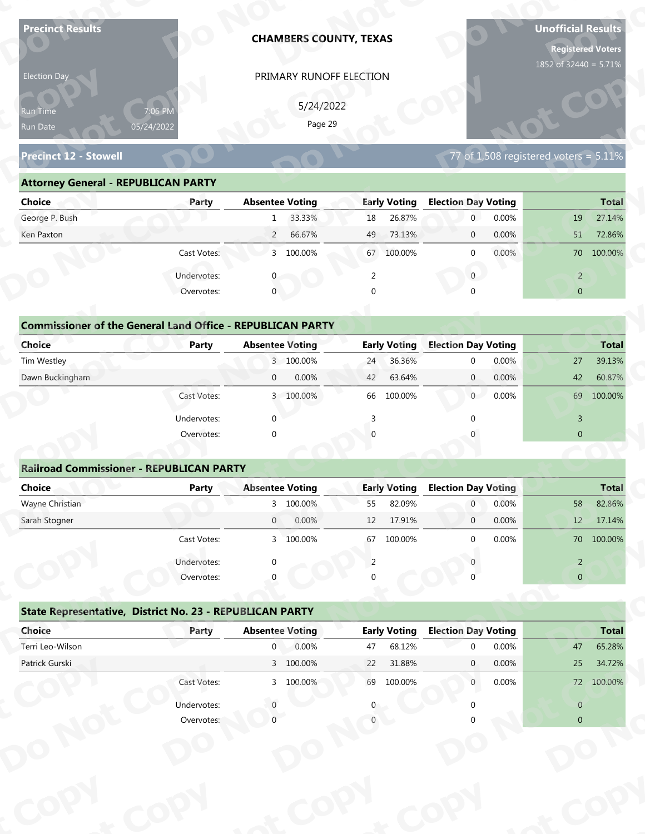| <b>Precinct Results</b>                                           |              |                        | <b>CHAMBERS COUNTY, TEXAS</b> |                |                     |                                  |                | <b>Unofficial Results</b><br><b>Registered Voters</b><br>1852 of 32440 = 5.71% |              |
|-------------------------------------------------------------------|--------------|------------------------|-------------------------------|----------------|---------------------|----------------------------------|----------------|--------------------------------------------------------------------------------|--------------|
| Election Day                                                      |              |                        | PRIMARY RUNOFF ELECTION       |                |                     |                                  |                |                                                                                |              |
|                                                                   |              |                        |                               |                |                     |                                  |                |                                                                                |              |
| Run Time                                                          | 7:06 PM      |                        | 5/24/2022<br>Page 29          |                |                     |                                  |                |                                                                                |              |
| Run Date                                                          | 05/24/2022   |                        |                               |                |                     |                                  |                |                                                                                |              |
| <b>Precinct 12 - Stowell</b>                                      |              |                        |                               |                |                     |                                  |                | 77 of $1,508$ registered voters = $5.11\%$                                     |              |
| <b>Attorney General - REPUBLICAN PARTY</b>                        |              |                        |                               |                |                     |                                  |                |                                                                                |              |
| <b>Choice</b>                                                     | Party        | <b>Absentee Voting</b> |                               |                | <b>Early Voting</b> | <b>Election Day Voting</b>       |                |                                                                                | <b>Total</b> |
| George P. Bush                                                    |              | 1                      | 33.33%                        | 18             | 26.87%              | $\mathbf 0$                      | 0.00%          | 19                                                                             | 27.14%       |
| Ken Paxton                                                        |              | $\overline{2}$         | 66.67%                        | 49             | 73.13%              | $\mathbf 0$                      | 0.00%          | 51                                                                             | 72.86%       |
|                                                                   | Cast Votes:  |                        | 3 100.00%                     | 67             | 100.00%             | $\mathbf 0$                      | 0.00%          |                                                                                | 70 100.00%   |
|                                                                   | Undervotes:  |                        |                               | 2              |                     | $\overline{0}$                   |                | $\overline{2}$                                                                 |              |
|                                                                   | Overvotes:   | $\mathbf{0}$           |                               | $\Omega$       |                     |                                  |                | $\overline{0}$                                                                 |              |
|                                                                   |              |                        |                               |                |                     |                                  |                |                                                                                |              |
| <b>Commissioner of the General Land Office - REPUBLICAN PARTY</b> |              |                        |                               |                |                     |                                  |                |                                                                                |              |
| <b>Choice</b>                                                     | <b>Party</b> | <b>Absentee Voting</b> |                               |                | <b>Early Voting</b> | <b>Election Day Voting</b>       |                |                                                                                | <b>Total</b> |
| Tim Westley                                                       |              |                        | 3 100.00%                     | 24             | 36.36%              | $\mathbf 0$                      | 0.00%          | 27                                                                             | 39.13%       |
| Dawn Buckingham                                                   |              | $\overline{0}$         | 0.00%                         | 42             | 63.64%              | $\overline{0}$                   | 0.00%          | 42                                                                             | 60.87%       |
|                                                                   | Cast Votes:  |                        | 3 100.00%                     |                | 66 100.00%          | 0                                | 0.00%          |                                                                                | 69 100.00%   |
|                                                                   | Undervotes:  | $\Omega$               |                               | $\overline{3}$ |                     | $\Omega$                         |                | $\overline{3}$                                                                 |              |
|                                                                   | Overvotes:   | $\Omega$               |                               |                |                     |                                  |                | $\overline{0}$                                                                 |              |
|                                                                   |              |                        |                               |                |                     |                                  |                |                                                                                |              |
| <b>Railroad Commissioner - REPUBLICAN PARTY</b>                   |              |                        |                               |                |                     |                                  |                |                                                                                |              |
| <b>Choice</b>                                                     | <b>Party</b> | <b>Absentee Voting</b> |                               |                | <b>Early Voting</b> | <b>Election Day Voting</b>       |                |                                                                                | <b>Total</b> |
| Wayne Christian<br>Sarah Stogner                                  |              | $\overline{0}$         | 3 100.00%<br>0.00%            | 55             | 82.09%<br>17.91%    | $\overline{0}$<br>$\overline{0}$ | 0.00%<br>0.00% | 58                                                                             | 82.86%       |
|                                                                   |              |                        |                               | 12             |                     |                                  |                | 12                                                                             | 17.14%       |
|                                                                   | Cast Votes:  |                        | 3 100.00%                     | 67             | 100.00%             | $\Omega$                         | 0.00%          |                                                                                | 70 100.00%   |
|                                                                   | Undervotes:  |                        |                               | 2              |                     |                                  |                | $\overline{2}$                                                                 |              |
|                                                                   | Overvotes:   |                        |                               |                |                     |                                  |                | $\overline{0}$                                                                 |              |
|                                                                   |              |                        |                               |                |                     |                                  |                |                                                                                |              |
| State Representative, District No. 23 - REPUBLICAN PARTY          |              |                        |                               |                |                     |                                  |                |                                                                                |              |
| Choice                                                            | Party        | <b>Absentee Voting</b> |                               |                | <b>Early Voting</b> | <b>Election Day Voting</b>       |                |                                                                                | <b>Total</b> |
| Terri Leo-Wilson                                                  |              | $\overline{0}$         | 0.00%                         | 47             | 68.12%              | $\Omega$                         | 0.00%          | 47                                                                             | 65.28%       |
| Patrick Gurski                                                    |              |                        | 3 100.00%                     | 22             | 31.88%              | $\mathbf{0}$                     | 0.00%          | 25                                                                             | 34.72%       |
|                                                                   | Cast Votes:  |                        | 3 100.00%                     |                | 69 100.00%          | $\overline{0}$                   | 0.00%          |                                                                                | 72 100.00%   |
|                                                                   | Undervotes:  |                        |                               |                |                     |                                  |                | $\overline{0}$                                                                 |              |

| Election Day                                                      |                       | PRIMARY RUNOFF ELECTION  |                     |                                            |                |
|-------------------------------------------------------------------|-----------------------|--------------------------|---------------------|--------------------------------------------|----------------|
| <b>Run Time</b><br>Run Date                                       | 7:06 PM<br>05/24/2022 | 5/24/2022<br>Page 29     |                     |                                            |                |
| <b>Precinct 12 - Stowell</b>                                      |                       |                          |                     | 77 of $1,508$ registered voters = $5.11\%$ |                |
| <b>Attorney General - REPUBLICAN PARTY</b>                        |                       |                          |                     |                                            |                |
| <b>Choice</b>                                                     | Party                 | <b>Absentee Voting</b>   | <b>Early Voting</b> | <b>Election Day Voting</b>                 | <b>Total</b>   |
| George P. Bush                                                    |                       | 33.33%<br>$\mathbf{1}$   | 26.87%<br>18        | 0.00%<br>$\overline{0}$                    | 27.14%<br>19   |
| Ken Paxton                                                        |                       | 66.67%<br>$\overline{2}$ | 73.13%<br>49        | 0.00%<br>$\overline{0}$                    | 72.86%<br>51   |
|                                                                   | Cast Votes:           | 3 100.00%                | 67<br>100.00%       | $0.00\%$<br>$\Omega$                       | 70 100.00%     |
|                                                                   | Undervotes:           |                          | 2                   | $\overline{0}$                             | $\overline{2}$ |
|                                                                   | Overvotes:            | $\mathbf 0$              | $\Omega$            |                                            | $\overline{0}$ |
|                                                                   |                       |                          |                     |                                            |                |
| <b>Commissioner of the General Land Office - REPUBLICAN PARTY</b> |                       |                          |                     |                                            |                |
| <b>Choice</b>                                                     | <b>Party</b>          | <b>Absentee Voting</b>   | <b>Early Voting</b> | <b>Election Day Voting</b>                 | <b>Total</b>   |
| Tim Westley                                                       |                       | 3 100.00%                | 36.36%<br>24        | 0.00%<br>$\Omega$                          | 27<br>39.13%   |
| Dawn Buckingham                                                   |                       | 0.00%<br>$\overline{0}$  | 63.64%<br>42        | $\overline{0}$<br>0.00%                    | 42<br>60.87%   |
|                                                                   | Cast Votes:           | 3 100.00%                | 100.00%<br>66       | $\overline{0}$<br>0.00%                    | 100.00%<br>69  |
|                                                                   |                       |                          |                     |                                            |                |

| <b>Choice</b>                                                               | Party       | <b>Absentee Voting</b>   | <b>Early Voting</b> | <b>Election Day Voting</b> | <b>Total</b>   |
|-----------------------------------------------------------------------------|-------------|--------------------------|---------------------|----------------------------|----------------|
| George P. Bush                                                              |             | 33.33%<br>$\mathbf{1}$   | 26.87%<br>18        | 0.00%<br>$\overline{0}$    | 27.14%<br>19   |
| Ken Paxton                                                                  |             | 66.67%<br>$\overline{2}$ | 73.13%<br>49        | 0.00%<br>$\mathbf 0$       | 51<br>72.86%   |
|                                                                             | Cast Votes: | 100.00%<br>3             | 100.00%<br>67       | 0.00%<br>$\mathbf 0$       | 70 100.00%     |
|                                                                             | Undervotes: | $\Omega$                 | 2                   | $\mathbf{0}$               | $\overline{2}$ |
|                                                                             | Overvotes:  | $\mathbf{0}$             | 0                   | $\Omega$                   | $\overline{0}$ |
| <b>Commissioner of the General Land Office - REPUBLICAN PARTY</b><br>Choice | Party       | <b>Absentee Voting</b>   | <b>Early Voting</b> | <b>Election Day Voting</b> | <b>Total</b>   |
| Tim Westley                                                                 |             | 3 100.00%                | 36.36%<br>24        | 0.00%<br>$\mathbf{0}$      | 39.13%<br>27   |
| Dawn Buckingham                                                             |             | 0.00%<br>$\mathbf{0}$    | 42<br>63.64%        | 0.00%<br>$\overline{0}$    | 42<br>60.87%   |
|                                                                             | Cast Votes: | 100.00%<br>$\mathbf{3}$  | 66 100.00%          | 0.00%<br>$\overline{0}$    | 69<br>100.00%  |
|                                                                             | Undervotes: | $\mathbf{0}$             |                     |                            | $\overline{3}$ |
|                                                                             | Overvotes:  | $\mathbf{0}$             | $\Omega$            |                            | $\mathbf{0}$   |
|                                                                             |             |                          |                     |                            |                |
| <b>Railroad Commissioner - REPUBLICAN PARTY</b>                             |             |                          |                     |                            |                |
| Choice                                                                      | Party       | <b>Absentee Voting</b>   | <b>Early Voting</b> | <b>Election Day Voting</b> | <b>Total</b>   |
| Wayne Christian                                                             |             | 3 100.00%                | 82.09%<br>55        | 0.00%<br>$\overline{0}$    | 58<br>82.86%   |
| Carole Champan                                                              |             | 0.0001<br>$\cap$         | 12.7010             | 0.000<br>$\sim$            | 171101<br>12   |

|                                                                   |                           | PRIMARY RUNOFF ELECTION  |                     |                                                     |                                         |
|-------------------------------------------------------------------|---------------------------|--------------------------|---------------------|-----------------------------------------------------|-----------------------------------------|
|                                                                   |                           | 5/24/2022                |                     |                                                     |                                         |
| Run Time<br>Run Date                                              | 7:06 PM<br>05/24/2022     | Page 29                  |                     |                                                     |                                         |
|                                                                   |                           |                          |                     |                                                     |                                         |
| <b>Precinct 12 - Stowell</b>                                      |                           |                          |                     | 77 of 1,508 registered voters = $5.\overline{11\%}$ |                                         |
| <b>Attorney General - REPUBLICAN PARTY</b>                        |                           |                          |                     |                                                     |                                         |
| <b>Choice</b>                                                     | Party                     | <b>Absentee Voting</b>   | <b>Early Voting</b> | <b>Election Day Voting</b>                          | <b>Total</b>                            |
| George P. Bush                                                    |                           | 33.33%<br>1              | 26.87%<br>18        | $\overline{0}$<br>0.00%                             | 27.14%<br>19                            |
| Ken Paxton                                                        |                           | 66.67%<br>$\overline{2}$ | 73.13%<br>49        | 0.00%<br>$\mathbf{0}$                               | 51<br>72.86%                            |
|                                                                   | Cast Votes:               | 3 100.00%                | 67 100.00%          | 0.00%<br>$\mathbf{0}$                               | 70 100.00%                              |
|                                                                   | Undervotes:               | $\mathbf{0}$             | 2                   | $\overline{0}$                                      | $\overline{2}$                          |
|                                                                   | Overvotes:                | $\mathbf{0}$             | $\Omega$            |                                                     | $\overline{0}$                          |
|                                                                   |                           |                          |                     |                                                     |                                         |
| <b>Commissioner of the General Land Office - REPUBLICAN PARTY</b> |                           |                          |                     |                                                     |                                         |
| Choice                                                            | Party                     | <b>Absentee Voting</b>   | <b>Early Voting</b> | <b>Election Day Voting</b>                          | <b>Total</b>                            |
| Tim Westley                                                       |                           | 3 100.00%                | 36.36%<br>24        | 0.00%<br>$\mathbf 0$                                | 39.13%<br>27                            |
| Dawn Buckingham                                                   |                           | 0.00%<br>$\mathbf{0}$    | 63.64%<br>42        | 0.00%<br>$\mathbf{0}$                               | 60.87%<br>42                            |
|                                                                   | Cast Votes:               | 3 100.00%                | 100.00%<br>66       | $\overline{0}$<br>0.00%                             | 69 100.00%                              |
|                                                                   | Undervotes:               | $\Omega$                 |                     |                                                     | 3                                       |
|                                                                   | Overvotes:                | $\Omega$                 |                     |                                                     | $\overline{0}$                          |
|                                                                   |                           |                          |                     |                                                     |                                         |
|                                                                   |                           |                          |                     |                                                     |                                         |
| <b>Railroad Commissioner - REPUBLICAN PARTY</b>                   |                           |                          |                     |                                                     |                                         |
| <b>Choice</b>                                                     | <b>Party</b>              | <b>Absentee Voting</b>   | <b>Early Voting</b> | <b>Election Day Voting</b>                          |                                         |
| Wayne Christian                                                   |                           | 3 100.00%                | 82.09%<br>55        | 0.00%<br>$\overline{0}$                             | 58                                      |
| Sarah Stogner                                                     |                           | 0.00%<br>$\overline{0}$  | 17.91%<br>12        | 0.00%<br>$\mathbf 0$                                | 12                                      |
|                                                                   | Cast Votes:               | 3 100.00%                | 67 100.00%          | 0.00%<br>$\Omega$                                   |                                         |
|                                                                   |                           |                          | 2                   |                                                     | $\overline{2}$                          |
|                                                                   | Undervotes:<br>Overvotes: |                          |                     |                                                     | $\overline{0}$                          |
|                                                                   |                           |                          |                     |                                                     | Total<br>82.86%<br>17.14%<br>70 100,00% |
| State Representative, District No. 23 - REPUBLICAN PARTY          |                           |                          |                     |                                                     |                                         |
| Choice                                                            | Party                     | <b>Absentee Voting</b>   | <b>Early Voting</b> | <b>Election Day Voting</b>                          |                                         |
| Terri Leo-Wilson                                                  |                           | 0.00%<br>$\overline{0}$  | 68.12%<br>47        | 0.00%<br>$\Omega$                                   | 47                                      |
| Patrick Gurski                                                    |                           | 3 100.00%                | 22<br>31.88%        | 0.00%<br>$\mathbf{0}$                               | <b>Total</b><br>65.28%<br>25<br>34.72%  |
|                                                                   | Cast Votes:               | 3 100.00%                | 69 100.00%          | 0.00%<br>$\overline{0}$                             | 72 100.00%                              |
|                                                                   | Undervotes:               |                          |                     |                                                     | $\overline{0}$                          |

## **State Representative, District No. 23 - REPUBLICAN PARTY o**

|             |             |       |                                                                                                              |                                        |                                 |          |                                             | 70 100.00%   |
|-------------|-------------|-------|--------------------------------------------------------------------------------------------------------------|----------------------------------------|---------------------------------|----------|---------------------------------------------|--------------|
| Undervotes: | $\Omega$    |       |                                                                                                              |                                        |                                 |          | $\overline{2}$                              |              |
| Overvotes:  | $\Omega$    |       | 0                                                                                                            |                                        |                                 |          | $\overline{0}$                              |              |
|             |             |       |                                                                                                              |                                        |                                 |          |                                             |              |
| Party       |             |       |                                                                                                              |                                        |                                 |          |                                             | <b>Total</b> |
|             | $\mathbf 0$ | 0.00% | 47                                                                                                           | 68.12%                                 | $\Omega$                        | 0.00%    | 47                                          | 65.28%       |
|             |             |       | 22                                                                                                           | 31.88%                                 | $\mathbf{0}$                    | $0.00\%$ | 25                                          | 34.72%       |
| Cast Votes: |             |       | 69                                                                                                           | 100.00%                                | $\mathbf{0}$                    | $0.00\%$ | 72                                          | 100.00%      |
| Undervotes: |             |       | 0                                                                                                            |                                        |                                 |          | $\overline{0}$                              |              |
| Overvotes:  |             |       |                                                                                                              |                                        |                                 |          | $\overline{0}$                              |              |
|             |             |       |                                                                                                              |                                        |                                 |          |                                             |              |
|             |             |       |                                                                                                              |                                        |                                 |          |                                             |              |
|             |             |       |                                                                                                              |                                        |                                 |          |                                             |              |
|             |             |       |                                                                                                              |                                        |                                 |          |                                             |              |
|             |             |       |                                                                                                              |                                        |                                 |          |                                             |              |
|             | Cast votes. |       | State Representative, District No. 23 - REPUBLICAN PARTY<br><b>Absentee Voting</b><br>3 100.00%<br>3 100.00% | $\mathcal{P}$<br>TOO'OO XQ<br>$\sigma$ | LUU.UU70<br><b>Early Voting</b> |          | <b>U.UU70</b><br><b>Election Day Voting</b> |              |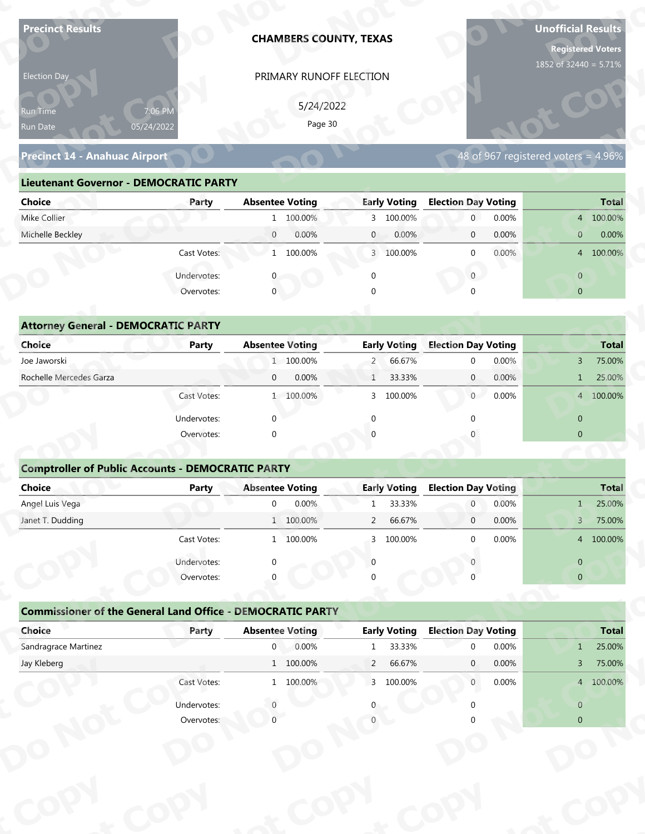| <b>Precinct Results</b>                                                     |                           |                                          |           | <b>CHAMBERS COUNTY, TEXAS</b> |                               |                                        |       | <b>Unofficial Results</b><br><b>Registered Voters</b> |                        |
|-----------------------------------------------------------------------------|---------------------------|------------------------------------------|-----------|-------------------------------|-------------------------------|----------------------------------------|-------|-------------------------------------------------------|------------------------|
| Election Day                                                                |                           |                                          |           | PRIMARY RUNOFF ELECTION       |                               |                                        |       | 1852 of 32440 = 5.71%                                 |                        |
|                                                                             |                           |                                          |           |                               |                               |                                        |       |                                                       |                        |
| Run Time                                                                    | 7:06 PM                   |                                          | 5/24/2022 |                               |                               |                                        |       |                                                       |                        |
| Run Date                                                                    | 05/24/2022                |                                          | Page 30   |                               |                               |                                        |       |                                                       |                        |
| <b>Precinct 14 - Anahuac Airport</b>                                        |                           |                                          |           |                               |                               |                                        |       | 48 of 967 registered voters = 4.96%                   |                        |
| <b>Lieutenant Governor - DEMOCRATIC PARTY</b>                               |                           |                                          |           |                               |                               |                                        |       |                                                       |                        |
| <b>Choice</b>                                                               | Party                     | <b>Absentee Voting</b>                   |           |                               | <b>Early Voting</b>           | <b>Election Day Voting</b>             |       |                                                       | <b>Total</b>           |
| Mike Collier                                                                |                           |                                          | 1 100.00% |                               | 3 100.00%                     | $\mathbf 0$                            | 0.00% |                                                       | 4 100.00%              |
| Michelle Beckley                                                            |                           | $\overline{0}$                           | 0.00%     | $\mathbf{0}$                  | 0.00%                         | $\mathbf 0$                            | 0.00% | $\mathbf{0}$                                          | 0.00%                  |
|                                                                             | Cast Votes:               |                                          | 1 100.00% |                               | 3 100.00%                     | $\mathbf 0$                            | 0.00% |                                                       | 4 100.00%              |
|                                                                             | Undervotes:               |                                          |           | $\mathbf 0$                   |                               | $\overline{0}$                         |       | $\overline{0}$                                        |                        |
|                                                                             | Overvotes:                | $\overline{0}$                           |           |                               |                               |                                        |       | $\overline{0}$                                        |                        |
|                                                                             |                           |                                          |           |                               |                               |                                        |       |                                                       |                        |
| <b>Attorney General - DEMOCRATIC PARTY</b>                                  |                           |                                          |           |                               |                               |                                        |       |                                                       |                        |
| <b>Choice</b>                                                               | <b>Party</b>              | <b>Absentee Voting</b>                   |           |                               | <b>Early Voting</b>           | <b>Election Day Voting</b>             |       |                                                       | <b>Total</b>           |
| Joe Jaworski                                                                |                           |                                          | 1 100.00% | $\overline{2}$                | 66.67%                        | $\mathbf 0$                            | 0.00% | $\mathbf{3}$                                          | 75.00%                 |
| Rochelle Mercedes Garza                                                     |                           | $\mathbf{0}$                             | 0.00%     | $\mathbf{1}$                  | 33.33%                        | $\overline{0}$                         | 0.00% | $\mathbf{1}$                                          | 25.00%                 |
|                                                                             | Cast Votes:               |                                          | 1 100.00% |                               | 3 100.00%                     | 0                                      | 0.00% |                                                       | 4 100.00%              |
|                                                                             | Undervotes:               | $\Omega$                                 |           | $\Omega$                      |                               | $\Omega$                               |       | $\overline{0}$                                        |                        |
|                                                                             | Overvotes:                | $\Omega$                                 |           |                               |                               |                                        |       | $\overline{0}$                                        |                        |
|                                                                             |                           |                                          |           |                               |                               |                                        |       |                                                       |                        |
| <b>Comptroller of Public Accounts - DEMOCRATIC PARTY</b>                    |                           |                                          |           |                               |                               |                                        |       |                                                       |                        |
| Choice                                                                      | <b>Party</b>              | <b>Absentee Voting</b>                   |           |                               | <b>Early Voting</b>           | <b>Election Day Voting</b>             |       |                                                       | <b>Total</b>           |
| Angel Luis Vega                                                             |                           | $\overline{0}$                           | 0.00%     | $\mathbf{1}$                  | 33.33%                        | $\overline{0}$                         | 0.00% | $1 -$                                                 | 25.00%                 |
| Janet T. Dudding                                                            |                           |                                          | 1 100.00% | $\overline{2}$                | 66.67%                        | $\overline{0}$                         | 0.00% | 3 <sup>7</sup>                                        | 75.00%                 |
|                                                                             | Cast Votes:               |                                          | 1 100.00% | 3                             | 100.00%                       | $\Omega$                               | 0.00% |                                                       | 4 100.00%              |
|                                                                             | Undervotes:               | ∩                                        |           | $\Omega$                      |                               |                                        |       | $\overline{0}$                                        |                        |
|                                                                             | Overvotes:                |                                          |           |                               |                               |                                        |       | $\overline{0}$                                        |                        |
|                                                                             |                           |                                          |           |                               |                               |                                        |       |                                                       |                        |
| <b>Commissioner of the General Land Office - DEMOCRATIC PARTY</b><br>Choice |                           |                                          |           |                               |                               |                                        |       |                                                       |                        |
| Sandragrace Martinez                                                        | Party                     | <b>Absentee Voting</b><br>$\overline{0}$ | 0.00%     | $\mathbf{1}$                  | <b>Early Voting</b><br>33.33% | <b>Election Day Voting</b><br>$\Omega$ | 0.00% | $\mathbf{1}$                                          | <b>Total</b><br>25.00% |
| Jay Kleberg                                                                 |                           |                                          | 1 100.00% | $\overline{2}$                | 66.67%                        | $\mathbf{0}$                           | 0.00% | $\overline{3}$                                        | 75.00%                 |
|                                                                             | Cast Votes:               |                                          | 1 100.00% |                               | 3 100.00%                     | $\overline{0}$                         | 0.00% |                                                       | 4 100.00%              |
|                                                                             |                           |                                          |           |                               |                               |                                        |       |                                                       |                        |
|                                                                             |                           |                                          |           |                               |                               |                                        |       |                                                       |                        |
|                                                                             | Undervotes:<br>Overvotes: |                                          |           |                               |                               |                                        |       | $\overline{0}$<br>$\overline{0}$                      |                        |

### **Precinct 14 - Anahuac Airport**

### **Lieutenant Governor - DEMOCRATIC PARTY**

| 5/24/2022<br>7:06 PM<br><b>Run Time</b><br>Page 30<br>05/24/2022<br>Run Date                                                 |
|------------------------------------------------------------------------------------------------------------------------------|
| 48 of 967 registered voters = 4.96%<br><b>Precinct 14 - Anahuac Airport</b>                                                  |
| <b>Lieutenant Governor - DEMOCRATIC PARTY</b>                                                                                |
| <b>Absentee Voting</b><br><b>Early Voting</b><br><b>Election Day Voting</b><br><b>Choice</b><br><b>Total</b><br>Party        |
| Mike Collier<br>1 100.00%<br>3 100.00%<br>0.00%<br>4 100.00%<br>$\overline{0}$                                               |
| Michelle Beckley<br>0.00%<br>0.00%<br>0.00%<br>0.00%<br>$\overline{0}$<br>$\overline{0}$<br>$\overline{0}$<br>$\mathbf{0}$   |
| 1 100.00%<br>$0.00\%$<br>4 100.00%<br>Cast Votes:<br>3 100.00%<br>$\Omega$                                                   |
| Undervotes:<br>$\overline{0}$<br>$\overline{0}$                                                                              |
| $\mathbf 0$<br>Overvotes:<br>$\Omega$<br>$\overline{0}$                                                                      |
|                                                                                                                              |
| <b>Attorney General - DEMOCRATIC PARTY</b>                                                                                   |
| <b>Early Voting</b><br><b>Election Day Voting</b><br><b>Choice</b><br><b>Absentee Voting</b><br><b>Total</b><br><b>Party</b> |
| Joe Jaworski<br>1 100.00%<br>66.67%<br>0.00%<br>75.00%<br>$2 -$<br>$\Omega$<br>3                                             |
| Rochelle Mercedes Garza<br>0.00%<br>33.33%<br>$\overline{0}$<br>0.00%<br>25.00%<br>$\overline{0}$<br>$\mathbf{1}$            |
| $\overline{0}$<br>0.00%<br>4 100.00%<br>1 100.00%<br>100.00%<br>Cast Votes:<br>3                                             |

| 5/24/2022<br>7:06 PM<br>Run Time<br>Page 30<br>05/24/2022<br>Run Date<br>48 of 967 registered voters = 4.96%<br><b>Precinct 14 - Anahuac Airport</b><br><b>Lieutenant Governor - DEMOCRATIC PARTY</b><br><b>Absentee Voting</b><br><b>Early Voting</b><br><b>Election Day Voting</b><br><b>Choice</b><br>Party<br>Mike Collier<br>1 100.00%<br>3 100.00%<br>$\overline{0}$<br>0.00%<br>Michelle Beckley<br>$\overline{0}$<br>0.00%<br>0.00%<br>0.00%<br>$\mathbf{0}$<br>$\mathbf 0$<br>$\overline{0}$<br>Cast Votes:<br>1 100.00%<br>3 100.00%<br>0.00%<br>$\mathbf{0}$<br>$\overline{0}$<br>Undervotes:<br>$\overline{0}$<br>$\mathbf 0$<br>0<br>Overvotes:<br>$\mathbf{0}$<br>$\overline{0}$<br>$\Omega$<br><b>Attorney General - DEMOCRATIC PARTY</b><br><b>Early Voting</b><br><b>Election Day Voting</b><br>Choice<br><b>Absentee Voting</b><br><b>Party</b><br>Joe Jaworski<br>1 100.00%<br>66.67%<br>0.00%<br>$2 -$<br>$\mathbf 0$<br>3<br>Rochelle Mercedes Garza<br>0.00%<br>0.00%<br>$\mathbf{0}$<br>33.33%<br>$\mathbf{0}$<br>$\mathbf{1}$<br>$\mathbf{1}$<br>Cast Votes:<br>1 100.00%<br>100.00%<br>$\overline{0}$<br>0.00%<br>3<br>Undervotes:<br>$\Omega$<br>$\overline{0}$<br>∩<br>$\overline{0}$<br>Overvotes:<br>$\Omega$<br><b>Comptroller of Public Accounts - DEMOCRATIC PARTY</b><br><b>Choice</b><br><b>Absentee Voting</b><br><b>Early Voting</b><br><b>Election Day Voting</b><br>Party<br>Angel Luis Vega<br>0.00%<br>33.33%<br>0.00%<br>$\mathbf 0$<br>$\overline{0}$<br>$\mathbf{1}$<br>$\mathbf{1}$<br>66.67%<br>0.00%<br>Janet T. Dudding<br>1 100.00%<br>$\overline{2}$<br>$\mathbf 0$<br>3<br>0.00%<br>Cast Votes:<br>1 100.00%<br>3 100.00%<br>$\Omega$<br>Undervotes:<br>$\overline{0}$<br>Overvotes:<br>$\overline{0}$<br><b>Commissioner of the General Land Office - DEMOCRATIC PARTY</b><br><b>Early Voting</b><br>Choice<br><b>Absentee Voting</b><br><b>Election Day Voting</b><br>Party<br>Sandragrace Martinez<br>0.00%<br>33.33%<br>$\overline{0}$<br>0.00%<br>1<br>$\Omega$<br>1<br>$1\quad 100.00\%$<br>Jay Kleberg<br>$\overline{2}$<br>66.67%<br>0.00%<br>$\mathbf{0}$<br>3 <sup>7</sup><br>Cast Votes:<br>3 100.00%<br>1 100.00%<br>0.00%<br>$\overline{0}$<br>Undervotes:<br>$\overline{0}$ | Election Day |            | PRIMARY RUNOFF ELECTION |  |                |
|---------------------------------------------------------------------------------------------------------------------------------------------------------------------------------------------------------------------------------------------------------------------------------------------------------------------------------------------------------------------------------------------------------------------------------------------------------------------------------------------------------------------------------------------------------------------------------------------------------------------------------------------------------------------------------------------------------------------------------------------------------------------------------------------------------------------------------------------------------------------------------------------------------------------------------------------------------------------------------------------------------------------------------------------------------------------------------------------------------------------------------------------------------------------------------------------------------------------------------------------------------------------------------------------------------------------------------------------------------------------------------------------------------------------------------------------------------------------------------------------------------------------------------------------------------------------------------------------------------------------------------------------------------------------------------------------------------------------------------------------------------------------------------------------------------------------------------------------------------------------------------------------------------------------------------------------------------------------------------------------------------------------------------------------------------------------------------------------------------------------------------------------------------------------------------------------------------------------------------------------|--------------|------------|-------------------------|--|----------------|
|                                                                                                                                                                                                                                                                                                                                                                                                                                                                                                                                                                                                                                                                                                                                                                                                                                                                                                                                                                                                                                                                                                                                                                                                                                                                                                                                                                                                                                                                                                                                                                                                                                                                                                                                                                                                                                                                                                                                                                                                                                                                                                                                                                                                                                             |              |            |                         |  |                |
|                                                                                                                                                                                                                                                                                                                                                                                                                                                                                                                                                                                                                                                                                                                                                                                                                                                                                                                                                                                                                                                                                                                                                                                                                                                                                                                                                                                                                                                                                                                                                                                                                                                                                                                                                                                                                                                                                                                                                                                                                                                                                                                                                                                                                                             |              |            |                         |  |                |
|                                                                                                                                                                                                                                                                                                                                                                                                                                                                                                                                                                                                                                                                                                                                                                                                                                                                                                                                                                                                                                                                                                                                                                                                                                                                                                                                                                                                                                                                                                                                                                                                                                                                                                                                                                                                                                                                                                                                                                                                                                                                                                                                                                                                                                             |              |            |                         |  |                |
|                                                                                                                                                                                                                                                                                                                                                                                                                                                                                                                                                                                                                                                                                                                                                                                                                                                                                                                                                                                                                                                                                                                                                                                                                                                                                                                                                                                                                                                                                                                                                                                                                                                                                                                                                                                                                                                                                                                                                                                                                                                                                                                                                                                                                                             |              |            |                         |  |                |
|                                                                                                                                                                                                                                                                                                                                                                                                                                                                                                                                                                                                                                                                                                                                                                                                                                                                                                                                                                                                                                                                                                                                                                                                                                                                                                                                                                                                                                                                                                                                                                                                                                                                                                                                                                                                                                                                                                                                                                                                                                                                                                                                                                                                                                             |              |            |                         |  |                |
|                                                                                                                                                                                                                                                                                                                                                                                                                                                                                                                                                                                                                                                                                                                                                                                                                                                                                                                                                                                                                                                                                                                                                                                                                                                                                                                                                                                                                                                                                                                                                                                                                                                                                                                                                                                                                                                                                                                                                                                                                                                                                                                                                                                                                                             |              |            |                         |  | <b>Total</b>   |
|                                                                                                                                                                                                                                                                                                                                                                                                                                                                                                                                                                                                                                                                                                                                                                                                                                                                                                                                                                                                                                                                                                                                                                                                                                                                                                                                                                                                                                                                                                                                                                                                                                                                                                                                                                                                                                                                                                                                                                                                                                                                                                                                                                                                                                             |              |            |                         |  | 4 100.00%      |
|                                                                                                                                                                                                                                                                                                                                                                                                                                                                                                                                                                                                                                                                                                                                                                                                                                                                                                                                                                                                                                                                                                                                                                                                                                                                                                                                                                                                                                                                                                                                                                                                                                                                                                                                                                                                                                                                                                                                                                                                                                                                                                                                                                                                                                             |              |            |                         |  | 0.00%          |
|                                                                                                                                                                                                                                                                                                                                                                                                                                                                                                                                                                                                                                                                                                                                                                                                                                                                                                                                                                                                                                                                                                                                                                                                                                                                                                                                                                                                                                                                                                                                                                                                                                                                                                                                                                                                                                                                                                                                                                                                                                                                                                                                                                                                                                             |              |            |                         |  | 4 100.00%      |
|                                                                                                                                                                                                                                                                                                                                                                                                                                                                                                                                                                                                                                                                                                                                                                                                                                                                                                                                                                                                                                                                                                                                                                                                                                                                                                                                                                                                                                                                                                                                                                                                                                                                                                                                                                                                                                                                                                                                                                                                                                                                                                                                                                                                                                             |              |            |                         |  |                |
|                                                                                                                                                                                                                                                                                                                                                                                                                                                                                                                                                                                                                                                                                                                                                                                                                                                                                                                                                                                                                                                                                                                                                                                                                                                                                                                                                                                                                                                                                                                                                                                                                                                                                                                                                                                                                                                                                                                                                                                                                                                                                                                                                                                                                                             |              |            |                         |  |                |
|                                                                                                                                                                                                                                                                                                                                                                                                                                                                                                                                                                                                                                                                                                                                                                                                                                                                                                                                                                                                                                                                                                                                                                                                                                                                                                                                                                                                                                                                                                                                                                                                                                                                                                                                                                                                                                                                                                                                                                                                                                                                                                                                                                                                                                             |              |            |                         |  |                |
|                                                                                                                                                                                                                                                                                                                                                                                                                                                                                                                                                                                                                                                                                                                                                                                                                                                                                                                                                                                                                                                                                                                                                                                                                                                                                                                                                                                                                                                                                                                                                                                                                                                                                                                                                                                                                                                                                                                                                                                                                                                                                                                                                                                                                                             |              |            |                         |  |                |
|                                                                                                                                                                                                                                                                                                                                                                                                                                                                                                                                                                                                                                                                                                                                                                                                                                                                                                                                                                                                                                                                                                                                                                                                                                                                                                                                                                                                                                                                                                                                                                                                                                                                                                                                                                                                                                                                                                                                                                                                                                                                                                                                                                                                                                             |              |            |                         |  | <b>Total</b>   |
|                                                                                                                                                                                                                                                                                                                                                                                                                                                                                                                                                                                                                                                                                                                                                                                                                                                                                                                                                                                                                                                                                                                                                                                                                                                                                                                                                                                                                                                                                                                                                                                                                                                                                                                                                                                                                                                                                                                                                                                                                                                                                                                                                                                                                                             |              |            |                         |  | 75.00%         |
|                                                                                                                                                                                                                                                                                                                                                                                                                                                                                                                                                                                                                                                                                                                                                                                                                                                                                                                                                                                                                                                                                                                                                                                                                                                                                                                                                                                                                                                                                                                                                                                                                                                                                                                                                                                                                                                                                                                                                                                                                                                                                                                                                                                                                                             |              |            |                         |  | 25.00%         |
|                                                                                                                                                                                                                                                                                                                                                                                                                                                                                                                                                                                                                                                                                                                                                                                                                                                                                                                                                                                                                                                                                                                                                                                                                                                                                                                                                                                                                                                                                                                                                                                                                                                                                                                                                                                                                                                                                                                                                                                                                                                                                                                                                                                                                                             |              |            |                         |  | 4 100.00%      |
|                                                                                                                                                                                                                                                                                                                                                                                                                                                                                                                                                                                                                                                                                                                                                                                                                                                                                                                                                                                                                                                                                                                                                                                                                                                                                                                                                                                                                                                                                                                                                                                                                                                                                                                                                                                                                                                                                                                                                                                                                                                                                                                                                                                                                                             |              |            |                         |  |                |
|                                                                                                                                                                                                                                                                                                                                                                                                                                                                                                                                                                                                                                                                                                                                                                                                                                                                                                                                                                                                                                                                                                                                                                                                                                                                                                                                                                                                                                                                                                                                                                                                                                                                                                                                                                                                                                                                                                                                                                                                                                                                                                                                                                                                                                             |              |            |                         |  |                |
|                                                                                                                                                                                                                                                                                                                                                                                                                                                                                                                                                                                                                                                                                                                                                                                                                                                                                                                                                                                                                                                                                                                                                                                                                                                                                                                                                                                                                                                                                                                                                                                                                                                                                                                                                                                                                                                                                                                                                                                                                                                                                                                                                                                                                                             |              |            |                         |  |                |
|                                                                                                                                                                                                                                                                                                                                                                                                                                                                                                                                                                                                                                                                                                                                                                                                                                                                                                                                                                                                                                                                                                                                                                                                                                                                                                                                                                                                                                                                                                                                                                                                                                                                                                                                                                                                                                                                                                                                                                                                                                                                                                                                                                                                                                             |              |            |                         |  |                |
|                                                                                                                                                                                                                                                                                                                                                                                                                                                                                                                                                                                                                                                                                                                                                                                                                                                                                                                                                                                                                                                                                                                                                                                                                                                                                                                                                                                                                                                                                                                                                                                                                                                                                                                                                                                                                                                                                                                                                                                                                                                                                                                                                                                                                                             |              |            |                         |  | Total          |
|                                                                                                                                                                                                                                                                                                                                                                                                                                                                                                                                                                                                                                                                                                                                                                                                                                                                                                                                                                                                                                                                                                                                                                                                                                                                                                                                                                                                                                                                                                                                                                                                                                                                                                                                                                                                                                                                                                                                                                                                                                                                                                                                                                                                                                             |              |            |                         |  | 25.00%         |
|                                                                                                                                                                                                                                                                                                                                                                                                                                                                                                                                                                                                                                                                                                                                                                                                                                                                                                                                                                                                                                                                                                                                                                                                                                                                                                                                                                                                                                                                                                                                                                                                                                                                                                                                                                                                                                                                                                                                                                                                                                                                                                                                                                                                                                             |              |            |                         |  | 75.00%         |
|                                                                                                                                                                                                                                                                                                                                                                                                                                                                                                                                                                                                                                                                                                                                                                                                                                                                                                                                                                                                                                                                                                                                                                                                                                                                                                                                                                                                                                                                                                                                                                                                                                                                                                                                                                                                                                                                                                                                                                                                                                                                                                                                                                                                                                             |              |            |                         |  | 4 100.00%      |
|                                                                                                                                                                                                                                                                                                                                                                                                                                                                                                                                                                                                                                                                                                                                                                                                                                                                                                                                                                                                                                                                                                                                                                                                                                                                                                                                                                                                                                                                                                                                                                                                                                                                                                                                                                                                                                                                                                                                                                                                                                                                                                                                                                                                                                             |              |            |                         |  |                |
|                                                                                                                                                                                                                                                                                                                                                                                                                                                                                                                                                                                                                                                                                                                                                                                                                                                                                                                                                                                                                                                                                                                                                                                                                                                                                                                                                                                                                                                                                                                                                                                                                                                                                                                                                                                                                                                                                                                                                                                                                                                                                                                                                                                                                                             |              |            |                         |  |                |
|                                                                                                                                                                                                                                                                                                                                                                                                                                                                                                                                                                                                                                                                                                                                                                                                                                                                                                                                                                                                                                                                                                                                                                                                                                                                                                                                                                                                                                                                                                                                                                                                                                                                                                                                                                                                                                                                                                                                                                                                                                                                                                                                                                                                                                             |              |            |                         |  |                |
|                                                                                                                                                                                                                                                                                                                                                                                                                                                                                                                                                                                                                                                                                                                                                                                                                                                                                                                                                                                                                                                                                                                                                                                                                                                                                                                                                                                                                                                                                                                                                                                                                                                                                                                                                                                                                                                                                                                                                                                                                                                                                                                                                                                                                                             |              |            |                         |  |                |
|                                                                                                                                                                                                                                                                                                                                                                                                                                                                                                                                                                                                                                                                                                                                                                                                                                                                                                                                                                                                                                                                                                                                                                                                                                                                                                                                                                                                                                                                                                                                                                                                                                                                                                                                                                                                                                                                                                                                                                                                                                                                                                                                                                                                                                             |              |            |                         |  | <b>Total</b>   |
|                                                                                                                                                                                                                                                                                                                                                                                                                                                                                                                                                                                                                                                                                                                                                                                                                                                                                                                                                                                                                                                                                                                                                                                                                                                                                                                                                                                                                                                                                                                                                                                                                                                                                                                                                                                                                                                                                                                                                                                                                                                                                                                                                                                                                                             |              |            |                         |  | 25.00%         |
|                                                                                                                                                                                                                                                                                                                                                                                                                                                                                                                                                                                                                                                                                                                                                                                                                                                                                                                                                                                                                                                                                                                                                                                                                                                                                                                                                                                                                                                                                                                                                                                                                                                                                                                                                                                                                                                                                                                                                                                                                                                                                                                                                                                                                                             |              |            |                         |  | 75.00%         |
|                                                                                                                                                                                                                                                                                                                                                                                                                                                                                                                                                                                                                                                                                                                                                                                                                                                                                                                                                                                                                                                                                                                                                                                                                                                                                                                                                                                                                                                                                                                                                                                                                                                                                                                                                                                                                                                                                                                                                                                                                                                                                                                                                                                                                                             |              |            |                         |  | 4 100.00%      |
|                                                                                                                                                                                                                                                                                                                                                                                                                                                                                                                                                                                                                                                                                                                                                                                                                                                                                                                                                                                                                                                                                                                                                                                                                                                                                                                                                                                                                                                                                                                                                                                                                                                                                                                                                                                                                                                                                                                                                                                                                                                                                                                                                                                                                                             |              |            |                         |  |                |
|                                                                                                                                                                                                                                                                                                                                                                                                                                                                                                                                                                                                                                                                                                                                                                                                                                                                                                                                                                                                                                                                                                                                                                                                                                                                                                                                                                                                                                                                                                                                                                                                                                                                                                                                                                                                                                                                                                                                                                                                                                                                                                                                                                                                                                             |              | Overvotes: |                         |  | $\overline{0}$ |
|                                                                                                                                                                                                                                                                                                                                                                                                                                                                                                                                                                                                                                                                                                                                                                                                                                                                                                                                                                                                                                                                                                                                                                                                                                                                                                                                                                                                                                                                                                                                                                                                                                                                                                                                                                                                                                                                                                                                                                                                                                                                                                                                                                                                                                             |              |            |                         |  |                |
|                                                                                                                                                                                                                                                                                                                                                                                                                                                                                                                                                                                                                                                                                                                                                                                                                                                                                                                                                                                                                                                                                                                                                                                                                                                                                                                                                                                                                                                                                                                                                                                                                                                                                                                                                                                                                                                                                                                                                                                                                                                                                                                                                                                                                                             |              |            |                         |  |                |
|                                                                                                                                                                                                                                                                                                                                                                                                                                                                                                                                                                                                                                                                                                                                                                                                                                                                                                                                                                                                                                                                                                                                                                                                                                                                                                                                                                                                                                                                                                                                                                                                                                                                                                                                                                                                                                                                                                                                                                                                                                                                                                                                                                                                                                             |              |            |                         |  |                |
|                                                                                                                                                                                                                                                                                                                                                                                                                                                                                                                                                                                                                                                                                                                                                                                                                                                                                                                                                                                                                                                                                                                                                                                                                                                                                                                                                                                                                                                                                                                                                                                                                                                                                                                                                                                                                                                                                                                                                                                                                                                                                                                                                                                                                                             |              |            |                         |  |                |

### **Comptroller of Public Accounts - DEMOCRATIC PARTY**

| <b>Choice</b>                                                     | Party       | <b>Absentee Voting</b> |           |                | <b>Early Voting</b> | <b>Election Day Voting</b> |       |                | <b>Total</b> |
|-------------------------------------------------------------------|-------------|------------------------|-----------|----------------|---------------------|----------------------------|-------|----------------|--------------|
| Joe Jaworski                                                      |             |                        | 1 100.00% | $2^{\circ}$    | 66.67%              | $\mathbf{0}$               | 0.00% | $\overline{3}$ | 75.00%       |
| Rochelle Mercedes Garza                                           |             | $\boldsymbol{0}$       | 0.00%     | $\mathbf{1}$   | 33.33%              | $\mathbf{0}$               | 0.00% | $\mathbf{1}$   | 25.00%       |
|                                                                   | Cast Votes: |                        | 1 100.00% |                | 3 100.00%           | $\overline{0}$             | 0.00% |                | 4 100.00%    |
|                                                                   | Undervotes: | ∩                      |           | ∩              |                     | $\Omega$                   |       | $\mathbf{0}$   |              |
|                                                                   | Overvotes:  | $\Omega$               |           |                |                     |                            |       | $\mathbf{0}$   |              |
| <b>Comptroller of Public Accounts - DEMOCRATIC PARTY</b>          |             |                        |           |                |                     |                            |       |                |              |
| <b>Choice</b>                                                     | Party       | <b>Absentee Voting</b> |           |                | <b>Early Voting</b> | <b>Election Day Voting</b> |       |                | <b>Total</b> |
| Angel Luis Vega                                                   |             | $\Omega$               | 0.00%     | $\mathbf{1}$   | 33.33%              | $\overline{0}$             | 0.00% | 1              | 25.00%       |
| Janet T. Dudding                                                  |             |                        | 1 100.00% | $2^{\circ}$    | 66.67%              | $\overline{0}$             | 0.00% | $\mathsf{3}$   | 75.00%       |
|                                                                   | Cast Votes: |                        | 1 100.00% |                | 3 100.00%           | $\mathbf{0}$               | 0.00% |                | 4 100.00%    |
|                                                                   |             |                        |           |                |                     |                            |       |                |              |
|                                                                   | Undervotes: | ∩                      |           | U              |                     |                            |       | $\mathbf{0}$   |              |
|                                                                   | Overvotes:  |                        |           |                |                     |                            |       | $\mathbf 0$    |              |
| <b>Commissioner of the General Land Office - DEMOCRATIC PARTY</b> |             |                        |           |                |                     |                            |       |                |              |
| Choice                                                            | Party       | <b>Absentee Voting</b> |           |                | <b>Early Voting</b> | <b>Election Day Voting</b> |       |                | <b>Total</b> |
| Sandragrace Martinez                                              |             | $\overline{0}$         | 0.00%     | 1              | 33.33%              | $\mathbf{0}$               | 0.00% | $\mathbf{1}$   | 25.00%       |
| Jay Kleberg                                                       |             |                        | 1 100.00% | $\overline{2}$ | 66.67%              | $\mathbf{0}$               | 0.00% | $\overline{3}$ | 75.00%       |
|                                                                   | Cast Votes: |                        | 1 100.00% |                | 3 100.00%           | $\mathbf{0}$               | 0.00% |                | 4 100.00%    |
|                                                                   | Undervotes: |                        |           |                |                     |                            |       | $\mathbf{0}$   |              |

|                                                                   | Cast votes. | $\mathbf{r}$           | TOO'OO XQ | $\mathcal{P}$  | TOO'OO SO           |                            | <b>U.UU70</b> | $^{4}$         | LUU.UU70     |
|-------------------------------------------------------------------|-------------|------------------------|-----------|----------------|---------------------|----------------------------|---------------|----------------|--------------|
|                                                                   | Undervotes: | $\Omega$               |           | 0              |                     |                            |               | $\Omega$       |              |
|                                                                   | Overvotes:  | $\Omega$               |           | 0              |                     |                            |               | $\overline{0}$ |              |
|                                                                   |             |                        |           |                |                     |                            |               |                |              |
| <b>Commissioner of the General Land Office - DEMOCRATIC PARTY</b> |             |                        |           |                |                     |                            |               |                |              |
| Choice                                                            | Party       | <b>Absentee Voting</b> |           |                | <b>Early Voting</b> | <b>Election Day Voting</b> |               |                | <b>Total</b> |
| Sandragrace Martinez                                              |             | $\mathbf 0$            | 0.00%     | $\mathbf{1}$   | 33.33%              | $\Omega$                   | 0.00%         | $\mathbf{1}$   | 25.00%       |
| Jay Kleberg                                                       |             |                        | 1 100.00% | $\overline{2}$ | 66.67%              | $\mathbf{0}$               | $0.00\%$      | 3              | 75.00%       |
|                                                                   | Cast Votes: |                        | 1 100.00% | $\overline{3}$ | 100.00%             | $\mathbf{0}$               | $0.00\%$      | $\overline{4}$ | 100.00%      |
|                                                                   | Undervotes: |                        |           | 0              |                     |                            |               | $\overline{0}$ |              |
|                                                                   | Overvotes:  |                        |           |                |                     |                            |               | $\overline{0}$ |              |
|                                                                   |             |                        |           |                |                     |                            |               |                |              |
|                                                                   |             |                        |           |                |                     |                            |               |                |              |
|                                                                   |             |                        |           |                |                     |                            |               |                |              |
|                                                                   |             |                        |           |                |                     |                            |               |                |              |
|                                                                   |             |                        |           |                |                     |                            |               |                |              |
|                                                                   |             |                        |           |                |                     |                            |               |                |              |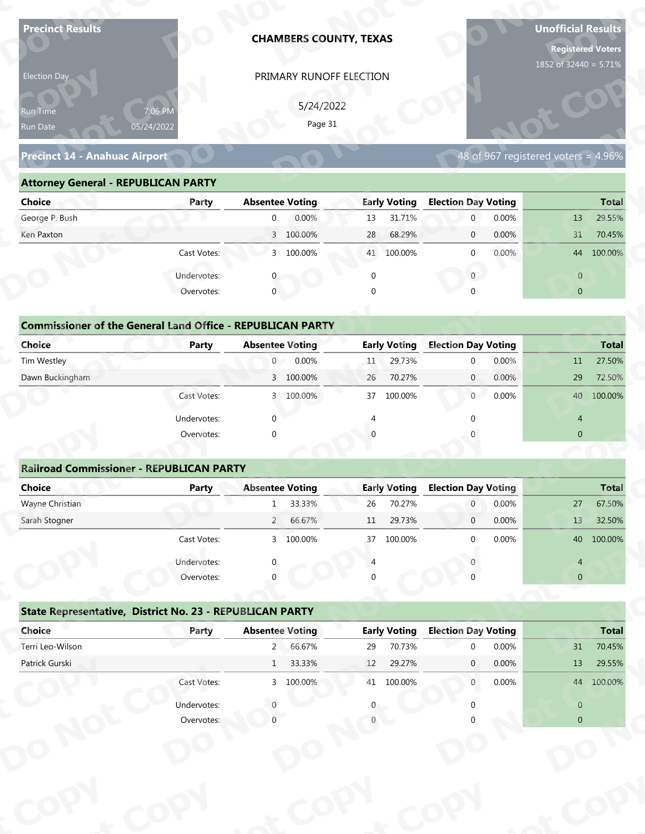| <b>Precinct Results</b>                                            |              |                        | <b>CHAMBERS COUNTY, TEXAS</b> |                |                     |                            |       | <b>Unofficial Results</b><br><b>Registered Voters</b><br>1852 of 32440 = 5.71% |              |
|--------------------------------------------------------------------|--------------|------------------------|-------------------------------|----------------|---------------------|----------------------------|-------|--------------------------------------------------------------------------------|--------------|
| Election Day                                                       |              |                        | PRIMARY RUNOFF ELECTION       |                |                     |                            |       |                                                                                |              |
|                                                                    |              |                        |                               |                |                     |                            |       |                                                                                |              |
| 7:06 PM<br>Run Time                                                |              |                        | 5/24/2022<br>Page 31          |                |                     |                            |       |                                                                                |              |
| 05/24/2022<br>Run Date                                             |              |                        |                               |                |                     |                            |       |                                                                                |              |
| <b>Precinct 14 - Anahuac Airport</b>                               |              |                        |                               |                |                     |                            |       | 48 of 967 registered voters = 4.96%                                            |              |
| <b>Attorney General - REPUBLICAN PARTY</b>                         |              |                        |                               |                |                     |                            |       |                                                                                |              |
| <b>Choice</b>                                                      | Party        | <b>Absentee Voting</b> |                               |                | <b>Early Voting</b> | <b>Election Day Voting</b> |       |                                                                                | <b>Total</b> |
| George P. Bush                                                     |              | $\overline{0}$         | 0.00%                         | 13             | 31.71%              | $\mathbf 0$                | 0.00% | 13                                                                             | 29.55%       |
| Ken Paxton                                                         |              |                        | 3 100.00%                     | 28             | 68.29%              | $\mathbf 0$                | 0.00% | 31                                                                             | 70.45%       |
|                                                                    | Cast Votes:  |                        | 3 100.00%                     |                | 41 100.00%          | $\mathbf 0$                | 0.00% |                                                                                | 44 100.00%   |
|                                                                    | Undervotes:  |                        |                               | $\mathbf 0$    |                     | $\overline{0}$             |       | $\overline{0}$                                                                 |              |
|                                                                    | Overvotes:   | $\mathbf{0}$           |                               | $\Omega$       |                     |                            |       | $\overline{0}$                                                                 |              |
|                                                                    |              |                        |                               |                |                     |                            |       |                                                                                |              |
| <b>Commissioner of the General Land Office - REPUBLICAN PARTY</b>  |              |                        |                               |                |                     |                            |       |                                                                                |              |
| <b>Choice</b>                                                      | <b>Party</b> | <b>Absentee Voting</b> |                               |                | <b>Early Voting</b> | <b>Election Day Voting</b> |       |                                                                                | <b>Total</b> |
| Tim Westley                                                        |              | $\overline{0}$         | 0.00%                         | 11             | 29.73%              | $\mathbf 0$                | 0.00% | 11                                                                             | 27.50%       |
| Dawn Buckingham                                                    |              |                        | 3 100.00%                     | 26             | 70.27%              | $\overline{0}$             | 0.00% | 29                                                                             | 72.50%       |
|                                                                    | Cast Votes:  |                        | 3 100.00%                     |                | 37 100.00%          | 0                          | 0.00% |                                                                                | 40 100.00%   |
|                                                                    | Undervotes:  | $\Omega$               |                               | $\overline{4}$ |                     | $\Omega$                   |       | $\overline{4}$                                                                 |              |
|                                                                    | Overvotes:   | $\Omega$               |                               |                |                     |                            |       | $\overline{0}$                                                                 |              |
|                                                                    |              |                        |                               |                |                     |                            |       |                                                                                |              |
| <b>Railroad Commissioner - REPUBLICAN PARTY</b>                    |              |                        |                               |                |                     |                            |       |                                                                                |              |
| <b>Choice</b>                                                      | <b>Party</b> | <b>Absentee Voting</b> |                               |                | <b>Early Voting</b> | <b>Election Day Voting</b> |       |                                                                                | <b>Total</b> |
| Wayne Christian                                                    |              | 1                      | 33.33%                        | 26             | 70.27%              | $\overline{0}$             | 0.00% | 27                                                                             | 67.50%       |
| Sarah Stogner                                                      |              | $2^{\prime}$           | 66.67%                        | 11             | 29.73%              | $\overline{0}$             | 0.00% | 13                                                                             | 32.50%       |
|                                                                    | Cast Votes:  |                        | 3 100.00%                     | 37             | 100.00%             | $\Omega$                   | 0.00% |                                                                                | 40 100.00%   |
|                                                                    | Undervotes:  |                        |                               |                |                     |                            |       | 4                                                                              |              |
|                                                                    | Overvotes:   |                        |                               |                |                     |                            |       | $\overline{0}$                                                                 |              |
|                                                                    |              |                        |                               |                |                     |                            |       |                                                                                |              |
|                                                                    |              |                        |                               |                |                     |                            |       |                                                                                |              |
| State Representative, District No. 23 - REPUBLICAN PARTY<br>Choice | Party        | <b>Absentee Voting</b> |                               |                | <b>Early Voting</b> | <b>Election Day Voting</b> |       |                                                                                | <b>Total</b> |
| Terri Leo-Wilson                                                   |              |                        | 2 66.67%                      | 29             | 70.73%              | $\Omega$                   | 0.00% | 31                                                                             | 70.45%       |
| Patrick Gurski                                                     |              | 1                      | 33.33%                        | 12             | 29.27%              | $\mathbf{0}$               | 0.00% | 13                                                                             | 29.55%       |
|                                                                    | Cast Votes:  |                        | 3 100.00%                     |                | 41 100.00%          | $\overline{0}$             | 0.00% |                                                                                | 44 100.00%   |
|                                                                    | Undervotes:  |                        |                               |                |                     |                            |       | $\overline{0}$                                                                 |              |

### **Precinct 14 - Anahuac Airport**

### **Attorney General - REPUBLICAN PARTY**

| Election Day                                                      |             |                        | PRIMARY RUNOFF ELECTION |             |                     |                            |       |                                     |              |
|-------------------------------------------------------------------|-------------|------------------------|-------------------------|-------------|---------------------|----------------------------|-------|-------------------------------------|--------------|
| Run Time<br>05/24/2022<br>Run Date                                | 7:06 PM     |                        | 5/24/2022<br>Page 31    |             |                     |                            |       |                                     |              |
| <b>Precinct 14 - Anahuac Airport</b>                              |             |                        |                         |             |                     |                            |       | 48 of 967 registered voters = 4.96% |              |
| <b>Attorney General - REPUBLICAN PARTY</b>                        |             |                        |                         |             |                     |                            |       |                                     |              |
| <b>Choice</b>                                                     | Party       | <b>Absentee Voting</b> |                         |             | <b>Early Voting</b> | <b>Election Day Voting</b> |       |                                     | <b>Total</b> |
| George P. Bush                                                    |             | $\overline{0}$         | 0.00%                   | 13          | 31.71%              | $\overline{0}$             | 0.00% | 13                                  | 29.55%       |
| Ken Paxton                                                        |             |                        | 3 100.00%               | 28          | 68.29%              | $\mathbf 0$                | 0.00% | 31                                  | 70.45%       |
|                                                                   | Cast Votes: |                        | 3 100.00%               |             | 41 100.00%          | $\mathbf{0}$               | 0.00% |                                     | 44 100.00%   |
|                                                                   | Undervotes: | 0                      |                         | $\mathbf 0$ |                     | $\mathbf{0}$               |       | $\overline{0}$                      |              |
|                                                                   | Overvotes:  | $\mathbf{0}$           |                         | $\Omega$    |                     |                            |       | $\overline{0}$                      |              |
| <b>Commissioner of the General Land Office - REPUBLICAN PARTY</b> |             |                        |                         |             |                     |                            |       |                                     |              |
| <b>Choice</b>                                                     | Party       | <b>Absentee Voting</b> |                         |             | <b>Early Voting</b> | <b>Election Day Voting</b> |       |                                     | <b>Total</b> |
| Tim Westley                                                       |             | $\overline{0}$         | 0.00%                   | 11          | 29.73%              | 0                          | 0.00% | 11                                  | 27.50%       |
| Dawn Buckingham                                                   |             |                        | 3 100.00%               | 26          | 70.27%              | $\mathbf{0}$               | 0.00% | 29                                  | 72.50%       |
|                                                                   | Cast Votes: |                        | 3 100.00%               | 37          | 100.00%             | $\overline{0}$             | 0.00% |                                     | 40 100.00%   |
|                                                                   | Undervotes: | $\Omega$               |                         |             |                     |                            |       | 4                                   |              |
|                                                                   | Overvotes:  | $\Omega$               |                         |             |                     |                            |       | $\overline{0}$                      |              |
|                                                                   |             |                        |                         |             |                     |                            |       |                                     |              |
| <b>Railroad Commissioner - REPUBLICAN PARTY</b>                   |             |                        |                         |             |                     |                            |       |                                     |              |
| <b>Choice</b>                                                     | Party       | <b>Absentee Voting</b> |                         |             | <b>Early Voting</b> | <b>Election Day Voting</b> |       |                                     | Total        |
| Wayne Christian                                                   |             | $\mathbf{1}$           | 33.33%                  | 26          | 70.27%              | $\overline{0}$             | 0.00% | 27                                  | 67.50%       |
| Sarah Stogner                                                     |             | $2^{\circ}$            | 66.67%                  | 11          | 29.73%              | $\mathbf 0$                | 0.00% | 13                                  | 32.50%       |
|                                                                   | Cast Votes: |                        | 3 100.00%               |             | 37 100.00%          | $\Omega$                   | 0.00% |                                     | 40 100.00%   |
|                                                                   | Undervotes: |                        |                         |             |                     |                            |       | 4                                   |              |
|                                                                   | Overvotes:  |                        |                         |             |                     |                            |       | $\mathbf{0}$                        |              |
|                                                                   |             |                        |                         |             |                     |                            |       |                                     |              |
| State Representative, District No. 23 - REPUBLICAN PARTY          |             |                        |                         |             |                     |                            |       |                                     |              |
| Choice                                                            | Party       | <b>Absentee Voting</b> |                         |             | <b>Early Voting</b> | <b>Election Day Voting</b> |       |                                     | <b>Total</b> |
| Terri Leo-Wilson                                                  |             |                        | 2 66.67%                | 29          | 70.73%              | $\Omega$                   | 0.00% | 31                                  | 70.45%       |
| Patrick Gurski                                                    |             |                        | 1 33.33%                | 12          | 29.27%              | $\mathbf{0}$               | 0.00% | 13                                  | 29.55%       |
|                                                                   | Cast Votes: |                        | 3 100.00%               |             | 41 100.00%          | $\overline{0}$             | 0.00% |                                     | 44 100.00%   |
|                                                                   | Undervotes: |                        |                         |             |                     |                            |       | $\overline{0}$                      |              |
|                                                                   | Overvotes:  |                        |                         |             |                     |                            |       | $\overline{0}$                      |              |
|                                                                   |             |                        |                         |             |                     |                            |       |                                     |              |
|                                                                   |             |                        |                         |             |                     |                            |       |                                     |              |

| <b>Choice</b>                                                     | Party       | <b>Absentee Voting</b>   | <b>Early Voting</b> | <b>Election Day Voting</b> | <b>Total</b>                                        |
|-------------------------------------------------------------------|-------------|--------------------------|---------------------|----------------------------|-----------------------------------------------------|
| George P. Bush                                                    |             | 0.00%<br>$\mathbf 0$     | 31.71%<br>13        | $\overline{0}$<br>0.00%    | 29.55%<br>13                                        |
| Ken Paxton                                                        |             | 3 100.00%                | 68.29%<br>28        | 0.00%<br>$\mathbf 0$       | 31<br>70.45%                                        |
|                                                                   | Cast Votes: | 3 100.00%                | 41 100.00%          | 0.00%<br>$\mathbf 0$       | 44 100.00%                                          |
|                                                                   | Undervotes: | $\mathbf{0}$             | $\mathbf 0$         | $\mathbf{0}$               | $\overline{0}$                                      |
|                                                                   | Overvotes:  | $\overline{0}$           | $\Omega$            | $\Omega$                   | $\overline{0}$                                      |
|                                                                   |             |                          |                     |                            |                                                     |
| <b>Commissioner of the General Land Office - REPUBLICAN PARTY</b> |             |                          |                     |                            |                                                     |
| <b>Choice</b>                                                     | Party       | <b>Absentee Voting</b>   | <b>Early Voting</b> | <b>Election Day Voting</b> | <b>Total</b>                                        |
| Tim Westley                                                       |             | 0.00%<br>$\overline{0}$  | 29.73%<br>11        | 0.00%<br>$\mathbf 0$       | 27.50%<br>11                                        |
| Dawn Buckingham                                                   |             | 3 100.00%                | 70.27%<br>26        | 0.00%<br>$\mathbf{0}$      | 29<br>72.50%                                        |
|                                                                   | Cast Votes: | 3 100.00%                | 100.00%<br>37       | 0.00%<br>$\overline{0}$    | 40 100.00%                                          |
|                                                                   | Undervotes: | $\mathbf{0}$             | 4                   | $\Omega$                   | $\overline{4}$                                      |
|                                                                   | Overvotes:  | $\mathbf 0$              | $\Omega$            |                            | $\overline{0}$                                      |
|                                                                   |             |                          |                     |                            |                                                     |
| <b>Railroad Commissioner - REPUBLICAN PARTY</b>                   |             |                          |                     |                            |                                                     |
| <b>Choice</b>                                                     | Party       | <b>Absentee Voting</b>   | <b>Early Voting</b> | <b>Election Day Voting</b> | <b>Total</b>                                        |
| Wayne Christian                                                   |             | 33.33%<br>$\mathbf{1}$   | 70.27%<br>26        | 0.00%<br>$\overline{0}$    | 67.50%<br>27                                        |
| Sarah Stogner                                                     |             | $\overline{2}$<br>66.67% | 29.73%<br>11        | 0.00%<br>$\overline{0}$    | 13<br>32.50%                                        |
|                                                                   | Cast Votes: | 3 100.00%                | 37 100.00%          | 0.00%<br>$\mathbf 0$       | 40 100.00%                                          |
|                                                                   | Undervotes: | $\mathbf 0$              | $\overline{4}$      |                            | 4                                                   |
|                                                                   | Overvotes:  | $\mathbf{0}$             |                     |                            | $\pmb{0}$                                           |
|                                                                   |             |                          |                     |                            |                                                     |
|                                                                   |             |                          |                     |                            |                                                     |
| State Representative, District No. 23 - REPUBLICAN PARTY          |             |                          |                     |                            |                                                     |
| Choice                                                            | Party       | <b>Absentee Voting</b>   | <b>Early Voting</b> | <b>Election Day Voting</b> |                                                     |
| Terri Leo-Wilson                                                  |             | 66.67%<br>$\overline{2}$ | 70.73%<br>29        | 0.00%<br>$\mathbf{0}$      | 31                                                  |
| Patrick Gurski                                                    |             | 33.33%<br>$\mathbf{1}$   | 29.27%<br>12        | 0.00%<br>0                 | <b>Total</b><br>70.45%<br>29.55%<br>13 <sup>2</sup> |
|                                                                   | Cast Votes: | 3 100.00%                | 41 100.00%          | $\overline{0}$<br>0.00%    | 44 100.00%                                          |
|                                                                   | Undervotes: | $\theta$                 |                     | 0                          | $\mathsf{O}\xspace$                                 |

### **Railroad Commissioner - REPUBLICAN PARTY**

| Choice                                                   | Party                     | <b>Absentee Voting</b> |           |    | <b>Early Voting</b> | <b>Election Day Voting</b> |       |                                  | <b>Total</b> |
|----------------------------------------------------------|---------------------------|------------------------|-----------|----|---------------------|----------------------------|-------|----------------------------------|--------------|
| Tim Westley                                              |                           | 0                      | 0.00%     | 11 | 29.73%              | $\mathbf{0}$               | 0.00% | 11                               | 27.50%       |
| Dawn Buckingham                                          |                           |                        | 3 100.00% | 26 | 70.27%              | $\mathbf{0}$               | 0.00% | 29                               | 72.50%       |
|                                                          | Cast Votes:               |                        | 3 100.00% | 37 | 100.00%             | $\overline{0}$             | 0.00% |                                  | 40 100.00%   |
|                                                          | Undervotes:               | $\Omega$               |           |    |                     | $\Omega$                   |       | $\overline{4}$                   |              |
|                                                          | Overvotes:                | $\Omega$               |           |    |                     |                            |       | $\overline{0}$                   |              |
| <b>Railroad Commissioner - REPUBLICAN PARTY</b>          |                           |                        |           |    |                     |                            |       |                                  |              |
| <b>Choice</b>                                            | Party                     | <b>Absentee Voting</b> |           |    | <b>Early Voting</b> | <b>Election Day Voting</b> |       |                                  | <b>Total</b> |
| Wayne Christian                                          |                           | $\mathbf{1}$           | 33.33%    | 26 | 70.27%              | $\overline{0}$             | 0.00% | 27                               | 67.50%       |
| Sarah Stogner                                            |                           | $2^{\circ}$            | 66.67%    | 11 | 29.73%              | $\overline{0}$             | 0.00% | 13                               | 32.50%       |
|                                                          | Cast Votes:               |                        | 3 100.00% | 37 | 100.00%             | $\mathbf{0}$               | 0.00% |                                  | 40 100.00%   |
|                                                          |                           |                        |           |    |                     |                            |       |                                  |              |
|                                                          | Undervotes:               | $\Omega$               |           |    |                     |                            |       | $\overline{4}$                   |              |
|                                                          | Overvotes:                |                        |           |    |                     |                            |       | $\mathbf 0$                      |              |
| State Representative, District No. 23 - REPUBLICAN PARTY |                           |                        |           |    |                     |                            |       |                                  |              |
| Choice                                                   | Party                     | <b>Absentee Voting</b> |           |    | <b>Early Voting</b> | <b>Election Day Voting</b> |       |                                  | <b>Total</b> |
| Terri Leo-Wilson                                         |                           | $2^{\circ}$            | 66.67%    | 29 | 70.73%              | $\mathbf{0}$               | 0.00% | 31                               | 70.45%       |
| Patrick Gurski                                           |                           | 1                      | 33.33%    | 12 | 29.27%              | $\mathbf{0}$               | 0.00% | 13                               | 29.55%       |
|                                                          | Cast Votes:               |                        | 3 100.00% |    | 41 100.00%          | $\overline{0}$             | 0.00% |                                  | 44 100.00%   |
|                                                          | Undervotes:<br>Overvotes: |                        |           |    |                     | $\Omega$                   |       | $\overline{0}$<br>$\overline{0}$ |              |

|                                                          | Cast votes. | $\mathcal{P}$          | TOO'OO XQ | $\mathcal{L}$ | TOO'OO XQ           |                            | <b>U.UU70</b> |                | 40 100.00%   |
|----------------------------------------------------------|-------------|------------------------|-----------|---------------|---------------------|----------------------------|---------------|----------------|--------------|
|                                                          | Undervotes: | $\Omega$               |           |               |                     |                            |               | 4              |              |
|                                                          | Overvotes:  | $\Omega$               |           | 0             |                     |                            |               | $\overline{0}$ |              |
| State Representative, District No. 23 - REPUBLICAN PARTY |             |                        |           |               |                     |                            |               |                |              |
| Choice                                                   | Party       | <b>Absentee Voting</b> |           |               | <b>Early Voting</b> | <b>Election Day Voting</b> |               |                | <b>Total</b> |
| Terri Leo-Wilson                                         |             | $2^{\circ}$            | 66.67%    | 29            | 70.73%              | $\Omega$                   | 0.00%         | 31             | 70.45%       |
| Patrick Gurski                                           |             | $\mathbf{1}$           | 33.33%    | 12            | 29.27%              | $\mathbf{0}$               | $0.00\%$      | 13             | 29.55%       |
|                                                          | Cast Votes: |                        | 3 100.00% | 41            | 100.00%             | $\mathbf{0}$               | $0.00\%$      | 44             | 100.00%      |
|                                                          | Undervotes: |                        |           | 0             |                     |                            |               | $\Omega$       |              |
|                                                          | Overvotes:  |                        |           |               |                     |                            |               | $\overline{0}$ |              |
|                                                          |             |                        |           |               |                     |                            |               |                |              |
|                                                          |             |                        |           |               |                     |                            |               |                |              |
|                                                          |             |                        |           |               |                     |                            |               |                |              |
|                                                          |             |                        |           |               |                     |                            |               |                |              |
|                                                          |             |                        |           |               |                     |                            |               |                |              |
|                                                          |             |                        |           |               |                     |                            |               |                |              |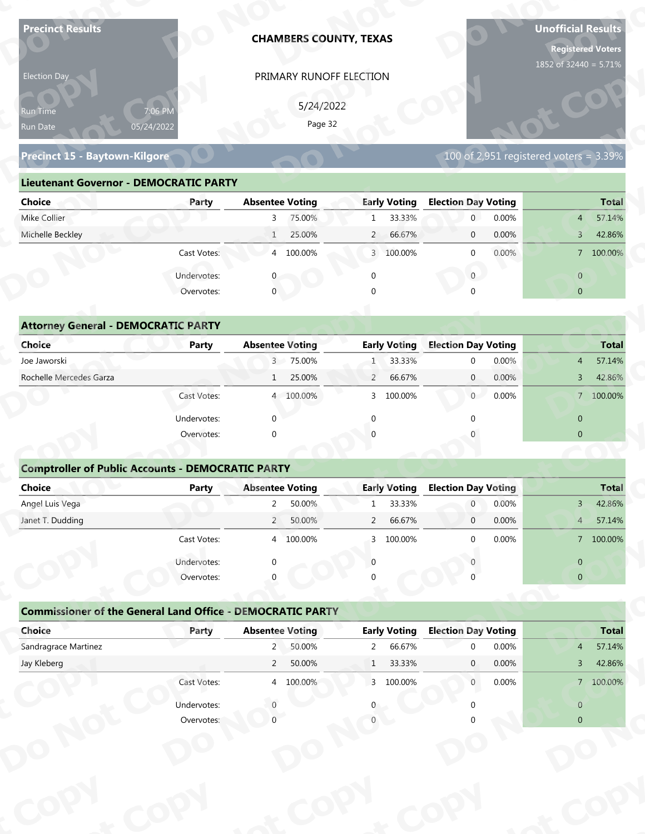| <b>Precinct Results</b>                                           |                       |                                       | <b>CHAMBERS COUNTY, TEXAS</b> |                                |                               |                                              |       | <b>Unofficial Results</b><br><b>Registered Voters</b><br>1852 of 32440 = 5.71% |                        |
|-------------------------------------------------------------------|-----------------------|---------------------------------------|-------------------------------|--------------------------------|-------------------------------|----------------------------------------------|-------|--------------------------------------------------------------------------------|------------------------|
| Election Day                                                      |                       |                                       | PRIMARY RUNOFF ELECTION       |                                |                               |                                              |       |                                                                                |                        |
|                                                                   |                       |                                       | 5/24/2022                     |                                |                               |                                              |       |                                                                                |                        |
| Run Time                                                          | 7:06 PM<br>05/24/2022 |                                       | Page 32                       |                                |                               |                                              |       |                                                                                |                        |
| Run Date                                                          |                       |                                       |                               |                                |                               |                                              |       |                                                                                |                        |
| Precinct 15 - Baytown-Kilgore                                     |                       |                                       |                               |                                |                               |                                              |       | 100 of 2,951 registered voters = $3.39\%$                                      |                        |
| <b>Lieutenant Governor - DEMOCRATIC PARTY</b>                     |                       |                                       |                               |                                |                               |                                              |       |                                                                                |                        |
| <b>Choice</b>                                                     | Party                 | <b>Absentee Voting</b>                |                               |                                | <b>Early Voting</b>           | <b>Election Day Voting</b>                   |       |                                                                                | <b>Total</b>           |
| Mike Collier                                                      |                       | 3                                     | 75.00%                        | $\mathbf{1}$                   | 33.33%                        | $\mathbf{0}$                                 | 0.00% | $\overline{4}$                                                                 | 57.14%                 |
| Michelle Beckley                                                  |                       | $\mathbf{1}$                          | 25.00%                        | $\overline{2}$                 | 66.67%                        | $\mathbf 0$                                  | 0.00% | $\overline{3}$                                                                 | 42.86%                 |
|                                                                   | Cast Votes:           |                                       | 4 100.00%                     |                                | 3 100.00%                     | $\mathbf 0$                                  | 0.00% |                                                                                | 7 100.00%              |
|                                                                   | Undervotes:           |                                       |                               | $\mathbf 0$                    |                               | $\overline{0}$                               |       | $\overline{0}$                                                                 |                        |
|                                                                   | Overvotes:            | $\mathbf{0}$                          |                               |                                |                               |                                              |       | $\overline{0}$                                                                 |                        |
|                                                                   |                       |                                       |                               |                                |                               |                                              |       |                                                                                |                        |
| <b>Attorney General - DEMOCRATIC PARTY</b>                        |                       |                                       |                               |                                |                               |                                              |       |                                                                                |                        |
| <b>Choice</b>                                                     | <b>Party</b>          | <b>Absentee Voting</b>                |                               |                                | <b>Early Voting</b>           | <b>Election Day Voting</b>                   |       |                                                                                | <b>Total</b>           |
| Joe Jaworski                                                      |                       |                                       | 3 75.00%                      | $\mathbf{1}$                   | 33.33%                        | $\mathbf 0$                                  | 0.00% | $\overline{4}$                                                                 | 57.14%                 |
| Rochelle Mercedes Garza                                           |                       | $\mathbf{1}$                          | 25.00%                        | $\overline{2}$                 | 66.67%                        | $\overline{0}$                               | 0.00% | $\mathbf{3}$                                                                   | 42.86%                 |
|                                                                   | Cast Votes:           |                                       | 4 100.00%                     |                                | 3 100.00%                     | $\overline{0}$                               | 0.00% |                                                                                | 7 100.00%              |
|                                                                   | Undervotes:           | $\Omega$                              |                               | $\Omega$                       |                               | $\Omega$                                     |       | $\overline{0}$                                                                 |                        |
|                                                                   | Overvotes:            | $\Omega$                              |                               |                                |                               |                                              |       | $\overline{0}$                                                                 |                        |
|                                                                   |                       |                                       |                               |                                |                               |                                              |       |                                                                                |                        |
| <b>Comptroller of Public Accounts - DEMOCRATIC PARTY</b>          |                       |                                       |                               |                                |                               |                                              |       |                                                                                |                        |
| Choice<br>Angel Luis Vega                                         | <b>Party</b>          | <b>Absentee Voting</b><br>$2^{\circ}$ |                               |                                | <b>Early Voting</b><br>33.33% | <b>Election Day Voting</b><br>$\overline{0}$ | 0.00% |                                                                                | <b>Total</b><br>42.86% |
| Janet T. Dudding                                                  |                       | $2^{\prime}$                          | 50.00%<br>50.00%              | $\mathbf{1}$<br>$\overline{2}$ | 66.67%                        | $\overline{0}$                               | 0.00% | $3 -$<br>$4 -$                                                                 | 57.14%                 |
|                                                                   | Cast Votes:           |                                       | 4 100.00%                     | $\mathbf{3}$                   | 100.00%                       | $\Omega$                                     | 0.00% |                                                                                | 7 100.00%              |
|                                                                   |                       |                                       |                               |                                |                               |                                              |       |                                                                                |                        |
|                                                                   | Undervotes:           | $\Omega$                              |                               | $\Omega$                       |                               |                                              |       | $\overline{0}$                                                                 |                        |
|                                                                   | Overvotes:            |                                       |                               |                                |                               |                                              |       | $\overline{0}$                                                                 |                        |
| <b>Commissioner of the General Land Office - DEMOCRATIC PARTY</b> |                       |                                       |                               |                                |                               |                                              |       |                                                                                |                        |
|                                                                   |                       | <b>Absentee Voting</b>                |                               |                                | <b>Early Voting</b>           | <b>Election Day Voting</b>                   |       |                                                                                | <b>Total</b>           |
| Choice                                                            | Party                 |                                       |                               |                                | 66.67%                        | $\Omega$                                     | 0.00% | $\overline{4}$                                                                 | 57.14%                 |
| Sandragrace Martinez                                              |                       | $2^{\circ}$                           | 50.00%                        | $\overline{2}$                 |                               |                                              |       |                                                                                |                        |
| Jay Kleberg                                                       |                       | $2^{\circ}$                           | 50.00%                        | $\mathbf{1}$                   | 33.33%                        | $\mathbf{0}$                                 | 0.00% | $\mathbf{3}$                                                                   | 42.86%                 |
|                                                                   | Cast Votes:           |                                       | 4 100.00%                     |                                | 3 100.00%                     | $\overline{0}$                               | 0.00% |                                                                                | 7 100.00%              |
|                                                                   | Undervotes:           |                                       |                               |                                |                               |                                              |       | $\overline{0}$                                                                 |                        |

### **Precinct 15 - Baytown-Kilgore**

### **Lieutenant Governor - DEMOCRATIC PARTY**

| 5/24/2022                                                                                                                    |
|------------------------------------------------------------------------------------------------------------------------------|
| 7:06 PM<br><b>Run Time</b><br>Page 32<br>05/24/2022<br>Run Date                                                              |
| 100 of 2,951 registered voters = 3.39%<br>Precinct 15 - Baytown-Kilgore                                                      |
| <b>Lieutenant Governor - DEMOCRATIC PARTY</b>                                                                                |
| <b>Absentee Voting</b><br><b>Early Voting</b><br><b>Election Day Voting</b><br><b>Choice</b><br><b>Total</b><br>Party        |
| Mike Collier<br>75.00%<br>33.33%<br>0.00%<br>57.14%<br>$\overline{0}$<br>3<br>$\mathbf{1}$<br>$4 \overline{ }$               |
| Michelle Beckley<br>25.00%<br>2 66.67%<br>0.00%<br>42.86%<br>$\overline{0}$<br>$\overline{3}$                                |
| 4 100.00%<br>$0.00\%$<br>Cast Votes:<br>3 100.00%<br>7 100.00%<br>$\Omega$                                                   |
| Undervotes:<br>$\overline{0}$<br>$\overline{0}$                                                                              |
| $\mathbf 0$<br>Overvotes:<br>$\Omega$<br>$\overline{0}$                                                                      |
|                                                                                                                              |
| <b>Attorney General - DEMOCRATIC PARTY</b>                                                                                   |
| <b>Early Voting</b><br><b>Election Day Voting</b><br><b>Choice</b><br><b>Absentee Voting</b><br><b>Total</b><br><b>Party</b> |
| Joe Jaworski<br>3 75.00%<br>33.33%<br>0.00%<br>57.14%<br>$\Omega$<br>$\overline{4}$                                          |
| Rochelle Mercedes Garza<br>25.00%<br>66.67%<br>$\overline{2}$<br>$\overline{0}$<br>0.00%<br>42.86%<br>$\mathbf{3}$<br>1      |
| $\overline{0}$<br>0.00%<br>7 100.00%<br>4 100.00%<br>100.00%<br>Cast Votes:<br>3                                             |

|                                                                   |                           | PRIMARY RUNOFF ELECTION  |                          |                                          |                                                    |
|-------------------------------------------------------------------|---------------------------|--------------------------|--------------------------|------------------------------------------|----------------------------------------------------|
|                                                                   |                           | 5/24/2022                |                          |                                          |                                                    |
| Run Time                                                          | 7:06 PM                   | Page 32                  |                          |                                          |                                                    |
| Run Date                                                          | 05/24/2022                |                          |                          |                                          |                                                    |
| Precinct 15 - Baytown-Kilgore                                     |                           |                          |                          | $100$ of 2,951 registered voters = 3.39% |                                                    |
| <b>Lieutenant Governor - DEMOCRATIC PARTY</b>                     |                           |                          |                          |                                          |                                                    |
| <b>Choice</b>                                                     | Party                     | <b>Absentee Voting</b>   | <b>Early Voting</b>      | <b>Election Day Voting</b>               | <b>Total</b>                                       |
| Mike Collier                                                      |                           | 3 <sup>7</sup><br>75.00% | 33.33%<br>$\mathbf{1}$   | $\overline{0}$<br>0.00%                  | 57.14%<br>$\overline{4}$                           |
| Michelle Beckley                                                  |                           | 25.00%<br>1              | 66.67%<br>$\overline{2}$ | 0.00%<br>$\mathbf{0}$                    | 42.86%<br>$\overline{3}$                           |
|                                                                   | Cast Votes:               | 4 100.00%                | 3 100.00%                | 0.00%<br>$\mathbf{0}$                    | 7 100.00%                                          |
|                                                                   | Undervotes:               |                          | $\mathbf 0$              | $\overline{0}$                           | $\overline{0}$                                     |
|                                                                   | Overvotes:                | $\mathbf{0}$             |                          |                                          | $\overline{0}$                                     |
|                                                                   |                           |                          |                          |                                          |                                                    |
| <b>Attorney General - DEMOCRATIC PARTY</b>                        |                           |                          |                          |                                          |                                                    |
| Choice                                                            | <b>Party</b>              | <b>Absentee Voting</b>   | <b>Early Voting</b>      | <b>Election Day Voting</b>               | <b>Total</b>                                       |
| Joe Jaworski                                                      |                           | 3 75.00%                 | 33.33%<br>1 <sup>1</sup> | 0.00%<br>$\mathbf 0$                     | 57.14%<br>$\overline{4}$                           |
| Rochelle Mercedes Garza                                           |                           | 25.00%<br>$\mathbf{1}$   | 66.67%<br>$\overline{2}$ | 0.00%<br>$\mathbf{0}$                    | 42.86%<br>3                                        |
|                                                                   | Cast Votes:               | 4 100.00%                | 100.00%<br>3             | $\overline{0}$<br>0.00%                  | 7 100.00%                                          |
|                                                                   | Undervotes:               | $\Omega$                 | ∩                        |                                          | $\overline{0}$                                     |
|                                                                   | Overvotes:                | $\Omega$                 |                          |                                          | $\overline{0}$                                     |
|                                                                   |                           |                          |                          |                                          |                                                    |
| <b>Comptroller of Public Accounts - DEMOCRATIC PARTY</b>          |                           |                          |                          |                                          |                                                    |
| <b>Choice</b>                                                     | <b>Party</b>              | <b>Absentee Voting</b>   | <b>Early Voting</b>      | <b>Election Day Voting</b>               | Total                                              |
| Angel Luis Vega                                                   |                           | 50.00%<br>$\overline{2}$ | 33.33%<br>$\mathbf{1}$   | 0.00%<br>$\overline{0}$                  | 42.86%<br>$\mathbf{3}$                             |
| Janet T. Dudding                                                  |                           | 50.00%<br>$\overline{2}$ | 66.67%<br>$\overline{2}$ | 0.00%<br>$\mathbf 0$                     | 57.14%<br>$\overline{4}$                           |
|                                                                   |                           |                          |                          |                                          |                                                    |
|                                                                   | Cast Votes:               | 4 100.00%                | 3 100.00%                | 0.00%<br>$\Omega$                        |                                                    |
|                                                                   |                           |                          | $\Omega$                 |                                          |                                                    |
|                                                                   | Undervotes:<br>Overvotes: |                          |                          |                                          | 7 100.00%<br>$\overline{0}$<br>$\overline{0}$      |
|                                                                   |                           |                          |                          |                                          |                                                    |
| <b>Commissioner of the General Land Office - DEMOCRATIC PARTY</b> |                           |                          |                          |                                          |                                                    |
| Choice                                                            | Party                     | <b>Absentee Voting</b>   | <b>Early Voting</b>      | <b>Election Day Voting</b>               |                                                    |
| Sandragrace Martinez                                              |                           | 2 50.00%                 | 2 66.67%                 | 0.00%<br>$\Omega$                        | 4                                                  |
| Jay Kleberg                                                       |                           | 50.00%<br>$2^{\circ}$    | 33.33%<br>1              | 0.00%<br>$\mathbf{0}$                    | <b>Total</b><br>57.14%<br>42.86%<br>3 <sup>7</sup> |
|                                                                   | Cast Votes:               | 4 100.00%                | 3 100.00%                | 0.00%<br>$\overline{0}$                  | 7 100.00%                                          |
|                                                                   | Undervotes:               |                          |                          |                                          | $\overline{0}$                                     |

### **Comptroller of Public Accounts - DEMOCRATIC PARTY**

| Choice                                                            | Party       | <b>Absentee Voting</b> |           |                | <b>Early Voting</b> | <b>Election Day Voting</b> |       |                | <b>Total</b> |
|-------------------------------------------------------------------|-------------|------------------------|-----------|----------------|---------------------|----------------------------|-------|----------------|--------------|
| Joe Jaworski                                                      |             |                        | 3 75.00%  | 1              | 33.33%              | $\mathbf{0}$               | 0.00% | $\overline{4}$ | 57.14%       |
| Rochelle Mercedes Garza                                           |             | 1                      | 25.00%    | $\overline{2}$ | 66.67%              | $\mathbf{0}$               | 0.00% | $\overline{3}$ | 42.86%       |
|                                                                   | Cast Votes: |                        | 4 100.00% |                | 3 100.00%           | $\overline{0}$             | 0.00% |                | 7 100.00%    |
|                                                                   | Undervotes: | ∩                      |           | ∩              |                     | $\Omega$                   |       | $\mathbf{0}$   |              |
|                                                                   | Overvotes:  | $\Omega$               |           |                |                     |                            |       | $\mathbf{0}$   |              |
| <b>Comptroller of Public Accounts - DEMOCRATIC PARTY</b>          |             |                        |           |                |                     |                            |       |                |              |
| <b>Choice</b>                                                     | Party       | <b>Absentee Voting</b> |           |                | <b>Early Voting</b> | <b>Election Day Voting</b> |       |                | <b>Total</b> |
| Angel Luis Vega                                                   |             | $\overline{2}$         | 50.00%    | $\mathbf{1}$   | 33.33%              | $\overline{0}$             | 0.00% | $\overline{3}$ | 42.86%       |
| Janet T. Dudding                                                  |             | $2^{\circ}$            | 50.00%    | $2^{\circ}$    | 66.67%              | $\overline{0}$             | 0.00% | 4              | 57.14%       |
|                                                                   | Cast Votes: |                        | 4 100.00% |                | 3 100.00%           | $\mathbf{0}$               | 0.00% |                | 7 100.00%    |
|                                                                   |             |                        |           |                |                     |                            |       |                |              |
|                                                                   | Undervotes: | ∩                      |           | U              |                     |                            |       | $\mathbf{0}$   |              |
|                                                                   | Overvotes:  |                        |           |                |                     |                            |       | $\mathbf 0$    |              |
| <b>Commissioner of the General Land Office - DEMOCRATIC PARTY</b> |             |                        |           |                |                     |                            |       |                |              |
| Choice                                                            | Party       | <b>Absentee Voting</b> |           |                | <b>Early Voting</b> | <b>Election Day Voting</b> |       |                | <b>Total</b> |
| Sandragrace Martinez                                              |             | $2^{\sim}$             | 50.00%    | $\overline{2}$ | 66.67%              | $\mathbf{0}$               | 0.00% | $\overline{4}$ | 57.14%       |
| Jay Kleberg                                                       |             | $\overline{2}$         | 50.00%    | 1              | 33.33%              | $\mathbf{0}$               | 0.00% | $\overline{3}$ | 42.86%       |
|                                                                   | Cast Votes: |                        | 4 100.00% |                | 3 100.00%           | $\mathbf{0}$               | 0.00% |                | 7 100.00%    |
|                                                                   | Undervotes: |                        |           |                |                     | <sup>n</sup>               |       | $\mathbf{0}$   |              |

|                                                                             | Cast votes. | $^{+}$                 | TOO'OO SO | $\mathcal{P}$  | TOO'OO SO           |                            | <b>U.UU70</b> | $\mathcal{L}$  | LUU.UU 70    |
|-----------------------------------------------------------------------------|-------------|------------------------|-----------|----------------|---------------------|----------------------------|---------------|----------------|--------------|
|                                                                             | Undervotes: | $\Omega$               |           | 0              |                     |                            |               | $\Omega$       |              |
|                                                                             | Overvotes:  | $\Omega$               |           | 0              |                     |                            |               | $\overline{0}$ |              |
|                                                                             |             |                        |           |                |                     |                            |               |                |              |
| <b>Commissioner of the General Land Office - DEMOCRATIC PARTY</b><br>Choice | Party       | <b>Absentee Voting</b> |           |                | <b>Early Voting</b> | <b>Election Day Voting</b> |               |                | <b>Total</b> |
| Sandragrace Martinez                                                        |             | 2                      | 50.00%    | $2^{\circ}$    | 66.67%              | $\Omega$                   | 0.00%         | $\overline{4}$ | 57.14%       |
| Jay Kleberg                                                                 |             | $\overline{2}$         | 50.00%    | $\mathbf{1}$   | 33.33%              | $\mathbf{0}$               | $0.00\%$      | 3              | 42.86%       |
|                                                                             | Cast Votes: |                        | 4 100.00% | $\overline{3}$ | 100.00%             | $\mathbf 0$                | $0.00\%$      | 7 <sup>1</sup> | 100.00%      |
|                                                                             | Undervotes: |                        |           | 0              |                     |                            |               | $\overline{0}$ |              |
|                                                                             | Overvotes:  |                        |           |                |                     |                            |               | $\overline{0}$ |              |
|                                                                             |             |                        |           |                |                     |                            |               |                |              |
|                                                                             |             |                        |           |                |                     |                            |               |                |              |
|                                                                             |             |                        |           |                |                     |                            |               |                |              |
|                                                                             |             |                        |           |                |                     |                            |               |                |              |
|                                                                             |             |                        |           |                |                     |                            |               |                |              |
|                                                                             |             |                        |           |                |                     |                            |               |                |              |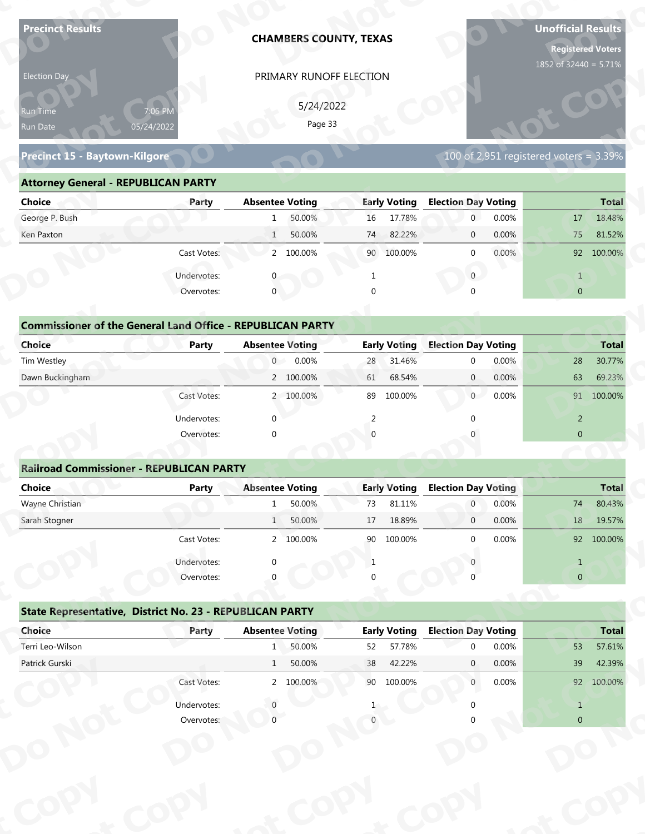| <b>Precinct Results</b>                                           |              |                        | <b>CHAMBERS COUNTY, TEXAS</b> |          |                     |                                  |                | <b>Unofficial Results</b><br><b>Registered Voters</b><br>1852 of 32440 = 5.71% |              |
|-------------------------------------------------------------------|--------------|------------------------|-------------------------------|----------|---------------------|----------------------------------|----------------|--------------------------------------------------------------------------------|--------------|
| Election Day                                                      |              |                        | PRIMARY RUNOFF ELECTION       |          |                     |                                  |                |                                                                                |              |
|                                                                   |              |                        |                               |          |                     |                                  |                |                                                                                |              |
| 7:06 PM<br>Run Time                                               |              |                        | 5/24/2022<br>Page 33          |          |                     |                                  |                |                                                                                |              |
| 05/24/2022<br>Run Date                                            |              |                        |                               |          |                     |                                  |                |                                                                                |              |
| Precinct 15 - Baytown-Kilgore                                     |              |                        |                               |          |                     |                                  |                | 100 of 2,951 registered voters = $3.39\%$                                      |              |
| <b>Attorney General - REPUBLICAN PARTY</b>                        |              |                        |                               |          |                     |                                  |                |                                                                                |              |
| <b>Choice</b>                                                     | Party        | <b>Absentee Voting</b> |                               |          | <b>Early Voting</b> | <b>Election Day Voting</b>       |                |                                                                                | <b>Total</b> |
| George P. Bush                                                    |              | 1                      | 50.00%                        | 16       | 17.78%              | $\mathbf 0$                      | 0.00%          | 17                                                                             | 18.48%       |
| Ken Paxton                                                        |              | $\mathbf{1}$           | 50.00%                        | 74       | 82.22%              | $\mathbf 0$                      | 0.00%          | 75                                                                             | 81.52%       |
|                                                                   | Cast Votes:  |                        | 2 100.00%                     | 90       | 100.00%             | $\mathbf 0$                      | 0.00%          |                                                                                | 92 100.00%   |
|                                                                   | Undervotes:  |                        |                               |          |                     | $\overline{0}$                   |                | $\mathbf{1}$                                                                   |              |
|                                                                   | Overvotes:   | $\mathbf{0}$           |                               | $\Omega$ |                     |                                  |                | $\overline{0}$                                                                 |              |
|                                                                   |              |                        |                               |          |                     |                                  |                |                                                                                |              |
| <b>Commissioner of the General Land Office - REPUBLICAN PARTY</b> |              |                        |                               |          |                     |                                  |                |                                                                                |              |
| <b>Choice</b>                                                     | <b>Party</b> | <b>Absentee Voting</b> |                               |          | <b>Early Voting</b> | <b>Election Day Voting</b>       |                |                                                                                | <b>Total</b> |
| Tim Westley                                                       |              | $\overline{0}$         | 0.00%                         | 28       | 31.46%              | $\mathbf 0$                      | 0.00%          | 28                                                                             | 30.77%       |
| Dawn Buckingham                                                   |              |                        | 2 100.00%                     | 61       | 68.54%              | $\overline{0}$                   | 0.00%          | 63                                                                             | 69.23%       |
|                                                                   | Cast Votes:  |                        | 2 100.00%                     |          | 89 100.00%          | 0                                | 0.00%          |                                                                                | 91 100.00%   |
|                                                                   | Undervotes:  | $\Omega$               |                               | 2        |                     | $\Omega$                         |                | $\overline{2}$                                                                 |              |
|                                                                   | Overvotes:   | $\Omega$               |                               |          |                     |                                  |                | $\overline{0}$                                                                 |              |
|                                                                   |              |                        |                               |          |                     |                                  |                |                                                                                |              |
| <b>Railroad Commissioner - REPUBLICAN PARTY</b>                   |              |                        |                               |          |                     |                                  |                |                                                                                |              |
| <b>Choice</b>                                                     | <b>Party</b> | <b>Absentee Voting</b> |                               |          | <b>Early Voting</b> | <b>Election Day Voting</b>       |                |                                                                                | <b>Total</b> |
| Wayne Christian<br>Sarah Stogner                                  |              | 1                      | 50.00%<br>50.00%              | 73       | 81.11%<br>18.89%    | $\overline{0}$<br>$\overline{0}$ | 0.00%<br>0.00% | 74                                                                             | 80.43%       |
|                                                                   |              | 1                      |                               | 17       |                     |                                  |                | 18                                                                             | 19.57%       |
|                                                                   | Cast Votes:  |                        | 2 100.00%                     | 90       | 100.00%             | $\Omega$                         | 0.00%          |                                                                                | 92 100.00%   |
|                                                                   | Undervotes:  |                        |                               | 1        |                     |                                  |                | $\mathbf{1}$                                                                   |              |
|                                                                   | Overvotes:   |                        |                               |          |                     |                                  |                | $\overline{0}$                                                                 |              |
| State Representative, District No. 23 - REPUBLICAN PARTY          |              |                        |                               |          |                     |                                  |                |                                                                                |              |
| Choice                                                            | Party        | <b>Absentee Voting</b> |                               |          | <b>Early Voting</b> | <b>Election Day Voting</b>       |                |                                                                                | <b>Total</b> |
| Terri Leo-Wilson                                                  |              | 1                      | 50.00%                        | 52       | 57.78%              | $\Omega$                         | 0.00%          | 53                                                                             | 57.61%       |
|                                                                   |              | 1                      | 50.00%                        | 38       | 42.22%              | $\mathbf{0}$                     | 0.00%          | 39                                                                             | 42.39%       |
| Patrick Gurski                                                    |              |                        |                               |          | 90 100.00%          | $\overline{0}$                   | 0.00%          |                                                                                | 92 100.00%   |
|                                                                   | Cast Votes:  |                        | 2 100.00%                     |          |                     |                                  |                |                                                                                |              |
|                                                                   | Undervotes:  |                        |                               |          |                     |                                  |                | $\mathbf{1}$                                                                   |              |

| Election Day                               |                                                                            | PRIMARY RUNOFF ELECTION                          |                     |                                           |                |
|--------------------------------------------|----------------------------------------------------------------------------|--------------------------------------------------|---------------------|-------------------------------------------|----------------|
| Run Time<br>Run Date                       | 7:06 PM<br>05/24/2022                                                      | 5/24/2022<br>Page 33                             |                     |                                           |                |
| <b>Precinct 15 - Baytown-Kilgore</b>       |                                                                            |                                                  |                     | 100 of 2,951 registered voters = $3.39\%$ |                |
| <b>Attorney General - REPUBLICAN PARTY</b> |                                                                            |                                                  |                     |                                           |                |
| <b>Choice</b>                              | Party                                                                      | <b>Absentee Voting</b>                           | <b>Early Voting</b> | <b>Election Day Voting</b>                | <b>Total</b>   |
| George P. Bush                             |                                                                            | 50.00%                                           | 17.78%<br>16        | $\overline{0}$<br>0.00%                   | 18.48%<br>17   |
| Ken Paxton                                 |                                                                            | 50.00%<br>$\mathbf{1}$                           | 82.22%<br>74        | 0.00%<br>$\mathbf{0}$                     | 81.52%<br>75   |
|                                            | Cast Votes:                                                                | 2 100.00%                                        | 90 100.00%          | 0.00%<br>$\mathbf{0}$                     | 92 100.00%     |
|                                            | Undervotes:                                                                |                                                  |                     | $\overline{0}$                            | $\mathbf{1}$   |
|                                            | Overvotes:                                                                 | $\Omega$                                         |                     |                                           | $\overline{0}$ |
| <b>Choice</b>                              | <b>Commissioner of the General Land Office - REPUBLICAN PARTY</b><br>Party | <b>Absentee Voting</b>                           | <b>Early Voting</b> | <b>Election Day Voting</b>                | <b>Total</b>   |
| Tim Westley                                |                                                                            | $\overline{0}$<br>0.00%                          | 31.46%<br>28        | 0.00%<br>$\Omega$                         | 30.77%<br>28   |
| Dawn Buckingham                            |                                                                            | 2 100.00%                                        | 68.54%<br>61        | 0.00%<br>$\overline{0}$                   | 63<br>69.23%   |
|                                            | Cast Votes:                                                                | 2 100.00%                                        | 100.00%<br>89       | 0.00%<br>0                                | 91 100.00%     |
|                                            | Undervotes:                                                                | $\Omega$                                         | 2                   |                                           | $\overline{2}$ |
|                                            | Overvotes:                                                                 |                                                  |                     |                                           | $\overline{0}$ |
|                                            |                                                                            |                                                  |                     |                                           |                |
|                                            | <b>Railroad Commissioner - REPUBLICAN PARTY</b>                            |                                                  |                     |                                           |                |
| <b>Choice</b>                              | <b>Party</b>                                                               | <b>Absentee Voting</b>                           | <b>Early Voting</b> | <b>Election Day Voting</b>                | <b>Total</b>   |
| Wayne Christian                            |                                                                            | 50.00%                                           | 81.11%<br>73        | 0.00%                                     | 80.43%<br>74   |
| Carole Champsu                             |                                                                            | $\Gamma$ $\cap$ $\cap$ $\Omega'$<br>$\mathbf{1}$ | 17.10000            | 0.0001<br>$\cap$                          | 10F70/<br>10   |

### **Commissioner of the General Land Office - REPUBLICAN PARTY**<br> **Party Absentee Voting Choice Party Absentee Voting Early Voting Election Day Voting Total p** Tim Westley 0 0.00% 28 31.46% 0 0.00% 28 30.77% Dawn Buckingham 2 100.00% 61 68.54% 0 0.00% 63 69.23% **o**Cast Votes: 2 100.00% 89 100.00% 0 0.00% 91 100.00% Undervotes: 0 2 0 2 **Commissioner of Choice**<br>
Tim Westley<br>
Dawn Buckingham **CCommissioner of the General Land Office**<br> **Choice**<br> **Party**<br> **Tim Westley y Noy ICAN PARTY**<br>tee Voting<br>0 0.00% **y y REPUBLICAN PARTY**<br>- Absentee Voting<br>0 0.00%<br>2 100.00% **Elec Day Voting**<br>
0 0.00%<br>
0 0.00%<br>
0 0.00% Tim Westley<br>Dawn Buckingham **t <sup>o</sup> Early Voting**<br>28 31.46% **Cast Votes o**Absentee Voting<br>0 0.00% **pydbox 10 magnitive COV 10 magnitude 10 magnitude 10 magnitude 10 magnitude 10 magnitude 10 magnitude 10 magnitude 10 magnitude 10 magnitude 10 magnitude 10 magnitude 10 magnitude 10 magnitude 10 magnitude 10 magnitude 10 CD 10tal**<br>
28 30.77%<br>
63 69.23%<br>
91 100.00%<br>
2

|                                                                   |                       | <b>CHAMBERS COUNTY, TEXAS</b>                   |                     |                            | Unofficial Results<br><b>Registered Voters</b><br>1852 of 32440 = 5.71% |
|-------------------------------------------------------------------|-----------------------|-------------------------------------------------|---------------------|----------------------------|-------------------------------------------------------------------------|
| Election Day<br>kun Tim <u>e </u><br>Run Date                     | 7:06 PM<br>05/24/2022 | PRIMARY RUNOFF ELECTION<br>5/24/2022<br>Page 33 |                     |                            |                                                                         |
| <b>Precinct 15 - Baytown-Kilgore</b>                              |                       |                                                 |                     |                            | 100 of 2,951 registered voters = $3.39\%$                               |
| <b>Attorney General - REPUBLICAN PARTY</b>                        |                       |                                                 |                     |                            |                                                                         |
| <b>Choice</b>                                                     | Party                 | <b>Absentee Voting</b>                          | <b>Early Voting</b> | <b>Election Day Voting</b> | <b>Total</b>                                                            |
| George P. Bush                                                    |                       | 50.00%<br>1                                     | 17.78%<br>16        | 0.00%<br>$\overline{0}$    | 18.48%<br>17                                                            |
| Ken Paxton                                                        |                       | 50.00%<br>$\mathbf{1}$                          | 74<br>82.22%        | 0.00%<br>$\mathbf 0$       | 81.52%<br>75                                                            |
|                                                                   | Cast Votes:           | 2 100.00%                                       | 90<br>100.00%       | 0.00%<br>$\mathbf{0}$      | 92 100.00%                                                              |
|                                                                   | Undervotes:           |                                                 | 1                   | $\overline{0}$             | $\mathbf{1}$                                                            |
|                                                                   | Overvotes:            | $\mathbf 0$                                     | $\Omega$            |                            | $\overline{0}$                                                          |
|                                                                   |                       |                                                 |                     |                            |                                                                         |
| <b>Commissioner of the General Land Office - REPUBLICAN PARTY</b> |                       |                                                 |                     |                            |                                                                         |
| <b>Choice</b>                                                     | <b>Party</b>          | <b>Absentee Voting</b>                          | <b>Early Voting</b> | <b>Election Day Voting</b> | <b>Total</b>                                                            |
| Tim Westley                                                       |                       | 0.00%<br>$\overline{0}$                         | 31.46%<br>28        | 0.00%<br>$\mathbf 0$       | 30.77%<br>28                                                            |
| Dawn Buckingham                                                   |                       | 2 100.00%                                       | 68.54%<br>61        | 0.00%<br>$\overline{0}$    | 69.23%<br>63                                                            |
|                                                                   | Cast Votes:           | 2 100.00%                                       | 100.00%<br>89       | 0.00%<br>$\overline{0}$    | 91 100.00%                                                              |
|                                                                   | Undervotes:           | $\Omega$                                        | 2                   |                            | $\overline{2}$                                                          |
|                                                                   | Overvotes:            | $\Omega$                                        |                     |                            | $\overline{0}$                                                          |
|                                                                   |                       |                                                 |                     |                            |                                                                         |
| <b>Railroad Commissioner - REPUBLICAN PARTY</b>                   |                       |                                                 |                     |                            |                                                                         |
| <b>Choice</b>                                                     | <b>Party</b>          | <b>Absentee Voting</b>                          | <b>Early Voting</b> | <b>Election Day Voting</b> | <b>Total</b>                                                            |
| Wayne Christian                                                   |                       | 50.00%                                          | 73<br>81.11%        | $\boldsymbol{0}$<br>0.00%  | 74<br>80.43%                                                            |
| Sarah Stogner                                                     |                       | $1\sqrt{ }$<br>50.00%                           | 18.89%<br>17        | 0.00%<br>$\mathbf 0$       | 18<br>19.57%                                                            |
|                                                                   | Cast Votes:           | 2 100.00%                                       | 90 100.00%          | 0.00%<br>$\mathbf 0$       | 92 100.00%                                                              |
|                                                                   | Undervotes:           | $\Omega$                                        | 1                   |                            | $\mathbf{1}$                                                            |
|                                                                   | Overvotes:            |                                                 |                     |                            | $\overline{0}$                                                          |
| State Representative, District No. 23 - REPUBLICAN PARTY          |                       |                                                 |                     |                            |                                                                         |
| Choice                                                            | Party                 | <b>Absentee Voting</b>                          | <b>Early Voting</b> | <b>Election Day Voting</b> | <b>Total</b>                                                            |
| Terri Leo-Wilson                                                  |                       | 50.00%<br>1                                     | 57.78%<br>52        | 0.00%<br>$\mathbf 0$       | 53<br>57.61%                                                            |
|                                                                   |                       | 50.00%<br>1                                     | 42.22%<br>38        | 0.00%<br>$\mathbf{0}$      | 39<br>42.39%                                                            |
|                                                                   |                       |                                                 |                     |                            |                                                                         |
|                                                                   | Cast Votes:           | 2 100.00%                                       | 90 100.00%          | 0.00%<br>$\mathbf{0}$      |                                                                         |
| Patrick Gurski                                                    | Undervotes:           |                                                 |                     |                            | 92 100.00%<br>$\mathbf{1}$                                              |

|                                                          | Cast votes. |                        | 2, 100.0076 | ັບ | TOO'OO XQ           |                            | <b>U.UU70</b> |                | 92 100.0070  |
|----------------------------------------------------------|-------------|------------------------|-------------|----|---------------------|----------------------------|---------------|----------------|--------------|
|                                                          | Undervotes: | $\Omega$               |             |    |                     |                            |               |                |              |
|                                                          | Overvotes:  | $\Omega$               |             | 0  |                     |                            |               | $\overline{0}$ |              |
| State Representative, District No. 23 - REPUBLICAN PARTY |             |                        |             |    |                     |                            |               |                |              |
| Choice                                                   | Party       | <b>Absentee Voting</b> |             |    | <b>Early Voting</b> | <b>Election Day Voting</b> |               |                | <b>Total</b> |
| Terri Leo-Wilson                                         |             | 1                      | 50.00%      | 52 | 57.78%              | $\Omega$                   | 0.00%         | 53             | 57.61%       |
| Patrick Gurski                                           |             | $\mathbf{1}$           | 50.00%      | 38 | 42.22%              | $\mathbf{0}$               | $0.00\%$      | 39             | 42.39%       |
|                                                          | Cast Votes: |                        | 2 100.00%   | 90 | 100.00%             | $\mathbf 0$                | $0.00\%$      | 92             | 100.00%      |
|                                                          | Undervotes: |                        |             |    |                     |                            |               |                |              |
|                                                          | Overvotes:  |                        |             |    |                     |                            |               | $\overline{0}$ |              |
|                                                          |             |                        |             |    |                     |                            |               |                |              |
|                                                          |             |                        |             |    |                     |                            |               |                |              |
|                                                          |             |                        |             |    |                     |                            |               |                |              |
|                                                          |             |                        |             |    |                     |                            |               |                |              |
|                                                          |             |                        |             |    |                     |                            |               |                |              |
|                                                          |             |                        |             |    |                     |                            |               |                |              |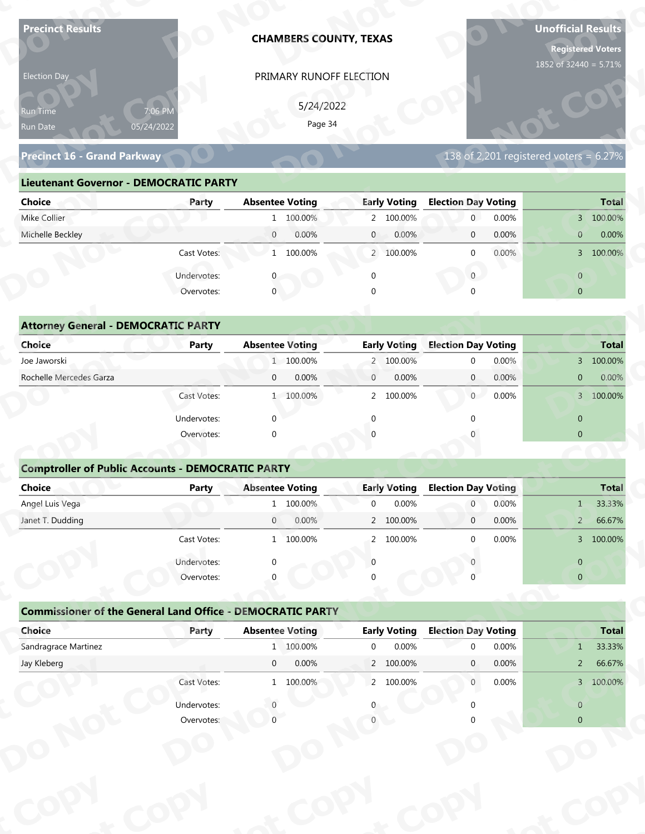| <b>Precinct Results</b>                                           |                       |                                     | <b>CHAMBERS COUNTY, TEXAS</b>                  |                                                 | <b>Unofficial Results</b><br><b>Registered Voters</b><br>1852 of 32440 = 5.71% |
|-------------------------------------------------------------------|-----------------------|-------------------------------------|------------------------------------------------|-------------------------------------------------|--------------------------------------------------------------------------------|
| Election Day                                                      |                       |                                     | PRIMARY RUNOFF ELECTION                        |                                                 |                                                                                |
|                                                                   |                       |                                     | 5/24/2022                                      |                                                 |                                                                                |
| Run Time<br>Run Date                                              | 7:06 PM<br>05/24/2022 |                                     | Page 34                                        |                                                 |                                                                                |
| Precinct 16 - Grand Parkway                                       |                       |                                     |                                                |                                                 | 138 of 2,201 registered voters = $6.27\%$                                      |
|                                                                   |                       |                                     |                                                |                                                 |                                                                                |
| <b>Lieutenant Governor - DEMOCRATIC PARTY</b>                     |                       |                                     |                                                |                                                 |                                                                                |
| <b>Choice</b>                                                     | Party                 | <b>Absentee Voting</b>              | <b>Early Voting</b>                            | <b>Election Day Voting</b>                      | <b>Total</b>                                                                   |
| Mike Collier                                                      |                       | 1 100.00%                           | 2 100.00%                                      | 0.00%<br>$\mathbf 0$                            | 3 100.00%                                                                      |
| Michelle Beckley                                                  |                       | $\overline{0}$<br>0.00%             | $\mathbf{0}$<br>0.00%                          | 0.00%<br>$\mathbf 0$                            | $\mathbf{0}$<br>0.00%                                                          |
|                                                                   | Cast Votes:           | 1 100.00%                           | 2 100.00%                                      | 0.00%<br>$\mathbf 0$                            | 3 100.00%                                                                      |
|                                                                   | Undervotes:           |                                     | $\mathbf 0$                                    | $\overline{0}$                                  | $\overline{0}$                                                                 |
|                                                                   | Overvotes:            | $\overline{0}$                      |                                                |                                                 | $\overline{0}$                                                                 |
| <b>Attorney General - DEMOCRATIC PARTY</b>                        |                       |                                     |                                                |                                                 |                                                                                |
| <b>Choice</b>                                                     | <b>Party</b>          | <b>Absentee Voting</b>              | <b>Early Voting</b>                            | <b>Election Day Voting</b>                      | <b>Total</b>                                                                   |
| Joe Jaworski                                                      |                       | 1 100.00%                           | 2 100.00%                                      | 0.00%<br>$\mathbf 0$                            | 3 100.00%                                                                      |
| Rochelle Mercedes Garza                                           |                       | 0.00%<br>$\mathbf{0}$               | 0.00%<br>$\mathbf{0}$                          | 0.00%<br>$\overline{0}$                         | 0.00%<br>$\overline{0}$                                                        |
|                                                                   | Cast Votes:           | 1 100.00%                           | 2 100.00%                                      | 0.00%<br>$\overline{0}$                         | 3 100.00%                                                                      |
|                                                                   | Undervotes:           | $\Omega$                            | $\Omega$                                       | $\Omega$                                        | $\overline{0}$                                                                 |
|                                                                   | Overvotes:            | $\Omega$                            |                                                |                                                 | $\overline{0}$                                                                 |
|                                                                   |                       |                                     |                                                |                                                 |                                                                                |
| <b>Comptroller of Public Accounts - DEMOCRATIC PARTY</b>          |                       |                                     |                                                |                                                 |                                                                                |
| Choice                                                            | <b>Party</b>          | <b>Absentee Voting</b>              | <b>Early Voting</b>                            | <b>Election Day Voting</b>                      | <b>Total</b>                                                                   |
| Angel Luis Vega                                                   |                       | 1 100.00%                           | 0.00%<br>$\mathbf 0$                           | 0.00%<br>$\overline{0}$                         | 33.33%<br>$1 -$                                                                |
| Janet T. Dudding                                                  |                       | $\overline{0}$<br>0.00%             | 2 100.00%                                      | 0.00%<br>$\overline{0}$                         | 66.67%<br>$2 -$                                                                |
|                                                                   | Cast Votes:           | 1 100.00%                           | 2 100.00%                                      | 0.00%<br>$\Omega$                               | 3 100.00%                                                                      |
|                                                                   | Undervotes:           | $\Omega$                            | $\Omega$                                       |                                                 | $\overline{0}$                                                                 |
|                                                                   | Overvotes:            |                                     |                                                |                                                 | $\overline{0}$                                                                 |
|                                                                   |                       |                                     |                                                |                                                 |                                                                                |
| <b>Commissioner of the General Land Office - DEMOCRATIC PARTY</b> |                       |                                     |                                                |                                                 |                                                                                |
| Choice<br>Sandragrace Martinez                                    | Party                 | <b>Absentee Voting</b><br>1 100.00% | <b>Early Voting</b><br>0.00%<br>$\overline{0}$ | <b>Election Day Voting</b><br>0.00%<br>$\Omega$ | <b>Total</b><br>33.33%<br>$\mathbf{1}$                                         |
| Jay Kleberg                                                       |                       | $\overline{0}$<br>0.00%             | 2 100.00%                                      | 0.00%<br>$\mathbf{0}$                           | 66.67%<br>2 <sup>7</sup>                                                       |
|                                                                   | Cast Votes:           | 1 100.00%                           | 2 100.00%                                      | $\overline{0}$<br>0.00%                         | 3 100.00%                                                                      |
|                                                                   |                       |                                     |                                                |                                                 |                                                                                |
|                                                                   | Undervotes:           |                                     |                                                |                                                 | $\overline{0}$                                                                 |
|                                                                   | Overvotes:            |                                     |                                                |                                                 | $\overline{0}$                                                                 |
|                                                                   |                       |                                     |                                                |                                                 |                                                                                |

| Election Day                                         |              | PRIMARY RUNOFF ELECTION |                           |                                           |                         |
|------------------------------------------------------|--------------|-------------------------|---------------------------|-------------------------------------------|-------------------------|
| 7:06 PM<br><b>Run Time</b><br>05/24/2022<br>Run Date |              | 5/24/2022<br>Page 34    |                           |                                           |                         |
| <b>Precinct 16 - Grand Parkway</b>                   |              |                         |                           | 138 of 2,201 registered voters = $6.27\%$ |                         |
| <b>Lieutenant Governor - DEMOCRATIC PARTY</b>        |              |                         |                           |                                           |                         |
| <b>Choice</b>                                        | Party        | <b>Absentee Voting</b>  | <b>Early Voting</b>       | <b>Election Day Voting</b>                | <b>Total</b>            |
| Mike Collier                                         |              | 1 100.00%               | 2 100.00%                 | 0.00%<br>$\overline{0}$                   | 3 100.00%               |
| Michelle Beckley                                     |              | 0.00%<br>$\overline{0}$ | 0.00%<br>$\overline{0}$   | 0.00%<br>$\overline{0}$                   | 0.00%<br>$\overline{0}$ |
|                                                      | Cast Votes:  | 1 100.00%               | 2 100.00%                 | $0.00\%$<br>$\Omega$                      | 3 100.00%               |
|                                                      | Undervotes:  |                         |                           | $\overline{0}$                            | $\overline{0}$          |
|                                                      | Overvotes:   | $\mathbf 0$             | $\Omega$                  |                                           | $\overline{0}$          |
|                                                      |              |                         |                           |                                           |                         |
| <b>Attorney General - DEMOCRATIC PARTY</b>           |              |                         |                           |                                           |                         |
| <b>Choice</b>                                        | <b>Party</b> | <b>Absentee Voting</b>  | <b>Early Voting</b>       | <b>Election Day Voting</b>                | <b>Total</b>            |
| Joe Jaworski                                         |              | 1 100.00%               | 2 100.00%                 | 0.00%<br>$\Omega$                         | 3 100.00%               |
| Rochelle Mercedes Garza                              |              | 0.00%<br>$\overline{0}$ | $\mathbf{0}$<br>0.00%     | $\overline{0}$<br>0.00%                   | 0.00%<br>$\overline{0}$ |
|                                                      | Cast Votes:  | 1 100.00%               | $\overline{2}$<br>100.00% | $\overline{0}$<br>0.00%                   | 3 100.00%               |

| 5/24/2022<br>7:06 PM<br>Run Time<br>Page 34<br>05/24/2022<br>Run Date<br>138 of 2,201 registered voters = $6.\overline{27\%}$<br><b>Precinct 16 - Grand Parkway</b><br><b>Lieutenant Governor - DEMOCRATIC PARTY</b><br><b>Absentee Voting</b><br><b>Early Voting</b><br><b>Election Day Voting</b><br><b>Choice</b><br><b>Total</b><br>Party<br>Mike Collier<br>0.00%<br>1 100.00%<br>2 100.00%<br>$\overline{0}$<br>3 100.00%<br>Michelle Beckley<br>$\overline{0}$<br>0.00%<br>0.00%<br>0.00%<br>0.00%<br>$\mathbf{0}$<br>$\mathbf{0}$<br>$\overline{0}$<br>Cast Votes:<br>1 100.00%<br>2 100.00%<br>0.00%<br>3 100.00%<br>$\mathbf{0}$<br>$\mathbf{0}$<br>Undervotes:<br>$\mathbf{0}$<br>$\overline{0}$<br>Overvotes:<br>$\mathbf{0}$<br>$\overline{0}$<br><b>Attorney General - DEMOCRATIC PARTY</b><br><b>Early Voting</b><br><b>Election Day Voting</b><br>Choice<br><b>Absentee Voting</b><br><b>Total</b><br><b>Party</b><br>Joe Jaworski<br>1 100.00%<br>0.00%<br>3 100.00%<br>2 100.00%<br>$\mathbf 0$<br>Rochelle Mercedes Garza<br>0.00%<br>0.00%<br>$0.00\%$<br>$\mathbf{0}$<br>$\mathbf{0}$<br>0.00%<br>$\mathbf{0}$<br>$\overline{0}$<br>Cast Votes:<br>1 100.00%<br>100.00%<br>$\overline{0}$<br>0.00%<br>3 100.00%<br>$\overline{2}$<br>Undervotes:<br>$\Omega$<br>$\overline{0}$<br>$\overline{0}$<br>Overvotes:<br>$\Omega$<br><b>Comptroller of Public Accounts - DEMOCRATIC PARTY</b><br><b>Choice</b><br><b>Absentee Voting</b><br><b>Election Day Voting</b><br><b>Total</b><br>Party<br><b>Early Voting</b><br>0.00%<br>Angel Luis Vega<br>1 100.00%<br>0.00%<br>33.33%<br>$\mathbf 0$<br>$\overline{0}$<br>$\mathbf{1}$<br>2 100.00%<br>0.00%<br>66.67%<br>Janet T. Dudding<br>0.00%<br>$\overline{0}$<br>$\mathbf 0$<br>$\overline{2}$<br>0.00%<br>3 100.00%<br>Cast Votes:<br>1 100.00%<br>2 100.00%<br>$\Omega$<br>Undervotes:<br>$\overline{0}$<br>$\Omega$<br>Overvotes:<br>$\overline{0}$<br><b>Commissioner of the General Land Office - DEMOCRATIC PARTY</b><br>Choice<br><b>Absentee Voting</b><br><b>Early Voting</b><br><b>Election Day Voting</b><br><b>Total</b><br>Party<br>Sandragrace Martinez<br>1 100.00%<br>33.33%<br>$\mathbf 0$<br>0.00%<br>0.00%<br>$\Omega$<br>1<br>0.00%<br>2 100.00%<br>Jay Kleberg<br>$\overline{0}$<br>0.00%<br>66.67%<br>$\mathbf{0}$<br>$2^{\circ}$<br>Cast Votes:<br>2 100.00%<br>1 100.00%<br>0.00%<br>3 100.00%<br>$\overline{0}$<br>Undervotes:<br>$\overline{0}$<br>Overvotes:<br>$\overline{0}$ | Election Day | PRIMARY RUNOFF ELECTION |  |  |
|------------------------------------------------------------------------------------------------------------------------------------------------------------------------------------------------------------------------------------------------------------------------------------------------------------------------------------------------------------------------------------------------------------------------------------------------------------------------------------------------------------------------------------------------------------------------------------------------------------------------------------------------------------------------------------------------------------------------------------------------------------------------------------------------------------------------------------------------------------------------------------------------------------------------------------------------------------------------------------------------------------------------------------------------------------------------------------------------------------------------------------------------------------------------------------------------------------------------------------------------------------------------------------------------------------------------------------------------------------------------------------------------------------------------------------------------------------------------------------------------------------------------------------------------------------------------------------------------------------------------------------------------------------------------------------------------------------------------------------------------------------------------------------------------------------------------------------------------------------------------------------------------------------------------------------------------------------------------------------------------------------------------------------------------------------------------------------------------------------------------------------------------------------------------------------------------------------------------------------------------------------------------------------------------------------------------------------------------------------------------------------------------------------------------------------------------------------------------------|--------------|-------------------------|--|--|
|                                                                                                                                                                                                                                                                                                                                                                                                                                                                                                                                                                                                                                                                                                                                                                                                                                                                                                                                                                                                                                                                                                                                                                                                                                                                                                                                                                                                                                                                                                                                                                                                                                                                                                                                                                                                                                                                                                                                                                                                                                                                                                                                                                                                                                                                                                                                                                                                                                                                              |              |                         |  |  |
|                                                                                                                                                                                                                                                                                                                                                                                                                                                                                                                                                                                                                                                                                                                                                                                                                                                                                                                                                                                                                                                                                                                                                                                                                                                                                                                                                                                                                                                                                                                                                                                                                                                                                                                                                                                                                                                                                                                                                                                                                                                                                                                                                                                                                                                                                                                                                                                                                                                                              |              |                         |  |  |
|                                                                                                                                                                                                                                                                                                                                                                                                                                                                                                                                                                                                                                                                                                                                                                                                                                                                                                                                                                                                                                                                                                                                                                                                                                                                                                                                                                                                                                                                                                                                                                                                                                                                                                                                                                                                                                                                                                                                                                                                                                                                                                                                                                                                                                                                                                                                                                                                                                                                              |              |                         |  |  |
|                                                                                                                                                                                                                                                                                                                                                                                                                                                                                                                                                                                                                                                                                                                                                                                                                                                                                                                                                                                                                                                                                                                                                                                                                                                                                                                                                                                                                                                                                                                                                                                                                                                                                                                                                                                                                                                                                                                                                                                                                                                                                                                                                                                                                                                                                                                                                                                                                                                                              |              |                         |  |  |
|                                                                                                                                                                                                                                                                                                                                                                                                                                                                                                                                                                                                                                                                                                                                                                                                                                                                                                                                                                                                                                                                                                                                                                                                                                                                                                                                                                                                                                                                                                                                                                                                                                                                                                                                                                                                                                                                                                                                                                                                                                                                                                                                                                                                                                                                                                                                                                                                                                                                              |              |                         |  |  |
|                                                                                                                                                                                                                                                                                                                                                                                                                                                                                                                                                                                                                                                                                                                                                                                                                                                                                                                                                                                                                                                                                                                                                                                                                                                                                                                                                                                                                                                                                                                                                                                                                                                                                                                                                                                                                                                                                                                                                                                                                                                                                                                                                                                                                                                                                                                                                                                                                                                                              |              |                         |  |  |
|                                                                                                                                                                                                                                                                                                                                                                                                                                                                                                                                                                                                                                                                                                                                                                                                                                                                                                                                                                                                                                                                                                                                                                                                                                                                                                                                                                                                                                                                                                                                                                                                                                                                                                                                                                                                                                                                                                                                                                                                                                                                                                                                                                                                                                                                                                                                                                                                                                                                              |              |                         |  |  |
|                                                                                                                                                                                                                                                                                                                                                                                                                                                                                                                                                                                                                                                                                                                                                                                                                                                                                                                                                                                                                                                                                                                                                                                                                                                                                                                                                                                                                                                                                                                                                                                                                                                                                                                                                                                                                                                                                                                                                                                                                                                                                                                                                                                                                                                                                                                                                                                                                                                                              |              |                         |  |  |
|                                                                                                                                                                                                                                                                                                                                                                                                                                                                                                                                                                                                                                                                                                                                                                                                                                                                                                                                                                                                                                                                                                                                                                                                                                                                                                                                                                                                                                                                                                                                                                                                                                                                                                                                                                                                                                                                                                                                                                                                                                                                                                                                                                                                                                                                                                                                                                                                                                                                              |              |                         |  |  |
|                                                                                                                                                                                                                                                                                                                                                                                                                                                                                                                                                                                                                                                                                                                                                                                                                                                                                                                                                                                                                                                                                                                                                                                                                                                                                                                                                                                                                                                                                                                                                                                                                                                                                                                                                                                                                                                                                                                                                                                                                                                                                                                                                                                                                                                                                                                                                                                                                                                                              |              |                         |  |  |
|                                                                                                                                                                                                                                                                                                                                                                                                                                                                                                                                                                                                                                                                                                                                                                                                                                                                                                                                                                                                                                                                                                                                                                                                                                                                                                                                                                                                                                                                                                                                                                                                                                                                                                                                                                                                                                                                                                                                                                                                                                                                                                                                                                                                                                                                                                                                                                                                                                                                              |              |                         |  |  |
|                                                                                                                                                                                                                                                                                                                                                                                                                                                                                                                                                                                                                                                                                                                                                                                                                                                                                                                                                                                                                                                                                                                                                                                                                                                                                                                                                                                                                                                                                                                                                                                                                                                                                                                                                                                                                                                                                                                                                                                                                                                                                                                                                                                                                                                                                                                                                                                                                                                                              |              |                         |  |  |
|                                                                                                                                                                                                                                                                                                                                                                                                                                                                                                                                                                                                                                                                                                                                                                                                                                                                                                                                                                                                                                                                                                                                                                                                                                                                                                                                                                                                                                                                                                                                                                                                                                                                                                                                                                                                                                                                                                                                                                                                                                                                                                                                                                                                                                                                                                                                                                                                                                                                              |              |                         |  |  |
|                                                                                                                                                                                                                                                                                                                                                                                                                                                                                                                                                                                                                                                                                                                                                                                                                                                                                                                                                                                                                                                                                                                                                                                                                                                                                                                                                                                                                                                                                                                                                                                                                                                                                                                                                                                                                                                                                                                                                                                                                                                                                                                                                                                                                                                                                                                                                                                                                                                                              |              |                         |  |  |
|                                                                                                                                                                                                                                                                                                                                                                                                                                                                                                                                                                                                                                                                                                                                                                                                                                                                                                                                                                                                                                                                                                                                                                                                                                                                                                                                                                                                                                                                                                                                                                                                                                                                                                                                                                                                                                                                                                                                                                                                                                                                                                                                                                                                                                                                                                                                                                                                                                                                              |              |                         |  |  |
|                                                                                                                                                                                                                                                                                                                                                                                                                                                                                                                                                                                                                                                                                                                                                                                                                                                                                                                                                                                                                                                                                                                                                                                                                                                                                                                                                                                                                                                                                                                                                                                                                                                                                                                                                                                                                                                                                                                                                                                                                                                                                                                                                                                                                                                                                                                                                                                                                                                                              |              |                         |  |  |
|                                                                                                                                                                                                                                                                                                                                                                                                                                                                                                                                                                                                                                                                                                                                                                                                                                                                                                                                                                                                                                                                                                                                                                                                                                                                                                                                                                                                                                                                                                                                                                                                                                                                                                                                                                                                                                                                                                                                                                                                                                                                                                                                                                                                                                                                                                                                                                                                                                                                              |              |                         |  |  |
|                                                                                                                                                                                                                                                                                                                                                                                                                                                                                                                                                                                                                                                                                                                                                                                                                                                                                                                                                                                                                                                                                                                                                                                                                                                                                                                                                                                                                                                                                                                                                                                                                                                                                                                                                                                                                                                                                                                                                                                                                                                                                                                                                                                                                                                                                                                                                                                                                                                                              |              |                         |  |  |
|                                                                                                                                                                                                                                                                                                                                                                                                                                                                                                                                                                                                                                                                                                                                                                                                                                                                                                                                                                                                                                                                                                                                                                                                                                                                                                                                                                                                                                                                                                                                                                                                                                                                                                                                                                                                                                                                                                                                                                                                                                                                                                                                                                                                                                                                                                                                                                                                                                                                              |              |                         |  |  |
|                                                                                                                                                                                                                                                                                                                                                                                                                                                                                                                                                                                                                                                                                                                                                                                                                                                                                                                                                                                                                                                                                                                                                                                                                                                                                                                                                                                                                                                                                                                                                                                                                                                                                                                                                                                                                                                                                                                                                                                                                                                                                                                                                                                                                                                                                                                                                                                                                                                                              |              |                         |  |  |
|                                                                                                                                                                                                                                                                                                                                                                                                                                                                                                                                                                                                                                                                                                                                                                                                                                                                                                                                                                                                                                                                                                                                                                                                                                                                                                                                                                                                                                                                                                                                                                                                                                                                                                                                                                                                                                                                                                                                                                                                                                                                                                                                                                                                                                                                                                                                                                                                                                                                              |              |                         |  |  |
|                                                                                                                                                                                                                                                                                                                                                                                                                                                                                                                                                                                                                                                                                                                                                                                                                                                                                                                                                                                                                                                                                                                                                                                                                                                                                                                                                                                                                                                                                                                                                                                                                                                                                                                                                                                                                                                                                                                                                                                                                                                                                                                                                                                                                                                                                                                                                                                                                                                                              |              |                         |  |  |
|                                                                                                                                                                                                                                                                                                                                                                                                                                                                                                                                                                                                                                                                                                                                                                                                                                                                                                                                                                                                                                                                                                                                                                                                                                                                                                                                                                                                                                                                                                                                                                                                                                                                                                                                                                                                                                                                                                                                                                                                                                                                                                                                                                                                                                                                                                                                                                                                                                                                              |              |                         |  |  |
|                                                                                                                                                                                                                                                                                                                                                                                                                                                                                                                                                                                                                                                                                                                                                                                                                                                                                                                                                                                                                                                                                                                                                                                                                                                                                                                                                                                                                                                                                                                                                                                                                                                                                                                                                                                                                                                                                                                                                                                                                                                                                                                                                                                                                                                                                                                                                                                                                                                                              |              |                         |  |  |
|                                                                                                                                                                                                                                                                                                                                                                                                                                                                                                                                                                                                                                                                                                                                                                                                                                                                                                                                                                                                                                                                                                                                                                                                                                                                                                                                                                                                                                                                                                                                                                                                                                                                                                                                                                                                                                                                                                                                                                                                                                                                                                                                                                                                                                                                                                                                                                                                                                                                              |              |                         |  |  |
|                                                                                                                                                                                                                                                                                                                                                                                                                                                                                                                                                                                                                                                                                                                                                                                                                                                                                                                                                                                                                                                                                                                                                                                                                                                                                                                                                                                                                                                                                                                                                                                                                                                                                                                                                                                                                                                                                                                                                                                                                                                                                                                                                                                                                                                                                                                                                                                                                                                                              |              |                         |  |  |
|                                                                                                                                                                                                                                                                                                                                                                                                                                                                                                                                                                                                                                                                                                                                                                                                                                                                                                                                                                                                                                                                                                                                                                                                                                                                                                                                                                                                                                                                                                                                                                                                                                                                                                                                                                                                                                                                                                                                                                                                                                                                                                                                                                                                                                                                                                                                                                                                                                                                              |              |                         |  |  |
|                                                                                                                                                                                                                                                                                                                                                                                                                                                                                                                                                                                                                                                                                                                                                                                                                                                                                                                                                                                                                                                                                                                                                                                                                                                                                                                                                                                                                                                                                                                                                                                                                                                                                                                                                                                                                                                                                                                                                                                                                                                                                                                                                                                                                                                                                                                                                                                                                                                                              |              |                         |  |  |
|                                                                                                                                                                                                                                                                                                                                                                                                                                                                                                                                                                                                                                                                                                                                                                                                                                                                                                                                                                                                                                                                                                                                                                                                                                                                                                                                                                                                                                                                                                                                                                                                                                                                                                                                                                                                                                                                                                                                                                                                                                                                                                                                                                                                                                                                                                                                                                                                                                                                              |              |                         |  |  |
|                                                                                                                                                                                                                                                                                                                                                                                                                                                                                                                                                                                                                                                                                                                                                                                                                                                                                                                                                                                                                                                                                                                                                                                                                                                                                                                                                                                                                                                                                                                                                                                                                                                                                                                                                                                                                                                                                                                                                                                                                                                                                                                                                                                                                                                                                                                                                                                                                                                                              |              |                         |  |  |
|                                                                                                                                                                                                                                                                                                                                                                                                                                                                                                                                                                                                                                                                                                                                                                                                                                                                                                                                                                                                                                                                                                                                                                                                                                                                                                                                                                                                                                                                                                                                                                                                                                                                                                                                                                                                                                                                                                                                                                                                                                                                                                                                                                                                                                                                                                                                                                                                                                                                              |              |                         |  |  |
|                                                                                                                                                                                                                                                                                                                                                                                                                                                                                                                                                                                                                                                                                                                                                                                                                                                                                                                                                                                                                                                                                                                                                                                                                                                                                                                                                                                                                                                                                                                                                                                                                                                                                                                                                                                                                                                                                                                                                                                                                                                                                                                                                                                                                                                                                                                                                                                                                                                                              |              |                         |  |  |
|                                                                                                                                                                                                                                                                                                                                                                                                                                                                                                                                                                                                                                                                                                                                                                                                                                                                                                                                                                                                                                                                                                                                                                                                                                                                                                                                                                                                                                                                                                                                                                                                                                                                                                                                                                                                                                                                                                                                                                                                                                                                                                                                                                                                                                                                                                                                                                                                                                                                              |              |                         |  |  |
|                                                                                                                                                                                                                                                                                                                                                                                                                                                                                                                                                                                                                                                                                                                                                                                                                                                                                                                                                                                                                                                                                                                                                                                                                                                                                                                                                                                                                                                                                                                                                                                                                                                                                                                                                                                                                                                                                                                                                                                                                                                                                                                                                                                                                                                                                                                                                                                                                                                                              |              |                         |  |  |
|                                                                                                                                                                                                                                                                                                                                                                                                                                                                                                                                                                                                                                                                                                                                                                                                                                                                                                                                                                                                                                                                                                                                                                                                                                                                                                                                                                                                                                                                                                                                                                                                                                                                                                                                                                                                                                                                                                                                                                                                                                                                                                                                                                                                                                                                                                                                                                                                                                                                              |              |                         |  |  |
|                                                                                                                                                                                                                                                                                                                                                                                                                                                                                                                                                                                                                                                                                                                                                                                                                                                                                                                                                                                                                                                                                                                                                                                                                                                                                                                                                                                                                                                                                                                                                                                                                                                                                                                                                                                                                                                                                                                                                                                                                                                                                                                                                                                                                                                                                                                                                                                                                                                                              |              |                         |  |  |
|                                                                                                                                                                                                                                                                                                                                                                                                                                                                                                                                                                                                                                                                                                                                                                                                                                                                                                                                                                                                                                                                                                                                                                                                                                                                                                                                                                                                                                                                                                                                                                                                                                                                                                                                                                                                                                                                                                                                                                                                                                                                                                                                                                                                                                                                                                                                                                                                                                                                              |              |                         |  |  |
|                                                                                                                                                                                                                                                                                                                                                                                                                                                                                                                                                                                                                                                                                                                                                                                                                                                                                                                                                                                                                                                                                                                                                                                                                                                                                                                                                                                                                                                                                                                                                                                                                                                                                                                                                                                                                                                                                                                                                                                                                                                                                                                                                                                                                                                                                                                                                                                                                                                                              |              |                         |  |  |
|                                                                                                                                                                                                                                                                                                                                                                                                                                                                                                                                                                                                                                                                                                                                                                                                                                                                                                                                                                                                                                                                                                                                                                                                                                                                                                                                                                                                                                                                                                                                                                                                                                                                                                                                                                                                                                                                                                                                                                                                                                                                                                                                                                                                                                                                                                                                                                                                                                                                              |              |                         |  |  |
|                                                                                                                                                                                                                                                                                                                                                                                                                                                                                                                                                                                                                                                                                                                                                                                                                                                                                                                                                                                                                                                                                                                                                                                                                                                                                                                                                                                                                                                                                                                                                                                                                                                                                                                                                                                                                                                                                                                                                                                                                                                                                                                                                                                                                                                                                                                                                                                                                                                                              |              |                         |  |  |

### **Comptroller of Public Accounts - DEMOCRATIC PARTY**

| <b>Choice</b>                                                     | Party                     | <b>Absentee Voting</b> |           |                | <b>Early Voting</b>          | <b>Election Day Voting</b>                 |       |                | <b>Total</b>           |
|-------------------------------------------------------------------|---------------------------|------------------------|-----------|----------------|------------------------------|--------------------------------------------|-------|----------------|------------------------|
| Joe Jaworski                                                      |                           |                        | 1 100.00% |                | 2 100.00%                    | $\mathbf{0}$                               | 0.00% |                | 3 100.00%              |
| Rochelle Mercedes Garza                                           |                           | $\boldsymbol{0}$       | 0.00%     | $\overline{0}$ | 0.00%                        | $\mathbf{0}$                               | 0.00% | $\overline{0}$ | 0.00%                  |
|                                                                   | Cast Votes:               |                        | 1 100.00% |                | 2 100.00%                    | $\overline{0}$                             | 0.00% |                | 3 100.00%              |
|                                                                   | Undervotes:               | ∩                      |           | ∩              |                              | $\Omega$                                   |       | $\mathbf{0}$   |                        |
|                                                                   | Overvotes:                | $\Omega$               |           |                |                              |                                            |       | $\mathbf{0}$   |                        |
| <b>Comptroller of Public Accounts - DEMOCRATIC PARTY</b>          |                           |                        |           |                |                              |                                            |       |                |                        |
| <b>Choice</b>                                                     | Party                     | <b>Absentee Voting</b> |           |                | <b>Early Voting</b>          | <b>Election Day Voting</b>                 |       |                | <b>Total</b>           |
| Angel Luis Vega                                                   |                           |                        | 1 100.00% | 0              | 0.00%                        | $\overline{0}$                             | 0.00% | 1              | 33.33%                 |
| Janet T. Dudding                                                  |                           | $\overline{0}$         | 0.00%     |                | 2 100.00%                    | $\overline{0}$                             | 0.00% | 2 <sup>2</sup> | 66.67%                 |
|                                                                   | Cast Votes:               |                        | 1 100.00% |                | 2 100.00%                    | $\mathbf{0}$                               | 0.00% |                | 3 100.00%              |
|                                                                   |                           |                        |           |                |                              |                                            |       |                |                        |
|                                                                   |                           | ∩                      |           | <sup>0</sup>   |                              |                                            |       | $\mathbf{0}$   |                        |
|                                                                   | Undervotes:<br>Overvotes: |                        |           |                |                              |                                            |       | $\mathbf 0$    |                        |
| <b>Commissioner of the General Land Office - DEMOCRATIC PARTY</b> |                           |                        |           |                |                              |                                            |       |                |                        |
| Choice<br>Sandragrace Martinez                                    | Party                     | <b>Absentee Voting</b> | 1 100.00% | $\overline{0}$ | <b>Early Voting</b><br>0.00% | <b>Election Day Voting</b><br>$\mathbf{0}$ | 0.00% | $\mathbf{1}$   | <b>Total</b><br>33.33% |
| Jay Kleberg                                                       |                           | $\mathbf 0$            | 0.00%     |                | 2 100.00%                    | $\mathbf{0}$                               | 0.00% | 2 <sup>2</sup> | 66.67%                 |
|                                                                   | Cast Votes:               |                        | 1 100.00% |                | 2 100.00%                    | $\mathbf{0}$                               | 0.00% |                | 3 100.00%              |
|                                                                   | Undervotes:               |                        |           |                |                              |                                            |       | $\overline{0}$ |                        |

|                                                                   | Cast votes. | $\mathbf{r}$           | TOO'OO XQ |   | 2, 100.0076         |                            | <b>U.UU70</b> | $\mathcal{P}$  | LUU.UU70     |
|-------------------------------------------------------------------|-------------|------------------------|-----------|---|---------------------|----------------------------|---------------|----------------|--------------|
|                                                                   | Undervotes: | $\Omega$               |           | 0 |                     |                            |               | $\Omega$       |              |
|                                                                   | Overvotes:  | $\Omega$               |           | 0 |                     |                            |               | $\overline{0}$ |              |
|                                                                   |             |                        |           |   |                     |                            |               |                |              |
| <b>Commissioner of the General Land Office - DEMOCRATIC PARTY</b> |             |                        |           |   |                     |                            |               |                |              |
| Choice                                                            | Party       | <b>Absentee Voting</b> |           |   | <b>Early Voting</b> | <b>Election Day Voting</b> |               |                | <b>Total</b> |
| Sandragrace Martinez                                              |             |                        | 1 100.00% | 0 | 0.00%               | $\Omega$                   | 0.00%         | $\mathbf{1}$   | 33.33%       |
| Jay Kleberg                                                       |             | $\mathbf 0$            | 0.00%     |   | 2 100.00%           | $\mathbf{0}$               | $0.00\%$      | $2^{\circ}$    | 66.67%       |
|                                                                   | Cast Votes: |                        | 1 100.00% |   | 2 100.00%           | $\mathbf 0$                | $0.00\%$      | $\overline{3}$ | 100.00%      |
|                                                                   | Undervotes: |                        |           | 0 |                     |                            |               | $\overline{0}$ |              |
|                                                                   | Overvotes:  |                        |           |   |                     |                            |               | $\overline{0}$ |              |
|                                                                   |             |                        |           |   |                     |                            |               |                |              |
|                                                                   |             |                        |           |   |                     |                            |               |                |              |
|                                                                   |             |                        |           |   |                     |                            |               |                |              |
|                                                                   |             |                        |           |   |                     |                            |               |                |              |
|                                                                   |             |                        |           |   |                     |                            |               |                |              |
|                                                                   |             |                        |           |   |                     |                            |               |                |              |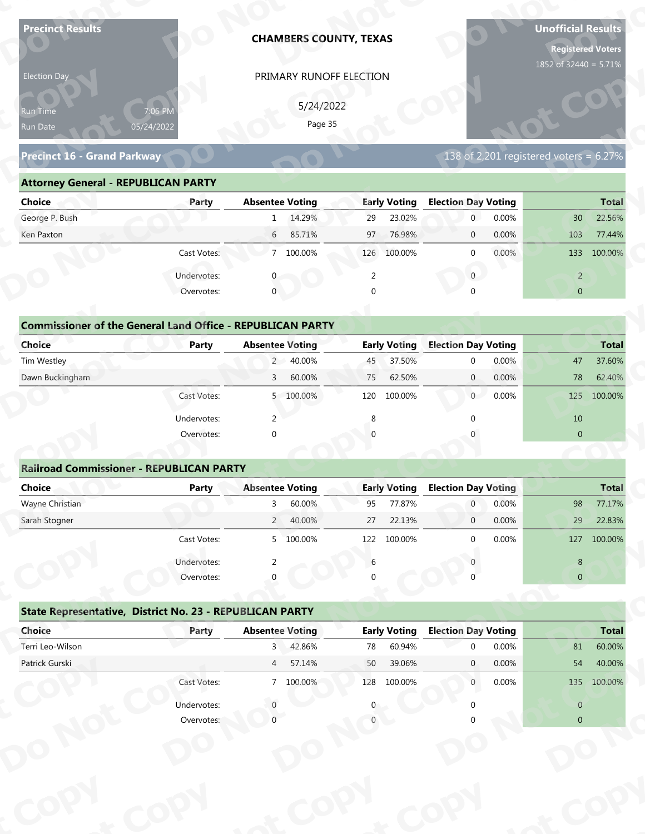| <b>Precinct Results</b>                                           |                           |                        |           | <b>CHAMBERS COUNTY, TEXAS</b> |                     |                            |       | <b>Unofficial Results</b><br><b>Registered Voters</b><br>1852 of 32440 = 5.71% |              |
|-------------------------------------------------------------------|---------------------------|------------------------|-----------|-------------------------------|---------------------|----------------------------|-------|--------------------------------------------------------------------------------|--------------|
| Election Day                                                      |                           |                        |           | PRIMARY RUNOFF ELECTION       |                     |                            |       |                                                                                |              |
|                                                                   |                           |                        | 5/24/2022 |                               |                     |                            |       |                                                                                |              |
| 7:06 PM<br>Run Time<br>Run Date                                   |                           |                        | Page 35   |                               |                     |                            |       |                                                                                |              |
| 05/24/2022                                                        |                           |                        |           |                               |                     |                            |       |                                                                                |              |
| Precinct 16 - Grand Parkway                                       |                           |                        |           |                               |                     |                            |       | 138 of 2,201 registered voters = $6.27\%$                                      |              |
| <b>Attorney General - REPUBLICAN PARTY</b>                        |                           |                        |           |                               |                     |                            |       |                                                                                |              |
| <b>Choice</b>                                                     | Party                     | <b>Absentee Voting</b> |           |                               | <b>Early Voting</b> | <b>Election Day Voting</b> |       |                                                                                | <b>Total</b> |
| George P. Bush                                                    |                           | 1                      | 14.29%    | 29                            | 23.02%              | $\mathbf 0$                | 0.00% | 30 <sup>°</sup>                                                                | 22.56%       |
| Ken Paxton                                                        |                           | 6                      | 85.71%    | 97                            | 76.98%              | $\mathbf 0$                | 0.00% | 103                                                                            | 77.44%       |
|                                                                   | Cast Votes:               |                        | 7 100.00% |                               | 126 100.00%         | $\mathbf 0$                | 0.00% | 133                                                                            | 100.00%      |
|                                                                   | Undervotes:               |                        |           | 2                             |                     | $\overline{0}$             |       | $\overline{2}$                                                                 |              |
|                                                                   | Overvotes:                | $\mathbf{0}$           |           | $\Omega$                      |                     |                            |       | $\overline{0}$                                                                 |              |
|                                                                   |                           |                        |           |                               |                     |                            |       |                                                                                |              |
| <b>Commissioner of the General Land Office - REPUBLICAN PARTY</b> |                           |                        |           |                               |                     |                            |       |                                                                                |              |
| <b>Choice</b>                                                     | <b>Party</b>              | <b>Absentee Voting</b> |           |                               | <b>Early Voting</b> | <b>Election Day Voting</b> |       |                                                                                | <b>Total</b> |
| Tim Westley                                                       |                           | $2^{\circ}$            | 40.00%    | 45                            | 37.50%              | $\mathbf 0$                | 0.00% | 47                                                                             | 37.60%       |
| Dawn Buckingham                                                   |                           | 3                      | 60.00%    | 75                            | 62.50%              | $\overline{0}$             | 0.00% | 78                                                                             | 62.40%       |
|                                                                   | Cast Votes:               |                        | 5 100.00% |                               | 120 100.00%         | 0                          | 0.00% | 125                                                                            | 100.00%      |
|                                                                   | Undervotes:               | 2                      |           | 8                             |                     | $\Omega$                   |       | 10                                                                             |              |
|                                                                   | Overvotes:                | $\Omega$               |           |                               |                     |                            |       | $\overline{0}$                                                                 |              |
|                                                                   |                           |                        |           |                               |                     |                            |       |                                                                                |              |
| <b>Railroad Commissioner - REPUBLICAN PARTY</b>                   |                           |                        |           |                               |                     |                            |       |                                                                                |              |
| <b>Choice</b>                                                     | <b>Party</b>              | <b>Absentee Voting</b> |           |                               | <b>Early Voting</b> | <b>Election Day Voting</b> |       |                                                                                | <b>Total</b> |
| Wayne Christian                                                   |                           | $\mathbf{3}$           | 60.00%    | 95                            | 77.87%              | $\overline{0}$             | 0.00% | 98                                                                             | 77.17%       |
| Sarah Stogner                                                     |                           |                        | 2 40.00%  | 27                            | 22.13%              | $\overline{0}$             | 0.00% | 29                                                                             | 22.83%       |
|                                                                   | Cast Votes:               |                        | 5 100.00% | 122                           | 100.00%             | $\Omega$                   | 0.00% | 127                                                                            | 100.00%      |
|                                                                   | Undervotes:               | 2                      |           | 6                             |                     |                            |       | 8                                                                              |              |
|                                                                   | Overvotes:                |                        |           |                               |                     |                            |       | $\overline{0}$                                                                 |              |
| State Representative, District No. 23 - REPUBLICAN PARTY          |                           |                        |           |                               |                     |                            |       |                                                                                |              |
| Choice                                                            | Party                     | <b>Absentee Voting</b> |           |                               | <b>Early Voting</b> | <b>Election Day Voting</b> |       |                                                                                | <b>Total</b> |
|                                                                   |                           | $3^{\circ}$            | 42.86%    | 78                            | 60.94%              | $\Omega$                   | 0.00% | 81                                                                             | 60.00%       |
| Terri Leo-Wilson                                                  |                           | $4\overline{ }$        | 57.14%    | 50                            | 39.06%              | $\mathbf{0}$               | 0.00% | 54                                                                             | 40.00%       |
| Patrick Gurski                                                    |                           |                        |           |                               |                     |                            |       |                                                                                |              |
|                                                                   | Cast Votes:               |                        | 7 100.00% |                               | 128 100.00%         | $\overline{0}$             | 0.00% |                                                                                | 135 100.00%  |
|                                                                   |                           |                        |           |                               |                     |                            |       |                                                                                |              |
|                                                                   | Undervotes:<br>Overvotes: |                        |           |                               |                     |                            |       | $\overline{0}$<br>$\overline{0}$                                               |              |

| Election Day                               |                                                                            | PRIMARY RUNOFF ELECTION   |                     |                                           |                           |
|--------------------------------------------|----------------------------------------------------------------------------|---------------------------|---------------------|-------------------------------------------|---------------------------|
| Run Time<br>Run Date                       | 7:06 PM<br>05/24/2022                                                      | 5/24/2022<br>Page 35      |                     |                                           |                           |
| Precinct 16 - Grand Parkway                |                                                                            |                           |                     | 138 of 2,201 registered voters = $6.27\%$ |                           |
| <b>Attorney General - REPUBLICAN PARTY</b> |                                                                            |                           |                     |                                           |                           |
| <b>Choice</b>                              | Party                                                                      | <b>Absentee Voting</b>    | <b>Early Voting</b> | <b>Election Day Voting</b>                | <b>Total</b>              |
| George P. Bush                             |                                                                            | 1 14.29%                  | 23.02%<br>29        | $\overline{0}$<br>0.00%                   | 22.56%<br>30 <sup>°</sup> |
| Ken Paxton                                 |                                                                            | $6\overline{6}$<br>85.71% | 97<br>76.98%        | 0.00%<br>$\mathbf{0}$                     | 103<br>77.44%             |
|                                            | Cast Votes:                                                                | 7 100.00%                 | 126 100.00%         | 0.00%<br>$\mathbf{0}$                     | 133 100.00%               |
|                                            | Undervotes:                                                                |                           | 2                   | $\overline{0}$                            | $\overline{2}$            |
|                                            | Overvotes:                                                                 | $\Omega$                  |                     |                                           | $\overline{0}$            |
| Choice                                     | <b>Commissioner of the General Land Office - REPUBLICAN PARTY</b><br>Party | <b>Absentee Voting</b>    | <b>Early Voting</b> | <b>Election Day Voting</b>                | <b>Total</b>              |
| Tim Westley                                |                                                                            | 2 40.00%                  | 37.50%<br>45        | 0.00%<br>$\Omega$                         | 37.60%<br>47              |
| Dawn Buckingham                            |                                                                            | 60.00%<br>$\overline{3}$  | 62.50%<br>75        | 0.00%<br>$\overline{0}$                   | 62.40%<br>78              |
|                                            | Cast Votes:                                                                | 5 100.00%                 | 100.00%<br>120      | 0.00%<br>$\overline{0}$                   | 100.00%<br>125            |
|                                            | Undervotes:                                                                | 2                         |                     |                                           | 10                        |
|                                            | Overvotes:                                                                 |                           |                     |                                           | $\overline{0}$            |
|                                            |                                                                            |                           |                     |                                           |                           |
|                                            | <b>Railroad Commissioner - REPUBLICAN PARTY</b>                            |                           |                     |                                           |                           |
| <b>Choice</b>                              | <b>Party</b>                                                               | <b>Absentee Voting</b>    | <b>Early Voting</b> | <b>Election Day Voting</b>                | <b>Total</b>              |
| Wayne Christian                            |                                                                            | 60.00%                    | 77.87%<br>95        | 0.00%                                     | 77.17%<br>98              |
| Carole Champsu                             |                                                                            | $\Omega$<br>10.000        | 27<br>22.120/       | 0.0001<br>$\sim$                          | 22000<br>20               |

| Choice                                          | Party       | <b>Absentee Voting</b>                                            | <b>Early Voting</b> | <b>Election Day Voting</b> | <b>Total</b>   |
|-------------------------------------------------|-------------|-------------------------------------------------------------------|---------------------|----------------------------|----------------|
| George P. Bush                                  |             | 14.29%<br>$\mathbf{1}$                                            | 23.02%<br>29        | $\overline{0}$<br>0.00%    | 22.56%<br>30   |
| Ken Paxton                                      |             | 85.71%<br>6                                                       | 76.98%<br>97        | 0.00%<br>$\overline{0}$    | 103<br>77.44%  |
|                                                 | Cast Votes: | 7 100.00%                                                         | 100.00%<br>126      | 0.00%<br>$\mathbf 0$       | 100.00%<br>133 |
|                                                 | Undervotes: |                                                                   |                     | $\mathbf{0}$               | $\overline{2}$ |
|                                                 | Overvotes:  | 0                                                                 |                     | $\mathbf 0$                | $\overline{0}$ |
|                                                 |             |                                                                   |                     |                            |                |
|                                                 |             | <b>Commissioner of the General Land Office - REPUBLICAN PARTY</b> |                     |                            |                |
| Choice                                          | Party       | <b>Absentee Voting</b>                                            | <b>Early Voting</b> | <b>Election Day Voting</b> | <b>Total</b>   |
| Tim Westley                                     |             | 40.00%<br>$2^{\circ}$                                             | 37.50%<br>45        | 0.00%<br>$\mathbf 0$       | 37.60%<br>47   |
| Dawn Buckingham                                 |             | 60.00%<br>3                                                       | 62.50%<br>75        | 0.00%<br>$\overline{0}$    | 78<br>62.40%   |
|                                                 | Cast Votes: | 5 100.00%                                                         | 100.00%<br>120      | $\overline{0}$<br>0.00%    | 125<br>100.00% |
|                                                 | Undervotes: | $\mathcal{P}$                                                     |                     | ∩                          | 10             |
|                                                 | Overvotes:  | $\Omega$                                                          |                     | 0                          | $\overline{0}$ |
| <b>Railroad Commissioner - REPUBLICAN PARTY</b> |             |                                                                   |                     |                            |                |
| Choice                                          | Party       | <b>Absentee Voting</b>                                            | <b>Early Voting</b> | <b>Election Day Voting</b> | <b>Total</b>   |
| Wayne Christian                                 |             | 60.00%<br>3                                                       | 77.87%<br>95        | 0.00%<br>$\overline{0}$    | 98<br>77.17%   |
| Carole Champan                                  |             | 2.40000                                                           | 22.120<br>77        | 0.0001<br>$\Omega$         | 22000<br>20    |

### **Railroad Commissioner - REPUBLICAN PARTY Choice Party Absentee Voting Early Voting Election Day Voting Total** Wayne Christian 3 60.00% 95 77.87% 0 0.00% 98 77.17% Sarah Stogner 2 40.00% 27 22.13% 0 0.00% 29 22.83% Cast Votes: 5 100.00% 122 100.00% 0 0.00% 127 100.00% Undervotes: 2 6 0 8 8 Overvotes: 0 0 0 0 **Example 20**<br> **Railroad Commissioner - REPUBLICAN P<br>
Choice Party t C** Under<br>Over **Railroad Com**<br> **Choice**<br> **Wayne Christian**<br> **Sarab Stegner oEarly Voting t <sup>p</sup> y d**<br>Absentee  $\frac{3}{2}$  60.00%<br> **b** 40.00%<br> **b** 400.00% **e Voting**<br>60.00%<br>40.00%<br>100.00% **op PRIMARY RUNOFF ELECTIO**<br>
5/24/2022<br>
Page 35<br> **Absentee Voting**<br>
1 1429%<br> **Buse 10 1429%**<br> **PRIMARY RUNOFF ELECTIO**<br>
5/24/2022<br>
Page 35<br> **Buse 1429%**<br>
2 9<br> **PRIMARY**<br> **Buse 126**<br> **Buse 126**<br> **CONS**<br> **E**<br> **Buse 126**<br> **PRIMA**  $\begin{bmatrix} 1 & 1 & 1 \\ 6 & 0 & 0 \end{bmatrix}$ **<u>Ioting</u> DtC**<u>P</u><br>29 **Railroad Commiss<br>
Choice**<br>
Wayne Christian<br>
Sarah Stogner **Choice**<br>
Wayne Christian<br>
Sarah Stogner Overvotes<br> **Railroad Commissioner - REPUBLICAN P<br>
Choice Party**<br>
Sarah Stogner<br>
Cast Votes<br>
Undervotes<br>
Overvotes<br>
State Representative, District No. 23 - F<br>
Choice Party<br>
Terri Leo-Wilson<br>
Patrick Gurski<br>
Cast Votes<br>
Unde mmissior<br>**ot** Precinct 16 - Grand Parkway<br> **Attorney General - REPUBLICAN PARTY**<br>
Choice<br>
George P. Bush<br>
Ken Paxton<br>
Cast Votes<br>
Undervotes<br>
Orm**missioner of the General Land Offic**<br>
Choice<br>
Tim Westley<br>
Dawn Buckingham<br>
Cast Votes<br>
Un **totDDCommissioner of the C**<br>Choice<br>Dawn Buckingham<br>**Railroad Commissione**<br>Choice<br>Mayne Christian<br>Sarah Stogner<br>**State Representative,**<br>Choice<br>Choice<br>Terri Leo-Wilson **State Representat dervotes Copyright Copyright Copyright Copyright Copyright Copyright Copyright Copyright Copyright Copyright Copyright Copyright Copyright Copyright Copyright Copyright Copyright Copyright Copyright Copyright Copyright Copyright C Commissioner of the General Land Office<br>
Tim Westley<br>
Dawn Buckingham<br>
Davan Buckingham<br>
Cast Votes<br>
Undervotes<br>
Overvotes<br>
Railroad Commissioner - REPUBLICAN P<br>
Choice<br>
Wayne Christian<br>
Sarah Stogner<br>
Cast Votes<br>
Undervo N pyot PRIMARY RUNOFF ELECTION**<br>  $5/24/2022$ <br>  $Page 35$ <br> **Absentee Voting**<br> **Absentee Voting**<br> **Early Voting Election Day V<br>
6 85.71% 97 76.98% 0<br>
7 100.00% 126 100.00% 0<br>
8 7 100.00% 126 100.00% 0<br>
8 2<br>
<b>Absentee Voting Early Vo yot rotal**<br>
47 37.60%<br>
78 62.40%<br>
125 100.00%<br>
10<br>
0<br> **o**<br> **o**<br> **o**<br> **o**<br>
127 100.00%<br>
8<br>
0<br>
8<br>
0<br> **o**<br> **o**<br>
127 100.00%<br>
8<br>
0<br>
100.00%<br>
8<br>
127 100.00%<br>
8<br>
0<br>
100.00%<br>
8<br>
127 100.00%<br>
8<br>
127 100.00%<br>
8<br>
100.00%<br>
8<br>
127 100.00 **Example 19 AN PARTY**<br> **PyCoting Election Day V<br>
40.00% 45 37.50% 0<br>
60.00% 75 62.50% 0<br>
100.00% 120 100.00% 0<br>
8 0<br>
0<br>
0<br>
0<br>
<b>PyCoting Early Voting Election Day V<br>
40.00% 95 77.87% 0<br>
100.00% 27 22.13% 0<br>
100.00% 122 100. o** $\overline{0}$ **ot pyo** $\frac{\text{Total}}{3}$ <br>3 77.17%<br>3 22.83% **pyNTotal**<br>77.17% 22.83% **pyD N o**  $\begin{bmatrix} 8 \\ 0 \end{bmatrix}$ **ot op p**<br>**p**<br>**p**<br>**p**<br>**p**<br>**p 8**<br> **0**<br> **0**<br> **lection Day Voting**<br> **0**<br> **0**<br> **0**<br> **0**<br> **8**<br> **1**<br> **10**<br> **10**<br> **8**<br> **10**<br> **10**<br> **10**<br> **10**<br> **10**<br> **10**<br> **10**<br> **10**<br> **10**

## **State Representative, District No. 23 - REPUBLICAN PARTY o** $\frac{1}{\sqrt{2}}$

|                                                          | Cast votes. | $\mathcal{P}$          | TOO'OO SO | ⊥∠∠ | LUU.UU 70           |                            | <b>U.UU70</b> | T S            | <b>LUU.UU 70</b> |
|----------------------------------------------------------|-------------|------------------------|-----------|-----|---------------------|----------------------------|---------------|----------------|------------------|
|                                                          | Undervotes: |                        |           | 6   |                     |                            |               | 8              |                  |
|                                                          | Overvotes:  | $\Omega$               |           | 0   |                     |                            |               | $\overline{0}$ |                  |
| State Representative, District No. 23 - REPUBLICAN PARTY |             |                        |           |     |                     |                            |               |                |                  |
| Choice                                                   | Party       | <b>Absentee Voting</b> |           |     | <b>Early Voting</b> | <b>Election Day Voting</b> |               |                | <b>Total</b>     |
| Terri Leo-Wilson                                         |             | 3                      | 42.86%    | 78  | 60.94%              | $\Omega$                   | 0.00%         | 81             | 60.00%           |
| Patrick Gurski                                           |             | $\overline{4}$         | 57.14%    | 50  | 39.06%              | $\mathbf{0}$               | $0.00\%$      | 54             | 40.00%           |
|                                                          | Cast Votes: |                        | 7 100.00% | 128 | 100.00%             | $\mathbf{0}$               | $0.00\%$      | 135            | 100.00%          |
|                                                          | Undervotes: |                        |           | 0   |                     |                            |               | $\overline{0}$ |                  |
|                                                          | Overvotes:  |                        |           |     |                     |                            |               | $\overline{0}$ |                  |
|                                                          |             |                        |           |     |                     |                            |               |                |                  |
|                                                          |             |                        |           |     |                     |                            |               |                |                  |
|                                                          |             |                        |           |     |                     |                            |               |                |                  |
|                                                          |             |                        |           |     |                     |                            |               |                |                  |
|                                                          |             |                        |           |     |                     |                            |               |                |                  |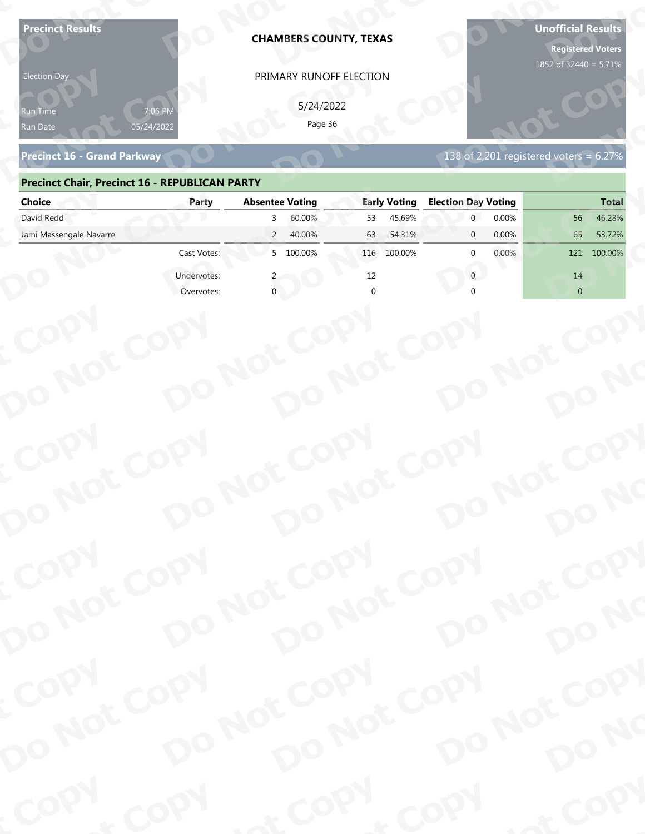| Page 36<br>05/24/2022<br>Run Date<br>138 of 2,201 registered voters = 6.27%<br><b>Precinct 16 - Grand Parkway</b><br><b>Precinct Chair, Precinct 16 - REPUBLICAN PARTY</b><br><b>Absentee Voting</b><br><b>Early Voting</b><br><b>Election Day Voting</b><br><b>Choice</b><br>Party<br>David Redd<br>60.00%<br>45.69%<br>0.00%<br>46.28%<br>53<br>56<br>3<br>Jami Massengale Navarre<br>0.00%<br>$\overline{2}$<br>40.00%<br>54.31%<br>65<br>53.72%<br>63<br>$\mathbf{0}$<br>5 100.00%<br>Cast Votes:<br>100.00%<br>0.00%<br>100.00%<br>116<br>$\Omega$<br>121<br>Undervotes:<br>12<br>14<br>$\Omega$<br>$\overline{0}$<br>Overvotes:<br>COPY<br>DO NOT COPY<br>DO NOT COPY<br>DO NOT COPY<br>DO NOT COPY<br>DO NO | <b>Precinct Results</b><br><b>Election Day</b><br>የun Time |      | <b>CHAMBERS COUNTY, TEXAS</b><br>PRIMARY RUNOFF ELECTION<br>5/24/2022 |      | <b>Unofficial Results</b><br><b>Registered Voters</b><br>1852 of 32440 = 5.71% |
|--------------------------------------------------------------------------------------------------------------------------------------------------------------------------------------------------------------------------------------------------------------------------------------------------------------------------------------------------------------------------------------------------------------------------------------------------------------------------------------------------------------------------------------------------------------------------------------------------------------------------------------------------------------------------------------------------------------------|------------------------------------------------------------|------|-----------------------------------------------------------------------|------|--------------------------------------------------------------------------------|
|                                                                                                                                                                                                                                                                                                                                                                                                                                                                                                                                                                                                                                                                                                                    |                                                            |      |                                                                       |      |                                                                                |
|                                                                                                                                                                                                                                                                                                                                                                                                                                                                                                                                                                                                                                                                                                                    |                                                            |      |                                                                       |      |                                                                                |
|                                                                                                                                                                                                                                                                                                                                                                                                                                                                                                                                                                                                                                                                                                                    |                                                            |      |                                                                       |      | <b>Total</b>                                                                   |
|                                                                                                                                                                                                                                                                                                                                                                                                                                                                                                                                                                                                                                                                                                                    |                                                            |      |                                                                       |      |                                                                                |
|                                                                                                                                                                                                                                                                                                                                                                                                                                                                                                                                                                                                                                                                                                                    |                                                            |      |                                                                       |      |                                                                                |
|                                                                                                                                                                                                                                                                                                                                                                                                                                                                                                                                                                                                                                                                                                                    |                                                            |      |                                                                       |      |                                                                                |
|                                                                                                                                                                                                                                                                                                                                                                                                                                                                                                                                                                                                                                                                                                                    |                                                            |      |                                                                       |      |                                                                                |
|                                                                                                                                                                                                                                                                                                                                                                                                                                                                                                                                                                                                                                                                                                                    | COPY                                                       |      |                                                                       |      |                                                                                |
|                                                                                                                                                                                                                                                                                                                                                                                                                                                                                                                                                                                                                                                                                                                    |                                                            |      |                                                                       |      |                                                                                |
| DO NOT COPY<br>DO NOT COPY<br>DO NOT COPY                                                                                                                                                                                                                                                                                                                                                                                                                                                                                                                                                                                                                                                                          |                                                            |      |                                                                       |      |                                                                                |
| DO NOT COPY<br>DO NO<br>COPY                                                                                                                                                                                                                                                                                                                                                                                                                                                                                                                                                                                                                                                                                       |                                                            |      |                                                                       |      |                                                                                |
| DO NOT COPY<br>DO NOT COPY<br>DO NOT COPY<br>DO NOT COPY<br>DO NO                                                                                                                                                                                                                                                                                                                                                                                                                                                                                                                                                                                                                                                  | COPY                                                       | COPY | & COPY                                                                | COPY | of COPY                                                                        |

### **Precinct Chair, Precinct 16 - REPUBLICAN PARTY**

| <b>Election Day</b>                                   |             | PRIMARY RUNOFF ELECTION    |                     |                                        |                |
|-------------------------------------------------------|-------------|----------------------------|---------------------|----------------------------------------|----------------|
| Run Time<br>Run Date                                  | 05/24/2022  | 5/24/2022<br>Page 36       |                     |                                        |                |
| <b>Precinct 16 - Grand Parkway</b>                    |             |                            |                     | 138 of 2,201 registered voters = 6.27% |                |
| <b>Precinct Chair, Precinct 16 - REPUBLICAN PARTY</b> |             |                            |                     |                                        |                |
| <b>Choice</b>                                         | Party       | <b>Absentee Voting</b>     | <b>Early Voting</b> | <b>Election Day Voting</b>             | <b>Total</b>   |
| David Redd                                            |             | 60.00%<br>3                | 45.69%<br>53        | 0.00%<br>$\overline{0}$                | 46.28%<br>56   |
| Jami Massengale Navarre                               |             | $\overline{2}$<br>40.00%   | 63<br>54.31%        | 0.00%<br>$\mathbf{0}$                  | 65<br>53.72%   |
|                                                       | Cast Votes: | 5 100.00%                  | 116 100.00%         | 0.00%<br><sup>0</sup>                  | 121 100.00%    |
|                                                       | Undervotes: |                            | 12                  | $\overline{0}$                         | 14             |
|                                                       | Overvotes:  |                            |                     |                                        | $\overline{0}$ |
|                                                       |             |                            |                     |                                        |                |
|                                                       |             |                            |                     |                                        |                |
|                                                       |             |                            |                     |                                        |                |
|                                                       |             |                            |                     |                                        |                |
|                                                       |             |                            |                     |                                        |                |
|                                                       |             |                            |                     |                                        |                |
|                                                       |             |                            |                     |                                        |                |
|                                                       |             |                            |                     |                                        |                |
|                                                       |             |                            |                     |                                        |                |
|                                                       |             |                            |                     |                                        |                |
|                                                       |             |                            |                     |                                        |                |
|                                                       |             |                            |                     |                                        |                |
| COPY<br>DO NOT COPY                                   |             | DO NOT COPY<br>DO NOT COPY |                     | DO NOT COPY                            |                |
|                                                       |             |                            |                     |                                        |                |
|                                                       |             |                            |                     |                                        |                |
|                                                       |             |                            |                     |                                        | DO NO          |
|                                                       |             |                            |                     |                                        |                |
|                                                       |             |                            |                     |                                        |                |
|                                                       |             |                            |                     |                                        |                |
|                                                       |             |                            |                     |                                        |                |
| COPY                                                  |             |                            |                     |                                        |                |
| DO NOT COPY                                           |             | DO NOT COPY                |                     | DO NOT COPY<br>DO NOT COPY             | DO NO          |
|                                                       |             |                            |                     |                                        |                |
|                                                       |             |                            |                     |                                        |                |
| <b>POO.</b>                                           | <b>And</b>  |                            | $P_{\rm O_2}$       | <b>LON</b>                             | ·ODW           |
|                                                       |             |                            |                     |                                        |                |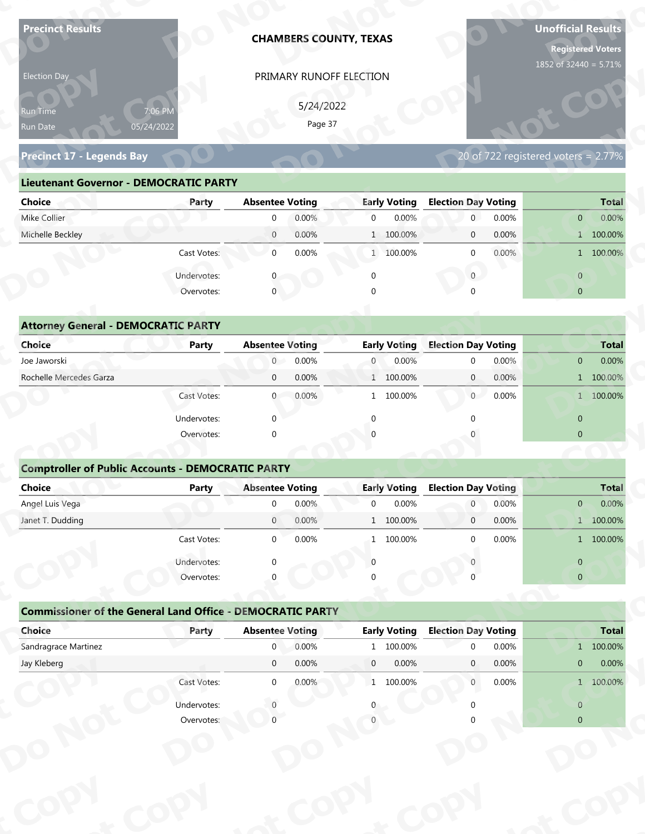| <b>Precinct Results</b>                                           |                       |                               |                | <b>CHAMBERS COUNTY, TEXAS</b>  |                     |                                |                | <b>Unofficial Results</b><br><b>Registered Voters</b> |                    |
|-------------------------------------------------------------------|-----------------------|-------------------------------|----------------|--------------------------------|---------------------|--------------------------------|----------------|-------------------------------------------------------|--------------------|
| Election Day                                                      |                       |                               |                | PRIMARY RUNOFF ELECTION        |                     |                                |                | 1852 of 32440 = 5.71%                                 |                    |
|                                                                   |                       |                               | 5/24/2022      |                                |                     |                                |                |                                                       |                    |
| Run Time                                                          | 7:06 PM<br>05/24/2022 |                               | Page 37        |                                |                     |                                |                |                                                       |                    |
| Run Date                                                          |                       |                               |                |                                |                     |                                |                |                                                       |                    |
| <b>Precinct 17 - Legends Bay</b>                                  |                       |                               |                |                                |                     |                                |                | 20 of $722$ registered voters = $2.77\%$              |                    |
| <b>Lieutenant Governor - DEMOCRATIC PARTY</b>                     |                       |                               |                |                                |                     |                                |                |                                                       |                    |
| <b>Choice</b>                                                     | Party                 | <b>Absentee Voting</b>        |                |                                | <b>Early Voting</b> | <b>Election Day Voting</b>     |                |                                                       | <b>Total</b>       |
| Mike Collier                                                      |                       | $\Omega$                      | 0.00%          | $\overline{0}$                 | 0.00%               | $\mathbf{0}$                   | 0.00%          | $\overline{0}$                                        | $0.00\%$           |
| Michelle Beckley                                                  |                       | $\overline{0}$                | 0.00%          |                                | 1 100.00%           | $\mathbf 0$                    | 0.00%          |                                                       | 1 100.00%          |
|                                                                   | Cast Votes:           | $\mathbf 0$                   | 0.00%          |                                | 1 100.00%           | $\mathbf 0$                    | 0.00%          |                                                       | 1 100.00%          |
|                                                                   | Undervotes:           |                               |                | $\mathbf 0$                    |                     | $\overline{0}$                 |                | $\overline{0}$                                        |                    |
|                                                                   | Overvotes:            | $\overline{0}$                |                |                                |                     |                                |                | $\overline{0}$                                        |                    |
|                                                                   |                       |                               |                |                                |                     |                                |                |                                                       |                    |
| <b>Attorney General - DEMOCRATIC PARTY</b>                        |                       |                               |                |                                |                     |                                |                |                                                       |                    |
| <b>Choice</b>                                                     | <b>Party</b>          | <b>Absentee Voting</b>        |                |                                | <b>Early Voting</b> | <b>Election Day Voting</b>     |                |                                                       | <b>Total</b>       |
| Joe Jaworski<br>Rochelle Mercedes Garza                           |                       | $\overline{0}$<br>$\mathbf 0$ | 0.00%<br>0.00% | $\overline{0}$<br>$\mathbf{1}$ | 0.00%<br>100.00%    | $\mathbf 0$<br>$\overline{0}$  | 0.00%<br>0.00% | $\overline{0}$                                        | 0.00%<br>1 100.00% |
|                                                                   | Cast Votes:           | $\overline{0}$                | 0.00%          |                                | 1 100.00%           | 0                              | 0.00%          |                                                       | 1 100.00%          |
|                                                                   |                       |                               |                |                                |                     |                                |                |                                                       |                    |
|                                                                   | Undervotes:           | $\Omega$                      |                | $\mathbf{0}$                   |                     | $\Omega$                       |                | $\overline{0}$                                        |                    |
|                                                                   | Overvotes:            | $\Omega$                      |                |                                |                     |                                |                | $\overline{0}$                                        |                    |
| <b>Comptroller of Public Accounts - DEMOCRATIC PARTY</b>          |                       |                               |                |                                |                     |                                |                |                                                       |                    |
| <b>Choice</b>                                                     | <b>Party</b>          | <b>Absentee Voting</b>        |                |                                | <b>Early Voting</b> | <b>Election Day Voting</b>     |                |                                                       | <b>Total</b>       |
| Angel Luis Vega                                                   |                       | $\overline{0}$                | 0.00%          | $\mathbf 0$                    | 0.00%               | $\overline{0}$                 | 0.00%          | $\mathbf{0}$                                          | 0.00%              |
| Janet T. Dudding                                                  |                       | $\overline{0}$                | 0.00%          |                                | 1 100.00%           | $\overline{0}$                 | 0.00%          |                                                       | 1 100.00%          |
|                                                                   | Cast Votes:           | $\overline{0}$                | 0.00%          |                                | 1 100.00%           | $\Omega$                       | 0.00%          |                                                       | 1 100.00%          |
|                                                                   | Undervotes:           | $\Omega$                      |                | $\Omega$                       |                     |                                |                | $\overline{0}$                                        |                    |
|                                                                   | Overvotes:            |                               |                |                                |                     |                                |                | $\overline{0}$                                        |                    |
|                                                                   |                       |                               |                |                                |                     |                                |                |                                                       |                    |
| <b>Commissioner of the General Land Office - DEMOCRATIC PARTY</b> |                       |                               |                |                                |                     |                                |                |                                                       |                    |
| Choice                                                            | Party                 | <b>Absentee Voting</b>        |                |                                | <b>Early Voting</b> | <b>Election Day Voting</b>     |                |                                                       | <b>Total</b>       |
| Sandragrace Martinez                                              |                       | $\overline{0}$                | 0.00%          |                                | 1 100.00%           | $\Omega$                       | 0.00%          |                                                       | 1 100.00%          |
| Jay Kleberg                                                       |                       | $\overline{0}$                | 0.00%          | $\overline{0}$                 | 0.00%               | $\mathbf{0}$<br>$\overline{0}$ | 0.00%<br>0.00% | $\mathbf{0}$                                          | 0.00%              |
|                                                                   | Cast Votes:           | $\overline{0}$                | 0.00%          |                                | 1 100.00%           |                                |                |                                                       | 1 100.00%          |
|                                                                   | Undervotes:           |                               |                |                                |                     |                                |                | $\overline{0}$                                        |                    |
|                                                                   | Overvotes:            |                               |                |                                |                     |                                |                | $\overline{0}$                                        |                    |
|                                                                   |                       |                               |                |                                |                     |                                |                |                                                       |                    |

| 5/24/2022<br>7:06 PM<br><b>Run Time</b><br>Page 37<br>05/24/2022<br>Run Date<br><b>Precinct 17 - Legends Bay</b><br>20 of 722 registered voters = 2.77%<br><b>Lieutenant Governor - DEMOCRATIC PARTY</b><br><b>Absentee Voting</b><br><b>Early Voting</b><br><b>Election Day Voting</b><br><b>Choice</b><br><b>Total</b><br>Party<br>Mike Collier<br>0.00%<br>0.00%<br>0.00%<br>0.00%<br>$\overline{0}$<br>$\overline{0}$<br>$\overline{0}$<br>$\overline{0}$ |
|---------------------------------------------------------------------------------------------------------------------------------------------------------------------------------------------------------------------------------------------------------------------------------------------------------------------------------------------------------------------------------------------------------------------------------------------------------------|
|                                                                                                                                                                                                                                                                                                                                                                                                                                                               |
|                                                                                                                                                                                                                                                                                                                                                                                                                                                               |
|                                                                                                                                                                                                                                                                                                                                                                                                                                                               |
|                                                                                                                                                                                                                                                                                                                                                                                                                                                               |
|                                                                                                                                                                                                                                                                                                                                                                                                                                                               |
| Michelle Beckley<br>0.00%<br>1 100.00%<br>0.00%<br>1 100.00%<br>$\overline{0}$<br>$\overline{0}$                                                                                                                                                                                                                                                                                                                                                              |
| 0.00%<br>$0.00\%$<br>Cast Votes:<br>$\overline{0}$<br>1 100.00%<br>1 100.00%<br>$\Omega$                                                                                                                                                                                                                                                                                                                                                                      |
| Undervotes:<br>$\overline{0}$<br>$\overline{0}$<br>$\Omega$                                                                                                                                                                                                                                                                                                                                                                                                   |
| $\mathbf 0$<br>Overvotes:<br>$\Omega$<br>$\overline{0}$                                                                                                                                                                                                                                                                                                                                                                                                       |
|                                                                                                                                                                                                                                                                                                                                                                                                                                                               |
| <b>Attorney General - DEMOCRATIC PARTY</b>                                                                                                                                                                                                                                                                                                                                                                                                                    |
| <b>Early Voting</b><br><b>Election Day Voting</b><br><b>Choice</b><br><b>Absentee Voting</b><br><b>Total</b><br><b>Party</b>                                                                                                                                                                                                                                                                                                                                  |
| Joe Jaworski<br>0.00%<br>0.00%<br>0.00%<br>0.00%<br>$\overline{0}$<br>$\overline{0}$<br>$\mathbf{0}$<br>$\Omega$                                                                                                                                                                                                                                                                                                                                              |
| Rochelle Mercedes Garza<br>0.00%<br>1 100.00%<br>$\overline{0}$<br>0.00%<br>1 100.00%<br>$\overline{0}$                                                                                                                                                                                                                                                                                                                                                       |
| 0.00%<br>0<br>0.00%<br>1 100.00%<br>100.00%<br>Cast Votes:<br>$\overline{0}$<br>$\mathbf{1}$                                                                                                                                                                                                                                                                                                                                                                  |

| Election Day                               |                                                                   |                        | PRIMARY RUNOFF ELECTION |                |                     |                            |       |                                     |              |
|--------------------------------------------|-------------------------------------------------------------------|------------------------|-------------------------|----------------|---------------------|----------------------------|-------|-------------------------------------|--------------|
|                                            |                                                                   |                        | 5/24/2022               |                |                     |                            |       |                                     |              |
| Run Time                                   | 7:06 PM<br>05/24/2022                                             |                        | Page 37                 |                |                     |                            |       |                                     |              |
| Run Date                                   |                                                                   |                        |                         |                |                     |                            |       |                                     |              |
| <b>Precinct 17 - Legends Bay</b>           |                                                                   |                        |                         |                |                     |                            |       | 20 of 722 registered voters = 2.77% |              |
|                                            | <b>Lieutenant Governor - DEMOCRATIC PARTY</b>                     |                        |                         |                |                     |                            |       |                                     |              |
| <b>Choice</b>                              | Party                                                             | <b>Absentee Voting</b> |                         |                | <b>Early Voting</b> | <b>Election Day Voting</b> |       |                                     | <b>Total</b> |
| Mike Collier                               |                                                                   | $\mathbf 0$            | 0.00%                   | $\overline{0}$ | 0.00%               | $\overline{0}$             | 0.00% | $\overline{0}$                      | 0.00%        |
| Michelle Beckley                           |                                                                   | $\overline{0}$         | 0.00%                   |                | 1 100.00%           | $\mathbf{0}$               | 0.00% |                                     | 1 100.00%    |
|                                            | Cast Votes:                                                       | $\mathbf 0$            | 0.00%                   |                | 1 100.00%           | $\mathbf{0}$               | 0.00% |                                     | 1 100.00%    |
|                                            | Undervotes:                                                       | $\mathbf 0$            |                         | $\mathbf 0$    |                     | $\overline{0}$             |       | $\overline{0}$                      |              |
|                                            | Overvotes:                                                        | $\mathbf{0}$           |                         | $\Omega$       |                     |                            |       | $\overline{0}$                      |              |
|                                            |                                                                   |                        |                         |                |                     |                            |       |                                     |              |
| <b>Attorney General - DEMOCRATIC PARTY</b> |                                                                   |                        |                         |                |                     |                            |       |                                     |              |
| Choice                                     | <b>Party</b>                                                      | <b>Absentee Voting</b> |                         |                | <b>Early Voting</b> | <b>Election Day Voting</b> |       |                                     | <b>Total</b> |
| Joe Jaworski                               |                                                                   | $\overline{0}$         | 0.00%                   | $\overline{0}$ | 0.00%               | $\mathbf 0$                | 0.00% | $\overline{0}$                      | 0.00%        |
| Rochelle Mercedes Garza                    |                                                                   | $\mathbf 0$            | 0.00%                   |                | 1 100.00%           | $\mathbf{0}$               | 0.00% |                                     | 1 100.00%    |
|                                            | Cast Votes:                                                       | $\mathbf{0}$           | 0.00%                   |                | 1 100.00%           | $\overline{0}$             | 0.00% |                                     | 1 100.00%    |
|                                            | Undervotes:                                                       | $\Omega$               |                         | $\Omega$       |                     |                            |       | $\overline{0}$                      |              |
|                                            | Overvotes:                                                        | $\Omega$               |                         |                |                     |                            |       | $\overline{0}$                      |              |
|                                            |                                                                   |                        |                         |                |                     |                            |       |                                     |              |
|                                            | <b>Comptroller of Public Accounts - DEMOCRATIC PARTY</b>          |                        |                         |                |                     |                            |       |                                     |              |
| <b>Choice</b>                              | <b>Party</b>                                                      | <b>Absentee Voting</b> |                         |                | <b>Early Voting</b> | <b>Election Day Voting</b> |       |                                     | Total        |
| Angel Luis Vega                            |                                                                   | $\mathbf 0$            | 0.00%                   | $\mathbf 0$    | 0.00%               | $\overline{0}$             | 0.00% | $\overline{0}$                      | 0.00%        |
| Janet T. Dudding                           |                                                                   | $\mathbf{0}$           | 0.00%                   |                | 1 100.00%           | $\mathbf 0$                | 0.00% |                                     | 1 100.00%    |
|                                            | Cast Votes:                                                       | $\Omega$               | $0.00\%$                | $\mathbf{1}$   | 100.00%             | $\Omega$                   | 0.00% |                                     | 1 100.00%    |
|                                            |                                                                   |                        |                         |                |                     |                            |       |                                     |              |
|                                            | Undervotes:<br>Overvotes:                                         |                        |                         | $\Omega$       |                     |                            |       | $\overline{0}$<br>$\overline{0}$    |              |
|                                            |                                                                   |                        |                         |                |                     |                            |       |                                     |              |
|                                            | <b>Commissioner of the General Land Office - DEMOCRATIC PARTY</b> |                        |                         |                |                     |                            |       |                                     |              |
| Choice                                     | Party                                                             | <b>Absentee Voting</b> |                         |                | <b>Early Voting</b> | <b>Election Day Voting</b> |       |                                     | <b>Total</b> |
| Sandragrace Martinez                       |                                                                   | $\overline{0}$         | 0.00%                   |                | 1 100.00%           | $\Omega$                   | 0.00% |                                     | $1 100.00\%$ |
| Jay Kleberg                                |                                                                   | $\overline{0}$         | 0.00%                   | $\overline{0}$ | 0.00%               | $\mathbf{0}$               | 0.00% | $\overline{0}$                      | 0.00%        |
|                                            | Cast Votes:                                                       | $\overline{0}$         | 0.00%                   |                | 1 100.00%           | $\overline{0}$             | 0.00% |                                     | 1 100.00%    |
|                                            | Undervotes:                                                       |                        |                         |                |                     |                            |       | $\overline{0}$                      |              |
|                                            | Overvotes:                                                        |                        |                         |                |                     |                            |       | $\overline{0}$                      |              |
|                                            |                                                                   |                        |                         |                |                     |                            |       |                                     |              |
|                                            |                                                                   |                        |                         |                |                     |                            |       |                                     |              |
|                                            |                                                                   |                        |                         |                |                     |                            |       |                                     |              |
|                                            |                                                                   |                        |                         |                |                     |                            |       |                                     |              |
|                                            |                                                                   |                        |                         |                |                     |                            |       |                                     |              |
|                                            |                                                                   |                        |                         |                |                     |                            |       |                                     |              |

### **Comptroller of Public Accounts - DEMOCRATIC PARTY**

| <b>Choice</b>                                                     | Party       | <b>Absentee Voting</b> |       |                | <b>Early Voting</b> | <b>Election Day Voting</b> |       |                | <b>Total</b> |
|-------------------------------------------------------------------|-------------|------------------------|-------|----------------|---------------------|----------------------------|-------|----------------|--------------|
| Joe Jaworski                                                      |             | $\overline{0}$         | 0.00% | $\overline{0}$ | 0.00%               | $\mathbf{0}$               | 0.00% | $\overline{0}$ | 0.00%        |
| Rochelle Mercedes Garza                                           |             | $\mathbf 0$            | 0.00% |                | 1 100.00%           | $\mathbf{0}$               | 0.00% |                | 1 100.00%    |
|                                                                   | Cast Votes: | $\overline{0}$         | 0.00% |                | 1 100.00%           | $\overline{0}$             | 0.00% |                | 1 100.00%    |
|                                                                   | Undervotes: | $\Omega$               |       | $\Omega$       |                     | $\Omega$                   |       | $\mathbf{0}$   |              |
|                                                                   | Overvotes:  | $\Omega$               |       |                |                     |                            |       | $\overline{0}$ |              |
| <b>Comptroller of Public Accounts - DEMOCRATIC PARTY</b>          |             |                        |       |                |                     |                            |       |                |              |
| <b>Choice</b>                                                     | Party       | <b>Absentee Voting</b> |       |                | <b>Early Voting</b> | <b>Election Day Voting</b> |       |                | <b>Total</b> |
| Angel Luis Vega                                                   |             | $\Omega$               | 0.00% | 0              | 0.00%               | $\overline{0}$             | 0.00% | $\mathbf{0}$   | 0.00%        |
| Janet T. Dudding                                                  |             | $\overline{0}$         | 0.00% |                | 1 100.00%           | $\overline{0}$             | 0.00% |                | 1 100.00%    |
|                                                                   | Cast Votes: | $\overline{0}$         | 0.00% |                | 1 100.00%           | $\mathbf{0}$               | 0.00% |                | 1 100.00%    |
|                                                                   |             |                        |       |                |                     |                            |       |                |              |
|                                                                   | Undervotes: | ∩                      |       | 0              |                     |                            |       | $\overline{0}$ |              |
|                                                                   | Overvotes:  |                        |       |                |                     |                            |       | $\mathbf 0$    |              |
| <b>Commissioner of the General Land Office - DEMOCRATIC PARTY</b> |             |                        |       |                |                     |                            |       |                |              |
| Choice                                                            | Party       | <b>Absentee Voting</b> |       |                | <b>Early Voting</b> | <b>Election Day Voting</b> |       |                | <b>Total</b> |
| Sandragrace Martinez                                              |             | $\mathbf{0}$           | 0.00% |                | 1 100.00%           | $\mathbf{0}$               | 0.00% |                | 1 100.00%    |
| Jay Kleberg                                                       |             | $\mathbf 0$            | 0.00% | $\overline{0}$ | 0.00%               | $\mathbf{0}$               | 0.00% | $\overline{0}$ | 0.00%        |
|                                                                   | Cast Votes: | $\mathbf{0}$           | 0.00% |                | 1 100.00%           | $\mathbf{0}$               | 0.00% |                | 1 100.00%    |
|                                                                   | Undervotes: |                        |       |                |                     |                            |       | $\overline{0}$ |              |

|                                                                   | Cast votes. | U                      | <b>U.UU70</b> |             | T TOO'OO NO         |                            | <b>U.UU70</b> |                | $1.100.00\%$ |
|-------------------------------------------------------------------|-------------|------------------------|---------------|-------------|---------------------|----------------------------|---------------|----------------|--------------|
|                                                                   | Undervotes: | $\Omega$               |               | 0           |                     |                            |               | $\Omega$       |              |
|                                                                   | Overvotes:  | $\Omega$               |               | 0           |                     |                            |               | $\overline{0}$ |              |
|                                                                   |             |                        |               |             |                     |                            |               |                |              |
| <b>Commissioner of the General Land Office - DEMOCRATIC PARTY</b> |             |                        |               |             |                     |                            |               |                |              |
| Choice                                                            | Party       | <b>Absentee Voting</b> |               |             | <b>Early Voting</b> | <b>Election Day Voting</b> |               |                | <b>Total</b> |
| Sandragrace Martinez                                              |             | $\mathbf 0$            | 0.00%         |             | 1 100.00%           | $\Omega$                   | 0.00%         | 1              | 100.00%      |
| Jay Kleberg                                                       |             | $\mathbf 0$            | 0.00%         | $\mathbf 0$ | $0.00\%$            | $\mathbf{0}$               | $0.00\%$      | $\overline{0}$ | 0.00%        |
|                                                                   | Cast Votes: | $\mathbf 0$            | 0.00%         |             | 1 100.00%           | $\mathbf 0$                | $0.00\%$      | 1              | 100.00%      |
|                                                                   | Undervotes: |                        |               | 0           |                     |                            |               | $\overline{0}$ |              |
|                                                                   | Overvotes:  |                        |               |             |                     |                            |               | $\overline{0}$ |              |
|                                                                   |             |                        |               |             |                     |                            |               |                |              |
|                                                                   |             |                        |               |             |                     |                            |               |                |              |
|                                                                   |             |                        |               |             |                     |                            |               |                |              |
|                                                                   |             |                        |               |             |                     |                            |               |                |              |
|                                                                   |             |                        |               |             |                     |                            |               |                |              |
|                                                                   |             |                        |               |             |                     |                            |               |                |              |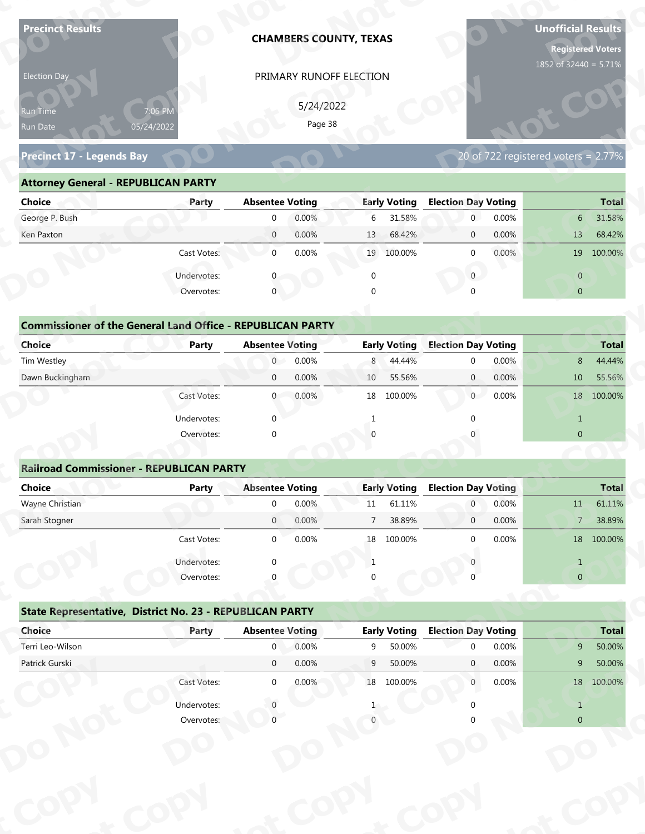| <b>Precinct Results</b>                                           |              |                            |                        | <b>CHAMBERS COUNTY, TEXAS</b> |                     |                                  |                | <b>Unofficial Results</b>                | <b>Registered Voters</b> |
|-------------------------------------------------------------------|--------------|----------------------------|------------------------|-------------------------------|---------------------|----------------------------------|----------------|------------------------------------------|--------------------------|
| Election Day                                                      |              |                            |                        | PRIMARY RUNOFF ELECTION       |                     |                                  |                | 1852 of 32440 = 5.71%                    |                          |
|                                                                   |              |                            | 5/24/2022              |                               |                     |                                  |                |                                          |                          |
| Run Time<br>05/24/2022                                            | 7:06 PM      |                            | Page 38                |                               |                     |                                  |                |                                          |                          |
| Run Date                                                          |              |                            |                        |                               |                     |                                  |                |                                          |                          |
| <b>Precinct 17 - Legends Bay</b>                                  |              |                            |                        |                               |                     |                                  |                | 20 of $722$ registered voters = $2.77\%$ |                          |
| <b>Attorney General - REPUBLICAN PARTY</b>                        |              |                            |                        |                               |                     |                                  |                |                                          |                          |
| <b>Choice</b>                                                     | Party        | <b>Absentee Voting</b>     |                        |                               | <b>Early Voting</b> | <b>Election Day Voting</b>       |                |                                          | <b>Total</b>             |
| George P. Bush                                                    |              | $\mathbf 0$                | 0.00%                  | 6                             | 31.58%              | $\mathbf 0$                      | 0.00%          | 6 <sup>1</sup>                           | 31.58%                   |
| Ken Paxton                                                        |              | $\overline{0}$             | 0.00%                  | 13                            | 68.42%              | $\mathbf 0$                      | 0.00%          | 13                                       | 68.42%                   |
|                                                                   | Cast Votes:  | $\mathbf{0}$               | 0.00%                  |                               | 19 100.00%          | $\mathbf 0$                      | 0.00%          |                                          | 19 100.00%               |
|                                                                   | Undervotes:  |                            |                        | $\mathbf 0$                   |                     | $\overline{0}$                   |                | $\overline{0}$                           |                          |
|                                                                   | Overvotes:   | $\overline{0}$             |                        | $\Omega$                      |                     |                                  |                | $\overline{0}$                           |                          |
|                                                                   |              |                            |                        |                               |                     |                                  |                |                                          |                          |
| <b>Commissioner of the General Land Office - REPUBLICAN PARTY</b> |              |                            |                        |                               |                     |                                  |                |                                          |                          |
| <b>Choice</b>                                                     | <b>Party</b> | <b>Absentee Voting</b>     |                        |                               | <b>Early Voting</b> | <b>Election Day Voting</b>       |                |                                          | <b>Total</b>             |
| Tim Westley                                                       |              | $\overline{0}$             | 0.00%                  | 8                             | 44.44%              | $\mathbf 0$                      | 0.00%          | 8                                        | 44.44%                   |
| Dawn Buckingham                                                   |              | $\mathbf 0$                | 0.00%                  | 10                            | 55.56%              | $\overline{0}$                   | 0.00%          | 10                                       | 55.56%                   |
|                                                                   | Cast Votes:  | $\overline{0}$             | 0.00%                  |                               | 18 100.00%          | $\overline{0}$                   | 0.00%          |                                          | 18 100.00%               |
|                                                                   | Undervotes:  | $\Omega$                   |                        | $\mathbf{1}$                  |                     | $\Omega$                         |                | $\mathbf{1}$                             |                          |
|                                                                   | Overvotes:   | $\Omega$                   |                        |                               |                     |                                  |                | $\overline{0}$                           |                          |
|                                                                   |              |                            |                        |                               |                     |                                  |                |                                          |                          |
| <b>Railroad Commissioner - REPUBLICAN PARTY</b>                   |              |                            |                        |                               |                     |                                  |                |                                          |                          |
| <b>Choice</b>                                                     | <b>Party</b> | <b>Absentee Voting</b>     |                        |                               | <b>Early Voting</b> | <b>Election Day Voting</b>       |                |                                          | <b>Total</b>             |
| Wayne Christian<br>Sarah Stogner                                  |              | $\Omega$<br>$\overline{0}$ | 0.00%<br>0.00%         | 11<br>$7\overline{ }$         | 61.11%<br>38.89%    | $\overline{0}$<br>$\overline{0}$ | 0.00%<br>0.00% | 11                                       | 61.11%<br>38.89%         |
|                                                                   | Cast Votes:  | $\overline{0}$             | 0.00%                  | 18                            | 100.00%             | $\Omega$                         | 0.00%          | 7 <sup>7</sup>                           | 18 100.00%               |
|                                                                   |              |                            |                        |                               |                     |                                  |                |                                          |                          |
|                                                                   | Undervotes:  | $\Omega$                   |                        | 1                             |                     |                                  |                | $\mathbf{1}$                             |                          |
|                                                                   | Overvotes:   |                            |                        |                               |                     |                                  |                | $\overline{0}$                           |                          |
|                                                                   |              |                            |                        |                               |                     |                                  |                |                                          |                          |
| State Representative, District No. 23 - REPUBLICAN PARTY          |              |                            | <b>Absentee Voting</b> |                               | <b>Early Voting</b> | <b>Election Day Voting</b>       |                |                                          | <b>Total</b>             |
| Choice                                                            | Party        |                            |                        |                               |                     |                                  |                |                                          |                          |
| Terri Leo-Wilson                                                  |              | $\mathbf{0}$               | 0.00%                  | 9                             | 50.00%              | $\Omega$                         | 0.00%          | 9                                        | 50.00%                   |
| Patrick Gurski                                                    |              | $\overline{0}$             | 0.00%                  | 9                             | 50.00%              | $\mathbf{0}$                     | 0.00%          | 9                                        | 50.00%                   |
|                                                                   | Cast Votes:  | $\overline{0}$             | 0.00%                  |                               | 18 100.00%          | $\overline{0}$                   | 0.00%          |                                          | 18 100.00%               |
|                                                                   | Undervotes:  |                            |                        |                               |                     |                                  |                | $\mathbf{1}$                             |                          |

| Election Day                                                |                                                                            |                        | PRIMARY RUNOFF ELECTION |              |                     |                            |                                     |                |              |
|-------------------------------------------------------------|----------------------------------------------------------------------------|------------------------|-------------------------|--------------|---------------------|----------------------------|-------------------------------------|----------------|--------------|
| <b>Run Time</b><br>Run Date                                 | 7:06 PM<br>05/24/2022                                                      |                        | 5/24/2022<br>Page 38    |              |                     |                            |                                     |                |              |
| Precinct 17 - Legends Bay                                   |                                                                            |                        |                         |              |                     |                            | 20 of 722 registered voters = 2.77% |                |              |
| <b>Attorney General - REPUBLICAN PARTY</b><br><b>Choice</b> | Party                                                                      | <b>Absentee Voting</b> |                         |              | <b>Early Voting</b> | <b>Election Day Voting</b> |                                     |                | <b>Total</b> |
| George P. Bush                                              |                                                                            | $\Omega$               | 0.00%                   | 6            | 31.58%              | $\overline{0}$             | 0.00%                               | 6              | 31.58%       |
| Ken Paxton                                                  |                                                                            | $\overline{0}$         | 0.00%                   | 13           | 68.42%              | $\mathbf 0$                | 0.00%                               | 13             | 68.42%       |
|                                                             | Cast Votes:                                                                | $\overline{0}$         | 0.00%                   |              | 19 100.00%          | $\overline{0}$             | 0.00%                               |                | 19 100.00%   |
|                                                             | Undervotes:                                                                |                        |                         | $\mathbf{0}$ |                     | $\mathbf{0}$               |                                     | $\overline{0}$ |              |
|                                                             | Overvotes:                                                                 | $\overline{0}$         |                         |              |                     |                            |                                     | $\overline{0}$ |              |
| <b>Choice</b>                                               | <b>Commissioner of the General Land Office - REPUBLICAN PARTY</b><br>Party | <b>Absentee Voting</b> |                         |              | <b>Early Voting</b> | <b>Election Day Voting</b> |                                     |                | <b>Total</b> |
| Tim Westley                                                 |                                                                            | $\overline{0}$         | 0.00%                   | 8            | 44.44%              |                            | 0.00%                               | 8              | 44.44%       |
| Dawn Buckingham                                             |                                                                            | $\mathbf 0$            | 0.00%                   | 10           | 55.56%              | $\mathbf{0}$               | 0.00%                               | 10             | 55.56%       |
|                                                             | Cast Votes:                                                                | $\overline{0}$         | 0.00%                   |              | 18 100.00%          | 0                          | 0.00%                               |                | 18 100.00%   |
|                                                             | Undervotes:                                                                |                        |                         |              |                     |                            |                                     | $\mathbf{1}$   |              |
|                                                             | Overvotes:                                                                 |                        |                         |              |                     |                            |                                     | $\overline{0}$ |              |
|                                                             | <b>Railroad Commissioner - REPUBLICAN PARTY</b>                            |                        |                         |              |                     |                            |                                     |                |              |
| <b>Choice</b>                                               | <b>Party</b>                                                               | <b>Absentee Voting</b> |                         |              | <b>Early Voting</b> | <b>Election Day Voting</b> |                                     |                | <b>Total</b> |
|                                                             |                                                                            |                        |                         |              |                     |                            |                                     |                |              |

| <b>Choice</b>                                                     | Party       | <b>Absentee Voting</b>  | <b>Early Voting</b> | <b>Election Day Voting</b> | <b>Total</b>             |
|-------------------------------------------------------------------|-------------|-------------------------|---------------------|----------------------------|--------------------------|
| George P. Bush                                                    |             | 0.00%<br>$\mathbf 0$    | 31.58%<br>6         | 0.00%<br>$\mathbf{0}$      | 31.58%<br>6              |
| Ken Paxton                                                        |             | 0.00%<br>$\overline{0}$ | 68.42%<br>13        | 0.00%<br>$\mathbf{0}$      | 13<br>68.42%             |
|                                                                   | Cast Votes: | 0.00%<br>$\mathbf 0$    | 19 100.00%          | 0.00%<br>$\mathbf{0}$      | 19<br>100.00%            |
|                                                                   | Undervotes: | $\mathbf{0}$            | $\mathbf 0$         | $\mathbf{0}$               | $\overline{0}$           |
|                                                                   | Overvotes:  | $\mathbf{0}$            | $\mathbf{0}$        | $\Omega$                   | $\overline{0}$           |
|                                                                   |             |                         |                     |                            |                          |
| <b>Commissioner of the General Land Office - REPUBLICAN PARTY</b> |             |                         |                     |                            |                          |
| Choice                                                            | Party       | <b>Absentee Voting</b>  | <b>Early Voting</b> | <b>Election Day Voting</b> | <b>Total</b>             |
| Tim Westley                                                       |             | 0.00%<br>$\overline{0}$ | 8 44.44%            | 0.00%<br>$\mathbf{0}$      | 44.44%<br>8              |
| Dawn Buckingham                                                   |             | $\mathbf 0$<br>0.00%    | 55.56%<br>10        | 0.00%<br>$\overline{0}$    | 10<br>55.56%             |
|                                                                   | Cast Votes: | 0.00%<br>$\Omega$       | 100.00%<br>18       | 0.00%<br>$\overline{0}$    | 100.00%<br>18            |
|                                                                   | Undervotes: | $\Omega$                |                     | U                          | $\mathbf{1}$             |
|                                                                   | Overvotes:  | $\mathbf{0}$            |                     |                            | $\overline{0}$           |
|                                                                   |             |                         |                     |                            |                          |
| <b>Railroad Commissioner - REPUBLICAN PARTY</b>                   |             |                         |                     |                            |                          |
| <b>Choice</b>                                                     | Party       | <b>Absentee Voting</b>  | <b>Early Voting</b> | <b>Election Day Voting</b> | <b>Total</b>             |
| Wayne Christian                                                   |             | 0.00%<br>$\Omega$       | 61.11%<br>11        | 0.00%<br>$\overline{0}$    | 61.11%<br>11             |
| Carole Champan                                                    |             | 0.0001<br>$\cap$        | 7.20000             | 0.000<br>$\sim$            | 20.000<br>$\overline{ }$ |

| 5/24/2022<br>7:06 PM<br>Run Time<br>Page 38<br>05/24/2022<br>Run Date<br><b>Precinct 17 - Legends Bay</b><br>20 of 722 registered voters = 2.77%<br><b>Attorney General - REPUBLICAN PARTY</b><br><b>Absentee Voting</b><br><b>Early Voting</b><br><b>Election Day Voting</b><br><b>Choice</b><br>Party<br>George P. Bush<br>0.00%<br>6<br>31.58%<br>$\overline{0}$<br>0.00%<br>$\mathbf 0$<br>6 <sup>1</sup><br>$\overline{0}$<br>0.00%<br>68.42%<br>0.00%<br>Ken Paxton<br>13<br>$\mathbf{0}$<br>13<br>0.00%<br>Cast Votes:<br>$\mathbf 0$<br>19 100.00%<br>0.00%<br>19 100.00%<br>$\mathbf{0}$<br>$\overline{0}$<br>Undervotes:<br>$\overline{0}$<br>$\mathbf 0$<br>$\mathbf{0}$<br>Overvotes:<br>$\mathbf{0}$<br>$\overline{0}$<br>$\Omega$<br><b>Commissioner of the General Land Office - REPUBLICAN PARTY</b><br><b>Election Day Voting</b><br>Choice<br><b>Early Voting</b><br>Party<br><b>Absentee Voting</b><br>0.00%<br>0.00%<br>Tim Westley<br>$\overline{0}$<br>8<br>44.44%<br>8<br>$\mathbf 0$<br>Dawn Buckingham<br>0.00%<br>0.00%<br>55.56%<br>$\mathbf{0}$<br>10<br>$\mathbf 0$<br>10<br>Cast Votes:<br>0.00%<br>100.00%<br>$\overline{0}$<br>0.00%<br>18 100.00%<br>$\mathbf{0}$<br>18<br>Undervotes:<br>$\Omega$<br>$\mathbf{1}$<br>$\overline{0}$<br>Overvotes:<br>$\Omega$<br><b>Railroad Commissioner - REPUBLICAN PARTY</b><br><b>Choice</b><br><b>Absentee Voting</b><br><b>Early Voting</b><br><b>Election Day Voting</b><br><b>Party</b><br>Wayne Christian<br>0.00%<br>61.11%<br>0.00%<br>$\mathbf 0$<br>$\overline{0}$<br>11<br>11<br>38.89%<br>0.00%<br>Sarah Stogner<br>0.00%<br>$\overline{7}$<br>$\mathbf{0}$<br>$\mathbf 0$<br>$\overline{7}$<br>0.00%<br>0.00%<br>18 100,00%<br>Cast Votes:<br>$\Omega$<br>18 100.00%<br>$\Omega$<br>Undervotes:<br>$\mathbf{1}$<br>-1<br>Overvotes:<br>$\overline{0}$<br>State Representative, District No. 23 - REPUBLICAN PARTY<br><b>Election Day Voting</b><br>Choice<br><b>Absentee Voting</b><br><b>Early Voting</b><br>Party<br>Terri Leo-Wilson<br>0.00%<br>9 <sup>1</sup><br>$\overline{0}$<br>9<br>50.00%<br>0.00%<br>$\Omega$<br>Patrick Gurski<br>0.00%<br>$\overline{0}$<br>9<br>50.00%<br>0.00%<br>9 <sup>1</sup><br>$\mathbf{0}$<br>Cast Votes:<br>18 100.00%<br>$\overline{0}$<br>0.00%<br>0.00%<br>18 100.00%<br>$\mathbf{0}$ | Election Day |  | PRIMARY RUNOFF ELECTION |  |  |              |
|-------------------------------------------------------------------------------------------------------------------------------------------------------------------------------------------------------------------------------------------------------------------------------------------------------------------------------------------------------------------------------------------------------------------------------------------------------------------------------------------------------------------------------------------------------------------------------------------------------------------------------------------------------------------------------------------------------------------------------------------------------------------------------------------------------------------------------------------------------------------------------------------------------------------------------------------------------------------------------------------------------------------------------------------------------------------------------------------------------------------------------------------------------------------------------------------------------------------------------------------------------------------------------------------------------------------------------------------------------------------------------------------------------------------------------------------------------------------------------------------------------------------------------------------------------------------------------------------------------------------------------------------------------------------------------------------------------------------------------------------------------------------------------------------------------------------------------------------------------------------------------------------------------------------------------------------------------------------------------------------------------------------------------------------------------------------------------------------------------------------------------------------------------------------------------------------------------------------------------------------------------------------------------------------------------------------|--------------|--|-------------------------|--|--|--------------|
|                                                                                                                                                                                                                                                                                                                                                                                                                                                                                                                                                                                                                                                                                                                                                                                                                                                                                                                                                                                                                                                                                                                                                                                                                                                                                                                                                                                                                                                                                                                                                                                                                                                                                                                                                                                                                                                                                                                                                                                                                                                                                                                                                                                                                                                                                                                   |              |  |                         |  |  |              |
|                                                                                                                                                                                                                                                                                                                                                                                                                                                                                                                                                                                                                                                                                                                                                                                                                                                                                                                                                                                                                                                                                                                                                                                                                                                                                                                                                                                                                                                                                                                                                                                                                                                                                                                                                                                                                                                                                                                                                                                                                                                                                                                                                                                                                                                                                                                   |              |  |                         |  |  |              |
|                                                                                                                                                                                                                                                                                                                                                                                                                                                                                                                                                                                                                                                                                                                                                                                                                                                                                                                                                                                                                                                                                                                                                                                                                                                                                                                                                                                                                                                                                                                                                                                                                                                                                                                                                                                                                                                                                                                                                                                                                                                                                                                                                                                                                                                                                                                   |              |  |                         |  |  |              |
|                                                                                                                                                                                                                                                                                                                                                                                                                                                                                                                                                                                                                                                                                                                                                                                                                                                                                                                                                                                                                                                                                                                                                                                                                                                                                                                                                                                                                                                                                                                                                                                                                                                                                                                                                                                                                                                                                                                                                                                                                                                                                                                                                                                                                                                                                                                   |              |  |                         |  |  |              |
|                                                                                                                                                                                                                                                                                                                                                                                                                                                                                                                                                                                                                                                                                                                                                                                                                                                                                                                                                                                                                                                                                                                                                                                                                                                                                                                                                                                                                                                                                                                                                                                                                                                                                                                                                                                                                                                                                                                                                                                                                                                                                                                                                                                                                                                                                                                   |              |  |                         |  |  |              |
|                                                                                                                                                                                                                                                                                                                                                                                                                                                                                                                                                                                                                                                                                                                                                                                                                                                                                                                                                                                                                                                                                                                                                                                                                                                                                                                                                                                                                                                                                                                                                                                                                                                                                                                                                                                                                                                                                                                                                                                                                                                                                                                                                                                                                                                                                                                   |              |  |                         |  |  | <b>Total</b> |
|                                                                                                                                                                                                                                                                                                                                                                                                                                                                                                                                                                                                                                                                                                                                                                                                                                                                                                                                                                                                                                                                                                                                                                                                                                                                                                                                                                                                                                                                                                                                                                                                                                                                                                                                                                                                                                                                                                                                                                                                                                                                                                                                                                                                                                                                                                                   |              |  |                         |  |  | 31.58%       |
|                                                                                                                                                                                                                                                                                                                                                                                                                                                                                                                                                                                                                                                                                                                                                                                                                                                                                                                                                                                                                                                                                                                                                                                                                                                                                                                                                                                                                                                                                                                                                                                                                                                                                                                                                                                                                                                                                                                                                                                                                                                                                                                                                                                                                                                                                                                   |              |  |                         |  |  | 68.42%       |
|                                                                                                                                                                                                                                                                                                                                                                                                                                                                                                                                                                                                                                                                                                                                                                                                                                                                                                                                                                                                                                                                                                                                                                                                                                                                                                                                                                                                                                                                                                                                                                                                                                                                                                                                                                                                                                                                                                                                                                                                                                                                                                                                                                                                                                                                                                                   |              |  |                         |  |  |              |
|                                                                                                                                                                                                                                                                                                                                                                                                                                                                                                                                                                                                                                                                                                                                                                                                                                                                                                                                                                                                                                                                                                                                                                                                                                                                                                                                                                                                                                                                                                                                                                                                                                                                                                                                                                                                                                                                                                                                                                                                                                                                                                                                                                                                                                                                                                                   |              |  |                         |  |  |              |
|                                                                                                                                                                                                                                                                                                                                                                                                                                                                                                                                                                                                                                                                                                                                                                                                                                                                                                                                                                                                                                                                                                                                                                                                                                                                                                                                                                                                                                                                                                                                                                                                                                                                                                                                                                                                                                                                                                                                                                                                                                                                                                                                                                                                                                                                                                                   |              |  |                         |  |  |              |
|                                                                                                                                                                                                                                                                                                                                                                                                                                                                                                                                                                                                                                                                                                                                                                                                                                                                                                                                                                                                                                                                                                                                                                                                                                                                                                                                                                                                                                                                                                                                                                                                                                                                                                                                                                                                                                                                                                                                                                                                                                                                                                                                                                                                                                                                                                                   |              |  |                         |  |  |              |
|                                                                                                                                                                                                                                                                                                                                                                                                                                                                                                                                                                                                                                                                                                                                                                                                                                                                                                                                                                                                                                                                                                                                                                                                                                                                                                                                                                                                                                                                                                                                                                                                                                                                                                                                                                                                                                                                                                                                                                                                                                                                                                                                                                                                                                                                                                                   |              |  |                         |  |  |              |
|                                                                                                                                                                                                                                                                                                                                                                                                                                                                                                                                                                                                                                                                                                                                                                                                                                                                                                                                                                                                                                                                                                                                                                                                                                                                                                                                                                                                                                                                                                                                                                                                                                                                                                                                                                                                                                                                                                                                                                                                                                                                                                                                                                                                                                                                                                                   |              |  |                         |  |  | <b>Total</b> |
|                                                                                                                                                                                                                                                                                                                                                                                                                                                                                                                                                                                                                                                                                                                                                                                                                                                                                                                                                                                                                                                                                                                                                                                                                                                                                                                                                                                                                                                                                                                                                                                                                                                                                                                                                                                                                                                                                                                                                                                                                                                                                                                                                                                                                                                                                                                   |              |  |                         |  |  | 44.44%       |
|                                                                                                                                                                                                                                                                                                                                                                                                                                                                                                                                                                                                                                                                                                                                                                                                                                                                                                                                                                                                                                                                                                                                                                                                                                                                                                                                                                                                                                                                                                                                                                                                                                                                                                                                                                                                                                                                                                                                                                                                                                                                                                                                                                                                                                                                                                                   |              |  |                         |  |  | 55.56%       |
|                                                                                                                                                                                                                                                                                                                                                                                                                                                                                                                                                                                                                                                                                                                                                                                                                                                                                                                                                                                                                                                                                                                                                                                                                                                                                                                                                                                                                                                                                                                                                                                                                                                                                                                                                                                                                                                                                                                                                                                                                                                                                                                                                                                                                                                                                                                   |              |  |                         |  |  |              |
|                                                                                                                                                                                                                                                                                                                                                                                                                                                                                                                                                                                                                                                                                                                                                                                                                                                                                                                                                                                                                                                                                                                                                                                                                                                                                                                                                                                                                                                                                                                                                                                                                                                                                                                                                                                                                                                                                                                                                                                                                                                                                                                                                                                                                                                                                                                   |              |  |                         |  |  |              |
|                                                                                                                                                                                                                                                                                                                                                                                                                                                                                                                                                                                                                                                                                                                                                                                                                                                                                                                                                                                                                                                                                                                                                                                                                                                                                                                                                                                                                                                                                                                                                                                                                                                                                                                                                                                                                                                                                                                                                                                                                                                                                                                                                                                                                                                                                                                   |              |  |                         |  |  |              |
|                                                                                                                                                                                                                                                                                                                                                                                                                                                                                                                                                                                                                                                                                                                                                                                                                                                                                                                                                                                                                                                                                                                                                                                                                                                                                                                                                                                                                                                                                                                                                                                                                                                                                                                                                                                                                                                                                                                                                                                                                                                                                                                                                                                                                                                                                                                   |              |  |                         |  |  |              |
|                                                                                                                                                                                                                                                                                                                                                                                                                                                                                                                                                                                                                                                                                                                                                                                                                                                                                                                                                                                                                                                                                                                                                                                                                                                                                                                                                                                                                                                                                                                                                                                                                                                                                                                                                                                                                                                                                                                                                                                                                                                                                                                                                                                                                                                                                                                   |              |  |                         |  |  |              |
|                                                                                                                                                                                                                                                                                                                                                                                                                                                                                                                                                                                                                                                                                                                                                                                                                                                                                                                                                                                                                                                                                                                                                                                                                                                                                                                                                                                                                                                                                                                                                                                                                                                                                                                                                                                                                                                                                                                                                                                                                                                                                                                                                                                                                                                                                                                   |              |  |                         |  |  | Total        |
|                                                                                                                                                                                                                                                                                                                                                                                                                                                                                                                                                                                                                                                                                                                                                                                                                                                                                                                                                                                                                                                                                                                                                                                                                                                                                                                                                                                                                                                                                                                                                                                                                                                                                                                                                                                                                                                                                                                                                                                                                                                                                                                                                                                                                                                                                                                   |              |  |                         |  |  | 61.11%       |
|                                                                                                                                                                                                                                                                                                                                                                                                                                                                                                                                                                                                                                                                                                                                                                                                                                                                                                                                                                                                                                                                                                                                                                                                                                                                                                                                                                                                                                                                                                                                                                                                                                                                                                                                                                                                                                                                                                                                                                                                                                                                                                                                                                                                                                                                                                                   |              |  |                         |  |  | 38.89%       |
|                                                                                                                                                                                                                                                                                                                                                                                                                                                                                                                                                                                                                                                                                                                                                                                                                                                                                                                                                                                                                                                                                                                                                                                                                                                                                                                                                                                                                                                                                                                                                                                                                                                                                                                                                                                                                                                                                                                                                                                                                                                                                                                                                                                                                                                                                                                   |              |  |                         |  |  |              |
|                                                                                                                                                                                                                                                                                                                                                                                                                                                                                                                                                                                                                                                                                                                                                                                                                                                                                                                                                                                                                                                                                                                                                                                                                                                                                                                                                                                                                                                                                                                                                                                                                                                                                                                                                                                                                                                                                                                                                                                                                                                                                                                                                                                                                                                                                                                   |              |  |                         |  |  |              |
|                                                                                                                                                                                                                                                                                                                                                                                                                                                                                                                                                                                                                                                                                                                                                                                                                                                                                                                                                                                                                                                                                                                                                                                                                                                                                                                                                                                                                                                                                                                                                                                                                                                                                                                                                                                                                                                                                                                                                                                                                                                                                                                                                                                                                                                                                                                   |              |  |                         |  |  |              |
|                                                                                                                                                                                                                                                                                                                                                                                                                                                                                                                                                                                                                                                                                                                                                                                                                                                                                                                                                                                                                                                                                                                                                                                                                                                                                                                                                                                                                                                                                                                                                                                                                                                                                                                                                                                                                                                                                                                                                                                                                                                                                                                                                                                                                                                                                                                   |              |  |                         |  |  |              |
|                                                                                                                                                                                                                                                                                                                                                                                                                                                                                                                                                                                                                                                                                                                                                                                                                                                                                                                                                                                                                                                                                                                                                                                                                                                                                                                                                                                                                                                                                                                                                                                                                                                                                                                                                                                                                                                                                                                                                                                                                                                                                                                                                                                                                                                                                                                   |              |  |                         |  |  |              |
|                                                                                                                                                                                                                                                                                                                                                                                                                                                                                                                                                                                                                                                                                                                                                                                                                                                                                                                                                                                                                                                                                                                                                                                                                                                                                                                                                                                                                                                                                                                                                                                                                                                                                                                                                                                                                                                                                                                                                                                                                                                                                                                                                                                                                                                                                                                   |              |  |                         |  |  | <b>Total</b> |
|                                                                                                                                                                                                                                                                                                                                                                                                                                                                                                                                                                                                                                                                                                                                                                                                                                                                                                                                                                                                                                                                                                                                                                                                                                                                                                                                                                                                                                                                                                                                                                                                                                                                                                                                                                                                                                                                                                                                                                                                                                                                                                                                                                                                                                                                                                                   |              |  |                         |  |  | 50.00%       |
|                                                                                                                                                                                                                                                                                                                                                                                                                                                                                                                                                                                                                                                                                                                                                                                                                                                                                                                                                                                                                                                                                                                                                                                                                                                                                                                                                                                                                                                                                                                                                                                                                                                                                                                                                                                                                                                                                                                                                                                                                                                                                                                                                                                                                                                                                                                   |              |  |                         |  |  | 50.00%       |
|                                                                                                                                                                                                                                                                                                                                                                                                                                                                                                                                                                                                                                                                                                                                                                                                                                                                                                                                                                                                                                                                                                                                                                                                                                                                                                                                                                                                                                                                                                                                                                                                                                                                                                                                                                                                                                                                                                                                                                                                                                                                                                                                                                                                                                                                                                                   |              |  |                         |  |  |              |
|                                                                                                                                                                                                                                                                                                                                                                                                                                                                                                                                                                                                                                                                                                                                                                                                                                                                                                                                                                                                                                                                                                                                                                                                                                                                                                                                                                                                                                                                                                                                                                                                                                                                                                                                                                                                                                                                                                                                                                                                                                                                                                                                                                                                                                                                                                                   |              |  |                         |  |  |              |
| Undervotes:<br>$\mathbf{1}$                                                                                                                                                                                                                                                                                                                                                                                                                                                                                                                                                                                                                                                                                                                                                                                                                                                                                                                                                                                                                                                                                                                                                                                                                                                                                                                                                                                                                                                                                                                                                                                                                                                                                                                                                                                                                                                                                                                                                                                                                                                                                                                                                                                                                                                                                       |              |  |                         |  |  |              |
| Overvotes:<br>$\overline{0}$                                                                                                                                                                                                                                                                                                                                                                                                                                                                                                                                                                                                                                                                                                                                                                                                                                                                                                                                                                                                                                                                                                                                                                                                                                                                                                                                                                                                                                                                                                                                                                                                                                                                                                                                                                                                                                                                                                                                                                                                                                                                                                                                                                                                                                                                                      |              |  |                         |  |  |              |

|                                                          | Cast votes. | U                      | <b>U.UU70</b> | ΤO | TOO'OO XQ           |                            | <b>U.UU70</b> |                | TO TOO'OO'S  |
|----------------------------------------------------------|-------------|------------------------|---------------|----|---------------------|----------------------------|---------------|----------------|--------------|
|                                                          | Undervotes: | $\Omega$               |               |    |                     |                            |               |                |              |
|                                                          | Overvotes:  | $\Omega$               |               | 0  |                     |                            |               | $\overline{0}$ |              |
| State Representative, District No. 23 - REPUBLICAN PARTY |             |                        |               |    |                     |                            |               |                |              |
| Choice                                                   | Party       | <b>Absentee Voting</b> |               |    | <b>Early Voting</b> | <b>Election Day Voting</b> |               |                | <b>Total</b> |
| Terri Leo-Wilson                                         |             | $\mathbf{0}$           | 0.00%         | 9  | 50.00%              | $\Omega$                   | 0.00%         | 9              | 50.00%       |
| Patrick Gurski                                           |             | $\mathbf 0$            | 0.00%         | 9  | 50.00%              | $\mathbf{0}$               | $0.00\%$      | 9              | 50.00%       |
|                                                          | Cast Votes: | $\mathbf 0$            | 0.00%         | 18 | 100.00%             | $\mathbf{0}$               | $0.00\%$      | 18             | 100.00%      |
|                                                          | Undervotes: |                        |               |    |                     |                            |               |                |              |
|                                                          | Overvotes:  |                        |               |    |                     |                            |               | $\overline{0}$ |              |
|                                                          |             |                        |               |    |                     |                            |               |                |              |
|                                                          |             |                        |               |    |                     |                            |               |                |              |
|                                                          |             |                        |               |    |                     |                            |               |                |              |
|                                                          |             |                        |               |    |                     |                            |               |                |              |
|                                                          |             |                        |               |    |                     |                            |               |                |              |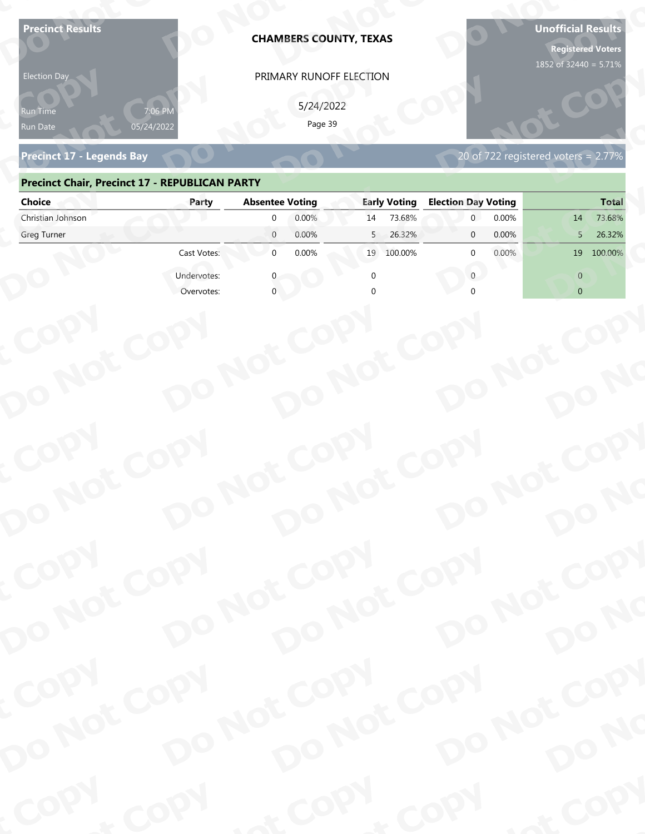| 5/24/2022<br>የun Time<br>Page 39<br>05/24/2022<br>Run Date<br><b>Precinct 17 - Legends Bay</b><br>20 of 722 registered voters = $2.77\%$<br><b>Precinct Chair, Precinct 17 - REPUBLICAN PARTY</b><br><b>Choice</b><br><b>Absentee Voting</b><br><b>Early Voting</b><br><b>Election Day Voting</b><br>Party<br>Christian Johnson<br>0.00%<br>73.68%<br>0.00%<br>$\Omega$<br>14<br>14<br>$\overline{0}$<br>0.00%<br>26.32%<br>0.00%<br>Greg Turner<br>5<br>$\mathbf{0}$<br>5<br>$\mathbf{0}$<br>0.00%<br>0.00%<br>Cast Votes:<br>100.00%<br>$\Omega$<br>19<br>100.00%<br>19<br>Undervotes:<br>$\Omega$<br>$\Omega$<br>$\overline{0}$<br>Overvotes: | COPY<br>DO NOT COPY<br>DO NOT COPY<br>DO NOT COPY<br>DO NOT COPY<br>DO NO<br>COPY<br>DO NOT COPY<br>DO NOT COPY<br>DO NOT COPY<br>DO NOT COPY<br>DO NO<br>COPY<br>DO NOT COPY<br>DO NOT COPY<br>DO NOT COPY<br>DO NOT COPY<br>DO NO<br>COPY<br>& COPY<br>of COPY | <b>Precinct Results</b><br><b>Election Day</b> |  | <b>CHAMBERS COUNTY, TEXAS</b><br>PRIMARY RUNOFF ELECTION | <b>Registered Voters</b><br>1852 of 32440 = 5.71% |
|--------------------------------------------------------------------------------------------------------------------------------------------------------------------------------------------------------------------------------------------------------------------------------------------------------------------------------------------------------------------------------------------------------------------------------------------------------------------------------------------------------------------------------------------------------------------------------------------------------------------------------------------------|------------------------------------------------------------------------------------------------------------------------------------------------------------------------------------------------------------------------------------------------------------------|------------------------------------------------|--|----------------------------------------------------------|---------------------------------------------------|
|                                                                                                                                                                                                                                                                                                                                                                                                                                                                                                                                                                                                                                                  |                                                                                                                                                                                                                                                                  |                                                |  |                                                          |                                                   |
|                                                                                                                                                                                                                                                                                                                                                                                                                                                                                                                                                                                                                                                  |                                                                                                                                                                                                                                                                  |                                                |  |                                                          |                                                   |
|                                                                                                                                                                                                                                                                                                                                                                                                                                                                                                                                                                                                                                                  |                                                                                                                                                                                                                                                                  |                                                |  |                                                          | <b>Total</b>                                      |
|                                                                                                                                                                                                                                                                                                                                                                                                                                                                                                                                                                                                                                                  |                                                                                                                                                                                                                                                                  |                                                |  |                                                          | 73.68%                                            |
|                                                                                                                                                                                                                                                                                                                                                                                                                                                                                                                                                                                                                                                  |                                                                                                                                                                                                                                                                  |                                                |  |                                                          | 26.32%                                            |
|                                                                                                                                                                                                                                                                                                                                                                                                                                                                                                                                                                                                                                                  |                                                                                                                                                                                                                                                                  |                                                |  |                                                          |                                                   |
|                                                                                                                                                                                                                                                                                                                                                                                                                                                                                                                                                                                                                                                  |                                                                                                                                                                                                                                                                  |                                                |  |                                                          |                                                   |
|                                                                                                                                                                                                                                                                                                                                                                                                                                                                                                                                                                                                                                                  |                                                                                                                                                                                                                                                                  |                                                |  |                                                          |                                                   |
|                                                                                                                                                                                                                                                                                                                                                                                                                                                                                                                                                                                                                                                  |                                                                                                                                                                                                                                                                  |                                                |  |                                                          |                                                   |
|                                                                                                                                                                                                                                                                                                                                                                                                                                                                                                                                                                                                                                                  |                                                                                                                                                                                                                                                                  |                                                |  |                                                          |                                                   |
|                                                                                                                                                                                                                                                                                                                                                                                                                                                                                                                                                                                                                                                  |                                                                                                                                                                                                                                                                  |                                                |  |                                                          |                                                   |

### **Precinct Chair, Precinct 17 - REPUBLICAN PARTY**

| <b>Election Day</b>                                   |             | PRIMARY RUNOFF ELECTION |                     |                            |                                     |
|-------------------------------------------------------|-------------|-------------------------|---------------------|----------------------------|-------------------------------------|
| Run Time                                              | 05/24/2022  | 5/24/2022<br>Page 39    |                     |                            |                                     |
| Run Date<br><b>Precinct 17 - Legends Bay</b>          |             |                         |                     |                            | 20 of 722 registered voters = 2.77% |
| <b>Precinct Chair, Precinct 17 - REPUBLICAN PARTY</b> |             |                         |                     |                            |                                     |
| <b>Choice</b>                                         | Party       | <b>Absentee Voting</b>  | <b>Early Voting</b> | <b>Election Day Voting</b> | <b>Total</b>                        |
| Christian Johnson                                     |             | 0.00%<br>$\mathbf{0}$   | 73.68%<br>14        | $\overline{0}$<br>0.00%    | 73.68%<br>14                        |
| Greg Turner                                           |             | $\overline{0}$<br>0.00% | 26.32%<br>5         | 0.00%<br>$\mathbf{0}$      | 26.32%<br>5                         |
|                                                       | Cast Votes: | 0.00%<br>$\overline{0}$ | 19 100.00%          | 0.00%<br><sup>0</sup>      | 19 100.00%                          |
|                                                       | Undervotes: |                         |                     | $\mathbf{0}$               | $\overline{0}$                      |
|                                                       | Overvotes:  |                         |                     |                            | $\overline{0}$                      |
|                                                       |             |                         |                     |                            |                                     |
|                                                       |             |                         |                     |                            |                                     |
|                                                       |             |                         |                     |                            |                                     |
|                                                       |             |                         |                     |                            |                                     |
|                                                       |             |                         |                     |                            |                                     |
|                                                       |             |                         |                     |                            |                                     |
|                                                       |             |                         |                     |                            |                                     |
|                                                       |             |                         |                     |                            |                                     |
|                                                       |             |                         |                     |                            |                                     |
|                                                       |             |                         |                     |                            |                                     |
|                                                       |             |                         |                     |                            |                                     |
|                                                       |             |                         |                     |                            |                                     |
| COPY                                                  |             |                         |                     |                            |                                     |
|                                                       |             |                         |                     |                            |                                     |
|                                                       |             |                         |                     |                            | DO NO                               |
|                                                       |             |                         |                     |                            |                                     |
| DO NOT COPY                                           |             | DO NOT COPY             | DO NOT COPY         | DO NOT COPY                |                                     |
| COPY                                                  |             |                         |                     |                            |                                     |
|                                                       |             |                         |                     |                            |                                     |
|                                                       |             |                         |                     |                            |                                     |
|                                                       |             |                         |                     |                            |                                     |
|                                                       |             |                         |                     |                            |                                     |
| DO NOT COPY                                           |             | DO NOT COPY             | DO NOT COPY         | DO NOT COPY                | DO NO                               |
|                                                       |             |                         |                     |                            |                                     |
| <b>Poo</b>                                            | <b>And</b>  |                         | $P_{\rm O_2}$       | <b>LON</b>                 | ·ODW                                |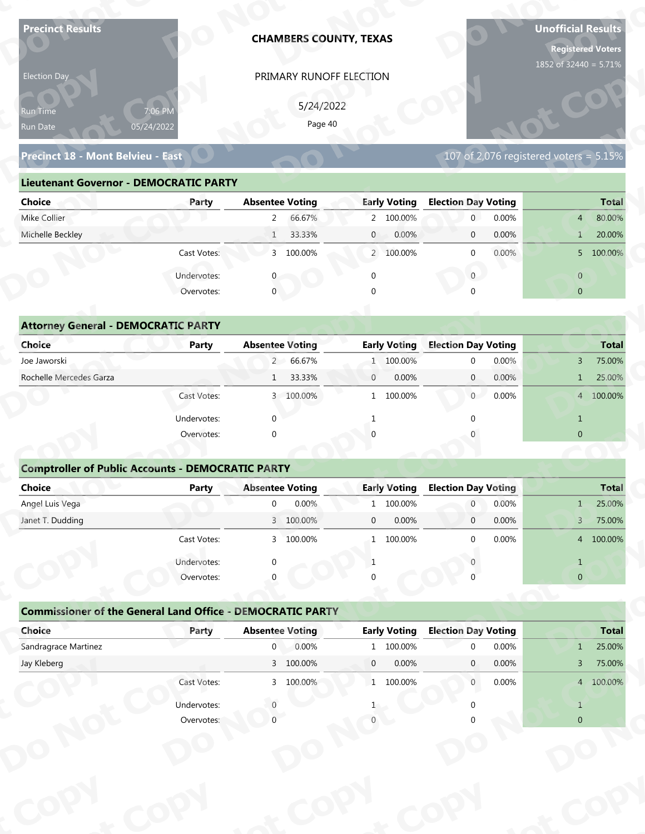| <b>Precinct Results</b>                                           |                           |                        | <b>CHAMBERS COUNTY, TEXAS</b> |                         |                            |       | <b>Unofficial Results</b><br><b>Registered Voters</b><br>1852 of 32440 = 5.71% |              |
|-------------------------------------------------------------------|---------------------------|------------------------|-------------------------------|-------------------------|----------------------------|-------|--------------------------------------------------------------------------------|--------------|
| Election Day                                                      |                           |                        | PRIMARY RUNOFF ELECTION       |                         |                            |       |                                                                                |              |
|                                                                   |                           |                        |                               |                         |                            |       |                                                                                |              |
| Run Time                                                          | 7:06 PM                   |                        | 5/24/2022<br>Page 40          |                         |                            |       |                                                                                |              |
| Run Date                                                          | 05/24/2022                |                        |                               |                         |                            |       |                                                                                |              |
| Precinct 18 - Mont Belvieu - East                                 |                           |                        |                               |                         |                            |       | 107 of 2,076 registered voters = $5.15\%$                                      |              |
| <b>Lieutenant Governor - DEMOCRATIC PARTY</b>                     |                           |                        |                               |                         |                            |       |                                                                                |              |
| <b>Choice</b>                                                     | Party                     | <b>Absentee Voting</b> |                               | <b>Early Voting</b>     | <b>Election Day Voting</b> |       |                                                                                | <b>Total</b> |
| Mike Collier                                                      |                           | $\overline{2}$         | 66.67%                        | 2 100.00%               | $\mathbf 0$                | 0.00% | $\overline{4}$                                                                 | 80.00%       |
| Michelle Beckley                                                  |                           | $\mathbf{1}$           | 33.33%                        | $\mathbf{0}$<br>0.00%   | $\mathbf 0$                | 0.00% | $\mathbf{1}$                                                                   | 20.00%       |
|                                                                   | Cast Votes:               | 3 100.00%              |                               | 2 100.00%               | $\mathbf 0$                | 0.00% |                                                                                | 5 100.00%    |
|                                                                   | Undervotes:               |                        |                               | $\mathbf 0$             | $\overline{0}$             |       | $\overline{0}$                                                                 |              |
|                                                                   | Overvotes:                | $\mathbf{0}$           |                               |                         |                            |       | $\overline{0}$                                                                 |              |
|                                                                   |                           |                        |                               |                         |                            |       |                                                                                |              |
| <b>Attorney General - DEMOCRATIC PARTY</b>                        |                           |                        |                               |                         |                            |       |                                                                                |              |
| <b>Choice</b>                                                     | <b>Party</b>              | <b>Absentee Voting</b> |                               | <b>Early Voting</b>     | <b>Election Day Voting</b> |       |                                                                                | <b>Total</b> |
| Joe Jaworski                                                      |                           | 66.67%<br>$2 -$        |                               | 1 100.00%               | $\mathbf 0$                | 0.00% | $\mathbf{3}$                                                                   | 75.00%       |
| Rochelle Mercedes Garza                                           |                           | $\mathbf{1}$           | 33.33%                        | 0.00%<br>$\mathbf{0}$   | $\overline{0}$             | 0.00% | $\mathbf{1}$                                                                   | 25.00%       |
|                                                                   | Cast Votes:               | 3 100.00%              |                               | 1 100.00%               | $0^-$                      | 0.00% |                                                                                | 4 100.00%    |
|                                                                   | Undervotes:               | $\Omega$               |                               | $\mathbf{1}$            | $\Omega$                   |       | $\mathbf{1}$                                                                   |              |
|                                                                   | Overvotes:                | $\Omega$               |                               |                         |                            |       | $\overline{0}$                                                                 |              |
|                                                                   |                           |                        |                               |                         |                            |       |                                                                                |              |
| <b>Comptroller of Public Accounts - DEMOCRATIC PARTY</b>          |                           |                        |                               |                         |                            |       |                                                                                |              |
| Choice                                                            | <b>Party</b>              | <b>Absentee Voting</b> |                               | <b>Early Voting</b>     | <b>Election Day Voting</b> |       |                                                                                | <b>Total</b> |
| Angel Luis Vega                                                   |                           | $\overline{0}$         | 0.00%                         | 100.00%<br>$\mathbf{1}$ | $\overline{0}$             | 0.00% | $1 -$                                                                          | 25.00%       |
| Janet T. Dudding                                                  |                           | 3 100.00%              |                               | 0.00%<br>$\mathbf 0$    | $\overline{0}$             | 0.00% | 3 <sup>7</sup>                                                                 | 75.00%       |
|                                                                   | Cast Votes:               | 3 100.00%              |                               | 1 100.00%               | $\Omega$                   | 0.00% |                                                                                | 4 100.00%    |
|                                                                   | Undervotes:               |                        |                               | 1                       |                            |       | $\mathbf{1}$                                                                   |              |
|                                                                   | Overvotes:                |                        |                               |                         |                            |       | $\overline{0}$                                                                 |              |
|                                                                   |                           |                        |                               |                         |                            |       |                                                                                |              |
|                                                                   |                           |                        |                               |                         |                            |       |                                                                                |              |
| <b>Commissioner of the General Land Office - DEMOCRATIC PARTY</b> |                           |                        |                               |                         | <b>Election Day Voting</b> |       |                                                                                | <b>Total</b> |
| Choice                                                            | Party                     | <b>Absentee Voting</b> |                               | <b>Early Voting</b>     |                            |       |                                                                                |              |
| Sandragrace Martinez                                              |                           | $\mathbf{0}$           | 0.00%                         | 1 100.00%               | $\Omega$                   | 0.00% | $\mathbf{1}$                                                                   | 25.00%       |
| Jay Kleberg                                                       |                           | 3 100.00%              |                               | $\mathbf{0}$<br>0.00%   | $\mathbf{0}$               | 0.00% | $\overline{3}$                                                                 | 75.00%       |
|                                                                   | Cast Votes:               | 3 100.00%              |                               | 1 100.00%               | $\overline{0}$             | 0.00% |                                                                                | 4 100.00%    |
|                                                                   | Undervotes:<br>Overvotes: |                        |                               |                         |                            |       | $\mathbf{1}$                                                                   |              |

| 5/24/2022<br>7:06 PM<br><b>Run Time</b><br>Page 40<br>05/24/2022<br>107 of 2,076 registered voters = 5.15%<br>Precinct 18 - Mont Belvieu - East<br><b>Lieutenant Governor - DEMOCRATIC PARTY</b><br><b>Absentee Voting</b><br><b>Early Voting</b><br><b>Election Day Voting</b><br>Party<br>66.67%<br>2 100.00%<br>0.00%<br>$2^{\circ}$<br>$\overline{0}$<br>$\overline{4}$<br>33.33%<br>0.00%<br>0.00%<br>1<br>$\overline{0}$<br>$\overline{0}$<br>1<br>3 100.00%<br>$0.00\%$<br>Cast Votes:<br>2 100.00%<br>$\Omega$<br>Undervotes:<br>$\overline{0}$<br>$\overline{0}$<br>$\mathbf 0$<br>Overvotes:<br>$\Omega$<br>$\overline{0}$<br><b>Attorney General - DEMOCRATIC PARTY</b><br><b>Early Voting</b><br><b>Election Day Voting</b><br><b>Absentee Voting</b><br><b>Party</b><br>2 66.67%<br>100.00%<br>0.00%<br>$\Omega$<br>3<br>1<br>33.33%<br>0.00%<br>$\mathbf{0}$<br>0.00%<br>$\overline{0}$<br>$\mathbf{1}$<br>1<br>0<br>0.00%<br>3 100.00%<br>100.00%<br>Cast Votes:<br>$\mathbf{1}$ | Election Day            |  | PRIMARY RUNOFF ELECTION |  |  |              |
|-------------------------------------------------------------------------------------------------------------------------------------------------------------------------------------------------------------------------------------------------------------------------------------------------------------------------------------------------------------------------------------------------------------------------------------------------------------------------------------------------------------------------------------------------------------------------------------------------------------------------------------------------------------------------------------------------------------------------------------------------------------------------------------------------------------------------------------------------------------------------------------------------------------------------------------------------------------------------------------------------|-------------------------|--|-------------------------|--|--|--------------|
|                                                                                                                                                                                                                                                                                                                                                                                                                                                                                                                                                                                                                                                                                                                                                                                                                                                                                                                                                                                                 | Run Date                |  |                         |  |  |              |
|                                                                                                                                                                                                                                                                                                                                                                                                                                                                                                                                                                                                                                                                                                                                                                                                                                                                                                                                                                                                 |                         |  |                         |  |  |              |
|                                                                                                                                                                                                                                                                                                                                                                                                                                                                                                                                                                                                                                                                                                                                                                                                                                                                                                                                                                                                 |                         |  |                         |  |  |              |
|                                                                                                                                                                                                                                                                                                                                                                                                                                                                                                                                                                                                                                                                                                                                                                                                                                                                                                                                                                                                 | Choice                  |  |                         |  |  | <b>Total</b> |
|                                                                                                                                                                                                                                                                                                                                                                                                                                                                                                                                                                                                                                                                                                                                                                                                                                                                                                                                                                                                 | Mike Collier            |  |                         |  |  | 80.00%       |
|                                                                                                                                                                                                                                                                                                                                                                                                                                                                                                                                                                                                                                                                                                                                                                                                                                                                                                                                                                                                 | Michelle Beckley        |  |                         |  |  | 20.00%       |
|                                                                                                                                                                                                                                                                                                                                                                                                                                                                                                                                                                                                                                                                                                                                                                                                                                                                                                                                                                                                 |                         |  |                         |  |  | 5 100.00%    |
|                                                                                                                                                                                                                                                                                                                                                                                                                                                                                                                                                                                                                                                                                                                                                                                                                                                                                                                                                                                                 |                         |  |                         |  |  |              |
|                                                                                                                                                                                                                                                                                                                                                                                                                                                                                                                                                                                                                                                                                                                                                                                                                                                                                                                                                                                                 |                         |  |                         |  |  |              |
|                                                                                                                                                                                                                                                                                                                                                                                                                                                                                                                                                                                                                                                                                                                                                                                                                                                                                                                                                                                                 |                         |  |                         |  |  |              |
|                                                                                                                                                                                                                                                                                                                                                                                                                                                                                                                                                                                                                                                                                                                                                                                                                                                                                                                                                                                                 |                         |  |                         |  |  |              |
|                                                                                                                                                                                                                                                                                                                                                                                                                                                                                                                                                                                                                                                                                                                                                                                                                                                                                                                                                                                                 | <b>Choice</b>           |  |                         |  |  | <b>Total</b> |
|                                                                                                                                                                                                                                                                                                                                                                                                                                                                                                                                                                                                                                                                                                                                                                                                                                                                                                                                                                                                 | Joe Jaworski            |  |                         |  |  | 75.00%       |
|                                                                                                                                                                                                                                                                                                                                                                                                                                                                                                                                                                                                                                                                                                                                                                                                                                                                                                                                                                                                 | Rochelle Mercedes Garza |  |                         |  |  | 25.00%       |
|                                                                                                                                                                                                                                                                                                                                                                                                                                                                                                                                                                                                                                                                                                                                                                                                                                                                                                                                                                                                 |                         |  |                         |  |  | 4 100.00%    |

| 5/24/2022<br>7:06 PM<br>Run Time<br>Page 40<br>05/24/2022<br>Run Date<br>Precinct 18 - Mont Belvieu - East<br><b>Lieutenant Governor - DEMOCRATIC PARTY</b><br><b>Absentee Voting</b><br><b>Early Voting</b><br><b>Election Day Voting</b><br><b>Choice</b><br>Party<br>Mike Collier<br>66.67%<br>2 100.00%<br>$\overline{0}$<br>0.00%<br>$2^{\circ}$<br>$\overline{4}$<br>Michelle Beckley<br>33.33%<br>0.00%<br>0.00%<br>1<br>$\mathbf{0}$<br>$\mathbf 0$<br>$\mathbf{1}$<br>Cast Votes:<br>3 100.00%<br>2 100.00%<br>0.00%<br>$\mathbf{0}$<br>$\mathbf{0}$<br>Undervotes:<br>$\mathbf{0}$<br>$\overline{0}$<br>Overvotes:<br>$\mathbf{0}$<br>$\overline{0}$<br><b>Attorney General - DEMOCRATIC PARTY</b><br><b>Early Voting</b><br><b>Election Day Voting</b><br>Choice<br><b>Absentee Voting</b><br><b>Party</b><br>Joe Jaworski<br>2 66.67%<br>0.00%<br>1 100.00%<br>$\mathbf 0$<br>3<br>Rochelle Mercedes Garza<br>0.00%<br>33.33%<br>$\mathbf{0}$<br>0.00%<br>$\mathbf{0}$<br>1<br>$\mathbf{1}$<br>Cast Votes:<br>3 100.00%<br>1 100.00%<br>0.00%<br>$\overline{0}$<br>Undervotes:<br>$\Omega$<br>$\mathbf{1}$<br>$\overline{0}$<br>Overvotes:<br>$\Omega$<br><b>Comptroller of Public Accounts - DEMOCRATIC PARTY</b><br><b>Choice</b><br><b>Absentee Voting</b><br><b>Early Voting</b><br><b>Election Day Voting</b><br>Party<br>Angel Luis Vega<br>0.00%<br>1 100.00%<br>0.00%<br>$\mathbf 0$<br>$\overline{0}$<br>$\mathbf{1}$<br>0.00%<br>0.00%<br>Janet T. Dudding<br>3 100.00%<br>$\mathbf 0$<br>$\mathbf 0$<br>3<br>0.00%<br>Cast Votes:<br>3 100.00%<br>100 00%<br>$\Omega$<br>$\mathbf{1}$<br>Undervotes:<br>$\mathbf{1}$<br>-1<br>Overvotes:<br>$\overline{0}$<br><b>Commissioner of the General Land Office - DEMOCRATIC PARTY</b><br><b>Early Voting</b><br>Choice<br><b>Absentee Voting</b><br><b>Election Day Voting</b><br>Party<br>Sandragrace Martinez<br>0.00%<br>$\overline{0}$<br>1 100.00%<br>0.00%<br>$\Omega$<br>1<br>3 100.00%<br>0.00%<br>Jay Kleberg<br>$\overline{0}$<br>0.00%<br>$\mathbf{0}$<br>3 <sup>7</sup><br>Cast Votes:<br>3 100.00%<br>1 100.00%<br>0.00%<br>$\overline{0}$<br>Undervotes:<br>$\mathbf{1}$<br>$\overline{0}$ | $107$ of 2,076 registered voters = $5.\overline{15\%}$<br>Total<br>Overvotes: | Election Day | PRIMARY RUNOFF ELECTION |  |              |
|---------------------------------------------------------------------------------------------------------------------------------------------------------------------------------------------------------------------------------------------------------------------------------------------------------------------------------------------------------------------------------------------------------------------------------------------------------------------------------------------------------------------------------------------------------------------------------------------------------------------------------------------------------------------------------------------------------------------------------------------------------------------------------------------------------------------------------------------------------------------------------------------------------------------------------------------------------------------------------------------------------------------------------------------------------------------------------------------------------------------------------------------------------------------------------------------------------------------------------------------------------------------------------------------------------------------------------------------------------------------------------------------------------------------------------------------------------------------------------------------------------------------------------------------------------------------------------------------------------------------------------------------------------------------------------------------------------------------------------------------------------------------------------------------------------------------------------------------------------------------------------------------------------------------------------------------------------------------------------------------------------------------------------------------------------------------------------------------------------------------------------------------------------------------------|-------------------------------------------------------------------------------|--------------|-------------------------|--|--------------|
|                                                                                                                                                                                                                                                                                                                                                                                                                                                                                                                                                                                                                                                                                                                                                                                                                                                                                                                                                                                                                                                                                                                                                                                                                                                                                                                                                                                                                                                                                                                                                                                                                                                                                                                                                                                                                                                                                                                                                                                                                                                                                                                                                                           |                                                                               |              |                         |  |              |
|                                                                                                                                                                                                                                                                                                                                                                                                                                                                                                                                                                                                                                                                                                                                                                                                                                                                                                                                                                                                                                                                                                                                                                                                                                                                                                                                                                                                                                                                                                                                                                                                                                                                                                                                                                                                                                                                                                                                                                                                                                                                                                                                                                           |                                                                               |              |                         |  |              |
|                                                                                                                                                                                                                                                                                                                                                                                                                                                                                                                                                                                                                                                                                                                                                                                                                                                                                                                                                                                                                                                                                                                                                                                                                                                                                                                                                                                                                                                                                                                                                                                                                                                                                                                                                                                                                                                                                                                                                                                                                                                                                                                                                                           |                                                                               |              |                         |  |              |
|                                                                                                                                                                                                                                                                                                                                                                                                                                                                                                                                                                                                                                                                                                                                                                                                                                                                                                                                                                                                                                                                                                                                                                                                                                                                                                                                                                                                                                                                                                                                                                                                                                                                                                                                                                                                                                                                                                                                                                                                                                                                                                                                                                           |                                                                               |              |                         |  |              |
|                                                                                                                                                                                                                                                                                                                                                                                                                                                                                                                                                                                                                                                                                                                                                                                                                                                                                                                                                                                                                                                                                                                                                                                                                                                                                                                                                                                                                                                                                                                                                                                                                                                                                                                                                                                                                                                                                                                                                                                                                                                                                                                                                                           |                                                                               |              |                         |  |              |
|                                                                                                                                                                                                                                                                                                                                                                                                                                                                                                                                                                                                                                                                                                                                                                                                                                                                                                                                                                                                                                                                                                                                                                                                                                                                                                                                                                                                                                                                                                                                                                                                                                                                                                                                                                                                                                                                                                                                                                                                                                                                                                                                                                           |                                                                               |              |                         |  | <b>Total</b> |
|                                                                                                                                                                                                                                                                                                                                                                                                                                                                                                                                                                                                                                                                                                                                                                                                                                                                                                                                                                                                                                                                                                                                                                                                                                                                                                                                                                                                                                                                                                                                                                                                                                                                                                                                                                                                                                                                                                                                                                                                                                                                                                                                                                           |                                                                               |              |                         |  | 80.00%       |
|                                                                                                                                                                                                                                                                                                                                                                                                                                                                                                                                                                                                                                                                                                                                                                                                                                                                                                                                                                                                                                                                                                                                                                                                                                                                                                                                                                                                                                                                                                                                                                                                                                                                                                                                                                                                                                                                                                                                                                                                                                                                                                                                                                           |                                                                               |              |                         |  | 20.00%       |
|                                                                                                                                                                                                                                                                                                                                                                                                                                                                                                                                                                                                                                                                                                                                                                                                                                                                                                                                                                                                                                                                                                                                                                                                                                                                                                                                                                                                                                                                                                                                                                                                                                                                                                                                                                                                                                                                                                                                                                                                                                                                                                                                                                           |                                                                               |              |                         |  | 5 100.00%    |
|                                                                                                                                                                                                                                                                                                                                                                                                                                                                                                                                                                                                                                                                                                                                                                                                                                                                                                                                                                                                                                                                                                                                                                                                                                                                                                                                                                                                                                                                                                                                                                                                                                                                                                                                                                                                                                                                                                                                                                                                                                                                                                                                                                           |                                                                               |              |                         |  |              |
|                                                                                                                                                                                                                                                                                                                                                                                                                                                                                                                                                                                                                                                                                                                                                                                                                                                                                                                                                                                                                                                                                                                                                                                                                                                                                                                                                                                                                                                                                                                                                                                                                                                                                                                                                                                                                                                                                                                                                                                                                                                                                                                                                                           |                                                                               |              |                         |  |              |
|                                                                                                                                                                                                                                                                                                                                                                                                                                                                                                                                                                                                                                                                                                                                                                                                                                                                                                                                                                                                                                                                                                                                                                                                                                                                                                                                                                                                                                                                                                                                                                                                                                                                                                                                                                                                                                                                                                                                                                                                                                                                                                                                                                           |                                                                               |              |                         |  |              |
|                                                                                                                                                                                                                                                                                                                                                                                                                                                                                                                                                                                                                                                                                                                                                                                                                                                                                                                                                                                                                                                                                                                                                                                                                                                                                                                                                                                                                                                                                                                                                                                                                                                                                                                                                                                                                                                                                                                                                                                                                                                                                                                                                                           |                                                                               |              |                         |  |              |
|                                                                                                                                                                                                                                                                                                                                                                                                                                                                                                                                                                                                                                                                                                                                                                                                                                                                                                                                                                                                                                                                                                                                                                                                                                                                                                                                                                                                                                                                                                                                                                                                                                                                                                                                                                                                                                                                                                                                                                                                                                                                                                                                                                           |                                                                               |              |                         |  | <b>Total</b> |
|                                                                                                                                                                                                                                                                                                                                                                                                                                                                                                                                                                                                                                                                                                                                                                                                                                                                                                                                                                                                                                                                                                                                                                                                                                                                                                                                                                                                                                                                                                                                                                                                                                                                                                                                                                                                                                                                                                                                                                                                                                                                                                                                                                           |                                                                               |              |                         |  | 75.00%       |
|                                                                                                                                                                                                                                                                                                                                                                                                                                                                                                                                                                                                                                                                                                                                                                                                                                                                                                                                                                                                                                                                                                                                                                                                                                                                                                                                                                                                                                                                                                                                                                                                                                                                                                                                                                                                                                                                                                                                                                                                                                                                                                                                                                           |                                                                               |              |                         |  | 25.00%       |
|                                                                                                                                                                                                                                                                                                                                                                                                                                                                                                                                                                                                                                                                                                                                                                                                                                                                                                                                                                                                                                                                                                                                                                                                                                                                                                                                                                                                                                                                                                                                                                                                                                                                                                                                                                                                                                                                                                                                                                                                                                                                                                                                                                           |                                                                               |              |                         |  | 4 100.00%    |
|                                                                                                                                                                                                                                                                                                                                                                                                                                                                                                                                                                                                                                                                                                                                                                                                                                                                                                                                                                                                                                                                                                                                                                                                                                                                                                                                                                                                                                                                                                                                                                                                                                                                                                                                                                                                                                                                                                                                                                                                                                                                                                                                                                           |                                                                               |              |                         |  |              |
|                                                                                                                                                                                                                                                                                                                                                                                                                                                                                                                                                                                                                                                                                                                                                                                                                                                                                                                                                                                                                                                                                                                                                                                                                                                                                                                                                                                                                                                                                                                                                                                                                                                                                                                                                                                                                                                                                                                                                                                                                                                                                                                                                                           |                                                                               |              |                         |  |              |
|                                                                                                                                                                                                                                                                                                                                                                                                                                                                                                                                                                                                                                                                                                                                                                                                                                                                                                                                                                                                                                                                                                                                                                                                                                                                                                                                                                                                                                                                                                                                                                                                                                                                                                                                                                                                                                                                                                                                                                                                                                                                                                                                                                           |                                                                               |              |                         |  |              |
|                                                                                                                                                                                                                                                                                                                                                                                                                                                                                                                                                                                                                                                                                                                                                                                                                                                                                                                                                                                                                                                                                                                                                                                                                                                                                                                                                                                                                                                                                                                                                                                                                                                                                                                                                                                                                                                                                                                                                                                                                                                                                                                                                                           |                                                                               |              |                         |  |              |
|                                                                                                                                                                                                                                                                                                                                                                                                                                                                                                                                                                                                                                                                                                                                                                                                                                                                                                                                                                                                                                                                                                                                                                                                                                                                                                                                                                                                                                                                                                                                                                                                                                                                                                                                                                                                                                                                                                                                                                                                                                                                                                                                                                           |                                                                               |              |                         |  |              |
|                                                                                                                                                                                                                                                                                                                                                                                                                                                                                                                                                                                                                                                                                                                                                                                                                                                                                                                                                                                                                                                                                                                                                                                                                                                                                                                                                                                                                                                                                                                                                                                                                                                                                                                                                                                                                                                                                                                                                                                                                                                                                                                                                                           |                                                                               |              |                         |  | 25.00%       |
|                                                                                                                                                                                                                                                                                                                                                                                                                                                                                                                                                                                                                                                                                                                                                                                                                                                                                                                                                                                                                                                                                                                                                                                                                                                                                                                                                                                                                                                                                                                                                                                                                                                                                                                                                                                                                                                                                                                                                                                                                                                                                                                                                                           |                                                                               |              |                         |  | 75.00%       |
|                                                                                                                                                                                                                                                                                                                                                                                                                                                                                                                                                                                                                                                                                                                                                                                                                                                                                                                                                                                                                                                                                                                                                                                                                                                                                                                                                                                                                                                                                                                                                                                                                                                                                                                                                                                                                                                                                                                                                                                                                                                                                                                                                                           |                                                                               |              |                         |  | 4 100.00%    |
|                                                                                                                                                                                                                                                                                                                                                                                                                                                                                                                                                                                                                                                                                                                                                                                                                                                                                                                                                                                                                                                                                                                                                                                                                                                                                                                                                                                                                                                                                                                                                                                                                                                                                                                                                                                                                                                                                                                                                                                                                                                                                                                                                                           |                                                                               |              |                         |  |              |
|                                                                                                                                                                                                                                                                                                                                                                                                                                                                                                                                                                                                                                                                                                                                                                                                                                                                                                                                                                                                                                                                                                                                                                                                                                                                                                                                                                                                                                                                                                                                                                                                                                                                                                                                                                                                                                                                                                                                                                                                                                                                                                                                                                           |                                                                               |              |                         |  |              |
|                                                                                                                                                                                                                                                                                                                                                                                                                                                                                                                                                                                                                                                                                                                                                                                                                                                                                                                                                                                                                                                                                                                                                                                                                                                                                                                                                                                                                                                                                                                                                                                                                                                                                                                                                                                                                                                                                                                                                                                                                                                                                                                                                                           |                                                                               |              |                         |  |              |
|                                                                                                                                                                                                                                                                                                                                                                                                                                                                                                                                                                                                                                                                                                                                                                                                                                                                                                                                                                                                                                                                                                                                                                                                                                                                                                                                                                                                                                                                                                                                                                                                                                                                                                                                                                                                                                                                                                                                                                                                                                                                                                                                                                           |                                                                               |              |                         |  |              |
|                                                                                                                                                                                                                                                                                                                                                                                                                                                                                                                                                                                                                                                                                                                                                                                                                                                                                                                                                                                                                                                                                                                                                                                                                                                                                                                                                                                                                                                                                                                                                                                                                                                                                                                                                                                                                                                                                                                                                                                                                                                                                                                                                                           |                                                                               |              |                         |  | <b>Total</b> |
|                                                                                                                                                                                                                                                                                                                                                                                                                                                                                                                                                                                                                                                                                                                                                                                                                                                                                                                                                                                                                                                                                                                                                                                                                                                                                                                                                                                                                                                                                                                                                                                                                                                                                                                                                                                                                                                                                                                                                                                                                                                                                                                                                                           |                                                                               |              |                         |  | 25.00%       |
|                                                                                                                                                                                                                                                                                                                                                                                                                                                                                                                                                                                                                                                                                                                                                                                                                                                                                                                                                                                                                                                                                                                                                                                                                                                                                                                                                                                                                                                                                                                                                                                                                                                                                                                                                                                                                                                                                                                                                                                                                                                                                                                                                                           |                                                                               |              |                         |  | 75.00%       |
|                                                                                                                                                                                                                                                                                                                                                                                                                                                                                                                                                                                                                                                                                                                                                                                                                                                                                                                                                                                                                                                                                                                                                                                                                                                                                                                                                                                                                                                                                                                                                                                                                                                                                                                                                                                                                                                                                                                                                                                                                                                                                                                                                                           |                                                                               |              |                         |  | 4 100.00%    |
|                                                                                                                                                                                                                                                                                                                                                                                                                                                                                                                                                                                                                                                                                                                                                                                                                                                                                                                                                                                                                                                                                                                                                                                                                                                                                                                                                                                                                                                                                                                                                                                                                                                                                                                                                                                                                                                                                                                                                                                                                                                                                                                                                                           |                                                                               |              |                         |  |              |
|                                                                                                                                                                                                                                                                                                                                                                                                                                                                                                                                                                                                                                                                                                                                                                                                                                                                                                                                                                                                                                                                                                                                                                                                                                                                                                                                                                                                                                                                                                                                                                                                                                                                                                                                                                                                                                                                                                                                                                                                                                                                                                                                                                           |                                                                               |              |                         |  |              |
|                                                                                                                                                                                                                                                                                                                                                                                                                                                                                                                                                                                                                                                                                                                                                                                                                                                                                                                                                                                                                                                                                                                                                                                                                                                                                                                                                                                                                                                                                                                                                                                                                                                                                                                                                                                                                                                                                                                                                                                                                                                                                                                                                                           |                                                                               |              |                         |  |              |
|                                                                                                                                                                                                                                                                                                                                                                                                                                                                                                                                                                                                                                                                                                                                                                                                                                                                                                                                                                                                                                                                                                                                                                                                                                                                                                                                                                                                                                                                                                                                                                                                                                                                                                                                                                                                                                                                                                                                                                                                                                                                                                                                                                           |                                                                               |              |                         |  |              |
|                                                                                                                                                                                                                                                                                                                                                                                                                                                                                                                                                                                                                                                                                                                                                                                                                                                                                                                                                                                                                                                                                                                                                                                                                                                                                                                                                                                                                                                                                                                                                                                                                                                                                                                                                                                                                                                                                                                                                                                                                                                                                                                                                                           |                                                                               |              |                         |  |              |

### **Comptroller of Public Accounts - DEMOCRATIC PARTY**

| <b>Choice</b>                                                     | Party       | <b>Absentee Voting</b> |                    |                | <b>Early Voting</b> | <b>Election Day Voting</b>                 |                |                                | <b>Total</b>     |
|-------------------------------------------------------------------|-------------|------------------------|--------------------|----------------|---------------------|--------------------------------------------|----------------|--------------------------------|------------------|
| Joe Jaworski                                                      |             |                        | 2 66.67%           |                | 1 100.00%           | $\mathbf{0}$                               | 0.00%          | $\overline{3}$                 | 75.00%           |
| Rochelle Mercedes Garza                                           |             | 1                      | 33.33%             | $\overline{0}$ | 0.00%               | $\mathbf{0}$                               | 0.00%          | $\mathbf{1}$                   | 25.00%           |
|                                                                   | Cast Votes: |                        | 3 100.00%          |                | 1 100.00%           | $\overline{0}$                             | 0.00%          |                                | 4 100.00%        |
|                                                                   | Undervotes: |                        |                    |                |                     | $\Omega$                                   |                |                                |                  |
|                                                                   | Overvotes:  | $\Omega$               |                    |                |                     |                                            |                | $\mathbf{0}$                   |                  |
| <b>Comptroller of Public Accounts - DEMOCRATIC PARTY</b>          |             |                        |                    |                |                     |                                            |                |                                |                  |
| <b>Choice</b>                                                     | Party       | <b>Absentee Voting</b> |                    |                | <b>Early Voting</b> | <b>Election Day Voting</b>                 |                |                                | <b>Total</b>     |
| Angel Luis Vega                                                   |             | $\Omega$               | 0.00%              |                | 1 100.00%           | $\overline{0}$                             | 0.00%          | $1 -$                          | 25.00%           |
| Janet T. Dudding                                                  |             |                        | 3 100.00%          | $\mathbf{0}$   | 0.00%               | $\overline{0}$                             | 0.00%          | $\mathsf{3}$                   | 75.00%           |
|                                                                   | Cast Votes: |                        | 3 100.00%          |                | 1 100.00%           | $\mathbf{0}$                               | 0.00%          |                                | 4 100.00%        |
|                                                                   |             |                        |                    |                |                     |                                            |                |                                |                  |
|                                                                   | Undervotes: | ∩                      |                    |                |                     |                                            |                | $\mathbf{1}$                   |                  |
|                                                                   | Overvotes:  |                        |                    |                |                     |                                            |                | $\mathbf 0$                    |                  |
| <b>Commissioner of the General Land Office - DEMOCRATIC PARTY</b> |             |                        |                    |                |                     |                                            |                |                                |                  |
| Choice                                                            | Party       | <b>Absentee Voting</b> |                    |                | <b>Early Voting</b> | <b>Election Day Voting</b><br>$\mathbf{0}$ |                |                                | <b>Total</b>     |
| Sandragrace Martinez<br>Jay Kleberg                               |             | $\overline{0}$         | 0.00%<br>3 100.00% | $\overline{0}$ | 1 100.00%<br>0.00%  | $\mathbf{0}$                               | 0.00%<br>0.00% | $\mathbf{1}$<br>$\overline{3}$ | 25.00%<br>75.00% |
|                                                                   | Cast Votes: |                        | 3 100.00%          |                | 1 100.00%           | $\mathbf{0}$                               | 0.00%          |                                | 4 100.00%        |
|                                                                   | Undervotes: |                        |                    |                |                     |                                            |                |                                |                  |

|                                                                   | Cast votes. | $\mathcal{D}$          | TOO'OO XQ |             | T TOO'OO NO         |                            | <b>U.UU70</b> | $^{4}$         | TOO'OO XO    |
|-------------------------------------------------------------------|-------------|------------------------|-----------|-------------|---------------------|----------------------------|---------------|----------------|--------------|
|                                                                   | Undervotes: | $\Omega$               |           |             |                     |                            |               |                |              |
|                                                                   | Overvotes:  | $\Omega$               |           | 0           |                     |                            |               | $\overline{0}$ |              |
|                                                                   |             |                        |           |             |                     |                            |               |                |              |
| <b>Commissioner of the General Land Office - DEMOCRATIC PARTY</b> |             |                        |           |             |                     |                            |               |                |              |
| Choice                                                            | Party       | <b>Absentee Voting</b> |           |             | <b>Early Voting</b> | <b>Election Day Voting</b> |               |                | <b>Total</b> |
| Sandragrace Martinez                                              |             | $\mathbf 0$            | 0.00%     |             | 1 100.00%           | $\Omega$                   | 0.00%         | $\mathbf{1}$   | 25.00%       |
| Jay Kleberg                                                       |             |                        | 3 100.00% | $\mathbf 0$ | $0.00\%$            | $\mathbf{0}$               | $0.00\%$      | 3              | 75.00%       |
|                                                                   | Cast Votes: |                        | 3 100.00% |             | 1 100.00%           | $\mathbf 0$                | 0.00%         | $\overline{4}$ | 100.00%      |
|                                                                   | Undervotes: |                        |           |             |                     |                            |               |                |              |
|                                                                   | Overvotes:  |                        |           |             |                     |                            |               | $\overline{0}$ |              |
|                                                                   |             |                        |           |             |                     |                            |               |                |              |
|                                                                   |             |                        |           |             |                     |                            |               |                |              |
|                                                                   |             |                        |           |             |                     |                            |               |                |              |
|                                                                   |             |                        |           |             |                     |                            |               |                |              |
|                                                                   |             |                        |           |             |                     |                            |               |                |              |
|                                                                   |             |                        |           |             |                     |                            |               |                |              |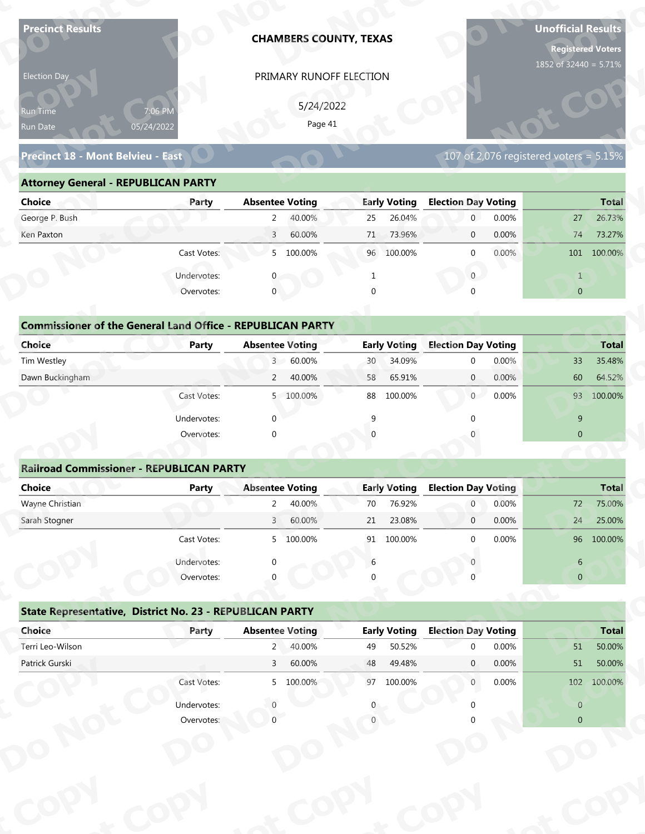| <b>Precinct Results</b>                                           |              |                        | <b>CHAMBERS COUNTY, TEXAS</b> |                 |                     |                            |                | <b>Unofficial Results</b><br><b>Registered Voters</b><br>1852 of 32440 = 5.71% |                  |
|-------------------------------------------------------------------|--------------|------------------------|-------------------------------|-----------------|---------------------|----------------------------|----------------|--------------------------------------------------------------------------------|------------------|
| Election Day                                                      |              |                        | PRIMARY RUNOFF ELECTION       |                 |                     |                            |                |                                                                                |                  |
|                                                                   |              |                        |                               |                 |                     |                            |                |                                                                                |                  |
| Run Time                                                          | 7:06 PM      |                        | 5/24/2022<br>Page 41          |                 |                     |                            |                |                                                                                |                  |
| Run Date                                                          | 05/24/2022   |                        |                               |                 |                     |                            |                |                                                                                |                  |
| Precinct 18 - Mont Belvieu - East                                 |              |                        |                               |                 |                     |                            |                | 107 of 2,076 registered voters = $5.15\%$                                      |                  |
| <b>Attorney General - REPUBLICAN PARTY</b>                        |              |                        |                               |                 |                     |                            |                |                                                                                |                  |
| <b>Choice</b>                                                     | Party        | <b>Absentee Voting</b> |                               |                 | <b>Early Voting</b> | <b>Election Day Voting</b> |                |                                                                                | <b>Total</b>     |
| George P. Bush                                                    |              | $\overline{2}$         | 40.00%                        | 25              | 26.04%              | $\mathbf{0}$               | 0.00%          | 27                                                                             | 26.73%           |
| Ken Paxton                                                        |              | $\overline{3}$         | 60.00%                        | 71              | 73.96%              | $\mathbf 0$                | 0.00%          | 74                                                                             | 73.27%           |
|                                                                   | Cast Votes:  |                        | 5 100.00%                     |                 | 96 100.00%          | $\mathbf 0$                | 0.00%          |                                                                                | 101 100.00%      |
|                                                                   | Undervotes:  |                        |                               |                 |                     | $\overline{0}$             |                | $\mathbf{1}$                                                                   |                  |
|                                                                   | Overvotes:   | $\mathbf{0}$           |                               | $\Omega$        |                     |                            |                | $\overline{0}$                                                                 |                  |
|                                                                   |              |                        |                               |                 |                     |                            |                |                                                                                |                  |
| <b>Commissioner of the General Land Office - REPUBLICAN PARTY</b> |              |                        |                               |                 |                     |                            |                |                                                                                |                  |
| <b>Choice</b>                                                     | <b>Party</b> | <b>Absentee Voting</b> |                               |                 | <b>Early Voting</b> | <b>Election Day Voting</b> |                |                                                                                | <b>Total</b>     |
| Tim Westley                                                       |              | 3 <sup>7</sup>         | 60.00%                        | 30 <sup>°</sup> | 34.09%              | $\mathbf 0$                | 0.00%          | 33                                                                             | 35.48%           |
| Dawn Buckingham                                                   |              | $\overline{2}$         | 40.00%                        | 58              | 65.91%              | $\overline{0}$             | 0.00%          | 60                                                                             | 64.52%           |
|                                                                   | Cast Votes:  |                        | 5 100.00%                     |                 | 88 100.00%          | $0^-$                      | 0.00%          |                                                                                | 93 100.00%       |
|                                                                   | Undervotes:  | $\Omega$               |                               | $\mathsf{q}$    |                     | $\Omega$                   |                | 9                                                                              |                  |
|                                                                   | Overvotes:   | $\Omega$               |                               |                 |                     |                            |                | $\overline{0}$                                                                 |                  |
|                                                                   |              |                        |                               |                 |                     |                            |                |                                                                                |                  |
| <b>Railroad Commissioner - REPUBLICAN PARTY</b>                   |              |                        |                               |                 |                     |                            |                |                                                                                |                  |
| <b>Choice</b>                                                     | <b>Party</b> | <b>Absentee Voting</b> |                               |                 | <b>Early Voting</b> | <b>Election Day Voting</b> |                |                                                                                | <b>Total</b>     |
| Wayne Christian                                                   |              | $2^{\circ}$            | 40.00%                        | 70              | 76.92%              | $\overline{0}$             | 0.00%          | 72                                                                             | 75.00%           |
| Sarah Stogner                                                     |              | 3 <sup>1</sup>         | 60.00%                        | 21              | 23.08%              | $\overline{0}$             | 0.00%          | 24                                                                             | 25.00%           |
|                                                                   | Cast Votes:  |                        | 5 100.00%                     |                 | 91 100.00%          | $\Omega$                   | 0.00%          |                                                                                | 96 100.00%       |
|                                                                   | Undervotes:  |                        |                               | 6               |                     |                            |                | 6                                                                              |                  |
|                                                                   | Overvotes:   |                        |                               |                 |                     |                            |                | $\overline{0}$                                                                 |                  |
|                                                                   |              |                        |                               |                 |                     |                            |                |                                                                                |                  |
| State Representative, District No. 23 - REPUBLICAN PARTY          |              |                        |                               |                 |                     |                            |                |                                                                                |                  |
|                                                                   | Party        | <b>Absentee Voting</b> |                               |                 | <b>Early Voting</b> | <b>Election Day Voting</b> |                |                                                                                | <b>Total</b>     |
| Choice                                                            |              | $2^{\circ}$            | 40.00%                        | 49              | 50.52%              | $\Omega$                   | 0.00%<br>0.00% | 51<br>51                                                                       | 50.00%<br>50.00% |
| Terri Leo-Wilson                                                  |              |                        |                               |                 |                     |                            |                |                                                                                |                  |
| Patrick Gurski                                                    |              | 3 <sup>7</sup>         | 60.00%                        | 48              | 49.48%              | $\mathbf{0}$               |                |                                                                                |                  |
|                                                                   | Cast Votes:  |                        | 5 100.00%                     |                 | 97 100.00%          | $\mathbf{0}$               | 0.00%          |                                                                                | 102 100.00%      |
|                                                                   | Undervotes:  |                        |                               |                 |                     |                            |                | $\overline{0}$                                                                 |                  |

### **Precinct 18 - Mont Belvieu - East**

### **Attorney General - REPUBLICAN PARTY**

| Election Day                               |                                                                            |                        | PRIMARY RUNOFF ELECTION |          |                     |                            |                                        |                |              |
|--------------------------------------------|----------------------------------------------------------------------------|------------------------|-------------------------|----------|---------------------|----------------------------|----------------------------------------|----------------|--------------|
| <b>Run Time</b>                            | 7:06 PM                                                                    |                        | 5/24/2022               |          |                     |                            |                                        |                |              |
| Run Date                                   | 05/24/2022                                                                 |                        | Page 41                 |          |                     |                            |                                        |                |              |
| Precinct 18 - Mont Belvieu - East          |                                                                            |                        |                         |          |                     |                            | 107 of 2,076 registered voters = 5.15% |                |              |
| <b>Attorney General - REPUBLICAN PARTY</b> |                                                                            |                        |                         |          |                     |                            |                                        |                |              |
| <b>Choice</b>                              | Party                                                                      | <b>Absentee Voting</b> |                         |          | <b>Early Voting</b> | <b>Election Day Voting</b> |                                        |                | <b>Total</b> |
| George P. Bush                             |                                                                            | $\mathbf{2}$           | 40.00%                  | 25       | 26.04%              | $\overline{0}$             | 0.00%                                  | 27             | 26.73%       |
| Ken Paxton                                 |                                                                            | $\overline{3}$         | 60.00%                  | 71       | 73.96%              | $\mathbf 0$                | 0.00%                                  | 74             | 73.27%       |
|                                            | Cast Votes:                                                                |                        | 5 100.00%               |          | 96 100.00%          | $\mathbf{0}$               | 0.00%                                  |                | 101 100.00%  |
|                                            | Undervotes:                                                                |                        |                         | 1        |                     | $\mathbf{0}$               |                                        | $\mathbf{1}$   |              |
|                                            | Overvotes:                                                                 | $\mathbf{0}$           |                         | $\Omega$ |                     |                            |                                        | $\overline{0}$ |              |
| Choice                                     | <b>Commissioner of the General Land Office - REPUBLICAN PARTY</b><br>Party | <b>Absentee Voting</b> |                         |          | <b>Early Voting</b> | <b>Election Day Voting</b> |                                        |                | <b>Total</b> |
| Tim Westley                                |                                                                            | 3 <sup>7</sup>         | 60.00%                  | 30       | 34.09%              |                            | 0.00%                                  | 33             | 35.48%       |
| Dawn Buckingham                            |                                                                            | $\overline{2}$         | 40.00%                  | 58       | 65.91%              | $\mathbf{0}$               | 0.00%                                  | 60             | 64.52%       |
|                                            | Cast Votes:                                                                |                        | 5 100.00%               | 88       | 100.00%             | 0                          | 0.00%                                  |                | 93 100.00%   |
|                                            | Undervotes:                                                                |                        |                         |          |                     |                            |                                        | 9              |              |
|                                            | Overvotes:                                                                 |                        |                         |          |                     |                            |                                        | $\mathbf{0}$   |              |
|                                            |                                                                            |                        |                         |          |                     |                            |                                        |                |              |
|                                            | <b>Railroad Commissioner - REPUBLICAN PARTY</b>                            |                        |                         |          |                     |                            |                                        |                |              |
| <b>Choice</b>                              | <b>Party</b>                                                               | <b>Absentee Voting</b> |                         |          | <b>Early Voting</b> | <b>Election Day Voting</b> |                                        |                | <b>Total</b> |
|                                            |                                                                            |                        |                         |          |                     |                            |                                        |                |              |

| <b>Choice</b>                                                     | Party       | <b>Absentee Voting</b>       | <b>Early Voting</b> | <b>Election Day Voting</b> | <b>Total</b>     |
|-------------------------------------------------------------------|-------------|------------------------------|---------------------|----------------------------|------------------|
| George P. Bush                                                    |             | 2<br>40.00%                  | 26.04%<br>25        | 0.00%<br>$\mathbf{0}$      | 27<br>26.73%     |
| Ken Paxton                                                        |             | 60.00%<br>3                  | 73.96%<br>71        | 0.00%<br>$\mathbf{0}$      | 74<br>73.27%     |
|                                                                   | Cast Votes: | 5 100.00%                    | 96 100.00%          | 0.00%<br>$\mathbf{0}$      | 100.00%<br>101   |
|                                                                   | Undervotes: | 0                            |                     | $\mathbf{0}$               | $\mathbf{1}$     |
|                                                                   | Overvotes:  | $\overline{0}$               | $\Omega$            | $\Omega$                   | $\overline{0}$   |
|                                                                   |             |                              |                     |                            |                  |
| <b>Commissioner of the General Land Office - REPUBLICAN PARTY</b> |             |                              |                     |                            |                  |
| Choice                                                            | Party       | <b>Absentee Voting</b>       | <b>Early Voting</b> | <b>Election Day Voting</b> | <b>Total</b>     |
| Tim Westley                                                       |             | 60.00%<br>$\overline{3}$     | 34.09%<br>30        | 0.00%<br>$\mathbf{0}$      | 33<br>35.48%     |
| Dawn Buckingham                                                   |             | 2<br>40.00%                  | 65.91%<br>58        | 0.00%<br>$\overline{0}$    | 60<br>64.52%     |
|                                                                   | Cast Votes: | 100.00%<br>5                 | 88<br>100.00%       | 0.00%<br>$\overline{0}$    | 93<br>100.00%    |
|                                                                   | Undervotes: | $\Omega$                     | 9                   | $\Omega$                   | 9                |
|                                                                   | Overvotes:  | $\mathbf 0$                  | $\Omega$            |                            | $\mathbf{0}$     |
|                                                                   |             |                              |                     |                            |                  |
| <b>Railroad Commissioner - REPUBLICAN PARTY</b>                   |             |                              |                     |                            |                  |
| <b>Choice</b>                                                     | Party       | <b>Absentee Voting</b>       | <b>Early Voting</b> | <b>Election Day Voting</b> | <b>Total</b>     |
| Wayne Christian                                                   |             | 40.00%                       | 76.92%<br>70        | 0.00%<br>$\overline{0}$    | 75.00%<br>72     |
| Carole Champan                                                    |             | $C_{0}$ $0.00$<br>$\sqrt{ }$ | 22000<br>$\neg$ 1   | 0.000<br>$\sim$            | $2F$ $00V$<br>21 |

| Precinct Results                                                  |                       | <b>CHAMBERS COUNTY, TEXAS</b> |                      |          |                     |                            |       | Unofficial Results<br><b>Registered Voters</b><br>1852 of 32440 = 5.71% |              |
|-------------------------------------------------------------------|-----------------------|-------------------------------|----------------------|----------|---------------------|----------------------------|-------|-------------------------------------------------------------------------|--------------|
| Election Day<br>kun Tim <u>e </u><br>Run Date                     | 7:06 PM<br>05/24/2022 | PRIMARY RUNOFF ELECTION       | 5/24/2022<br>Page 41 |          |                     |                            |       |                                                                         |              |
| Precinct 18 - Mont Belvieu - East                                 |                       |                               |                      |          |                     |                            |       | 107 of 2,076 registered voters = $5.15\%$                               |              |
| <b>Attorney General - REPUBLICAN PARTY</b>                        |                       |                               |                      |          |                     |                            |       |                                                                         |              |
| <b>Choice</b>                                                     | Party                 | <b>Absentee Voting</b>        |                      |          | <b>Early Voting</b> | <b>Election Day Voting</b> |       |                                                                         | <b>Total</b> |
| George P. Bush                                                    |                       | $2^{\circ}$                   | 40.00%               | 25       | 26.04%              | $\overline{0}$             | 0.00% | 27                                                                      | 26.73%       |
| Ken Paxton                                                        |                       | $\overline{3}$                | 60.00%               | 71       | 73.96%              | $\mathbf 0$                | 0.00% | 74                                                                      | 73.27%       |
|                                                                   | Cast Votes:           | 5 100.00%                     |                      |          | 96 100.00%          | $\mathbf{0}$               | 0.00% |                                                                         | 101 100.00%  |
|                                                                   | Undervotes:           |                               |                      | 1        |                     | $\mathbf{0}$               |       | $\mathbf{1}$                                                            |              |
|                                                                   | Overvotes:            | $\mathbf{0}$                  |                      | $\Omega$ |                     |                            |       | $\overline{0}$                                                          |              |
| <b>Commissioner of the General Land Office - REPUBLICAN PARTY</b> |                       |                               |                      |          |                     |                            |       |                                                                         |              |
| <b>Choice</b>                                                     | <b>Party</b>          | <b>Absentee Voting</b>        |                      |          | <b>Early Voting</b> | <b>Election Day Voting</b> |       |                                                                         | <b>Total</b> |
| Tim Westley                                                       |                       | 3 <sup>7</sup>                | 60.00%               | 30       | 34.09%              | $\mathbf 0$                | 0.00% | 33 <sup>°</sup>                                                         | 35.48%       |
| Dawn Buckingham                                                   |                       | $2^{\circ}$                   | 40.00%               | 58       | 65.91%              | $\overline{0}$             | 0.00% | 60                                                                      | 64.52%       |
|                                                                   | Cast Votes:           | 5 100.00%                     |                      | 88       | 100.00%             | $\overline{0}$             | 0.00% |                                                                         | 93 100.00%   |
|                                                                   |                       |                               |                      |          |                     |                            |       |                                                                         |              |
|                                                                   | Undervotes:           | $\Omega$                      |                      | 9        |                     |                            |       | 9<br>$\overline{0}$                                                     |              |
|                                                                   | Overvotes:            |                               |                      |          |                     |                            |       |                                                                         |              |
| <b>Railroad Commissioner - REPUBLICAN PARTY</b>                   |                       |                               |                      |          |                     |                            |       |                                                                         |              |
| <b>Choice</b>                                                     | <b>Party</b>          | <b>Absentee Voting</b>        |                      |          | <b>Early Voting</b> | <b>Election Day Voting</b> |       |                                                                         | <b>Total</b> |
| Wayne Christian                                                   |                       | $\overline{a}$                | 40.00%               | 70       | 76.92%              | $\boldsymbol{0}$           | 0.00% | 72                                                                      | 75.00%       |
| Sarah Stogner                                                     |                       | $\overline{3}$                | 60.00%               | 21       | 23.08%              | $\mathbf 0$                | 0.00% | 24                                                                      | 25.00%       |
|                                                                   | Cast Votes:           | 5 100.00%                     |                      |          | 91 100.00%          | $\mathbf 0$                | 0.00% |                                                                         | 96 100.00%   |
|                                                                   |                       |                               |                      |          |                     |                            |       |                                                                         |              |
|                                                                   | Undervotes:           | $\Omega$                      |                      | 6        |                     |                            |       | $6\phantom{.}6$                                                         |              |
|                                                                   | Overvotes:            |                               |                      |          |                     |                            |       | $\overline{0}$                                                          |              |
| State Representative, District No. 23 - REPUBLICAN PARTY          |                       |                               |                      |          |                     |                            |       |                                                                         |              |
| Choice                                                            | Party                 | <b>Absentee Voting</b>        |                      |          | <b>Early Voting</b> | <b>Election Day Voting</b> |       |                                                                         | <b>Total</b> |
| Terri Leo-Wilson                                                  |                       | $2^{\circ}$                   | 40.00%               | 49       | 50.52%              | $\mathbf 0$                | 0.00% | 51                                                                      | 50.00%       |
|                                                                   |                       | $\mathsf{3}$                  | 60.00%               | 48       | 49.48%              | $\mathbf{0}$               | 0.00% | 51                                                                      | 50.00%       |
|                                                                   |                       |                               |                      |          | 97 100.00%          | $\mathbf{0}$               | 0.00% |                                                                         | 102 100.00%  |
| Patrick Gurski                                                    | Cast Votes:           | 5 100.00%                     |                      |          |                     |                            |       |                                                                         |              |
|                                                                   | Undervotes:           |                               |                      |          |                     |                            |       | $\overline{0}$                                                          |              |

|                                                          | Cast votes. | $\mathcal{P}$          | TOO'OO XQ | דב | TOO'OO XQ           |                            | <b>U.UU70</b> |                | <b>20 100.00%</b> |
|----------------------------------------------------------|-------------|------------------------|-----------|----|---------------------|----------------------------|---------------|----------------|-------------------|
|                                                          | Undervotes: | $\Omega$               |           | 6  |                     |                            |               | 6              |                   |
|                                                          | Overvotes:  | $\Omega$               |           | 0  |                     |                            |               | $\overline{0}$ |                   |
| State Representative, District No. 23 - REPUBLICAN PARTY |             |                        |           |    |                     |                            |               |                |                   |
| Choice                                                   | Party       | <b>Absentee Voting</b> |           |    | <b>Early Voting</b> | <b>Election Day Voting</b> |               |                | <b>Total</b>      |
| Terri Leo-Wilson                                         |             | 2                      | 40.00%    | 49 | 50.52%              | $\Omega$                   | 0.00%         | 51             | 50.00%            |
| Patrick Gurski                                           |             | 3                      | 60.00%    | 48 | 49.48%              | $\mathbf{0}$               | $0.00\%$      | $51\,$         | 50.00%            |
|                                                          | Cast Votes: |                        | 5 100.00% | 97 | 100.00%             | $\mathbf{0}$               | 0.00%         | 102            | 100.00%           |
|                                                          | Undervotes: |                        |           | 0  |                     |                            |               | $\overline{0}$ |                   |
|                                                          | Overvotes:  |                        |           |    |                     |                            |               | $\overline{0}$ |                   |
|                                                          |             |                        |           |    |                     |                            |               |                |                   |
|                                                          |             |                        |           |    |                     |                            |               |                |                   |
|                                                          |             |                        |           |    |                     |                            |               |                |                   |
|                                                          |             |                        |           |    |                     |                            |               |                |                   |
|                                                          |             |                        |           |    |                     |                            |               |                |                   |
|                                                          |             |                        |           |    |                     |                            |               |                |                   |